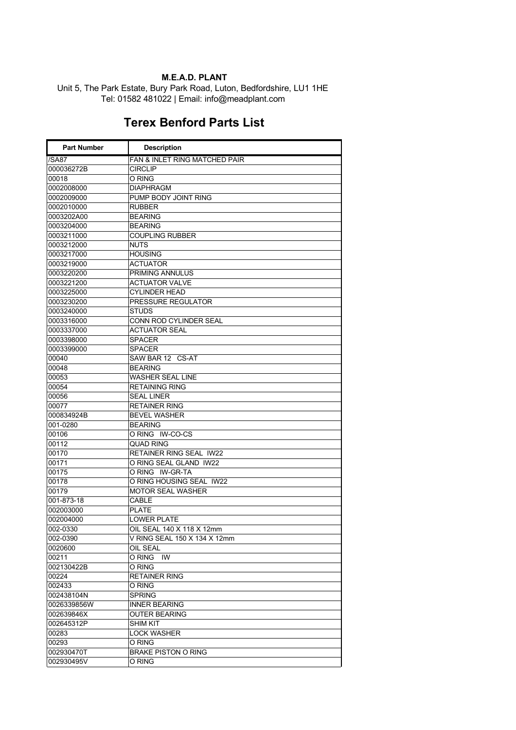## **M.E.A.D. PLANT**

Unit 5, The Park Estate, Bury Park Road, Luton, Bedfordshire, LU1 1HE Tel: 01582 481022 | Email: info@meadplant.com

## **Terex Benford Parts List**

| <b>Part Number</b>       | <b>Description</b>                       |
|--------------------------|------------------------------------------|
| /SA87                    | <b>FAN &amp; INLET RING MATCHED PAIR</b> |
| 000036272B               | <b>CIRCLIP</b>                           |
| 00018                    | O RING                                   |
| 0002008000               | <b>DIAPHRAGM</b>                         |
| 0002009000               | PUMP BODY JOINT RING                     |
| 0002010000               | <b>RUBBER</b>                            |
| 0003202A00               | <b>BEARING</b>                           |
| 0003204000               | <b>BEARING</b>                           |
| 0003211000               | <b>COUPLING RUBBER</b>                   |
| 0003212000               | <b>NUTS</b>                              |
| 0003217000               | <b>HOUSING</b>                           |
| 0003219000               | ACTUATOR                                 |
| 0003220200               | <b>PRIMING ANNULUS</b>                   |
| 0003221200               | ACTUATOR VALVE                           |
| 0003225000               | <b>CYLINDER HEAD</b>                     |
| 0003230200               | PRESSURE REGULATOR                       |
| 0003240000               | <b>STUDS</b>                             |
| 0003316000               | CONN ROD CYLINDER SEAL                   |
| 0003337000               | <b>ACTUATOR SEAL</b>                     |
| 0003398000               | <b>SPACER</b>                            |
| 0003399000               | <b>SPACER</b>                            |
| 00040                    | SAW BAR 12 CS-AT                         |
| 00048                    | <b>BEARING</b>                           |
| 00053                    | <b>WASHER SEAL LINE</b>                  |
| 00054                    | <b>RETAINING RING</b>                    |
| 00056                    | <b>SEAL LINER</b>                        |
| 00077                    | <b>RETAINER RING</b>                     |
| 000834924B               | <b>BEVEL WASHER</b>                      |
| 001-0280                 | <b>BEARING</b>                           |
| 00106                    | O RING IW-CO-CS                          |
| 00112                    | <b>QUAD RING</b>                         |
| 00170                    | RETAINER RING SEAL IW22                  |
| 00171                    | O RING SEAL GLAND IW22                   |
| 00175                    | o Ring IW-GR-TA                          |
| 00178                    | O RING HOUSING SEAL IW22                 |
| 00179                    | <b>MOTOR SEAL WASHER</b>                 |
| $\overline{001}$ -873-18 | CABLE                                    |
| 002003000                | <b>PLATE</b>                             |
| 002004000                | <b>LOWER PLATE</b>                       |
| 002-0330                 | OIL SEAL 140 X 118 X 12mm                |
| 002-0390                 | V RING SEAL 150 X 134 X 12mm             |
| 0020600                  | OIL SEAL                                 |
| 00211                    | ORING IW                                 |
| 002130422B               | O RING                                   |
| 00224                    | <b>RETAINER RING</b>                     |
| 002433                   | O RING                                   |
| 002438104N               | <b>SPRING</b>                            |
| 0026339856W              | <b>INNER BEARING</b>                     |
| 002639846X               | OUTER BEARING                            |
| 002645312P               | SHIM KIT                                 |
| 00283                    | <b>LOCK WASHER</b>                       |
| 00293                    | o ring                                   |
| 002930470T               | <b>BRAKE PISTON O RING</b>               |
| 002930495V               | o ring                                   |
|                          |                                          |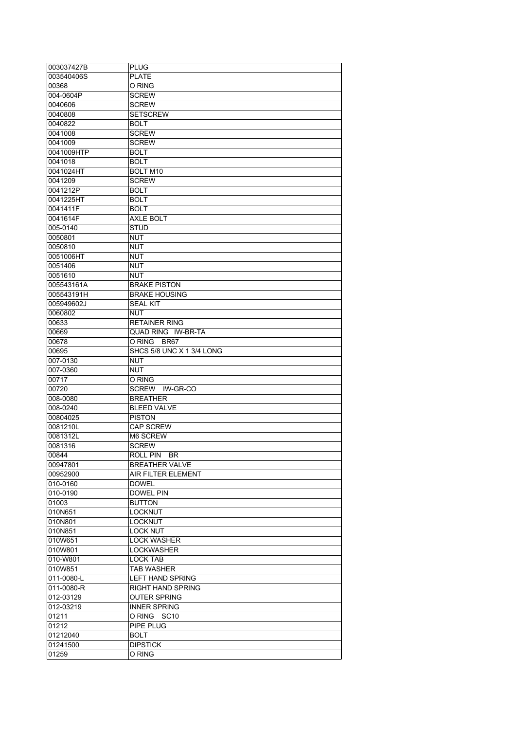| 003037427B | <b>PLUG</b>                |
|------------|----------------------------|
| 003540406S | <b>PLATE</b>               |
| 00368      | O RING                     |
| 004-0604P  | <b>SCREW</b>               |
| 0040606    | <b>SCREW</b>               |
|            |                            |
| 0040808    | <b>SETSCREW</b>            |
| 0040822    | <b>BOLT</b>                |
| 0041008    | <b>SCREW</b>               |
| 0041009    | <b>SCREW</b>               |
| 0041009HTP | <b>BOLT</b>                |
| 0041018    | <b>BOLT</b>                |
| 0041024HT  | BOLT M10                   |
| 0041209    | <b>SCREW</b>               |
| 0041212P   | <b>BOLT</b>                |
| 0041225HT  | <b>BOLT</b>                |
| 0041411F   | <b>BOLT</b>                |
| 0041614F   | AXLE BOLT                  |
|            |                            |
| 005-0140   | <b>STUD</b>                |
| 0050801    | <b>NUT</b>                 |
| 0050810    | <b>NUT</b>                 |
| 0051006HT  | <b>NUT</b>                 |
| 0051406    | NUT                        |
| 0051610    | NUT                        |
| 005543161A | <b>BRAKE PISTON</b>        |
| 005543191H | <b>BRAKE HOUSING</b>       |
| 005949602J | <b>SEAL KIT</b>            |
| 0060802    | <b>NUT</b>                 |
| 00633      | <b>RETAINER RING</b>       |
| 00669      | QUAD RING IW-BR-TA         |
| 00678      | O RING BR67                |
|            |                            |
| 00695      | SHCS 5/8 UNC X 1 3/4 LONG  |
| 007-0130   | NUT                        |
| 007-0360   | NUT                        |
| 00717      | 0 RING                     |
| 00720      | SCREW IW-GR-CO             |
| 008-0080   | <b>BREATHER</b>            |
| 008-0240   | <b>BLEED VALVE</b>         |
| 00804025   | <b>PISTON</b>              |
| 0081210L   | <b>CAP SCREW</b>           |
| 0081312L   | M6 SCREW                   |
| 0081316    | <b>SCREW</b>               |
| 00844      | ROLL PIN BR                |
| 00947801   | <b>BREATHER VALVE</b>      |
| 00952900   | <b>AIR FILTER ELEMENT</b>  |
| 010-0160   | <b>DOWEL</b>               |
| 010-0190   | <b>DOWEL PIN</b>           |
|            |                            |
| 01003      | <b>BUTTON</b>              |
| 010N651    | <b>LOCKNUT</b>             |
| 010N801    | <b>LOCKNUT</b>             |
| 010N851    | <b>LOCK NUT</b>            |
| 010W651    | <b>LOCK WASHER</b>         |
| 010W801    | <b>LOCKWASHER</b>          |
| 010-W801   | <b>LOCK TAB</b>            |
| 010W851    | <b>TAB WASHER</b>          |
| 011-0080-L | <b>LEFT HAND SPRING</b>    |
| 011-0080-R | <b>RIGHT HAND SPRING</b>   |
| 012-03129  | <b>OUTER SPRING</b>        |
| 012-03219  |                            |
|            | <b>INNER SPRING</b>        |
| 01211      | O RING<br>SC <sub>10</sub> |
| 01212      | PIPE PLUG                  |
| 01212040   | <b>BOLT</b>                |
| 01241500   | <b>DIPSTICK</b>            |
| 01259      | O RING                     |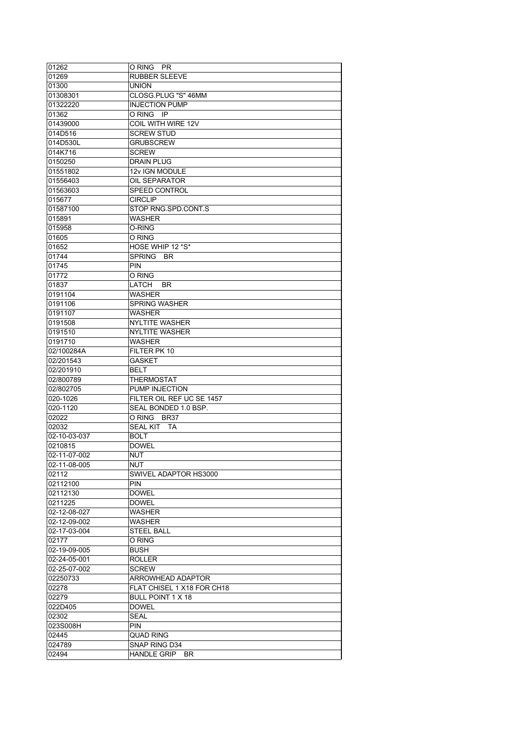| 01262                  | ORING PR                   |
|------------------------|----------------------------|
| 01269                  | <b>RUBBER SLEEVE</b>       |
| 01300                  | <b>UNION</b>               |
| 01308301               | CLOSG.PLUG "S" 46MM        |
| 01322220               | <b>INJECTION PUMP</b>      |
| 01362                  | ORING IP                   |
| 01439000               | COIL WITH WIRE 12V         |
| 014D516                | <b>SCREW STUD</b>          |
| 014D530L               | <b>GRUBSCREW</b>           |
| 014K716                | <b>SCREW</b>               |
|                        |                            |
| 0150250                | DRAIN PLUG                 |
| 01551802               | 12v IGN MODULE             |
| 01556403               | OIL SEPARATOR              |
| 01563603               | <b>SPEED CONTROL</b>       |
| 015677                 | <b>CIRCLIP</b>             |
| 01587100               | STOP RNG SPD CONT S        |
| 015891                 | WASHER                     |
| 015958                 | O-RING                     |
| 01605                  | O RING                     |
| 01652                  | HOSE WHIP 12 *S*           |
| 01744                  | SPRING BR                  |
| 01745                  | PIN                        |
| 01772                  | O RING                     |
| 01837                  | LATCH<br>BR.               |
| 0191104                | WASHER                     |
|                        | <b>SPRING WASHER</b>       |
| 0191106                |                            |
| 0191107                | <b>WASHER</b>              |
| 0191508                | <b>NYLTITE WASHER</b>      |
| 0191510                | <b>NYLTITE WASHER</b>      |
| 0191710                | WASHER                     |
| 02/100284A             | FILTER PK 10               |
| 02/201543              | GASKET                     |
| 02/201910              | BELT                       |
| 02/800789              | THERMOSTAT                 |
| 02/802705              | PUMP INJECTION             |
| 020-1026               | FILTER OIL REF UC SE 1457  |
| $\overline{0}$ 20-1120 | SEAL BONDED 1.0 BSP.       |
| 02022                  | O RING BR37                |
| 02032                  | SEAL KIT<br>TA             |
| 02-10-03-037           | BOLT                       |
| 0210815                | <b>DOWEL</b>               |
| 02-11-07-002           | <b>NUT</b>                 |
| 02-11-08-005           | NUT                        |
| 02112                  | SWIVEL ADAPTOR HS3000      |
|                        | PIN                        |
| 02112100               |                            |
| 02112130               | <b>DOWEL</b>               |
| 0211225                | <b>DOWEL</b>               |
| 02-12-08-027           | <b>WASHER</b>              |
| 02-12-09-002           | WASHER                     |
| 02-17-03-004           | <b>STEEL BALL</b>          |
| 02177                  | 0 RING                     |
| 02-19-09-005           | BUSH                       |
| 02-24-05-001           | ROLLER                     |
| 02-25-07-002           | <b>SCREW</b>               |
| 02250733               | ARROWHEAD ADAPTOR          |
| 02278                  | FLAT CHISEL 1 X18 FOR CH18 |
| 02279                  | BULL POINT 1 X 18          |
| 022D405                | <b>DOWEL</b>               |
| 02302                  | <b>SEAL</b>                |
| 023S008H               | <b>PIN</b>                 |
| 02445                  | QUAD RING                  |
| 024789                 | SNAP RING D34              |
| 02494                  | <b>HANDLE GRIP</b>         |
|                        | BR.                        |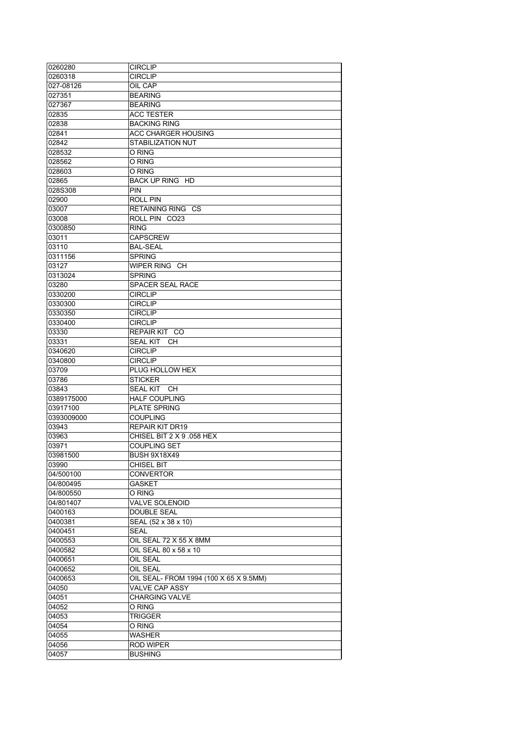| 0260280    | <b>CIRCLIP</b>                         |
|------------|----------------------------------------|
| 0260318    | <b>CIRCLIP</b>                         |
| 027-08126  | OIL CAP                                |
| 027351     | <b>BEARING</b>                         |
| 027367     | <b>BEARING</b>                         |
| 02835      | <b>ACC TESTER</b>                      |
| 02838      | <b>BACKING RING</b>                    |
| 02841      | ACC CHARGER HOUSING                    |
| 02842      | <b>STABILIZATION NUT</b>               |
| 028532     | O RING                                 |
| 028562     | O RING                                 |
| 028603     | O RING                                 |
| 02865      | <b>BACK UP RING HD</b>                 |
| 028S308    | <b>PIN</b>                             |
| 02900      | ROLL PIN                               |
| 03007      | <b>RETAINING RING CS</b>               |
| 03008      | ROLL PIN CO23                          |
| 0300850    | <b>RING</b>                            |
| 03011      | <b>CAPSCREW</b>                        |
| 03110      | <b>BAL-SEAL</b>                        |
|            |                                        |
| 0311156    | <b>SPRING</b>                          |
| 03127      | WIPER RING CH                          |
| 0313024    | <b>SPRING</b>                          |
| 03280      | SPACER SEAL RACE                       |
| 0330200    | <b>CIRCLIP</b>                         |
| 0330300    | <b>CIRCLIP</b>                         |
| 0330350    | <b>CIRCLIP</b>                         |
| 0330400    | <b>CIRCLIP</b>                         |
| 03330      | REPAIR KIT CO                          |
| 03331      | SEAL KIT<br>CH.                        |
| 0340620    | <b>CIRCLIP</b>                         |
| 0340800    | <b>CIRCLIP</b>                         |
| 03709      | PLUG HOLLOW HEX                        |
| 03786      | <b>STICKER</b>                         |
| 03843      | SEAL KIT CH                            |
| 0389175000 | <b>HALF COUPLING</b>                   |
| 03917100   | <b>PLATE SPRING</b>                    |
| 0393009000 | <b>COUPLING</b>                        |
| 03943      | <b>REPAIR KIT DR19</b>                 |
| 03963      | CHISEL BIT 2 X 9 .058 HEX              |
| 03971      | <b>COUPLING SET</b>                    |
| 03981500   | <b>BUSH 9X18X49</b>                    |
| 03990      | <b>CHISEL BIT</b>                      |
| 04/500100  | <b>CONVERTOR</b>                       |
| 04/800495  | <b>GASKET</b>                          |
| 04/800550  | O RING                                 |
| 04/801407  | <b>VALVE SOLENOID</b>                  |
| 0400163    | <b>DOUBLE SEAL</b>                     |
| 0400381    | SEAL (52 x 38 x 10)                    |
| 0400451    | <b>SEAL</b>                            |
| 0400553    | OIL SEAL 72 X 55 X 8MM                 |
| 0400582    | OIL SEAL 80 x 58 x 10                  |
| 0400651    | <b>OIL SEAL</b>                        |
| 0400652    | <b>OIL SEAL</b>                        |
| 0400653    | OIL SEAL- FROM 1994 (100 X 65 X 9.5MM) |
| 04050      | VALVE CAP ASSY                         |
| 04051      | <b>CHARGING VALVE</b>                  |
| 04052      | O RING                                 |
| 04053      | TRIGGER                                |
| 04054      | O RING                                 |
| 04055      | WASHER                                 |
| 04056      | <b>ROD WIPER</b>                       |
| 04057      | <b>BUSHING</b>                         |
|            |                                        |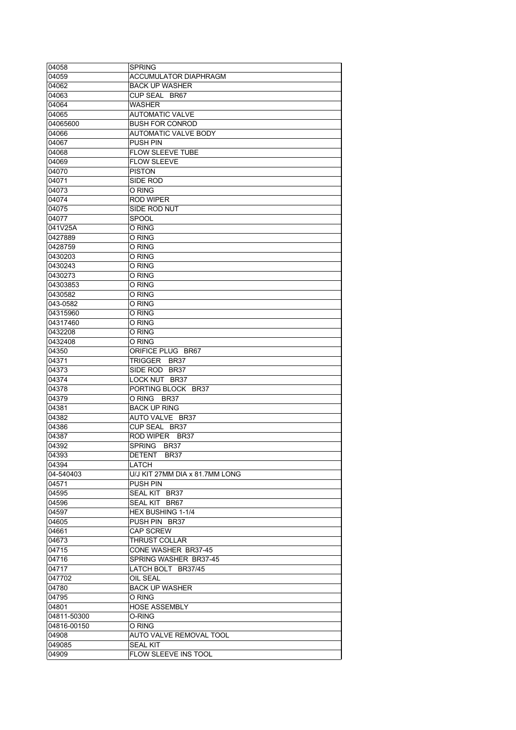| 04058       | <b>SPRING</b>                  |
|-------------|--------------------------------|
| 04059       | ACCUMULATOR DIAPHRAGM          |
| 04062       | <b>BACK UP WASHER</b>          |
| 04063       | CUP SEAL BR67                  |
| 04064       | WASHER                         |
| 04065       | <b>AUTOMATIC VALVE</b>         |
| 04065600    | <b>BUSH FOR CONROD</b>         |
| 04066       | <b>AUTOMATIC VALVE BODY</b>    |
| 04067       | <b>PUSH PIN</b>                |
| 04068       | <b>FLOW SLEEVE TUBE</b>        |
| 04069       | <b>FLOW SLEEVE</b>             |
| 04070       | <b>PISTON</b>                  |
| 04071       | SIDE ROD                       |
| 04073       | O RING                         |
| 04074       | <b>ROD WIPER</b>               |
|             |                                |
| 04075       | SIDE ROD NUT                   |
| 04077       | <b>SPOOL</b>                   |
| 041V25A     | O RING                         |
| 0427889     | O RING                         |
| 0428759     | O RING                         |
| 0430203     | O RING                         |
| 0430243     | O RING                         |
| 0430273     | O RING                         |
| 04303853    | O RING                         |
| 0430582     | O RING                         |
| 043-0582    | O RING                         |
| 04315960    | O RING                         |
| 04317460    | O RING                         |
| 0432208     | O RING                         |
| 0432408     | O RING                         |
| 04350       | ORIFICE PLUG BR67              |
| 04371       | TRIGGER BR37                   |
| 04373       | SIDE ROD BR37                  |
| 04374       | LOCK NUT BR37                  |
| 04378       | PORTING BLOCK BR37             |
| 04379       | O RING BR37                    |
| 04381       | <b>BACK UP RING</b>            |
| 04382       | AUTO VALVE BR37                |
| 04386       | CUP SEAL BR37                  |
| 04387       | ROD WIPER<br><b>BR37</b>       |
| 04392       | SPRING BR37                    |
| 04393       | DETENT BR37                    |
| 04394       | LATCH                          |
| 04-540403   | U/J KIT 27MM DIA x 81.7MM LONG |
| 04571       | PUSH PIN                       |
|             |                                |
| 04595       | SEAL KIT BR37                  |
| 04596       | SEAL KIT BR67                  |
| 04597       | <b>HEX BUSHING 1-1/4</b>       |
| 04605       | PUSH PIN BR37                  |
| 04661       | <b>CAP SCREW</b>               |
| 04673       | <b>THRUST COLLAR</b>           |
| 04715       | CONE WASHER BR37-45            |
| 04716       | SPRING WASHER BR37-45          |
| 04717       | LATCH BOLT BR37/45             |
| 047702      | OIL SEAL                       |
| 04780       | <b>BACK UP WASHER</b>          |
| 04795       | O RING                         |
| 04801       | <b>HOSE ASSEMBLY</b>           |
| 04811-50300 | O-RING                         |
| 04816-00150 | O RING                         |
| 04908       | AUTO VALVE REMOVAL TOOL        |
| 049085      | <b>SEAL KIT</b>                |
| 04909       | <b>FLOW SLEEVE INS TOOL</b>    |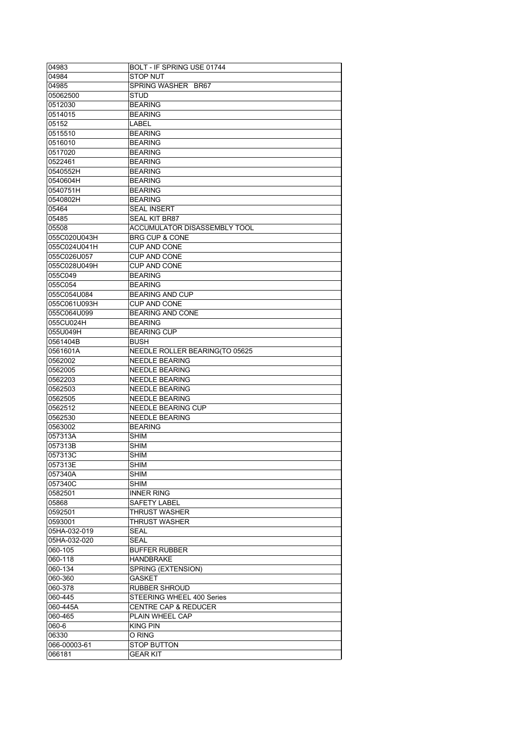| 04983        | BOLT - IF SPRING USE 01744      |
|--------------|---------------------------------|
| 04984        | STOP NUT                        |
| 04985        | SPRING WASHER BR67              |
| 05062500     | <b>STUD</b>                     |
| 0512030      | <b>BEARING</b>                  |
| 0514015      | <b>BEARING</b>                  |
| 05152        | LABEL                           |
| 0515510      | <b>BEARING</b>                  |
| 0516010      | <b>BEARING</b>                  |
| 0517020      |                                 |
|              | <b>BEARING</b>                  |
| 0522461      | <b>BEARING</b>                  |
| 0540552H     | <b>BEARING</b>                  |
| 0540604H     | <b>BEARING</b>                  |
| 0540751H     | <b>BEARING</b>                  |
| 0540802H     | <b>BEARING</b>                  |
| 05464        | <b>SEAL INSERT</b>              |
| 05485        | SEAL KIT BR87                   |
| 05508        | ACCUMULATOR DISASSEMBLY TOOL    |
| 055C020U043H | <b>BRG CUP &amp; CONE</b>       |
| 055C024U041H | CUP AND CONE                    |
| 055C026U057  | <b>CUP AND CONE</b>             |
| 055C028U049H | CUP AND CONE                    |
| 055C049      | <b>BEARING</b>                  |
| 055C054      | <b>BEARING</b>                  |
| 055C054U084  | <b>BEARING AND CUP</b>          |
| 055C061U093H | <b>CUP AND CONE</b>             |
| 055C064U099  | <b>BEARING AND CONE</b>         |
| 055CU024H    | <b>BEARING</b>                  |
| 055U049H     | <b>BEARING CUP</b>              |
| 0561404B     |                                 |
|              | <b>BUSH</b>                     |
| 0561601A     | NEEDLE ROLLER BEARING(TO 05625  |
| 0562002      | <b>NEEDLE BEARING</b>           |
| 0562005      | <b>NEEDLE BEARING</b>           |
| 0562203      | <b>NEEDLE BEARING</b>           |
| 0562503      | <b>NEEDLE BEARING</b>           |
| 0562505      | <b>NEEDLE BEARING</b>           |
| 0562512      | <b>NEEDLE BEARING CUP</b>       |
| 0562530      | <b>NEEDLE BEARING</b>           |
| 0563002      | <b>BEARING</b>                  |
| 057313A      | SHIM                            |
| 057313B      | <b>SHIM</b>                     |
| 057313C      | SHIM                            |
| 057313E      | SHIM                            |
| 057340A      | SHIM                            |
| 057340C      | SHIM                            |
| 0582501      | <b>INNER RING</b>               |
| 05868        | <b>SAFETY LABEL</b>             |
| 0592501      | THRUST WASHER                   |
| 0593001      | THRUST WASHER                   |
| 05HA-032-019 | SEAL                            |
| 05HA-032-020 | SEAL                            |
| 060-105      | <b>BUFFER RUBBER</b>            |
| 060-118      | <b>HANDBRAKE</b>                |
|              |                                 |
| 060-134      | SPRING (EXTENSION)              |
| 060-360      | GASKET                          |
| 060-378      | RUBBER SHROUD                   |
| 060-445      | STEERING WHEEL 400 Series       |
| 060-445A     | <b>CENTRE CAP &amp; REDUCER</b> |
| 060-465      | PLAIN WHEEL CAP                 |
| 060-6        | <b>KING PIN</b>                 |
| 06330        | o ring                          |
| 066-00003-61 | STOP BUTTON                     |
| 066181       | <b>GEAR KIT</b>                 |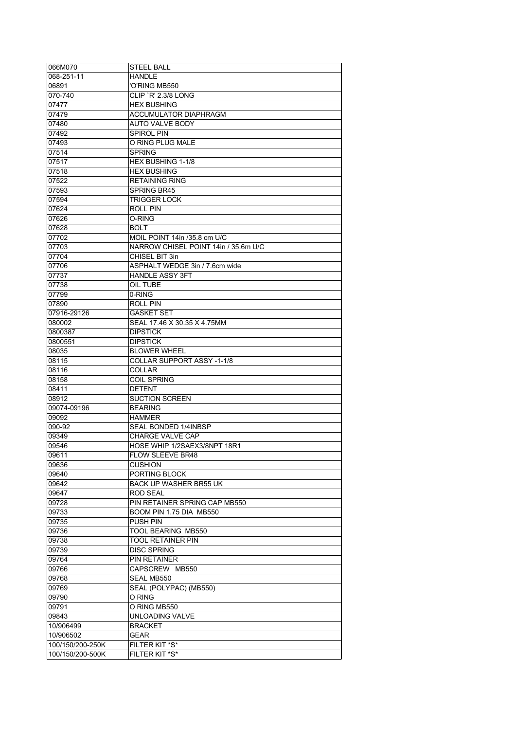| 066M070          | STEEL BALL                           |
|------------------|--------------------------------------|
| 068-251-11       | <b>HANDLE</b>                        |
| 06891            | 'O'RING MB550                        |
| 070-740          | CLIP `R' 2.3/8 LONG                  |
| 07477            | <b>HEX BUSHING</b>                   |
| 07479            | <b>ACCUMULATOR DIAPHRAGM</b>         |
| 07480            | AUTO VALVE BODY                      |
| 07492            | <b>SPIROL PIN</b>                    |
| 07493            | O RING PLUG MALE                     |
| 07514            | <b>SPRING</b>                        |
| 07517            | <b>HEX BUSHING 1-1/8</b>             |
| 07518            | <b>HEX BUSHING</b>                   |
| 07522            | <b>RETAINING RING</b>                |
| 07593            | <b>SPRING BR45</b>                   |
| 07594            | <b>TRIGGER LOCK</b>                  |
| 07624            | <b>ROLL PIN</b>                      |
| 07626            | O-RING                               |
| 07628            | <b>BOLT</b>                          |
| 07702            | MOIL POINT 14in /35.8 cm U/C         |
| 07703            | NARROW CHISEL POINT 14in / 35.6m U/C |
| 07704            | CHISEL BIT 3in                       |
| 07706            | ASPHALT WEDGE 3in / 7.6cm wide       |
| 07737            | <b>HANDLE ASSY 3FT</b>               |
| 07738            | OIL TUBE                             |
| 07799            | 0-RING                               |
| 07890            | <b>ROLL PIN</b>                      |
| 07916-29126      | <b>GASKET SET</b>                    |
| 080002           | SEAL 17.46 X 30.35 X 4.75MM          |
| 0800387          | <b>DIPSTICK</b>                      |
| 0800551          | <b>DIPSTICK</b>                      |
| 08035            | <b>BLOWER WHEEL</b>                  |
| 08115            | COLLAR SUPPORT ASSY -1-1/8           |
| 08116            | COLLAR                               |
| 08158            | COIL SPRING                          |
| 08411            | <b>DETENT</b>                        |
| 08912            | <b>SUCTION SCREEN</b>                |
| 09074-09196      | <b>BEARING</b>                       |
| 09092            | <b>HAMMER</b>                        |
| 090-92           | SEAL BONDED 1/4INBSP                 |
| 09349            | <b>CHARGE VALVE CAP</b>              |
| 09546            | HOSE WHIP 1/2SAEX3/8NPT 18R1         |
| 09611            | <b>FLOW SLEEVE BR48</b>              |
| 09636            | <b>CUSHION</b>                       |
| 09640            | PORTING BLOCK                        |
| 09642            | <b>BACK UP WASHER BR55 UK</b>        |
| 09647            | <b>ROD SEAL</b>                      |
| 09728            | PIN RETAINER SPRING CAP MB550        |
| 09733            | BOOM PIN 1.75 DIA MB550              |
| 09735            | <b>PUSH PIN</b>                      |
| 09736            | TOOL BEARING MB550                   |
| 09738            | <b>TOOL RETAINER PIN</b>             |
| 09739            | <b>DISC SPRING</b>                   |
| 09764            | PIN RETAINER                         |
| 09766            | CAPSCREW MB550                       |
| 09768            | SEAL MB550                           |
| 09769            | SEAL (POLYPAC) (MB550)               |
| 09790            | O RING                               |
| 09791            | O RING MB550                         |
| 09843            | <b>UNLOADING VALVE</b>               |
| 10/906499        | <b>BRACKET</b>                       |
| 10/906502        | GEAR                                 |
|                  | FILTER KIT *S*                       |
| 100/150/200-250K |                                      |
| 100/150/200-500K | FILTER KIT *S*                       |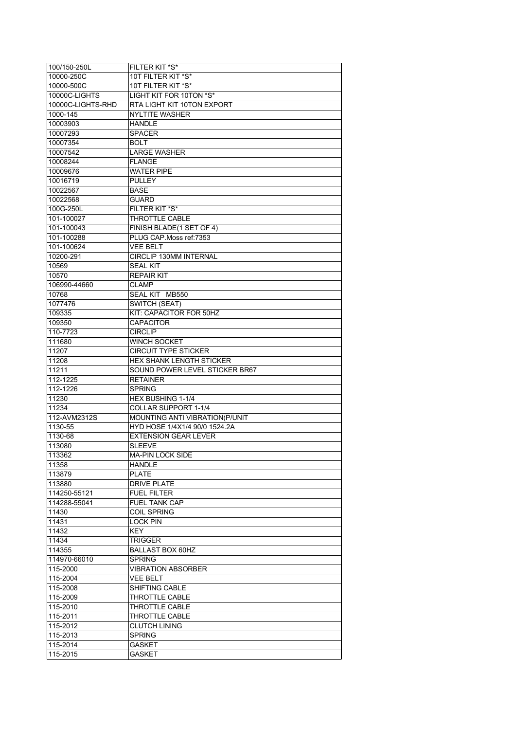| 100/150-250L      | FILTER KIT *S*                 |
|-------------------|--------------------------------|
| 10000-250C        | 10T FILTER KIT *S*             |
| 10000-500C        | 10T FILTER KIT *S*             |
| 10000C-LIGHTS     | LIGHT KIT FOR 10TON *S*        |
| 10000C-LIGHTS-RHD | RTA LIGHT KIT 10TON EXPORT     |
| 1000-145          | <b>NYLTITE WASHER</b>          |
| 10003903          | <b>HANDLE</b>                  |
| 10007293          | <b>SPACER</b>                  |
| 10007354          | <b>BOLT</b>                    |
| 10007542          | <b>LARGE WASHER</b>            |
| 10008244          | <b>FLANGE</b>                  |
| 10009676          | <b>WATER PIPE</b>              |
| 10016719          | <b>PULLEY</b>                  |
| 10022567          | <b>BASE</b>                    |
| 10022568          | <b>GUARD</b>                   |
| 100G-250L         | FILTER KIT *S*                 |
|                   |                                |
| 101-100027        | THROTTLE CABLE                 |
| 101-100043        | FINISH BLADE(1 SET OF 4)       |
| 101-100288        | PLUG CAP.Moss ref:7353         |
| 101-100624        | <b>VEE BELT</b>                |
| 10200-291         | CIRCLIP 130MM INTERNAL         |
| 10569             | <b>SEAL KIT</b>                |
| 10570             | <b>REPAIR KIT</b>              |
| 106990-44660      | <b>CLAMP</b>                   |
| 10768             | SEAL KIT MB550                 |
| 1077476           | SWITCH (SEAT)                  |
| 109335            | KIT: CAPACITOR FOR 50HZ        |
| 109350            | <b>CAPACITOR</b>               |
| 110-7723          | <b>CIRCLIP</b>                 |
| 111680            | <b>WINCH SOCKET</b>            |
| 11207             | <b>CIRCUIT TYPE STICKER</b>    |
|                   |                                |
|                   |                                |
| 11208             | HEX SHANK LENGTH STICKER       |
| 11211             | SOUND POWER LEVEL STICKER BR67 |
| 112-1225          | <b>RETAINER</b>                |
| 112-1226          | <b>SPRING</b>                  |
| 11230             | HEX BUSHING 1-1/4              |
| 11234             | COLLAR SUPPORT 1-1/4           |
| 112-AVM2312S      | MOUNTING ANTI VIBRATION(P/UNIT |
| 1130-55           | HYD HOSE 1/4X1/4 90/0 1524.2A  |
| 1130-68           | <b>EXTENSION GEAR LEVER</b>    |
| 113080            | <b>SLEEVE</b>                  |
| 113362            | MA-PIN LOCK SIDE               |
| 11358             | HANDLE                         |
| 113879            | PLATE                          |
| 113880            | <b>DRIVE PLATE</b>             |
| 114250-55121      | <b>FUEL FILTER</b>             |
| 114288-55041      | FUEL TANK CAP                  |
| 11430             | <b>COIL SPRING</b>             |
| 11431             | <b>LOCK PIN</b>                |
| 11432             | KEY                            |
| 11434             | TRIGGER                        |
| 114355            | <b>BALLAST BOX 60HZ</b>        |
| 114970-66010      | <b>SPRING</b>                  |
| 115-2000          | <b>VIBRATION ABSORBER</b>      |
| 115-2004          | VEE BELT                       |
| 115-2008          | SHIFTING CABLE                 |
| 115-2009          | THROTTLE CABLE                 |
| 115-2010          | THROTTLE CABLE                 |
| 115-2011          | THROTTLE CABLE                 |
| 115-2012          | <b>CLUTCH LINING</b>           |
| 115-2013          | <b>SPRING</b>                  |
| 115-2014          | <b>GASKET</b>                  |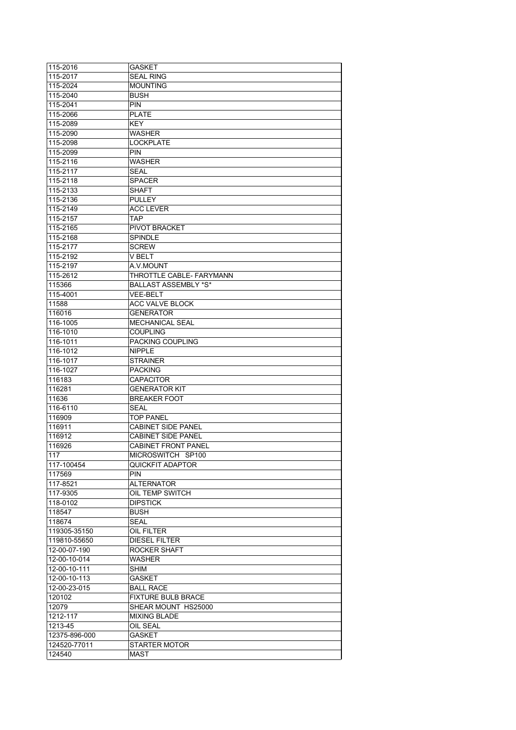| 115-2016      | <b>GASKET</b>               |
|---------------|-----------------------------|
| 115-2017      | <b>SEAL RING</b>            |
| 115-2024      | <b>MOUNTING</b>             |
| 115-2040      | <b>BUSH</b>                 |
| 115-2041      | <b>PIN</b>                  |
| 115-2066      | <b>PLATE</b>                |
| 115-2089      | <b>KEY</b>                  |
| 115-2090      | <b>WASHER</b>               |
| 115-2098      | <b>LOCKPLATE</b>            |
|               | <b>PIN</b>                  |
| 115-2099      |                             |
| 115-2116      | <b>WASHER</b>               |
| 115-2117      | SEAL                        |
| 115-2118      | <b>SPACER</b>               |
| 115-2133      | <b>SHAFT</b>                |
| 115-2136      | <b>PULLEY</b>               |
| 115-2149      | <b>ACC LEVER</b>            |
| 115-2157      | <b>TAP</b>                  |
| 115-2165      | <b>PIVOT BRACKET</b>        |
| $115 - 2168$  | <b>SPINDLE</b>              |
| 115-2177      | <b>SCREW</b>                |
| 115-2192      | V BELT                      |
| 115-2197      | A.V.MOUNT                   |
| 115-2612      | THROTTLE CABLE- FARYMANN    |
| 115366        | <b>BALLAST ASSEMBLY *S*</b> |
| 115-4001      | <b>VEE-BELT</b>             |
| 11588         | ACC VALVE BLOCK             |
| 116016        | <b>GENERATOR</b>            |
| 116-1005      | <b>MECHANICAL SEAL</b>      |
|               |                             |
| 116-1010      | <b>COUPLING</b>             |
| 116-1011      | PACKING COUPLING            |
| 116-1012      | <b>NIPPLE</b>               |
| 116-1017      | <b>STRAINER</b>             |
| 116-1027      | <b>PACKING</b>              |
| 116183        | <b>CAPACITOR</b>            |
| 116281        | <b>GENERATOR KIT</b>        |
| 11636         | <b>BREAKER FOOT</b>         |
| 116-6110      | <b>SEAL</b>                 |
| 116909        | <b>TOP PANEL</b>            |
| 116911        | <b>CABINET SIDE PANEL</b>   |
| 116912        | <b>CABINET SIDE PANEL</b>   |
| 116926        | <b>CABINET FRONT PANEL</b>  |
| 117           | MICROSWITCH SP100           |
| 117-100454    | <b>QUICKFIT ADAPTOR</b>     |
| 117569        | <b>PIN</b>                  |
| 117-8521      | ALTERNATOR                  |
| 117-9305      | OIL TEMP SWITCH             |
| 118-0102      | <b>DIPSTICK</b>             |
| 118547        | <b>BUSH</b>                 |
| 118674        | <b>SEAL</b>                 |
| 119305-35150  | OIL FILTER                  |
|               |                             |
| 119810-55650  | DIESEL FILTER               |
| 12-00-07-190  | ROCKER SHAFT                |
| 12-00-10-014  | WASHER                      |
| 12-00-10-111  | <b>SHIM</b>                 |
| 12-00-10-113  | GASKET                      |
| 12-00-23-015  | <b>BALL RACE</b>            |
| 120102        | <b>FIXTURE BULB BRACE</b>   |
| 12079         | SHEAR MOUNT HS25000         |
| 1212-117      | <b>MIXING BLADE</b>         |
| 1213-45       | OIL SEAL                    |
|               |                             |
| 12375-896-000 | GASKET                      |
| 124520-77011  | STARTER MOTOR               |
| 124540        | MAST                        |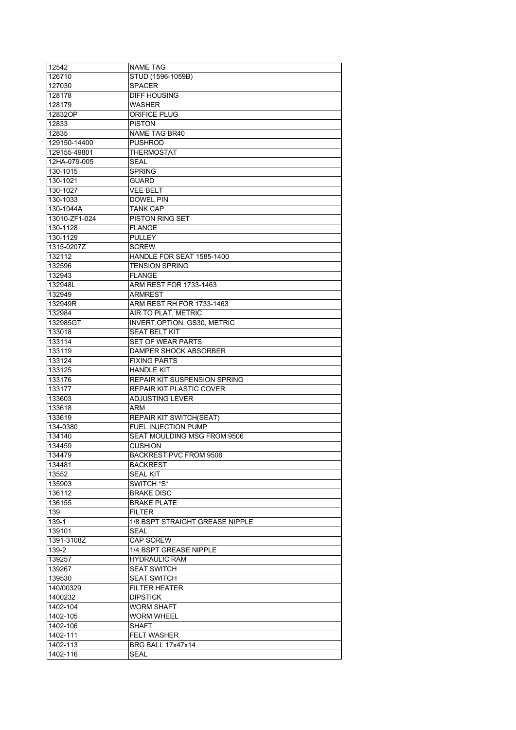| 12542         | <b>NAME TAG</b>                    |
|---------------|------------------------------------|
| 126710        | STUD (1596-1059B)                  |
| 127030        | SPACER                             |
| 128178        | DIFF HOUSING                       |
| 128179        | <b>WASHER</b>                      |
| 12832OP       | <b>ORIFICE PLUG</b>                |
| 12833         | <b>PISTON</b>                      |
| 12835         | NAME TAG BR40                      |
| 129150-14400  | <b>PUSHROD</b>                     |
| 129155-49801  | THERMOSTAT                         |
| 12HA-079-005  | <b>SEAL</b>                        |
| 130-1015      | <b>SPRING</b>                      |
| 130-1021      | <b>GUARD</b>                       |
| 130-1027      | VEE BELT                           |
| 130-1033      | DOWEL PIN                          |
| 130-1044A     | <b>TANK CAP</b>                    |
| 13010-ZF1-024 | <b>PISTON RING SET</b>             |
| 130-1128      | <b>FLANGE</b>                      |
| 130-1129      | <b>PULLEY</b>                      |
| 1315-0207Z    | <b>SCREW</b>                       |
| 132112        | HANDLE FOR SEAT 1585-1400          |
| 132596        | <b>TENSION SPRING</b>              |
|               |                                    |
| 132943        | <b>FLANGE</b>                      |
| 132948L       | ARM REST FOR 1733-1463             |
| 132949        | ARMREST                            |
| 132949R       | ARM REST RH FOR 1733-1463          |
| 132984        | AIR TO PLAT, METRIC                |
| 132985GT      | <b>INVERT OPTION, GS30, METRIC</b> |
| 133018        | SEAT BELT KIT                      |
| 133114        | SET OF WEAR PARTS                  |
| 133119        | DAMPER SHOCK ABSORBER              |
| 133124        | <b>FIXING PARTS</b>                |
| 133125        | HANDLE KIT                         |
| 133176        | REPAIR KIT SUSPENSION SPRING       |
| 133177        | <b>REPAIR KIT PLASTIC COVER</b>    |
| 133603        | <b>ADJUSTING LEVER</b>             |
| 133618        | ARM                                |
| 133619        | REPAIR KIT SWITCH(SEAT)            |
| 134-0380      | FUEL INJECTION PUMP                |
| 134140        | SEAT MOULDING MSG FROM 9506        |
| 134459        | <b>CUSHION</b>                     |
| 134479        | BACKREST PVC FROM 9506             |
| 134481        | <b>BACKREST</b>                    |
| 13552         | <b>SEAL KIT</b>                    |
| 135903        | SWITCH *S*                         |
| 136112        | <b>BRAKE DISC</b>                  |
| 136155        | <b>BRAKE PLATE</b>                 |
| 139           | <b>FILTER</b>                      |
| 139-1         | 1/8 BSPT STRAIGHT GREASE NIPPLE    |
| 139101        | <b>SEAL</b>                        |
| 1391-3108Z    | <b>CAP SCREW</b>                   |
| 139-2         | 1/4 BSPT GREASE NIPPLE             |
| 139257        | <b>HYDRAULIC RAM</b>               |
| 139267        | <b>SEAT SWITCH</b>                 |
| 139530        | <b>SEAT SWITCH</b>                 |
| 140/00329     | <b>FILTER HEATER</b>               |
| 1400232       | <b>DIPSTICK</b>                    |
| 1402-104      | WORM SHAFT                         |
| 1402-105      | WORM WHEEL                         |
| 1402-106      | SHAFT                              |
| 1402-111      | <b>FELT WASHER</b>                 |
| 1402-113      | BRG BALL 17x47x14                  |
| 1402-116      | SEAL                               |
|               |                                    |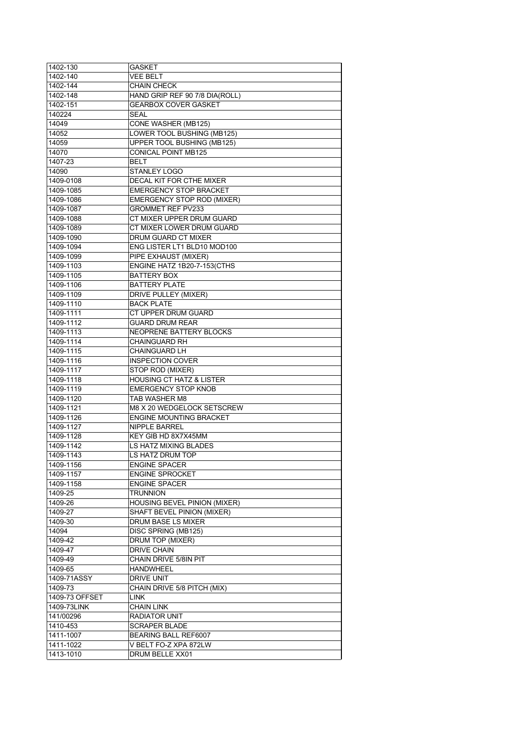| 1402-130       | GASKET                              |
|----------------|-------------------------------------|
| 1402-140       | VEE BELT                            |
| 1402-144       | CHAIN CHECK                         |
| 1402-148       | HAND GRIP REF 90 7/8 DIA(ROLL)      |
| 1402-151       | <b>GEARBOX COVER GASKET</b>         |
| 140224         | SEAL                                |
| 14049          | CONE WASHER (MB125)                 |
| 14052          | LOWER TOOL BUSHING (MB125)          |
| 14059          | UPPER TOOL BUSHING (MB125)          |
| 14070          | <b>CONICAL POINT MB125</b>          |
| $1407 - 23$    | <b>BELT</b>                         |
| 14090          | STANLEY LOGO                        |
| 1409-0108      | DECAL KIT FOR CTHE MIXER            |
| 1409-1085      | <b>EMERGENCY STOP BRACKET</b>       |
| 1409-1086      | <b>EMERGENCY STOP ROD (MIXER)</b>   |
| 1409-1087      | <b>GROMMET REF PV233</b>            |
| 1409-1088      | CT MIXER UPPER DRUM GUARD           |
| 1409-1089      | CT MIXER LOWER DRUM GUARD           |
| 1409-1090      | DRUM GUARD CT MIXER                 |
| 1409-1094      | ENG LISTER LT1 BLD10 MOD100         |
| 1409-1099      | PIPE EXHAUST (MIXER)                |
| 1409-1103      | ENGINE HATZ 1B20-7-153(CTHS         |
| 1409-1105      | BATTERY BOX                         |
| 1409-1106      | <b>BATTERY PLATE</b>                |
| 1409-1109      | <b>DRIVE PULLEY (MIXER)</b>         |
| 1409-1110      | <b>BACK PLATE</b>                   |
| 1409-1111      | CT UPPER DRUM GUARD                 |
| 1409-1112      | <b>GUARD DRUM REAR</b>              |
| 1409-1113      | NEOPRENE BATTERY BLOCKS             |
| 1409-1114      | <b>CHAINGUARD RH</b>                |
| 1409-1115      | CHAINGUARD LH                       |
| 1409-1116      | <b>INSPECTION COVER</b>             |
| 1409-1117      | STOP ROD (MIXER)                    |
| 1409-1118      | <b>HOUSING CT HATZ &amp; LISTER</b> |
| 1409-1119      | <b>EMERGENCY STOP KNOB</b>          |
| 1409-1120      | TAB WASHER M8                       |
| 1409-1121      | M8 X 20 WEDGELOCK SETSCREW          |
| 1409-1126      | <b>ENGINE MOUNTING BRACKET</b>      |
| 1409-1127      | <b>NIPPLE BARREL</b>                |
| 1409-1128      | KEY GIB HD 8X7X45MM                 |
| 1409-1142      | <b>LS HATZ MIXING BLADES</b>        |
| 1409-1143      | LS HATZ DRUM TOP                    |
| 1409-1156      | <b>ENGINE SPACER</b>                |
| 1409-1157      | <b>ENGINE SPROCKET</b>              |
| 1409-1158      | <b>ENGINE SPACER</b>                |
| 1409-25        | <b>TRUNNION</b>                     |
| 1409-26        | HOUSING BEVEL PINION (MIXER)        |
| 1409-27        | SHAFT BEVEL PINION (MIXER)          |
| 1409-30        | DRUM BASE LS MIXER                  |
| 14094          | DISC SPRING (MB125)                 |
| 1409-42        | DRUM TOP (MIXER)                    |
| 1409-47        | DRIVE CHAIN                         |
| 1409-49        | CHAIN DRIVE 5/8IN PIT               |
| 1409-65        | <b>HANDWHEEL</b>                    |
| 1409-71ASSY    | <b>DRIVE UNIT</b>                   |
| 1409-73        | CHAIN DRIVE 5/8 PITCH (MIX)         |
| 1409-73 OFFSET | LINK                                |
| 1409-73LINK    | <b>CHAIN LINK</b>                   |
| 141/00296      | RADIATOR UNIT                       |
| 1410-453       | <b>SCRAPER BLADE</b>                |
| 1411-1007      | BEARING BALL REF6007                |
| 1411-1022      | V BELT FO-Z XPA 872LW               |
| 1413-1010      | DRUM BELLE XX01                     |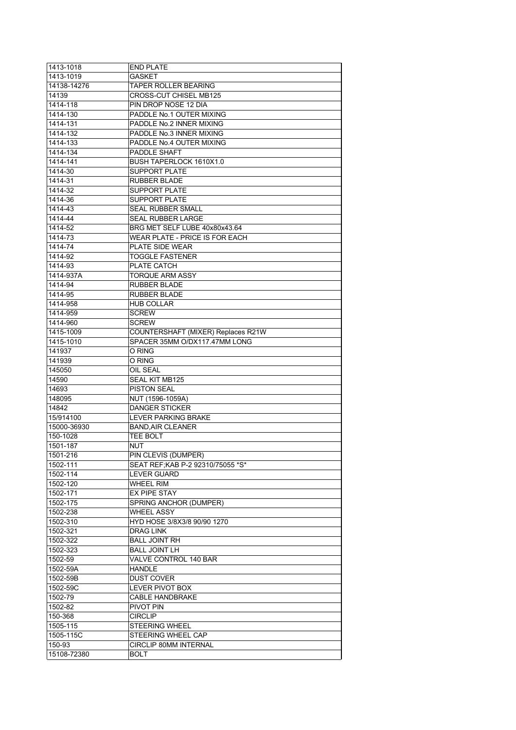| 1413-1018   | <b>END PLATE</b>                       |
|-------------|----------------------------------------|
| 1413-1019   | GASKET                                 |
| 14138-14276 | <b>TAPER ROLLER BEARING</b>            |
| 14139       | <b>CROSS-CUT CHISEL MB125</b>          |
| 1414-118    | PIN DROP NOSE 12 DIA                   |
| 1414-130    | PADDLE No.1 OUTER MIXING               |
| 1414-131    | PADDLE No.2 INNER MIXING               |
| 1414-132    | PADDLE No.3 INNER MIXING               |
| 1414-133    | PADDLE No.4 OUTER MIXING               |
| 1414-134    | PADDLE SHAFT                           |
| 1414-141    | BUSH TAPERLOCK 1610X1.0                |
| 1414-30     | SUPPORT PLATE                          |
| 1414-31     | RUBBER BLADE                           |
| 1414-32     | SUPPORT PLATE                          |
| 1414-36     | SUPPORT PLATE                          |
|             |                                        |
| 1414-43     | <b>SEAL RUBBER SMALL</b>               |
| 1414-44     | SEAL RUBBER LARGE                      |
| 1414-52     | BRG MET SELF LUBE 40x80x43.64          |
| 1414-73     | <b>WEAR PLATE - PRICE IS FOR EACH</b>  |
| 1414-74     | <b>PLATE SIDE WEAR</b>                 |
| 1414-92     | <b>TOGGLE FASTENER</b>                 |
| 1414-93     | PLATE CATCH                            |
| 1414-937A   | <b>TORQUE ARM ASSY</b>                 |
| 1414-94     | <b>RUBBER BLADE</b>                    |
| 1414-95     | <b>RUBBER BLADE</b>                    |
| 1414-958    | <b>HUB COLLAR</b>                      |
| 1414-959    | <b>SCREW</b>                           |
| 1414-960    | <b>SCREW</b>                           |
| 1415-1009   | COUNTERSHAFT (MIXER) Replaces R21W     |
| 1415-1010   | SPACER 35MM O/DX117.47MM LONG          |
| 141937      | O RING                                 |
| 141939      | O RING                                 |
| 145050      | OIL SEAL                               |
| 14590       | SEAL KIT MB125                         |
| 14693       | <b>PISTON SEAL</b>                     |
| 148095      | NUT (1596-1059A)                       |
| 14842       | <b>DANGER STICKER</b>                  |
| 15/914100   | <b>LEVER PARKING BRAKE</b>             |
| 15000-36930 | <b>BAND, AIR CLEANER</b>               |
| 150-1028    | TEE BOLT                               |
| 1501-187    | NUT                                    |
| 1501-216    | PIN CLEVIS (DUMPER)                    |
| 1502-111    | SEAT REF:KAB P-2 92310/75055 *S*       |
|             |                                        |
| 1502-114    | <b>LEVER GUARD</b><br><b>WHEEL RIM</b> |
| 1502-120    |                                        |
| 1502-171    | <b>EX PIPE STAY</b>                    |
| 1502-175    | SPRING ANCHOR (DUMPER)                 |
| 1502-238    | <b>WHEEL ASSY</b>                      |
| 1502-310    | HYD HOSE 3/8X3/8 90/90 1270            |
| 1502-321    | <b>DRAG LINK</b>                       |
| 1502-322    | <b>BALL JOINT RH</b>                   |
| 1502-323    | <b>BALL JOINT LH</b>                   |
| 1502-59     | VALVE CONTROL 140 BAR                  |
| 1502-59A    | <b>HANDLE</b>                          |
| 1502-59B    | <b>DUST COVER</b>                      |
| 1502-59C    | LEVER PIVOT BOX                        |
| 1502-79     | CABLE HANDBRAKE                        |
| 1502-82     | PIVOT PIN                              |
| 150-368     | <b>CIRCLIP</b>                         |
| 1505-115    | <b>STEERING WHEEL</b>                  |
| 1505-115C   | STEERING WHEEL CAP                     |
| 150-93      | CIRCLIP 80MM INTERNAL                  |
| 15108-72380 | <b>BOLT</b>                            |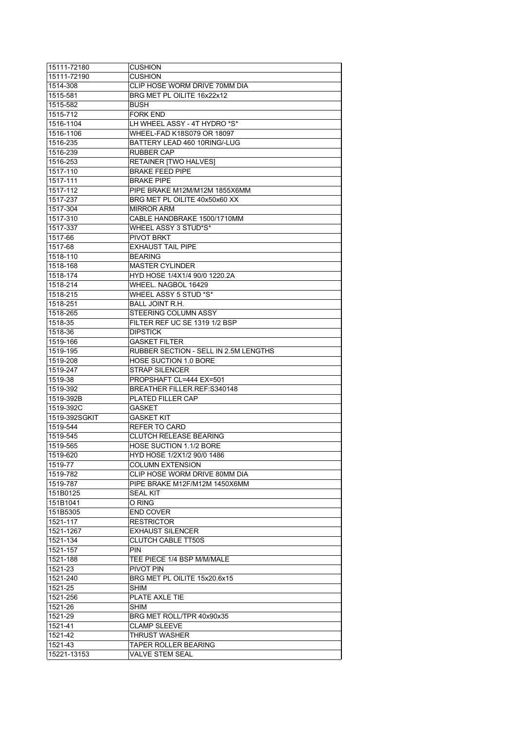| 15111-72180   | <b>CUSHION</b>                                        |
|---------------|-------------------------------------------------------|
| 15111-72190   | <b>CUSHION</b>                                        |
| 1514-308      | CLIP HOSE WORM DRIVE 70MM DIA                         |
| 1515-581      | BRG MET PL OILITE 16x22x12                            |
| 1515-582      | <b>BUSH</b>                                           |
| 1515-712      | <b>FORK END</b>                                       |
| 1516-1104     | LH WHEEL ASSY - 4T HYDRO *S*                          |
| 1516-1106     | WHEEL-FAD K18S079 OR 18097                            |
| 1516-235      | BATTERY LEAD 460 10RING/-LUG                          |
| 1516-239      | RUBBER CAP                                            |
| 1516-253      | RETAINER [TWO HALVES]                                 |
| 1517-110      | <b>BRAKE FEED PIPE</b>                                |
| 1517-111      | <b>BRAKE PIPE</b>                                     |
| 1517-112      | PIPE BRAKE M12M/M12M 1855X6MM                         |
| 1517-237      | BRG MET PL OILITE 40x50x60 XX                         |
| 1517-304      | <b>MIRROR ARM</b>                                     |
| 1517-310      | CABLE HANDBRAKE 1500/1710MM                           |
| 1517-337      | WHEEL ASSY 3 STUD*S*                                  |
| 1517-66       | <b>PIVOT BRKT</b>                                     |
| 1517-68       | <b>EXHAUST TAIL PIPE</b>                              |
| 1518-110      | <b>BEARING</b>                                        |
| 1518-168      | <b>MASTER CYLINDER</b>                                |
| 1518-174      | HYD HOSE 1/4X1/4 90/0 1220.2A                         |
| 1518-214      | WHEEL. NAGBOL 16429                                   |
| 1518-215      | WHEEL ASSY 5 STUD *S*                                 |
| 1518-251      | <b>BALL JOINT R.H.</b>                                |
|               |                                                       |
| 1518-265      | STEERING COLUMN ASSY<br>FILTER REF UC SE 1319 1/2 BSP |
| 1518-35       |                                                       |
| 1518-36       | <b>DIPSTICK</b>                                       |
| 1519-166      | <b>GASKET FILTER</b>                                  |
| 1519-195      | <b>RUBBER SECTION - SELL IN 2.5M LENGTHS</b>          |
| 1519-208      | <b>HOSE SUCTION 1.0 BORE</b>                          |
| 1519-247      | <b>STRAP SILENCER</b>                                 |
| 1519-38       | PROPSHAFT CL=444 EX=501                               |
| 1519-392      | BREATHER FILLER.REF:S340148                           |
| 1519-392B     | <b>PLATED FILLER CAP</b>                              |
| 1519-392C     | GASKET                                                |
| 1519-392SGKIT | GASKET KIT                                            |
| 1519-544      | <b>REFER TO CARD</b>                                  |
| 1519-545      | <b>CLUTCH RELEASE BEARING</b>                         |
| 1519-565      | <b>HOSE SUCTION 1.1/2 BORE</b>                        |
| 1519-620      | HYD HOSE 1/2X1/2 90/0 1486                            |
| 1519-77       | COLUMN EXTENSION                                      |
| 1519-782      | CLIP HOSE WORM DRIVE 80MM DIA                         |
| 1519-787      | PIPE BRAKE M12F/M12M 1450X6MM                         |
| 151B0125      | <b>SEAL KIT</b>                                       |
| 151B1041      | O RING                                                |
| 151B5305      | <b>END COVER</b>                                      |
| 1521-117      | <b>RESTRICTOR</b>                                     |
| 1521-1267     | <b>EXHAUST SILENCER</b>                               |
| 1521-134      | <b>CLUTCH CABLE TT50S</b>                             |
| 1521-157      | <b>PIN</b>                                            |
| 1521-188      | TEE PIECE 1/4 BSP M/M/MALE                            |
| 1521-23       | PIVOT PIN                                             |
| 1521-240      | BRG MET PL OILITE 15x20.6x15                          |
| 1521-25       | SHIM                                                  |
| 1521-256      | PLATE AXLE TIE                                        |
| 1521-26       | SHIM                                                  |
| 1521-29       | BRG MET ROLL/TPR 40x90x35                             |
| 1521-41       | CLAMP SLEEVE                                          |
| 1521-42       | THRUST WASHER                                         |
| 1521-43       | TAPER ROLLER BEARING                                  |
| 15221-13153   | <b>VALVE STEM SEAL</b>                                |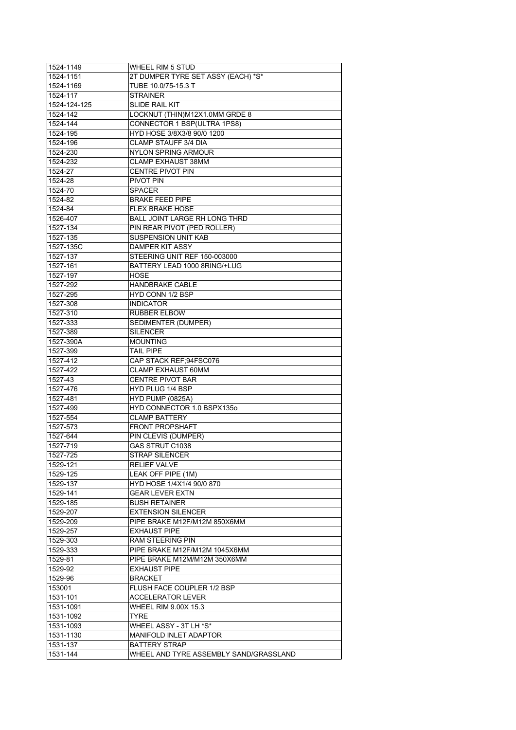| 1524-1149            | WHEEL RIM 5 STUD                                               |
|----------------------|----------------------------------------------------------------|
| 1524-1151            | 2T DUMPER TYRE SET ASSY (EACH) *S*                             |
| 1524-1169            | TUBE 10.0/75-15.3 T                                            |
| 1524-117             | <b>STRAINER</b>                                                |
| 1524-124-125         | <b>SLIDE RAIL KIT</b>                                          |
| 1524-142             | LOCKNUT (THIN)M12X1.0MM GRDE 8                                 |
| $1524 - 144$         | CONNECTOR 1 BSP(ULTRA 1PS8)                                    |
| 1524-195             | HYD HOSE 3/8X3/8 90/0 1200                                     |
| 1524-196             | CLAMP STAUFF 3/4 DIA                                           |
| 1524-230             | NYLON SPRING ARMOUR                                            |
| 1524-232             | <b>CLAMP EXHAUST 38MM</b>                                      |
| 1524-27              | <b>CENTRE PIVOT PIN</b>                                        |
| 1524-28              | PIVOT PIN                                                      |
| 1524-70              | <b>SPACER</b>                                                  |
| 1524-82              | <b>BRAKE FEED PIPE</b>                                         |
| 1524-84              | <b>FLEX BRAKE HOSE</b>                                         |
| 1526-407             | BALL JOINT LARGE RH LONG THRD                                  |
| 1527-134             | PIN REAR PIVOT (PED ROLLER)                                    |
| 1527-135             | <b>SUSPENSION UNIT KAB</b>                                     |
| 1527-135C            | <b>DAMPER KIT ASSY</b>                                         |
| 1527-137             | STEERING UNIT REF 150-003000                                   |
| 1527-161             | BATTERY LEAD 1000 8RING/+LUG                                   |
| 1527-197             | <b>HOSE</b>                                                    |
| 1527-292             | <b>HANDBRAKE CABLE</b>                                         |
| 1527-295             | HYD CONN 1/2 BSP                                               |
|                      | <b>INDICATOR</b>                                               |
| 1527-308             |                                                                |
| 1527-310             | <b>RUBBER ELBOW</b>                                            |
| 1527-333<br>1527-389 | SEDIMENTER (DUMPER)                                            |
| 1527-390A            | <b>SILENCER</b>                                                |
|                      | <b>MOUNTING</b>                                                |
| 1527-399             | TAIL PIPE                                                      |
|                      |                                                                |
| 1527-412             | CAP STACK REF;94FSC076                                         |
| 1527-422             | <b>CLAMP EXHAUST 60MM</b>                                      |
| 1527-43              | <b>CENTRE PIVOT BAR</b>                                        |
| 1527-476             | HYD PLUG 1/4 BSP                                               |
| 1527-481             | HYD PUMP (0825A)                                               |
| 1527-499             | HYD CONNECTOR 1.0 BSPX1350                                     |
| 1527-554             | <b>CLAMP BATTERY</b>                                           |
| 1527-573             | <b>FRONT PROPSHAFT</b>                                         |
| 1527-644             | PIN CLEVIS (DUMPER)                                            |
| 1527-719             | GAS STRUT C1038                                                |
| 1527-725             | <b>STRAP SILENCER</b>                                          |
| 1529-121             | <b>RELIEF VALVE</b>                                            |
| 1529-125             | LEAK OFF PIPE (1M)                                             |
| 1529-137             | HYD HOSE 1/4X1/4 90/0 870                                      |
| 1529-141             | <b>GEAR LEVER EXTN</b>                                         |
| 1529-185             | <b>BUSH RETAINER</b>                                           |
| 1529-207             | <b>EXTENSION SILENCER</b>                                      |
| 1529-209             | PIPE BRAKE M12F/M12M 850X6MM                                   |
| 1529-257             | <b>EXHAUST PIPE</b>                                            |
| 1529-303             | <b>RAM STEERING PIN</b>                                        |
| 1529-333             | PIPE BRAKE M12F/M12M 1045X6MM                                  |
| 1529-81              | PIPE BRAKE M12M/M12M 350X6MM                                   |
| 1529-92              | <b>EXHAUST PIPE</b>                                            |
| 1529-96              | <b>BRACKET</b>                                                 |
| 153001               | FLUSH FACE COUPLER 1/2 BSP                                     |
| 1531-101             | ACCELERATOR LEVER                                              |
| 1531-1091            | WHEEL RIM 9.00X 15.3                                           |
| 1531-1092            | TYRE                                                           |
| 1531-1093            | WHEEL ASSY - 3T LH *S*                                         |
| 1531-1130            | MANIFOLD INLET ADAPTOR                                         |
| 1531-137<br>1531-144 | <b>BATTERY STRAP</b><br>WHEEL AND TYRE ASSEMBLY SAND/GRASSLAND |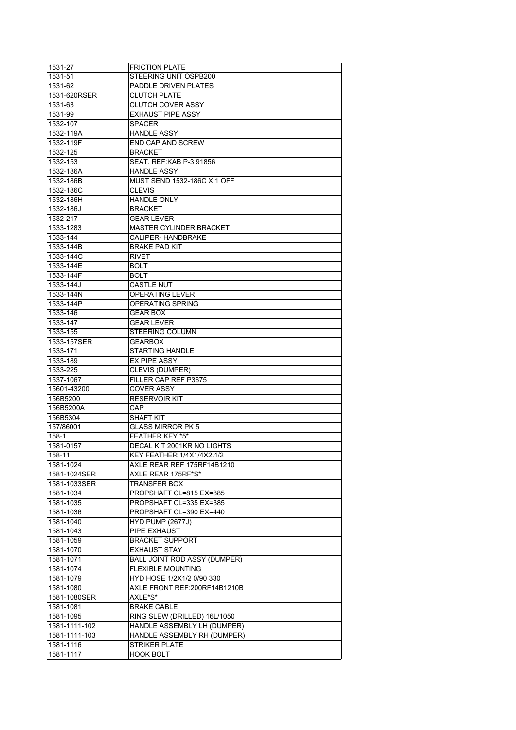| 1531-27                                | <b>FRICTION PLATE</b>             |
|----------------------------------------|-----------------------------------|
| 1531-51                                | STEERING UNIT OSPB200             |
| 1531-62                                | PADDLE DRIVEN PLATES              |
| 1531-620RSER                           | <b>CLUTCH PLATE</b>               |
| 1531-63                                | <b>CLUTCH COVER ASSY</b>          |
| 1531-99                                | <b>EXHAUST PIPE ASSY</b>          |
| 1532-107                               | <b>SPACER</b>                     |
| 1532-119A                              | <b>HANDLE ASSY</b>                |
| 1532-119F                              | END CAP AND SCREW                 |
| 1532-125                               | BRACKET                           |
| 1532-153                               | SEAT. REF:KAB P-3 91856           |
| 1532-186A                              | <b>HANDLE ASSY</b>                |
| 1532-186B                              | MUST SEND 1532-186C X 1 OFF       |
| 1532-186C                              | <b>CLEVIS</b>                     |
| 1532-186H                              | <b>HANDLE ONLY</b>                |
| 1532-186J                              | <b>BRACKET</b>                    |
| 1532-217                               | <b>GEAR LEVER</b>                 |
| 1533-1283                              | <b>MASTER CYLINDER BRACKET</b>    |
| 1533-144                               | CALIPER- HANDBRAKE                |
| 1533-144B                              | <b>BRAKE PAD KIT</b>              |
| 1533-144C                              | <b>RIVET</b>                      |
| 1533-144E                              | <b>BOLT</b>                       |
| 1533-144F                              | <b>BOLT</b>                       |
| 1533-144J                              | <b>CASTLE NUT</b>                 |
| 1533-144N                              | OPERATING LEVER                   |
| 1533-144P                              | OPERATING SPRING                  |
| 1533-146                               | <b>GEAR BOX</b>                   |
| 1533-147                               | <b>GEAR LEVER</b>                 |
| 1533-155                               | <b>STEERING COLUMN</b>            |
| 1533-157SER                            | <b>GEARBOX</b>                    |
| 1533-171                               | <b>STARTING HANDLE</b>            |
| 1533-189                               | EX PIPE ASSY                      |
| 1533-225                               | CLEVIS (DUMPER)                   |
| 1537-1067                              | FILLER CAP REF P3675              |
| 15601-43200                            | <b>COVER ASSY</b>                 |
| 156B5200                               | <b>RESERVOIR KIT</b>              |
| 156B5200A                              | CAP                               |
| 156B5304                               | <b>SHAFT KIT</b>                  |
|                                        |                                   |
|                                        |                                   |
| 157/86001                              | <b>GLASS MIRROR PK 5</b>          |
| 158-1                                  | <b>FEATHER KEY *5*</b>            |
| 1581-0157                              | DECAL KIT 2001KR NO LIGHTS        |
| 158-11                                 | <b>KEY FEATHER 1/4X1/4X2.1/2</b>  |
| 1581-1024                              | AXLE REAR REF 175RF14B1210        |
| 1581-1024SER                           | AXLE REAR 175RF*S*                |
| 1581-1033SER                           | TRANSFER BOX                      |
|                                        | PROPSHAFT CL=815 EX=885           |
|                                        | PROPSHAFT CL=335 EX=385           |
| 1581-1036                              | PROPSHAFT CL=390 EX=440           |
| 1581-1034<br>1581-1035<br>1581-1040    | HYD PUMP (2677J)                  |
| 1581-1043                              | PIPE EXHAUST                      |
| 1581-1059                              | <b>BRACKET SUPPORT</b>            |
| 1581-1070                              | <b>EXHAUST STAY</b>               |
| 1581-1071                              | BALL JOINT ROD ASSY (DUMPER)      |
| 1581-1074                              | <b>FLEXIBLE MOUNTING</b>          |
| 1581-1079                              | HYD HOSE 1/2X1/2 0/90 330         |
| 1581-1080                              | AXLE FRONT REF: 200RF14B1210B     |
|                                        | AXLE*S*                           |
|                                        | <b>BRAKE CABLE</b>                |
| 1581-1080SER<br>1581-1081<br>1581-1095 | RING SLEW (DRILLED) 16L/1050      |
| 1581-1111-102                          | HANDLE ASSEMBLY LH (DUMPER)       |
| 1581-1111-103                          | HANDLE ASSEMBLY RH (DUMPER)       |
| 1581-1116<br>1581-1117                 | STRIKER PLATE<br><b>HOOK BOLT</b> |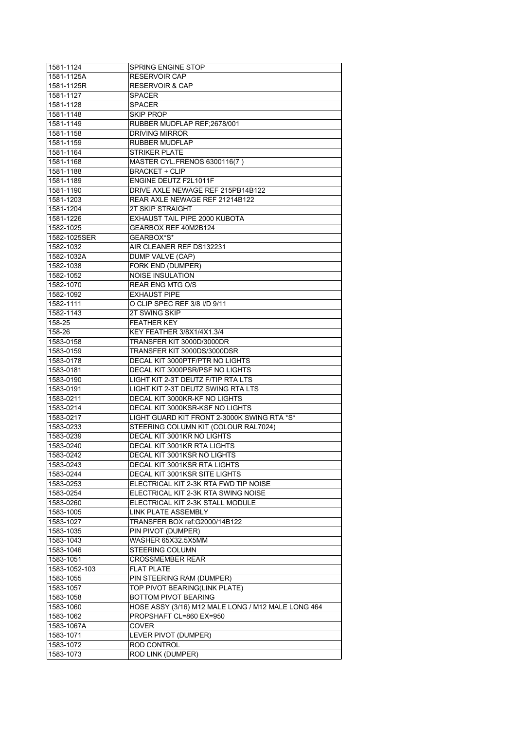| 1581-1124     | <b>SPRING ENGINE STOP</b>                          |
|---------------|----------------------------------------------------|
| 1581-1125A    | <b>RESERVOIR CAP</b>                               |
| 1581-1125R    | <b>RESERVOIR &amp; CAP</b>                         |
| 1581-1127     | <b>SPACER</b>                                      |
| 1581-1128     | <b>SPACER</b>                                      |
| 1581-1148     | <b>SKIP PROP</b>                                   |
| 1581-1149     | RUBBER MUDFLAP REF;2678/001                        |
| 1581-1158     | <b>DRIVING MIRROR</b>                              |
| 1581-1159     | <b>RUBBER MUDFLAP</b>                              |
| 1581-1164     | <b>STRIKER PLATE</b>                               |
| 1581-1168     | MASTER CYL.FRENOS 6300116(7)                       |
| 1581-1188     | <b>BRACKET + CLIP</b>                              |
| 1581-1189     | ENGINE DEUTZ F2L1011F                              |
| 1581-1190     | DRIVE AXLE NEWAGE REF 215PB14B122                  |
| 1581-1203     | REAR AXLE NEWAGE REF 21214B122                     |
| 1581-1204     | 2T SKIP STRAIGHT                                   |
| 1581-1226     | EXHAUST TAIL PIPE 2000 KUBOTA                      |
| 1582-1025     | GEARBOX REF 40M2B124                               |
| 1582-1025SER  | GEARBOX*S*                                         |
| 1582-1032     | AIR CLEANER REF DS132231                           |
| 1582-1032A    | DUMP VALVE (CAP)                                   |
| 1582-1038     | FORK END (DUMPER)                                  |
| 1582-1052     | <b>NOISE INSULATION</b>                            |
| 1582-1070     | <b>REAR ENG MTG O/S</b>                            |
| 1582-1092     | <b>EXHAUST PIPE</b>                                |
| 1582-1111     | O CLIP SPEC REF 3/8 I/D 9/11                       |
|               |                                                    |
| 1582-1143     | 2T SWING SKIP                                      |
| 158-25        | <b>FEATHER KEY</b>                                 |
| 158-26        | <b>KEY FEATHER 3/8X1/4X1.3/4</b>                   |
| 1583-0158     | TRANSFER KIT 3000D/3000DR                          |
| 1583-0159     | TRANSFER KIT 3000DS/3000DSR                        |
| 1583-0178     | DECAL KIT 3000PTF/PTR NO LIGHTS                    |
| 1583-0181     | DECAL KIT 3000PSR/PSF NO LIGHTS                    |
| 1583-0190     | LIGHT KIT 2-3T DEUTZ F/TIP RTA LTS                 |
| 1583-0191     | LIGHT KIT 2-3T DEUTZ SWING RTA LTS                 |
| 1583-0211     | DECAL KIT 3000KR-KF NO LIGHTS                      |
| 1583-0214     | DECAL KIT 3000KSR-KSF NO LIGHTS                    |
| 1583-0217     | LIGHT GUARD KIT FRONT 2-3000K SWING RTA *S*        |
| 1583-0233     | STEERING COLUMN KIT (COLOUR RAL7024)               |
| 1583-0239     | DECAL KIT 3001KR NO LIGHTS                         |
| 1583-0240     | DECAL KIT 3001KR RTA LIGHTS                        |
| 1583-0242     | DECAL KIT 3001KSR NO LIGHTS                        |
| 1583-0243     | DECAL KIT 3001KSR RTA LIGHTS                       |
| 1583-0244     | DECAL KIT 3001KSR SITE LIGHTS                      |
| 1583-0253     | ELECTRICAL KIT 2-3K RTA FWD TIP NOISE              |
| 1583-0254     | ELECTRICAL KIT 2-3K RTA SWING NOISE                |
| 1583-0260     | ELECTRICAL KIT 2-3K STALL MODULE                   |
| 1583-1005     | LINK PLATE ASSEMBLY                                |
| 1583-1027     | TRANSFER BOX ref: G2000/14B122                     |
| 1583-1035     | PIN PIVOT (DUMPER)                                 |
| 1583-1043     | WASHER 65X32.5X5MM                                 |
| 1583-1046     | STEERING COLUMN                                    |
| 1583-1051     | <b>CROSSMEMBER REAR</b>                            |
| 1583-1052-103 | <b>FLAT PLATE</b>                                  |
| 1583-1055     | PIN STEERING RAM (DUMPER)                          |
| 1583-1057     | TOP PIVOT BEARING(LINK PLATE)                      |
| 1583-1058     | <b>BOTTOM PIVOT BEARING</b>                        |
| 1583-1060     | HOSE ASSY (3/16) M12 MALE LONG / M12 MALE LONG 464 |
| 1583-1062     | PROPSHAFT CL=860 EX=950                            |
| 1583-1067A    | <b>COVER</b>                                       |
| 1583-1071     | LEVER PIVOT (DUMPER)                               |
| 1583-1072     | ROD CONTROL                                        |
| 1583-1073     | ROD LINK (DUMPER)                                  |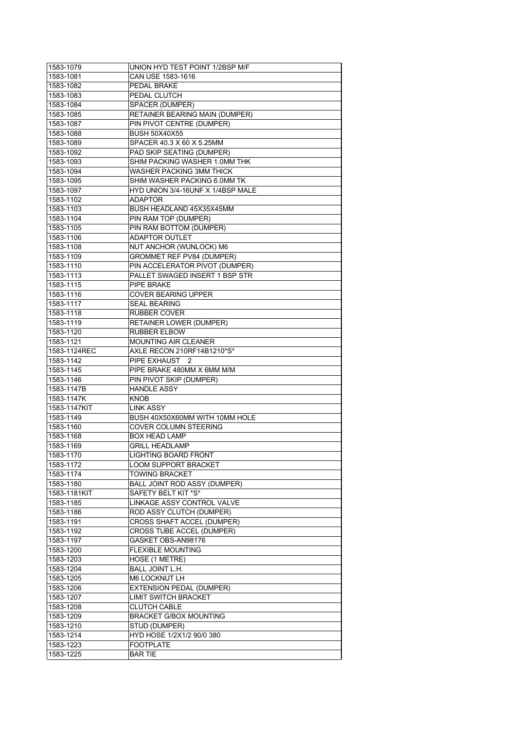| 1583-1079              | UNION HYD TEST POINT 1/2BSP M/F               |
|------------------------|-----------------------------------------------|
| 1583-1081              | CAN USE 1583-1616                             |
| 1583-1082              | PEDAL BRAKE                                   |
| 1583-1083              | PEDAL CLUTCH                                  |
| 1583-1084              | <b>SPACER (DUMPER)</b>                        |
| 1583-1085              | RETAINER BEARING MAIN (DUMPER)                |
| 1583-1087              | PIN PIVOT CENTRE (DUMPER)                     |
| 1583-1088              | <b>BUSH 50X40X55</b>                          |
| 1583-1089              | SPACER 40.3 X 60 X 5.25MM                     |
| 1583-1092              | PAD SKIP SEATING (DUMPER)                     |
| 1583-1093              | SHIM PACKING WASHER 1.0MM THK                 |
| 1583-1094              | WASHER PACKING 3MM THICK                      |
| 1583-1095              | SHIM WASHER PACKING 6.0MM TK                  |
| 1583-1097              | HYD UNION 3/4-16UNF X 1/4BSP MALE             |
| 1583-1102              | ADAPTOR                                       |
| 1583-1103              | BUSH HEADLAND 45X35X45MM                      |
| 1583-1104              | PIN RAM TOP (DUMPER)                          |
| 1583-1105              | PIN RAM BOTTOM (DUMPER)                       |
| 1583-1106              | <b>ADAPTOR OUTLET</b>                         |
| 1583-1108              | NUT ANCHOR (WUNLOCK) M6                       |
| 1583-1109              | GROMMET REF PV84 (DUMPER)                     |
| 1583-1110              | PIN ACCELERATOR PIVOT (DUMPER)                |
| 1583-1113              | PALLET SWAGED INSERT 1 BSP STR                |
| 1583-1115              | PIPE BRAKE                                    |
| 1583-1116              | <b>COVER BEARING UPPER</b>                    |
| 1583-1117              | <b>SEAL BEARING</b>                           |
| 1583-1118              | <b>RUBBER COVER</b>                           |
| 1583-1119              | <b>RETAINER LOWER (DUMPER)</b>                |
| 1583-1120              | <b>RUBBER ELBOW</b>                           |
| 1583-1121              | <b>MOUNTING AIR CLEANER</b>                   |
|                        |                                               |
| 1583-1124REC           | AXLE RECON 210RF14B1210*S*<br>PIPE EXHAUST 2  |
| 1583-1142<br>1583-1145 | PIPE BRAKE 480MM X 6MM M/M                    |
| 1583-1146              |                                               |
| 1583-1147B             | PIN PIVOT SKIP (DUMPER)<br><b>HANDLE ASSY</b> |
|                        |                                               |
| 1583-1147K             | <b>KNOB</b>                                   |
| 1583-1147KIT           | <b>LINK ASSY</b>                              |
| 1583-1149              | BUSH 40X50X60MM WITH 10MM HOLE                |
| 1583-1160              | <b>COVER COLUMN STEERING</b>                  |
| 1583-1168              | <b>BOX HEAD LAMP</b>                          |
| 1583-1169              | <b>GRILL HEADLAMP</b>                         |
| 1583-1170              | <b>LIGHTING BOARD FRONT</b>                   |
| 1583-1172              | <b>LOOM SUPPORT BRACKET</b>                   |
| 1583-1174              | <b>TOWING BRACKET</b>                         |
| 1583-1180              | <b>BALL JOINT ROD ASSY (DUMPER)</b>           |
| 1583-1181KIT           | SAFETY BELT KIT *S*                           |
| 1583-1185              | LINKAGE ASSY CONTROL VALVE                    |
| 1583-1186              | ROD ASSY CLUTCH (DUMPER)                      |
| 1583-1191              | CROSS SHAFT ACCEL (DUMPER)                    |
| 1583-1192              | CROSS TUBE ACCEL (DUMPER)                     |
| 1583-1197              | GASKET OBS-AN98176                            |
| 1583-1200              | <b>FLEXIBLE MOUNTING</b>                      |
| 1583-1203              | HOSE (1 METRE)                                |
| 1583-1204              | <b>BALL JOINT L.H.</b>                        |
| 1583-1205              | M6 LOCKNUT LH                                 |
| 1583-1206              | <b>EXTENSION PEDAL (DUMPER)</b>               |
| 1583-1207              | <b>LIMIT SWITCH BRACKET</b>                   |
| 1583-1208              | <b>CLUTCH CABLE</b>                           |
| 1583-1209              | <b>BRACKET G/BOX MOUNTING</b>                 |
| 1583-1210              | STUD (DUMPER)                                 |
| 1583-1214              |                                               |
|                        | HYD HOSE 1/2X1/2 90/0 380                     |
| 1583-1223              | <b>FOOTPLATE</b>                              |
| 1583-1225              | <b>BAR TIE</b>                                |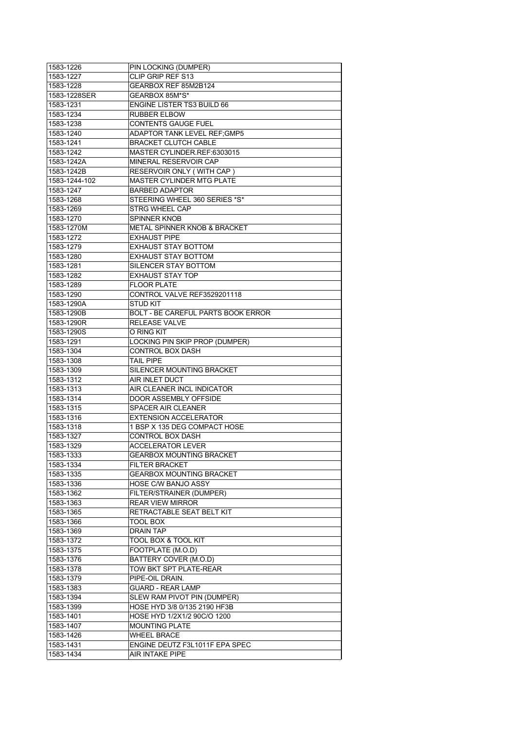| 1583-1226              | PIN LOCKING (DUMPER)                              |
|------------------------|---------------------------------------------------|
| 1583-1227              | CLIP GRIP REF S13                                 |
| 1583-1228              | GEARBOX REF 85M2B124                              |
| 1583-1228SER           | GEARBOX 85M*S*                                    |
| 1583-1231              | <b>ENGINE LISTER TS3 BUILD 66</b>                 |
| 1583-1234              | <b>RUBBER ELBOW</b>                               |
| 1583-1238              | <b>CONTENTS GAUGE FUEL</b>                        |
| 1583-1240              | <b>ADAPTOR TANK LEVEL REF;GMP5</b>                |
| 1583-1241              | <b>BRACKET CLUTCH CABLE</b>                       |
| 1583-1242              | MASTER CYLINDER.REF:6303015                       |
| 1583-1242A             | MINERAL RESERVOIR CAP                             |
| 1583-1242B             | RESERVOIR ONLY (WITH CAP)                         |
| 1583-1244-102          | MASTER CYLINDER MTG PLATE                         |
| 1583-1247              | <b>BARBED ADAPTOR</b>                             |
| 1583-1268              | STEERING WHEEL 360 SERIES *S*                     |
| 1583-1269              | <b>STRG WHEEL CAP</b>                             |
| 1583-1270              | <b>SPINNER KNOB</b>                               |
| 1583-1270M             | <b>METAL SPINNER KNOB &amp; BRACKET</b>           |
| 1583-1272              | <b>EXHAUST PIPE</b>                               |
| 1583-1279              | <b>EXHAUST STAY BOTTOM</b>                        |
| 1583-1280              | EXHAUST STAY BOTTOM                               |
| 1583-1281              | SILENCER STAY BOTTOM                              |
| 1583-1282              | <b>EXHAUST STAY TOP</b>                           |
| 1583-1289              | <b>FLOOR PLATE</b>                                |
| 1583-1290              | CONTROL VALVE REF3529201118                       |
| 1583-1290A             | STUD KIT                                          |
| 1583-1290B             | <b>BOLT - BE CAREFUL PARTS BOOK ERROR</b>         |
| 1583-1290R             | RELEASE VALVE                                     |
| 1583-1290S             | O RING KIT                                        |
| 1583-1291              | LOCKING PIN SKIP PROP (DUMPER)                    |
| 1583-1304              | <b>CONTROL BOX DASH</b>                           |
| 1583-1308              | TAIL PIPE                                         |
|                        |                                                   |
|                        |                                                   |
| 1583-1309              | SILENCER MOUNTING BRACKET                         |
| 1583-1312              | AIR INLET DUCT                                    |
| 1583-1313              | AIR CLEANER INCL INDICATOR                        |
| 1583-1314              | DOOR ASSEMBLY OFFSIDE                             |
| 1583-1315              | <b>SPACER AIR CLEANER</b>                         |
| 1583-1316              | <b>EXTENSION ACCELERATOR</b>                      |
| 1583-1318              | 1 BSP X 135 DEG COMPACT HOSE                      |
| 1583-1327              | <b>CONTROL BOX DASH</b>                           |
| 1583-1329              | ACCELERATOR LEVER                                 |
| 1583-1333              | <b>GEARBOX MOUNTING BRACKET</b>                   |
| 1583-1334              | <b>FILTER BRACKET</b>                             |
| 1583-1335              | <b>GEARBOX MOUNTING BRACKET</b>                   |
| 1583-1336              | HOSE C/W BANJO ASSY                               |
| 1583-1362              | FILTER/STRAINER (DUMPER)                          |
| 1583-1363              | <b>REAR VIEW MIRROR</b>                           |
| 1583-1365              | RETRACTABLE SEAT BELT KIT                         |
| 1583-1366              | TOOL BOX                                          |
| 1583-1369              | <b>DRAIN TAP</b>                                  |
| 1583-1372              | TOOL BOX & TOOL KIT                               |
| 1583-1375              | FOOTPLATE (M.O.D)                                 |
| 1583-1376              | BATTERY COVER (M.O.D)                             |
| 1583-1378              | TOW BKT SPT PLATE-REAR                            |
| 1583-1379              | PIPE-OIL DRAIN.                                   |
| 1583-1383              | <b>GUARD - REAR LAMP</b>                          |
| 1583-1394              | SLEW RAM PIVOT PIN (DUMPER)                       |
| 1583-1399              | HOSE HYD 3/8 0/135 2190 HF3B                      |
| 1583-1401              | HOSE HYD 1/2X1/2 90C/O 1200                       |
| 1583-1407              | <b>MOUNTING PLATE</b>                             |
| 1583-1426              | WHEEL BRACE                                       |
| 1583-1431<br>1583-1434 | ENGINE DEUTZ F3L1011F EPA SPEC<br>AIR INTAKE PIPE |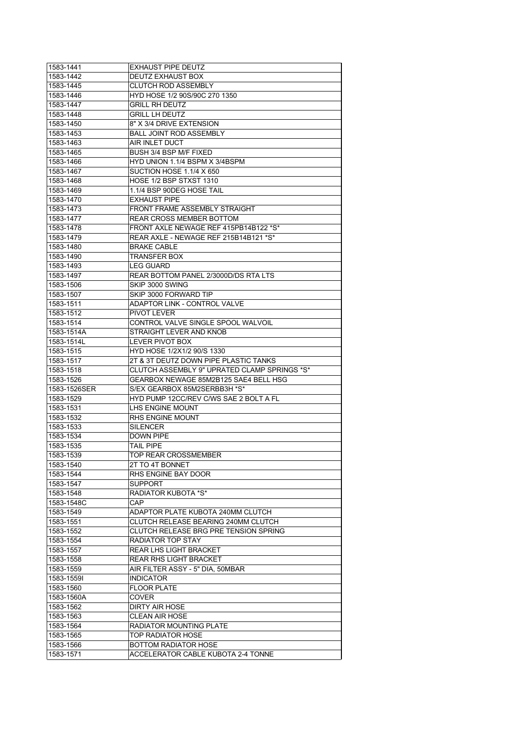| 1583-1441               | EXHAUST PIPE DEUTZ                                                           |
|-------------------------|------------------------------------------------------------------------------|
| 1583-1442               | DEUTZ EXHAUST BOX                                                            |
| 1583-1445               | <b>CLUTCH ROD ASSEMBLY</b>                                                   |
| 1583-1446               | HYD HOSE 1/2 90S/90C 270 1350                                                |
| 1583-1447               | <b>GRILL RH DEUTZ</b>                                                        |
| 1583-1448               | <b>GRILL LH DEUTZ</b>                                                        |
| 1583-1450               | 8" X 3/4 DRIVE EXTENSION                                                     |
| 1583-1453               | <b>BALL JOINT ROD ASSEMBLY</b>                                               |
| 1583-1463               | AIR INLET DUCT                                                               |
| 1583-1465               | BUSH 3/4 BSP M/F FIXED                                                       |
| 1583-1466               | HYD UNION 1.1/4 BSPM X 3/4BSPM                                               |
| 1583-1467               | SUCTION HOSE 1.1/4 X 650                                                     |
| 1583-1468               | HOSE 1/2 BSP STXST 1310                                                      |
| 1583-1469               | 1.1/4 BSP 90DEG HOSE TAIL                                                    |
| 1583-1470               | <b>EXHAUST PIPE</b>                                                          |
| 1583-1473               | FRONT FRAME ASSEMBLY STRAIGHT                                                |
| 1583-1477               | REAR CROSS MEMBER BOTTOM                                                     |
| 1583-1478               | FRONT AXLE NEWAGE REF 415PB14B122 *S*                                        |
| 1583-1479               | REAR AXLE - NEWAGE REF 215B14B121 *S*                                        |
| 1583-1480               | <b>BRAKE CABLE</b>                                                           |
| 1583-1490               | <b>TRANSFER BOX</b>                                                          |
| 1583-1493               | <b>LEG GUARD</b>                                                             |
| 1583-1497               | REAR BOTTOM PANEL 2/3000D/DS RTA LTS                                         |
| 1583-1506               | SKIP 3000 SWING                                                              |
| 1583-1507               | SKIP 3000 FORWARD TIP                                                        |
| 1583-1511               | <b>ADAPTOR LINK - CONTROL VALVE</b>                                          |
| 1583-1512               | PIVOT LEVER                                                                  |
| 1583-1514               | CONTROL VALVE SINGLE SPOOL WALVOIL                                           |
| 1583-1514A              | STRAIGHT LEVER AND KNOB                                                      |
| 1583-1514L              | <b>LEVER PIVOT BOX</b>                                                       |
| 1583-1515               | HYD HOSE 1/2X1/2 90/S 1330                                                   |
|                         | 2T & 3T DEUTZ DOWN PIPE PLASTIC TANKS                                        |
|                         |                                                                              |
| 1583-1517               |                                                                              |
| 1583-1518               | CLUTCH ASSEMBLY 9" UPRATED CLAMP SPRINGS *S*                                 |
| 1583-1526               | GEARBOX NEWAGE 85M2B125 SAE4 BELL HSG                                        |
| 1583-1526SER            | S/EX GEARBOX 85M2SERBB3H *S*                                                 |
| 1583-1529               | HYD PUMP 12CC/REV C/WS SAE 2 BOLT A FL                                       |
| 1583-1531               | LHS ENGINE MOUNT                                                             |
| 1583-1532               | RHS ENGINE MOUNT                                                             |
| 1583-1533               | <b>SILENCER</b>                                                              |
| 1583-1534               | <b>DOWN PIPE</b>                                                             |
| 1583-1535               | TAIL PIPE                                                                    |
| 1583-1539               | TOP REAR CROSSMEMBER                                                         |
| 1583-1540               | 2T TO 4T BONNET                                                              |
| 1583-1544               | RHS ENGINE BAY DOOR                                                          |
| 1583-1547               | <b>SUPPORT</b>                                                               |
| 1583-1548               | RADIATOR KUBOTA *S*                                                          |
| 1583-1548C              | CAP                                                                          |
| 1583-1549               | ADAPTOR PLATE KUBOTA 240MM CLUTCH                                            |
| 1583-1551               | CLUTCH RELEASE BEARING 240MM CLUTCH<br>CLUTCH RELEASE BRG PRE TENSION SPRING |
| 1583-1552               | RADIATOR TOP STAY                                                            |
| 1583-1554               | <b>REAR LHS LIGHT BRACKET</b>                                                |
| 1583-1557               |                                                                              |
| 1583-1558               | REAR RHS LIGHT BRACKET                                                       |
| 1583-1559               | AIR FILTER ASSY - 5" DIA, 50MBAR                                             |
| 1583-15591<br>1583-1560 | <b>INDICATOR</b><br><b>FLOOR PLATE</b>                                       |
| 1583-1560A              | <b>COVER</b>                                                                 |
|                         | DIRTY AIR HOSE                                                               |
| 1583-1562               |                                                                              |
| 1583-1563               | CLEAN AIR HOSE                                                               |
| 1583-1564               | RADIATOR MOUNTING PLATE                                                      |
| 1583-1565               | TOP RADIATOR HOSE                                                            |
| 1583-1566<br>1583-1571  | BOTTOM RADIATOR HOSE<br>ACCELERATOR CABLE KUBOTA 2-4 TONNE                   |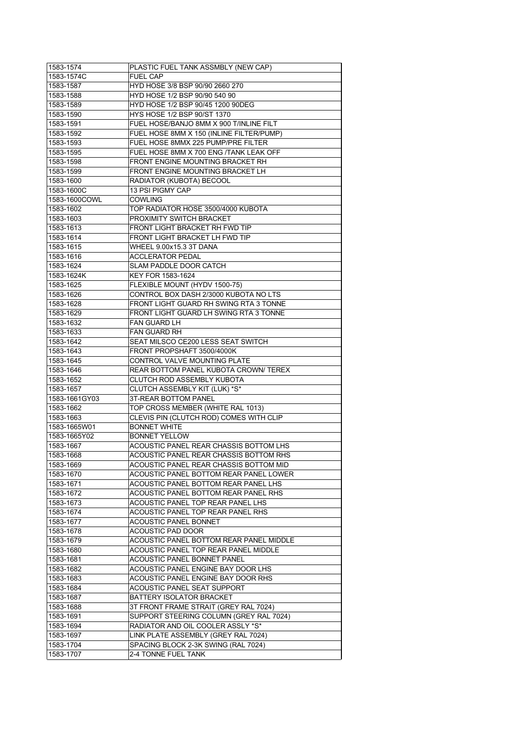| 1583-1574              | PLASTIC FUEL TANK ASSMBLY (NEW CAP)      |
|------------------------|------------------------------------------|
| 1583-1574C             | <b>FUEL CAP</b>                          |
| 1583-1587              | HYD HOSE 3/8 BSP 90/90 2660 270          |
| 1583-1588              | HYD HOSE 1/2 BSP 90/90 540 90            |
| 1583-1589              | HYD HOSE 1/2 BSP 90/45 1200 90DEG        |
| 1583-1590              | HYS HOSE 1/2 BSP 90/ST 1370              |
| 1583-1591              | FUEL HOSE/BANJO 8MM X 900 T/INLINE FILT  |
| 1583-1592              | FUEL HOSE 8MM X 150 (INLINE FILTER/PUMP) |
| 1583-1593              | FUEL HOSE 8MMX 225 PUMP/PRE FILTER       |
| 1583-1595              | FUEL HOSE 8MM X 700 ENG /TANK LEAK OFF   |
| 1583-1598              | FRONT ENGINE MOUNTING BRACKET RH         |
| 1583-1599              | FRONT ENGINE MOUNTING BRACKET LH         |
| 1583-1600              | RADIATOR (KUBOTA) BECOOL                 |
| 1583-1600C             | 13 PSI PIGMY CAP                         |
| 1583-1600COWL          | <b>COWLING</b>                           |
| 1583-1602              | TOP RADIATOR HOSE 3500/4000 KUBOTA       |
| 1583-1603              | <b>PROXIMITY SWITCH BRACKET</b>          |
| 1583-1613              | FRONT LIGHT BRACKET RH FWD TIP           |
| 1583-1614              | FRONT LIGHT BRACKET LH FWD TIP           |
| 1583-1615              | <b>WHEEL 9.00x15.3 3T DANA</b>           |
| 1583-1616              | ACCLERATOR PEDAL                         |
| 1583-1624              | SLAM PADDLE DOOR CATCH                   |
| 1583-1624K             | KEY FOR 1583-1624                        |
| 1583-1625              | FLEXIBLE MOUNT (HYDV 1500-75)            |
| 1583-1626              | CONTROL BOX DASH 2/3000 KUBOTA NO LTS    |
| 1583-1628              | FRONT LIGHT GUARD RH SWING RTA 3 TONNE   |
|                        | FRONT LIGHT GUARD LH SWING RTA 3 TONNE   |
| 1583-1629<br>1583-1632 | <b>FAN GUARD LH</b>                      |
|                        |                                          |
| 1583-1633              | <b>FAN GUARD RH</b>                      |
| 1583-1642              | SEAT MILSCO CE200 LESS SEAT SWITCH       |
| 1583-1643              | FRONT PROPSHAFT 3500/4000K               |
| 1583-1645              | CONTROL VALVE MOUNTING PLATE             |
| 1583-1646              | REAR BOTTOM PANEL KUBOTA CROWN/TEREX     |
| 1583-1652              | CLUTCH ROD ASSEMBLY KUBOTA               |
| 1583-1657              | CLUTCH ASSEMBLY KIT (LUK) *S*            |
| 1583-1661GY03          | 3T-REAR BOTTOM PANEL                     |
| 1583-1662              | TOP CROSS MEMBER (WHITE RAL 1013)        |
| 1583-1663              | CLEVIS PIN (CLUTCH ROD) COMES WITH CLIP  |
| 1583-1665W01           | <b>BONNET WHITE</b>                      |
| 1583-1665Y02           | <b>BONNET YELLOW</b>                     |
| 1583-1667              | ACOUSTIC PANEL REAR CHASSIS BOTTOM LHS   |
| 1583-1668              | ACOUSTIC PANEL REAR CHASSIS BOTTOM RHS   |
| 1583-1669              | ACOUSTIC PANEL REAR CHASSIS BOTTOM MID   |
| 1583-1670              | ACOUSTIC PANEL BOTTOM REAR PANEL LOWER   |
| 1583-1671              | ACOUSTIC PANEL BOTTOM REAR PANEL LHS     |
| 1583-1672              | ACOUSTIC PANEL BOTTOM REAR PANEL RHS     |
| 1583-1673              | ACOUSTIC PANEL TOP REAR PANEL LHS        |
| 1583-1674              | ACOUSTIC PANEL TOP REAR PANEL RHS        |
| 1583-1677              | <b>ACOUSTIC PANEL BONNET</b>             |
| 1583-1678              | <b>ACOUSTIC PAD DOOR</b>                 |
| 1583-1679              | ACOUSTIC PANEL BOTTOM REAR PANEL MIDDLE  |
| 1583-1680              | ACOUSTIC PANEL TOP REAR PANEL MIDDLE     |
| 1583-1681              | ACOUSTIC PANEL BONNET PANEL              |
| 1583-1682              | ACOUSTIC PANEL ENGINE BAY DOOR LHS       |
| 1583-1683              | ACOUSTIC PANEL ENGINE BAY DOOR RHS       |
| 1583-1684              | ACOUSTIC PANEL SEAT SUPPORT              |
| 1583-1687              | BATTERY ISOLATOR BRACKET                 |
| 1583-1688              | 3T FRONT FRAME STRAIT (GREY RAL 7024)    |
| 1583-1691              |                                          |
| 1583-1694              | SUPPORT STEERING COLUMN (GREY RAL 7024)  |
|                        | RADIATOR AND OIL COOLER ASSLY *S*        |
| 1583-1697              | LINK PLATE ASSEMBLY (GREY RAL 7024)      |
| 1583-1704              | SPACING BLOCK 2-3K SWING (RAL 7024)      |
| 1583-1707              | 2-4 TONNE FUEL TANK                      |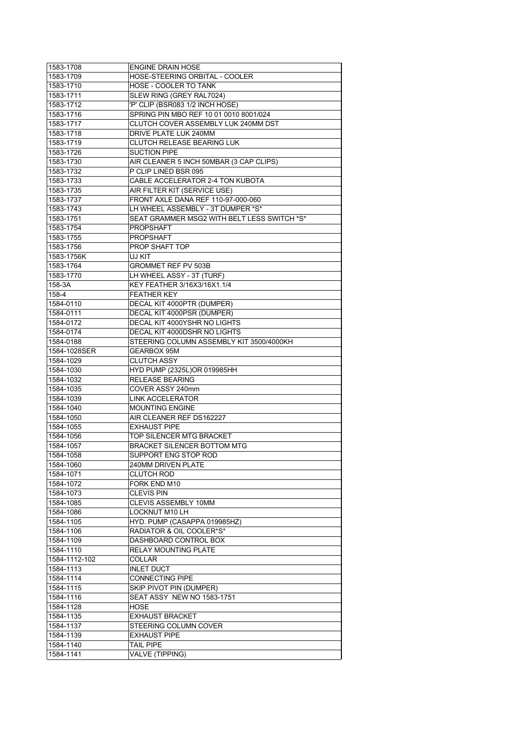| 1583-1708     | <b>ENGINE DRAIN HOSE</b>                    |
|---------------|---------------------------------------------|
| 1583-1709     | HOSE-STEERING ORBITAL - COOLER              |
| 1583-1710     | HOSE - COOLER TO TANK                       |
| 1583-1711     | SLEW RING (GREY RAL7024)                    |
| 1583-1712     | 'P' CLIP (BSR083 1/2 INCH HOSE)             |
| 1583-1716     | SPRING PIN MBO REF 10 01 0010 8001/024      |
| 1583-1717     | CLUTCH COVER ASSEMBLY LUK 240MM DST         |
| 1583-1718     | <b>DRIVE PLATE LUK 240MM</b>                |
| 1583-1719     | CLUTCH RELEASE BEARING LUK                  |
| 1583-1726     | <b>SUCTION PIPE</b>                         |
| 1583-1730     | AIR CLEANER 5 INCH 50MBAR (3 CAP CLIPS)     |
| 1583-1732     | P CLIP LINED BSR 095                        |
| 1583-1733     | CABLE ACCELERATOR 2-4 TON KUBOTA            |
| 1583-1735     | AIR FILTER KIT (SERVICE USE)                |
| 1583-1737     | FRONT AXLE DANA REF 110-97-000-060          |
| 1583-1743     | LH WHEEL ASSEMBLY - 3T DUMPER *S*           |
| 1583-1751     | SEAT GRAMMER MSG2 WITH BELT LESS SWITCH *S* |
| 1583-1754     | <b>PROPSHAFT</b>                            |
| 1583-1755     | <b>PROPSHAFT</b>                            |
| 1583-1756     | <b>PROP SHAFT TOP</b>                       |
| 1583-1756K    | UJ KIT                                      |
| 1583-1764     | GROMMET REF PV 503B                         |
| 1583-1770     | LH WHEEL ASSY - 3T (TURF)                   |
| 158-3A        | KEY FEATHER 3/16X3/16X1.1/4                 |
| 158-4         | <b>FEATHER KEY</b>                          |
| 1584-0110     | DECAL KIT 4000PTR (DUMPER)                  |
| 1584-0111     | DECAL KIT 4000PSR (DUMPER)                  |
| 1584-0172     | DECAL KIT 4000YSHR NO LIGHTS                |
| 1584-0174     | DECAL KIT 4000DSHR NO LIGHTS                |
| 1584-0188     | STEERING COLUMN ASSEMBLY KIT 3500/4000KH    |
| 1584-1028SER  | GEARBOX 95M                                 |
|               |                                             |
|               |                                             |
| 1584-1029     | CLUTCH ASSY                                 |
| 1584-1030     | HYD PUMP (2325L)OR 019985HH                 |
| 1584-1032     | <b>RELEASE BEARING</b>                      |
| 1584-1035     | COVER ASSY 240mm                            |
| 1584-1039     | <b>LINK ACCELERATOR</b>                     |
| 1584-1040     | <b>MOUNTING ENGINE</b>                      |
| 1584-1050     | AIR CLEANER REF DS162227                    |
| 1584-1055     | <b>EXHAUST PIPE</b>                         |
| 1584-1056     | TOP SILENCER MTG BRACKET                    |
| 1584-1057     | BRACKET SILENCER BOTTOM MTG                 |
| 1584-1058     | SUPPORT ENG STOP ROD                        |
| 1584-1060     | 240MM DRIVEN PLATE                          |
| 1584-1071     | CLUTCH ROD                                  |
| 1584-1072     | FORK END M10                                |
| 1584-1073     | <b>CLEVIS PIN</b>                           |
| 1584-1085     | CLEVIS ASSEMBLY 10MM                        |
| 1584-1086     | LOCKNUT M10 LH                              |
| 1584-1105     | HYD. PUMP (CASAPPA 019985HZ)                |
| 1584-1106     | RADIATOR & OIL COOLER*S*                    |
| 1584-1109     | DASHBOARD CONTROL BOX                       |
| 1584-1110     | <b>RELAY MOUNTING PLATE</b>                 |
| 1584-1112-102 | COLLAR                                      |
| 1584-1113     | <b>INLET DUCT</b>                           |
| 1584-1114     | <b>CONNECTING PIPE</b>                      |
| 1584-1115     | SKIP PIVOT PIN (DUMPER)                     |
| 1584-1116     | <b>SEAT ASSY NEW NO 1583-1751</b>           |
| 1584-1128     | HOSE                                        |
| 1584-1135     | <b>EXHAUST BRACKET</b>                      |
| 1584-1137     | STEERING COLUMN COVER                       |
| 1584-1139     | <b>EXHAUST PIPE</b>                         |
| 1584-1140     | <b>TAIL PIPE</b>                            |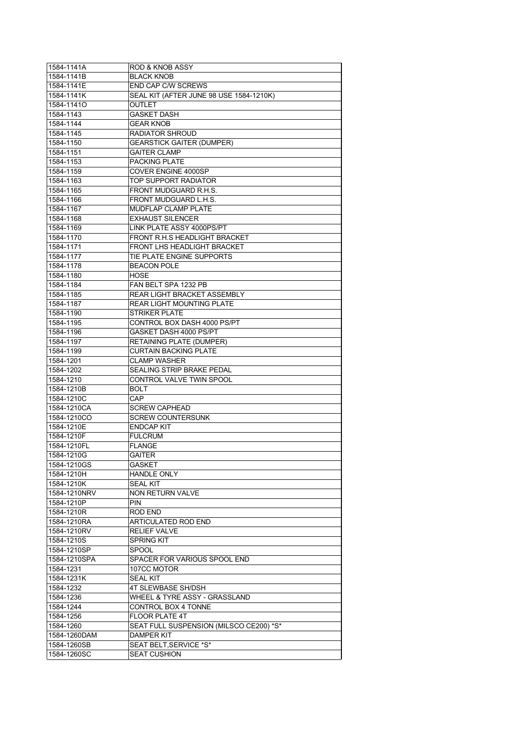| 1584-1141A   | ROD & KNOB ASSY                         |
|--------------|-----------------------------------------|
| 1584-1141B   | <b>BLACK KNOB</b>                       |
| 1584-1141E   | <b>END CAP C/W SCREWS</b>               |
| 1584-1141K   | SEAL KIT (AFTER JUNE 98 USE 1584-1210K) |
| 1584-11410   | OUTLET                                  |
| 1584-1143    | <b>GASKET DASH</b>                      |
| 1584-1144    | <b>GEAR KNOB</b>                        |
| 1584-1145    | RADIATOR SHROUD                         |
| 1584-1150    | <b>GEARSTICK GAITER (DUMPER)</b>        |
| 1584-1151    | <b>GAITER CLAMP</b>                     |
| 1584-1153    | PACKING PLATE                           |
| 1584-1159    | <b>COVER ENGINE 4000SP</b>              |
| 1584-1163    | TOP SUPPORT RADIATOR                    |
| 1584-1165    | <b>FRONT MUDGUARD R.H.S.</b>            |
| 1584-1166    | FRONT MUDGUARD L.H.S.                   |
| 1584-1167    | MUDFLAP CLAMP PLATE                     |
| 1584-1168    | <b>EXHAUST SILENCER</b>                 |
| 1584-1169    | LINK PLATE ASSY 4000PS/PT               |
| 1584-1170    | FRONT R.H.S HEADLIGHT BRACKET           |
| 1584-1171    | FRONT LHS HEADLIGHT BRACKET             |
| 1584-1177    | TIE PLATE ENGINE SUPPORTS               |
| 1584-1178    | <b>BEACON POLE</b>                      |
| 1584-1180    | <b>HOSE</b>                             |
| 1584-1184    | FAN BELT SPA 1232 PB                    |
| 1584-1185    | <b>REAR LIGHT BRACKET ASSEMBLY</b>      |
| 1584-1187    | <b>REAR LIGHT MOUNTING PLATE</b>        |
| 1584-1190    | <b>STRIKER PLATE</b>                    |
| 1584-1195    | CONTROL BOX DASH 4000 PS/PT             |
| 1584-1196    | GASKET DASH 4000 PS/PT                  |
| 1584-1197    | <b>RETAINING PLATE (DUMPER)</b>         |
| 1584-1199    | <b>CURTAIN BACKING PLATE</b>            |
| 1584-1201    | <b>CLAMP WASHER</b>                     |
| 1584-1202    | SEALING STRIP BRAKE PEDAL               |
| 1584-1210    | CONTROL VALVE TWIN SPOOL                |
| 1584-1210B   | <b>BOLT</b>                             |
| 1584-1210C   | CAP                                     |
| 1584-1210CA  | <b>SCREW CAPHEAD</b>                    |
| 1584-1210CO  | <b>SCREW COUNTERSUNK</b>                |
| 1584-1210E   | <b>ENDCAP KIT</b>                       |
| 1584-1210F   | <b>FULCRUM</b>                          |
| 1584-1210FL  | <b>FLANGE</b>                           |
| 1584-1210G   | GAITER                                  |
| 1584-1210GS  | GASKET                                  |
| 1584-1210H   | <b>HANDLE ONLY</b>                      |
| 1584-1210K   | <b>SEAL KIT</b>                         |
| 1584-1210NRV | <b>NON RETURN VALVE</b>                 |
| 1584-1210P   | <b>PIN</b>                              |
| 1584-1210R   | <b>ROD END</b>                          |
| 1584-1210RA  | ARTICULATED ROD END                     |
| 1584-1210RV  | <b>RELIEF VALVE</b>                     |
| 1584-1210S   | <b>SPRING KIT</b>                       |
| 1584-1210SP  | <b>SPOOL</b>                            |
| 1584-1210SPA | SPACER FOR VARIOUS SPOOL END            |
| 1584-1231    | 107CC MOTOR                             |
| 1584-1231K   | SEAL KIT                                |
| 1584-1232    | 4T SLEWBASE SH/DSH                      |
| 1584-1236    | WHEEL & TYRE ASSY - GRASSLAND           |
| 1584-1244    | CONTROL BOX 4 TONNE                     |
| 1584-1256    | <b>FLOOR PLATE 4T</b>                   |
| 1584-1260    | SEAT FULL SUSPENSION (MILSCO CE200) *S* |
| 1584-1260DAM | DAMPER KIT                              |
| 1584-1260SB  | SEAT BELT, SERVICE *S*                  |
| 1584-1260SC  | <b>SEAT CUSHION</b>                     |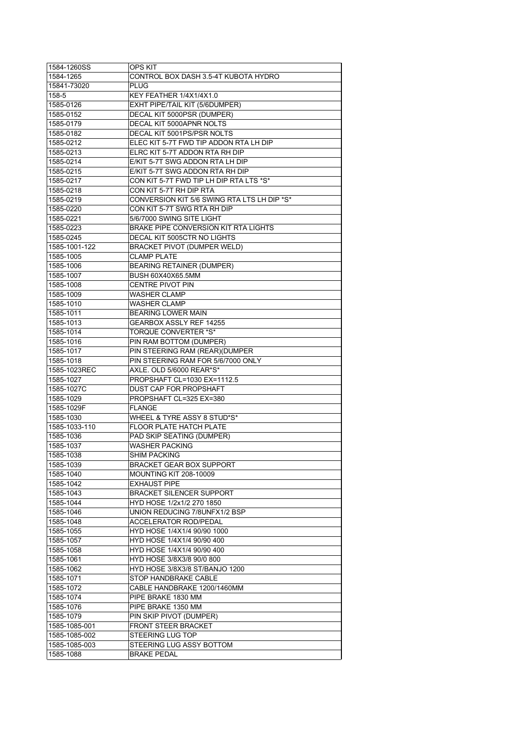| 1584-1260SS   | OPS KIT                                     |
|---------------|---------------------------------------------|
| 1584-1265     | CONTROL BOX DASH 3.5-4T KUBOTA HYDRO        |
| 15841-73020   | PLUG                                        |
| 158-5         | KEY FEATHER 1/4X1/4X1.0                     |
| 1585-0126     | EXHT PIPE/TAIL KIT (5/6DUMPER)              |
| 1585-0152     | DECAL KIT 5000PSR (DUMPER)                  |
| 1585-0179     | DECAL KIT 5000APNR NOLTS                    |
| 1585-0182     | DECAL KIT 5001PS/PSR NOLTS                  |
| 1585-0212     | ELEC KIT 5-7T FWD TIP ADDON RTA LH DIP      |
| 1585-0213     | ELRC KIT 5-7T ADDON RTA RH DIP              |
| 1585-0214     | E/KIT 5-7T SWG ADDON RTA LH DIP             |
| 1585-0215     | E/KIT 5-7T SWG ADDON RTA RH DIP             |
| 1585-0217     | CON KIT 5-7T FWD TIP LH DIP RTA LTS *S*     |
| 1585-0218     | CON KIT 5-7T RH DIP RTA                     |
| 1585-0219     | CONVERSION KIT 5/6 SWING RTA LTS LH DIP *S* |
| 1585-0220     | CON KIT 5-7T SWG RTA RH DIP                 |
| 1585-0221     | 5/6/7000 SWING SITE LIGHT                   |
| 1585-0223     | BRAKE PIPE CONVERSION KIT RTA LIGHTS        |
| 1585-0245     | DECAL KIT 5005CTR NO LIGHTS                 |
| 1585-1001-122 | <b>BRACKET PIVOT (DUMPER WELD)</b>          |
| 1585-1005     | <b>CLAMP PLATE</b>                          |
| 1585-1006     | <b>BEARING RETAINER (DUMPER)</b>            |
| 1585-1007     | BUSH 60X40X65.5MM                           |
| 1585-1008     | <b>CENTRE PIVOT PIN</b>                     |
| 1585-1009     | WASHER CLAMP                                |
| 1585-1010     | <b>WASHER CLAMP</b>                         |
| 1585-1011     | <b>BEARING LOWER MAIN</b>                   |
| 1585-1013     | <b>GEARBOX ASSLY REF 14255</b>              |
| 1585-1014     | TORQUE CONVERTER *S*                        |
| 1585-1016     | PIN RAM BOTTOM (DUMPER)                     |
| 1585-1017     | PIN STEERING RAM (REAR)(DUMPER              |
| 1585-1018     | PIN STEERING RAM FOR 5/6/7000 ONLY          |
| 1585-1023REC  | AXLE. OLD 5/6000 REAR*S*                    |
| 1585-1027     | PROPSHAFT CL=1030 EX=1112.5                 |
| 1585-1027C    | DUST CAP FOR PROPSHAFT                      |
| 1585-1029     | PROPSHAFT CL=325 EX=380                     |
| 1585-1029F    | <b>FLANGE</b>                               |
| 1585-1030     | WHEEL & TYRE ASSY 8 STUD*S*                 |
| 1585-1033-110 | FLOOR PLATE HATCH PLATE                     |
| 1585-1036     | PAD SKIP SEATING (DUMPER)                   |
| 1585-1037     | <b>WASHER PACKING</b>                       |
| 1585-1038     | SHIM PACKING                                |
| 1585-1039     | <b>BRACKET GEAR BOX SUPPORT</b>             |
| 1585-1040     | <b>MOUNTING KIT 208-10009</b>               |
| 1585-1042     | <b>EXHAUST PIPE</b>                         |
| 1585-1043     | <b>BRACKET SILENCER SUPPORT</b>             |
| 1585-1044     | HYD HOSE 1/2x1/2 270 1850                   |
| 1585-1046     | UNION REDUCING 7/8UNFX1/2 BSP               |
| 1585-1048     | ACCELERATOR ROD/PEDAL                       |
| 1585-1055     | HYD HOSE 1/4X1/4 90/90 1000                 |
| 1585-1057     | HYD HOSE 1/4X1/4 90/90 400                  |
| 1585-1058     | HYD HOSE 1/4X1/4 90/90 400                  |
| 1585-1061     | HYD HOSE 3/8X3/8 90/0 800                   |
| 1585-1062     | HYD HOSE 3/8X3/8 ST/BANJO 1200              |
| 1585-1071     | STOP HANDBRAKE CABLE                        |
| 1585-1072     | CABLE HANDBRAKE 1200/1460MM                 |
| 1585-1074     | PIPE BRAKE 1830 MM                          |
| 1585-1076     | PIPE BRAKE 1350 MM                          |
| 1585-1079     | PIN SKIP PIVOT (DUMPER)                     |
| 1585-1085-001 | <b>FRONT STEER BRACKET</b>                  |
| 1585-1085-002 | STEERING LUG TOP                            |
| 1585-1085-003 | STEERING LUG ASSY BOTTOM                    |
| 1585-1088     | <b>BRAKE PEDAL</b>                          |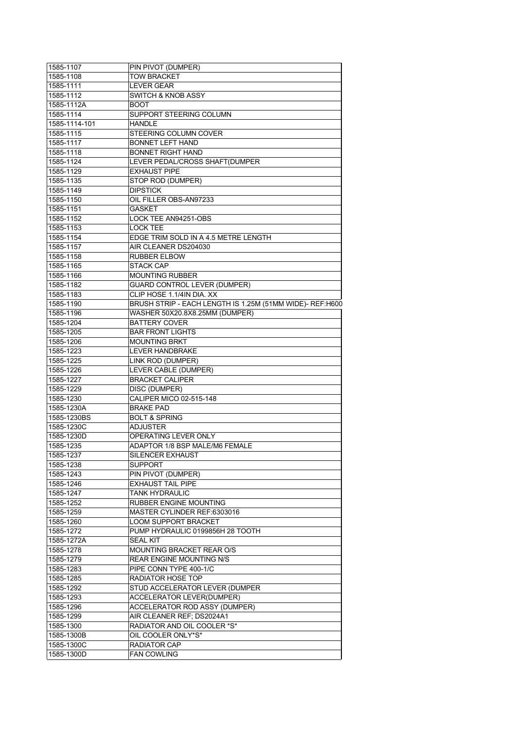| 1585-1107     | PIN PIVOT (DUMPER)                                       |
|---------------|----------------------------------------------------------|
| 1585-1108     | <b>TOW BRACKET</b>                                       |
| 1585-1111     | <b>LEVER GEAR</b>                                        |
| 1585-1112     | <b>SWITCH &amp; KNOB ASSY</b>                            |
| 1585-1112A    | <b>BOOT</b>                                              |
| 1585-1114     | SUPPORT STEERING COLUMN                                  |
| 1585-1114-101 | <b>HANDLE</b>                                            |
| 1585-1115     | STEERING COLUMN COVER                                    |
| 1585-1117     | <b>BONNET LEFT HAND</b>                                  |
| 1585-1118     | <b>BONNET RIGHT HAND</b>                                 |
| 1585-1124     | LEVER PEDAL/CROSS SHAFT(DUMPER                           |
| 1585-1129     | <b>EXHAUST PIPE</b>                                      |
| 1585-1135     | STOP ROD (DUMPER)                                        |
| 1585-1149     | <b>DIPSTICK</b>                                          |
| 1585-1150     | OIL FILLER OBS-AN97233                                   |
| 1585-1151     | <b>GASKET</b>                                            |
| 1585-1152     | LOCK TEE AN94251-OBS                                     |
| 1585-1153     | LOCK TEE                                                 |
| 1585-1154     | EDGE TRIM SOLD IN A 4.5 METRE LENGTH                     |
| 1585-1157     | AIR CLEANER DS204030                                     |
| 1585-1158     | <b>RUBBER ELBOW</b>                                      |
| 1585-1165     | <b>STACK CAP</b>                                         |
| 1585-1166     | <b>MOUNTING RUBBER</b>                                   |
| 1585-1182     | <b>GUARD CONTROL LEVER (DUMPER)</b>                      |
| 1585-1183     | CLIP HOSE 1.1/4IN DIA. XX                                |
| 1585-1190     | BRUSH STRIP - EACH LENGTH IS 1.25M (51MM WIDE)- REF:H600 |
| 1585-1196     | WASHER 50X20.8X8.25MM (DUMPER)                           |
| 1585-1204     | <b>BATTERY COVER</b>                                     |
| 1585-1205     | <b>BAR FRONT LIGHTS</b>                                  |
| 1585-1206     | <b>MOUNTING BRKT</b>                                     |
| 1585-1223     | <b>LEVER HANDBRAKE</b>                                   |
| 1585-1225     | LINK ROD (DUMPER)                                        |
| 1585-1226     | LEVER CABLE (DUMPER)                                     |
| 1585-1227     | <b>BRACKET CALIPER</b>                                   |
| 1585-1229     | DISC (DUMPER)                                            |
| 1585-1230     | CALIPER MICO 02-515-148                                  |
|               | <b>BRAKE PAD</b>                                         |
| 1585-1230A    |                                                          |
| 1585-1230BS   | <b>BOLT &amp; SPRING</b>                                 |
| 1585-1230C    | <b>ADJUSTER</b>                                          |
| 1585-1230D    | OPERATING LEVER ONLY                                     |
| 1585-1235     | ADAPTOR 1/8 BSP MALE/M6 FEMALE                           |
| 1585-1237     | SILENCER EXHAUST                                         |
| 1585-1238     | <b>SUPPORT</b>                                           |
| 1585-1243     | PIN PIVOT (DUMPER)                                       |
| 1585-1246     | <b>EXHAUST TAIL PIPE</b>                                 |
| 1585-1247     | TANK HYDRAULIC                                           |
| 1585-1252     | <b>RUBBER ENGINE MOUNTING</b>                            |
| 1585-1259     | MASTER CYLINDER REF:6303016                              |
| 1585-1260     | <b>LOOM SUPPORT BRACKET</b>                              |
| 1585-1272     | PUMP HYDRAULIC 0199856H 28 TOOTH                         |
| 1585-1272A    | <b>SEAL KIT</b>                                          |
| 1585-1278     | MOUNTING BRACKET REAR O/S                                |
| 1585-1279     | <b>REAR ENGINE MOUNTING N/S</b>                          |
| 1585-1283     | PIPE CONN TYPE 400-1/C                                   |
| 1585-1285     | RADIATOR HOSE TOP                                        |
| 1585-1292     | STUD ACCELERATOR LEVER (DUMPER                           |
| 1585-1293     | ACCELERATOR LEVER(DUMPER)                                |
| 1585-1296     | ACCELERATOR ROD ASSY (DUMPER)                            |
| 1585-1299     | AIR CLEANER REF; DS2024A1                                |
| 1585-1300     | RADIATOR AND OIL COOLER *S*                              |
| 1585-1300B    | OIL COOLER ONLY*S*                                       |
| 1585-1300C    | <b>RADIATOR CAP</b>                                      |
| 1585-1300D    | <b>FAN COWLING</b>                                       |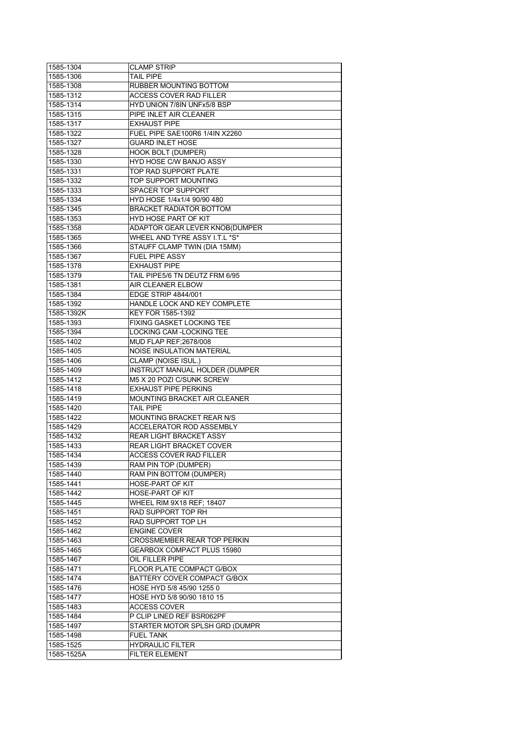| 1585-1304               | <b>CLAMP STRIP</b>                               |
|-------------------------|--------------------------------------------------|
| 1585-1306               | TAIL PIPE                                        |
| 1585-1308               | RUBBER MOUNTING BOTTOM                           |
| 1585-1312               | <b>ACCESS COVER RAD FILLER</b>                   |
| 1585-1314               | HYD UNION 7/8IN UNFx5/8 BSP                      |
| 1585-1315               | PIPE INLET AIR CLEANER                           |
| 1585-1317               | <b>EXHAUST PIPE</b>                              |
| 1585-1322               | FUEL PIPE SAE100R6 1/4IN X2260                   |
| 1585-1327               | <b>GUARD INLET HOSE</b>                          |
| 1585-1328               | <b>HOOK BOLT (DUMPER)</b>                        |
| 1585-1330               | <b>HYD HOSE C/W BANJO ASSY</b>                   |
| 1585-1331               | TOP RAD SUPPORT PLATE                            |
| 1585-1332               | TOP SUPPORT MOUNTING                             |
|                         |                                                  |
| 1585-1333               | <b>SPACER TOP SUPPORT</b>                        |
| 1585-1334               | HYD HOSE 1/4x1/4 90/90 480                       |
| 1585-1345               | <b>BRACKET RADIATOR BOTTOM</b>                   |
| 1585-1353               | <b>HYD HOSE PART OF KIT</b>                      |
| 1585-1358               | ADAPTOR GEAR LEVER KNOB(DUMPER                   |
| 1585-1365               | WHEEL AND TYRE ASSY I.T.L *S*                    |
| 1585-1366               | STAUFF CLAMP TWIN (DIA 15MM)                     |
| 1585-1367               | <b>FUEL PIPE ASSY</b>                            |
| 1585-1378               | <b>EXHAUST PIPE</b>                              |
| 1585-1379               | TAIL PIPE5/6 TN DEUTZ FRM 6/95                   |
| 1585-1381               | <b>AIR CLEANER ELBOW</b>                         |
| 1585-1384               | <b>EDGE STRIP 4844/001</b>                       |
| 1585-1392               | HANDLE LOCK AND KEY COMPLETE                     |
| 1585-1392K              | <b>KEY FOR 1585-1392</b>                         |
| 1585-1393               | FIXING GASKET LOCKING TEE                        |
| 1585-1394               | LOCKING CAM - LOCKING TEE                        |
| 1585-1402               | MUD FLAP REF;2678/008                            |
| 1585-1405               | NOISE INSULATION MATERIAL                        |
| 1585-1406               | CLAMP (NOISE ISUL.)                              |
|                         |                                                  |
|                         |                                                  |
| 1585-1409               | INSTRUCT MANUAL HOLDER (DUMPER                   |
| 1585-1412               | M5 X 20 POZI C/SUNK SCREW                        |
| 1585-1418               | <b>EXHAUST PIPE PERKINS</b>                      |
| 1585-1419               | MOUNTING BRACKET AIR CLEANER                     |
| 1585-1420               | <b>TAIL PIPE</b>                                 |
| 1585-1422               | <b>MOUNTING BRACKET REAR N/S</b>                 |
| 1585-1429               | <b>ACCELERATOR ROD ASSEMBLY</b>                  |
| 1585-1432               | <b>REAR LIGHT BRACKET ASSY</b>                   |
| 1585-1433               | <b>REAR LIGHT BRACKET COVER</b>                  |
| 1585-1434               | <b>ACCESS COVER RAD FILLER</b>                   |
| 1585-1439               | RAM PIN TOP (DUMPER)                             |
| 1585-1440               | RAM PIN BOTTOM (DUMPER)                          |
| 1585-1441               | HOSE-PART OF KIT                                 |
| 1585-1442               | <b>HOSE-PART OF KIT</b>                          |
| 1585-1445               | WHEEL RIM 9X18 REF; 18407                        |
| 1585-1451               | RAD SUPPORT TOP RH                               |
| 1585-1452               | RAD SUPPORT TOP LH                               |
| 1585-1462               | <b>ENGINE COVER</b>                              |
| 1585-1463               | <b>CROSSMEMBER REAR TOP PERKIN</b>               |
| 1585-1465               | <b>GEARBOX COMPACT PLUS 15980</b>                |
| 1585-1467               | OIL FILLER PIPE                                  |
| 1585-1471               | FLOOR PLATE COMPACT G/BOX                        |
| 1585-1474               | BATTERY COVER COMPACT G/BOX                      |
| 1585-1476               | HOSE HYD 5/8 45/90 1255 0                        |
| 1585-1477               | HOSE HYD 5/8 90/90 1810 15                       |
|                         | <b>ACCESS COVER</b>                              |
| 1585-1483<br>1585-1484  | P CLIP LINED REF BSR062PF                        |
| 1585-1497               | STARTER MOTOR SPLSH GRD (DUMPR                   |
| 1585-1498               | <b>FUEL TANK</b>                                 |
|                         |                                                  |
| 1585-1525<br>1585-1525A | <b>HYDRAULIC FILTER</b><br><b>FILTER ELEMENT</b> |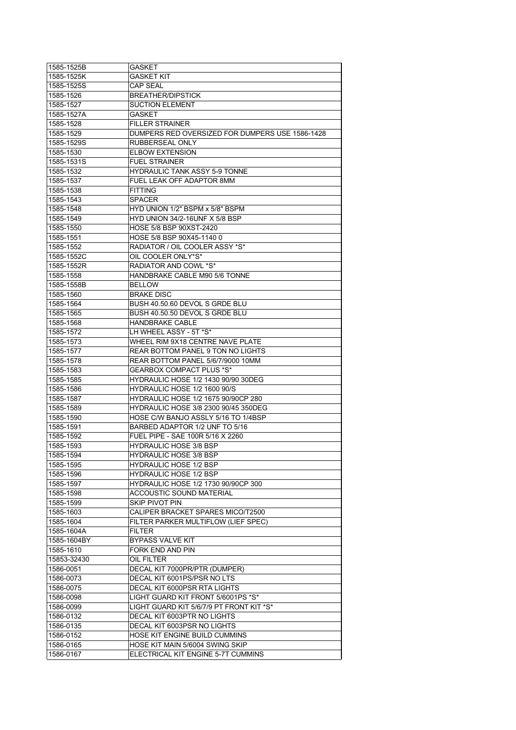| 1585-1525B  | <b>GASKET</b>                                                  |
|-------------|----------------------------------------------------------------|
| 1585-1525K  | <b>GASKET KIT</b>                                              |
| 1585-1525S  | <b>CAP SEAL</b>                                                |
| 1585-1526   | <b>BREATHER/DIPSTICK</b>                                       |
| 1585-1527   | <b>SUCTION ELEMENT</b>                                         |
| 1585-1527A  | GASKET                                                         |
| 1585-1528   | <b>FILLER STRAINER</b>                                         |
| 1585-1529   | DUMPERS RED OVERSIZED FOR DUMPERS USE 1586-1428                |
| 1585-1529S  | RUBBERSEAL ONLY                                                |
| 1585-1530   | <b>ELBOW EXTENSION</b>                                         |
| 1585-1531S  | <b>FUEL STRAINER</b>                                           |
| 1585-1532   | <b>HYDRAULIC TANK ASSY 5-9 TONNE</b>                           |
| 1585-1537   | FUEL LEAK OFF ADAPTOR 8MM                                      |
| 1585-1538   | <b>FITTING</b>                                                 |
| 1585-1543   | <b>SPACER</b>                                                  |
| 1585-1548   | HYD UNION 1/2" BSPM x 5/8" BSPM                                |
| 1585-1549   | HYD UNION 34/2-16UNF X 5/8 BSP                                 |
| 1585-1550   | HOSE 5/8 BSP 90XST-2420                                        |
| 1585-1551   | HOSE 5/8 BSP 90X45-1140 0                                      |
| 1585-1552   | RADIATOR / OIL COOLER ASSY *S*                                 |
| 1585-1552C  | OIL COOLER ONLY*S*                                             |
| 1585-1552R  | RADIATOR AND COWL *S*                                          |
| 1585-1558   | HANDBRAKE CABLE M90 5/6 TONNE                                  |
| 1585-1558B  | <b>BELLOW</b>                                                  |
| 1585-1560   | <b>BRAKE DISC</b>                                              |
| 1585-1564   | BUSH 40.50.60 DEVOL S GRDE BLU                                 |
| 1585-1565   | BUSH 40.50.50 DEVOL S GRDE BLU                                 |
| 1585-1568   | HANDBRAKE CABLE                                                |
| 1585-1572   | LH WHEEL ASSY - 5T *S*                                         |
| 1585-1573   | WHEEL RIM 9X18 CENTRE NAVE PLATE                               |
| 1585-1577   | REAR BOTTOM PANEL 9 TON NO LIGHTS                              |
| 1585-1578   | REAR BOTTOM PANEL 5/6/7/9000 10MM                              |
| 1585-1583   | <b>GEARBOX COMPACT PLUS *S*</b>                                |
| 1585-1585   | <b>HYDRAULIC HOSE 1/2 1430 90/90 30DEG</b>                     |
| 1585-1586   | HYDRAULIC HOSE 1/2 1600 90/S                                   |
| 1585-1587   | <b>HYDRAULIC HOSE 1/2 1675 90/90CP 280</b>                     |
| 1585-1589   | <b>HYDRAULIC HOSE 3/8 2300 90/45 350DEG</b>                    |
| 1585-1590   | HOSE C/W BANJO ASSLY 5/16 TO 1/4BSP                            |
| 1585-1591   | BARBED ADAPTOR 1/2 UNF TO 5/16                                 |
| 1585-1592   | FUEL PIPE - SAE 100R 5/16 X 2260                               |
| 1585-1593   | <b>HYDRAULIC HOSE 3/8 BSP</b>                                  |
| 1585-1594   |                                                                |
|             | <b>HYDRAULIC HOSE 3/8 BSP</b>                                  |
| 1585-1595   | <b>HYDRAULIC HOSE 1/2 BSP</b><br><b>HYDRAULIC HOSE 1/2 BSP</b> |
| 1585-1596   | HYDRAULIC HOSE 1/2 1730 90/90CP 300                            |
| 1585-1597   | <b>ACCOUSTIC SOUND MATERIAL</b>                                |
| 1585-1598   | <b>SKIP PIVOT PIN</b>                                          |
| 1585-1599   |                                                                |
| 1585-1603   | CALIPER BRACKET SPARES MICO/T2500                              |
| 1585-1604   | FILTER PARKER MULTIFLOW (LIEF SPEC)                            |
| 1585-1604A  | <b>FILTER</b>                                                  |
| 1585-1604BY | <b>BYPASS VALVE KIT</b>                                        |
| 1585-1610   | FORK END AND PIN                                               |
| 15853-32430 | <b>OIL FILTER</b>                                              |
| 1586-0051   | DECAL KIT 7000PR/PTR (DUMPER)                                  |
| 1586-0073   | DECAL KIT 6001PS/PSR NO LTS                                    |
| 1586-0075   | DECAL KIT 6000PSR RTA LIGHTS                                   |
| 1586-0098   | LIGHT GUARD KIT FRONT 5/6001PS *S*                             |
| 1586-0099   | LIGHT GUARD KIT 5/6/7/9 PT FRONT KIT *S*                       |
| 1586-0132   | DECAL KIT 6003PTR NO LIGHTS                                    |
| 1586-0135   | DECAL KIT 6003PSR NO LIGHTS                                    |
| 1586-0152   | HOSE KIT ENGINE BUILD CUMMINS                                  |
| 1586-0165   | HOSE KIT MAIN 5/6004 SWING SKIP                                |
| 1586-0167   | ELECTRICAL KIT ENGINE 5-7T CUMMINS                             |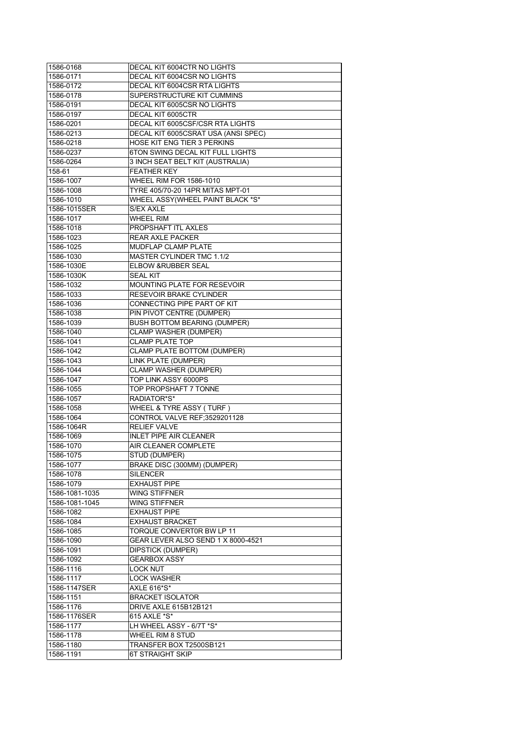| 1586-0168              | DECAL KIT 6004CTR NO LIGHTS                        |
|------------------------|----------------------------------------------------|
| 1586-0171              | DECAL KIT 6004CSR NO LIGHTS                        |
| 1586-0172              | DECAL KIT 6004CSR RTA LIGHTS                       |
| 1586-0178              | SUPERSTRUCTURE KIT CUMMINS                         |
| 1586-0191              | DECAL KIT 6005CSR NO LIGHTS                        |
| 1586-0197              | DECAL KIT 6005CTR                                  |
| 1586-0201              | DECAL KIT 6005CSF/CSR RTA LIGHTS                   |
| 1586-0213              | DECAL KIT 6005CSRAT USA (ANSI SPEC)                |
| 1586-0218              | HOSE KIT ENG TIER 3 PERKINS                        |
| 1586-0237              | 6TON SWING DECAL KIT FULL LIGHTS                   |
| 1586-0264              | 3 INCH SEAT BELT KIT (AUSTRALIA)                   |
| 158-61                 | <b>FEATHER KEY</b>                                 |
| 1586-1007              | <b>WHEEL RIM FOR 1586-1010</b>                     |
|                        | TYRE 405/70-20 14PR MITAS MPT-01                   |
| 1586-1008              |                                                    |
| 1586-1010              | WHEEL ASSY(WHEEL PAINT BLACK *S*                   |
| 1586-1015SER           | S/EX AXLE                                          |
| 1586-1017              | <b>WHEEL RIM</b>                                   |
| 1586-1018              | PROPSHAFT ITL AXLES                                |
| 1586-1023              | <b>REAR AXLE PACKER</b>                            |
| 1586-1025              | MUDFLAP CLAMP PLATE                                |
| 1586-1030              | <b>MASTER CYLINDER TMC 1.1/2</b>                   |
| 1586-1030E             | ELBOW &RUBBER SEAL                                 |
| 1586-1030K             | <b>SEAL KIT</b>                                    |
| 1586-1032              | MOUNTING PLATE FOR RESEVOIR                        |
| 1586-1033              | RESEVOIR BRAKE CYLINDER                            |
| 1586-1036              | CONNECTING PIPE PART OF KIT                        |
| 1586-1038              | PIN PIVOT CENTRE (DUMPER)                          |
| 1586-1039              | <b>BUSH BOTTOM BEARING (DUMPER)</b>                |
| 1586-1040              | <b>CLAMP WASHER (DUMPER)</b>                       |
| 1586-1041              | <b>CLAMP PLATE TOP</b>                             |
| 1586-1042              | CLAMP PLATE BOTTOM (DUMPER)                        |
| 1586-1043              | LINK PLATE (DUMPER)                                |
| 1586-1044              | <b>CLAMP WASHER (DUMPER)</b>                       |
| 1586-1047              | TOP LINK ASSY 6000PS                               |
|                        |                                                    |
| 1586-1055              | TOP PROPSHAFT 7 TONNE                              |
| 1586-1057              | RADIATOR*S*                                        |
| 1586-1058              | WHEEL & TYRE ASSY (TURF)                           |
| 1586-1064              | CONTROL VALVE REF;3529201128                       |
| 1586-1064R             | <b>RELIEF VALVE</b>                                |
| 1586-1069              |                                                    |
|                        | <b>INLET PIPE AIR CLEANER</b>                      |
| 1586-1070              | AIR CLEANER COMPLETE                               |
| 1586-1075              | STUD (DUMPER)                                      |
| 1586-1077              | BRAKE DISC (300MM) (DUMPER)                        |
| 1586-1078              | <b>SILENCER</b>                                    |
| 1586-1079              | <b>EXHAUST PIPE</b>                                |
| 1586-1081-1035         | <b>WING STIFFNER</b>                               |
| 1586-1081-1045         | <b>WING STIFFNER</b>                               |
| 1586-1082              | <b>EXHAUST PIPE</b>                                |
| 1586-1084              | <b>EXHAUST BRACKET</b>                             |
| 1586-1085              | TORQUE CONVERT0R BW LP 11                          |
|                        |                                                    |
| 1586-1090<br>1586-1091 | GEAR LEVER ALSO SEND 1 X 8000-4521                 |
|                        | <b>DIPSTICK (DUMPER)</b>                           |
| 1586-1092              | <b>GEARBOX ASSY</b>                                |
| 1586-1116              | <b>LOCK NUT</b>                                    |
| 1586-1117              | <b>LOCK WASHER</b>                                 |
| 1586-1147SER           | <b>AXLE 616*S*</b>                                 |
| 1586-1151              | <b>BRACKET ISOLATOR</b>                            |
| 1586-1176              | DRIVE AXLE 615B12B121                              |
| 1586-1176SER           | 615 AXLE *S*                                       |
| 1586-1177              | LH WHEEL ASSY - 6/7T *S*                           |
| 1586-1178              | WHEEL RIM 8 STUD                                   |
| 1586-1180<br>1586-1191 | TRANSFER BOX T2500SB121<br><b>6T STRAIGHT SKIP</b> |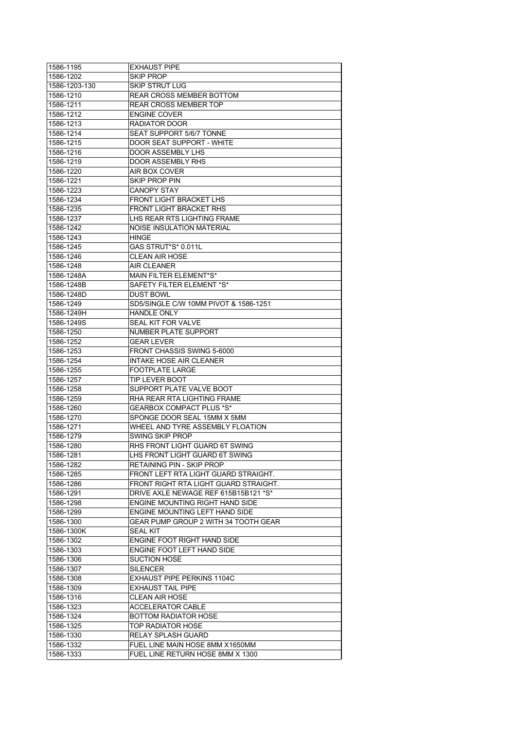| 1586-1195     | <b>EXHAUST PIPE</b>                         |
|---------------|---------------------------------------------|
| 1586-1202     | <b>SKIP PROP</b>                            |
| 1586-1203-130 | <b>SKIP STRUT LUG</b>                       |
| 1586-1210     | <b>REAR CROSS MEMBER BOTTOM</b>             |
| 1586-1211     | <b>REAR CROSS MEMBER TOP</b>                |
| 1586-1212     | <b>ENGINE COVER</b>                         |
| 1586-1213     | RADIATOR DOOR                               |
| 1586-1214     | SEAT SUPPORT 5/6/7 TONNE                    |
| 1586-1215     | DOOR SEAT SUPPORT - WHITE                   |
| 1586-1216     | <b>DOOR ASSEMBLY LHS</b>                    |
| 1586-1219     | <b>DOOR ASSEMBLY RHS</b>                    |
| 1586-1220     | AIR BOX COVER                               |
| 1586-1221     | SKIP PROP PIN                               |
| 1586-1223     | <b>CANOPY STAY</b>                          |
| 1586-1234     | <b>FRONT LIGHT BRACKET LHS</b>              |
| 1586-1235     | FRONT LIGHT BRACKET RHS                     |
| 1586-1237     | LHS REAR RTS LIGHTING FRAME                 |
| 1586-1242     | <b>NOISE INSULATION MATERIAL</b>            |
| 1586-1243     | <b>HINGE</b>                                |
| 1586-1245     | GAS STRUT*S* 0.011L                         |
| 1586-1246     | <b>CLEAN AIR HOSE</b>                       |
| 1586-1248     | <b>AIR CLEANER</b>                          |
| 1586-1248A    | <b>MAIN FILTER ELEMENT*S*</b>               |
| 1586-1248B    | SAFETY FILTER ELEMENT *S*                   |
| 1586-1248D    | <b>DUST BOWL</b>                            |
| 1586-1249     | SD5/SINGLE C/W 10MM PIVOT & 1586-1251       |
| 1586-1249H    | <b>HANDLE ONLY</b>                          |
| 1586-1249S    | SEAL KIT FOR VALVE                          |
| 1586-1250     | NUMBER PLATE SUPPORT                        |
| 1586-1252     | <b>GEAR LEVER</b>                           |
| 1586-1253     | FRONT CHASSIS SWING 5-6000                  |
| 1586-1254     | <b>INTAKE HOSE AIR CLEANER</b>              |
| 1586-1255     | <b>FOOTPLATE LARGE</b>                      |
| 1586-1257     | TIP LEVER BOOT                              |
| 1586-1258     | SUPPORT PLATE VALVE BOOT                    |
| 1586-1259     | RHA REAR RTA LIGHTING FRAME                 |
| 1586-1260     | <b>GEARBOX COMPACT PLUS *S*</b>             |
| 1586-1270     | SPONGE DOOR SEAL 15MM X 5MM                 |
| 1586-1271     | WHEEL AND TYRE ASSEMBLY FLOATION            |
| 1586-1279     | SWING SKIP PROP                             |
| 1586-1280     | RHS FRONT LIGHT GUARD 6T SWING              |
| 1586-1281     | LHS FRONT LIGHT GUARD 6T SWING              |
| 1586-1282     | RETAINING PIN - SKIP PROP                   |
| 1586-1285     | FRONT LEFT RTA LIGHT GUARD STRAIGHT.        |
| 1586-1286     | FRONT RIGHT RTA LIGHT GUARD STRAIGHT.       |
| 1586-1291     | DRIVE AXLE NEWAGE REF 615B15B121 *S*        |
| 1586-1298     | ENGINE MOUNTING RIGHT HAND SIDE             |
| 1586-1299     | ENGINE MOUNTING LEFT HAND SIDE              |
| 1586-1300     | <b>GEAR PUMP GROUP 2 WITH 34 TOOTH GEAR</b> |
| 1586-1300K    | <b>SEAL KIT</b>                             |
| 1586-1302     | ENGINE FOOT RIGHT HAND SIDE                 |
| 1586-1303     | ENGINE FOOT LEFT HAND SIDE                  |
| 1586-1306     | <b>SUCTION HOSE</b>                         |
| 1586-1307     | <b>SILENCER</b>                             |
| 1586-1308     | EXHAUST PIPE PERKINS 1104C                  |
| 1586-1309     | <b>EXHAUST TAIL PIPE</b>                    |
| 1586-1316     | <b>CLEAN AIR HOSE</b>                       |
| 1586-1323     | <b>ACCELERATOR CABLE</b>                    |
| 1586-1324     | <b>BOTTOM RADIATOR HOSE</b>                 |
| 1586-1325     | TOP RADIATOR HOSE                           |
| 1586-1330     | <b>RELAY SPLASH GUARD</b>                   |
| 1586-1332     | FUEL LINE MAIN HOSE 8MM X1650MM             |
|               |                                             |
| 1586-1333     | FUEL LINE RETURN HOSE 8MM X 1300            |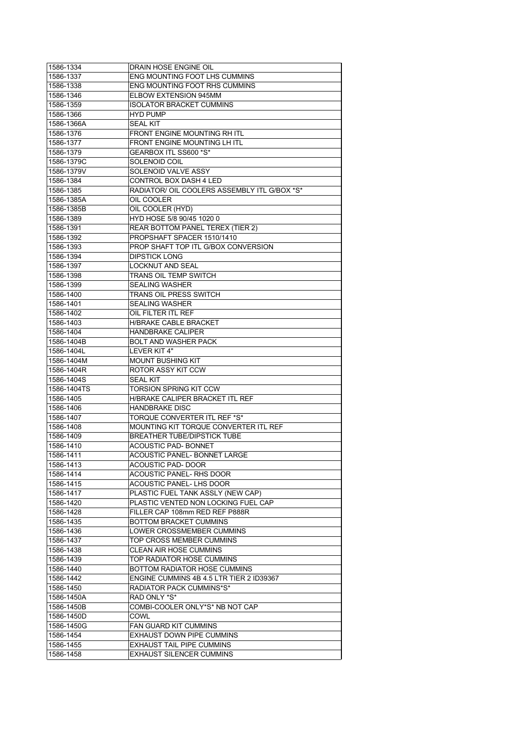| 1586-1334                | DRAIN HOSE ENGINE OIL                                               |
|--------------------------|---------------------------------------------------------------------|
| 1586-1337                | ENG MOUNTING FOOT LHS CUMMINS                                       |
| 1586-1338                | ENG MOUNTING FOOT RHS CUMMINS                                       |
| 1586-1346                | <b>ELBOW EXTENSION 945MM</b>                                        |
| 1586-1359                | <b>ISOLATOR BRACKET CUMMINS</b>                                     |
| 1586-1366                | <b>HYD PUMP</b>                                                     |
| 1586-1366A               | <b>SEAL KIT</b>                                                     |
| 1586-1376                | FRONT ENGINE MOUNTING RH ITL                                        |
| 1586-1377                | FRONT ENGINE MOUNTING LH ITL                                        |
| 1586-1379                | GEARBOX ITL SS600 *S*                                               |
| 1586-1379C               | SOLENOID COIL                                                       |
| 1586-1379V               | SOLENOID VALVE ASSY                                                 |
| 1586-1384                | CONTROL BOX DASH 4 LED                                              |
| 1586-1385                | RADIATOR/ OIL COOLERS ASSEMBLY ITL G/BOX *S*                        |
|                          | OIL COOLER                                                          |
| 1586-1385A<br>1586-1385B |                                                                     |
|                          | OIL COOLER (HYD)                                                    |
| 1586-1389                | HYD HOSE 5/8 90/45 1020 0                                           |
| 1586-1391                | REAR BOTTOM PANEL TEREX (TIER 2)                                    |
| 1586-1392                | PROPSHAFT SPACER 1510/1410                                          |
| 1586-1393                | PROP SHAFT TOP ITL G/BOX CONVERSION                                 |
| 1586-1394                | <b>DIPSTICK LONG</b>                                                |
| 1586-1397                | <b>LOCKNUT AND SEAL</b>                                             |
| 1586-1398                | <b>TRANS OIL TEMP SWITCH</b>                                        |
| 1586-1399                | <b>SEALING WASHER</b>                                               |
| 1586-1400                | TRANS OIL PRESS SWITCH                                              |
| 1586-1401                | SEALING WASHER                                                      |
| 1586-1402                | OIL FILTER ITL REF                                                  |
| 1586-1403                | <b>H/BRAKE CABLE BRACKET</b>                                        |
| 1586-1404                | <b>HANDBRAKE CALIPER</b>                                            |
| 1586-1404B               | <b>BOLT AND WASHER PACK</b>                                         |
| 1586-1404L               | LEVER KIT 4"                                                        |
|                          | <b>MOUNT BUSHING KIT</b>                                            |
| 1586-1404M               |                                                                     |
| 1586-1404R               | ROTOR ASSY KIT CCW                                                  |
| 1586-1404S               | <b>SEAL KIT</b>                                                     |
| 1586-1404TS              | <b>TORSION SPRING KIT CCW</b>                                       |
| 1586-1405                | H/BRAKE CALIPER BRACKET ITL REF                                     |
| 1586-1406                | <b>HANDBRAKE DISC</b>                                               |
| 1586-1407                | TORQUE CONVERTER ITL REF *S*                                        |
| 1586-1408                | MOUNTING KIT TORQUE CONVERTER ITL REF                               |
|                          |                                                                     |
| 1586-1409                | <b>BREATHER TUBE/DIPSTICK TUBE</b>                                  |
| 1586-1410                | ACOUSTIC PAD- BONNET                                                |
| 1586-1411                | ACOUSTIC PANEL- BONNET LARGE                                        |
| 1586-1413                | ACOUSTIC PAD-DOOR<br><b>ACOUSTIC PANEL- RHS DOOR</b>                |
| 1586-1414                |                                                                     |
| 1586-1415                | <b>ACOUSTIC PANEL- LHS DOOR</b>                                     |
| 1586-1417                | PLASTIC FUEL TANK ASSLY (NEW CAP)                                   |
| 1586-1420                | PLASTIC VENTED NON LOCKING FUEL CAP                                 |
| 1586-1428                | FILLER CAP 108mm RED REF P888R                                      |
| 1586-1435                | BOTTOM BRACKET CUMMINS                                              |
| 1586-1436                | LOWER CROSSMEMBER CUMMINS                                           |
| 1586-1437                | TOP CROSS MEMBER CUMMINS                                            |
| 1586-1438                | <b>CLEAN AIR HOSE CUMMINS</b>                                       |
| 1586-1439                | TOP RADIATOR HOSE CUMMINS                                           |
| 1586-1440                | BOTTOM RADIATOR HOSE CUMMINS                                        |
| 1586-1442                | ENGINE CUMMINS 4B 4.5 LTR TIER 2 ID39367                            |
| 1586-1450                | RADIATOR PACK CUMMINS*S*                                            |
| 1586-1450A               | RAD ONLY *S*                                                        |
| 1586-1450B               | COMBI-COOLER ONLY*S* NB NOT CAP                                     |
| 1586-1450D               | COWL                                                                |
| 1586-1450G               | <b>FAN GUARD KIT CUMMINS</b>                                        |
| 1586-1454                | <b>EXHAUST DOWN PIPE CUMMINS</b>                                    |
| 1586-1455<br>1586-1458   | <b>EXHAUST TAIL PIPE CUMMINS</b><br><b>EXHAUST SILENCER CUMMINS</b> |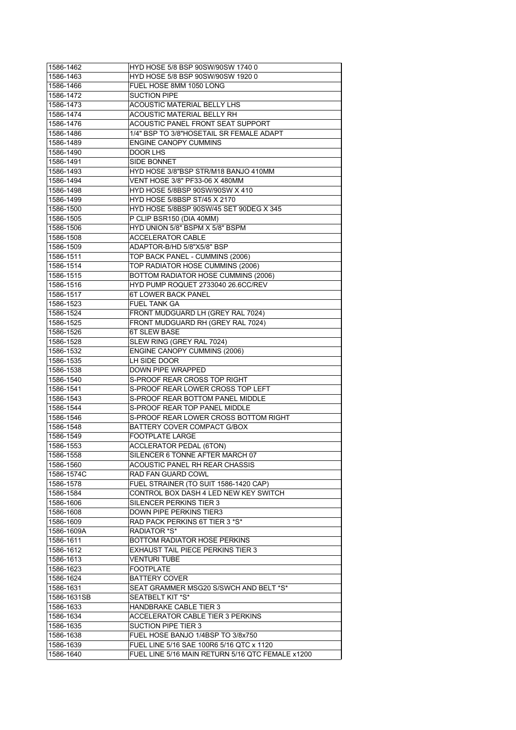| 1586-1462              | HYD HOSE 5/8 BSP 90SW/90SW 1740 0                                                            |
|------------------------|----------------------------------------------------------------------------------------------|
| 1586-1463              | HYD HOSE 5/8 BSP 90SW/90SW 1920 0                                                            |
| 1586-1466              | FUEL HOSE 8MM 1050 LONG                                                                      |
| 1586-1472              | <b>SUCTION PIPE</b>                                                                          |
| 1586-1473              | ACOUSTIC MATERIAL BELLY LHS                                                                  |
| 1586-1474              | ACOUSTIC MATERIAL BELLY RH                                                                   |
| 1586-1476              | ACOUSTIC PANEL FRONT SEAT SUPPORT                                                            |
| 1586-1486              | 1/4" BSP TO 3/8"HOSETAIL SR FEMALE ADAPT                                                     |
| 1586-1489              | ENGINE CANOPY CUMMINS                                                                        |
| 1586-1490              | <b>DOOR LHS</b>                                                                              |
| 1586-1491              | <b>SIDE BONNET</b>                                                                           |
| 1586-1493              | HYD HOSE 3/8"BSP STR/M18 BANJO 410MM                                                         |
| 1586-1494              | VENT HOSE 3/8" PF33-06 X 480MM                                                               |
| 1586-1498              | HYD HOSE 5/8BSP 90SW/90SW X 410                                                              |
| 1586-1499              | HYD HOSE 5/8BSP ST/45 X 2170                                                                 |
| 1586-1500              | HYD HOSE 5/8BSP 90SW/45 SET 90DEG X 345                                                      |
| 1586-1505              | P CLIP BSR150 (DIA 40MM)                                                                     |
| 1586-1506              | HYD UNION 5/8" BSPM X 5/8" BSPM                                                              |
| 1586-1508              | <b>ACCELERATOR CABLE</b>                                                                     |
| 1586-1509              | ADAPTOR-B/HD 5/8"X5/8" BSP                                                                   |
| 1586-1511              | TOP BACK PANEL - CUMMINS (2006)                                                              |
| 1586-1514              | TOP RADIATOR HOSE CUMMINS (2006)                                                             |
| 1586-1515              | BOTTOM RADIATOR HOSE CUMMINS (2006)                                                          |
| 1586-1516              | HYD PUMP ROQUET 2733040 26.6CC/REV                                                           |
| 1586-1517              | <b>6T LOWER BACK PANEL</b>                                                                   |
| 1586-1523              | <b>FUEL TANK GA</b>                                                                          |
| 1586-1524              | FRONT MUDGUARD LH (GREY RAL 7024)                                                            |
| 1586-1525              | FRONT MUDGUARD RH (GREY RAL 7024)                                                            |
| 1586-1526              | 6T SLEW BASE                                                                                 |
| 1586-1528              | SLEW RING (GREY RAL 7024)                                                                    |
| 1586-1532              | <b>ENGINE CANOPY CUMMINS (2006)</b>                                                          |
| 1586-1535              | LH SIDE DOOR                                                                                 |
|                        |                                                                                              |
|                        | DOWN PIPE WRAPPED                                                                            |
| 1586-1538<br>1586-1540 | S-PROOF REAR CROSS TOP RIGHT                                                                 |
|                        |                                                                                              |
| 1586-1541              | S-PROOF REAR LOWER CROSS TOP LEFT                                                            |
| 1586-1543              | S-PROOF REAR BOTTOM PANEL MIDDLE                                                             |
| 1586-1544              | S-PROOF REAR TOP PANEL MIDDLE<br>S-PROOF REAR LOWER CROSS BOTTOM RIGHT                       |
| 1586-1546              |                                                                                              |
| 1586-1548              | BATTERY COVER COMPACT G/BOX                                                                  |
| 1586-1549              | <b>FOOTPLATE LARGE</b>                                                                       |
| 1586-1553              | <b>ACCLERATOR PEDAL (6TON)</b>                                                               |
| 1586-1558              | SILENCER 6 TONNE AFTER MARCH 07                                                              |
| 1586-1560              | ACOUSTIC PANEL RH REAR CHASSIS                                                               |
| 1586-1574C             | RAD FAN GUARD COWL                                                                           |
| 1586-1578              | FUEL STRAINER (TO SUIT 1586-1420 CAP)                                                        |
| 1586-1584              | CONTROL BOX DASH 4 LED NEW KEY SWITCH                                                        |
| 1586-1606              | SILENCER PERKINS TIER 3                                                                      |
| 1586-1608              | <b>DOWN PIPE PERKINS TIER3</b>                                                               |
| 1586-1609              | RAD PACK PERKINS 6T TIER 3 *S*                                                               |
| 1586-1609A             | RADIATOR *S*                                                                                 |
| 1586-1611              | BOTTOM RADIATOR HOSE PERKINS                                                                 |
| 1586-1612              | <b>EXHAUST TAIL PIECE PERKINS TIER 3</b>                                                     |
| 1586-1613              | VENTURI TUBE                                                                                 |
| 1586-1623              | <b>FOOTPLATE</b>                                                                             |
| 1586-1624              | <b>BATTERY COVER</b>                                                                         |
| 1586-1631              | SEAT GRAMMER MSG20 S/SWCH AND BELT *S*                                                       |
| 1586-1631SB            | <b>SEATBELT KIT *S*</b>                                                                      |
| 1586-1633              | <b>HANDBRAKE CABLE TIER 3</b>                                                                |
| 1586-1634              | ACCELERATOR CABLE TIER 3 PERKINS                                                             |
| 1586-1635              | SUCTION PIPE TIER 3                                                                          |
| 1586-1638              | FUEL HOSE BANJO 1/4BSP TO 3/8x750                                                            |
| 1586-1639<br>1586-1640 | FUEL LINE 5/16 SAE 100R6 5/16 QTC x 1120<br>FUEL LINE 5/16 MAIN RETURN 5/16 QTC FEMALE x1200 |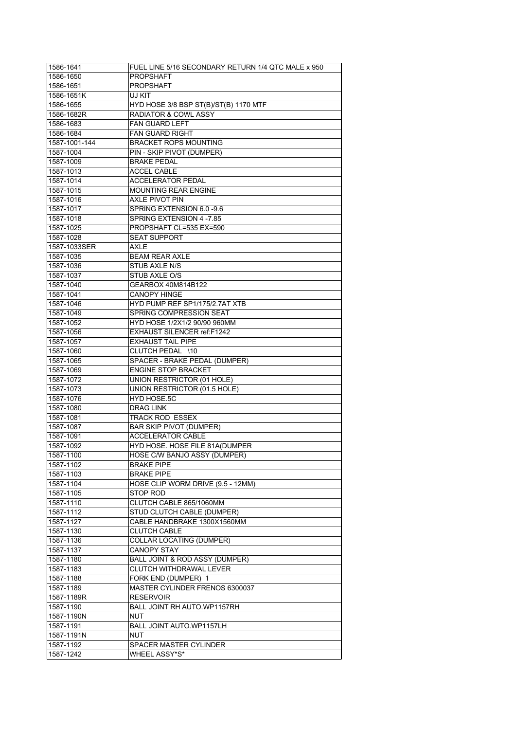| 1586-1641     | FUEL LINE 5/16 SECONDARY RETURN 1/4 QTC MALE x 950 |
|---------------|----------------------------------------------------|
| 1586-1650     | <b>PROPSHAFT</b>                                   |
| 1586-1651     | <b>PROPSHAFT</b>                                   |
| 1586-1651K    | UJ KIT                                             |
| 1586-1655     | HYD HOSE 3/8 BSP ST(B)/ST(B) 1170 MTF              |
| 1586-1682R    | <b>RADIATOR &amp; COWL ASSY</b>                    |
| 1586-1683     | <b>FAN GUARD LEFT</b>                              |
| 1586-1684     | <b>FAN GUARD RIGHT</b>                             |
| 1587-1001-144 | <b>BRACKET ROPS MOUNTING</b>                       |
| 1587-1004     | PIN - SKIP PIVOT (DUMPER)                          |
| 1587-1009     | <b>BRAKE PEDAL</b>                                 |
| 1587-1013     | <b>ACCEL CABLE</b>                                 |
| 1587-1014     | ACCELERATOR PEDAL                                  |
| 1587-1015     | <b>MOUNTING REAR ENGINE</b>                        |
| 1587-1016     | AXLE PIVOT PIN                                     |
| 1587-1017     | SPRING EXTENSION 6.0 -9.6                          |
| 1587-1018     | SPRING EXTENSION 4-7.85                            |
| 1587-1025     | PROPSHAFT CL=535 EX=590                            |
| 1587-1028     | <b>SEAT SUPPORT</b>                                |
| 1587-1033SER  | AXLE                                               |
| 1587-1035     | <b>BEAM REAR AXLE</b>                              |
| 1587-1036     | STUB AXLE N/S                                      |
| 1587-1037     | STUB AXLE O/S                                      |
| 1587-1040     | GEARBOX 40M814B122                                 |
| 1587-1041     | <b>CANOPY HINGE</b>                                |
| 1587-1046     | HYD PUMP REF SP1/175/2.7AT XTB                     |
| 1587-1049     | SPRING COMPRESSION SEAT                            |
| 1587-1052     | HYD HOSE 1/2X1/2 90/90 960MM                       |
| 1587-1056     | EXHAUST SILENCER ref:F1242                         |
| 1587-1057     | <b>EXHAUST TAIL PIPE</b>                           |
|               |                                                    |
| 1587-1060     | CLUTCH PEDAL \10                                   |
| 1587-1065     | SPACER - BRAKE PEDAL (DUMPER)                      |
| 1587-1069     | ENGINE STOP BRACKET                                |
| 1587-1072     | UNION RESTRICTOR (01 HOLE)                         |
| 1587-1073     | UNION RESTRICTOR (01.5 HOLE)                       |
| 1587-1076     | HYD HOSE.5C                                        |
| 1587-1080     | DRAG LINK                                          |
| 1587-1081     | TRACK ROD ESSEX                                    |
| 1587-1087     | <b>BAR SKIP PIVOT (DUMPER)</b>                     |
| 1587-1091     | <b>ACCELERATOR CABLE</b>                           |
| 1587-1092     | HYD HOSE. HOSE FILE 81A(DUMPER                     |
| 1587-1100     | HOSE C/W BANJO ASSY (DUMPER)                       |
| 1587-1102     | <b>BRAKE PIPE</b>                                  |
| 1587-1103     | <b>BRAKE PIPE</b>                                  |
| 1587-1104     | HOSE CLIP WORM DRIVE (9.5 - 12MM)                  |
| 1587-1105     | STOP ROD                                           |
| 1587-1110     | CLUTCH CABLE 865/1060MM                            |
| 1587-1112     | STUD CLUTCH CABLE (DUMPER)                         |
| 1587-1127     | CABLE HANDBRAKE 1300X1560MM                        |
| 1587-1130     | <b>CLUTCH CABLE</b>                                |
| 1587-1136     | <b>COLLAR LOCATING (DUMPER)</b>                    |
| 1587-1137     | <b>CANOPY STAY</b>                                 |
| 1587-1180     | BALL JOINT & ROD ASSY (DUMPER)                     |
| 1587-1183     | CLUTCH WITHDRAWAL LEVER                            |
| 1587-1188     | FORK END (DUMPER) 1                                |
| 1587-1189     | MASTER CYLINDER FRENOS 6300037                     |
| 1587-1189R    | <b>RESERVOIR</b>                                   |
| 1587-1190     | BALL JOINT RH AUTO WP1157RH                        |
| 1587-1190N    | NUT                                                |
| 1587-1191     | BALL JOINT AUTO WP1157LH                           |
| 1587-1191N    | <b>NUT</b>                                         |
| 1587-1192     | SPACER MASTER CYLINDER                             |
| 1587-1242     | WHEEL ASSY*S*                                      |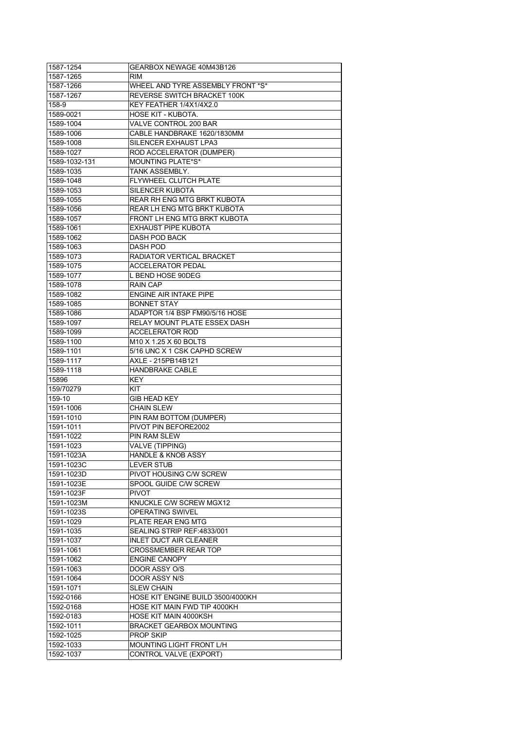| 1587-1254     | GEARBOX NEWAGE 40M43B126          |
|---------------|-----------------------------------|
| 1587-1265     | <b>RIM</b>                        |
| 1587-1266     | WHEEL AND TYRE ASSEMBLY FRONT *S* |
| 1587-1267     | REVERSE SWITCH BRACKET 100K       |
| 158-9         | KEY FEATHER 1/4X1/4X2.0           |
| 1589-0021     | HOSE KIT - KUBOTA.                |
| 1589-1004     | VALVE CONTROL 200 BAR             |
| 1589-1006     | CABLE HANDBRAKE 1620/1830MM       |
| 1589-1008     | SILENCER EXHAUST LPA3             |
| 1589-1027     | ROD ACCELERATOR (DUMPER)          |
| 1589-1032-131 | <b>MOUNTING PLATE*S*</b>          |
| 1589-1035     | TANK ASSEMBLY.                    |
| 1589-1048     | FLYWHEEL CLUTCH PLATE             |
| 1589-1053     | SILENCER KUBOTA                   |
| 1589-1055     | REAR RH ENG MTG BRKT KUBOTA       |
| 1589-1056     | REAR LH ENG MTG BRKT KUBOTA       |
| 1589-1057     | FRONT LH ENG MTG BRKT KUBOTA      |
| 1589-1061     | <b>EXHAUST PIPE KUBOTA</b>        |
| 1589-1062     | DASH POD BACK                     |
| 1589-1063     | <b>DASH POD</b>                   |
| 1589-1073     | RADIATOR VERTICAL BRACKET         |
| 1589-1075     | <b>ACCELERATOR PEDAL</b>          |
| 1589-1077     | L BEND HOSE 90DEG                 |
| 1589-1078     | <b>RAIN CAP</b>                   |
| 1589-1082     | <b>ENGINE AIR INTAKE PIPE</b>     |
| 1589-1085     | <b>BONNET STAY</b>                |
| 1589-1086     | ADAPTOR 1/4 BSP FM90/5/16 HOSE    |
| 1589-1097     | RELAY MOUNT PLATE ESSEX DASH      |
| 1589-1099     | ACCELERATOR ROD                   |
| 1589-1100     | M <sub>10</sub> X 1.25 X 60 BOLTS |
| 1589-1101     | 5/16 UNC X 1 CSK CAPHD SCREW      |
| 1589-1117     | AXLE - 215PB14B121                |
| 1589-1118     | <b>HANDBRAKE CABLE</b>            |
| 15896         | KEY.                              |
| 159/70279     | KIT.                              |
| $159-10$      | <b>GIB HEAD KEY</b>               |
| 1591-1006     | <b>CHAIN SLEW</b>                 |
| 1591-1010     | PIN RAM BOTTOM (DUMPER)           |
| 1591-1011     | PIVOT PIN BEFORE2002              |
| 1591-1022     | PIN RAM SLEW                      |
| 1591-1023     | <b>VALVE (TIPPING)</b>            |
| 1591-1023A    | <b>HANDLE &amp; KNOB ASSY</b>     |
| 1591-1023C    | <b>LEVER STUB</b>                 |
| 1591-1023D    | PIVOT HOUSING C/W SCREW           |
| 1591-1023E    | SPOOL GUIDE C/W SCREW             |
| 1591-1023F    | <b>PIVOT</b>                      |
| 1591-1023M    | KNUCKLE C/W SCREW MGX12           |
| 1591-1023S    | <b>OPERATING SWIVEL</b>           |
| 1591-1029     | PLATE REAR ENG MTG                |
| 1591-1035     | SEALING STRIP REF:4833/001        |
| 1591-1037     | <b>INLET DUCT AIR CLEANER</b>     |
| 1591-1061     | <b>CROSSMEMBER REAR TOP</b>       |
| 1591-1062     | <b>ENGINE CANOPY</b>              |
| 1591-1063     | DOOR ASSY O/S                     |
| 1591-1064     | DOOR ASSY N/S                     |
| 1591-1071     | <b>SLEW CHAIN</b>                 |
| 1592-0166     | HOSE KIT ENGINE BUILD 3500/4000KH |
| 1592-0168     | HOSE KIT MAIN FWD TIP 4000KH      |
| 1592-0183     | HOSE KIT MAIN 4000KSH             |
| 1592-1011     | <b>BRACKET GEARBOX MOUNTING</b>   |
| 1592-1025     | <b>PROP SKIP</b>                  |
| 1592-1033     | <b>MOUNTING LIGHT FRONT L/H</b>   |
| 1592-1037     | CONTROL VALVE (EXPORT)            |
|               |                                   |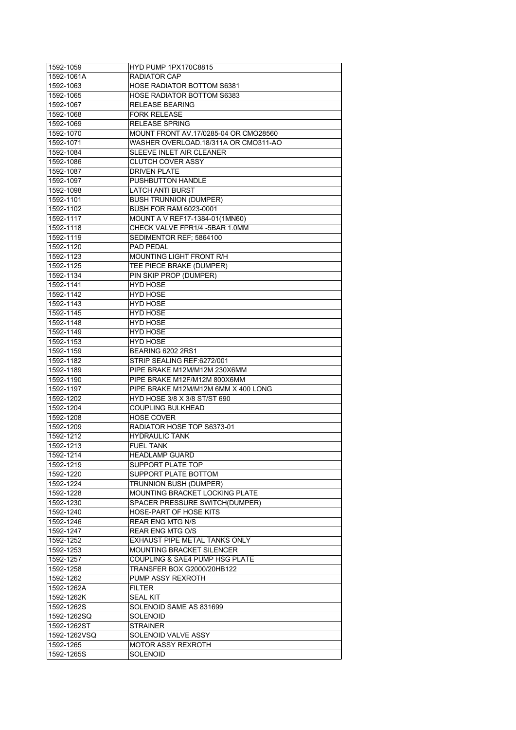| 1592-1059    | <b>HYD PUMP 1PX170C8815</b>           |
|--------------|---------------------------------------|
| 1592-1061A   | <b>RADIATOR CAP</b>                   |
| 1592-1063    | <b>HOSE RADIATOR BOTTOM S6381</b>     |
| 1592-1065    | <b>HOSE RADIATOR BOTTOM S6383</b>     |
| 1592-1067    | RELEASE BEARING                       |
| 1592-1068    | <b>FORK RELEASE</b>                   |
| 1592-1069    | <b>RELEASE SPRING</b>                 |
| 1592-1070    | MOUNT FRONT AV.17/0285-04 OR CMO28560 |
| 1592-1071    | WASHER OVERLOAD.18/311A OR CMO311-AO  |
| 1592-1084    | <b>SLEEVE INLET AIR CLEANER</b>       |
| 1592-1086    | <b>CLUTCH COVER ASSY</b>              |
| 1592-1087    | <b>DRIVEN PLATE</b>                   |
| 1592-1097    | PUSHBUTTON HANDLE                     |
| 1592-1098    | <b>LATCH ANTI BURST</b>               |
| 1592-1101    | <b>BUSH TRUNNION (DUMPER)</b>         |
| 1592-1102    | <b>BUSH FOR RAM 6023-0001</b>         |
| 1592-1117    | MOUNT A V REF17-1384-01(1MN60)        |
| 1592-1118    | CHECK VALVE FPR1/4 -5BAR 1.0MM        |
| 1592-1119    | SEDIMENTOR REF; 5864100               |
| 1592-1120    | PAD PEDAL                             |
| 1592-1123    | <b>MOUNTING LIGHT FRONT R/H</b>       |
| 1592-1125    | TEE PIECE BRAKE (DUMPER)              |
| 1592-1134    | PIN SKIP PROP (DUMPER)                |
| 1592-1141    | <b>HYD HOSE</b>                       |
| 1592-1142    | <b>HYD HOSE</b>                       |
| 1592-1143    | <b>HYD HOSE</b>                       |
| 1592-1145    | <b>HYD HOSE</b>                       |
| 1592-1148    | <b>HYD HOSE</b>                       |
| 1592-1149    | <b>HYD HOSE</b>                       |
| 1592-1153    | <b>HYD HOSE</b>                       |
| 1592-1159    | BEARING 6202 2RS1                     |
| 1592-1182    | STRIP SEALING REF:6272/001            |
| 1592-1189    | PIPE BRAKE M12M/M12M 230X6MM          |
| 1592-1190    | PIPE BRAKE M12F/M12M 800X6MM          |
| 1592-1197    | PIPE BRAKE M12M/M12M 6MM X 400 LONG   |
| 1592-1202    | HYD HOSE 3/8 X 3/8 ST/ST 690          |
| 1592-1204    | <b>COUPLING BULKHEAD</b>              |
| 1592-1208    | <b>HOSE COVER</b>                     |
| 1592-1209    | RADIATOR HOSE TOP S6373-01            |
| 1592-1212    | <b>HYDRAULIC TANK</b>                 |
| 1592-1213    | <b>FUEL TANK</b>                      |
| 1592-1214    | <b>HEADLAMP GUARD</b>                 |
| 1592-1219    | SUPPORT PLATE TOP                     |
| 1592-1220    | SUPPORT PLATE BOTTOM                  |
| 1592-1224    | TRUNNION BUSH (DUMPER)                |
| 1592-1228    | MOUNTING BRACKET LOCKING PLATE        |
| 1592-1230    | SPACER PRESSURE SWITCH(DUMPER)        |
| 1592-1240    | HOSE-PART OF HOSE KITS                |
| 1592-1246    | <b>REAR ENG MTG N/S</b>               |
| 1592-1247    | <b>REAR ENG MTG O/S</b>               |
| 1592-1252    | EXHAUST PIPE METAL TANKS ONLY         |
| 1592-1253    | <b>MOUNTING BRACKET SILENCER</b>      |
| 1592-1257    | COUPLING & SAE4 PUMP HSG PLATE        |
| 1592-1258    | <b>TRANSFER BOX G2000/20HB122</b>     |
| 1592-1262    | PUMP ASSY REXROTH                     |
| 1592-1262A   | <b>FILTER</b>                         |
| 1592-1262K   | <b>SEAL KIT</b>                       |
| 1592-1262S   | SOLENOID SAME AS 831699               |
| 1592-1262SQ  | SOLENOID                              |
| 1592-1262ST  | STRAINER                              |
| 1592-1262VSQ | SOLENOID VALVE ASSY                   |
| 1592-1265    | <b>MOTOR ASSY REXROTH</b>             |
|              |                                       |
| 1592-1265S   | SOLENOID                              |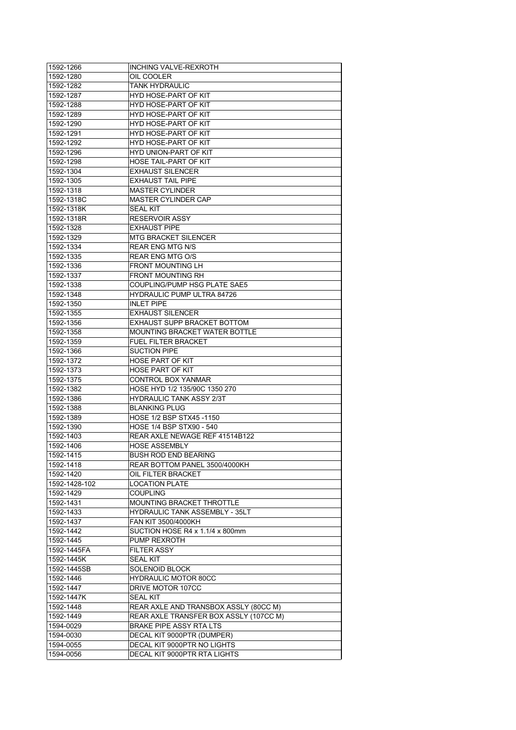| 1592-1266     | INCHING VALVE-REXROTH                  |
|---------------|----------------------------------------|
| 1592-1280     | OIL COOLER                             |
| 1592-1282     | TANK HYDRAULIC                         |
| 1592-1287     | <b>HYD HOSE-PART OF KIT</b>            |
| 1592-1288     | <b>HYD HOSE-PART OF KIT</b>            |
| 1592-1289     | <b>HYD HOSE-PART OF KIT</b>            |
| 1592-1290     | <b>HYD HOSE-PART OF KIT</b>            |
| 1592-1291     | <b>HYD HOSE-PART OF KIT</b>            |
| 1592-1292     | <b>HYD HOSE-PART OF KIT</b>            |
| 1592-1296     | HYD UNION-PART OF KIT                  |
| 1592-1298     | HOSE TAIL-PART OF KIT                  |
| 1592-1304     | <b>EXHAUST SILENCER</b>                |
| 1592-1305     | <b>EXHAUST TAIL PIPE</b>               |
| 1592-1318     | <b>MASTER CYLINDER</b>                 |
| 1592-1318C    | MASTER CYLINDER CAP                    |
| 1592-1318K    | SEAL KIT                               |
| 1592-1318R    | <b>RESERVOIR ASSY</b>                  |
| 1592-1328     | <b>EXHAUST PIPE</b>                    |
| 1592-1329     | <b>MTG BRACKET SILENCER</b>            |
| 1592-1334     | REAR ENG MTG N/S                       |
| 1592-1335     | <b>REAR ENG MTG O/S</b>                |
| 1592-1336     | <b>FRONT MOUNTING LH</b>               |
| 1592-1337     | <b>FRONT MOUNTING RH</b>               |
| 1592-1338     | COUPLING/PUMP HSG PLATE SAE5           |
| 1592-1348     | HYDRAULIC PUMP ULTRA 84726             |
| 1592-1350     | <b>INLET PIPE</b>                      |
| 1592-1355     | <b>EXHAUST SILENCER</b>                |
| 1592-1356     | EXHAUST SUPP BRACKET BOTTOM            |
| 1592-1358     | <b>MOUNTING BRACKET WATER BOTTLE</b>   |
| 1592-1359     | <b>FUEL FILTER BRACKET</b>             |
| 1592-1366     | <b>SUCTION PIPE</b>                    |
| 1592-1372     | HOSE PART OF KIT                       |
| 1592-1373     | HOSE PART OF KIT                       |
| 1592-1375     | CONTROL BOX YANMAR                     |
| 1592-1382     | HOSE HYD 1/2 135/90C 1350 270          |
| 1592-1386     | <b>HYDRAULIC TANK ASSY 2/3T</b>        |
| 1592-1388     | <b>BLANKING PLUG</b>                   |
| 1592-1389     | HOSE 1/2 BSP STX45-1150                |
| 1592-1390     | HOSE 1/4 BSP STX90 - 540               |
| 1592-1403     | REAR AXLE NEWAGE REF 41514B122         |
| 1592-1406     | <b>HOSE ASSEMBLY</b>                   |
| 1592-1415     | BUSH ROD END BEARING                   |
| 1592-1418     | REAR BOTTOM PANEL 3500/4000KH          |
| 1592-1420     | OIL FILTER BRACKET                     |
| 1592-1428-102 | <b>LOCATION PLATE</b>                  |
| 1592-1429     | <b>COUPLING</b>                        |
| 1592-1431     | MOUNTING BRACKET THROTTLE              |
| 1592-1433     | <b>HYDRAULIC TANK ASSEMBLY - 35LT</b>  |
| 1592-1437     | FAN KIT 3500/4000KH                    |
| 1592-1442     | SUCTION HOSE R4 x 1.1/4 x 800mm        |
| 1592-1445     | PUMP REXROTH                           |
| 1592-1445FA   | <b>FILTER ASSY</b>                     |
| 1592-1445K    | <b>SEAL KIT</b>                        |
| 1592-1445SB   | <b>SOLENOID BLOCK</b>                  |
| 1592-1446     | <b>HYDRAULIC MOTOR 80CC</b>            |
| 1592-1447     | DRIVE MOTOR 107CC                      |
| 1592-1447K    | <b>SEAL KIT</b>                        |
| 1592-1448     | REAR AXLE AND TRANSBOX ASSLY (80CC M)  |
| 1592-1449     | REAR AXLE TRANSFER BOX ASSLY (107CC M) |
| 1594-0029     | <b>BRAKE PIPE ASSY RTA LTS</b>         |
| 1594-0030     | DECAL KIT 9000PTR (DUMPER)             |
| 1594-0055     | DECAL KIT 9000PTR NO LIGHTS            |
| 1594-0056     | DECAL KIT 9000PTR RTA LIGHTS           |
|               |                                        |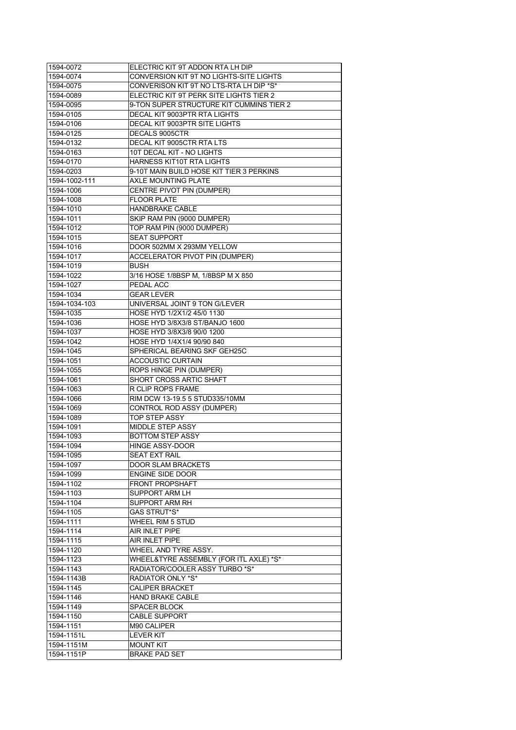| 1594-0072     | ELECTRIC KIT 9T ADDON RTA LH DIP         |
|---------------|------------------------------------------|
| 1594-0074     | CONVERSION KIT 9T NO LIGHTS-SITE LIGHTS  |
| 1594-0075     | CONVERISON KIT 9T NO LTS-RTA LH DIP *S*  |
| 1594-0089     | ELECTRIC KIT 9T PERK SITE LIGHTS TIER 2  |
| 1594-0095     | 9-TON SUPER STRUCTURE KIT CUMMINS TIER 2 |
| 1594-0105     | DECAL KIT 9003PTR RTA LIGHTS             |
| 1594-0106     | DECAL KIT 9003PTR SITE LIGHTS            |
| 1594-0125     | DECALS 9005CTR                           |
| 1594-0132     | DECAL KIT 9005CTR RTA LTS                |
| 1594-0163     | 10T DECAL KIT - NO LIGHTS                |
| 1594-0170     | HARNESS KIT10T RTA LIGHTS                |
| 1594-0203     | 9-10T MAIN BUILD HOSE KIT TIER 3 PERKINS |
| 1594-1002-111 | <b>AXLE MOUNTING PLATE</b>               |
| 1594-1006     | <b>CENTRE PIVOT PIN (DUMPER)</b>         |
| 1594-1008     | <b>FLOOR PLATE</b>                       |
| 1594-1010     | HANDBRAKE CABLE                          |
| 1594-1011     | SKIP RAM PIN (9000 DUMPER)               |
| 1594-1012     | TOP RAM PIN (9000 DUMPER)                |
| 1594-1015     | <b>SEAT SUPPORT</b>                      |
| 1594-1016     | DOOR 502MM X 293MM YELLOW                |
| 1594-1017     | <b>ACCELERATOR PIVOT PIN (DUMPER)</b>    |
| 1594-1019     | <b>BUSH</b>                              |
| 1594-1022     | 3/16 HOSE 1/8BSP M, 1/8BSP M X 850       |
| 1594-1027     | PEDAL ACC                                |
| 1594-1034     | <b>GEAR LEVER</b>                        |
| 1594-1034-103 | UNIVERSAL JOINT 9 TON G/LEVER            |
| 1594-1035     | HOSE HYD 1/2X1/2 45/0 1130               |
| 1594-1036     | HOSE HYD 3/8X3/8 ST/BANJO 1600           |
| 1594-1037     | HOSE HYD 3/8X3/8 90/0 1200               |
| 1594-1042     | HOSE HYD 1/4X1/4 90/90 840               |
| 1594-1045     | SPHERICAL BEARING SKF GEH25C             |
| 1594-1051     | <b>ACCOUSTIC CURTAIN</b>                 |
| 1594-1055     | ROPS HINGE PIN (DUMPER)                  |
| 1594-1061     | SHORT CROSS ARTIC SHAFT                  |
| 1594-1063     | <b>R CLIP ROPS FRAME</b>                 |
| 1594-1066     | RIM DCW 13-19.5 5 STUD335/10MM           |
| 1594-1069     | CONTROL ROD ASSY (DUMPER)                |
| 1594-1089     | <b>TOP STEP ASSY</b>                     |
| 1594-1091     | MIDDLE STEP ASSY                         |
| 1594-1093     | <b>BOTTOM STEP ASSY</b>                  |
| 1594-1094     | <b>HINGE ASSY-DOOR</b>                   |
| 1594-1095     | <b>SEAT EXT RAIL</b>                     |
| 1594-1097     | <b>DOOR SLAM BRACKETS</b>                |
| 1594-1099     | <b>ENGINE SIDE DOOR</b>                  |
| 1594-1102     | <b>FRONT PROPSHAFT</b>                   |
| 1594-1103     | SUPPORT ARM LH                           |
| 1594-1104     | <b>SUPPORT ARM RH</b>                    |
| 1594-1105     | <b>GAS STRUT*S*</b>                      |
| 1594-1111     | <b>WHEEL RIM 5 STUD</b>                  |
| 1594-1114     | AIR INLET PIPE                           |
| 1594-1115     | AIR INLET PIPE                           |
| 1594-1120     | WHEEL AND TYRE ASSY.                     |
| 1594-1123     | WHEEL&TYRE ASSEMBLY (FOR ITL AXLE) *S*   |
| 1594-1143     | RADIATOR/COOLER ASSY TURBO *S*           |
| 1594-1143B    | RADIATOR ONLY *S*                        |
| 1594-1145     | <b>CALIPER BRACKET</b>                   |
| 1594-1146     | <b>HAND BRAKE CABLE</b>                  |
| 1594-1149     | <b>SPACER BLOCK</b>                      |
| 1594-1150     | <b>CABLE SUPPORT</b>                     |
| 1594-1151     | M90 CALIPER                              |
| 1594-1151L    | <b>LEVER KIT</b>                         |
| 1594-1151M    | <b>MOUNT KIT</b>                         |
| 1594-1151P    | <b>BRAKE PAD SET</b>                     |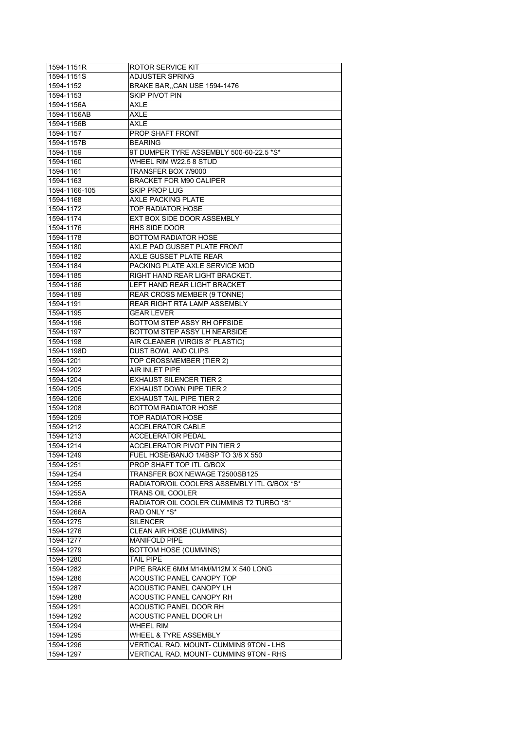| 1594-1151R    | ROTOR SERVICE KIT                           |
|---------------|---------------------------------------------|
| 1594-1151S    | <b>ADJUSTER SPRING</b>                      |
| 1594-1152     | BRAKE BAR, CAN USE 1594-1476                |
| 1594-1153     | <b>SKIP PIVOT PIN</b>                       |
| 1594-1156A    | AXLE                                        |
| 1594-1156AB   | AXLE                                        |
| 1594-1156B    | <b>AXLE</b>                                 |
| 1594-1157     | <b>PROP SHAFT FRONT</b>                     |
| 1594-1157B    | <b>BEARING</b>                              |
| 1594-1159     | 9T DUMPER TYRE ASSEMBLY 500-60-22.5 *S*     |
| 1594-1160     | WHEEL RIM W22.5 8 STUD                      |
| 1594-1161     | TRANSFER BOX 7/9000                         |
| 1594-1163     | <b>BRACKET FOR M90 CALIPER</b>              |
| 1594-1166-105 | <b>SKIP PROP LUG</b>                        |
| 1594-1168     | AXLE PACKING PLATE                          |
| 1594-1172     | TOP RADIATOR HOSE                           |
| 1594-1174     | EXT BOX SIDE DOOR ASSEMBLY                  |
| 1594-1176     | RHS SIDE DOOR                               |
| 1594-1178     | <b>BOTTOM RADIATOR HOSE</b>                 |
| 1594-1180     | AXLE PAD GUSSET PLATE FRONT                 |
| 1594-1182     | AXLE GUSSET PLATE REAR                      |
| 1594-1184     | PACKING PLATE AXLE SERVICE MOD              |
| 1594-1185     | RIGHT HAND REAR LIGHT BRACKET.              |
| 1594-1186     | LEFT HAND REAR LIGHT BRACKET                |
| 1594-1189     | <b>REAR CROSS MEMBER (9 TONNE)</b>          |
| 1594-1191     | REAR RIGHT RTA LAMP ASSEMBLY                |
| 1594-1195     | <b>GEAR LEVER</b>                           |
| 1594-1196     | BOTTOM STEP ASSY RH OFFSIDE                 |
| 1594-1197     | BOTTOM STEP ASSY LH NEARSIDE                |
| 1594-1198     | AIR CLEANER (VIRGIS 8" PLASTIC)             |
| 1594-1198D    | <b>DUST BOWL AND CLIPS</b>                  |
| 1594-1201     | TOP CROSSMEMBER (TIER 2)                    |
| 1594-1202     | AIR INLET PIPE                              |
| 1594-1204     | <b>EXHAUST SILENCER TIER 2</b>              |
| 1594-1205     | <b>EXHAUST DOWN PIPE TIER 2</b>             |
| 1594-1206     | <b>EXHAUST TAIL PIPE TIER 2</b>             |
| 1594-1208     | <b>BOTTOM RADIATOR HOSE</b>                 |
| 1594-1209     | <b>TOP RADIATOR HOSE</b>                    |
| 1594-1212     | <b>ACCELERATOR CABLE</b>                    |
| 1594-1213     | ACCELERATOR PEDAL                           |
| 1594-1214     | <b>ACCELERATOR PIVOT PIN TIER 2</b>         |
| 1594-1249     | FUEL HOSE/BANJO 1/4BSP TO 3/8 X 550         |
| 1594-1251     | PROP SHAFT TOP ITL G/BOX                    |
| 1594-1254     | TRANSFER BOX NEWAGE T2500SB125              |
| 1594-1255     | RADIATOR/OIL COOLERS ASSEMBLY ITL G/BOX *S* |
| 1594-1255A    | TRANS OIL COOLER                            |
| 1594-1266     | RADIATOR OIL COOLER CUMMINS T2 TURBO *S*    |
| 1594-1266A    | RAD ONLY *S*                                |
| 1594-1275     | <b>SILENCER</b>                             |
| 1594-1276     | CLEAN AIR HOSE (CUMMINS)                    |
| 1594-1277     | <b>MANIFOLD PIPE</b>                        |
| 1594-1279     | <b>BOTTOM HOSE (CUMMINS)</b>                |
| 1594-1280     | <b>TAIL PIPE</b>                            |
| 1594-1282     | PIPE BRAKE 6MM M14M/M12M X 540 LONG         |
| 1594-1286     | ACOUSTIC PANEL CANOPY TOP                   |
| 1594-1287     | ACOUSTIC PANEL CANOPY LH                    |
| 1594-1288     | ACOUSTIC PANEL CANOPY RH                    |
| 1594-1291     | ACOUSTIC PANEL DOOR RH                      |
| 1594-1292     | ACOUSTIC PANEL DOOR LH                      |
|               | WHEEL RIM                                   |
| 1594-1294     |                                             |
| 1594-1295     | WHEEL & TYRE ASSEMBLY                       |
| 1594-1296     | VERTICAL RAD. MOUNT- CUMMINS 9TON - LHS     |
| 1594-1297     | VERTICAL RAD. MOUNT- CUMMINS 9TON - RHS     |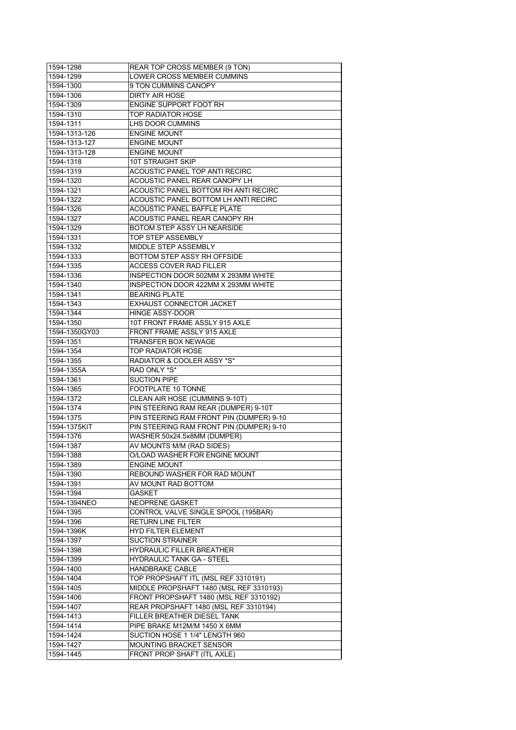| 1594-1298              | REAR TOP CROSS MEMBER (9 TON)                          |
|------------------------|--------------------------------------------------------|
| 1594-1299              | LOWER CROSS MEMBER CUMMINS                             |
| 1594-1300              | 9 TON CUMMINS CANOPY                                   |
| 1594-1306              | <b>DIRTY AIR HOSE</b>                                  |
| 1594-1309              | ENGINE SUPPORT FOOT RH                                 |
| 1594-1310              | <b>TOP RADIATOR HOSE</b>                               |
| 1594-1311              | LHS DOOR CUMMINS                                       |
| 1594-1313-126          | <b>ENGINE MOUNT</b>                                    |
| 1594-1313-127          | <b>ENGINE MOUNT</b>                                    |
| 1594-1313-128          | <b>ENGINE MOUNT</b>                                    |
| 1594-1318              | 10T STRAIGHT SKIP                                      |
| 1594-1319              | ACOUSTIC PANEL TOP ANTI RECIRC                         |
| 1594-1320              | ACOUSTIC PANEL REAR CANOPY LH                          |
| 1594-1321              | ACOUSTIC PANEL BOTTOM RH ANTI RECIRC                   |
| 1594-1322              | ACOUSTIC PANEL BOTTOM LH ANTI RECIRC                   |
| 1594-1326              | ACOUSTIC PANEL BAFFLE PLATE                            |
| 1594-1327              | ACOUSTIC PANEL REAR CANOPY RH                          |
| 1594-1329              | BOTOM STEP ASSY LH NEARSIDE                            |
| 1594-1331              | TOP STEP ASSEMBLY                                      |
| 1594-1332              | MIDDLE STEP ASSEMBLY                                   |
| 1594-1333              | BOTTOM STEP ASSY RH OFFSIDE                            |
| 1594-1335              | <b>ACCESS COVER RAD FILLER</b>                         |
| 1594-1336              | INSPECTION DOOR 502MM X 293MM WHITE                    |
| 1594-1340              | INSPECTION DOOR 422MM X 293MM WHITE                    |
| 1594-1341              | <b>BEARING PLATE</b>                                   |
| 1594-1343              | <b>EXHAUST CONNECTOR JACKET</b>                        |
| 1594-1344              | HINGE ASSY-DOOR                                        |
| 1594-1350              | 10T FRONT FRAME ASSLY 915 AXLE                         |
| 1594-1350GY03          | FRONT FRAME ASSLY 915 AXLE                             |
| 1594-1351              | <b>TRANSFER BOX NEWAGE</b>                             |
| 1594-1354              | TOP RADIATOR HOSE                                      |
|                        |                                                        |
|                        |                                                        |
| 1594-1355              | RADIATOR & COOLER ASSY *S*                             |
| 1594-1355A             | RAD ONLY *S*                                           |
| 1594-1361              | <b>SUCTION PIPE</b>                                    |
| 1594-1365              | FOOTPLATE 10 TONNE                                     |
| 1594-1372              | CLEAN AIR HOSE (CUMMINS 9-10T)                         |
| 1594-1374              | PIN STEERING RAM REAR (DUMPER) 9-10T                   |
| 1594-1375              | PIN STEERING RAM FRONT PIN (DUMPER) 9-10               |
| 1594-1375KIT           | PIN STEERING RAM FRONT PIN (DUMPER) 9-10               |
| 1594-1376              | WASHER 50x24.5x8MM (DUMPER)                            |
| 1594-1387              | AV MOUNTS M/M (RAD SIDES)                              |
| 1594-1388              | O/LOAD WASHER FOR ENGINE MOUNT                         |
| 1594-1389              | <b>ENGINE MOUNT</b>                                    |
| 1594-1390              | REBOUND WASHER FOR RAD MOUNT<br>AV MOUNT RAD BOTTOM    |
| 1594-1391              |                                                        |
| 1594-1394              | <b>GASKET</b>                                          |
| 1594-1394NEO           | <b>NEOPRENE GASKET</b>                                 |
| 1594-1395              | CONTROL VALVE SINGLE SPOOL (195BAR)                    |
| 1594-1396              | <b>RETURN LINE FILTER</b>                              |
| 1594-1396K             | <b>HYD FILTER ELEMENT</b>                              |
| 1594-1397              | <b>SUCTION STRAINER</b>                                |
| 1594-1398              | <b>HYDRAULIC FILLER BREATHER</b>                       |
| 1594-1399              | <b>HYDRAULIC TANK GA - STEEL</b>                       |
| 1594-1400              | <b>HANDBRAKE CABLE</b>                                 |
| 1594-1404              | TOP PROPSHAFT ITL (MSL REF 3310191)                    |
| 1594-1405              | MIDDLE PROPSHAFT 1480 (MSL REF 3310193)                |
| 1594-1406              | FRONT PROPSHAFT 1480 (MSL REF 3310192)                 |
| 1594-1407              | REAR PROPSHAFT 1480 (MSL REF 3310194)                  |
| 1594-1413              | FILLER BREATHER DIESEL TANK                            |
| 1594-1414              | PIPE BRAKE M12M/M 1450 X 6MM                           |
| 1594-1424              | SUCTION HOSE 1 1/4" LENGTH 960                         |
| 1594-1427<br>1594-1445 | MOUNTING BRACKET SENSOR<br>FRONT PROP SHAFT (ITL AXLE) |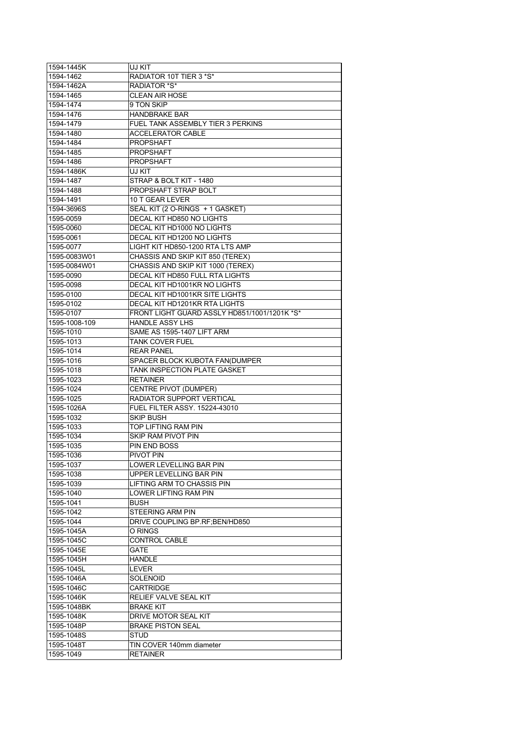| 1594-1445K    | UJ KIT                                       |
|---------------|----------------------------------------------|
| 1594-1462     | RADIATOR 10T TIER 3 *S*                      |
| 1594-1462A    | <b>RADIATOR *S*</b>                          |
| 1594-1465     | <b>CLEAN AIR HOSE</b>                        |
| 1594-1474     | 9 TON SKIP                                   |
| 1594-1476     | <b>HANDBRAKE BAR</b>                         |
| 1594-1479     | FUEL TANK ASSEMBLY TIER 3 PERKINS            |
| 1594-1480     | <b>ACCELERATOR CABLE</b>                     |
| 1594-1484     | <b>PROPSHAFT</b>                             |
| 1594-1485     | <b>PROPSHAFT</b>                             |
| 1594-1486     | <b>PROPSHAFT</b>                             |
| 1594-1486K    | UJ KIT                                       |
| 1594-1487     | STRAP & BOLT KIT - 1480                      |
| 1594-1488     | PROPSHAFT STRAP BOLT                         |
| 1594-1491     | 10 T GEAR LEVER                              |
| 1594-3696S    | SEAL KIT (2 O-RINGS + 1 GASKET)              |
| 1595-0059     | DECAL KIT HD850 NO LIGHTS                    |
| 1595-0060     | DECAL KIT HD1000 NO LIGHTS                   |
| 1595-0061     | DECAL KIT HD1200 NO LIGHTS                   |
| 1595-0077     | LIGHT KIT HD850-1200 RTA LTS AMP             |
| 1595-0083W01  | CHASSIS AND SKIP KIT 850 (TEREX)             |
| 1595-0084W01  | CHASSIS AND SKIP KIT 1000 (TEREX)            |
| 1595-0090     | DECAL KIT HD850 FULL RTA LIGHTS              |
| 1595-0098     | DECAL KIT HD1001KR NO LIGHTS                 |
| 1595-0100     | DECAL KIT HD1001KR SITE LIGHTS               |
| 1595-0102     | DECAL KIT HD1201KR RTA LIGHTS                |
| 1595-0107     | FRONT LIGHT GUARD ASSLY HD851/1001/1201K *S* |
| 1595-1008-109 | <b>HANDLE ASSY LHS</b>                       |
| 1595-1010     | SAME AS 1595-1407 LIFT ARM                   |
| 1595-1013     | TANK COVER FUEL                              |
| 1595-1014     | <b>REAR PANEL</b>                            |
| 1595-1016     | SPACER BLOCK KUBOTA FAN(DUMPER               |
| 1595-1018     | TANK INSPECTION PLATE GASKET                 |
| 1595-1023     | <b>RETAINER</b>                              |
| 1595-1024     | CENTRE PIVOT (DUMPER)                        |
| 1595-1025     | RADIATOR SUPPORT VERTICAL                    |
| 1595-1026A    | <b>FUEL FILTER ASSY, 15224-43010</b>         |
| 1595-1032     | SKIP BUSH                                    |
| 1595-1033     | TOP LIFTING RAM PIN                          |
| 1595-1034     | SKIP RAM PIVOT PIN                           |
| 1595-1035     | PIN END BOSS                                 |
| 1595-1036     | <b>PIVOT PIN</b>                             |
|               | <b>LOWER LEVELLING BAR PIN</b>               |
| 1595-1037     |                                              |
| 1595-1038     | UPPER LEVELLING BAR PIN                      |
| 1595-1039     | LIFTING ARM TO CHASSIS PIN                   |
| 1595-1040     | <b>LOWER LIFTING RAM PIN</b>                 |
| 1595-1041     | <b>BUSH</b>                                  |
| 1595-1042     | <b>STEERING ARM PIN</b>                      |
| 1595-1044     | DRIVE COUPLING BP.RF; BEN/HD850              |
| 1595-1045A    | o rings                                      |
| 1595-1045C    | CONTROL CABLE                                |
| 1595-1045E    | GATE                                         |
| 1595-1045H    | <b>HANDLE</b>                                |
| 1595-1045L    | <b>LEVER</b>                                 |
| 1595-1046A    | SOLENOID                                     |
| 1595-1046C    | <b>CARTRIDGE</b>                             |
| 1595-1046K    | RELIEF VALVE SEAL KIT                        |
| 1595-1048BK   | <b>BRAKE KIT</b>                             |
| 1595-1048K    | DRIVE MOTOR SEAL KIT                         |
| 1595-1048P    | <b>BRAKE PISTON SEAL</b>                     |
| 1595-1048S    | STUD                                         |
| 1595-1048T    | TIN COVER 140mm diameter                     |
| 1595-1049     | <b>RETAINER</b>                              |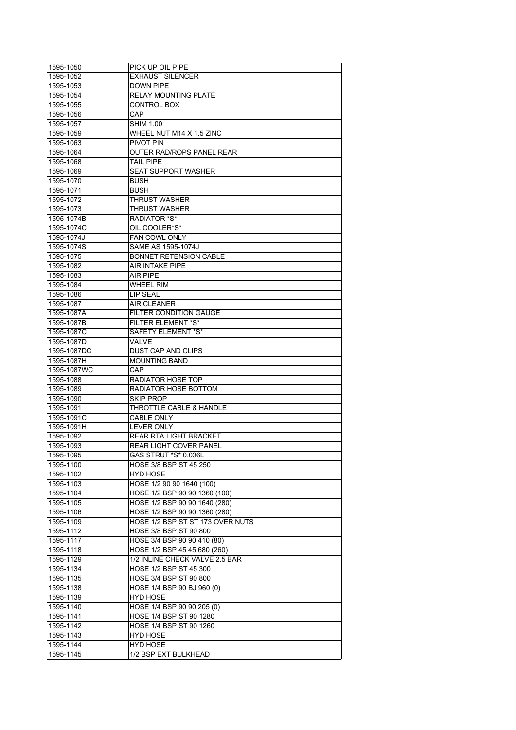| 1595-1050              | PICK UP OIL PIPE                   |
|------------------------|------------------------------------|
| 1595-1052              | <b>EXHAUST SILENCER</b>            |
| 1595-1053              | <b>DOWN PIPE</b>                   |
| 1595-1054              | <b>RELAY MOUNTING PLATE</b>        |
| 1595-1055              | CONTROL BOX                        |
| 1595-1056              | CAP.                               |
| 1595-1057              | <b>SHIM 1.00</b>                   |
| 1595-1059              | WHEEL NUT M14 X 1.5 ZINC           |
| 1595-1063              | PIVOT PIN                          |
| 1595-1064              | OUTER RAD/ROPS PANEL REAR          |
| 1595-1068              | TAIL PIPE                          |
| 1595-1069              | <b>SEAT SUPPORT WASHER</b>         |
| 1595-1070              | <b>BUSH</b>                        |
| 1595-1071              | <b>BUSH</b>                        |
| 1595-1072              | THRUST WASHER                      |
| 1595-1073              | THRUST WASHER                      |
| 1595-1074B             | RADIATOR *S*                       |
| 1595-1074C             | OIL COOLER*S*                      |
| 1595-1074J             | <b>FAN COWL ONLY</b>               |
| 1595-1074S             | SAME AS 1595-1074J                 |
| 1595-1075              | <b>BONNET RETENSION CABLE</b>      |
| 1595-1082              | AIR INTAKE PIPE                    |
| 1595-1083              | <b>AIR PIPE</b>                    |
| 1595-1084              | <b>WHEEL RIM</b>                   |
| 1595-1086              | LIP SEAL                           |
| 1595-1087              | <b>AIR CLEANER</b>                 |
| 1595-1087A             | <b>FILTER CONDITION GAUGE</b>      |
| 1595-1087B             | FILTER ELEMENT *S*                 |
| 1595-1087C             | SAFETY ELEMENT *S*                 |
| 1595-1087D             | VALVE                              |
| 1595-1087DC            | DUST CAP AND CLIPS                 |
| 1595-1087H             | <b>MOUNTING BAND</b>               |
| 1595-1087WC            | CAP.                               |
|                        |                                    |
|                        |                                    |
| 1595-1088              | RADIATOR HOSE TOP                  |
| 1595-1089              | RADIATOR HOSE BOTTOM               |
| 1595-1090              | <b>SKIP PROP</b>                   |
| 1595-1091              | <b>THROTTLE CABLE &amp; HANDLE</b> |
| 1595-1091C             | CABLE ONLY                         |
| 1595-1091H             | <b>LEVER ONLY</b>                  |
| 1595-1092              | <b>REAR RTA LIGHT BRACKET</b>      |
| 1595-1093              | <b>REAR LIGHT COVER PANEL</b>      |
| 1595-1095              | GAS STRUT *S* 0.036L               |
| 1595-1100              | HOSE 3/8 BSP ST 45 250             |
| 1595-1102              | HYD HOSE                           |
| 1595-1103              | HOSE 1/2 90 90 1640 (100)          |
| 1595-1104              | HOSE 1/2 BSP 90 90 1360 (100)      |
| 1595-1105              | HOSE 1/2 BSP 90 90 1640 (280)      |
| 1595-1106              | HOSE 1/2 BSP 90 90 1360 (280)      |
| 1595-1109              | HOSE 1/2 BSP ST ST 173 OVER NUTS   |
| 1595-1112              | HOSE 3/8 BSP ST 90 800             |
| 1595-1117              | HOSE 3/4 BSP 90 90 410 (80)        |
| 1595-1118              | HOSE 1/2 BSP 45 45 680 (260)       |
| 1595-1129              | 1/2 INLINE CHECK VALVE 2.5 BAR     |
| 1595-1134              | HOSE 1/2 BSP ST 45 300             |
| 1595-1135              | HOSE 3/4 BSP ST 90 800             |
| 1595-1138              | HOSE 1/4 BSP 90 BJ 960 (0)         |
| 1595-1139              | <b>HYD HOSE</b>                    |
| 1595-1140              | HOSE 1/4 BSP 90 90 205 (0)         |
| 1595-1141              | HOSE 1/4 BSP ST 90 1280            |
| 1595-1142              | HOSE 1/4 BSP ST 90 1260            |
| 1595-1143              | <b>HYD HOSE</b>                    |
| 1595-1144<br>1595-1145 | HYD HOSE<br>1/2 BSP EXT BULKHEAD   |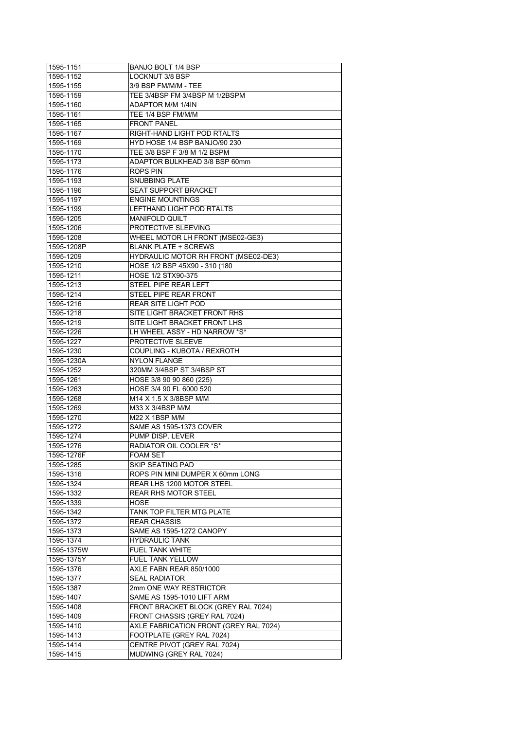| 1595-1151     | <b>BANJO BOLT 1/4 BSP</b>              |
|---------------|----------------------------------------|
| 1595-1152     | LOCKNUT 3/8 BSP                        |
| 1595-1155     | 3/9 BSP FM/M/M - TEE                   |
| 1595-1159     | TEE 3/4BSP FM 3/4BSP M 1/2BSPM         |
| 1595-1160     | ADAPTOR M/M 1/4IN                      |
| 1595-1161     | TEE 1/4 BSP FM/M/M                     |
| 1595-1165     | <b>FRONT PANEL</b>                     |
| 1595-1167     | RIGHT-HAND LIGHT POD RTALTS            |
| 1595-1169     | HYD HOSE 1/4 BSP BANJO/90 230          |
| 1595-1170     | TEE 3/8 BSP F 3/8 M 1/2 BSPM           |
| 1595-1173     | ADAPTOR BULKHEAD 3/8 BSP 60mm          |
| 1595-1176     | ROPS PIN                               |
| 1595-1193     | <b>SNUBBING PLATE</b>                  |
| 1595-1196     | <b>SEAT SUPPORT BRACKET</b>            |
| 1595-1197     | <b>ENGINE MOUNTINGS</b>                |
| 1595-1199     | LEFTHAND LIGHT POD RTALTS              |
| 1595-1205     | <b>MANIFOLD QUILT</b>                  |
| 1595-1206     | PROTECTIVE SLEEVING                    |
| 1595-1208     | WHEEL MOTOR LH FRONT (MSE02-GE3)       |
| 1595-1208P    | <b>BLANK PLATE + SCREWS</b>            |
| 1595-1209     | HYDRAULIC MOTOR RH FRONT (MSE02-DE3)   |
| 1595-1210     | HOSE 1/2 BSP 45X90 - 310 (180          |
| 1595-1211     | HOSE 1/2 STX90-375                     |
| 1595-1213     | <b>STEEL PIPE REAR LEFT</b>            |
| 1595-1214     | STEEL PIPE REAR FRONT                  |
| 1595-1216     | <b>REAR SITE LIGHT POD</b>             |
| 1595-1218     | SITE LIGHT BRACKET FRONT RHS           |
| 1595-1219     | SITE LIGHT BRACKET FRONT LHS           |
| 1595-1226     | LH WHEEL ASSY - HD NARROW *S*          |
| 1595-1227     | PROTECTIVE SLEEVE                      |
| 1595-1230     | COUPLING - KUBOTA / REXROTH            |
| 1595-1230A    | <b>NYLON FLANGE</b>                    |
| 1595-1252     | 320MM 3/4BSP ST 3/4BSP ST              |
| 1595-1261     | HOSE 3/8 90 90 860 (225)               |
| 1595-1263     | HOSE 3/4 90 FL 6000 520                |
| 1595-1268     | M14 X 1.5 X 3/8BSP M/M                 |
| 1595-1269     | M33 X 3/4BSP M/M                       |
| 1595-1270     | M22 X 1BSP M/M                         |
| 1595-1272     | SAME AS 1595-1373 COVER                |
| 1595-1274     | PUMP DISP. LEVER                       |
| 1595-1276     | RADIATOR OIL COOLER *S*                |
| 1595-1276F    | <b>FOAM SET</b>                        |
| 1595-1285     | SKIP SEATING PAD                       |
| 1595-1316     | ROPS PIN MINI DUMPER X 60mm LONG       |
| 1595-1324     | REAR LHS 1200 MOTOR STEEL              |
| 1595-1332     | <b>REAR RHS MOTOR STEEL</b>            |
| 1595-1339     | <b>HOSE</b>                            |
| 1595-1342     | TANK TOP FILTER MTG PLATE              |
| 1595-1372     | <b>REAR CHASSIS</b>                    |
| 1595-1373     | SAME AS 1595-1272 CANOPY               |
| 1595-1374     | <b>HYDRAULIC TANK</b>                  |
| 1595-1375W    | <b>FUEL TANK WHITE</b>                 |
| 1595-1375Y    | FUEL TANK YELLOW                       |
| 1595-1376     | AXLE FABN REAR 850/1000                |
| 1595-1377     | <b>SEAL RADIATOR</b>                   |
| 1595-1387     | 2mm ONE WAY RESTRICTOR                 |
| 1595-1407     | SAME AS 1595-1010 LIFT ARM             |
| 1595-1408     | FRONT BRACKET BLOCK (GREY RAL 7024)    |
| 1595-1409     | FRONT CHASSIS (GREY RAL 7024)          |
| 1595-1410     | AXLE FABRICATION FRONT (GREY RAL 7024) |
| 1595-1413     | FOOTPLATE (GREY RAL 7024)              |
| 1595-1414     | CENTRE PIVOT (GREY RAL 7024)           |
|               |                                        |
| $1595 - 1415$ | MUDWING (GREY RAL 7024)                |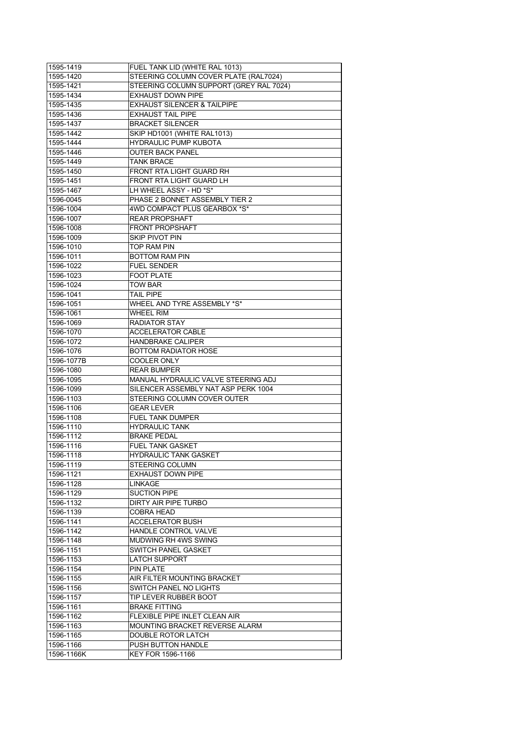| 1595-1419               | FUEL TANK LID (WHITE RAL 1013)          |
|-------------------------|-----------------------------------------|
| 1595-1420               | STEERING COLUMN COVER PLATE (RAL7024)   |
| 1595-1421               | STEERING COLUMN SUPPORT (GREY RAL 7024) |
| 1595-1434               | <b>EXHAUST DOWN PIPE</b>                |
| 1595-1435               | <b>EXHAUST SILENCER &amp; TAILPIPE</b>  |
| 1595-1436               | <b>EXHAUST TAIL PIPE</b>                |
| 1595-1437               | <b>BRACKET SILENCER</b>                 |
| 1595-1442               | SKIP HD1001 (WHITE RAL1013)             |
| 1595-1444               | HYDRAULIC PUMP KUBOTA                   |
| 1595-1446               | <b>OUTER BACK PANEL</b>                 |
| 1595-1449               | <b>TANK BRACE</b>                       |
| 1595-1450               | FRONT RTA LIGHT GUARD RH                |
| 1595-1451               | FRONT RTA LIGHT GUARD LH                |
| 1595-1467               | LH WHEEL ASSY - HD *S*                  |
| 1596-0045               | PHASE 2 BONNET ASSEMBLY TIER 2          |
| 1596-1004               | 4WD COMPACT PLUS GEARBOX *S*            |
| 1596-1007               | <b>REAR PROPSHAFT</b>                   |
| 1596-1008               | <b>FRONT PROPSHAFT</b>                  |
| 1596-1009               | <b>SKIP PIVOT PIN</b>                   |
| 1596-1010               | TOP RAM PIN                             |
| 1596-1011               | <b>BOTTOM RAM PIN</b>                   |
| 1596-1022               | <b>FUEL SENDER</b>                      |
| 1596-1023               | <b>FOOT PLATE</b>                       |
| 1596-1024               | <b>TOW BAR</b>                          |
| 1596-1041               | TAIL PIPE                               |
| 1596-1051               | WHEEL AND TYRE ASSEMBLY *S*             |
| 1596-1061               | <b>WHEEL RIM</b>                        |
| 1596-1069               | <b>RADIATOR STAY</b>                    |
| 1596-1070               | ACCELERATOR CABLE                       |
| 1596-1072               | HANDBRAKE CALIPER                       |
| 1596-1076               | BOTTOM RADIATOR HOSE                    |
| 1596-1077B              | COOLER ONLY                             |
|                         |                                         |
| 1596-1080               | <b>REAR BUMPER</b>                      |
| 1596-1095               | MANUAL HYDRAULIC VALVE STEERING ADJ     |
| 1596-1099               | SILENCER ASSEMBLY NAT ASP PERK 1004     |
| 1596-1103               | STEERING COLUMN COVER OUTER             |
| 1596-1106               | <b>GEAR LEVER</b>                       |
| 1596-1108               | <b>FUEL TANK DUMPER</b>                 |
| 1596-1110               | <b>HYDRAULIC TANK</b>                   |
| 1596-1112               | <b>BRAKE PEDAL</b>                      |
| 1596-1116               | <b>FUEL TANK GASKET</b>                 |
| 1596-1118               | HYDRAULIC TANK GASKET                   |
| 1596-1119               | STEERING COLUMN                         |
| 1596-1121               | <b>EXHAUST DOWN PIPE</b>                |
| 1596-1128               | LINKAGE                                 |
| 1596-1129               | <b>SUCTION PIPE</b>                     |
| 1596-1132               | DIRTY AIR PIPE TURBO                    |
| 1596-1139               | COBRA HEAD                              |
| 1596-1141               | ACCELERATOR BUSH                        |
| 1596-1142               | HANDLE CONTROL VALVE                    |
| 1596-1148               | <b>MUDWING RH 4WS SWING</b>             |
| 1596-1151               | SWITCH PANEL GASKET                     |
| 1596-1153               | LATCH SUPPORT                           |
| 1596-1154               | PIN PLATE                               |
| 1596-1155               | AIR FILTER MOUNTING BRACKET             |
| 1596-1156               | SWITCH PANEL NO LIGHTS                  |
| 1596-1157               | TIP LEVER RUBBER BOOT                   |
| 1596-1161               | <b>BRAKE FITTING</b>                    |
| 1596-1162               | FLEXIBLE PIPE INLET CLEAN AIR           |
| 1596-1163               | MOUNTING BRACKET REVERSE ALARM          |
| 1596-1165               | DOUBLE ROTOR LATCH                      |
| 1596-1166<br>1596-1166K | PUSH BUTTON HANDLE<br>KEY FOR 1596-1166 |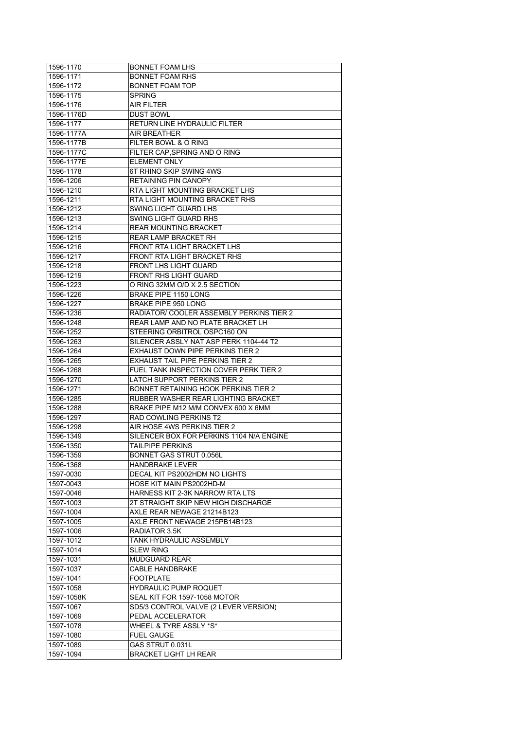| 1596-1170              | <b>BONNET FOAM LHS</b>                                            |
|------------------------|-------------------------------------------------------------------|
| 1596-1171              | <b>BONNET FOAM RHS</b>                                            |
| 1596-1172              | <b>BONNET FOAM TOP</b>                                            |
| 1596-1175              | <b>SPRING</b>                                                     |
| 1596-1176              | AIR FILTER                                                        |
| 1596-1176D             | <b>DUST BOWL</b>                                                  |
| 1596-1177              | RETURN LINE HYDRAULIC FILTER                                      |
| 1596-1177A             | <b>AIR BREATHER</b>                                               |
| 1596-1177B             | FILTER BOWL & O RING                                              |
| 1596-1177C             | FILTER CAP, SPRING AND O RING                                     |
| 1596-1177E             | <b>ELEMENT ONLY</b>                                               |
| 1596-1178              | 6T RHINO SKIP SWING 4WS                                           |
| 1596-1206              | RETAINING PIN CANOPY                                              |
| 1596-1210              | RTA LIGHT MOUNTING BRACKET LHS                                    |
| 1596-1211              | RTA LIGHT MOUNTING BRACKET RHS                                    |
| 1596-1212              | SWING LIGHT GUARD LHS                                             |
| 1596-1213              | SWING LIGHT GUARD RHS                                             |
| 1596-1214              | <b>REAR MOUNTING BRACKET</b>                                      |
| 1596-1215              | REAR LAMP BRACKET RH                                              |
| 1596-1216              | FRONT RTA LIGHT BRACKET LHS                                       |
| 1596-1217              | FRONT RTA LIGHT BRACKET RHS                                       |
| 1596-1218              | FRONT LHS LIGHT GUARD                                             |
| 1596-1219              | <b>FRONT RHS LIGHT GUARD</b>                                      |
| 1596-1223              | O RING 32MM O/D X 2.5 SECTION                                     |
| 1596-1226              | <b>BRAKE PIPE 1150 LONG</b>                                       |
| 1596-1227              | <b>BRAKE PIPE 950 LONG</b>                                        |
| 1596-1236              | RADIATOR/ COOLER ASSEMBLY PERKINS TIER 2                          |
| 1596-1248              | REAR LAMP AND NO PLATE BRACKET LH                                 |
| 1596-1252              | STEERING ORBITROL OSPC160 ON                                      |
| 1596-1263              | SILENCER ASSLY NAT ASP PERK 1104-44 T2                            |
| 1596-1264              | <b>EXHAUST DOWN PIPE PERKINS TIER 2</b>                           |
| 1596-1265              | <b>EXHAUST TAIL PIPE PERKINS TIER 2</b>                           |
| 1596-1268              | FUEL TANK INSPECTION COVER PERK TIER 2                            |
| 1596-1270              | LATCH SUPPORT PERKINS TIER 2                                      |
| 1596-1271              | <b>BONNET RETAINING HOOK PERKINS TIER 2</b>                       |
| 1596-1285              | RUBBER WASHER REAR LIGHTING BRACKET                               |
| 1596-1288              | BRAKE PIPE M12 M/M CONVEX 600 X 6MM                               |
| 1596-1297              | RAD COWLING PERKINS T2                                            |
| 1596-1298              | AIR HOSE 4WS PERKINS TIER 2                                       |
| 1596-1349              | SILENCER BOX FOR PERKINS 1104 N/A ENGINE                          |
| 1596-1350              | <b>TAILPIPE PERKINS</b>                                           |
| 1596-1359              | BONNET GAS STRUT 0.056L                                           |
|                        | <b>HANDBRAKE LEVER</b>                                            |
| 1596-1368              |                                                                   |
| 1597-0030              | DECAL KIT PS2002HDM NO LIGHTS<br>HOSE KIT MAIN PS2002HD-M         |
| 1597-0043              |                                                                   |
| 1597-0046              | HARNESS KIT 2-3K NARROW RTA LTS                                   |
| 1597-1003<br>1597-1004 | 2T STRAIGHT SKIP NEW HIGH DISCHARGE<br>AXLE REAR NEWAGE 21214B123 |
|                        |                                                                   |
| 1597-1005              | AXLE FRONT NEWAGE 215PB14B123                                     |
| 1597-1006              | RADIATOR 3.5K                                                     |
| 1597-1012<br>1597-1014 | TANK HYDRAULIC ASSEMBLY<br><b>SLEW RING</b>                       |
|                        |                                                                   |
| 1597-1031              | <b>MUDGUARD REAR</b>                                              |
| 1597-1037              | <b>CABLE HANDBRAKE</b>                                            |
| 1597-1041              | <b>FOOTPLATE</b>                                                  |
| 1597-1058              | <b>HYDRAULIC PUMP ROQUET</b>                                      |
| 1597-1058K             | SEAL KIT FOR 1597-1058 MOTOR                                      |
| 1597-1067              | SD5/3 CONTROL VALVE (2 LEVER VERSION)                             |
| 1597-1069              | PEDAL ACCELERATOR                                                 |
| 1597-1078              | WHEEL & TYRE ASSLY *S*                                            |
| 1597-1080              | <b>FUEL GAUGE</b>                                                 |
| 1597-1089              | GAS STRUT 0.031L                                                  |
| 1597-1094              | <b>BRACKET LIGHT LH REAR</b>                                      |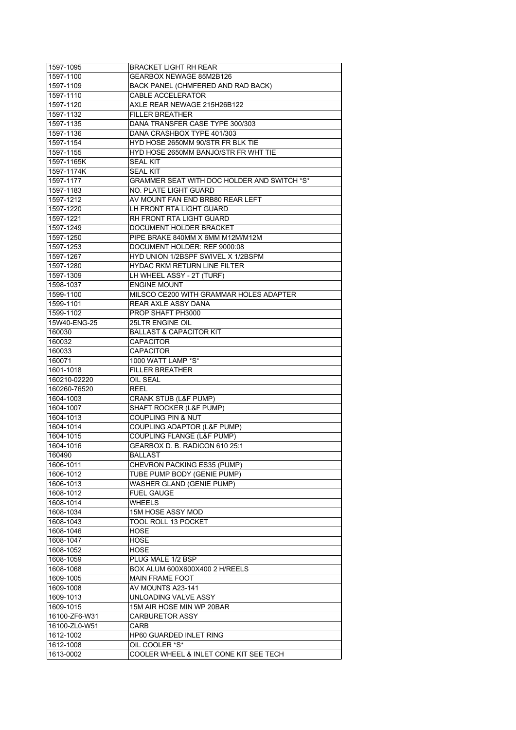| 1597-1095     | <b>BRACKET LIGHT RH REAR</b>                |
|---------------|---------------------------------------------|
| 1597-1100     | GEARBOX NEWAGE 85M2B126                     |
| 1597-1109     | BACK PANEL (CHMFERED AND RAD BACK)          |
| 1597-1110     | CABLE ACCELERATOR                           |
| 1597-1120     | AXLE REAR NEWAGE 215H26B122                 |
| 1597-1132     | <b>FILLER BREATHER</b>                      |
| 1597-1135     | DANA TRANSFER CASE TYPE 300/303             |
| 1597-1136     | DANA CRASHBOX TYPE 401/303                  |
| 1597-1154     | HYD HOSE 2650MM 90/STR FR BLK TIE           |
| 1597-1155     | HYD HOSE 2650MM BANJO/STR FR WHT TIE        |
| 1597-1165K    | <b>SEAL KIT</b>                             |
| 1597-1174K    | <b>SEAL KIT</b>                             |
| 1597-1177     | GRAMMER SEAT WITH DOC HOLDER AND SWITCH *S* |
| 1597-1183     | NO. PLATE LIGHT GUARD                       |
| 1597-1212     | AV MOUNT FAN END BRB80 REAR LEFT            |
| 1597-1220     | LH FRONT RTA LIGHT GUARD                    |
| 1597-1221     | RH FRONT RTA LIGHT GUARD                    |
| 1597-1249     | DOCUMENT HOLDER BRACKET                     |
| 1597-1250     | PIPE BRAKE 840MM X 6MM M12M/M12M            |
| 1597-1253     | DOCUMENT HOLDER: REF 9000:08                |
| 1597-1267     | HYD UNION 1/2BSPF SWIVEL X 1/2BSPM          |
| 1597-1280     | HYDAC RKM RETURN LINE FILTER                |
| 1597-1309     | LH WHEEL ASSY - 2T (TURF)                   |
| 1598-1037     | <b>ENGINE MOUNT</b>                         |
| 1599-1100     | MILSCO CE200 WITH GRAMMAR HOLES ADAPTER     |
| 1599-1101     | REAR AXLE ASSY DANA                         |
| 1599-1102     | PROP SHAFT PH3000                           |
| 15W40-ENG-25  | 25LTR ENGINE OIL                            |
| 160030        | <b>BALLAST &amp; CAPACITOR KIT</b>          |
| 160032        | <b>CAPACITOR</b>                            |
| 160033        | <b>CAPACITOR</b>                            |
| 160071        | 1000 WATT LAMP *S*                          |
| 1601-1018     | <b>FILLER BREATHER</b>                      |
| 160210-02220  | <b>OIL SEAL</b>                             |
| 160260-76520  | <b>REEL</b>                                 |
| 1604-1003     | CRANK STUB (L&F PUMP)                       |
| 1604-1007     | SHAFT ROCKER (L&F PUMP)                     |
| 1604-1013     | COUPLING PIN & NUT                          |
| 1604-1014     | COUPLING ADAPTOR (L&F PUMP)                 |
| 1604-1015     | COUPLING FLANGE (L&F PUMP)                  |
| 1604-1016     | GEARBOX D. B. RADICON 610 25:1              |
| 160490        | <b>BALLAST</b>                              |
| 1606-1011     | CHEVRON PACKING ES35 (PUMP)                 |
| 1606-1012     | TUBE PUMP BODY (GENIE PUMP)                 |
| 1606-1013     | WASHER GLAND (GENIE PUMP)                   |
| 1608-1012     | <b>FUEL GAUGE</b>                           |
| 1608-1014     | <b>WHEELS</b>                               |
| 1608-1034     | 15M HOSE ASSY MOD                           |
| 1608-1043     | TOOL ROLL 13 POCKET                         |
| 1608-1046     | <b>HOSE</b>                                 |
| 1608-1047     | <b>HOSE</b>                                 |
| 1608-1052     | HOSE                                        |
| 1608-1059     | PLUG MALE 1/2 BSP                           |
|               |                                             |
| 1608-1068     | BOX ALUM 600X600X400 2 H/REELS              |
| 1609-1005     | <b>MAIN FRAME FOOT</b>                      |
| 1609-1008     | AV MOUNTS A23-141                           |
| 1609-1013     | UNLOADING VALVE ASSY                        |
| 1609-1015     | 15M AIR HOSE MIN WP 20BAR                   |
| 16100-ZF6-W31 | <b>CARBURETOR ASSY</b>                      |
| 16100-ZL0-W51 | CARB                                        |
| 1612-1002     | HP60 GUARDED INLET RING                     |
| 1612-1008     | OIL COOLER *S*                              |
| 1613-0002     | COOLER WHEEL & INLET CONE KIT SEE TECH      |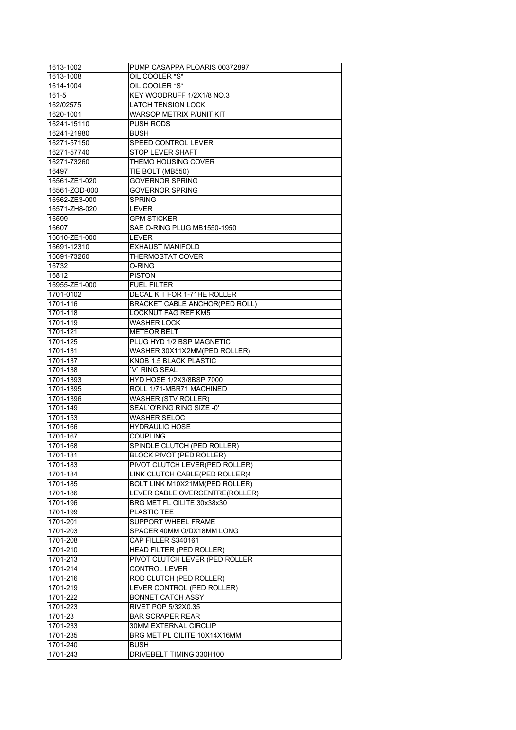| 1613-1002            | PUMP CASAPPA PLOARIS 00372897           |
|----------------------|-----------------------------------------|
| 1613-1008            | OIL COOLER *S*                          |
| 1614-1004            | OIL COOLER *S*                          |
| 161-5                | KEY WOODRUFF 1/2X1/8 NO.3               |
| 162/02575            | <b>LATCH TENSION LOCK</b>               |
| 1620-1001            | <b>WARSOP METRIX P/UNIT KIT</b>         |
| 16241-15110          | PUSH RODS                               |
| 16241-21980          | <b>BUSH</b>                             |
| 16271-57150          | SPEED CONTROL LEVER                     |
| 16271-57740          | <b>STOP LEVER SHAFT</b>                 |
| 16271-73260          | THEMO HOUSING COVER                     |
| 16497                | TIE BOLT (MB550)                        |
| 16561-ZE1-020        | <b>GOVERNOR SPRING</b>                  |
| 16561-ZOD-000        | <b>GOVERNOR SPRING</b>                  |
| 16562-ZE3-000        | <b>SPRING</b>                           |
| 16571-ZH8-020        | LEVER                                   |
| 16599                | <b>GPM STICKER</b>                      |
| 16607                | SAE O-RING PLUG MB1550-1950             |
| 16610-ZE1-000        | <b>LEVER</b>                            |
| 16691-12310          | <b>EXHAUST MANIFOLD</b>                 |
| 16691-73260          | THERMOSTAT COVER                        |
| 16732                | O-RING                                  |
| 16812                | <b>PISTON</b>                           |
| 16955-ZE1-000        | <b>FUEL FILTER</b>                      |
| 1701-0102            | DECAL KIT FOR 1-71HE ROLLER             |
| 1701-116             | BRACKET CABLE ANCHOR(PED ROLL)          |
| 1701-118             | <b>LOCKNUT FAG REF KM5</b>              |
| 1701-119             | <b>WASHER LOCK</b>                      |
| 1701-121             | <b>METEOR BELT</b>                      |
| 1701-125             | PLUG HYD 1/2 BSP MAGNETIC               |
| 1701-131             | WASHER 30X11X2MM(PED ROLLER)            |
| 1701-137             | KNOB 1.5 BLACK PLASTIC                  |
|                      |                                         |
|                      |                                         |
| 1701-138             | 'V' RING SEAL                           |
| 1701-1393            | HYD HOSE 1/2X3/8BSP 7000                |
| 1701-1395            | ROLL 1/71-MBR71 MACHINED                |
| 1701-1396            | <b>WASHER (STV ROLLER)</b>              |
| 1701-149             | SEAL'O'RING RING SIZE -0'               |
| 1701-153             | <b>WASHER SELOC</b>                     |
| 1701-166             | <b>HYDRAULIC HOSE</b>                   |
| 1701-167             | <b>COUPLING</b>                         |
| 1701-168             | SPINDLE CLUTCH (PED ROLLER)             |
| 1701-181             | <b>BLOCK PIVOT (PED ROLLER)</b>         |
| 1701-183             | PIVOT CLUTCH LEVER(PED ROLLER)          |
| 1701-184             | LINK CLUTCH CABLE(PED ROLLER)4          |
| 1701-185             | BOLT LINK M10X21MM(PED ROLLER)          |
| 1701-186             | LEVER CABLE OVERCENTRE(ROLLER)          |
| 1701-196             | BRG MET FL OILITE 30x38x30              |
| 1701-199             | PLASTIC TEE                             |
| 1701-201             | SUPPORT WHEEL FRAME                     |
| 1701-203             | SPACER 40MM O/DX18MM LONG               |
| 1701-208             | CAP FILLER S340161                      |
| 1701-210             | HEAD FILTER (PED ROLLER)                |
| 1701-213             | PIVOT CLUTCH LEVER (PED ROLLER          |
| 1701-214             | <b>CONTROL LEVER</b>                    |
| 1701-216             | ROD CLUTCH (PED ROLLER)                 |
| 1701-219             | LEVER CONTROL (PED ROLLER)              |
| 1701-222             | <b>BONNET CATCH ASSY</b>                |
| 1701-223             | RIVET POP 5/32X0.35                     |
| 1701-23              | <b>BAR SCRAPER REAR</b>                 |
| 1701-233             | 30MM EXTERNAL CIRCLIP                   |
| 1701-235             | BRG MET PL OILITE 10X14X16MM            |
| 1701-240<br>1701-243 | <b>BUSH</b><br>DRIVEBELT TIMING 330H100 |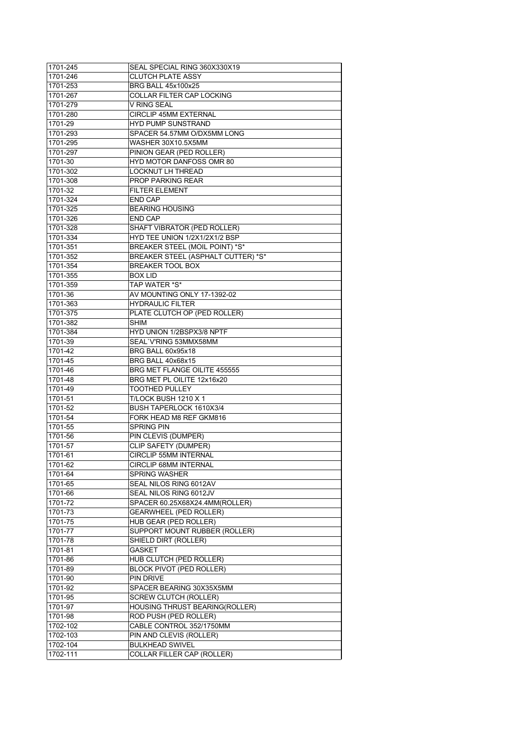| 1701-245             | SEAL SPECIAL RING 360X330X19       |
|----------------------|------------------------------------|
| 1701-246             | <b>CLUTCH PLATE ASSY</b>           |
| 1701-253             | <b>BRG BALL 45x100x25</b>          |
| 1701-267             | COLLAR FILTER CAP LOCKING          |
| 1701-279             | V RING SEAL                        |
| 1701-280             | <b>CIRCLIP 45MM EXTERNAL</b>       |
| 1701-29              | HYD PUMP SUNSTRAND                 |
| 1701-293             | SPACER 54.57MM O/DX5MM LONG        |
| 1701-295             | WASHER 30X10.5X5MM                 |
| 1701-297             | PINION GEAR (PED ROLLER)           |
| 1701-30              | HYD MOTOR DANFOSS OMR 80           |
| 1701-302             | <b>LOCKNUT LH THREAD</b>           |
| 1701-308             | <b>PROP PARKING REAR</b>           |
| 1701-32              | <b>FILTER ELEMENT</b>              |
|                      |                                    |
| 1701-324             | <b>END CAP</b>                     |
| 1701-325             | <b>BEARING HOUSING</b>             |
| 1701-326             | <b>END CAP</b>                     |
| 1701-328             | SHAFT VIBRATOR (PED ROLLER)        |
| 1701-334             | HYD TEE UNION 1/2X1/2X1/2 BSP      |
| 1701-351             | BREAKER STEEL (MOIL POINT) *S*     |
| 1701-352             | BREAKER STEEL (ASPHALT CUTTER) *S* |
| 1701-354             | <b>BREAKER TOOL BOX</b>            |
| 1701-355             | <b>BOX LID</b>                     |
| 1701-359             | TAP WATER *S*                      |
| 1701-36              | AV MOUNTING ONLY 17-1392-02        |
| 1701-363             | <b>HYDRAULIC FILTER</b>            |
| 1701-375             | PLATE CLUTCH OP (PED ROLLER)       |
| 1701-382             | <b>SHIM</b>                        |
| 1701-384             | HYD UNION 1/2BSPX3/8 NPTF          |
| 1701-39              | SEAL`V'RING 53MMX58MM              |
| 1701-42              | <b>BRG BALL 60x95x18</b>           |
| 1701-45              | <b>BRG BALL 40x68x15</b>           |
| 1701-46              | BRG MET FLANGE OILITE 455555       |
| 1701-48              | BRG MET PL OILITE 12x16x20         |
| 1701-49              | <b>TOOTHED PULLEY</b>              |
| 1701-51              | T/LOCK BUSH 1210 X 1               |
| 1701-52              | BUSH TAPERLOCK 1610X3/4            |
|                      | FORK HEAD M8 REF GKM816            |
| 1701-54              |                                    |
| 1701-55              | <b>SPRING PIN</b>                  |
| 1701-56              | PIN CLEVIS (DUMPER)                |
| 1701-57              | CLIP SAFETY (DUMPER)               |
| 1701-61              | CIRCLIP 55MM INTERNAL              |
| 1701-62              | CIRCLIP 68MM INTERNAL              |
| 1701-64              | SPRING WASHER                      |
| 1701-65              | SEAL NILOS RING 6012AV             |
| 1701-66              | SEAL NILOS RING 6012JV             |
| 1701-72              | SPACER 60.25X68X24.4MM(ROLLER)     |
| 1701-73              | <b>GEARWHEEL (PED ROLLER)</b>      |
| 1701-75              | HUB GEAR (PED ROLLER)              |
| 1701-77              | SUPPORT MOUNT RUBBER (ROLLER)      |
| 1701-78              | SHIELD DIRT (ROLLER)               |
| 1701-81              | <b>GASKET</b>                      |
| 1701-86              | HUB CLUTCH (PED ROLLER)            |
| 1701-89              | <b>BLOCK PIVOT (PED ROLLER)</b>    |
| 1701-90              | PIN DRIVE                          |
| 1701-92              | SPACER BEARING 30X35X5MM           |
| 1701-95              | <b>SCREW CLUTCH (ROLLER)</b>       |
| 1701-97              | HOUSING THRUST BEARING(ROLLER)     |
| 1701-98              | ROD PUSH (PED ROLLER)              |
| 1702-102             | CABLE CONTROL 352/1750MM           |
| 1702-103             | PIN AND CLEVIS (ROLLER)            |
|                      |                                    |
| 1702-104<br>1702-111 | <b>BULKHEAD SWIVEL</b>             |
|                      | COLLAR FILLER CAP (ROLLER)         |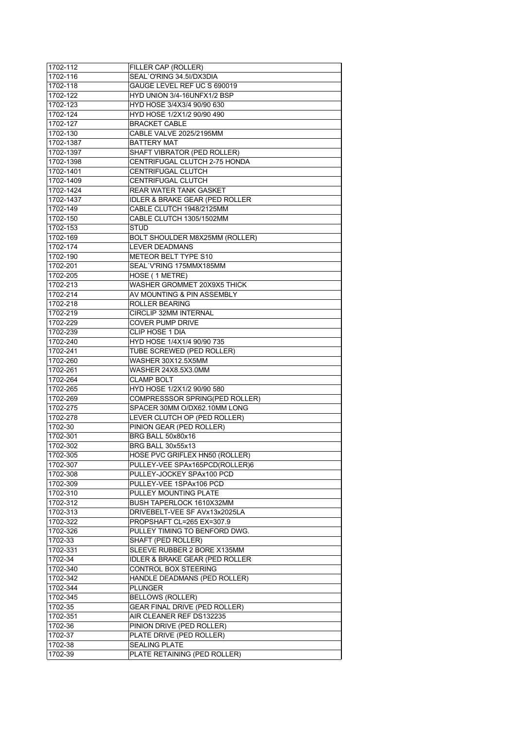| 1702-112                | FILLER CAP (ROLLER)                                  |
|-------------------------|------------------------------------------------------|
| 1702-116                | SEAL`O'RING 34.5I/DX3DIA                             |
| $\overline{1702} - 118$ | GAUGE LEVEL REF UC S 690019                          |
| 1702-122                | HYD UNION 3/4-16UNFX1/2 BSP                          |
| 1702-123                | HYD HOSE 3/4X3/4 90/90 630                           |
| 1702-124                | HYD HOSE 1/2X1/2 90/90 490                           |
| 1702-127                | <b>BRACKET CABLE</b>                                 |
| 1702-130                | CABLE VALVE 2025/2195MM                              |
| 1702-1387               | <b>BATTERY MAT</b>                                   |
| 1702-1397               | SHAFT VIBRATOR (PED ROLLER)                          |
| 1702-1398               | CENTRIFUGAL CLUTCH 2-75 HONDA                        |
| 1702-1401               | CENTRIFUGAL CLUTCH                                   |
| 1702-1409               | CENTRIFUGAL CLUTCH                                   |
| 1702-1424               | REAR WATER TANK GASKET                               |
| 1702-1437               | <b>IDLER &amp; BRAKE GEAR (PED ROLLER</b>            |
| 1702-149                | CABLE CLUTCH 1948/2125MM                             |
| 1702-150                | CABLE CLUTCH 1305/1502MM                             |
| 1702-153                | STUD                                                 |
| 1702-169                | BOLT SHOULDER M8X25MM (ROLLER)                       |
| 1702-174                | <b>LEVER DEADMANS</b>                                |
| 1702-190                | METEOR BELT TYPE S10                                 |
| 1702-201                | SEAL'V'RING 175MMX185MM                              |
| 1702-205                | HOSE (1 METRE)                                       |
| 1702-213                | WASHER GROMMET 20X9X5 THICK                          |
| 1702-214                | AV MOUNTING & PIN ASSEMBLY                           |
| 1702-218                | ROLLER BEARING                                       |
| 1702-219                | CIRCLIP 32MM INTERNAL                                |
| 1702-229                | <b>COVER PUMP DRIVE</b>                              |
| 1702-239                | CLIP HOSE 1 DIA                                      |
| 1702-240                | HYD HOSE 1/4X1/4 90/90 735                           |
| 1702-241                | TUBE SCREWED (PED ROLLER)                            |
|                         |                                                      |
|                         |                                                      |
| 1702-260                | WASHER 30X12.5X5MM                                   |
| 1702-261                | WASHER 24X8.5X3.0MM                                  |
| 1702-264                | CLAMP BOLT                                           |
| 1702-265                | HYD HOSE 1/2X1/2 90/90 580                           |
| 1702-269                | COMPRESSSOR SPRING(PED ROLLER)                       |
| 1702-275                | SPACER 30MM O/DX62.10MM LONG                         |
| 1702-278                | LEVER CLUTCH OP (PED ROLLER)                         |
| 1702-30                 | PINION GEAR (PED ROLLER)                             |
| 1702-301                | BRG BALL 50x80x16                                    |
| 1702-302                | BRG BALL 30x55x13                                    |
| 1702-305                | HOSE PVC GRIFLEX HN50 (ROLLER)                       |
| 1702-307                | PULLEY-VEE SPAx165PCD(ROLLER)6                       |
| 1702-308                | PULLEY-JOCKEY SPAx100 PCD                            |
| 1702-309                | PULLEY-VEE 1SPAx106 PCD                              |
| 1702-310                | PULLEY MOUNTING PLATE                                |
| 1702-312                | BUSH TAPERLOCK 1610X32MM                             |
| 1702-313                | DRIVEBELT-VEE SF AVx13x2025LA                        |
| 1702-322                | PROPSHAFT CL=265 EX=307.9                            |
| 1702-326                | PULLEY TIMING TO BENFORD DWG.                        |
| 1702-33                 | SHAFT (PED ROLLER)                                   |
| 1702-331                | SLEEVE RUBBER 2 BORE X135MM                          |
| 1702-34                 | <b>IDLER &amp; BRAKE GEAR (PED ROLLER</b>            |
| 1702-340                | CONTROL BOX STEERING                                 |
| 1702-342                | HANDLE DEADMANS (PED ROLLER)                         |
| 1702-344                | <b>PLUNGER</b>                                       |
| 1702-345                | <b>BELLOWS (ROLLER)</b>                              |
| 1702-35                 | GEAR FINAL DRIVE (PED ROLLER)                        |
| 1702-351                | AIR CLEANER REF DS132235                             |
| 1702-36                 | PINION DRIVE (PED ROLLER)                            |
| 1702-37                 | PLATE DRIVE (PED ROLLER)                             |
| 1702-38<br>1702-39      | <b>SEALING PLATE</b><br>PLATE RETAINING (PED ROLLER) |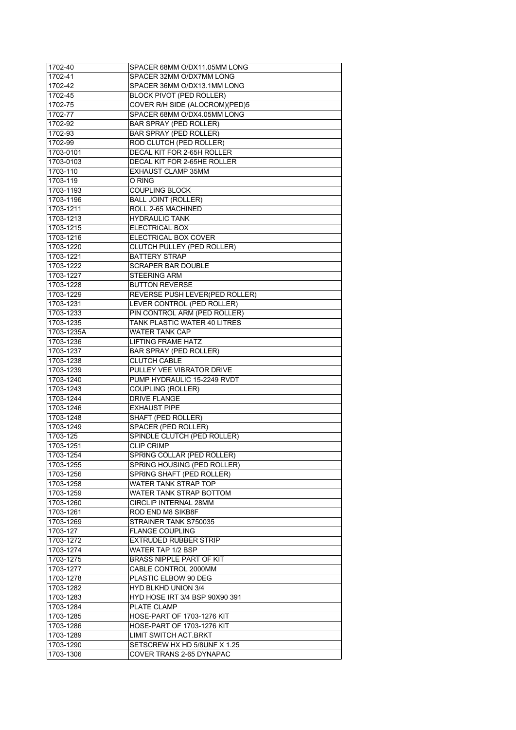| 1702-40    | SPACER 68MM O/DX11.05MM LONG      |
|------------|-----------------------------------|
| 1702-41    | SPACER 32MM O/DX7MM LONG          |
| 1702-42    | SPACER 36MM O/DX13.1MM LONG       |
| 1702-45    | <b>BLOCK PIVOT (PED ROLLER)</b>   |
| 1702-75    | COVER R/H SIDE (ALOCROM)(PED)5    |
| 1702-77    | SPACER 68MM O/DX4.05MM LONG       |
| 1702-92    | <b>BAR SPRAY (PED ROLLER)</b>     |
| 1702-93    | BAR SPRAY (PED ROLLER)            |
| 1702-99    | ROD CLUTCH (PED ROLLER)           |
| 1703-0101  | DECAL KIT FOR 2-65H ROLLER        |
| 1703-0103  | DECAL KIT FOR 2-65HE ROLLER       |
| 1703-110   | <b>EXHAUST CLAMP 35MM</b>         |
| 1703-119   | O RING                            |
| 1703-1193  | <b>COUPLING BLOCK</b>             |
| 1703-1196  | <b>BALL JOINT (ROLLER)</b>        |
| 1703-1211  | ROLL 2-65 MACHINED                |
| 1703-1213  | <b>HYDRAULIC TANK</b>             |
| 1703-1215  | ELECTRICAL BOX                    |
| 1703-1216  | ELECTRICAL BOX COVER              |
| 1703-1220  | CLUTCH PULLEY (PED ROLLER)        |
| 1703-1221  | <b>BATTERY STRAP</b>              |
| 1703-1222  | <b>SCRAPER BAR DOUBLE</b>         |
| 1703-1227  | <b>STEERING ARM</b>               |
| 1703-1228  | <b>BUTTON REVERSE</b>             |
| 1703-1229  | REVERSE PUSH LEVER(PED ROLLER)    |
| 1703-1231  | LEVER CONTROL (PED ROLLER)        |
| 1703-1233  | PIN CONTROL ARM (PED ROLLER)      |
| 1703-1235  | TANK PLASTIC WATER 40 LITRES      |
| 1703-1235A | <b>WATER TANK CAP</b>             |
| 1703-1236  | <b>LIFTING FRAME HATZ</b>         |
| 1703-1237  | <b>BAR SPRAY (PED ROLLER)</b>     |
| 1703-1238  | <b>CLUTCH CABLE</b>               |
| 1703-1239  | PULLEY VEE VIBRATOR DRIVE         |
| 1703-1240  | PUMP HYDRAULIC 15-2249 RVDT       |
| 1703-1243  | COUPLING (ROLLER)                 |
| 1703-1244  | DRIVE FLANGE                      |
| 1703-1246  | <b>EXHAUST PIPE</b>               |
| 1703-1248  | SHAFT (PED ROLLER)                |
| 1703-1249  | SPACER (PED ROLLER)               |
| 1703-125   | SPINDLE CLUTCH (PED ROLLER)       |
| 1703-1251  | <b>CLIP CRIMP</b>                 |
| 1703-1254  | SPRING COLLAR (PED ROLLER)        |
| 1703-1255  | SPRING HOUSING (PED ROLLER)       |
| 1703-1256  | SPRING SHAFT (PED ROLLER)         |
| 1703-1258  | WATER TANK STRAP TOP              |
| 1703-1259  | WATER TANK STRAP BOTTOM           |
| 1703-1260  | CIRCLIP INTERNAL 28MM             |
| 1703-1261  | ROD END M8 SIKB8F                 |
| 1703-1269  | STRAINER TANK S750035             |
| 1703-127   | <b>FLANGE COUPLING</b>            |
| 1703-1272  | <b>EXTRUDED RUBBER STRIP</b>      |
| 1703-1274  | WATER TAP 1/2 BSP                 |
| 1703-1275  | BRASS NIPPLE PART OF KIT          |
| 1703-1277  | CABLE CONTROL 2000MM              |
| 1703-1278  | PLASTIC ELBOW 90 DEG              |
| 1703-1282  | <b>HYD BLKHD UNION 3/4</b>        |
| 1703-1283  | HYD HOSE IRT 3/4 BSP 90X90 391    |
| 1703-1284  | PLATE CLAMP                       |
| 1703-1285  | HOSE-PART OF 1703-1276 KIT        |
| 1703-1286  | <b>HOSE-PART OF 1703-1276 KIT</b> |
| 1703-1289  | LIMIT SWITCH ACT.BRKT             |
| 1703-1290  | SETSCREW HX HD 5/8UNF X 1.25      |
| 1703-1306  | COVER TRANS 2-65 DYNAPAC          |
|            |                                   |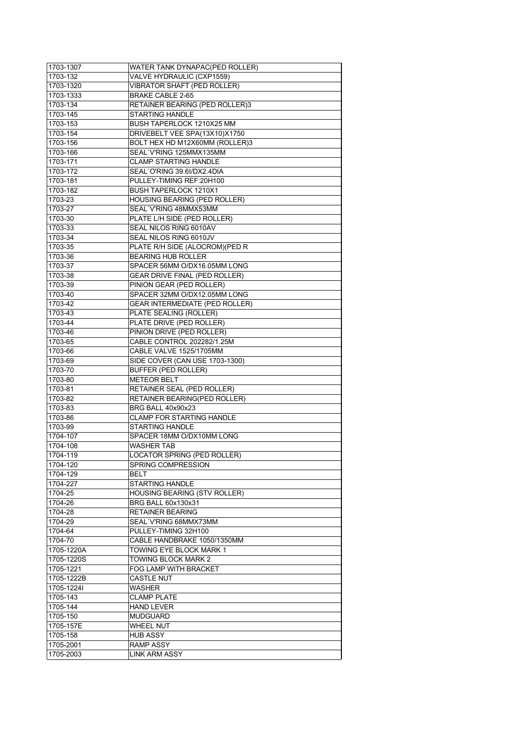| 1703-1307  | WATER TANK DYNAPAC(PED ROLLER)        |
|------------|---------------------------------------|
| 1703-132   | VALVE HYDRAULIC (CXP1559)             |
| 1703-1320  | <b>VIBRATOR SHAFT (PED ROLLER)</b>    |
| 1703-1333  | <b>BRAKE CABLE 2-65</b>               |
| 1703-134   | RETAINER BEARING (PED ROLLER)3        |
| 1703-145   | <b>STARTING HANDLE</b>                |
| 1703-153   | BUSH TAPERLOCK 1210X25 MM             |
| 1703-154   | DRIVEBELT VEE SPA(13X10)X1750         |
| 1703-156   | BOLT HEX HD M12X60MM (ROLLER)3        |
| 1703-166   | SEAL'V'RING 125MMX135MM               |
| 1703-171   | <b>CLAMP STARTING HANDLE</b>          |
| 1703-172   | SEAL'O'RING 39.6I/DX2.4DIA            |
| 1703-181   | PULLEY-TIMING REF:20H100              |
| 1703-182   | <b>BUSH TAPERLOCK 1210X1</b>          |
| 1703-23    | HOUSING BEARING (PED ROLLER)          |
| 1703-27    | SEAL'V'RING 48MMX53MM                 |
| 1703-30    | PLATE L/H SIDE (PED ROLLER)           |
| 1703-33    | SEAL NILOS RING 6010AV                |
| 1703-34    | SEAL NILOS RING 6010JV                |
| 1703-35    | PLATE R/H SIDE (ALOCROM)(PED R        |
| 1703-36    | <b>BEARING HUB ROLLER</b>             |
| 1703-37    | SPACER 56MM O/DX16.05MM LONG          |
| 1703-38    | <b>GEAR DRIVE FINAL (PED ROLLER)</b>  |
| 1703-39    | PINION GEAR (PED ROLLER)              |
| 1703-40    | SPACER 32MM O/DX12.05MM LONG          |
| 1703-42    | <b>GEAR INTERMEDIATE (PED ROLLER)</b> |
| 1703-43    | PLATE SEALING (ROLLER)                |
| 1703-44    | PLATE DRIVE (PED ROLLER)              |
| 1703-46    | PINION DRIVE (PED ROLLER)             |
| 1703-65    | CABLE CONTROL 202282/1.25M            |
| 1703-66    | CABLE VALVE 1525/1705MM               |
| 1703-69    | SIDE COVER (CAN USE 1703-1300)        |
| 1703-70    | BUFFER (PED ROLLER)                   |
| 1703-80    | <b>METEOR BELT</b>                    |
| 1703-81    | RETAINER SEAL (PED ROLLER)            |
| 1703-82    | RETAINER BEARING(PED ROLLER)          |
| 1703-83    | <b>BRG BALL 40x90x23</b>              |
| 1703-86    | <b>CLAMP FOR STARTING HANDLE</b>      |
| 1703-99    | <b>STARTING HANDLE</b>                |
| 1704-107   | SPACER 18MM O/DX10MM LONG             |
| 1704-108   | WASHER TAB                            |
| 1704-119   | LOCATOR SPRING (PED ROLLER)           |
| 1704-120   | SPRING COMPRESSION                    |
| 1704-129   | BELT                                  |
| 1704-227   | <b>STARTING HANDLE</b>                |
| 1704-25    | HOUSING BEARING (STV ROLLER)          |
| 1704-26    | <b>BRG BALL 60x130x31</b>             |
| 1704-28    | <b>RETAINER BEARING</b>               |
| 1704-29    | SEAL`V'RING 68MMX73MM                 |
| 1704-64    | PULLEY-TIMING 32H100                  |
| 1704-70    | CABLE HANDBRAKE 1050/1350MM           |
| 1705-1220A | TOWING EYE BLOCK MARK 1               |
| 1705-1220S | TOWING BLOCK MARK 2                   |
| 1705-1221  | FOG LAMP WITH BRACKET                 |
| 1705-1222B | <b>CASTLE NUT</b>                     |
| 1705-12241 | WASHER                                |
| 1705-143   | <b>CLAMP PLATE</b>                    |
| 1705-144   | <b>HAND LEVER</b>                     |
| 1705-150   | <b>MUDGUARD</b>                       |
| 1705-157E  | <b>WHEEL NUT</b>                      |
| 1705-158   | <b>HUB ASSY</b>                       |
| 1705-2001  | <b>RAMP ASSY</b>                      |
| 1705-2003  | <b>LINK ARM ASSY</b>                  |
|            |                                       |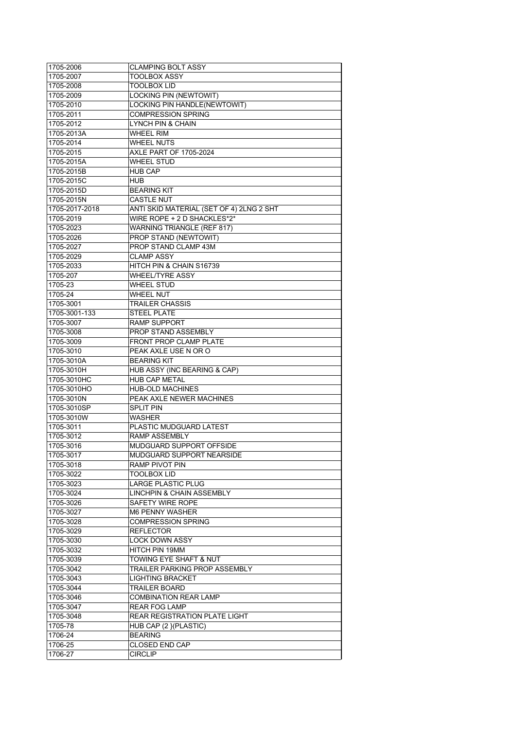| 1705-2006      | <b>CLAMPING BOLT ASSY</b>                |
|----------------|------------------------------------------|
| 1705-2007      | <b>TOOLBOX ASSY</b>                      |
| 1705-2008      | <b>TOOLBOX LID</b>                       |
| 1705-2009      | LOCKING PIN (NEWTOWIT)                   |
| 1705-2010      | LOCKING PIN HANDLE(NEWTOWIT)             |
| 1705-2011      | <b>COMPRESSION SPRING</b>                |
| 1705-2012      | <b>LYNCH PIN &amp; CHAIN</b>             |
| 1705-2013A     | <b>WHEEL RIM</b>                         |
| 1705-2014      | <b>WHEEL NUTS</b>                        |
| 1705-2015      | <b>AXLE PART OF 1705-2024</b>            |
| 1705-2015A     | <b>WHEEL STUD</b>                        |
| 1705-2015B     | <b>HUB CAP</b>                           |
|                |                                          |
| 1705-2015C     | <b>HUB</b>                               |
| 1705-2015D     | <b>BEARING KIT</b>                       |
| 1705-2015N     | <b>CASTLE NUT</b>                        |
| 1705-2017-2018 | ANTI SKID MATERIAL (SET OF 4) 2LNG 2 SHT |
| 1705-2019      | WIRE ROPE + 2 D SHACKLES*2*              |
| 1705-2023      | WARNING TRIANGLE (REF 817)               |
| 1705-2026      | PROP STAND (NEWTOWIT)                    |
| 1705-2027      | PROP STAND CLAMP 43M                     |
| 1705-2029      | <b>CLAMP ASSY</b>                        |
| 1705-2033      | HITCH PIN & CHAIN S16739                 |
| 1705-207       | <b>WHEEL/TYRE ASSY</b>                   |
| 1705-23        | WHEEL STUD                               |
| 1705-24        | <b>WHEEL NUT</b>                         |
| 1705-3001      | <b>TRAILER CHASSIS</b>                   |
| 1705-3001-133  | <b>STEEL PLATE</b>                       |
| 1705-3007      | <b>RAMP SUPPORT</b>                      |
| 1705-3008      | PROP STAND ASSEMBLY                      |
|                | FRONT PROP CLAMP PLATE                   |
| 1705-3009      |                                          |
| 1705-3010      | PEAK AXLE USE N OR O                     |
| 1705-3010A     | <b>BEARING KIT</b>                       |
| 1705-3010H     | HUB ASSY (INC BEARING & CAP)             |
| 1705-3010HC    | <b>HUB CAP METAL</b>                     |
| 1705-3010HO    | <b>HUB-OLD MACHINES</b>                  |
| 1705-3010N     | PEAK AXLE NEWER MACHINES                 |
| 1705-3010SP    | <b>SPLIT PIN</b>                         |
| 1705-3010W     | WASHER                                   |
| 1705-3011      | PLASTIC MUDGUARD LATEST                  |
| 1705-3012      | <b>RAMP ASSEMBLY</b>                     |
| 1705-3016      | MUDGUARD SUPPORT OFFSIDE                 |
| 1705-3017      | MUDGUARD SUPPORT NEARSIDE                |
| 1705-3018      | RAMP PIVOT PIN                           |
| 1705-3022      | TOOLBOX LID                              |
| 1705-3023      | <b>LARGE PLASTIC PLUG</b>                |
| 1705-3024      | <b>LINCHPIN &amp; CHAIN ASSEMBLY</b>     |
| 1705-3026      | SAFETY WIRE ROPE                         |
| 1705-3027      | M6 PENNY WASHER                          |
| 1705-3028      | <b>COMPRESSION SPRING</b>                |
| 1705-3029      | <b>REFLECTOR</b>                         |
| 1705-3030      | <b>LOCK DOWN ASSY</b>                    |
|                | <b>HITCH PIN 19MM</b>                    |
| 1705-3032      |                                          |
| 1705-3039      | TOWING EYE SHAFT & NUT                   |
| 1705-3042      | TRAILER PARKING PROP ASSEMBLY            |
| 1705-3043      | <b>LIGHTING BRACKET</b>                  |
| 1705-3044      | TRAILER BOARD                            |
| 1705-3046      | <b>COMBINATION REAR LAMP</b>             |
| 1705-3047      | REAR FOG LAMP                            |
| 1705-3048      | <b>REAR REGISTRATION PLATE LIGHT</b>     |
| 1705-78        | HUB CAP (2 } (PLASTIC)                   |
| 1706-24        | <b>BEARING</b>                           |
|                |                                          |
| 1706-25        | <b>CLOSED END CAP</b>                    |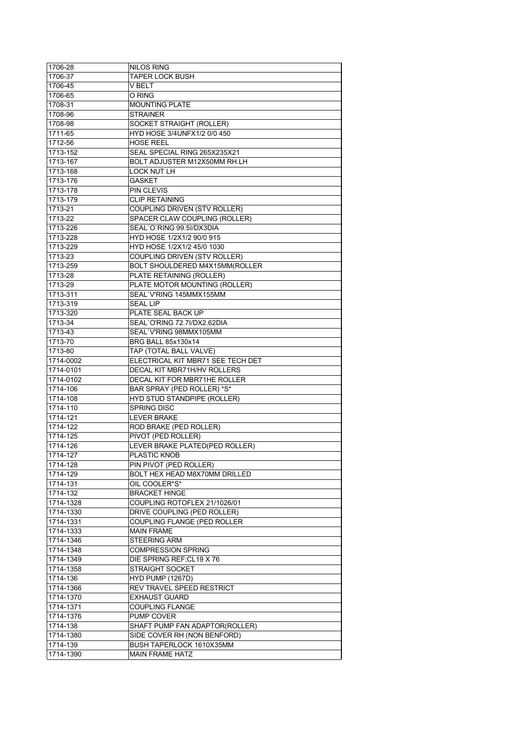| 1706-28               | <b>NILOS RING</b>                                          |
|-----------------------|------------------------------------------------------------|
| 1706-37               | <b>TAPER LOCK BUSH</b>                                     |
| 1706-45               | V BELT                                                     |
| 1706-65               | o ring                                                     |
| 1708-31               | <b>MOUNTING PLATE</b>                                      |
| 1708-96               | <b>STRAINER</b>                                            |
| 1708-98               | SOCKET STRAIGHT (ROLLER)                                   |
| 1711-65               | HYD HOSE 3/4UNFX1/2 0/0 450                                |
| 1712-56               | <b>HOSE REEL</b>                                           |
| 1713-152              | SEAL SPECIAL RING 265X235X21                               |
| 1713-167              | BOLT ADJUSTER M12X50MM RH.LH                               |
| 1713-168              | LOCK NUT LH                                                |
| 1713-176              | <b>GASKET</b>                                              |
| 1713-178              | <b>PIN CLEVIS</b>                                          |
| 1713-179              | <b>CLIP RETAINING</b>                                      |
| 1713-21               | COUPLING DRIVEN (STV ROLLER)                               |
| 1713-22               | SPACER CLAW COUPLING (ROLLER)                              |
| 1713-226              | SEAL`O`RING 99.5I/DX3DIA                                   |
| 1713-228              | HYD HOSE 1/2X1/2 90/0 915                                  |
| 1713-229              | HYD HOSE 1/2X1/2 45/0 1030                                 |
| 1713-23               | COUPLING DRIVEN (STV ROLLER)                               |
| 1713-259              | BOLT SHOULDERED M4X15MM(ROLLER                             |
| 1713-28               | PLATE RETAINING (ROLLER)                                   |
| 1713-29               | PLATE MOTOR MOUNTING (ROLLER)                              |
| 1713-311              | SEAL`V'RING 145MMX155MM                                    |
| 1713-319              | <b>SEAL LIP</b>                                            |
| 1713-320              | PLATE SEAL BACK UP                                         |
| 1713-34               | SEAL'O'RING 72.7I/DX2.62DIA                                |
|                       | SEAL'V'RING 98MMX105MM                                     |
| 1713-43<br>1713-70    | <b>BRG BALL 85x130x14</b>                                  |
|                       |                                                            |
| 1713-80               | TAP (TOTAL BALL VALVE)                                     |
| 1714-0002             | ELECTRICAL KIT MBR71 SEE TECH DET                          |
| 1714-0101             | DECAL KIT MBR71H/HV ROLLERS                                |
| 1714-0102<br>1714-106 | DECAL KIT FOR MBR71HE ROLLER<br>BAR SPRAY (PED ROLLER) *S* |
|                       |                                                            |
| 1714-108              | HYD STUD STANDPIPE (ROLLER)                                |
| 1714-110              | <b>SPRING DISC</b>                                         |
| 1714-121              | <b>LEVER BRAKE</b>                                         |
| 1714-122              | ROD BRAKE (PED ROLLER)                                     |
| 1714-125              | PIVOT (PED ROLLER)                                         |
| 1714-126              | LEVER BRAKE PLATED(PED ROLLER)                             |
| 1714-127              | PLASTIC KNOB                                               |
| 1714-128              | PIN PIVOT (PED ROLLER)                                     |
| 1714-129              | BOLT HEX HEAD M8X70MM DRILLED                              |
| 1714-131              | OIL COOLER*S*                                              |
| 1714-132              | <b>BRACKET HINGE</b>                                       |
| 1714-1328             | COUPLING ROTOFLEX 21/1026/01                               |
| 1714-1330             | DRIVE COUPLING (PED ROLLER)                                |
| 1714-1331             | COUPLING FLANGE (PED ROLLER                                |
| 1714-1333             | <b>MAIN FRAME</b>                                          |
| 1714-1346             | <b>STEERING ARM</b>                                        |
| 1714-1348             | <b>COMPRESSION SPRING</b>                                  |
| 1714-1349             | DIE SPRING REF; CL19 X 76                                  |
| 1714-1358             | <b>STRAIGHT SOCKET</b>                                     |
| 1714-136              | <b>HYD PUMP (1267D)</b>                                    |
| 1714-1366             | REV TRAVEL SPEED RESTRICT                                  |
| 1714-1370             | <b>EXHAUST GUARD</b>                                       |
| 1714-1371             | <b>COUPLING FLANGE</b>                                     |
| 1714-1376             | PUMP COVER                                                 |
| 1714-138              | SHAFT PUMP FAN ADAPTOR(ROLLER)                             |
| 1714-1380             | SIDE COVER RH (NON BENFORD)                                |
| 1714-139              | BUSH TAPERLOCK 1610X35MM                                   |
| 1714-1390             | <b>MAIN FRAME HATZ</b>                                     |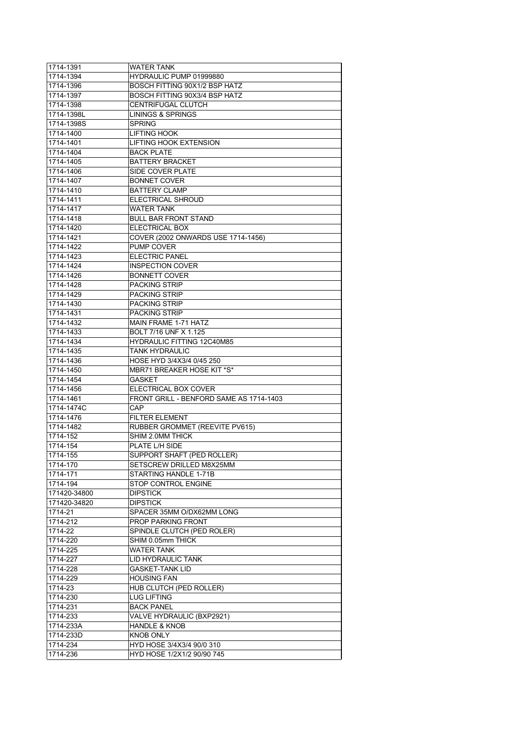| 1714-1391               | WATER TANK                                              |
|-------------------------|---------------------------------------------------------|
| 1714-1394               | <b>HYDRAULIC PUMP 01999880</b>                          |
| 1714-1396               | BOSCH FITTING 90X1/2 BSP HATZ                           |
| 1714-1397               | BOSCH FITTING 90X3/4 BSP HATZ                           |
| 1714-1398               | <b>CENTRIFUGAL CLUTCH</b>                               |
| 1714-1398L              | <b>LININGS &amp; SPRINGS</b>                            |
| 1714-1398S              | <b>SPRING</b>                                           |
| 1714-1400               | <b>LIFTING HOOK</b>                                     |
| 1714-1401               | LIFTING HOOK EXTENSION                                  |
| 1714-1404               | <b>BACK PLATE</b>                                       |
| 1714-1405               | <b>BATTERY BRACKET</b>                                  |
| 1714-1406               | SIDE COVER PLATE                                        |
| 1714-1407               | <b>BONNET COVER</b>                                     |
| 1714-1410               | <b>BATTERY CLAMP</b>                                    |
| 1714-1411               | ELECTRICAL SHROUD                                       |
| 1714-1417               | <b>WATER TANK</b>                                       |
| 1714-1418               | <b>BULL BAR FRONT STAND</b>                             |
| 1714-1420               | <b>ELECTRICAL BOX</b>                                   |
| 1714-1421               | COVER (2002 ONWARDS USE 1714-1456)                      |
| 1714-1422               | <b>PUMP COVER</b>                                       |
| 1714-1423               | <b>ELECTRIC PANEL</b>                                   |
| 1714-1424               | <b>INSPECTION COVER</b>                                 |
| 1714-1426               | <b>BONNETT COVER</b>                                    |
| 1714-1428               | <b>PACKING STRIP</b>                                    |
| 1714-1429               | PACKING STRIP                                           |
| 1714-1430               | PACKING STRIP                                           |
| 1714-1431               | <b>PACKING STRIP</b>                                    |
| 1714-1432               | <b>MAIN FRAME 1-71 HATZ</b>                             |
| 1714-1433               | BOLT 7/16 UNF X 1.125                                   |
| 1714-1434               | HYDRAULIC FITTING 12C40M85                              |
| 1714-1435               | <b>TANK HYDRAULIC</b>                                   |
| 1714-1436               | HOSE HYD 3/4X3/4 0/45 250                               |
| 1714-1450               | MBR71 BREAKER HOSE KIT *S*                              |
| 1714-1454               | GASKET                                                  |
| 1714-1456               | ELECTRICAL BOX COVER                                    |
| 1714-1461               | FRONT GRILL - BENFORD SAME AS 1714-1403                 |
| 1714-1474C              | CAP                                                     |
| 1714-1476               | <b>FILTER ELEMENT</b>                                   |
| 1714-1482               | RUBBER GROMMET (REEVITE PV615)                          |
| 1714-152                | SHIM 2.0MM THICK                                        |
| 1714-154                | PLATE L/H SIDE                                          |
| 1714-155                | SUPPORT SHAFT (PED ROLLER)                              |
| 1714-170                | SETSCREW DRILLED M8X25MM                                |
| 1714-171                | STARTING HANDLE 1-71B                                   |
| 1714-194                | STOP CONTROL ENGINE                                     |
| 171420-34800            | <b>DIPSTICK</b>                                         |
|                         | <b>DIPSTICK</b>                                         |
| 171420-34820<br>1714-21 | SPACER 35MM O/DX62MM LONG                               |
| 1714-212                | PROP PARKING FRONT                                      |
| 1714-22                 | SPINDLE CLUTCH (PED ROLER)                              |
|                         | SHIM 0.05mm THICK                                       |
| 1714-220                | <b>WATER TANK</b>                                       |
| 1714-225<br>1714-227    | LID HYDRAULIC TANK                                      |
|                         |                                                         |
| 1714-228                | <b>GASKET-TANK LID</b>                                  |
| 1714-229                | <b>HOUSING FAN</b><br>HUB CLUTCH (PED ROLLER)           |
| 1714-23                 |                                                         |
|                         |                                                         |
| 1714-230                | <b>LUG LIFTING</b>                                      |
| 1714-231                | <b>BACK PANEL</b>                                       |
| 1714-233                | VALVE HYDRAULIC (BXP2921)                               |
| 1714-233A               | <b>HANDLE &amp; KNOB</b>                                |
| 1714-233D               | <b>KNOB ONLY</b>                                        |
| 1714-234<br>1714-236    | HYD HOSE 3/4X3/4 90/0 310<br>HYD HOSE 1/2X1/2 90/90 745 |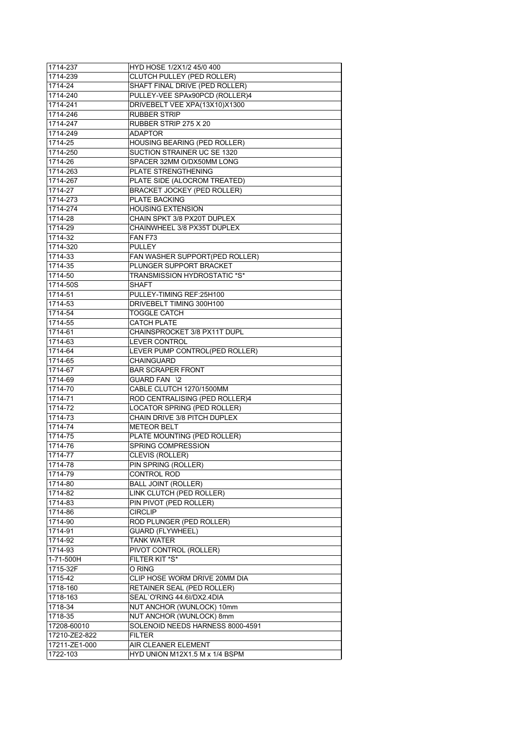| 1714-237                  | HYD HOSE 1/2X1/2 45/0 400                             |
|---------------------------|-------------------------------------------------------|
| 1714-239                  | CLUTCH PULLEY (PED ROLLER)                            |
| 1714-24                   | SHAFT FINAL DRIVE (PED ROLLER)                        |
| 1714-240                  | PULLEY-VEE SPAx90PCD (ROLLER)4                        |
| 1714-241                  | DRIVEBELT VEE XPA(13X10)X1300                         |
| 1714-246                  | <b>RUBBER STRIP</b>                                   |
| 1714-247                  | RUBBER STRIP 275 X 20                                 |
| 1714-249                  | <b>ADAPTOR</b>                                        |
| 1714-25                   | HOUSING BEARING (PED ROLLER)                          |
| 1714-250                  | SUCTION STRAINER UC SE 1320                           |
| $\overline{17}$ 14-26     | SPACER 32MM O/DX50MM LONG                             |
| 1714-263                  | PLATE STRENGTHENING                                   |
| 1714-267                  | PLATE SIDE (ALOCROM TREATED)                          |
| 1714-27                   | <b>BRACKET JOCKEY (PED ROLLER)</b>                    |
| 1714-273                  | <b>PLATE BACKING</b>                                  |
| 1714-274                  | <b>HOUSING EXTENSION</b>                              |
| 1714-28                   | CHAIN SPKT 3/8 PX20T DUPLEX                           |
| 1714-29                   | CHAINWHEEL 3/8 PX35T DUPLEX                           |
| 1714-32                   | FAN F73                                               |
| 1714-320                  | <b>PULLEY</b>                                         |
| 1714-33                   | FAN WASHER SUPPORT(PED ROLLER)                        |
| 1714-35                   | PLUNGER SUPPORT BRACKET                               |
| 1714-50                   | TRANSMISSION HYDROSTATIC *S*                          |
|                           | <b>SHAFT</b>                                          |
| 1714-50S<br>1714-51       |                                                       |
|                           | PULLEY-TIMING REF:25H100                              |
| 1714-53                   | DRIVEBELT TIMING 300H100                              |
| 1714-54                   | TOGGLE CATCH                                          |
| 1714-55                   | <b>CATCH PLATE</b>                                    |
| 1714-61                   | CHAINSPROCKET 3/8 PX11T DUPL                          |
| 1714-63                   | <b>LEVER CONTROL</b>                                  |
| 1714-64                   | LEVER PUMP CONTROL(PED ROLLER)                        |
|                           | <b>CHAINGUARD</b>                                     |
| 1714-65                   |                                                       |
| 1714-67                   | <b>BAR SCRAPER FRONT</b>                              |
| 1714-69                   | GUARD FAN \2                                          |
| 1714-70                   | CABLE CLUTCH 1270/1500MM                              |
| 1714-71                   | ROD CENTRALISING (PED ROLLER)4                        |
| 1714-72                   | LOCATOR SPRING (PED ROLLER)                           |
| 1714-73                   | CHAIN DRIVE 3/8 PITCH DUPLEX                          |
| 1714-74                   | <b>METEOR BELT</b>                                    |
| 1714-75                   | PLATE MOUNTING (PED ROLLER)                           |
| 1714-76                   | <b>SPRING COMPRESSION</b>                             |
| 1714-77                   | CLEVIS (ROLLER)                                       |
| 1714-78                   | PIN SPRING (ROLLER)                                   |
| 1714-79                   | CONTROL ROD                                           |
| 1714-80                   | <b>BALL JOINT (ROLLER)</b>                            |
| 1714-82                   | LINK CLUTCH (PED ROLLER)                              |
| 1714-83                   | PIN PIVOT (PED ROLLER)                                |
| 1714-86                   | <b>CIRCLIP</b>                                        |
| 1714-90                   | ROD PLUNGER (PED ROLLER)                              |
| 1714-91                   | <b>GUARD (FLYWHEEL)</b>                               |
| 1714-92                   | <b>TANK WATER</b>                                     |
| 1714-93                   | PIVOT CONTROL (ROLLER)                                |
| 1-71-500H                 | FILTER KIT *S*                                        |
| 1715-32F                  | O RING                                                |
|                           |                                                       |
| 1715-42                   | CLIP HOSE WORM DRIVE 20MM DIA                         |
| 1718-160                  | RETAINER SEAL (PED ROLLER)                            |
| 1718-163                  | SEAL`O'RING 44.6I/DX2.4DIA                            |
| 1718-34                   | NUT ANCHOR (WUNLOCK) 10mm                             |
| 1718-35                   | NUT ANCHOR (WUNLOCK) 8mm                              |
| 17208-60010               | SOLENOID NEEDS HARNESS 8000-4591                      |
| 17210-ZE2-822             | <b>FILTER</b>                                         |
| 17211-ZE1-000<br>1722-103 | AIR CLEANER ELEMENT<br>HYD UNION M12X1.5 M x 1/4 BSPM |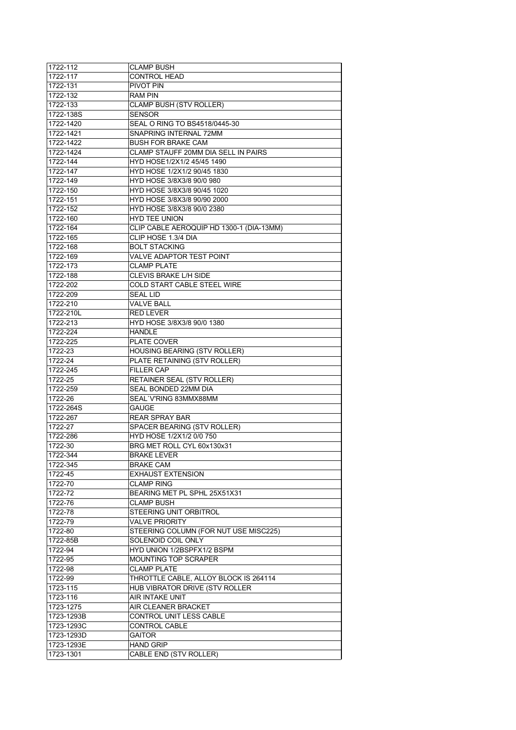| 1722-112   | <b>CLAMP BUSH</b>                        |
|------------|------------------------------------------|
| 1722-117   | <b>CONTROL HEAD</b>                      |
| 1722-131   | PIVOT PIN                                |
| 1722-132   | <b>RAM PIN</b>                           |
| 1722-133   | CLAMP BUSH (STV ROLLER)                  |
| 1722-138S  | SENSOR                                   |
| 1722-1420  | SEAL O RING TO BS4518/0445-30            |
| 1722-1421  | SNAPRING INTERNAL 72MM                   |
| 1722-1422  | <b>BUSH FOR BRAKE CAM</b>                |
| 1722-1424  | CLAMP STAUFF 20MM DIA SELL IN PAIRS      |
| 1722-144   | HYD HOSE1/2X1/2 45/45 1490               |
| 1722-147   | HYD HOSE 1/2X1/2 90/45 1830              |
| 1722-149   | HYD HOSE 3/8X3/8 90/0 980                |
| 1722-150   | HYD HOSE 3/8X3/8 90/45 1020              |
| 1722-151   | HYD HOSE 3/8X3/8 90/90 2000              |
| 1722-152   | HYD HOSE 3/8X3/8 90/0 2380               |
| 1722-160   | <b>HYD TEE UNION</b>                     |
| 1722-164   | CLIP CABLE AEROQUIP HD 1300-1 (DIA-13MM) |
| 1722-165   | CLIP HOSE 1.3/4 DIA                      |
| 1722-168   | <b>BOLT STACKING</b>                     |
| 1722-169   | VALVE ADAPTOR TEST POINT                 |
| 1722-173   | <b>CLAMP PLATE</b>                       |
| 1722-188   | CLEVIS BRAKE L/H SIDE                    |
| 1722-202   | <b>COLD START CABLE STEEL WIRE</b>       |
| 1722-209   | <b>SEAL LID</b>                          |
|            | VALVE BALL                               |
| 1722-210   |                                          |
| 1722-210L  | RED LEVER                                |
| 1722-213   | HYD HOSE 3/8X3/8 90/0 1380               |
| 1722-224   | <b>HANDLE</b>                            |
| 1722-225   | <b>PLATE COVER</b>                       |
| 1722-23    | HOUSING BEARING (STV ROLLER)             |
| 1722-24    | PLATE RETAINING (STV ROLLER)             |
| 1722-245   | <b>FILLER CAP</b>                        |
| 1722-25    | RETAINER SEAL (STV ROLLER)               |
| 1722-259   | SEAL BONDED 22MM DIA                     |
| 1722-26    | SEAL`V'RING 83MMX88MM                    |
| 1722-264S  | <b>GAUGE</b>                             |
| 1722-267   | <b>REAR SPRAY BAR</b>                    |
| 1722-27    | SPACER BEARING (STV ROLLER)              |
| 1722-286   | HYD HOSE 1/2X1/2 0/0 750                 |
| 1722-30    | BRG MET ROLL CYL 60x130x31               |
| 1722-344   | <b>BRAKE LEVER</b>                       |
| 1722-345   | <b>BRAKE CAM</b>                         |
| 1722-45    | <b>EXHAUST EXTENSION</b>                 |
| 1722-70    | <b>CLAMP RING</b>                        |
| 1722-72    | BEARING MET PL SPHL 25X51X31             |
| 1722-76    | <b>CLAMP BUSH</b>                        |
| 1722-78    | STEERING UNIT ORBITROL                   |
| 1722-79    | <b>VALVE PRIORITY</b>                    |
| 1722-80    | STEERING COLUMN (FOR NUT USE MISC225)    |
| 1722-85B   | SOLENOID COIL ONLY                       |
| 1722-94    | HYD UNION 1/2BSPFX1/2 BSPM               |
| 1722-95    | MOUNTING TOP SCRAPER                     |
| 1722-98    | <b>CLAMP PLATE</b>                       |
| 1722-99    | THROTTLE CABLE, ALLOY BLOCK IS 264114    |
| 1723-115   | HUB VIBRATOR DRIVE (STV ROLLER           |
| 1723-116   | AIR INTAKE UNIT                          |
| 1723-1275  | AIR CLEANER BRACKET                      |
| 1723-1293B | CONTROL UNIT LESS CABLE                  |
| 1723-1293C | <b>CONTROL CABLE</b>                     |
| 1723-1293D | <b>GAITOR</b>                            |
| 1723-1293E | <b>HAND GRIP</b>                         |
| 1723-1301  | CABLE END (STV ROLLER)                   |
|            |                                          |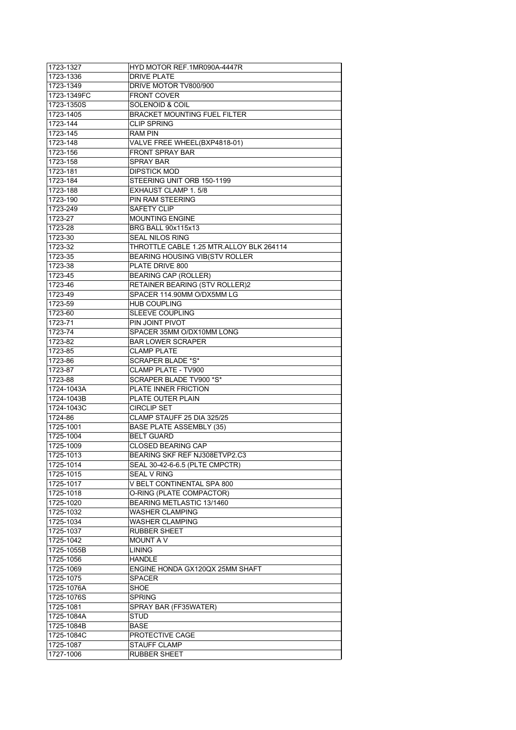| 1723-1327   | HYD MOTOR REF.1MR090A-4447R              |
|-------------|------------------------------------------|
| 1723-1336   | <b>DRIVE PLATE</b>                       |
| 1723-1349   | DRIVE MOTOR TV800/900                    |
| 1723-1349FC | <b>FRONT COVER</b>                       |
| 1723-1350S  | <b>SOLENOID &amp; COIL</b>               |
| 1723-1405   | <b>BRACKET MOUNTING FUEL FILTER</b>      |
| 1723-144    | <b>CLIP SPRING</b>                       |
| 1723-145    | <b>RAM PIN</b>                           |
| 1723-148    | VALVE FREE WHEEL(BXP4818-01)             |
| 1723-156    | <b>FRONT SPRAY BAR</b>                   |
| 1723-158    | <b>SPRAY BAR</b>                         |
| 1723-181    | <b>DIPSTICK MOD</b>                      |
| 1723-184    | STEERING UNIT ORB 150-1199               |
| 1723-188    | EXHAUST CLAMP 1.5/8                      |
| 1723-190    | PIN RAM STEERING                         |
| 1723-249    | <b>SAFETY CLIP</b>                       |
| 1723-27     | <b>MOUNTING ENGINE</b>                   |
| 1723-28     | BRG BALL 90x115x13                       |
| 1723-30     | <b>SEAL NILOS RING</b>                   |
| 1723-32     | THROTTLE CABLE 1.25 MTR.ALLOY BLK 264114 |
| 1723-35     | BEARING HOUSING VIB(STV ROLLER           |
| 1723-38     | PLATE DRIVE 800                          |
| 1723-45     | <b>BEARING CAP (ROLLER)</b>              |
| 1723-46     | RETAINER BEARING (STV ROLLER)2           |
| 1723-49     | SPACER 114.90MM O/DX5MM LG               |
| 1723-59     | <b>HUB COUPLING</b>                      |
| 1723-60     | <b>SLEEVE COUPLING</b>                   |
| 1723-71     | PIN JOINT PIVOT                          |
| 1723-74     | SPACER 35MM O/DX10MM LONG                |
| 1723-82     | <b>BAR LOWER SCRAPER</b>                 |
| 1723-85     | <b>CLAMP PLATE</b>                       |
| 1723-86     | <b>SCRAPER BLADE *S*</b>                 |
| 1723-87     | CLAMP PLATE - TV900                      |
| 1723-88     | SCRAPER BLADE TV900 *S*                  |
| 1724-1043A  | PLATE INNER FRICTION                     |
| 1724-1043B  | PLATE OUTER PLAIN                        |
| 1724-1043C  | <b>CIRCLIP SET</b>                       |
| 1724-86     | CLAMP STAUFF 25 DIA 325/25               |
| 1725-1001   | <b>BASE PLATE ASSEMBLY (35)</b>          |
| 1725-1004   | <b>BELT GUARD</b>                        |
| 1725-1009   | <b>CLOSED BEARING CAP</b>                |
| 1725-1013   | BEARING SKF REF NJ308ETVP2.C3            |
| 1725-1014   | SEAL 30-42-6-6.5 (PLTE CMPCTR)           |
| 1725-1015   | <b>SEAL V RING</b>                       |
| 1725-1017   | V BELT CONTINENTAL SPA 800               |
| 1725-1018   | O-RING (PLATE COMPACTOR)                 |
| 1725-1020   | BEARING METLASTIC 13/1460                |
| 1725-1032   | <b>WASHER CLAMPING</b>                   |
| 1725-1034   | <b>WASHER CLAMPING</b>                   |
| 1725-1037   | <b>RUBBER SHEET</b>                      |
| 1725-1042   | <b>MOUNT A V</b>                         |
| 1725-1055B  | <b>LINING</b>                            |
| 1725-1056   | <b>HANDLE</b>                            |
|             | ENGINE HONDA GX120QX 25MM SHAFT          |
| 1725-1069   |                                          |
| 1725-1075   | SPACER                                   |
| 1725-1076A  | SHOE                                     |
| 1725-1076S  | <b>SPRING</b>                            |
| 1725-1081   | SPRAY BAR (FF35WATER)                    |
| 1725-1084A  | STUD                                     |
| 1725-1084B  | BASE                                     |
| 1725-1084C  | PROTECTIVE CAGE                          |
| 1725-1087   | <b>STAUFF CLAMP</b>                      |
| 1727-1006   | RUBBER SHEET                             |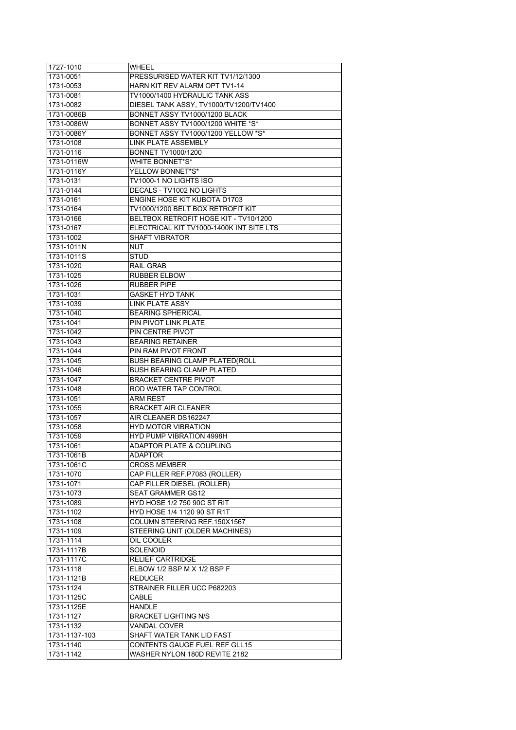| 1727-1010     | WHEEL                                    |
|---------------|------------------------------------------|
| 1731-0051     | PRESSURISED WATER KIT TV1/12/1300        |
| 1731-0053     | <b>HARN KIT REV ALARM OPT TV1-14</b>     |
| 1731-0081     | TV1000/1400 HYDRAULIC TANK ASS           |
| 1731-0082     | DIESEL TANK ASSY, TV1000/TV1200/TV1400   |
| 1731-0086B    | BONNET ASSY TV1000/1200 BLACK            |
| 1731-0086W    | BONNET ASSY TV1000/1200 WHITE *S*        |
| 1731-0086Y    | BONNET ASSY TV1000/1200 YELLOW *S*       |
| 1731-0108     | LINK PLATE ASSEMBLY                      |
| 1731-0116     | <b>BONNET TV1000/1200</b>                |
| 1731-0116W    | WHITE BONNET*S*                          |
| 1731-0116Y    | YELLOW BONNET*S*                         |
| 1731-0131     | TV1000-1 NO LIGHTS ISO                   |
| 1731-0144     | DECALS - TV1002 NO LIGHTS                |
| 1731-0161     | <b>ENGINE HOSE KIT KUBOTA D1703</b>      |
| 1731-0164     | TV1000/1200 BELT BOX RETROFIT KIT        |
| 1731-0166     | BELTBOX RETROFIT HOSE KIT - TV10/1200    |
| 1731-0167     | ELECTRICAL KIT TV1000-1400K INT SITE LTS |
| 1731-1002     | <b>SHAFT VIBRATOR</b>                    |
| 1731-1011N    | NUT                                      |
| 1731-1011S    | STUD                                     |
| 1731-1020     | RAIL GRAB                                |
| 1731-1025     | RUBBER ELBOW                             |
| 1731-1026     | RUBBER PIPE                              |
| 1731-1031     | <b>GASKET HYD TANK</b>                   |
| 1731-1039     | LINK PLATE ASSY                          |
| 1731-1040     | <b>BEARING SPHERICAL</b>                 |
| 1731-1041     | <b>PIN PIVOT LINK PLATE</b>              |
| 1731-1042     | PIN CENTRE PIVOT                         |
| 1731-1043     | <b>BEARING RETAINER</b>                  |
| 1731-1044     | PIN RAM PIVOT FRONT                      |
| 1731-1045     | BUSH BEARING CLAMP PLATED(ROLL           |
| 1731-1046     | <b>BUSH BEARING CLAMP PLATED</b>         |
| 1731-1047     | <b>BRACKET CENTRE PIVOT</b>              |
| 1731-1048     | ROD WATER TAP CONTROL                    |
| 1731-1051     | <b>ARM REST</b>                          |
| 1731-1055     | <b>BRACKET AIR CLEANER</b>               |
| 1731-1057     | AIR CLEANER DS162247                     |
| 1731-1058     | <b>HYD MOTOR VIBRATION</b>               |
| 1731-1059     | <b>HYD PUMP VIBRATION 4998H</b>          |
| 1731-1061     | <b>ADAPTOR PLATE &amp; COUPLING</b>      |
| 1731-1061B    | <b>ADAPTOR</b>                           |
| 1731-1061C    | <b>CROSS MEMBER</b>                      |
| 1731-1070     | CAP FILLER REF.P7083 (ROLLER)            |
| 1731-1071     | CAP FILLER DIESEL (ROLLER)               |
| 1731-1073     | <b>SEAT GRAMMER GS12</b>                 |
| 1731-1089     | HYD HOSE 1/2 750 90C ST RIT              |
| 1731-1102     | HYD HOSE 1/4 1120 90 ST R1T              |
| 1731-1108     | COLUMN STEERING REF.150X1567             |
| 1731-1109     | STEERING UNIT (OLDER MACHINES)           |
| 1731-1114     | OIL COOLER                               |
| 1731-1117B    | <b>SOLENOID</b>                          |
| 1731-1117C    | <b>RELIEF CARTRIDGE</b>                  |
| 1731-1118     | ELBOW 1/2 BSP M X 1/2 BSP F              |
| 1731-1121B    | <b>REDUCER</b>                           |
| 1731-1124     | STRAINER FILLER UCC P682203              |
| 1731-1125C    | CABLE                                    |
| 1731-1125E    | HANDLE                                   |
| 1731-1127     | <b>BRACKET LIGHTING N/S</b>              |
| 1731-1132     |                                          |
|               | <b>VANDAL COVER</b>                      |
| 1731-1137-103 | SHAFT WATER TANK LID FAST                |
| 1731-1140     | CONTENTS GAUGE FUEL REF GLL15            |
| 1731-1142     | WASHER NYLON 180D REVITE 2182            |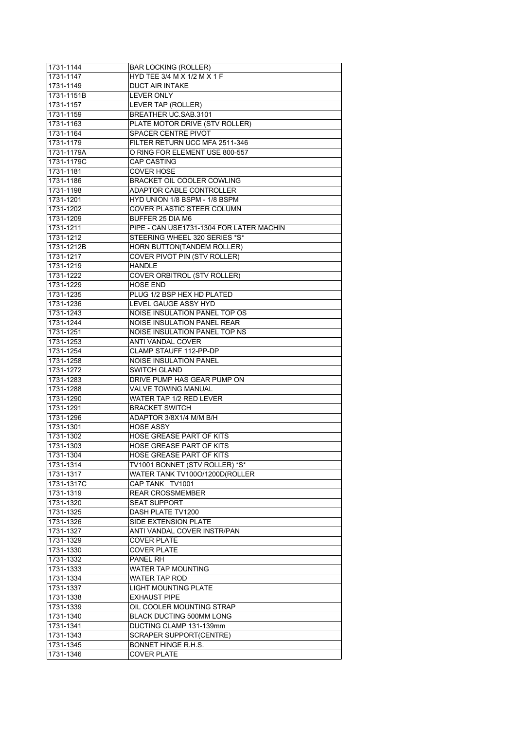| 1731-1144  | <b>BAR LOCKING (ROLLER)</b>              |
|------------|------------------------------------------|
| 1731-1147  | HYD TEE 3/4 M X 1/2 M X 1 F              |
| 1731-1149  | <b>DUCT AIR INTAKE</b>                   |
| 1731-1151B | <b>LEVER ONLY</b>                        |
| 1731-1157  | LEVER TAP (ROLLER)                       |
| 1731-1159  | BREATHER UC.SAB.3101                     |
| 1731-1163  | PLATE MOTOR DRIVE (STV ROLLER)           |
| 1731-1164  | SPACER CENTRE PIVOT                      |
| 1731-1179  | FILTER RETURN UCC MFA 2511-346           |
| 1731-1179A | O RING FOR ELEMENT USE 800-557           |
| 1731-1179C | <b>CAP CASTING</b>                       |
| 1731-1181  | <b>COVER HOSE</b>                        |
| 1731-1186  | <b>BRACKET OIL COOLER COWLING</b>        |
| 1731-1198  | ADAPTOR CABLE CONTROLLER                 |
| 1731-1201  | HYD UNION 1/8 BSPM - 1/8 BSPM            |
| 1731-1202  | COVER PLASTIC STEER COLUMN               |
| 1731-1209  | BUFFER 25 DIA M6                         |
| 1731-1211  | PIPE - CAN USE1731-1304 FOR LATER MACHIN |
| 1731-1212  | STEERING WHEEL 320 SERIES *S*            |
| 1731-1212B | HORN BUTTON(TANDEM ROLLER)               |
| 1731-1217  | COVER PIVOT PIN (STV ROLLER)             |
| 1731-1219  | <b>HANDLE</b>                            |
| 1731-1222  | <b>COVER ORBITROL (STV ROLLER)</b>       |
| 1731-1229  | <b>HOSE END</b>                          |
| 1731-1235  |                                          |
|            | PLUG 1/2 BSP HEX HD PLATED               |
| 1731-1236  | LEVEL GAUGE ASSY HYD                     |
| 1731-1243  | NOISE INSULATION PANEL TOP OS            |
| 1731-1244  | NOISE INSULATION PANEL REAR              |
| 1731-1251  | NOISE INSULATION PANEL TOP NS            |
| 1731-1253  | <b>ANTI VANDAL COVER</b>                 |
| 1731-1254  | CLAMP STAUFF 112-PP-DP                   |
| 1731-1258  | <b>NOISE INSULATION PANEL</b>            |
| 1731-1272  | <b>SWITCH GLAND</b>                      |
| 1731-1283  | DRIVE PUMP HAS GEAR PUMP ON              |
| 1731-1288  | <b>VALVE TOWING MANUAL</b>               |
| 1731-1290  | WATER TAP 1/2 RED LEVER                  |
| 1731-1291  | <b>BRACKET SWITCH</b>                    |
| 1731-1296  | ADAPTOR 3/8X1/4 M/M B/H                  |
| 1731-1301  | <b>HOSE ASSY</b>                         |
| 1731-1302  | HOSE GREASE PART OF KITS                 |
| 1731-1303  | HOSE GREASE PART OF KITS                 |
| 1731-1304  | HOSE GREASE PART OF KITS                 |
| 1731-1314  | TV1001 BONNET (STV ROLLER) *S*           |
| 1731-1317  | WATER TANK TV100O/1200D(ROLLER           |
| 1731-1317C | CAP TANK TV1001                          |
| 1731-1319  | <b>REAR CROSSMEMBER</b>                  |
| 1731-1320  | <b>SEAT SUPPORT</b>                      |
| 1731-1325  | DASH PLATE TV1200                        |
| 1731-1326  | SIDE EXTENSION PLATE                     |
| 1731-1327  | ANTI VANDAL COVER INSTR/PAN              |
| 1731-1329  | COVER PLATE                              |
| 1731-1330  | <b>COVER PLATE</b>                       |
| 1731-1332  | PANEL RH                                 |
| 1731-1333  | WATER TAP MOUNTING                       |
| 1731-1334  | WATER TAP ROD                            |
| 1731-1337  | <b>LIGHT MOUNTING PLATE</b>              |
| 1731-1338  | <b>EXHAUST PIPE</b>                      |
| 1731-1339  | OIL COOLER MOUNTING STRAP                |
| 1731-1340  | BLACK DUCTING 500MM LONG                 |
| 1731-1341  | DUCTING CLAMP 131-139mm                  |
| 1731-1343  | <b>SCRAPER SUPPORT(CENTRE)</b>           |
| 1731-1345  | BONNET HINGE R.H.S.                      |
| 1731-1346  | <b>COVER PLATE</b>                       |
|            |                                          |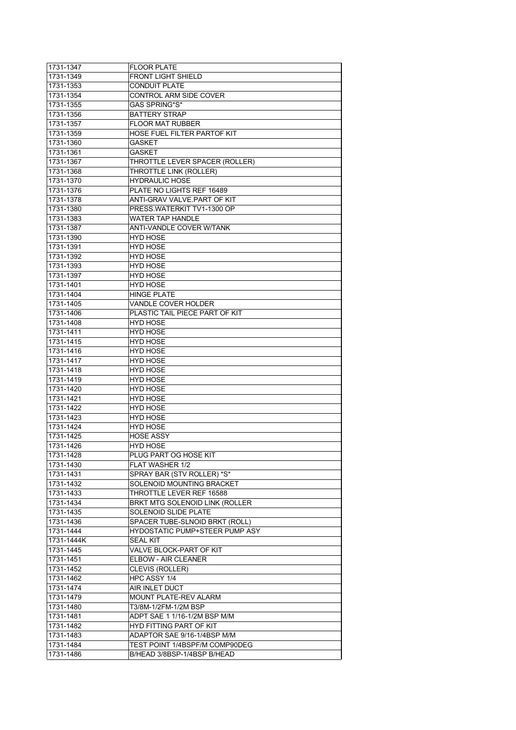| 1731-1347  | <b>FLOOR PLATE</b>              |
|------------|---------------------------------|
| 1731-1349  | <b>FRONT LIGHT SHIELD</b>       |
| 1731-1353  | <b>CONDUIT PLATE</b>            |
| 1731-1354  | CONTROL ARM SIDE COVER          |
| 1731-1355  | GAS SPRING*S*                   |
| 1731-1356  | <b>BATTERY STRAP</b>            |
| 1731-1357  | <b>FLOOR MAT RUBBER</b>         |
| 1731-1359  | HOSE FUEL FILTER PARTOF KIT     |
| 1731-1360  | GASKET                          |
| 1731-1361  | GASKET                          |
| 1731-1367  | THROTTLE LEVER SPACER (ROLLER)  |
| 1731-1368  | THROTTLE LINK (ROLLER)          |
| 1731-1370  | <b>HYDRAULIC HOSE</b>           |
| 1731-1376  | PLATE NO LIGHTS REF 16489       |
| 1731-1378  | ANTI-GRAV VALVE PART OF KIT     |
| 1731-1380  | PRESS.WATERKIT TV1-1300 OP      |
| 1731-1383  | <b>WATER TAP HANDLE</b>         |
| 1731-1387  | <b>ANTI-VANDLE COVER W/TANK</b> |
| 1731-1390  | <b>HYD HOSE</b>                 |
| 1731-1391  | <b>HYD HOSE</b>                 |
| 1731-1392  | HYD HOSE                        |
| 1731-1393  | <b>HYD HOSE</b>                 |
| 1731-1397  | <b>HYD HOSE</b>                 |
| 1731-1401  | <b>HYD HOSE</b>                 |
| 1731-1404  | <b>HINGE PLATE</b>              |
| 1731-1405  | <b>VANDLE COVER HOLDER</b>      |
| 1731-1406  | PLASTIC TAIL PIECE PART OF KIT  |
| 1731-1408  | <b>HYD HOSE</b>                 |
| 1731-1411  | <b>HYD HOSE</b>                 |
| 1731-1415  | <b>HYD HOSE</b>                 |
| 1731-1416  | <b>HYD HOSE</b>                 |
| 1731-1417  | HYD HOSE                        |
| 1731-1418  | <b>HYD HOSE</b>                 |
| 1731-1419  | <b>HYD HOSE</b>                 |
| 1731-1420  | <b>HYD HOSE</b>                 |
| 1731-1421  | <b>HYD HOSE</b>                 |
| 1731-1422  | <b>HYD HOSE</b>                 |
| 1731-1423  | <b>HYD HOSE</b>                 |
| 1731-1424  | <b>HYD HOSE</b>                 |
| 1731-1425  | <b>HOSE ASSY</b>                |
| 1731-1426  | HYD HOSE                        |
| 1731-1428  | PLUG PART OG HOSE KIT           |
| 1731-1430  | FLAT WASHER 1/2                 |
| 1731-1431  | SPRAY BAR (STV ROLLER) *S*      |
| 1731-1432  | SOLENOID MOUNTING BRACKET       |
| 1731-1433  | THROTTLE LEVER REF 16588        |
| 1731-1434  | BRKT MTG SOLENOID LINK (ROLLER  |
| 1731-1435  | SOLENOID SLIDE PLATE            |
| 1731-1436  | SPACER TUBE-SLNOID BRKT (ROLL)  |
| 1731-1444  | HYDOSTATIC PUMP+STEER PUMP ASY  |
| 1731-1444K | SEAL KIT                        |
| 1731-1445  | VALVE BLOCK-PART OF KIT         |
| 1731-1451  | ELBOW - AIR CLEANER             |
| 1731-1452  | CLEVIS (ROLLER)                 |
| 1731-1462  | HPC ASSY 1/4                    |
| 1731-1474  | AIR INLET DUCT                  |
| 1731-1479  | MOUNT PLATE-REV ALARM           |
| 1731-1480  | T3/8M-1/2FM-1/2M BSP            |
| 1731-1481  | ADPT SAE 1 1/16-1/2M BSP M/M    |
| 1731-1482  | HYD FITTING PART OF KIT         |
| 1731-1483  | ADAPTOR SAE 9/16-1/4BSP M/M     |
| 1731-1484  | TEST POINT 1/4BSPF/M COMP90DEG  |
| 1731-1486  | B/HEAD 3/8BSP-1/4BSP B/HEAD     |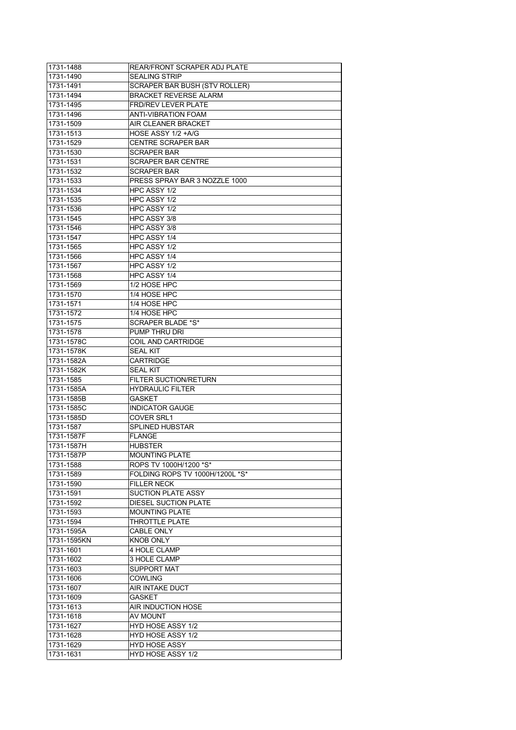| 1731-1488              | REAR/FRONT SCRAPER ADJ PLATE              |
|------------------------|-------------------------------------------|
| 1731-1490              | <b>SEALING STRIP</b>                      |
| 1731-1491              | SCRAPER BAR BUSH (STV ROLLER)             |
| 1731-1494              | <b>BRACKET REVERSE ALARM</b>              |
| 1731-1495              | <b>FRD/REV LEVER PLATE</b>                |
| 1731-1496              | <b>ANTI-VIBRATION FOAM</b>                |
| 1731-1509              | AIR CLEANER BRACKET                       |
| 1731-1513              | HOSE ASSY 1/2 +A/G                        |
| 1731-1529              | <b>CENTRE SCRAPER BAR</b>                 |
| 1731-1530              | SCRAPER BAR                               |
| 1731-1531              | <b>SCRAPER BAR CENTRE</b>                 |
| 1731-1532              | <b>SCRAPER BAR</b>                        |
| 1731-1533              | PRESS SPRAY BAR 3 NOZZLE 1000             |
| 1731-1534              | HPC ASSY 1/2                              |
|                        | HPC ASSY 1/2                              |
| 1731-1535              |                                           |
| 1731-1536              | HPC ASSY 1/2                              |
| 1731-1545              | HPC ASSY 3/8                              |
| 1731-1546              | HPC ASSY 3/8                              |
| 1731-1547              | HPC ASSY 1/4                              |
| 1731-1565              | HPC ASSY 1/2                              |
| 1731-1566              | HPC ASSY 1/4                              |
| 1731-1567              | HPC ASSY 1/2                              |
| 1731-1568              | HPC ASSY 1/4                              |
| 1731-1569              | 1/2 HOSE HPC                              |
| 1731-1570              | 1/4 HOSE HPC                              |
| 1731-1571              | 1/4 HOSE HPC                              |
| 1731-1572              | 1/4 HOSE HPC                              |
| 1731-1575              | <b>SCRAPER BLADE *S*</b>                  |
| 1731-1578              | PUMP THRU DRI                             |
| 1731-1578C             | COIL AND CARTRIDGE                        |
| 1731-1578K             | SEAL KIT                                  |
| 1731-1582A             | <b>CARTRIDGE</b>                          |
| 1731-1582K             | <b>SEAL KIT</b>                           |
| 1731-1585              | <b>FILTER SUCTION/RETURN</b>              |
| 1731-1585A             | <b>HYDRAULIC FILTER</b>                   |
| 1731-1585B             | <b>GASKET</b>                             |
| 1731-1585C             | <b>INDICATOR GAUGE</b>                    |
|                        |                                           |
| 1731-1585D             | COVER SRL1                                |
| 1731-1587              | <b>SPLINED HUBSTAR</b>                    |
| 1731-1587F             | <b>FLANGE</b>                             |
| 1731-1587H             | <b>HUBSTER</b>                            |
| 1731-1587P             | MOUNTING PLATE                            |
| 1731-1588              | ROPS TV 1000H/1200 *S*                    |
| 1731-1589              | FOLDING ROPS TV 1000H/1200L *S*           |
| 1731-1590              | <b>FILLER NECK</b>                        |
| 1731-1591              | <b>SUCTION PLATE ASSY</b>                 |
| 1731-1592              | DIESEL SUCTION PLATE                      |
| 1731-1593              | <b>MOUNTING PLATE</b>                     |
| 1731-1594              | THROTTLE PLATE                            |
| 1731-1595A             | CABLE ONLY                                |
| 1731-1595KN            | KNOB ONLY                                 |
| 1731-1601              | 4 HOLE CLAMP                              |
| 1731-1602              | 3 HOLE CLAMP                              |
| 1731-1603              | SUPPORT MAT                               |
| 1731-1606              | <b>COWLING</b>                            |
| 1731-1607              | AIR INTAKE DUCT                           |
| 1731-1609              | GASKET                                    |
| 1731-1613              | AIR INDUCTION HOSE                        |
|                        |                                           |
|                        |                                           |
| 1731-1618              | AV MOUNT                                  |
| 1731-1627              | HYD HOSE ASSY 1/2                         |
| 1731-1628              | <b>HYD HOSE ASSY 1/2</b>                  |
| 1731-1629<br>1731-1631 | HYD HOSE ASSY<br><b>HYD HOSE ASSY 1/2</b> |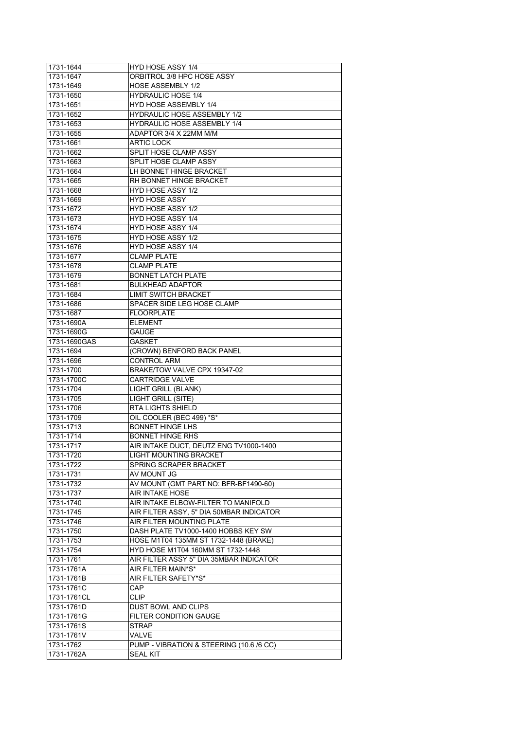| 1731-1644               | HYD HOSE ASSY 1/4                                           |
|-------------------------|-------------------------------------------------------------|
| 1731-1647               | ORBITROL 3/8 HPC HOSE ASSY                                  |
| 1731-1649               | <b>HOSE ASSEMBLY 1/2</b>                                    |
| 1731-1650               | <b>HYDRAULIC HOSE 1/4</b>                                   |
| 1731-1651               | HYD HOSE ASSEMBLY 1/4                                       |
| 1731-1652               | HYDRAULIC HOSE ASSEMBLY 1/2                                 |
| 1731-1653               | <b>HYDRAULIC HOSE ASSEMBLY 1/4</b>                          |
| 1731-1655               | ADAPTOR 3/4 X 22MM M/M                                      |
| 1731-1661               | <b>ARTIC LOCK</b>                                           |
| 1731-1662               | SPLIT HOSE CLAMP ASSY                                       |
| 1731-1663               | SPLIT HOSE CLAMP ASSY                                       |
| 1731-1664               | LH BONNET HINGE BRACKET                                     |
| 1731-1665               | RH BONNET HINGE BRACKET                                     |
| 1731-1668               | <b>HYD HOSE ASSY 1/2</b>                                    |
| 1731-1669               | <b>HYD HOSE ASSY</b>                                        |
| 1731-1672               | HYD HOSE ASSY 1/2                                           |
| 1731-1673               | <b>HYD HOSE ASSY 1/4</b>                                    |
| 1731-1674               | <b>HYD HOSE ASSY 1/4</b>                                    |
| 1731-1675               | HYD HOSE ASSY 1/2                                           |
| 1731-1676               | <b>HYD HOSE ASSY 1/4</b>                                    |
| 1731-1677               | <b>CLAMP PLATE</b>                                          |
| 1731-1678               | <b>CLAMP PLATE</b>                                          |
|                         | <b>BONNET LATCH PLATE</b>                                   |
| 1731-1679               |                                                             |
| 1731-1681               | <b>BULKHEAD ADAPTOR</b>                                     |
| 1731-1684               | <b>LIMIT SWITCH BRACKET</b>                                 |
| 1731-1686               | SPACER SIDE LEG HOSE CLAMP                                  |
| 1731-1687               | <b>FLOORPLATE</b>                                           |
| 1731-1690A              | <b>ELEMENT</b>                                              |
| 1731-1690G              | <b>GAUGE</b>                                                |
| 1731-1690GAS            | <b>GASKET</b>                                               |
| 1731-1694               | (CROWN) BENFORD BACK PANEL                                  |
|                         |                                                             |
| 1731-1696               | <b>CONTROL ARM</b>                                          |
| 1731-1700               | BRAKE/TOW VALVE CPX 19347-02                                |
| 1731-1700C              | <b>CARTRIDGE VALVE</b>                                      |
| 1731-1704               | LIGHT GRILL (BLANK)                                         |
| 1731-1705               | LIGHT GRILL (SITE)                                          |
| 1731-1706               | RTA LIGHTS SHIELD                                           |
| 1731-1709               | OIL COOLER (BEC 499) *S*                                    |
| 1731-1713               | <b>BONNET HINGE LHS</b>                                     |
| 1731-1714               | <b>BONNET HINGE RHS</b>                                     |
| 1731-1717               | AIR INTAKE DUCT, DEUTZ ENG TV1000-1400                      |
| 1731-1720               | <b>LIGHT MOUNTING BRACKET</b>                               |
| 1731-1722               | SPRING SCRAPER BRACKET                                      |
| 1731-1731               | AV MOUNT JG                                                 |
| 1731-1732               | AV MOUNT (GMT PART NO: BFR-BF1490-60)                       |
| 1731-1737               | AIR INTAKE HOSE                                             |
| 1731-1740               | AIR INTAKE ELBOW-FILTER TO MANIFOLD                         |
| 1731-1745               | AIR FILTER ASSY, 5" DIA 50MBAR INDICATOR                    |
| 1731-1746               | AIR FILTER MOUNTING PLATE                                   |
| 1731-1750               | DASH PLATE TV1000-1400 HOBBS KEY SW                         |
| 1731-1753               | HOSE M1T04 135MM ST 1732-1448 (BRAKE)                       |
| 1731-1754               | HYD HOSE M1T04 160MM ST 1732-1448                           |
| 1731-1761               | AIR FILTER ASSY 5" DIA 35MBAR INDICATOR                     |
| 1731-1761A              | AIR FILTER MAIN*S*                                          |
| 1731-1761B              | AIR FILTER SAFETY*S*                                        |
| 1731-1761C              | CAP                                                         |
| 1731-1761CL             | <b>CLIP</b>                                                 |
| 1731-1761D              | <b>DUST BOWL AND CLIPS</b>                                  |
| 1731-1761G              | <b>FILTER CONDITION GAUGE</b>                               |
| 1731-1761S              | <b>STRAP</b>                                                |
| 1731-1761V              | VALVE                                                       |
| 1731-1762<br>1731-1762A | PUMP - VIBRATION & STEERING (10.6 /6 CC)<br><b>SEAL KIT</b> |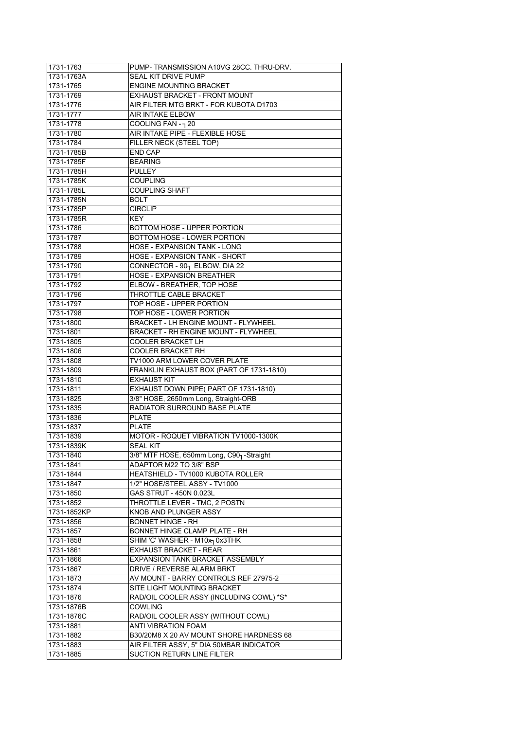| 1731-1763   | PUMP-TRANSMISSION A10VG 28CC. THRU-DRV.     |
|-------------|---------------------------------------------|
| 1731-1763A  | <b>SEAL KIT DRIVE PUMP</b>                  |
| 1731-1765   | <b>ENGINE MOUNTING BRACKET</b>              |
| 1731-1769   | EXHAUST BRACKET - FRONT MOUNT               |
| 1731-1776   | AIR FILTER MTG BRKT - FOR KUBOTA D1703      |
| 1731-1777   | <b>AIR INTAKE ELBOW</b>                     |
| 1731-1778   | 20 ר - COOLING FAN                          |
| 1731-1780   | AIR INTAKE PIPE - FLEXIBLE HOSE             |
| 1731-1784   | FILLER NECK (STEEL TOP)                     |
| 1731-1785B  | <b>END CAP</b>                              |
| 1731-1785F  | <b>BEARING</b>                              |
| 1731-1785H  | <b>PULLEY</b>                               |
| 1731-1785K  | <b>COUPLING</b>                             |
| 1731-1785L  | <b>COUPLING SHAFT</b>                       |
| 1731-1785N  | <b>BOLT</b>                                 |
| 1731-1785P  | <b>CIRCLIP</b>                              |
| 1731-1785R  | <b>KEY</b>                                  |
| 1731-1786   | BOTTOM HOSE - UPPER PORTION                 |
| 1731-1787   | BOTTOM HOSE - LOWER PORTION                 |
| 1731-1788   | HOSE - EXPANSION TANK - LONG                |
| 1731-1789   | <b>HOSE - EXPANSION TANK - SHORT</b>        |
| 1731-1790   | CONNECTOR - 90- ELBOW, DIA 22               |
| 1731-1791   | HOSE - EXPANSION BREATHER                   |
| 1731-1792   | ELBOW - BREATHER. TOP HOSE                  |
| 1731-1796   | THROTTLE CABLE BRACKET                      |
| 1731-1797   | TOP HOSE - UPPER PORTION                    |
| 1731-1798   | TOP HOSE - LOWER PORTION                    |
| 1731-1800   | <b>BRACKET - LH ENGINE MOUNT - FLYWHEEL</b> |
| 1731-1801   | <b>BRACKET - RH ENGINE MOUNT - FLYWHEEL</b> |
| 1731-1805   | COOLER BRACKET LH                           |
| 1731-1806   | <b>COOLER BRACKET RH</b>                    |
| 1731-1808   | TV1000 ARM LOWER COVER PLATE                |
| 1731-1809   | FRANKLIN EXHAUST BOX (PART OF 1731-1810)    |
| 1731-1810   | <b>EXHAUST KIT</b>                          |
| 1731-1811   | EXHAUST DOWN PIPE( PART OF 1731-1810)       |
| 1731-1825   | 3/8" HOSE, 2650mm Long, Straight-ORB        |
| 1731-1835   | RADIATOR SURROUND BASE PLATE                |
| 1731-1836   | <b>PLATE</b>                                |
| 1731-1837   | <b>PLATE</b>                                |
| 1731-1839   | MOTOR - ROQUET VIBRATION TV1000-1300K       |
| 1731-1839K  | <b>SEAL KIT</b>                             |
| 1731-1840   | 3/8" MTF HOSE, 650mm Long, C901 - Straight  |
| 1731-1841   | ADAPTOR M22 TO 3/8" BSP                     |
| 1731-1844   | HEATSHIELD - TV1000 KUBOTA ROLLER           |
| 1731-1847   | 1/2" HOSE/STEEL ASSY - TV1000               |
| 1731-1850   | GAS STRUT - 450N 0.023L                     |
| 1731-1852   | THROTTLE LEVER - TMC, 2 POSTN               |
| 1731-1852KP | KNOB AND PLUNGER ASSY                       |
| 1731-1856   | <b>BONNET HINGE - RH</b>                    |
| 1731-1857   | BONNET HINGE CLAMP PLATE - RH               |
| 1731-1858   | SHIM 'C' WASHER - M10x <sub>1</sub> 0x3THK  |
| 1731-1861   | EXHAUST BRACKET - REAR                      |
| 1731-1866   | EXPANSION TANK BRACKET ASSEMBLY             |
| 1731-1867   | DRIVE / REVERSE ALARM BRKT                  |
| 1731-1873   | AV MOUNT - BARRY CONTROLS REF 27975-2       |
| 1731-1874   | SITE LIGHT MOUNTING BRACKET                 |
| 1731-1876   | RAD/OIL COOLER ASSY (INCLUDING COWL) *S*    |
| 1731-1876B  | <b>COWLING</b>                              |
| 1731-1876C  | RAD/OIL COOLER ASSY (WITHOUT COWL)          |
| 1731-1881   | ANTI VIBRATION FOAM                         |
| 1731-1882   | B30/20M8 X 20 AV MOUNT SHORE HARDNESS 68    |
| 1731-1883   | AIR FILTER ASSY, 5" DIA 50MBAR INDICATOR    |
| 1731-1885   | SUCTION RETURN LINE FILTER                  |
|             |                                             |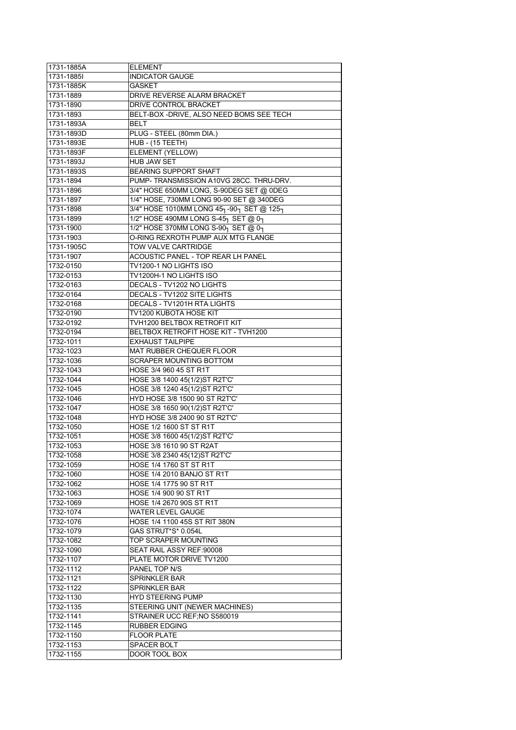| 1731-1885A | <b>ELEMENT</b>                           |
|------------|------------------------------------------|
| 1731-18851 | <b>INDICATOR GAUGE</b>                   |
| 1731-1885K | <b>GASKET</b>                            |
| 1731-1889  | DRIVE REVERSE ALARM BRACKET              |
| 1731-1890  | DRIVE CONTROL BRACKET                    |
| 1731-1893  | BELT-BOX -DRIVE, ALSO NEED BOMS SEE TECH |
| 1731-1893A | <b>BELT</b>                              |
| 1731-1893D | PLUG - STEEL (80mm DIA.)                 |
| 1731-1893E | HUB - (15 TEETH)                         |
|            |                                          |
| 1731-1893F | ELEMENT (YELLOW)                         |
| 1731-1893J | <b>HUB JAW SET</b>                       |
| 1731-1893S | <b>BEARING SUPPORT SHAFT</b>             |
| 1731-1894  | PUMP- TRANSMISSION A10VG 28CC. THRU-DRV. |
| 1731-1896  | 3/4" HOSE 650MM LONG, S-90DEG SET @ 0DEG |
| 1731-1897  | 1/4" HOSE, 730MM LONG 90-90 SET @ 340DEG |
| 1731-1898  | 3/4" HOSE 1010MM LONG 45-90- SET @ 125-  |
| 1731-1899  | 1/2" HOSE 490MM LONG S-45 SET @ 0-1      |
| 1731-1900  | 1/2" HOSE 370MM LONG S-90-1 SET @ 0-1    |
| 1731-1903  | O-RING REXROTH PUMP AUX MTG FLANGE       |
| 1731-1905C | TOW VALVE CARTRIDGE                      |
| 1731-1907  | ACOUSTIC PANEL - TOP REAR LH PANEL       |
| 1732-0150  | TV1200-1 NO LIGHTS ISO                   |
| 1732-0153  | TV1200H-1 NO LIGHTS ISO                  |
| 1732-0163  | DECALS - TV1202 NO LIGHTS                |
|            |                                          |
| 1732-0164  | DECALS - TV1202 SITE LIGHTS              |
| 1732-0168  | DECALS - TV1201H RTA LIGHTS              |
| 1732-0190  | TV1200 KUBOTA HOSE KIT                   |
| 1732-0192  | TVH1200 BELTBOX RETROFIT KIT             |
| 1732-0194  | BELTBOX RETROFIT HOSE KIT - TVH1200      |
| 1732-1011  | EXHAUST TAILPIPE                         |
| 1732-1023  | <b>MAT RUBBER CHEQUER FLOOR</b>          |
| 1732-1036  | <b>SCRAPER MOUNTING BOTTOM</b>           |
| 1732-1043  | HOSE 3/4 960 45 ST R1T                   |
| 1732-1044  | HOSE 3/8 1400 45(1/2) ST R2T'C'          |
| 1732-1045  | HOSE 3/8 1240 45(1/2) ST R2T'C'          |
| 1732-1046  | HYD HOSE 3/8 1500 90 ST R2T'C'           |
| 1732-1047  | HOSE 3/8 1650 90(1/2) ST R2T'C'          |
| 1732-1048  | <b>HYD HOSE 3/8 2400 90 ST R2T'C'</b>    |
| 1732-1050  | HOSE 1/2 1600 ST ST R1T                  |
| 1732-1051  | HOSE 3/8 1600 45(1/2) ST R2T'C'          |
| 1732-1053  | HOSE 3/8 1610 90 ST R2AT                 |
|            | HOSE 3/8 2340 45(12) ST R2T'C'           |
| 1732-1058  |                                          |
| 1732-1059  | <b>HOSE 1/4 1760 ST ST R1T</b>           |
| 1732-1060  | <b>HOSE 1/4 2010 BANJO ST R1T</b>        |
| 1732-1062  | HOSE 1/4 1775 90 ST R1T                  |
| 1732-1063  | HOSE 1/4 900 90 ST R1T                   |
| 1732-1069  | HOSE 1/4 2670 90S ST R1T                 |
| 1732-1074  | <b>WATER LEVEL GAUGE</b>                 |
| 1732-1076  | HOSE 1/4 1100 45S ST RIT 380N            |
| 1732-1079  | GAS STRUT*S* 0.054L                      |
| 1732-1082  | TOP SCRAPER MOUNTING                     |
| 1732-1090  | SEAT RAIL ASSY REF:90008                 |
| 1732-1107  | PLATE MOTOR DRIVE TV1200                 |
| 1732-1112  | PANEL TOP N/S                            |
| 1732-1121  | SPRINKLER BAR                            |
| 1732-1122  | <b>SPRINKLER BAR</b>                     |
| 1732-1130  | <b>HYD STEERING PUMP</b>                 |
| 1732-1135  |                                          |
|            | STEERING UNIT (NEWER MACHINES)           |
| 1732-1141  | STRAINER UCC REF; NO S580019             |
| 1732-1145  | <b>RUBBER EDGING</b>                     |
| 1732-1150  | <b>FLOOR PLATE</b>                       |
| 1732-1153  | SPACER BOLT                              |
| 1732-1155  | DOOR TOOL BOX                            |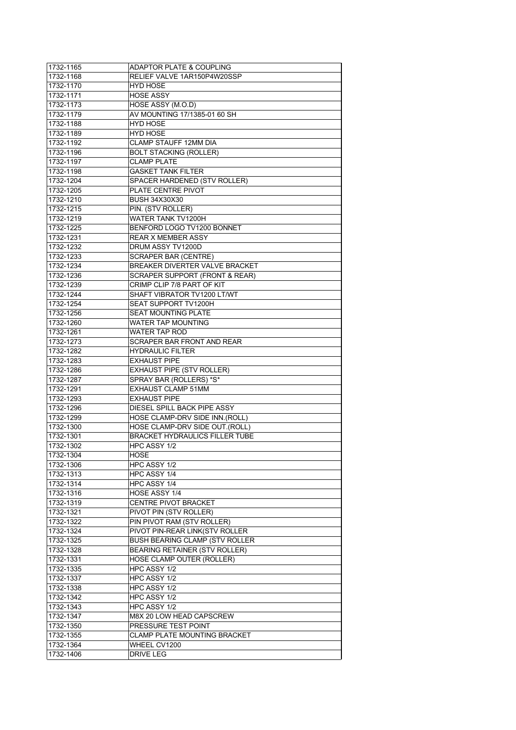| 1732-1165              | ADAPTOR PLATE & COUPLING              |
|------------------------|---------------------------------------|
| 1732-1168              | RELIEF VALVE 1AR150P4W20SSP           |
| 1732-1170              | <b>HYD HOSE</b>                       |
| 1732-1171              | <b>HOSE ASSY</b>                      |
| 1732-1173              | HOSE ASSY (M.O.D)                     |
| 1732-1179              | AV MOUNTING 17/1385-01 60 SH          |
| 1732-1188              | <b>HYD HOSE</b>                       |
| 1732-1189              | <b>HYD HOSE</b>                       |
| 1732-1192              | CLAMP STAUFF 12MM DIA                 |
| 1732-1196              | <b>BOLT STACKING (ROLLER)</b>         |
| 1732-1197              | <b>CLAMP PLATE</b>                    |
| 1732-1198              | <b>GASKET TANK FILTER</b>             |
| 1732-1204              | SPACER HARDENED (STV ROLLER)          |
| 1732-1205              | PLATE CENTRE PIVOT                    |
| 1732-1210              | <b>BUSH 34X30X30</b>                  |
| 1732-1215              | PIN. (STV ROLLER)                     |
| 1732-1219              | WATER TANK TV1200H                    |
| 1732-1225              | BENFORD LOGO TV1200 BONNET            |
| 1732-1231              | <b>REAR X MEMBER ASSY</b>             |
| 1732-1232              | DRUM ASSY TV1200D                     |
| 1732-1233              | <b>SCRAPER BAR (CENTRE)</b>           |
| 1732-1234              | BREAKER DIVERTER VALVE BRACKET        |
| 1732-1236              | SCRAPER SUPPORT (FRONT & REAR)        |
| 1732-1239              | CRIMP CLIP 7/8 PART OF KIT            |
| 1732-1244              | SHAFT VIBRATOR TV1200 LT/WT           |
| 1732-1254              | SEAT SUPPORT TV1200H                  |
| 1732-1256              | <b>SEAT MOUNTING PLATE</b>            |
| 1732-1260              | <b>WATER TAP MOUNTING</b>             |
| 1732-1261              | <b>WATER TAP ROD</b>                  |
| 1732-1273              | SCRAPER BAR FRONT AND REAR            |
| 1732-1282              | <b>HYDRAULIC FILTER</b>               |
| 1732-1283              | <b>EXHAUST PIPE</b>                   |
| 1732-1286              | <b>EXHAUST PIPE (STV ROLLER)</b>      |
| 1732-1287              | SPRAY BAR (ROLLERS) *S*               |
| 1732-1291              | EXHAUST CLAMP 51MM                    |
| 1732-1293              | <b>EXHAUST PIPE</b>                   |
| 1732-1296              | DIESEL SPILL BACK PIPE ASSY           |
| 1732-1299              | HOSE CLAMP-DRV SIDE INN.(ROLL)        |
| 1732-1300              | HOSE CLAMP-DRV SIDE OUT.(ROLL)        |
| 1732-1301              | <b>BRACKET HYDRAULICS FILLER TUBE</b> |
| 1732-1302              | HPC ASSY 1/2                          |
| 1732-1304              | <b>HOSE</b>                           |
| 1732-1306              | HPC ASSY 1/2                          |
| 1732-1313              |                                       |
|                        |                                       |
|                        | HPC ASSY 1/4                          |
| 1732-1314              | HPC ASSY 1/4                          |
| 1732-1316              | HOSE ASSY 1/4                         |
| 1732-1319              | CENTRE PIVOT BRACKET                  |
| 1732-1321              | PIVOT PIN (STV ROLLER)                |
| 1732-1322              | PIN PIVOT RAM (STV ROLLER)            |
| 1732-1324              | PIVOT PIN-REAR LINK(STV ROLLER        |
| 1732-1325              | BUSH BEARING CLAMP (STV ROLLER        |
| 1732-1328              | BEARING RETAINER (STV ROLLER)         |
| 1732-1331              | HOSE CLAMP OUTER (ROLLER)             |
| 1732-1335              | HPC ASSY 1/2                          |
| 1732-1337              | HPC ASSY 1/2                          |
| 1732-1338              | HPC ASSY 1/2                          |
| 1732-1342              | HPC ASSY 1/2                          |
| 1732-1343              | HPC ASSY 1/2                          |
| 1732-1347              | M8X 20 LOW HEAD CAPSCREW              |
| 1732-1350              | PRESSURE TEST POINT                   |
| 1732-1355              | <b>CLAMP PLATE MOUNTING BRACKET</b>   |
| 1732-1364<br>1732-1406 | WHEEL CV1200<br>DRIVE LEG             |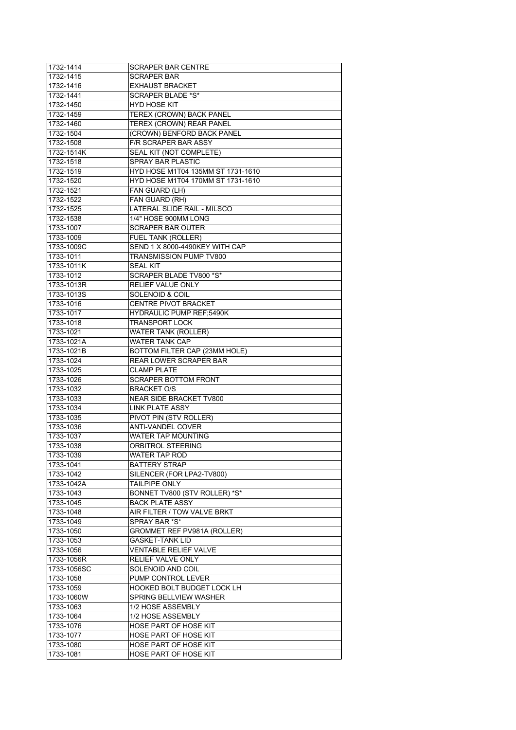| 1732-1414   | <b>SCRAPER BAR CENTRE</b>         |
|-------------|-----------------------------------|
| 1732-1415   | <b>SCRAPER BAR</b>                |
| 1732-1416   | <b>EXHAUST BRACKET</b>            |
| 1732-1441   | <b>SCRAPER BLADE *S*</b>          |
| 1732-1450   | <b>HYD HOSE KIT</b>               |
| 1732-1459   | TEREX (CROWN) BACK PANEL          |
| 1732-1460   | TEREX (CROWN) REAR PANEL          |
| 1732-1504   | (CROWN) BENFORD BACK PANEL        |
| 1732-1508   | F/R SCRAPER BAR ASSY              |
| 1732-1514K  | SEAL KIT (NOT COMPLETE)           |
| 1732-1518   | <b>SPRAY BAR PLASTIC</b>          |
| 1732-1519   | HYD HOSE M1T04 135MM ST 1731-1610 |
| 1732-1520   | HYD HOSE M1T04 170MM ST 1731-1610 |
| 1732-1521   | FAN GUARD (LH)                    |
| 1732-1522   | FAN GUARD (RH)                    |
| 1732-1525   | LATERAL SLIDE RAIL - MILSCO       |
| 1732-1538   | 1/4" HOSE 900MM LONG              |
| 1733-1007   | <b>SCRAPER BAR OUTER</b>          |
| 1733-1009   | FUEL TANK (ROLLER)                |
| 1733-1009C  | SEND 1 X 8000-4490KEY WITH CAP    |
| 1733-1011   | TRANSMISSION PUMP TV800           |
| 1733-1011K  | <b>SEAL KIT</b>                   |
| 1733-1012   | SCRAPER BLADE TV800 *S*           |
| 1733-1013R  | <b>RELIEF VALUE ONLY</b>          |
| 1733-1013S  | <b>SOLENOID &amp; COIL</b>        |
| 1733-1016   | <b>CENTRE PIVOT BRACKET</b>       |
| 1733-1017   | <b>HYDRAULIC PUMP REF:5490K</b>   |
| 1733-1018   | <b>TRANSPORT LOCK</b>             |
| 1733-1021   | <b>WATER TANK (ROLLER)</b>        |
| 1733-1021A  | <b>WATER TANK CAP</b>             |
| 1733-1021B  | BOTTOM FILTER CAP (23MM HOLE)     |
| 1733-1024   | REAR LOWER SCRAPER BAR            |
| 1733-1025   | <b>CLAMP PLATE</b>                |
| 1733-1026   | <b>SCRAPER BOTTOM FRONT</b>       |
| 1733-1032   | <b>BRACKET O/S</b>                |
| 1733-1033   | <b>NEAR SIDE BRACKET TV800</b>    |
| 1733-1034   | <b>LINK PLATE ASSY</b>            |
| 1733-1035   | PIVOT PIN (STV ROLLER)            |
| 1733-1036   | <b>ANTI-VANDEL COVER</b>          |
| 1733-1037   | WATER TAP MOUNTING                |
| 1733-1038   | <b>ORBITROL STEERING</b>          |
| 1733-1039   | <b>WATER TAP ROD</b>              |
| 1733-1041   | <b>BATTERY STRAP</b>              |
| 1733-1042   | SILENCER (FOR LPA2-TV800)         |
| 1733-1042A  | <b>TAILPIPE ONLY</b>              |
| 1733-1043   | BONNET TV800 (STV ROLLER) *S*     |
| 1733-1045   | <b>BACK PLATE ASSY</b>            |
| 1733-1048   | AIR FILTER / TOW VALVE BRKT       |
| 1733-1049   | SPRAY BAR *S*                     |
| 1733-1050   | GROMMET REF PV981A (ROLLER)       |
| 1733-1053   | <b>GASKET-TANK LID</b>            |
| 1733-1056   | <b>VENTABLE RELIEF VALVE</b>      |
| 1733-1056R  | RELIEF VALVE ONLY                 |
| 1733-1056SC | SOLENOID AND COIL                 |
| 1733-1058   | PUMP CONTROL LEVER                |
| 1733-1059   | HOOKED BOLT BUDGET LOCK LH        |
| 1733-1060W  | SPRING BELLVIEW WASHER            |
| 1733-1063   | 1/2 HOSE ASSEMBLY                 |
| 1733-1064   | 1/2 HOSE ASSEMBLY                 |
| 1733-1076   | HOSE PART OF HOSE KIT             |
| 1733-1077   | HOSE PART OF HOSE KIT             |
| 1733-1080   | HOSE PART OF HOSE KIT             |
| 1733-1081   | HOSE PART OF HOSE KIT             |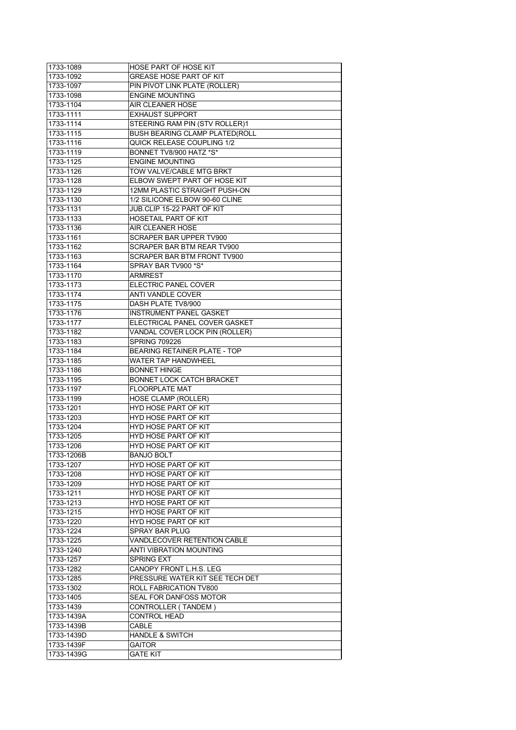| 1733-1089  | <b>HOSE PART OF HOSE KIT</b>          |
|------------|---------------------------------------|
| 1733-1092  | <b>GREASE HOSE PART OF KIT</b>        |
| 1733-1097  | PIN PIVOT LINK PLATE (ROLLER)         |
| 1733-1098  | <b>ENGINE MOUNTING</b>                |
| 1733-1104  | AIR CLEANER HOSE                      |
| 1733-1111  | <b>EXHAUST SUPPORT</b>                |
| 1733-1114  | STEERING RAM PIN (STV ROLLER)1        |
| 1733-1115  | <b>BUSH BEARING CLAMP PLATED(ROLL</b> |
| 1733-1116  | QUICK RELEASE COUPLING 1/2            |
| 1733-1119  | BONNET TV8/900 HATZ *S*               |
| 1733-1125  | <b>ENGINE MOUNTING</b>                |
| 1733-1126  | TOW VALVE/CABLE MTG BRKT              |
| 1733-1128  | ELBOW SWEPT PART OF HOSE KIT          |
| 1733-1129  | 12MM PLASTIC STRAIGHT PUSH-ON         |
| 1733-1130  | 1/2 SILICONE ELBOW 90-60 CLINE        |
| 1733-1131  | JUB.CLIP 15-22 PART OF KIT            |
| 1733-1133  | HOSETAIL PART OF KIT                  |
| 1733-1136  | AIR CLEANER HOSE                      |
| 1733-1161  | <b>SCRAPER BAR UPPER TV900</b>        |
| 1733-1162  | <b>SCRAPER BAR BTM REAR TV900</b>     |
| 1733-1163  | <b>SCRAPER BAR BTM FRONT TV900</b>    |
| 1733-1164  | SPRAY BAR TV900 *S*                   |
| 1733-1170  | ARMREST                               |
| 1733-1173  | ELECTRIC PANEL COVER                  |
| 1733-1174  | <b>ANTI VANDLE COVER</b>              |
| 1733-1175  | DASH PLATE TV8/900                    |
| 1733-1176  | <b>INSTRUMENT PANEL GASKET</b>        |
| 1733-1177  | ELECTRICAL PANEL COVER GASKET         |
| 1733-1182  | VANDAL COVER LOCK PIN (ROLLER)        |
| 1733-1183  | <b>SPRING 709226</b>                  |
| 1733-1184  | <b>BEARING RETAINER PLATE - TOP</b>   |
| 1733-1185  | WATER TAP HANDWHEEL                   |
| 1733-1186  | <b>BONNET HINGE</b>                   |
| 1733-1195  | <b>BONNET LOCK CATCH BRACKET</b>      |
| 1733-1197  | <b>FLOORPLATE MAT</b>                 |
| 1733-1199  | <b>HOSE CLAMP (ROLLER)</b>            |
| 1733-1201  | HYD HOSE PART OF KIT                  |
| 1733-1203  | HYD HOSE PART OF KIT                  |
| 1733-1204  | HYD HOSE PART OF KIT                  |
| 1733-1205  | <b>HYD HOSE PART OF KIT</b>           |
| 1733-1206  | <b>HYD HOSE PART OF KIT</b>           |
| 1733-1206B | <b>BANJO BOLT</b>                     |
| 1733-1207  | <b>HYD HOSE PART OF KIT</b>           |
| 1733-1208  | <b>HYD HOSE PART OF KIT</b>           |
| 1733-1209  | <b>HYD HOSE PART OF KIT</b>           |
| 1733-1211  | HYD HOSE PART OF KIT                  |
| 1733-1213  | <b>HYD HOSE PART OF KIT</b>           |
| 1733-1215  | HYD HOSE PART OF KIT                  |
| 1733-1220  | HYD HOSE PART OF KIT                  |
| 1733-1224  | SPRAY BAR PLUG                        |
| 1733-1225  | <b>VANDLECOVER RETENTION CABLE</b>    |
| 1733-1240  | ANTI VIBRATION MOUNTING               |
| 1733-1257  | <b>SPRING EXT</b>                     |
| 1733-1282  | CANOPY FRONT L.H.S. LEG               |
| 1733-1285  | PRESSURE WATER KIT SEE TECH DET       |
| 1733-1302  | ROLL FABRICATION TV800                |
| 1733-1405  | SEAL FOR DANFOSS MOTOR                |
| 1733-1439  | CONTROLLER (TANDEM)                   |
| 1733-1439A | <b>CONTROL HEAD</b>                   |
| 1733-1439B | CABLE                                 |
| 1733-1439D | <b>HANDLE &amp; SWITCH</b>            |
| 1733-1439F | GAITOR                                |
| 1733-1439G | <b>GATE KIT</b>                       |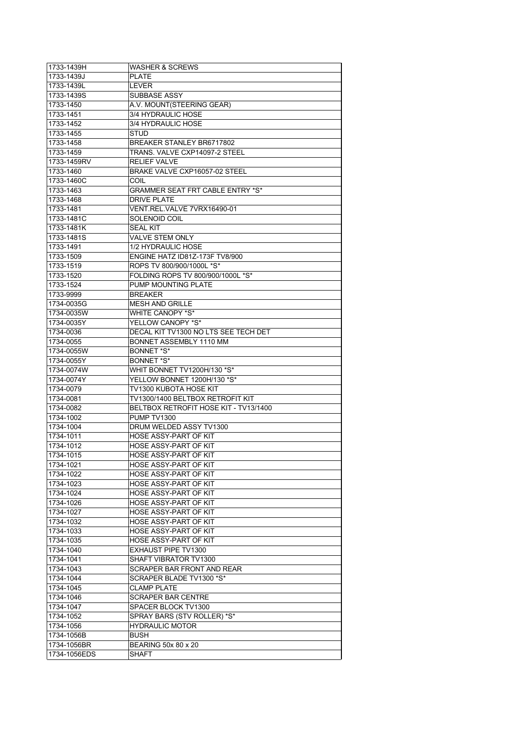| 1733-1439H  | <b>WASHER &amp; SCREWS</b>            |
|-------------|---------------------------------------|
| 1733-1439J  | <b>PLATE</b>                          |
| 1733-1439L  | <b>LEVER</b>                          |
| 1733-1439S  | SUBBASE ASSY                          |
| 1733-1450   | A.V. MOUNT(STEERING GEAR)             |
| 1733-1451   | 3/4 HYDRAULIC HOSE                    |
| 1733-1452   | 3/4 HYDRAULIC HOSE                    |
| 1733-1455   | <b>STUD</b>                           |
| 1733-1458   | BREAKER STANLEY BR6717802             |
| 1733-1459   | TRANS. VALVE CXP14097-2 STEEL         |
| 1733-1459RV | <b>RELIEF VALVE</b>                   |
| 1733-1460   | BRAKE VALVE CXP16057-02 STEEL         |
| 1733-1460C  | COIL                                  |
| 1733-1463   | GRAMMER SEAT FRT CABLE ENTRY *S*      |
| 1733-1468   | <b>DRIVE PLATE</b>                    |
| 1733-1481   | VENT.REL.VALVE 7VRX16490-01           |
| 1733-1481C  | SOLENOID COIL                         |
| 1733-1481K  | <b>SEAL KIT</b>                       |
| 1733-1481S  | <b>VALVE STEM ONLY</b>                |
| 1733-1491   | 1/2 HYDRAULIC HOSE                    |
| 1733-1509   | ENGINE HATZ ID81Z-173F TV8/900        |
| 1733-1519   | ROPS TV 800/900/1000L *S*             |
| 1733-1520   | FOLDING ROPS TV 800/900/1000L *S*     |
| 1733-1524   | PUMP MOUNTING PLATE                   |
| 1733-9999   | <b>BREAKER</b>                        |
| 1734-0035G  | <b>MESH AND GRILLE</b>                |
| 1734-0035W  | WHITE CANOPY *S*                      |
| 1734-0035Y  | YELLOW CANOPY *S*                     |
| 1734-0036   | DECAL KIT TV1300 NO LTS SEE TECH DET  |
| 1734-0055   | BONNET ASSEMBLY 1110 MM               |
| 1734-0055W  | BONNET *S*                            |
| 1734-0055Y  | BONNET *S*                            |
|             |                                       |
|             |                                       |
| 1734-0074W  | WHIT BONNET TV1200H/130 *S*           |
| 1734-0074Y  | YELLOW BONNET 1200H/130 *S*           |
| 1734-0079   | TV1300 KUBOTA HOSE KIT                |
| 1734-0081   | TV1300/1400 BELTBOX RETROFIT KIT      |
| 1734-0082   | BELTBOX RETROFIT HOSE KIT - TV13/1400 |
| 1734-1002   | <b>PUMP TV1300</b>                    |
| 1734-1004   | DRUM WELDED ASSY TV1300               |
| 1734-1011   | HOSE ASSY-PART OF KIT                 |
| 1734-1012   | HOSE ASSY-PART OF KIT                 |
| 1734-1015   | HOSE ASSY-PART OF KIT                 |
| 1734-1021   | HOSE ASSY-PART OF KIT                 |
| 1734-1022   | HOSE ASSY-PART OF KIT                 |
| 1734-1023   | HOSE ASSY-PART OF KIT                 |
| 1734-1024   | HOSE ASSY-PART OF KIT                 |
| 1734-1026   | HOSE ASSY-PART OF KIT                 |
| 1734-1027   | HOSE ASSY-PART OF KIT                 |
| 1734-1032   | <b>HOSE ASSY-PART OF KIT</b>          |
| 1734-1033   | HOSE ASSY-PART OF KIT                 |
| 1734-1035   | HOSE ASSY-PART OF KIT                 |
| 1734-1040   | EXHAUST PIPE TV1300                   |
| 1734-1041   | SHAFT VIBRATOR TV1300                 |
| 1734-1043   | <b>SCRAPER BAR FRONT AND REAR</b>     |
| 1734-1044   | SCRAPER BLADE TV1300 *S*              |
| 1734-1045   | <b>CLAMP PLATE</b>                    |
| 1734-1046   | SCRAPER BAR CENTRE                    |
| 1734-1047   | SPACER BLOCK TV1300                   |
| 1734-1052   | SPRAY BARS (STV ROLLER) *S*           |
| 1734-1056   | <b>HYDRAULIC MOTOR</b>                |
| 1734-1056B  | <b>BUSH</b>                           |
| 1734-1056BR | BEARING 50x 80 x 20<br><b>SHAFT</b>   |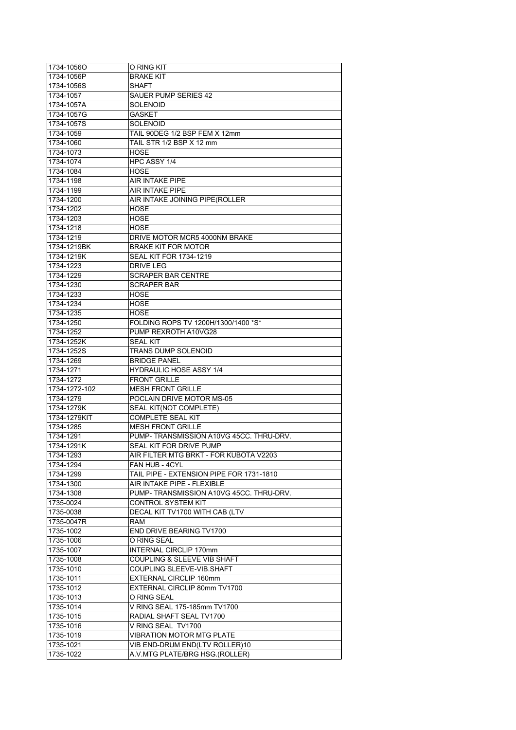| 1734-10560             | O RING KIT                                                       |
|------------------------|------------------------------------------------------------------|
| 1734-1056P             | <b>BRAKE KIT</b>                                                 |
| 1734-1056S             | <b>SHAFT</b>                                                     |
| 1734-1057              | <b>SAUER PUMP SERIES 42</b>                                      |
| 1734-1057A             | SOLENOID                                                         |
| 1734-1057G             | <b>GASKET</b>                                                    |
| 1734-1057S             | <b>SOLENOID</b>                                                  |
| 1734-1059              | TAIL 90DEG 1/2 BSP FEM X 12mm                                    |
| 1734-1060              | TAIL STR 1/2 BSP X 12 mm                                         |
| 1734-1073              | <b>HOSE</b>                                                      |
| 1734-1074              | HPC ASSY 1/4                                                     |
| 1734-1084              | <b>HOSE</b>                                                      |
| 1734-1198              | <b>AIR INTAKE PIPE</b>                                           |
| 1734-1199              | <b>AIR INTAKE PIPE</b>                                           |
| 1734-1200              | AIR INTAKE JOINING PIPE(ROLLER                                   |
| 1734-1202              | <b>HOSE</b>                                                      |
| 1734-1203              | <b>HOSE</b>                                                      |
| 1734-1218              | <b>HOSE</b>                                                      |
| 1734-1219              | DRIVE MOTOR MCR5 4000NM BRAKE                                    |
| 1734-1219BK            | <b>BRAKE KIT FOR MOTOR</b>                                       |
| 1734-1219K             | <b>SEAL KIT FOR 1734-1219</b>                                    |
| 1734-1223              | DRIVE LEG                                                        |
| 1734-1229              | <b>SCRAPER BAR CENTRE</b>                                        |
| 1734-1230              | <b>SCRAPER BAR</b>                                               |
| 1734-1233              | <b>HOSE</b>                                                      |
| 1734-1234              | <b>HOSE</b>                                                      |
| 1734-1235              | HOSE                                                             |
| 1734-1250              | FOLDING ROPS TV 1200H/1300/1400 *S*                              |
| 1734-1252              | PUMP REXROTH A10VG28                                             |
| 1734-1252K             | <b>SEAL KIT</b>                                                  |
| 1734-1252S             | TRANS DUMP SOLENOID                                              |
|                        | <b>BRIDGE PANEL</b>                                              |
|                        |                                                                  |
| 1734-1269              |                                                                  |
| 1734-1271              | <b>HYDRAULIC HOSE ASSY 1/4</b>                                   |
| 1734-1272              | <b>FRONT GRILLE</b>                                              |
| 1734-1272-102          | <b>MESH FRONT GRILLE</b>                                         |
| 1734-1279              | POCLAIN DRIVE MOTOR MS-05                                        |
| 1734-1279K             | SEAL KIT(NOT COMPLETE)                                           |
| 1734-1279KIT           | COMPLETE SEAL KIT                                                |
| 1734-1285              | <b>MESH FRONT GRILLE</b>                                         |
| 1734-1291              | PUMP-TRANSMISSION A10VG 45CC. THRU-DRV.                          |
| 1734-1291K             | SEAL KIT FOR DRIVE PUMP                                          |
| 1734-1293              | AIR FILTER MTG BRKT - FOR KUBOTA V2203                           |
| 1734-1294              | FAN HUB - 4CYL                                                   |
| 1734-1299              | TAIL PIPE - EXTENSION PIPE FOR 1731-1810                         |
| 1734-1300              | AIR INTAKE PIPE - FLEXIBLE                                       |
| 1734-1308              | PUMP-TRANSMISSION A10VG 45CC. THRU-DRV.                          |
| 1735-0024              | CONTROL SYSTEM KIT                                               |
| 1735-0038              | DECAL KIT TV1700 WITH CAB (LTV                                   |
| 1735-0047R             | RAM                                                              |
| 1735-1002              | END DRIVE BEARING TV1700                                         |
| 1735-1006              | O RING SEAL                                                      |
| 1735-1007              | <b>INTERNAL CIRCLIP 170mm</b>                                    |
| 1735-1008              | COUPLING & SLEEVE VIB SHAFT                                      |
| 1735-1010              | COUPLING SLEEVE-VIB.SHAFT                                        |
| 1735-1011              | EXTERNAL CIRCLIP 160mm                                           |
| 1735-1012              | EXTERNAL CIRCLIP 80mm TV1700                                     |
| 1735-1013              | O RING SEAL                                                      |
| 1735-1014              | V RING SEAL 175-185mm TV1700                                     |
| 1735-1015              | RADIAL SHAFT SEAL TV1700                                         |
| 1735-1016              | V RING SEAL TV1700                                               |
| 1735-1019              | <b>VIBRATION MOTOR MTG PLATE</b>                                 |
| 1735-1021<br>1735-1022 | VIB END-DRUM END(LTV ROLLER)10<br>A.V.MTG PLATE/BRG HSG.(ROLLER) |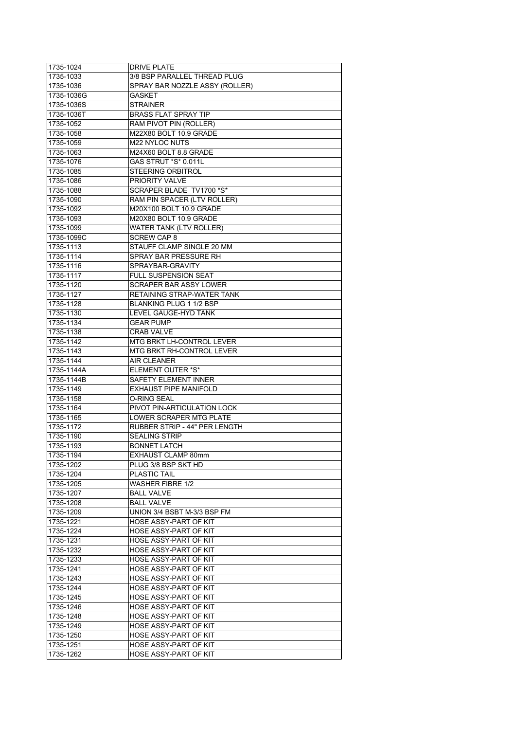| 1735-1024              | DRIVE PLATE                                            |
|------------------------|--------------------------------------------------------|
| 1735-1033              | 3/8 BSP PARALLEL THREAD PLUG                           |
| 1735-1036              | SPRAY BAR NOZZLE ASSY (ROLLER)                         |
| 1735-1036G             | <b>GASKET</b>                                          |
| 1735-1036S             | <b>STRAINER</b>                                        |
| 1735-1036T             | <b>BRASS FLAT SPRAY TIP</b>                            |
| 1735-1052              | RAM PIVOT PIN (ROLLER)                                 |
| 1735-1058              | M22X80 BOLT 10.9 GRADE                                 |
| 1735-1059              | M22 NYLOC NUTS                                         |
| 1735-1063              | M24X60 BOLT 8.8 GRADE                                  |
| 1735-1076              | GAS STRUT *S* 0.011L                                   |
| 1735-1085              | <b>STEERING ORBITROL</b>                               |
| 1735-1086              | PRIORITY VALVE                                         |
| 1735-1088              | SCRAPER BLADE TV1700 *S*                               |
| 1735-1090              | RAM PIN SPACER (LTV ROLLER)                            |
| 1735-1092              | M20X100 BOLT 10.9 GRADE                                |
| 1735-1093              | M20X80 BOLT 10.9 GRADE                                 |
| 1735-1099              | WATER TANK (LTV ROLLER)                                |
| 1735-1099C             | SCREW CAP 8                                            |
| 1735-1113              | STAUFF CLAMP SINGLE 20 MM                              |
| 1735-1114              | SPRAY BAR PRESSURE RH                                  |
| 1735-1116              | SPRAYBAR-GRAVITY                                       |
| 1735-1117              | <b>FULL SUSPENSION SEAT</b>                            |
| 1735-1120              | SCRAPER BAR ASSY LOWER                                 |
| 1735-1127              | RETAINING STRAP-WATER TANK                             |
| 1735-1128              | BLANKING PLUG 1 1/2 BSP                                |
| 1735-1130              | LEVEL GAUGE-HYD TANK                                   |
| 1735-1134              | <b>GEAR PUMP</b>                                       |
| 1735-1138              | <b>CRAB VALVE</b>                                      |
| 1735-1142              |                                                        |
| 1735-1143              | MTG BRKT LH-CONTROL LEVER<br>MTG BRKT RH-CONTROL LEVER |
| 1735-1144              | AIR CLEANER                                            |
| 1735-1144A             | ELEMENT OUTER *S*                                      |
| 1735-1144B             | <b>SAFETY ELEMENT INNER</b>                            |
| 1735-1149              | <b>EXHAUST PIPE MANIFOLD</b>                           |
| 1735-1158              | O-RING SEAL                                            |
| 1735-1164              | PIVOT PIN-ARTICULATION LOCK                            |
| 1735-1165              | LOWER SCRAPER MTG PLATE                                |
| 1735-1172              | RUBBER STRIP - 44" PER LENGTH                          |
| 1735-1190              | <b>SEALING STRIP</b>                                   |
| 1735-1193              | <b>BONNET LATCH</b>                                    |
| 1735-1194              | EXHAUST CLAMP 80mm                                     |
| 1735-1202              | PLUG 3/8 BSP SKT HD                                    |
| 1735-1204              | PLASTIC TAIL                                           |
| 1735-1205              | WASHER FIBRE 1/2                                       |
|                        | <b>BALL VALVE</b>                                      |
| 1735-1207              | <b>BALL VALVE</b>                                      |
| 1735-1208<br>1735-1209 | UNION 3/4 BSBT M-3/3 BSP FM                            |
| 1735-1221              | HOSE ASSY-PART OF KIT                                  |
| 1735-1224              | HOSE ASSY-PART OF KIT                                  |
|                        | HOSE ASSY-PART OF KIT                                  |
| 1735-1231              | HOSE ASSY-PART OF KIT                                  |
| 1735-1232<br>1735-1233 | HOSE ASSY-PART OF KIT                                  |
|                        |                                                        |
| 1735-1241              | HOSE ASSY-PART OF KIT                                  |
| 1735-1243              | HOSE ASSY-PART OF KIT                                  |
| 1735-1244              | HOSE ASSY-PART OF KIT                                  |
| 1735-1245              | HOSE ASSY-PART OF KIT                                  |
| 1735-1246              | HOSE ASSY-PART OF KIT                                  |
| 1735-1248              | HOSE ASSY-PART OF KIT                                  |
| 1735-1249              | HOSE ASSY-PART OF KIT                                  |
| 1735-1250              | HOSE ASSY-PART OF KIT                                  |
| 1735-1251              | HOSE ASSY-PART OF KIT                                  |
| 1735-1262              | HOSE ASSY-PART OF KIT                                  |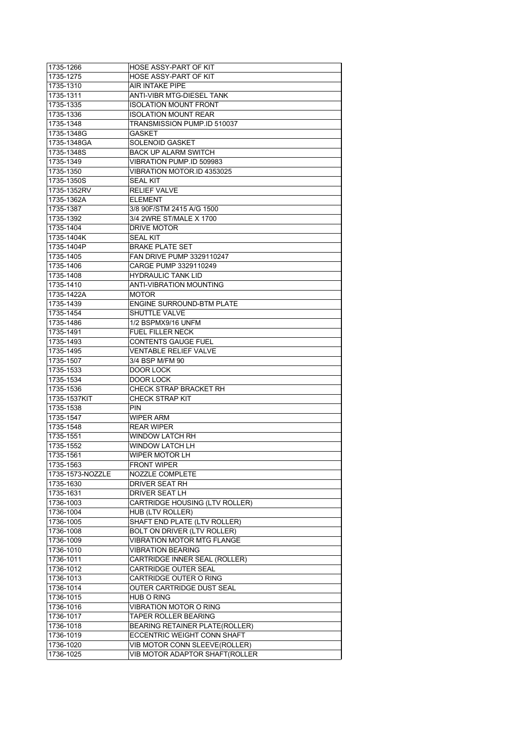| 1735-1266                     | HOSE ASSY-PART OF KIT                   |
|-------------------------------|-----------------------------------------|
| 1735-1275                     | HOSE ASSY-PART OF KIT                   |
| 1735-1310                     | AIR INTAKE PIPE                         |
| 1735-1311                     | ANTI-VIBR MTG-DIESEL TANK               |
| 1735-1335                     | <b>ISOLATION MOUNT FRONT</b>            |
| 1735-1336                     | <b>ISOLATION MOUNT REAR</b>             |
| 1735-1348                     | TRANSMISSION PUMP.ID 510037             |
| 1735-1348G                    | GASKET                                  |
| 1735-1348GA                   | SOLENOID GASKET                         |
| 1735-1348S                    | <b>BACK UP ALARM SWITCH</b>             |
| 1735-1349                     | VIBRATION PUMP.ID 509983                |
| 1735-1350                     | VIBRATION MOTOR ID 4353025              |
| 1735-1350S                    | <b>SEAL KIT</b>                         |
| 1735-1352RV                   | <b>RELIEF VALVE</b>                     |
| 1735-1362A                    | <b>ELEMENT</b>                          |
| 1735-1387                     | 3/8 90F/STM 2415 A/G 1500               |
| 1735-1392                     | 3/4 2WRE ST/MALE X 1700                 |
| 1735-1404                     | DRIVE MOTOR                             |
| 1735-1404K                    | <b>SEAL KIT</b>                         |
| 1735-1404P                    | <b>BRAKE PLATE SET</b>                  |
| 1735-1405                     | <b>FAN DRIVE PUMP 3329110247</b>        |
| 1735-1406                     | CARGE PUMP 3329110249                   |
| 1735-1408                     | <b>HYDRAULIC TANK LID</b>               |
| 1735-1410                     | ANTI-VIBRATION MOUNTING                 |
| 1735-1422A                    | <b>MOTOR</b>                            |
| 1735-1439                     | ENGINE SURROUND-BTM PLATE               |
| 1735-1454                     | SHUTTLE VALVE                           |
| 1735-1486                     | 1/2 BSPMX9/16 UNFM                      |
| 1735-1491                     | <b>FUEL FILLER NECK</b>                 |
| 1735-1493                     | <b>CONTENTS GAUGE FUEL</b>              |
| 1735-1495                     | <b>VENTABLE RELIEF VALVE</b>            |
| 1735-1507                     | 3/4 BSP M/FM 90                         |
| 1735-1533                     | DOOR LOCK                               |
| 1735-1534                     | <b>DOOR LOCK</b>                        |
| 1735-1536                     | CHECK STRAP BRACKET RH                  |
| 1735-1537KIT                  | CHECK STRAP KIT                         |
| 1735-1538                     | PIN                                     |
| 1735-1547                     | WIPER ARM                               |
| 1735-1548                     | <b>REAR WIPER</b>                       |
| 1735-1551                     | <b>WINDOW LATCH RH</b>                  |
| 1735-1552                     | WINDOW LATCH LH                         |
| 1735-1561                     | WIPER MOTOR LH                          |
|                               | <b>FRONT WIPER</b>                      |
| 1735-1563<br>1735-1573-NOZZLE |                                         |
|                               | NOZZLE COMPLETE                         |
| 1735-1630                     | DRIVER SEAT RH<br><b>DRIVER SEAT LH</b> |
| 1735-1631                     |                                         |
| 1736-1003                     | CARTRIDGE HOUSING (LTV ROLLER)          |
| 1736-1004                     | HUB (LTV ROLLER)                        |
| 1736-1005                     | SHAFT END PLATE (LTV ROLLER)            |
| 1736-1008                     | BOLT ON DRIVER (LTV ROLLER)             |
| 1736-1009                     | <b>VIBRATION MOTOR MTG FLANGE</b>       |
| 1736-1010                     | <b>VIBRATION BEARING</b>                |
| 1736-1011                     | CARTRIDGE INNER SEAL (ROLLER)           |
| 1736-1012                     | <b>CARTRIDGE OUTER SEAL</b>             |
| 1736-1013                     | CARTRIDGE OUTER O RING                  |
| 1736-1014                     | OUTER CARTRIDGE DUST SEAL               |
| 1736-1015                     | <b>HUB O RING</b>                       |
| 1736-1016                     | VIBRATION MOTOR O RING                  |
| 1736-1017                     | <b>TAPER ROLLER BEARING</b>             |
| 1736-1018                     | BEARING RETAINER PLATE(ROLLER)          |
| 1736-1019                     | ECCENTRIC WEIGHT CONN SHAFT             |
| 1736-1020                     | VIB MOTOR CONN SLEEVE(ROLLER)           |
| 1736-1025                     | VIB MOTOR ADAPTOR SHAFT(ROLLER          |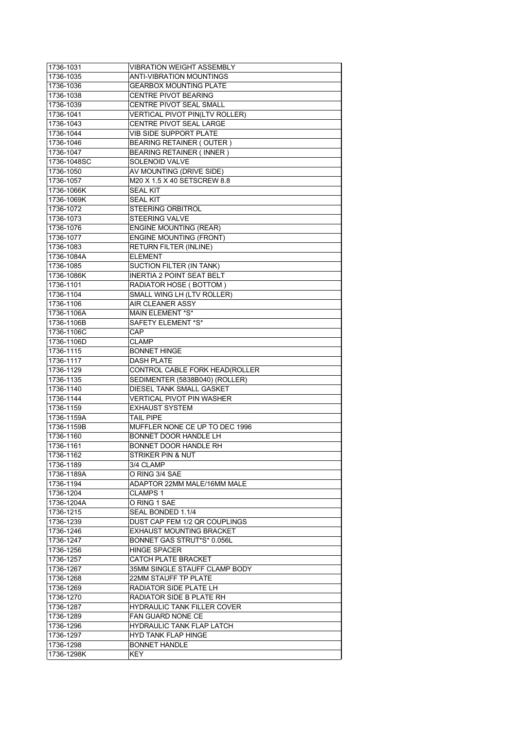| 1736-1031               | <b>VIBRATION WEIGHT ASSEMBLY</b>               |
|-------------------------|------------------------------------------------|
| 1736-1035               | <b>ANTI-VIBRATION MOUNTINGS</b>                |
| 1736-1036               | <b>GEARBOX MOUNTING PLATE</b>                  |
| 1736-1038               | <b>CENTRE PIVOT BEARING</b>                    |
| 1736-1039               | CENTRE PIVOT SEAL SMALL                        |
| 1736-1041               | VERTICAL PIVOT PIN(LTV ROLLER)                 |
| 1736-1043               | CENTRE PIVOT SEAL LARGE                        |
| 1736-1044               | <b>VIB SIDE SUPPORT PLATE</b>                  |
| 1736-1046               | BEARING RETAINER (OUTER)                       |
| 1736-1047               | <b>BEARING RETAINER (INNER)</b>                |
| 1736-1048SC             | <b>SOLENOID VALVE</b>                          |
| 1736-1050               | AV MOUNTING (DRIVE SIDE)                       |
| 1736-1057               | M20 X 1.5 X 40 SETSCREW 8.8                    |
| 1736-1066K              | <b>SEAL KIT</b>                                |
| 1736-1069K              | <b>SEAL KIT</b>                                |
| 1736-1072               | <b>STEERING ORBITROL</b>                       |
| 1736-1073               | <b>STEERING VALVE</b>                          |
| 1736-1076               | <b>ENGINE MOUNTING (REAR)</b>                  |
| 1736-1077               | <b>ENGINE MOUNTING (FRONT)</b>                 |
| 1736-1083               | <b>RETURN FILTER (INLINE)</b>                  |
| 1736-1084A              | <b>ELEMENT</b>                                 |
| 1736-1085               | SUCTION FILTER (IN TANK)                       |
| 1736-1086K              | <b>INERTIA 2 POINT SEAT BELT</b>               |
| 1736-1101               | RADIATOR HOSE (BOTTOM)                         |
| 1736-1104               | SMALL WING LH (LTV ROLLER)                     |
| 1736-1106               | AIR CLEANER ASSY                               |
| 1736-1106A              | MAIN ELEMENT *S*                               |
| 1736-1106B              | SAFETY ELEMENT *S*                             |
| 1736-1106C              | CAP                                            |
| 1736-1106D              | <b>CLAMP</b>                                   |
| 1736-1115               | <b>BONNET HINGE</b>                            |
| 1736-1117               | <b>DASH PLATE</b>                              |
| 1736-1129               | CONTROL CABLE FORK HEAD(ROLLER                 |
| 1736-1135               | SEDIMENTER (5838B040) (ROLLER)                 |
| 1736-1140               | DIESEL TANK SMALL GASKET                       |
| 1736-1144               | <b>VERTICAL PIVOT PIN WASHER</b>               |
| 1736-1159               | <b>EXHAUST SYSTEM</b>                          |
| 1736-1159A              | TAIL PIPE                                      |
| 1736-1159B              | MUFFLER NONE CE UP TO DEC 1996                 |
| 1736-1160               | BONNET DOOR HANDLE LH                          |
| 1736-1161               | BONNET DOOR HANDLE RH                          |
| 1736-1162               | STRIKER PIN & NUT                              |
| 1736-1189               | 3/4 CLAMP                                      |
| 1736-1189A              | O RING 3/4 SAE                                 |
| 1736-1194               | ADAPTOR 22MM MALE/16MM MALE                    |
| 1736-1204               | <b>CLAMPS 1</b>                                |
| 1736-1204A              | O RING 1 SAE                                   |
| 1736-1215               | SEAL BONDED 1.1/4                              |
| 1736-1239               | DUST CAP FEM 1/2 QR COUPLINGS                  |
| 1736-1246               | <b>EXHAUST MOUNTING BRACKET</b>                |
| 1736-1247               | BONNET GAS STRUT*S* 0.056L                     |
| 1736-1256               | <b>HINGE SPACER</b>                            |
| 1736-1257               |                                                |
| 1736-1267               | <b>CATCH PLATE BRACKET</b>                     |
|                         | 35MM SINGLE STAUFF CLAMP BODY                  |
|                         |                                                |
| 1736-1268<br>1736-1269  | 22MM STAUFF TP PLATE<br>RADIATOR SIDE PLATE LH |
|                         |                                                |
| 1736-1270               | RADIATOR SIDE B PLATE RH                       |
| 1736-1287               | HYDRAULIC TANK FILLER COVER                    |
| 1736-1289               | FAN GUARD NONE CE                              |
| 1736-1296               | HYDRAULIC TANK FLAP LATCH                      |
| 1736-1297               | HYD TANK FLAP HINGE                            |
| 1736-1298<br>1736-1298K | <b>BONNET HANDLE</b><br><b>KEY</b>             |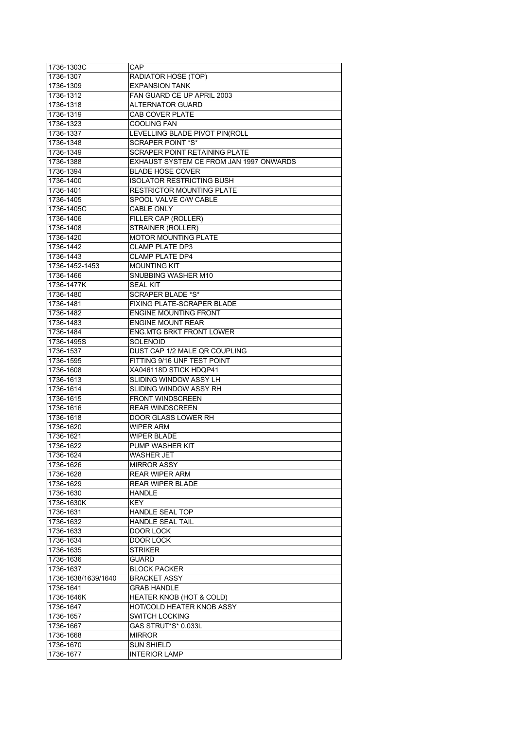|                     | CAP                                     |
|---------------------|-----------------------------------------|
| 1736-1307           | RADIATOR HOSE (TOP)                     |
| 1736-1309           | <b>EXPANSION TANK</b>                   |
| 1736-1312           | FAN GUARD CE UP APRIL 2003              |
| 1736-1318           | ALTERNATOR GUARD                        |
| 1736-1319           | <b>CAB COVER PLATE</b>                  |
| 1736-1323           | <b>COOLING FAN</b>                      |
| 1736-1337           | LEVELLING BLADE PIVOT PIN(ROLL          |
| 1736-1348           | <b>SCRAPER POINT *S*</b>                |
| 1736-1349           | SCRAPER POINT RETAINING PLATE           |
| 1736-1388           | EXHAUST SYSTEM CE FROM JAN 1997 ONWARDS |
| 1736-1394           | <b>BLADE HOSE COVER</b>                 |
| 1736-1400           | <b>ISOLATOR RESTRICTING BUSH</b>        |
| 1736-1401           | <b>RESTRICTOR MOUNTING PLATE</b>        |
| 1736-1405           | SPOOL VALVE C/W CABLE                   |
| 1736-1405C          | CABLE ONLY                              |
| 1736-1406           | FILLER CAP (ROLLER)                     |
| 1736-1408           | STRAINER (ROLLER)                       |
| 1736-1420           | <b>MOTOR MOUNTING PLATE</b>             |
| 1736-1442           | <b>CLAMP PLATE DP3</b>                  |
|                     |                                         |
| 1736-1443           | <b>CLAMP PLATE DP4</b>                  |
| 1736-1452-1453      | <b>MOUNTING KIT</b>                     |
| 1736-1466           | SNUBBING WASHER M10                     |
| 1736-1477K          | <b>SEAL KIT</b>                         |
| 1736-1480           | <b>SCRAPER BLADE *S*</b>                |
| 1736-1481           | FIXING PLATE-SCRAPER BLADE              |
| 1736-1482           | <b>ENGINE MOUNTING FRONT</b>            |
| 1736-1483           | <b>ENGINE MOUNT REAR</b>                |
| 1736-1484           | <b>ENG.MTG BRKT FRONT LOWER</b>         |
| 1736-1495S          | SOLENOID                                |
| 1736-1537           | DUST CAP 1/2 MALE QR COUPLING           |
| 1736-1595           | FITTING 9/16 UNF TEST POINT             |
| 1736-1608           | XA046118D STICK HDQP41                  |
| 1736-1613           | SLIDING WINDOW ASSY LH                  |
| 1736-1614           | SLIDING WINDOW ASSY RH                  |
| 1736-1615           | <b>FRONT WINDSCREEN</b>                 |
|                     |                                         |
| 1736-1616           | <b>REAR WINDSCREEN</b>                  |
| 1736-1618           | DOOR GLASS LOWER RH                     |
| 1736-1620           | <b>WIPER ARM</b>                        |
| 1736-1621           | <b>WIPER BLADE</b>                      |
| 1736-1622           | PUMP WASHER KIT                         |
| 1736-1624           | WASHER JET                              |
| 1736-1626           | <b>MIRROR ASSY</b>                      |
| 1736-1628           | <b>REAR WIPER ARM</b>                   |
| 1736-1629           | <b>REAR WIPER BLADE</b>                 |
| 1736-1630           | <b>HANDLE</b>                           |
| 1736-1630K          | KEY                                     |
| 1736-1631           | <b>HANDLE SEAL TOP</b>                  |
| 1736-1632           | <b>HANDLE SEAL TAIL</b>                 |
| 1736-1633           | DOOR LOCK                               |
| 1736-1634           | <b>DOOR LOCK</b>                        |
| 1736-1635           | <b>STRIKER</b>                          |
| 1736-1636           | <b>GUARD</b>                            |
| 1736-1637           | <b>BLOCK PACKER</b>                     |
| 1736-1638/1639/1640 | <b>BRACKET ASSY</b>                     |
| 1736-1641           | <b>GRAB HANDLE</b>                      |
| 1736-1646K          | HEATER KNOB (HOT & COLD)                |
| 1736-1647           | HOT/COLD HEATER KNOB ASSY               |
| 1736-1657           | <b>SWITCH LOCKING</b>                   |
| 1736-1667           | GAS STRUT*S* 0.033L                     |
| 1736-1668           | <b>MIRROR</b>                           |
| 1736-1670           | <b>SUN SHIELD</b>                       |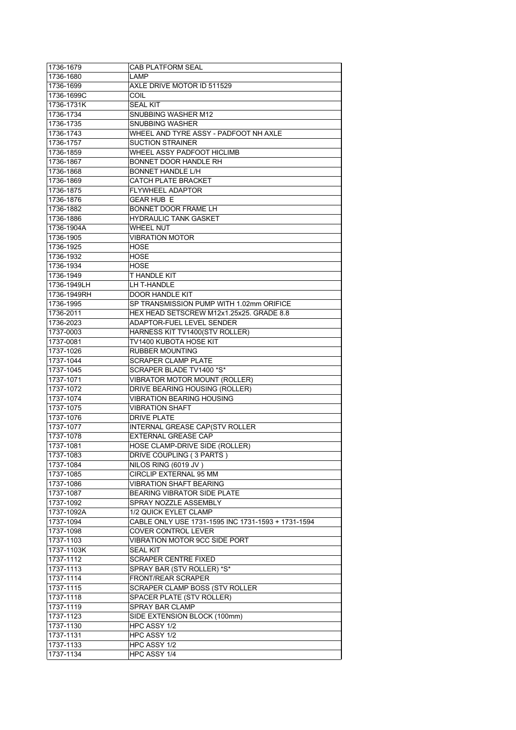| 1736-1679   | <b>CAB PLATFORM SEAL</b>                                              |
|-------------|-----------------------------------------------------------------------|
| 1736-1680   | LAMP                                                                  |
| 1736-1699   | AXLE DRIVE MOTOR ID 511529                                            |
| 1736-1699C  | COIL                                                                  |
| 1736-1731K  | <b>SEAL KIT</b>                                                       |
| 1736-1734   | SNUBBING WASHER M12                                                   |
| 1736-1735   | <b>SNUBBING WASHER</b>                                                |
| 1736-1743   | WHEEL AND TYRE ASSY - PADFOOT NH AXLE                                 |
| 1736-1757   | <b>SUCTION STRAINER</b>                                               |
| 1736-1859   | WHEEL ASSY PADFOOT HICLIMB                                            |
| 1736-1867   | <b>BONNET DOOR HANDLE RH</b>                                          |
| 1736-1868   | <b>BONNET HANDLE L/H</b>                                              |
| 1736-1869   | <b>CATCH PLATE BRACKET</b>                                            |
| 1736-1875   | FLYWHEEL ADAPTOR                                                      |
| 1736-1876   | <b>GEAR HUB E</b>                                                     |
| 1736-1882   | BONNET DOOR FRAME LH                                                  |
| 1736-1886   | <b>HYDRAULIC TANK GASKET</b>                                          |
| 1736-1904A  | <b>WHEEL NUT</b>                                                      |
| 1736-1905   | <b>VIBRATION MOTOR</b>                                                |
| 1736-1925   | <b>HOSE</b>                                                           |
| 1736-1932   | <b>HOSE</b>                                                           |
| 1736-1934   |                                                                       |
| 1736-1949   | <b>HOSE</b><br>T HANDLE KIT                                           |
| 1736-1949LH |                                                                       |
| 1736-1949RH | LH T-HANDLE<br><b>DOOR HANDLE KIT</b>                                 |
|             |                                                                       |
| 1736-1995   | SP TRANSMISSION PUMP WITH 1.02mm ORIFICE                              |
| 1736-2011   | HEX HEAD SETSCREW M12x1.25x25. GRADE 8.8<br>ADAPTOR-FUEL LEVEL SENDER |
| 1736-2023   |                                                                       |
| 1737-0003   | HARNESS KIT TV1400(STV ROLLER)                                        |
| 1737-0081   | TV1400 KUBOTA HOSE KIT                                                |
| 1737-1026   | <b>RUBBER MOUNTING</b>                                                |
| 1737-1044   | <b>SCRAPER CLAMP PLATE</b>                                            |
| 1737-1045   | SCRAPER BLADE TV1400 *S*                                              |
| 1737-1071   | VIBRATOR MOTOR MOUNT (ROLLER)                                         |
| 1737-1072   | DRIVE BEARING HOUSING (ROLLER)                                        |
| 1737-1074   | <b>VIBRATION BEARING HOUSING</b>                                      |
| 1737-1075   | <b>VIBRATION SHAFT</b>                                                |
| 1737-1076   | <b>DRIVE PLATE</b>                                                    |
| 1737-1077   | INTERNAL GREASE CAP(STV ROLLER                                        |
| 1737-1078   | <b>EXTERNAL GREASE CAP</b>                                            |
| 1737-1081   | HOSE CLAMP-DRIVE SIDE (ROLLER)                                        |
| 1737-1083   | DRIVE COUPLING (3 PARTS)                                              |
| 1737-1084   | NILOS RING (6019 JV)                                                  |
| 1737-1085   | CIRCLIP EXTERNAL 95 MM                                                |
| 1737-1086   | <b>VIBRATION SHAFT BEARING</b>                                        |
| 1737-1087   | <b>BEARING VIBRATOR SIDE PLATE</b>                                    |
| 1737-1092   | SPRAY NOZZLE ASSEMBLY                                                 |
| 1737-1092A  | 1/2 QUICK EYLET CLAMP                                                 |
| 1737-1094   | CABLE ONLY USE 1731-1595 INC 1731-1593 + 1731-1594                    |
| 1737-1098   | <b>COVER CONTROL LEVER</b>                                            |
| 1737-1103   | VIBRATION MOTOR 9CC SIDE PORT                                         |
| 1737-1103K  | <b>SEAL KIT</b>                                                       |
| 1737-1112   | <b>SCRAPER CENTRE FIXED</b>                                           |
| 1737-1113   | SPRAY BAR (STV ROLLER) *S*                                            |
| 1737-1114   | FRONT/REAR SCRAPER                                                    |
| 1737-1115   | SCRAPER CLAMP BOSS (STV ROLLER                                        |
| 1737-1118   | SPACER PLATE (STV ROLLER)                                             |
| 1737-1119   | SPRAY BAR CLAMP                                                       |
| 1737-1123   | SIDE EXTENSION BLOCK (100mm)                                          |
| 1737-1130   | HPC ASSY 1/2                                                          |
| 1737-1131   | HPC ASSY 1/2                                                          |
| 1737-1133   | HPC ASSY 1/2                                                          |
| 1737-1134   | HPC ASSY 1/4                                                          |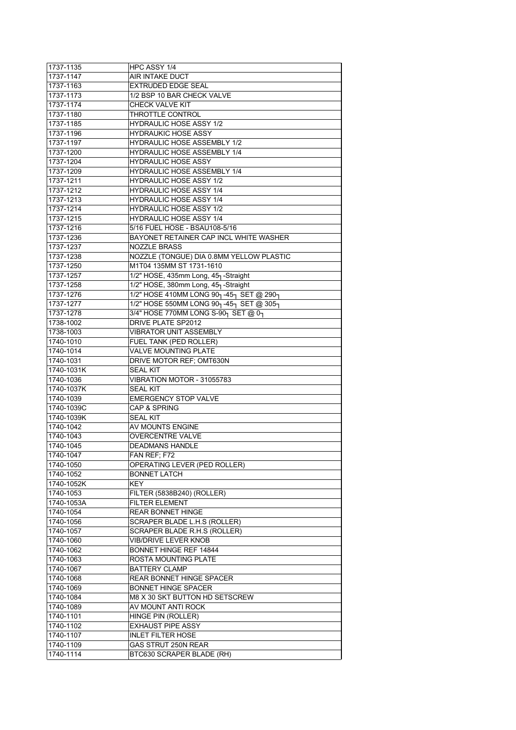| 1737-1135  | HPC ASSY 1/4                             |
|------------|------------------------------------------|
| 1737-1147  | AIR INTAKE DUCT                          |
| 1737-1163  | <b>EXTRUDED EDGE SEAL</b>                |
| 1737-1173  | 1/2 BSP 10 BAR CHECK VALVE               |
| 1737-1174  | <b>CHECK VALVE KIT</b>                   |
| 1737-1180  | THROTTLE CONTROL                         |
| 1737-1185  | <b>HYDRAULIC HOSE ASSY 1/2</b>           |
| 1737-1196  | <b>HYDRAUKIC HOSE ASSY</b>               |
| 1737-1197  | <b>HYDRAULIC HOSE ASSEMBLY 1/2</b>       |
| 1737-1200  | HYDRAULIC HOSE ASSEMBLY 1/4              |
| 1737-1204  | <b>HYDRAULIC HOSE ASSY</b>               |
| 1737-1209  | <b>HYDRAULIC HOSE ASSEMBLY 1/4</b>       |
| 1737-1211  | <b>HYDRAULIC HOSE ASSY 1/2</b>           |
| 1737-1212  | <b>HYDRAULIC HOSE ASSY 1/4</b>           |
| 1737-1213  | <b>HYDRAULIC HOSE ASSY 1/4</b>           |
| 1737-1214  | <b>HYDRAULIC HOSE ASSY 1/2</b>           |
| 1737-1215  | <b>HYDRAULIC HOSE ASSY 1/4</b>           |
|            |                                          |
| 1737-1216  | 5/16 FUEL HOSE - BSAU108-5/16            |
| 1737-1236  | BAYONET RETAINER CAP INCL WHITE WASHER   |
| 1737-1237  | <b>NOZZLE BRASS</b>                      |
| 1737-1238  | NOZZLE (TONGUE) DIA 0.8MM YELLOW PLASTIC |
| 1737-1250  | M1T04 135MM ST 1731-1610                 |
| 1737-1257  | 1/2" HOSE, 435mm Long, 45-3 -Straight    |
| 1737-1258  | 1/2" HOSE, 380mm Long, 45-1-Straight     |
| 1737-1276  | 1/2" HOSE 410MM LONG 90-45- SET @ 290-   |
| 1737-1277  | 1/2" HOSE 550MM LONG 90-45- SET @ 305-   |
| 1737-1278  | 3/4" HOSE 770MM LONG S-90-1 SET @ 0-1    |
| 1738-1002  | DRIVE PLATE SP2012                       |
| 1738-1003  | <b>VIBRATOR UNIT ASSEMBLY</b>            |
| 1740-1010  | FUEL TANK (PED ROLLER)                   |
| 1740-1014  | <b>VALVE MOUNTING PLATE</b>              |
| 1740-1031  | DRIVE MOTOR REF; OMT630N                 |
| 1740-1031K | SEAL KIT                                 |
| 1740-1036  | VIBRATION MOTOR - 31055783               |
| 1740-1037K | <b>SEAL KIT</b>                          |
| 1740-1039  | <b>EMERGENCY STOP VALVE</b>              |
| 1740-1039C | CAP & SPRING                             |
| 1740-1039K | <b>SEAL KIT</b>                          |
| 1740-1042  | AV MOUNTS ENGINE                         |
| 1740-1043  | <b>OVERCENTRE VALVE</b>                  |
| 1740-1045  | <b>DEADMANS HANDLE</b>                   |
| 1740-1047  | FAN REF; F72                             |
| 1740-1050  | OPERATING LEVER (PED ROLLER)             |
| 1740-1052  | <b>BONNET LATCH</b>                      |
| 1740-1052K | KEY                                      |
| 1740-1053  | FILTER (5838B240) (ROLLER)               |
| 1740-1053A | FILTER ELEMENT                           |
| 1740-1054  | <b>REAR BONNET HINGE</b>                 |
| 1740-1056  | SCRAPER BLADE L.H.S (ROLLER)             |
| 1740-1057  | SCRAPER BLADE R.H.S (ROLLER)             |
| 1740-1060  | <b>VIB/DRIVE LEVER KNOB</b>              |
| 1740-1062  | <b>BONNET HINGE REF 14844</b>            |
| 1740-1063  | ROSTA MOUNTING PLATE                     |
|            |                                          |
| 1740-1067  | <b>BATTERY CLAMP</b>                     |
| 1740-1068  | REAR BONNET HINGE SPACER                 |
| 1740-1069  | <b>BONNET HINGE SPACER</b>               |
| 1740-1084  | M8 X 30 SKT BUTTON HD SETSCREW           |
| 1740-1089  | AV MOUNT ANTI ROCK                       |
| 1740-1101  | HINGE PIN (ROLLER)                       |
| 1740-1102  | <b>EXHAUST PIPE ASSY</b>                 |
| 1740-1107  | <b>INLET FILTER HOSE</b>                 |
| 1740-1109  | GAS STRUT 250N REAR                      |
| 1740-1114  | BTC630 SCRAPER BLADE (RH)                |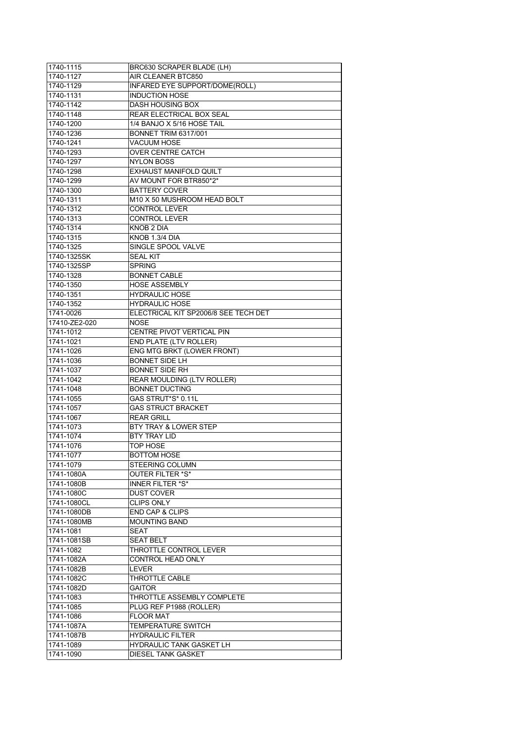| 1740-1115     | BRC630 SCRAPER BLADE (LH)            |
|---------------|--------------------------------------|
| 1740-1127     | AIR CLEANER BTC850                   |
| 1740-1129     | INFARED EYE SUPPORT/DOME(ROLL)       |
| 1740-1131     | <b>INDUCTION HOSE</b>                |
| 1740-1142     | DASH HOUSING BOX                     |
| 1740-1148     | REAR ELECTRICAL BOX SEAL             |
| 1740-1200     | 1/4 BANJO X 5/16 HOSE TAIL           |
| 1740-1236     | <b>BONNET TRIM 6317/001</b>          |
| 1740-1241     | VACUUM HOSE                          |
| 1740-1293     | OVER CENTRE CATCH                    |
| 1740-1297     | <b>NYLON BOSS</b>                    |
| 1740-1298     | <b>EXHAUST MANIFOLD QUILT</b>        |
| 1740-1299     | AV MOUNT FOR BTR850*2*               |
| 1740-1300     | <b>BATTERY COVER</b>                 |
| 1740-1311     | M10 X 50 MUSHROOM HEAD BOLT          |
| 1740-1312     | <b>CONTROL LEVER</b>                 |
| 1740-1313     | <b>CONTROL LEVER</b>                 |
| 1740-1314     | <b>KNOB 2 DIA</b>                    |
| 1740-1315     | KNOB 1.3/4 DIA                       |
| 1740-1325     | SINGLE SPOOL VALVE                   |
| 1740-1325SK   | <b>SEAL KIT</b>                      |
| 1740-1325SP   | <b>SPRING</b>                        |
| 1740-1328     | <b>BONNET CABLE</b>                  |
| 1740-1350     | <b>HOSE ASSEMBLY</b>                 |
| 1740-1351     | <b>HYDRAULIC HOSE</b>                |
| 1740-1352     | <b>HYDRAULIC HOSE</b>                |
| 1741-0026     | ELECTRICAL KIT SP2006/8 SEE TECH DET |
| 17410-ZE2-020 | NOSE                                 |
| 1741-1012     | CENTRE PIVOT VERTICAL PIN            |
| 1741-1021     | <b>END PLATE (LTV ROLLER)</b>        |
| 1741-1026     | ENG MTG BRKT (LOWER FRONT)           |
| 1741-1036     | <b>BONNET SIDE LH</b>                |
| 1741-1037     | <b>BONNET SIDE RH</b>                |
| 1741-1042     | REAR MOULDING (LTV ROLLER)           |
| 1741-1048     | <b>BONNET DUCTING</b>                |
| 1741-1055     | GAS STRUT*S* 0.11L                   |
| 1741-1057     | <b>GAS STRUCT BRACKET</b>            |
| 1741-1067     | <b>REAR GRILL</b>                    |
| 1741-1073     | BTY TRAY & LOWER STEP                |
| 1741-1074     | BTY TRAY LID                         |
| 1741-1076     | <b>TOP HOSE</b>                      |
| 1741-1077     | <b>BOTTOM HOSE</b>                   |
| 1741-1079     | STEERING COLUMN                      |
| 1741-1080A    | <b>OUTER FILTER *S*</b>              |
| 1741-1080B    | <b>INNER FILTER *S*</b>              |
| 1741-1080C    | <b>DUST COVER</b>                    |
| 1741-1080CL   | <b>CLIPS ONLY</b>                    |
| 1741-1080DB   | <b>END CAP &amp; CLIPS</b>           |
| 1741-1080MB   | <b>MOUNTING BAND</b>                 |
| 1741-1081     | SEAT                                 |
| 1741-1081SB   | <b>SEAT BELT</b>                     |
| 1741-1082     | THROTTLE CONTROL LEVER               |
| 1741-1082A    | CONTROL HEAD ONLY                    |
| 1741-1082B    | LEVER                                |
| 1741-1082C    | THROTTLE CABLE                       |
| 1741-1082D    | GAITOR                               |
| 1741-1083     | THROTTLE ASSEMBLY COMPLETE           |
| 1741-1085     | PLUG REF P1988 (ROLLER)              |
| 1741-1086     | <b>FLOOR MAT</b>                     |
| 1741-1087A    | TEMPERATURE SWITCH                   |
| 1741-1087B    | <b>HYDRAULIC FILTER</b>              |
| 1741-1089     | HYDRAULIC TANK GASKET LH             |
| 1741-1090     | DIESEL TANK GASKET                   |
|               |                                      |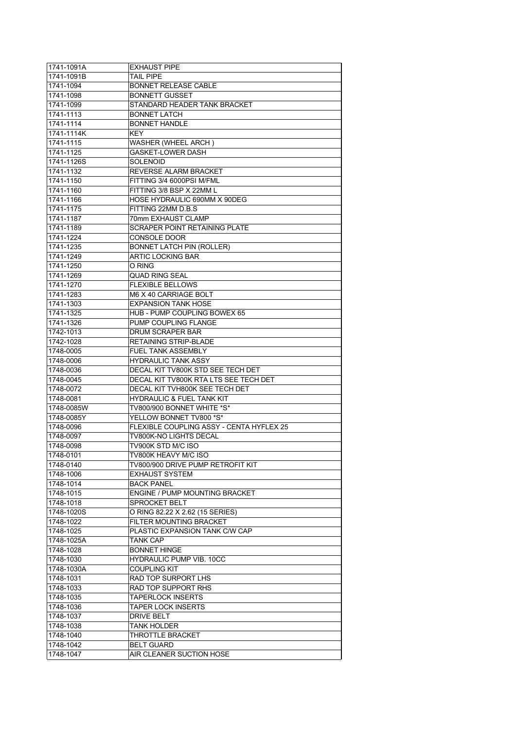| 1741-1091A               | <b>EXHAUST PIPE</b>                                                        |
|--------------------------|----------------------------------------------------------------------------|
| 1741-1091B               | TAIL PIPE                                                                  |
| 1741-1094                | <b>BONNET RELEASE CABLE</b>                                                |
| 1741-1098                | <b>BONNETT GUSSET</b>                                                      |
| 1741-1099                | STANDARD HEADER TANK BRACKET                                               |
| 1741-1113                | <b>BONNET LATCH</b>                                                        |
| 1741-1114                | <b>BONNET HANDLE</b>                                                       |
| 1741-1114K               | KEY.                                                                       |
| 1741-1115                | <b>WASHER (WHEEL ARCH)</b>                                                 |
| 1741-1125                | GASKET-LOWER DASH                                                          |
| 1741-1126S               | <b>SOLENOID</b>                                                            |
| 1741-1132                | REVERSE ALARM BRACKET                                                      |
| 1741-1150                | FITTING 3/4 6000PSI M/FML                                                  |
| 1741-1160                | FITTING 3/8 BSP X 22MM L                                                   |
| 1741-1166                | HOSE HYDRAULIC 690MM X 90DEG                                               |
| 1741-1175                | FITTING 22MM D.B.S                                                         |
| 1741-1187                | 70mm EXHAUST CLAMP                                                         |
| 1741-1189                | SCRAPER POINT RETAINING PLATE                                              |
| 1741-1224                | <b>CONSOLE DOOR</b>                                                        |
| 1741-1235                | <b>BONNET LATCH PIN (ROLLER)</b>                                           |
| 1741-1249                | ARTIC LOCKING BAR                                                          |
| 1741-1250                | O RING                                                                     |
| 1741-1269                | <b>QUAD RING SEAL</b>                                                      |
| 1741-1270                | <b>FLEXIBLE BELLOWS</b>                                                    |
| 1741-1283                | M6 X 40 CARRIAGE BOLT                                                      |
| 1741-1303                | <b>EXPANSION TANK HOSE</b>                                                 |
| 1741-1325                | HUB - PUMP COUPLING BOWEX 65                                               |
| 1741-1326                | PUMP COUPLING FLANGE                                                       |
| 1742-1013                | DRUM SCRAPER BAR                                                           |
|                          | <b>RETAINING STRIP-BLADE</b>                                               |
| 1742-1028                | <b>FUEL TANK ASSEMBLY</b>                                                  |
| 1748-0005                | <b>HYDRAULIC TANK ASSY</b>                                                 |
| 1748-0006                |                                                                            |
| 1748-0036                | DECAL KIT TV800K STD SEE TECH DET<br>DECAL KIT TV800K RTA LTS SEE TECH DET |
| 1748-0045                | DECAL KIT TVH800K SEE TECH DET                                             |
| 1748-0072                | <b>HYDRAULIC &amp; FUEL TANK KIT</b>                                       |
| 1748-0081                | TV800/900 BONNET WHITE *S*                                                 |
| 1748-0085W<br>1748-0085Y | YELLOW BONNET TV800 *S*                                                    |
|                          | FLEXIBLE COUPLING ASSY - CENTA HYFLEX 25                                   |
| 1748-0096<br>1748-0097   | TV800K-NO LIGHTS DECAL                                                     |
| 1748-0098                | TV900K STD M/C ISO                                                         |
| 1748-0101                | TV800K HEAVY M/C ISO                                                       |
| 1748-0140                | TV800/900 DRIVE PUMP RETROFIT KIT                                          |
|                          |                                                                            |
| 1748-1006<br>1748-1014   | <b>EXHAUST SYSTEM</b>                                                      |
|                          | <b>BACK PANEL</b>                                                          |
| 1748-1015                | ENGINE / PUMP MOUNTING BRACKET                                             |
| 1748-1018                | SPROCKET BELT                                                              |
| 1748-1020S               | O RING 82.22 X 2.62 (15 SERIES)                                            |
| 1748-1022                | FILTER MOUNTING BRACKET                                                    |
| 1748-1025                | PLASTIC EXPANSION TANK C/W CAP                                             |
| 1748-1025A               | TANK CAP                                                                   |
| 1748-1028                | <b>BONNET HINGE</b>                                                        |
| 1748-1030                | <b>HYDRAULIC PUMP VIB. 10CC</b>                                            |
| 1748-1030A               | <b>COUPLING KIT</b>                                                        |
| 1748-1031                | RAD TOP SURPORT LHS                                                        |
| 1748-1033                | RAD TOP SUPPORT RHS                                                        |
| 1748-1035                | <b>TAPERLOCK INSERTS</b>                                                   |
| 1748-1036                | <b>TAPER LOCK INSERTS</b>                                                  |
| 1748-1037                | DRIVE BELT                                                                 |
| 1748-1038                | TANK HOLDER                                                                |
| 1748-1040                | THROTTLE BRACKET                                                           |
| 1748-1042                | <b>BELT GUARD</b>                                                          |
| 1748-1047                | AIR CLEANER SUCTION HOSE                                                   |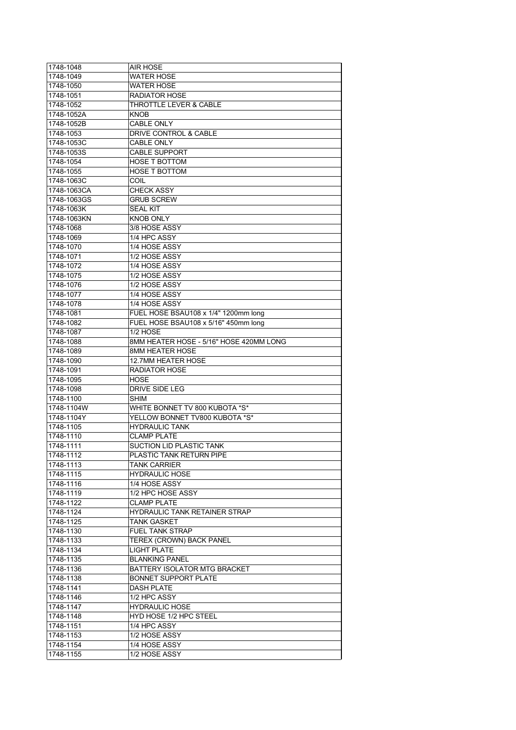| 1748-1048   | AIR HOSE                                |
|-------------|-----------------------------------------|
| 1748-1049   | WATER HOSE                              |
| 1748-1050   | <b>WATER HOSE</b>                       |
| 1748-1051   | <b>RADIATOR HOSE</b>                    |
| 1748-1052   | THROTTLE LEVER & CABLE                  |
| 1748-1052A  | KNOB                                    |
| 1748-1052B  | <b>CABLE ONLY</b>                       |
| 1748-1053   | DRIVE CONTROL & CABLE                   |
| 1748-1053C  | <b>CABLE ONLY</b>                       |
| 1748-1053S  | <b>CABLE SUPPORT</b>                    |
| 1748-1054   | <b>HOSE T BOTTOM</b>                    |
| 1748-1055   | <b>HOSE T BOTTOM</b>                    |
| 1748-1063C  | COIL                                    |
| 1748-1063CA | <b>CHECK ASSY</b>                       |
| 1748-1063GS | <b>GRUB SCREW</b>                       |
| 1748-1063K  | <b>SEAL KIT</b>                         |
| 1748-1063KN | KNOB ONLY                               |
| 1748-1068   | 3/8 HOSE ASSY                           |
| 1748-1069   | 1/4 HPC ASSY                            |
| 1748-1070   | 1/4 HOSE ASSY                           |
| 1748-1071   | 1/2 HOSE ASSY                           |
| 1748-1072   | 1/4 HOSE ASSY                           |
| 1748-1075   | 1/2 HOSE ASSY                           |
| 1748-1076   | 1/2 HOSE ASSY                           |
| 1748-1077   | 1/4 HOSE ASSY                           |
| 1748-1078   | 1/4 HOSE ASSY                           |
| 1748-1081   | FUEL HOSE BSAU108 x 1/4" 1200mm long    |
| 1748-1082   | FUEL HOSE BSAU108 x 5/16" 450mm long    |
| 1748-1087   | 1/2 HOSE                                |
| 1748-1088   | 8MM HEATER HOSE - 5/16" HOSE 420MM LONG |
| 1748-1089   | 8MM HEATER HOSE                         |
| 1748-1090   | <b>12.7MM HEATER HOSE</b>               |
| 1748-1091   | RADIATOR HOSE                           |
| 1748-1095   | HOSE                                    |
| 1748-1098   | DRIVE SIDE LEG                          |
| 1748-1100   | <b>SHIM</b>                             |
| 1748-1104W  | WHITE BONNET TV 800 KUBOTA *S*          |
| 1748-1104Y  | YELLOW BONNET TV800 KUBOTA *S*          |
| 1748-1105   | <b>HYDRAULIC TANK</b>                   |
| 1748-1110   | <b>CLAMP PLATE</b>                      |
| 1748-1111   | SUCTION LID PLASTIC TANK                |
| 1748-1112   | PLASTIC TANK RETURN PIPE                |
| 1748-1113   | <b>TANK CARRIER</b>                     |
| 1748-1115   | <b>HYDRAULIC HOSE</b>                   |
| 1748-1116   | 1/4 HOSE ASSY                           |
| 1748-1119   | 1/2 HPC HOSE ASSY                       |
| 1748-1122   | <b>CLAMP PLATE</b>                      |
| 1748-1124   | HYDRAULIC TANK RETAINER STRAP           |
| 1748-1125   | <b>TANK GASKET</b>                      |
| 1748-1130   | <b>FUEL TANK STRAP</b>                  |
| 1748-1133   | TEREX (CROWN) BACK PANEL                |
| 1748-1134   | <b>LIGHT PLATE</b>                      |
| 1748-1135   | <b>BLANKING PANEL</b>                   |
| 1748-1136   | BATTERY ISOLATOR MTG BRACKET            |
| 1748-1138   | <b>BONNET SUPPORT PLATE</b>             |
| 1748-1141   | <b>DASH PLATE</b>                       |
| 1748-1146   | 1/2 HPC ASSY                            |
| 1748-1147   | <b>HYDRAULIC HOSE</b>                   |
| 1748-1148   | HYD HOSE 1/2 HPC STEEL                  |
| 1748-1151   | 1/4 HPC ASSY                            |
| 1748-1153   | 1/2 HOSE ASSY                           |
| 1748-1154   | 1/4 HOSE ASSY                           |
| 1748-1155   | 1/2 HOSE ASSY                           |
|             |                                         |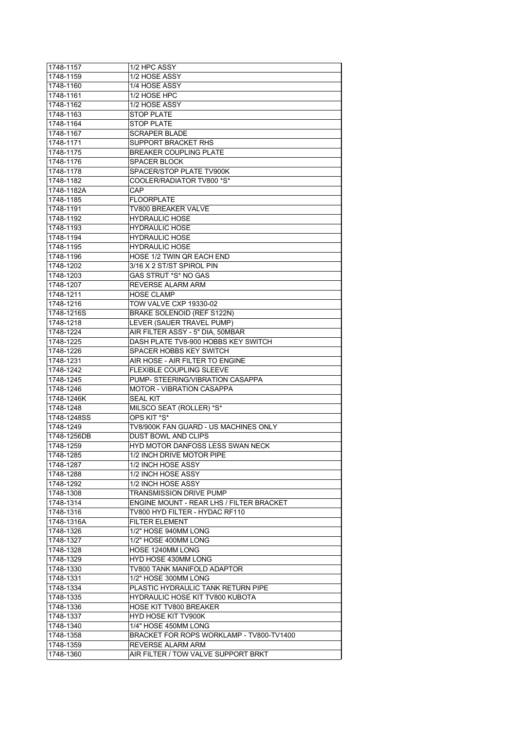| 1748-1157                | 1/2 HPC ASSY                                    |
|--------------------------|-------------------------------------------------|
| 1748-1159                | 1/2 HOSE ASSY                                   |
| 1748-1160                | 1/4 HOSE ASSY                                   |
| 1748-1161                | 1/2 HOSE HPC                                    |
| 1748-1162                | 1/2 HOSE ASSY                                   |
| 1748-1163                | <b>STOP PLATE</b>                               |
| 1748-1164                | <b>STOP PLATE</b>                               |
| 1748-1167                | <b>SCRAPER BLADE</b>                            |
| 1748-1171                | SUPPORT BRACKET RHS                             |
| 1748-1175                | <b>BREAKER COUPLING PLATE</b>                   |
| 1748-1176                | <b>SPACER BLOCK</b>                             |
| 1748-1178                | SPACER/STOP PLATE TV900K                        |
| 1748-1182                | COOLER/RADIATOR TV800 *S*                       |
| 1748-1182A               | CAP                                             |
| 1748-1185                | <b>FLOORPLATE</b>                               |
| 1748-1191                | TV800 BREAKER VALVE                             |
| 1748-1192                | <b>HYDRAULIC HOSE</b>                           |
| 1748-1193                | <b>HYDRAULIC HOSE</b>                           |
| 1748-1194                | <b>HYDRAULIC HOSE</b>                           |
| 1748-1195                | <b>HYDRAULIC HOSE</b>                           |
| 1748-1196                | HOSE 1/2 TWIN QR EACH END                       |
| 1748-1202                | 3/16 X 2 ST/ST SPIROL PIN                       |
| 1748-1203                | GAS STRUT *S* NO GAS                            |
| 1748-1207                | <b>REVERSE ALARM ARM</b>                        |
| 1748-1211                | <b>HOSE CLAMP</b>                               |
| 1748-1216                | TOW VALVE CXP 19330-02                          |
| 1748-1216S               | BRAKE SOLENOID (REF S122N)                      |
| 1748-1218                | LEVER (SAUER TRAVEL PUMP)                       |
| 1748-1224                | AIR FILTER ASSY - 5" DIA, 50MBAR                |
| 1748-1225                | DASH PLATE TV8-900 HOBBS KEY SWITCH             |
| 1748-1226                | SPACER HOBBS KEY SWITCH                         |
| 1748-1231                | AIR HOSE - AIR FILTER TO ENGINE                 |
| 1748-1242                | <b>FLEXIBLE COUPLING SLEEVE</b>                 |
| 1748-1245                | PUMP- STEERING/VIBRATION CASAPPA                |
| 1748-1246                | <b>MOTOR - VIBRATION CASAPPA</b>                |
| 1748-1246K               | <b>SEAL KIT</b>                                 |
| 1748-1248<br>1748-1248SS | MILSCO SEAT (ROLLER) *S*<br>OPS KIT *S*         |
| 1748-1249                | TV8/900K FAN GUARD - US MACHINES ONLY           |
| 1748-1256DB              | <b>DUST BOWL AND CLIPS</b>                      |
| 1748-1259                | <b>HYD MOTOR DANFOSS LESS SWAN NECK</b>         |
| 1748-1285                | 1/2 INCH DRIVE MOTOR PIPE                       |
| 1748-1287                | 1/2 INCH HOSE ASSY                              |
| 1748-1288                | 1/2 INCH HOSE ASSY                              |
| 1748-1292                | 1/2 INCH HOSE ASSY                              |
| 1748-1308                | TRANSMISSION DRIVE PUMP                         |
| 1748-1314                | <b>ENGINE MOUNT - REAR LHS / FILTER BRACKET</b> |
| 1748-1316                | TV800 HYD FILTER - HYDAC RF110                  |
| 1748-1316A               | <b>FILTER ELEMENT</b>                           |
| 1748-1326                | 1/2" HOSE 940MM LONG                            |
| 1748-1327                | 1/2" HOSE 400MM LONG                            |
| 1748-1328                | HOSE 1240MM LONG                                |
| 1748-1329                | HYD HOSE 430MM LONG                             |
| 1748-1330                | TV800 TANK MANIFOLD ADAPTOR                     |
| 1748-1331                | 1/2" HOSE 300MM LONG                            |
| 1748-1334                | PLASTIC HYDRAULIC TANK RETURN PIPE              |
| 1748-1335                | HYDRAULIC HOSE KIT TV800 KUBOTA                 |
| 1748-1336                | <b>HOSE KIT TV800 BREAKER</b>                   |
| 1748-1337                | <b>HYD HOSE KIT TV900K</b>                      |
| 1748-1340                | 1/4" HOSE 450MM LONG                            |
| 1748-1358                | BRACKET FOR ROPS WORKLAMP - TV800-TV1400        |
| 1748-1359                | REVERSE ALARM ARM                               |
| 1748-1360                | AIR FILTER / TOW VALVE SUPPORT BRKT             |
|                          |                                                 |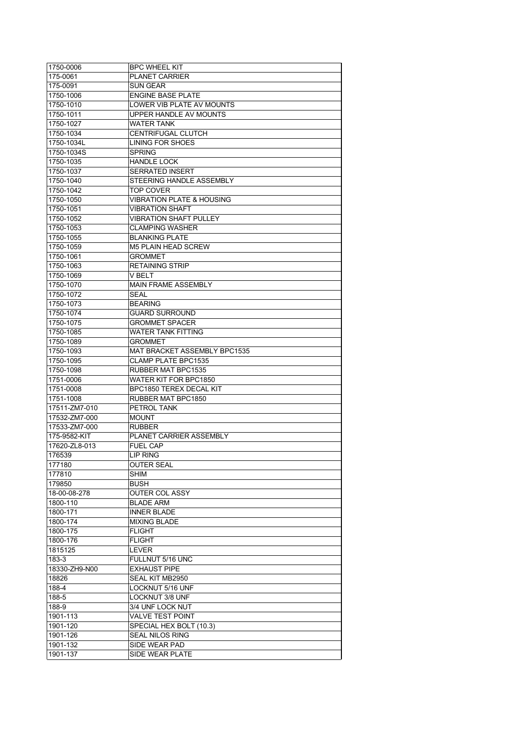| 1750-0006            | <b>BPC WHEEL KIT</b>                 |
|----------------------|--------------------------------------|
| 175-0061             | <b>PLANET CARRIER</b>                |
| 175-0091             | SUN GEAR                             |
| 1750-1006            | <b>ENGINE BASE PLATE</b>             |
| 1750-1010            | LOWER VIB PLATE AV MOUNTS            |
| 1750-1011            | UPPER HANDLE AV MOUNTS               |
| 1750-1027            | WATER TANK                           |
| 1750-1034            | <b>CENTRIFUGAL CLUTCH</b>            |
| 1750-1034L           | LINING FOR SHOES                     |
| 1750-1034S           | <b>SPRING</b>                        |
| 1750-1035            | <b>HANDLE LOCK</b>                   |
| 1750-1037            | <b>SERRATED INSERT</b>               |
| 1750-1040            | STEERING HANDLE ASSEMBLY             |
| 1750-1042            | TOP COVER                            |
| 1750-1050            | <b>VIBRATION PLATE &amp; HOUSING</b> |
| 1750-1051            | <b>VIBRATION SHAFT</b>               |
| 1750-1052            | <b>VIBRATION SHAFT PULLEY</b>        |
| 1750-1053            | <b>CLAMPING WASHER</b>               |
| 1750-1055            | <b>BLANKING PLATE</b>                |
| 1750-1059            | <b>M5 PLAIN HEAD SCREW</b>           |
| 1750-1061            | GROMMET                              |
| 1750-1063            | <b>RETAINING STRIP</b>               |
| 1750-1069            | V BELT                               |
| 1750-1070            | <b>MAIN FRAME ASSEMBLY</b>           |
| 1750-1072            | SEAL                                 |
| 1750-1073            | <b>BEARING</b>                       |
| 1750-1074            | <b>GUARD SURROUND</b>                |
| 1750-1075            | <b>GROMMET SPACER</b>                |
| 1750-1085            | WATER TANK FITTING                   |
| 1750-1089            | <b>GROMMET</b>                       |
| 1750-1093            | MAT BRACKET ASSEMBLY BPC1535         |
| 1750-1095            | <b>CLAMP PLATE BPC1535</b>           |
| 1750-1098            | RUBBER MAT BPC1535                   |
| 1751-0006            | WATER KIT FOR BPC1850                |
| 1751-0008            | BPC1850 TEREX DECAL KIT              |
| 1751-1008            | RUBBER MAT BPC1850                   |
| 17511-ZM7-010        | PETROL TANK                          |
| 17532-ZM7-000        | MOUNT                                |
| 17533-ZM7-000        | <b>RUBBER</b>                        |
| 175-9582-KIT         |                                      |
|                      |                                      |
|                      | PLANET CARRIER ASSEMBLY              |
| 17620-ZL8-013        | <b>FUEL CAP</b>                      |
| 176539               | <b>LIP RING</b>                      |
| 177180               | <b>OUTER SEAL</b>                    |
| 177810               | <b>SHIM</b>                          |
| 179850               | BUSH                                 |
| 18-00-08-278         | <b>OUTER COL ASSY</b>                |
| 1800-110             | <b>BLADE ARM</b>                     |
| 1800-171             | <b>INNER BLADE</b>                   |
| 1800-174             | <b>MIXING BLADE</b>                  |
| 1800-175             | <b>FLIGHT</b>                        |
| 1800-176             | <b>FLIGHT</b>                        |
| 1815125              | LEVER                                |
| 183-3                | FULLNUT 5/16 UNC                     |
| 18330-ZH9-N00        | <b>EXHAUST PIPE</b>                  |
| 18826                | SEAL KIT MB2950                      |
| $188 - 4$            | LOCKNUT 5/16 UNF                     |
| 188-5                | LOCKNUT 3/8 UNF                      |
| 188-9                | 3/4 UNF LOCK NUT                     |
| 1901-113             | VALVE TEST POINT                     |
| 1901-120             | SPECIAL HEX BOLT (10.3)              |
| 1901-126             | SEAL NILOS RING                      |
| 1901-132<br>1901-137 | SIDE WEAR PAD<br>SIDE WEAR PLATE     |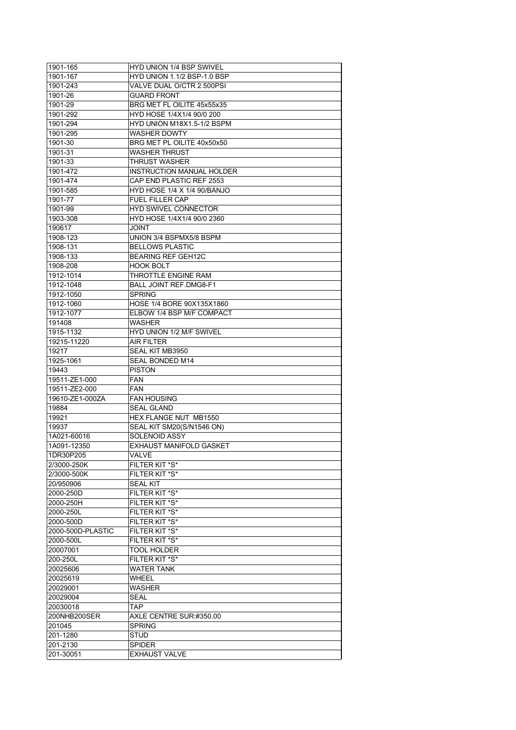| 1901-165              | <b>HYD UNION 1/4 BSP SWIVEL</b>       |
|-----------------------|---------------------------------------|
| 1901-167              | HYD UNION 1.1/2 BSP-1.0 BSP           |
| 1901-243              | VALVE DUAL O/CTR 2.500PSI             |
| 1901-26               | <b>GUARD FRONT</b>                    |
| 1901-29               | BRG MET FL OILITE 45x55x35            |
| 1901-292              | HYD HOSE 1/4X1/4 90/0 200             |
| 1901-294              | HYD UNION M18X1.5-1/2 BSPM            |
| 1901-295              | WASHER DOWTY                          |
| 1901-30               | BRG MET PL OILITE 40x50x50            |
| 1901-31               | WASHER THRUST                         |
| 1901-33               | THRUST WASHER                         |
| 1901-472              | <b>INSTRUCTION MANUAL HOLDER</b>      |
| 1901-474              | CAP END PLASTIC REF 2553              |
| 1901-585              | HYD HOSE 1/4 X 1/4 90/BANJO           |
| 1901-77               | <b>FUEL FILLER CAP</b>                |
| 1901-99               | <b>HYD SWIVEL CONNECTOR</b>           |
| 1903-308              | HYD HOSE 1/4X1/4 90/0 2360            |
| 190617                | TNIOL                                 |
| 1908-123              | UNION 3/4 BSPMX5/8 BSPM               |
| 1908-131              | <b>BELLOWS PLASTIC</b>                |
| 1908-133              | <b>BEARING REF GEH12C</b>             |
| 1908-208              | HOOK BOLT                             |
| 1912-1014             | THROTTLE ENGINE RAM                   |
| 1912-1048             | <b>BALL JOINT REF.DMG8-F1</b>         |
| 1912-1050             | <b>SPRING</b>                         |
| 1912-1060             | HOSE 1/4 BORE 90X135X1860             |
|                       |                                       |
| 1912-1077             | ELBOW 1/4 BSP M/F COMPACT             |
| 191408                | WASHER                                |
| 1915-1132             | <b>HYD UNION 1/2 M/F SWIVEL</b>       |
| 19215-11220           | AIR FILTER                            |
| 19217                 | SEAL KIT MB3950                       |
|                       |                                       |
| 1925-1061             | SEAL BONDED M14                       |
| 19443                 | <b>PISTON</b>                         |
| 19511-ZE1-000         | FAN                                   |
| 19511-ZE2-000         | FAN                                   |
| 19610-ZE1-000ZA       | <b>FAN HOUSING</b>                    |
| 19884                 | <b>SEAL GLAND</b>                     |
| 19921                 | HEX FLANGE NUT MB1550                 |
| 19937                 | SEAL KIT SM20(S/N1546 ON)             |
| 1A021-60016           | <b>SOLENOID ASSY</b>                  |
| 1A091-12350           | EXHAUST MANIFOLD GASKET               |
| 1DR30P205             | VALVE                                 |
| 2/3000-250K           | FILTER KIT *S*                        |
| 2/3000-500K           | FILTER KIT *S*                        |
| 20/950906             | <b>SEAL KIT</b>                       |
| 2000-250D             | FILTER KIT *S*                        |
| 2000-250H             | FILTER KIT *S*                        |
| 2000-250L             | FILTER KIT *S*                        |
| 2000-500D             | FILTER KIT *S*                        |
| 2000-500D-PLASTIC     | FILTER KIT *S*                        |
| 2000-500L             | FILTER KIT *S*                        |
| 20007001              | TOOL HOLDER                           |
| 200-250L              | FILTER KIT *S*                        |
| 20025606              | <b>WATER TANK</b>                     |
| 20025619              | WHEEL                                 |
| 20029001              | WASHER                                |
| 20029004              | SEAL                                  |
| 20030018              | TAP                                   |
|                       |                                       |
| 200NHB200SER          | AXLE CENTRE SUR:#350.00               |
| 201045                | <b>SPRING</b>                         |
| 201-1280              | <b>STUD</b>                           |
| 201-2130<br>201-30051 | <b>SPIDER</b><br><b>EXHAUST VALVE</b> |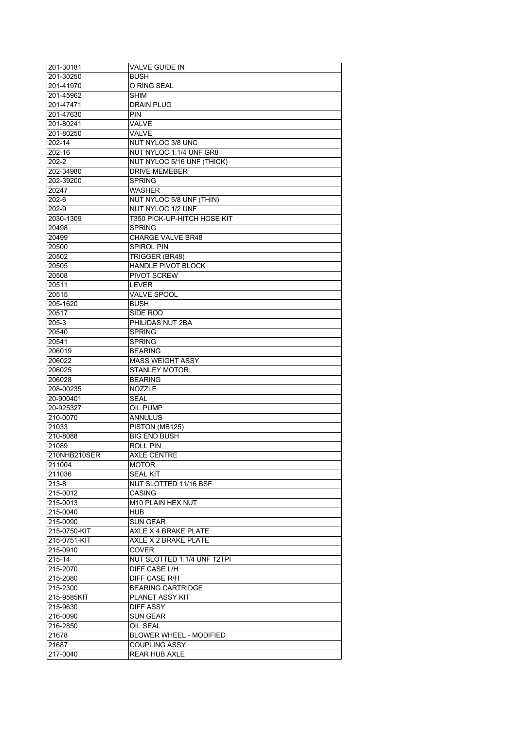| 201-30181         | <b>VALVE GUIDE IN</b>                        |
|-------------------|----------------------------------------------|
| 201-30250         | <b>BUSH</b>                                  |
| 201-41970         | O RING SEAL                                  |
| 201-45962         | <b>SHIM</b>                                  |
| 201-47471         | <b>DRAIN PLUG</b>                            |
| 201-47630         | <b>PIN</b>                                   |
|                   | <b>VALVE</b>                                 |
| 201-80241         |                                              |
| 201-80250         | VALVE                                        |
| 202-14            | NUT NYLOC 3/8 UNC                            |
| $202 - 16$        | NUT NYLOC 1.1/4 UNF GR8                      |
| $202 - 2$         | NUT NYLOC 5/16 UNF (THICK)                   |
| 202-34980         | <b>DRIVE MEMEBER</b>                         |
| 202-39200         | <b>SPRING</b>                                |
| 20247             | <b>WASHER</b>                                |
| $202 - 6$         | NUT NYLOC 5/8 UNF (THIN)                     |
| 202-9             | NUT NYLOC 1/2 UNF                            |
| 2030-1309         | T350 PICK-UP-HITCH HOSE KIT                  |
|                   |                                              |
| 20498             | <b>SPRING</b>                                |
| 20499             | <b>CHARGE VALVE BR48</b>                     |
| 20500             | SPIROL PIN                                   |
| 20502             | TRIGGER (BR48)                               |
| 20505             | <b>HANDLE PIVOT BLOCK</b>                    |
| 20508             | <b>PIVOT SCREW</b>                           |
| 20511             | <b>LEVER</b>                                 |
| 20515             | <b>VALVE SPOOL</b>                           |
| 205-1620          | <b>BUSH</b>                                  |
| 20517             | SIDE ROD                                     |
|                   |                                              |
| 205-3             | PHILIDAS NUT 2BA                             |
| 20540             | <b>SPRING</b>                                |
| 20541             | <b>SPRING</b>                                |
| 206019            | <b>BEARING</b>                               |
| 206022            | <b>MASS WEIGHT ASSY</b>                      |
| 206025            | <b>STANLEY MOTOR</b>                         |
| 206028            | <b>BEARING</b>                               |
| 208-00235         | <b>NOZZLE</b>                                |
| 20-900401         | <b>SEAL</b>                                  |
| 20-925327         | OIL PUMP                                     |
| 210-0070          | <b>ANNULUS</b>                               |
|                   |                                              |
| 21033             |                                              |
|                   | PISTON (MB125)                               |
| 210-8088          | <b>BIG END BUSH</b>                          |
| 21089             | ROLL PIN                                     |
| 210NHB210SER      | AXLE CENTRE                                  |
| 211004            | <b>MOTOR</b>                                 |
| 211036            | <b>SEAL KIT</b>                              |
| 213-8             | NUT SLOTTED 11/16 BSF                        |
|                   |                                              |
| 215-0012          | <b>CASING</b>                                |
| 215-0013          | M10 PLAIN HEX NUT                            |
| 215-0040          | HUB                                          |
| 215-0090          | SUN GEAR                                     |
| 215-0750-KIT      | AXLE X 4 BRAKE PLATE                         |
| 215-0751-KIT      | AXLE X 2 BRAKE PLATE                         |
| 215-0910          | <b>COVER</b>                                 |
| 215-14            | NUT SLOTTED 1.1/4 UNF 12TPI                  |
| 215-2070          | DIFF CASE L/H                                |
| 215-2080          | DIFF CASE R/H                                |
| 215-2300          | <b>BEARING CARTRIDGE</b>                     |
| 215-9585KIT       | PLANET ASSY KIT                              |
|                   |                                              |
| 215-9630          | DIFF ASSY                                    |
| 216-0090          | SUN GEAR                                     |
| 216-2850          | OIL SEAL                                     |
| 21678             | <b>BLOWER WHEEL - MODIFIED</b>               |
| 21687<br>217-0040 | <b>COUPLING ASSY</b><br><b>REAR HUB AXLE</b> |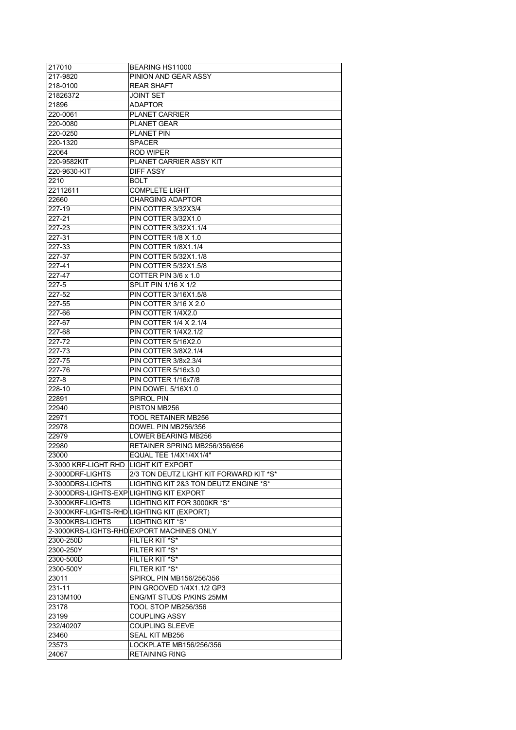| 217010                                  | BEARING HS11000                            |
|-----------------------------------------|--------------------------------------------|
| 217-9820                                | PINION AND GEAR ASSY                       |
| 218-0100                                | <b>REAR SHAFT</b>                          |
| 21826372                                | <b>JOINT SET</b>                           |
| 21896                                   | <b>ADAPTOR</b>                             |
| 220-0061                                | <b>PLANET CARRIER</b>                      |
| 220-0080                                | <b>PLANET GEAR</b>                         |
| 220-0250                                | <b>PLANET PIN</b>                          |
| 220-1320                                | <b>SPACER</b>                              |
| 22064                                   | <b>ROD WIPER</b>                           |
|                                         |                                            |
| 220-9582KIT                             | PLANET CARRIER ASSY KIT                    |
| 220-9630-KIT                            | <b>DIFF ASSY</b>                           |
| 2210                                    | <b>BOLT</b>                                |
| 22112611                                | <b>COMPLETE LIGHT</b>                      |
| 22660                                   | <b>CHARGING ADAPTOR</b>                    |
| 227-19                                  | PIN COTTER 3/32X3/4                        |
| 227-21                                  | PIN COTTER 3/32X1.0                        |
| 227-23                                  | PIN COTTER 3/32X1.1/4                      |
| 227-31                                  | <b>PIN COTTER 1/8 X 1.0</b>                |
| 227-33                                  | PIN COTTER 1/8X1.1/4                       |
| 227-37                                  | PIN COTTER 5/32X1.1/8                      |
| 227-41                                  | PIN COTTER 5/32X1.5/8                      |
| 227-47                                  | COTTER PIN 3/6 x 1.0                       |
| 227-5                                   | <b>SPLIT PIN 1/16 X 1/2</b>                |
| 227-52                                  | PIN COTTER 3/16X1.5/8                      |
| 227-55                                  | PIN COTTER 3/16 X 2.0                      |
|                                         |                                            |
| 227-66                                  | PIN COTTER 1/4X2.0                         |
| 227-67                                  | PIN COTTER 1/4 X 2.1/4                     |
| 227-68                                  | PIN COTTER 1/4X2.1/2                       |
| 227-72                                  | PIN COTTER 5/16X2.0                        |
| 227-73                                  | PIN COTTER 3/8X2.1/4                       |
| 227-75                                  | PIN COTTER 3/8x2.3/4                       |
| 227-76                                  | PIN COTTER 5/16x3.0                        |
| $227 - 8$                               | PIN COTTER 1/16x7/8                        |
| 228-10                                  | PIN DOWEL 5/16X1.0                         |
| 22891                                   | <b>SPIROL PIN</b>                          |
| 22940                                   | PISTON MB256                               |
| 22971                                   | TOOL RETAINER MB256                        |
| 22978                                   | DOWEL PIN MB256/356                        |
| 22979                                   | LOWER BEARING MB256                        |
| 22980                                   | RETAINER SPRING MB256/356/656              |
| 23000                                   | EQUAL TEE 1/4X1/4X1/4"                     |
| 2-3000 KRF-LIGHT RHD LIGHT KIT EXPORT   |                                            |
| 2-3000DRF-LIGHTS                        | 2/3 TON DEUTZ LIGHT KIT FORWARD KIT *S*    |
|                                         | LIGHTING KIT 2&3 TON DEUTZ ENGINE *S*      |
| 2-3000DRS-LIGHTS                        |                                            |
| 2-3000DRS-LIGHTS-EXPLIGHTING KIT EXPORT |                                            |
| 2-3000KRF-LIGHTS                        | LIGHTING KIT FOR 3000KR *S*                |
|                                         | 2-3000KRF-LIGHTS-RHD LIGHTING KIT (EXPORT) |
| 2-3000KRS-LIGHTS                        | LIGHTING KIT *S*                           |
|                                         | 2-3000KRS-LIGHTS-RHD EXPORT MACHINES ONLY  |
| 2300-250D                               | FILTER KIT *S*                             |
| 2300-250Y                               | FILTER KIT *S*                             |
| 2300-500D                               | FILTER KIT *S*                             |
| 2300-500Y                               | FILTER KIT *S*                             |
| 23011                                   | SPIROL PIN MB156/256/356                   |
| 231-11                                  | PIN GROOVED 1/4X1.1/2 GP3                  |
| 2313M100                                | <b>ENG/MT STUDS P/KINS 25MM</b>            |
| 23178                                   | TOOL STOP MB256/356                        |
| 23199                                   | <b>COUPLING ASSY</b>                       |
|                                         | <b>COUPLING SLEEVE</b>                     |
| 232/40207                               |                                            |
| 23460                                   | SEAL KIT MB256                             |
| 23573                                   | LOCKPLATE MB156/256/356                    |
| 24067                                   | <b>RETAINING RING</b>                      |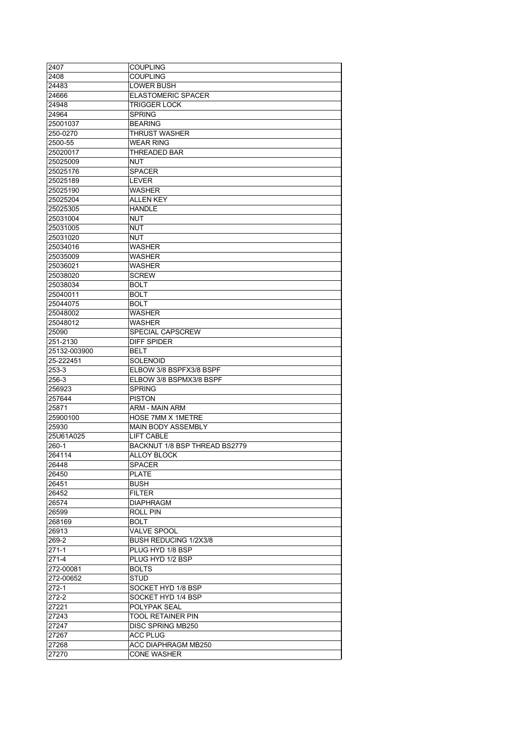| 2407         | <b>COUPLING</b>                           |
|--------------|-------------------------------------------|
| 2408         | <b>COUPLING</b>                           |
| 24483        | LOWER BUSH                                |
| 24666        | <b>ELASTOMERIC SPACER</b>                 |
| 24948        | TRIGGER LOCK                              |
| 24964        | <b>SPRING</b>                             |
| 25001037     | <b>BEARING</b>                            |
| 250-0270     | THRUST WASHER                             |
| 2500-55      | <b>WEAR RING</b>                          |
| 25020017     |                                           |
|              | THREADED BAR                              |
| 25025009     | NUT                                       |
| 25025176     | <b>SPACER</b>                             |
| 25025189     | <b>LEVER</b>                              |
| 25025190     | <b>WASHER</b>                             |
| 25025204     | <b>ALLEN KEY</b>                          |
| 25025305     | <b>HANDLE</b>                             |
| 25031004     | NUT                                       |
| 25031005     | <b>NUT</b>                                |
| 25031020     | <b>NUT</b>                                |
| 25034016     | WASHER                                    |
| 25035009     | <b>WASHER</b>                             |
| 25036021     | WASHER                                    |
| 25038020     | <b>SCREW</b>                              |
| 25038034     | <b>BOLT</b>                               |
| 25040011     | <b>BOLT</b>                               |
| 25044075     | <b>BOLT</b>                               |
| 25048002     | WASHER                                    |
| 25048012     | WASHER                                    |
| 25090        | <b>SPECIAL CAPSCREW</b>                   |
| 251-2130     |                                           |
|              | DIFF SPIDER                               |
| 25132-003900 | BELT                                      |
| 25-222451    | SOLENOID                                  |
| 253-3        | ELBOW 3/8 BSPFX3/8 BSPF                   |
| 256-3        | ELBOW 3/8 BSPMX3/8 BSPF                   |
| 256923       | <b>SPRING</b>                             |
| 257644       | <b>PISTON</b>                             |
| 25871        | ARM - MAIN ARM                            |
| 25900100     | HOSE 7MM X 1METRE                         |
| 25930        | <b>MAIN BODY ASSEMBLY</b>                 |
| 25U61A025    | <b>LIFT CABLE</b>                         |
| 260-1        | BACKNUT 1/8 BSP THREAD BS2779             |
| 264114       | <b>ALLOY BLOCK</b>                        |
| 26448        | <b>SPACER</b>                             |
| 26450        | <b>PLATE</b>                              |
| 26451        | <b>BUSH</b>                               |
| 26452        | <b>FILTER</b>                             |
| 26574        | <b>DIAPHRAGM</b>                          |
| 26599        | <b>ROLL PIN</b>                           |
| 268169       | <b>BOLT</b>                               |
| 26913        | <b>VALVE SPOOL</b>                        |
| 269-2        | BUSH REDUCING 1/2X3/8                     |
| $271-1$      | PLUG HYD 1/8 BSP                          |
| $271 - 4$    | PLUG HYD 1/2 BSP                          |
| 272-00081    |                                           |
|              | <b>BOLTS</b>                              |
| 272-00652    | STUD                                      |
| 272-1        | SOCKET HYD 1/8 BSP                        |
| $272 - 2$    | SOCKET HYD 1/4 BSP                        |
| 27221        |                                           |
|              | POLYPAK SEAL                              |
| 27243        | TOOL RETAINER PIN                         |
| 27247        | DISC SPRING MB250                         |
| 27267        | <b>ACC PLUG</b>                           |
| 27268        | ACC DIAPHRAGM MB250<br><b>CONE WASHER</b> |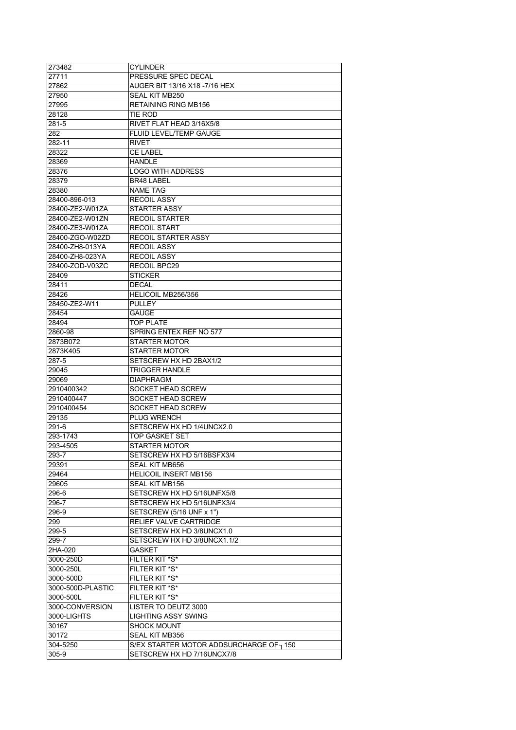| 273482                             | <b>CYLINDER</b>                                     |
|------------------------------------|-----------------------------------------------------|
| 27711                              | PRESSURE SPEC DECAL                                 |
| 27862                              | AUGER BIT 13/16 X18 -7/16 HEX                       |
| 27950                              | SEAL KIT MB250                                      |
| 27995                              | <b>RETAINING RING MB156</b>                         |
| 28128                              | TIE ROD                                             |
| 281-5                              | RIVET FLAT HEAD 3/16X5/8                            |
| 282                                | <b>FLUID LEVEL/TEMP GAUGE</b>                       |
| 282-11                             | <b>RIVET</b>                                        |
| 28322                              | <b>CE LABEL</b>                                     |
| 28369                              | <b>HANDLE</b>                                       |
| 28376                              | <b>LOGO WITH ADDRESS</b>                            |
| 28379                              | <b>BR48 LABEL</b>                                   |
| 28380                              | <b>NAME TAG</b>                                     |
| 28400-896-013                      | <b>RECOIL ASSY</b>                                  |
| 28400-ZE2-W01ZA                    | STARTER ASSY                                        |
| 28400-ZE2-W01ZN                    | RECOIL STARTER                                      |
| 28400-ZE3-W01ZA                    | <b>RECOIL START</b>                                 |
| 28400-ZGO-W02ZD                    | <b>RECOIL STARTER ASSY</b>                          |
| 28400-ZH8-013YA                    | <b>RECOIL ASSY</b>                                  |
|                                    | <b>RECOIL ASSY</b>                                  |
| 28400-ZH8-023YA<br>28400-ZOD-V03ZC |                                                     |
|                                    | <b>RECOIL BPC29</b>                                 |
| 28409                              | <b>STICKER</b><br><b>DECAL</b>                      |
| 28411                              |                                                     |
| 28426                              | HELICOIL MB256/356                                  |
| 28450-ZE2-W11                      | <b>PULLEY</b>                                       |
| 28454                              | GAUGE                                               |
| 28494                              | <b>TOP PLATE</b>                                    |
| 2860-98                            | SPRING ENTEX REF NO 577                             |
| 2873B072                           | STARTER MOTOR                                       |
| 2873K405                           | <b>STARTER MOTOR</b>                                |
| 287-5                              | SETSCREW HX HD 2BAX1/2                              |
| 29045                              | <b>TRIGGER HANDLE</b>                               |
| 29069                              | <b>DIAPHRAGM</b>                                    |
| 2910400342                         | SOCKET HEAD SCREW                                   |
| 2910400447                         | SOCKET HEAD SCREW                                   |
| 2910400454                         | SOCKET HEAD SCREW                                   |
| 29135                              | <b>PLUG WRENCH</b>                                  |
| 291-6                              | SETSCREW HX HD 1/4UNCX2.0                           |
| 293-1743                           | TOP GASKET SET                                      |
| 293-4505                           | <b>STARTER MOTOR</b>                                |
| 293-7                              | SETSCREW HX HD 5/16BSFX3/4                          |
| 29391                              | SEAL KIT MB656                                      |
| 29464                              | <b>HELICOIL INSERT MB156</b>                        |
| 29605                              | SEAL KIT MB156                                      |
| 296-6                              | SETSCREW HX HD 5/16UNFX5/8                          |
| 296-7                              | SETSCREW HX HD 5/16UNFX3/4                          |
| $296 - 9$                          | SETSCREW (5/16 UNF x 1")                            |
| 299                                | RELIEF VALVE CARTRIDGE                              |
| 299-5                              | SETSCREW HX HD 3/8UNCX1.0                           |
| 299-7                              | SETSCREW HX HD 3/8UNCX1.1/2                         |
| 2HA-020                            | <b>GASKET</b>                                       |
| 3000-250D                          | FILTER KIT *S*                                      |
| 3000-250L                          | FILTER KIT *S*                                      |
| 3000-500D                          | FILTER KIT *S*                                      |
| 3000-500D-PLASTIC                  | FILTER KIT *S*                                      |
| 3000-500L                          | FILTER KIT *S*                                      |
| 3000-CONVERSION                    | LISTER TO DEUTZ 3000                                |
| 3000-LIGHTS                        | <b>LIGHTING ASSY SWING</b>                          |
| 30167                              | <b>SHOCK MOUNT</b>                                  |
| 30172                              | SEAL KIT MB356                                      |
| 304-5250                           | S/EX STARTER MOTOR ADDSURCHARGE OF <sub>1</sub> 150 |
| 305-9                              | SETSCREW HX HD 7/16UNCX7/8                          |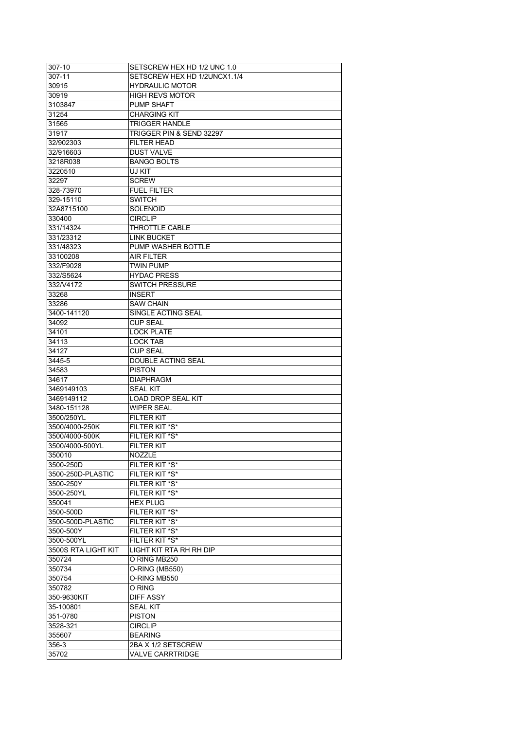| 307-10              | SETSCREW HEX HD 1/2 UNC 1.0    |
|---------------------|--------------------------------|
| 307-11              | SETSCREW HEX HD 1/2UNCX1.1/4   |
| 30915               | <b>HYDRAULIC MOTOR</b>         |
| 30919               | <b>HIGH REVS MOTOR</b>         |
| 3103847             | PUMP SHAFT                     |
| 31254               | <b>CHARGING KIT</b>            |
| 31565               | TRIGGER HANDLE                 |
| 31917               | TRIGGER PIN & SEND 32297       |
| 32/902303           | <b>FILTER HEAD</b>             |
| 32/916603           | <b>DUST VALVE</b>              |
| 3218R038            | <b>BANGO BOLTS</b>             |
| 3220510             | UJ KIT                         |
| 32297               | <b>SCREW</b>                   |
| 328-73970           | <b>FUEL FILTER</b>             |
| 329-15110           | <b>SWITCH</b>                  |
| 32A8715100          | SOLENOID                       |
| 330400              | <b>CIRCLIP</b>                 |
| 331/14324           | THROTTLE CABLE                 |
| 331/23312           | <b>LINK BUCKET</b>             |
| 331/48323           | PUMP WASHER BOTTLE             |
| 33100208            | AIR FILTER                     |
| 332/F9028           | TWIN PUMP                      |
| 332/S5624           | <b>HYDAC PRESS</b>             |
| 332/V4172           | <b>SWITCH PRESSURE</b>         |
|                     |                                |
| 33268<br>33286      | <b>INSERT</b>                  |
|                     | <b>SAW CHAIN</b>               |
| 3400-141120         | SINGLE ACTING SEAL             |
| 34092               | <b>CUP SEAL</b>                |
| 34101               | <b>LOCK PLATE</b>              |
| 34113               | <b>LOCK TAB</b>                |
| 34127               | <b>CUP SEAL</b>                |
| 3445-5              | DOUBLE ACTING SEAL             |
| 34583               | <b>PISTON</b>                  |
| 34617               | <b>DIAPHRAGM</b>               |
| 3469149103          | <b>SEAL KIT</b>                |
| 3469149112          | <b>LOAD DROP SEAL KIT</b>      |
| 3480-151128         | <b>WIPER SEAL</b>              |
| 3500/250YL          | FILTER KIT                     |
| 3500/4000-250K      | FILTER KIT *S*                 |
| 3500/4000-500K      | FILTER KIT *S*                 |
| 3500/4000-500YL     | FILTER KIT                     |
| 350010              | <b>NOZZLE</b>                  |
| 3500-250D           | <b>FILTER KIT *S*</b>          |
| 3500-250D-PLASTIC   | FILTER KIT *S*                 |
| 3500-250Y           | FILTER KIT *S*                 |
| 3500-250YL          | FILTER KIT *S*                 |
| 350041              | <b>HEX PLUG</b>                |
| 3500-500D           | FILTER KIT *S*                 |
| 3500-500D-PLASTIC   | FILTER KIT *S*                 |
| 3500-500Y           | FILTER KIT *S*                 |
| 3500-500YL          | FILTER KIT *S*                 |
| 3500S RTA LIGHT KIT | <b>LIGHT KIT RTA RH RH DIP</b> |
| 350724              | O RING MB250                   |
| 350734              | O-RING (MB550)                 |
| 350754              | O-RING MB550                   |
| 350782              | O RING                         |
| 350-9630KIT         | <b>DIFF ASSY</b>               |
| 35-100801           | <b>SEAL KIT</b>                |
| 351-0780            | <b>PISTON</b>                  |
| 3528-321            | <b>CIRCLIP</b>                 |
| 355607              | <b>BEARING</b>                 |
|                     |                                |
| 356-3               | 2BA X 1/2 SETSCREW             |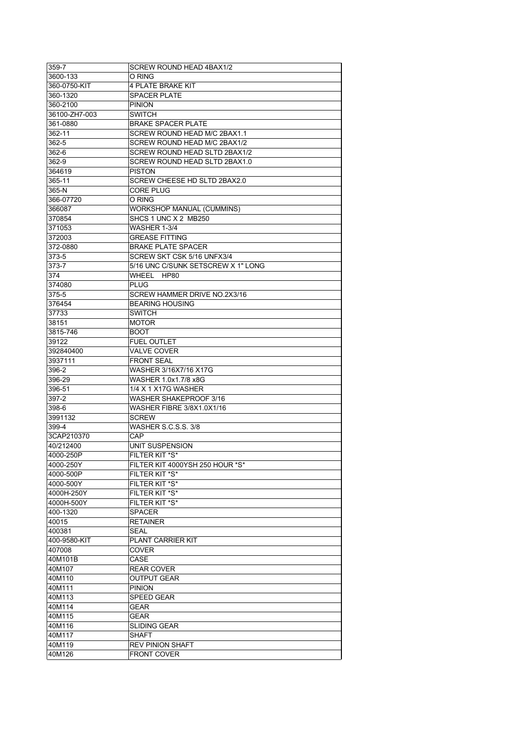| 359-7         | SCREW ROUND HEAD 4BAX1/2           |
|---------------|------------------------------------|
| 3600-133      | 0 RING                             |
| 360-0750-KIT  | <b>4 PLATE BRAKE KIT</b>           |
| 360-1320      | <b>SPACER PLATE</b>                |
| 360-2100      | <b>PINION</b>                      |
| 36100-ZH7-003 | <b>SWITCH</b>                      |
| 361-0880      | <b>BRAKE SPACER PLATE</b>          |
| 362-11        | SCREW ROUND HEAD M/C 2BAX1.1       |
| 362-5         | SCREW ROUND HEAD M/C 2BAX1/2       |
| 362-6         | SCREW ROUND HEAD SLTD 2BAX1/2      |
| 362-9         | SCREW ROUND HEAD SLTD 2BAX1.0      |
| 364619        | <b>PISTON</b>                      |
|               |                                    |
| 365-11        | SCREW CHEESE HD SLTD 2BAX2.0       |
| 365-N         | <b>CORE PLUG</b>                   |
| 366-07720     | O RING                             |
| 366087        | <b>WORKSHOP MANUAL (CUMMINS)</b>   |
| 370854        | SHCS 1 UNC X 2 MB250               |
| 371053        | WASHER 1-3/4                       |
| 372003        | <b>GREASE FITTING</b>              |
| 372-0880      | <b>BRAKE PLATE SPACER</b>          |
| 373-5         | SCREW SKT CSK 5/16 UNFX3/4         |
| 373-7         | 5/16 UNC C/SUNK SETSCREW X 1" LONG |
| 374           | WHEEL HP80                         |
| 374080        | <b>PLUG</b>                        |
| 375-5         | SCREW HAMMER DRIVE NO.2X3/16       |
| 376454        | <b>BEARING HOUSING</b>             |
| 37733         | <b>SWITCH</b>                      |
| 38151         | <b>MOTOR</b>                       |
| 3815-746      | <b>BOOT</b>                        |
| 39122         | <b>FUEL OUTLET</b>                 |
| 392840400     | <b>VALVE COVER</b>                 |
| 3937111       | <b>FRONT SEAL</b>                  |
| 396-2         | WASHER 3/16X7/16 X17G              |
| 396-29        | WASHER 1.0x1.7/8 x8G               |
| 396-51        | 1/4 X 1 X17G WASHER                |
| $397-2$       |                                    |
|               | WASHER SHAKEPROOF 3/16             |
| 398-6         | WASHER FIBRE 3/8X1.0X1/16          |
| 3991132       | <b>SCREW</b>                       |
| 399-4         | WASHER S.C.S.S. 3/8                |
| 3CAP210370    | <b>CAP</b>                         |
| 40/212400     | UNIT SUSPENSION                    |
| 4000-250P     | FILTER KIT *S*                     |
| 4000-250Y     | FILTER KIT 4000YSH 250 HOUR *S*    |
| 4000-500P     | <b>FILTER KIT *S*</b>              |
| 4000-500Y     | FILTER KIT *S*                     |
| 4000H-250Y    | FILTER KIT *S*                     |
| 4000H-500Y    | FILTER KIT *S*                     |
| 400-1320      | <b>SPACER</b>                      |
| 40015         | <b>RETAINER</b>                    |
| 400381        | SEAL                               |
| 400-9580-KIT  | PLANT CARRIER KIT                  |
| 407008        | <b>COVER</b>                       |
| 40M101B       | CASE                               |
| 40M107        | <b>REAR COVER</b>                  |
| 40M110        | <b>OUTPUT GEAR</b>                 |
| 40M111        | <b>PINION</b>                      |
| 40M113        | <b>SPEED GEAR</b>                  |
| 40M114        | GEAR                               |
| 40M115        | GEAR                               |
| 40M116        | <b>SLIDING GEAR</b>                |
| 40M117        | <b>SHAFT</b>                       |
|               |                                    |
| 40M119        | <b>REV PINION SHAFT</b>            |
| 40M126        | <b>FRONT COVER</b>                 |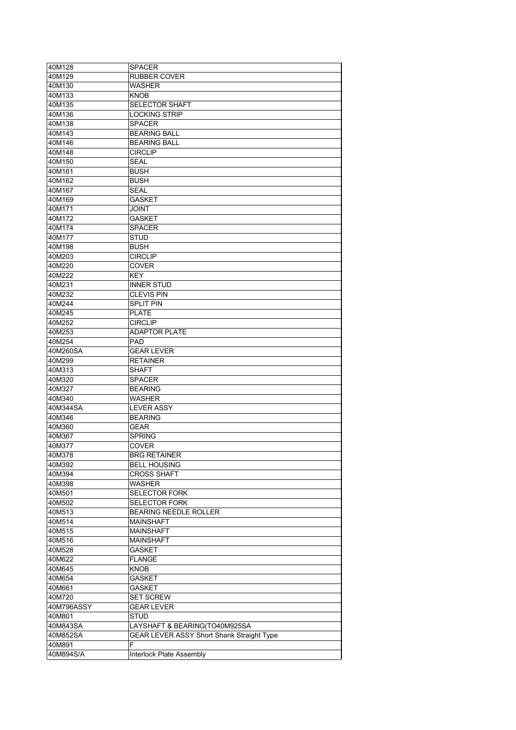| 40M128     | SPACER                                           |
|------------|--------------------------------------------------|
| 40M129     | <b>RUBBER COVER</b>                              |
| 40M130     | WASHER                                           |
| 40M133     | KNOB                                             |
| 40M135     | <b>SELECTOR SHAFT</b>                            |
| 40M136     | <b>LOCKING STRIP</b>                             |
| 40M138     | <b>SPACER</b>                                    |
| 40M143     | <b>BEARING BALL</b>                              |
| 40M146     | <b>BEARING BALL</b>                              |
| 40M148     | <b>CIRCLIP</b>                                   |
| 40M150     | SEAL                                             |
| 40M161     | <b>BUSH</b>                                      |
| 40M162     | <b>BUSH</b>                                      |
| 40M167     | SEAL                                             |
| 40M169     | <b>GASKET</b>                                    |
|            |                                                  |
| 40M171     | JOINT                                            |
| 40M172     | GASKET                                           |
| 40M174     | <b>SPACER</b>                                    |
| 40M177     | STUD                                             |
| 40M198     | <b>BUSH</b>                                      |
| 40M203     | <b>CIRCLIP</b>                                   |
| 40M220     | COVER                                            |
| 40M222     | KEY.                                             |
| 40M231     | <b>INNER STUD</b>                                |
| 40M232     | <b>CLEVIS PIN</b>                                |
| 40M244     | SPLIT PIN                                        |
| 40M245     | <b>PLATE</b>                                     |
| 40M252     | <b>CIRCLIP</b>                                   |
| 40M253     | <b>ADAPTOR PLATE</b>                             |
| 40M254     | PAD                                              |
| 40M260SA   | <b>GEAR LEVER</b>                                |
| 40M299     | <b>RETAINER</b>                                  |
| 40M313     | SHAFT                                            |
| 40M320     | SPACER                                           |
| 40M327     | <b>BEARING</b>                                   |
| 40M340     | WASHER                                           |
| 40M344SA   | <b>LEVER ASSY</b>                                |
| 40M346     | <b>BEARING</b>                                   |
| 40M360     | GEAR                                             |
| 40M367     | <b>SPRING</b>                                    |
| 40M377     | <b>COVER</b>                                     |
|            |                                                  |
| 40M378     | <b>BRG RETAINER</b>                              |
| 40M392     | <b>BELL HOUSING</b>                              |
| 40M394     | <b>CROSS SHAFT</b>                               |
| 40M398     | <b>WASHER</b>                                    |
| 40M501     | <b>SELECTOR FORK</b>                             |
| 40M502     | <b>SELECTOR FORK</b>                             |
| 40M513     | BEARING NEEDLE ROLLER                            |
| 40M514     | <b>MAINSHAFT</b>                                 |
| 40M515     | <b>MAINSHAFT</b>                                 |
| 40M516     | <b>MAINSHAFT</b>                                 |
| 40M528     | <b>GASKET</b>                                    |
| 40M622     | <b>FLANGE</b>                                    |
| 40M645     | <b>KNOB</b>                                      |
| 40M654     | <b>GASKET</b>                                    |
| 40M661     | <b>GASKET</b>                                    |
| 40M720     | <b>SET SCREW</b>                                 |
| 40M796ASSY | <b>GEAR LEVER</b>                                |
| 40M801     | <b>STUD</b>                                      |
| 40M843SA   | LAYSHAFT & BEARING(TO40M925SA                    |
| 40M852SA   | <b>GEAR LEVER ASSY Short Shank Straight Type</b> |
| 40M891     | F                                                |
| 40M894S/A  | Interlock Plate Assembly                         |
|            |                                                  |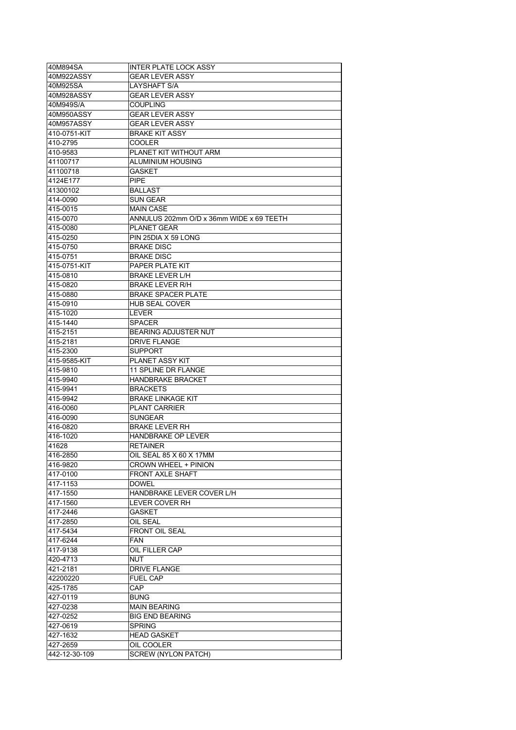| 40M894SA                  | <b>INTER PLATE LOCK ASSY</b>             |
|---------------------------|------------------------------------------|
| 40M922ASSY                | <b>GEAR LEVER ASSY</b>                   |
| 40M925SA                  | LAYSHAFT S/A                             |
| 40M928ASSY                | <b>GEAR LEVER ASSY</b>                   |
| 40M949S/A                 | <b>COUPLING</b>                          |
| 40M950ASSY                | <b>GEAR LEVER ASSY</b>                   |
| 40M957ASSY                | <b>GEAR LEVER ASSY</b>                   |
| 410-0751-KIT              | <b>BRAKE KIT ASSY</b>                    |
| 410-2795                  | <b>COOLER</b>                            |
| 410-9583                  | PLANET KIT WITHOUT ARM                   |
| 41100717                  | ALUMINIUM HOUSING                        |
| 41100718                  | <b>GASKET</b>                            |
| 4124E177                  | <b>PIPE</b>                              |
| 41300102                  | <b>BALLAST</b>                           |
| 414-0090                  | <b>SUN GEAR</b>                          |
| 415-0015                  | <b>MAIN CASE</b>                         |
| 415-0070                  | ANNULUS 202mm O/D x 36mm WIDE x 69 TEETH |
| 415-0080                  | <b>PLANET GEAR</b>                       |
| 415-0250                  | PIN 25DIA X 59 LONG                      |
| 415-0750                  | <b>BRAKE DISC</b>                        |
|                           |                                          |
| 415-0751                  | <b>BRAKE DISC</b>                        |
| 415-0751-KIT              | PAPER PLATE KIT                          |
| 415-0810                  | <b>BRAKE LEVER L/H</b>                   |
| 415-0820                  | <b>BRAKE LEVER R/H</b>                   |
| 415-0880                  | <b>BRAKE SPACER PLATE</b>                |
| 415-0910                  | <b>HUB SEAL COVER</b>                    |
| 415-1020                  | LEVER                                    |
| 415-1440                  | SPACER                                   |
| 415-2151                  | <b>BEARING ADJUSTER NUT</b>              |
| 415-2181                  | DRIVE FLANGE                             |
| 415-2300                  | <b>SUPPORT</b>                           |
| 415-9585-KIT              | PLANET ASSY KIT                          |
| 415-9810                  | <b>11 SPLINE DR FLANGE</b>               |
| 415-9940                  | <b>HANDBRAKE BRACKET</b>                 |
| 415-9941                  | <b>BRACKETS</b>                          |
| 415-9942                  | <b>BRAKE LINKAGE KIT</b>                 |
| 416-0060                  | <b>PLANT CARRIER</b>                     |
| 416-0090                  | <b>SUNGEAR</b>                           |
| 416-0820                  | BRAKE LEVER RH                           |
| 416-1020                  | <b>HANDBRAKE OP LEVER</b>                |
| 41628                     | <b>RETAINER</b>                          |
| 416-2850                  | OIL SEAL 85 X 60 X 17MM                  |
| 416-9820                  | <b>CROWN WHEEL + PINION</b>              |
| 417-0100                  | <b>FRONT AXLE SHAFT</b>                  |
| 417-1153                  | <b>DOWEL</b>                             |
| 417-1550                  | HANDBRAKE LEVER COVER L/H                |
| 417-1560                  | LEVER COVER RH                           |
| 417-2446                  | <b>GASKET</b>                            |
| 417-2850                  |                                          |
|                           | OIL SEAL                                 |
|                           |                                          |
| 417-5434                  | <b>FRONT OIL SEAL</b>                    |
| 417-6244                  | <b>FAN</b>                               |
| 417-9138                  | OIL FILLER CAP                           |
| 420-4713                  | <b>NUT</b>                               |
| 421-2181                  | DRIVE FLANGE                             |
| 42200220                  | <b>FUEL CAP</b>                          |
| 425-1785                  | CAP                                      |
| 427-0119                  | <b>BUNG</b>                              |
| 427-0238                  | <b>MAIN BEARING</b>                      |
| 427-0252                  | <b>BIG END BEARING</b>                   |
| 427-0619                  | <b>SPRING</b>                            |
| 427-1632                  | <b>HEAD GASKET</b>                       |
| 427-2659<br>442-12-30-109 | OIL COOLER<br><b>SCREW (NYLON PATCH)</b> |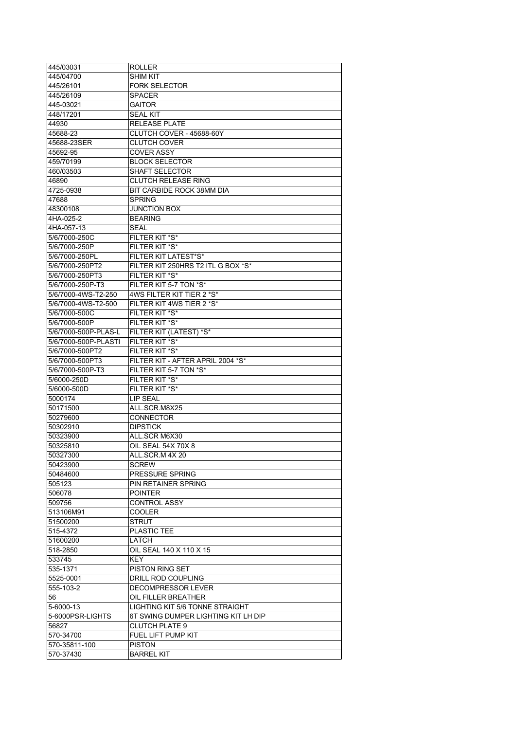| 445/03031            | <b>ROLLER</b>                       |
|----------------------|-------------------------------------|
| 445/04700            | <b>SHIM KIT</b>                     |
| 445/26101            | <b>FORK SELECTOR</b>                |
| 445/26109            | <b>SPACER</b>                       |
| 445-03021            | <b>GAITOR</b>                       |
| 448/17201            | <b>SEAL KIT</b>                     |
| 44930                | <b>RELEASE PLATE</b>                |
| 45688-23             | CLUTCH COVER - 45688-60Y            |
| 45688-23SER          | <b>CLUTCH COVER</b>                 |
| 45692-95             | <b>COVER ASSY</b>                   |
| 459/70199            | <b>BLOCK SELECTOR</b>               |
| 460/03503            | <b>SHAFT SELECTOR</b>               |
| 46890                | <b>CLUTCH RELEASE RING</b>          |
| 4725-0938            | BIT CARBIDE ROCK 38MM DIA           |
| 47688                | <b>SPRING</b>                       |
| 48300108             | <b>JUNCTION BOX</b>                 |
| 4HA-025-2            | <b>BEARING</b>                      |
| 4HA-057-13           | SEAL                                |
| 5/6/7000-250C        | FILTER KIT *S*                      |
| 5/6/7000-250P        | FILTER KIT *S*                      |
| 5/6/7000-250PL       | FILTER KIT LATEST*S*                |
| 5/6/7000-250PT2      | FILTER KIT 250HRS T2 ITL G BOX *S*  |
| 5/6/7000-250PT3      | FILTER KIT *S*                      |
| 5/6/7000-250P-T3     | FILTER KIT 5-7 TON *S*              |
| 5/6/7000-4WS-T2-250  | 4WS FILTER KIT TIER 2 *S*           |
| 5/6/7000-4WS-T2-500  | FILTER KIT 4WS TIER 2 *S*           |
| 5/6/7000-500C        | <b>FILTER KIT *S*</b>               |
| 5/6/7000-500P        | FILTER KIT *S*                      |
|                      | FILTER KIT (LATEST) *S*             |
| 5/6/7000-500P-PLAS-L | FILTER KIT *S*                      |
| 5/6/7000-500P-PLASTI |                                     |
| 5/6/7000-500PT2      | FILTER KIT *S*                      |
| 5/6/7000-500PT3      | FILTER KIT - AFTER APRIL 2004 *S*   |
| 5/6/7000-500P-T3     | FILTER KIT 5-7 TON *S*              |
| 5/6000-250D          | FILTER KIT *S*                      |
|                      |                                     |
| 5/6000-500D          | FILTER KIT *S*                      |
| 5000174              | <b>LIP SEAL</b>                     |
| 50171500             | ALL.SCR.M8X25                       |
| 50279600             | <b>CONNECTOR</b>                    |
| 50302910             | <b>DIPSTICK</b>                     |
| 50323900             | ALL.SCR M6X30                       |
| 50325810             | OIL SEAL 54X 70X 8                  |
| 50327300             | ALL.SCR.M 4X 20                     |
| 50423900             | <b>SCREW</b>                        |
| 50484600             | PRESSURE SPRING                     |
| 505123               | PIN RETAINER SPRING                 |
| 506078               | <b>POINTER</b>                      |
| 509756               | <b>CONTROL ASSY</b>                 |
| 513106M91            | COOLER                              |
| 51500200             | STRUT                               |
| 515-4372             | <b>PLASTIC TEE</b>                  |
| 51600200             | LATCH                               |
| 518-2850             | OIL SEAL 140 X 110 X 15             |
| 533745               | <b>KEY</b>                          |
| 535-1371             | PISTON RING SET                     |
| 5525-0001            | DRILL ROD COUPLING                  |
| 555-103-2            | DECOMPRESSOR LEVER                  |
| 56                   | OIL FILLER BREATHER                 |
| 5-6000-13            | LIGHTING KIT 5/6 TONNE STRAIGHT     |
| 5-6000PSR-LIGHTS     | 6T SWING DUMPER LIGHTING KIT LH DIP |
| 56827                | <b>CLUTCH PLATE 9</b>               |
| 570-34700            | FUEL LIFT PUMP KIT                  |
| 570-35811-100        | <b>PISTON</b>                       |
| 570-37430            | <b>BARREL KIT</b>                   |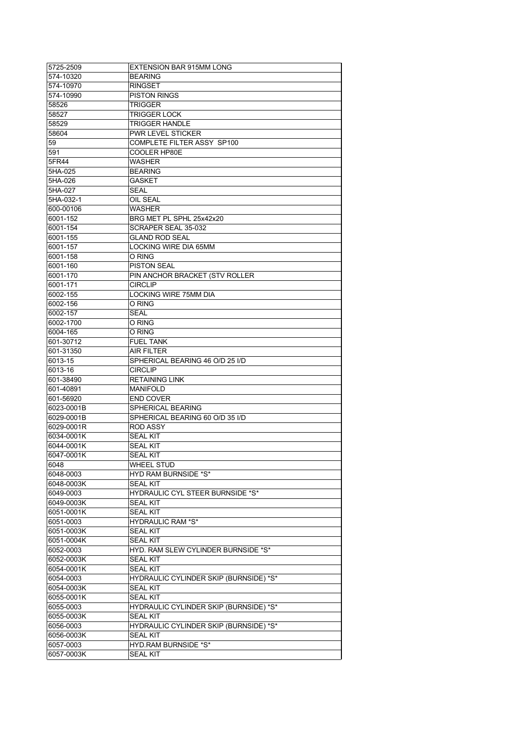| 5725-2509  | <b>EXTENSION BAR 915MM LONG</b>        |
|------------|----------------------------------------|
| 574-10320  | <b>BEARING</b>                         |
| 574-10970  | <b>RINGSET</b>                         |
| 574-10990  | <b>PISTON RINGS</b>                    |
| 58526      | TRIGGER                                |
| 58527      | <b>TRIGGER LOCK</b>                    |
| 58529      | <b>TRIGGER HANDLE</b>                  |
| 58604      | PWR LEVEL STICKER                      |
| 59         | COMPLETE FILTER ASSY SP100             |
| 591        | COOLER HP80E                           |
| 5FR44      | WASHER                                 |
| 5HA-025    | <b>BEARING</b>                         |
| 5HA-026    | GASKET                                 |
| 5HA-027    | <b>SEAL</b>                            |
| 5HA-032-1  | OIL SEAL                               |
| 600-00106  | WASHER                                 |
| 6001-152   | BRG MET PL SPHL 25x42x20               |
| 6001-154   | SCRAPER SEAL 35-032                    |
| 6001-155   | <b>GLAND ROD SEAL</b>                  |
| 6001-157   | LOCKING WIRE DIA 65MM                  |
| 6001-158   | O RING                                 |
| 6001-160   | <b>PISTON SEAL</b>                     |
| 6001-170   | PIN ANCHOR BRACKET (STV ROLLER         |
| 6001-171   | <b>CIRCLIP</b>                         |
| 6002-155   | LOCKING WIRE 75MM DIA                  |
| 6002-156   | O RING                                 |
| 6002-157   | SEAL                                   |
| 6002-1700  | O RING                                 |
| 6004-165   | O RING                                 |
| 601-30712  | <b>FUEL TANK</b>                       |
| 601-31350  | <b>AIR FILTER</b>                      |
| 6013-15    | SPHERICAL BEARING 46 O/D 25 I/D        |
| 6013-16    | <b>CIRCLIP</b>                         |
| 601-38490  | <b>RETAINING LINK</b>                  |
| 601-40891  | <b>MANIFOLD</b>                        |
| 601-56920  | <b>END COVER</b>                       |
| 6023-0001B | SPHERICAL BEARING                      |
| 6029-0001B | SPHERICAL BEARING 60 O/D 35 I/D        |
| 6029-0001R | <b>ROD ASSY</b>                        |
| 6034-0001K | <b>SEAL KIT</b>                        |
| 6044-0001K | <b>SEAL KIT</b>                        |
| 6047-0001K | <b>SEAL KIT</b>                        |
|            | <b>WHEEL STUD</b>                      |
| 6048       |                                        |
| 6048-0003  | HYD RAM BURNSIDE *S*                   |
| 6048-0003K | <b>SEAL KIT</b>                        |
| 6049-0003  | HYDRAULIC CYL STEER BURNSIDE *S*       |
| 6049-0003K | <b>SEAL KIT</b>                        |
| 6051-0001K | <b>SEAL KIT</b>                        |
| 6051-0003  | <b>HYDRAULIC RAM *S*</b>               |
| 6051-0003K | <b>SEAL KIT</b>                        |
| 6051-0004K | <b>SEAL KIT</b>                        |
| 6052-0003  | HYD. RAM SLEW CYLINDER BURNSIDE *S*    |
| 6052-0003K | <b>SEAL KIT</b>                        |
| 6054-0001K | <b>SEAL KIT</b>                        |
| 6054-0003  | HYDRAULIC CYLINDER SKIP (BURNSIDE) *S* |
| 6054-0003K | <b>SEAL KIT</b>                        |
| 6055-0001K | <b>SEAL KIT</b>                        |
| 6055-0003  | HYDRAULIC CYLINDER SKIP (BURNSIDE) *S* |
| 6055-0003K | <b>SEAL KIT</b>                        |
| 6056-0003  | HYDRAULIC CYLINDER SKIP (BURNSIDE) *S* |
| 6056-0003K | <b>SEAL KIT</b>                        |
| 6057-0003  | HYD.RAM BURNSIDE *S*                   |
| 6057-0003K | <b>SEAL KIT</b>                        |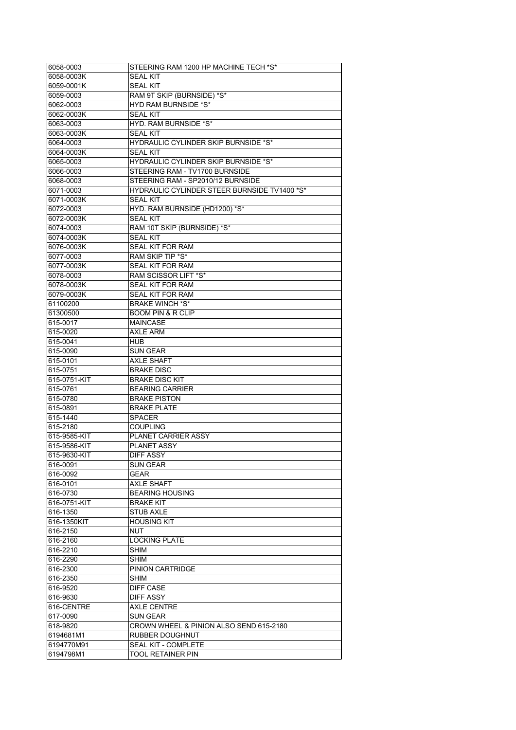| 6058-0003    | STEERING RAM 1200 HP MACHINE TECH *S*        |
|--------------|----------------------------------------------|
| 6058-0003K   | <b>SEAL KIT</b>                              |
| 6059-0001K   | <b>SEAL KIT</b>                              |
| 6059-0003    | RAM 9T SKIP (BURNSIDE) *S*                   |
| 6062-0003    | HYD RAM BURNSIDE *S*                         |
| 6062-0003K   | <b>SEAL KIT</b>                              |
| 6063-0003    | HYD. RAM BURNSIDE *S*                        |
| 6063-0003K   | <b>SEAL KIT</b>                              |
| 6064-0003    | HYDRAULIC CYLINDER SKIP BURNSIDE *S*         |
| 6064-0003K   | <b>SEAL KIT</b>                              |
| 6065-0003    | <b>HYDRAULIC CYLINDER SKIP BURNSIDE *S*</b>  |
| 6066-0003    | STEERING RAM - TV1700 BURNSIDE               |
|              | STEERING RAM - SP2010/12 BURNSIDE            |
| 6068-0003    |                                              |
| 6071-0003    | HYDRAULIC CYLINDER STEER BURNSIDE TV1400 *S* |
| 6071-0003K   | <b>SEAL KIT</b>                              |
| 6072-0003    | HYD. RAM BURNSIDE (HD1200) *S*               |
| 6072-0003K   | <b>SEAL KIT</b>                              |
| 6074-0003    | RAM 10T SKIP (BURNSIDE) *S*                  |
| 6074-0003K   | <b>SEAL KIT</b>                              |
| 6076-0003K   | <b>SEAL KIT FOR RAM</b>                      |
| 6077-0003    | RAM SKIP TIP *S*                             |
| 6077-0003K   | SEAL KIT FOR RAM                             |
| 6078-0003    | RAM SCISSOR LIFT *S*                         |
| 6078-0003K   | SEAL KIT FOR RAM                             |
| 6079-0003K   | SEAL KIT FOR RAM                             |
| 61100200     | <b>BRAKE WINCH *S*</b>                       |
| 61300500     | <b>BOOM PIN &amp; R CLIP</b>                 |
| 615-0017     | <b>MAINCASE</b>                              |
| 615-0020     | <b>AXLE ARM</b>                              |
| 615-0041     | HUB                                          |
| 615-0090     | <b>SUN GEAR</b>                              |
|              |                                              |
| 615-0101     | AXLE SHAFT                                   |
| 615-0751     | <b>BRAKE DISC</b>                            |
| 615-0751-KIT | <b>BRAKE DISC KIT</b>                        |
| 615-0761     | <b>BEARING CARRIER</b>                       |
| 615-0780     | <b>BRAKE PISTON</b>                          |
| 615-0891     | <b>BRAKE PLATE</b>                           |
| 615-1440     | SPACER                                       |
| 615-2180     | <b>COUPLING</b>                              |
| 615-9585-KIT | PLANET CARRIER ASSY                          |
| 615-9586-KIT | <b>PLANET ASSY</b>                           |
| 615-9630-KIT | <b>DIFF ASSY</b>                             |
| 616-0091     | SUN GEAR                                     |
| 616-0092     | GEAR                                         |
| 616-0101     | AXLE SHAFT                                   |
| 616-0730     | <b>BEARING HOUSING</b>                       |
| 616-0751-KIT | <b>BRAKE KIT</b>                             |
| 616-1350     | <b>STUB AXLE</b>                             |
| 616-1350KIT  | HOUSING KIT                                  |
| 616-2150     | NUT                                          |
| 616-2160     | <b>LOCKING PLATE</b>                         |
| 616-2210     | SHIM                                         |
|              |                                              |
| 616-2290     | SHIM                                         |
| 616-2300     | PINION CARTRIDGE                             |
| 616-2350     | SHIM                                         |
| 616-9520     | <b>DIFF CASE</b>                             |
| 616-9630     | DIFF ASSY                                    |
| 616-CENTRE   | <b>AXLE CENTRE</b>                           |
| 617-0090     | SUN GEAR                                     |
| 618-9820     | CROWN WHEEL & PINION ALSO SEND 615-2180      |
| 6194681M1    | <b>RUBBER DOUGHNUT</b>                       |
| 6194770M91   | SEAL KIT - COMPLETE                          |
| 6194798M1    | TOOL RETAINER PIN                            |
|              |                                              |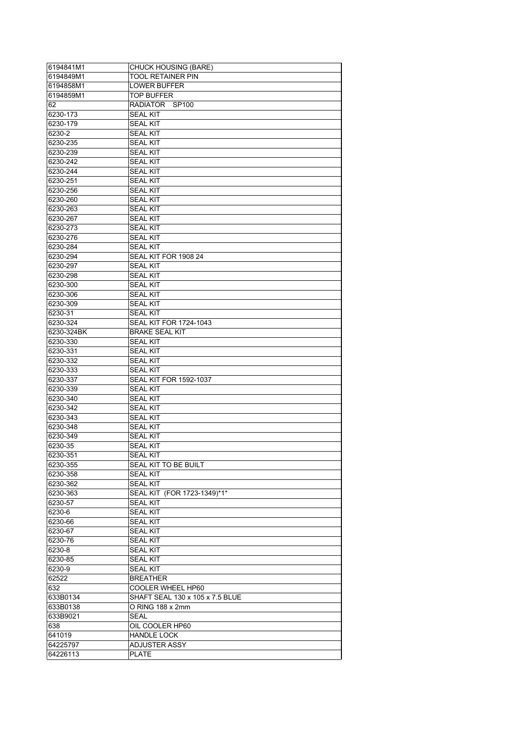| 6194841M1  | <b>CHUCK HOUSING (BARE)</b>        |
|------------|------------------------------------|
| 6194849M1  | TOOL RETAINER PIN                  |
| 6194858M1  | <b>LOWER BUFFER</b>                |
| 6194859M1  | <b>TOP BUFFER</b>                  |
| 62         | RADIATOR<br>SP <sub>100</sub>      |
| 6230-173   | <b>SEAL KIT</b>                    |
| 6230-179   | <b>SEAL KIT</b>                    |
| 6230-2     | <b>SEAL KIT</b>                    |
| 6230-235   | <b>SEAL KIT</b>                    |
| 6230-239   | <b>SEAL KIT</b>                    |
| 6230-242   | <b>SEAL KIT</b>                    |
|            | <b>SEAL KIT</b>                    |
| 6230-244   |                                    |
| 6230-251   | <b>SEAL KIT</b>                    |
| 6230-256   | <b>SEAL KIT</b>                    |
| 6230-260   | <b>SEAL KIT</b>                    |
| 6230-263   | <b>SEAL KIT</b>                    |
| 6230-267   | <b>SEAL KIT</b>                    |
| 6230-273   | <b>SEAL KIT</b>                    |
| 6230-276   | <b>SEAL KIT</b>                    |
| 6230-284   | <b>SEAL KIT</b>                    |
| 6230-294   | SEAL KIT FOR 1908 24               |
| 6230-297   | <b>SEAL KIT</b>                    |
| 6230-298   | <b>SEAL KIT</b>                    |
| 6230-300   | <b>SEAL KIT</b>                    |
| 6230-306   | <b>SEAL KIT</b>                    |
| 6230-309   | <b>SEAL KIT</b>                    |
| 6230-31    | <b>SEAL KIT</b>                    |
| 6230-324   | <b>SEAL KIT FOR 1724-1043</b>      |
| 6230-324BK | <b>BRAKE SEAL KIT</b>              |
| 6230-330   | <b>SEAL KIT</b>                    |
| 6230-331   | <b>SEAL KIT</b>                    |
| 6230-332   | <b>SEAL KIT</b>                    |
| 6230-333   | <b>SEAL KIT</b>                    |
| 6230-337   | <b>SEAL KIT FOR 1592-1037</b>      |
|            |                                    |
| 6230-339   | <b>SEAL KIT</b><br><b>SEAL KIT</b> |
| 6230-340   |                                    |
| 6230-342   | <b>SEAL KIT</b>                    |
| 6230-343   | <b>SEAL KIT</b>                    |
| 6230-348   | <b>SEAL KIT</b>                    |
| 6230-349   | <b>SEAL KIT</b>                    |
| 6230-35    | <b>SEAL KIT</b>                    |
| 6230-351   | <b>SEAL KIT</b>                    |
| 6230-355   | SEAL KIT TO BE BUILT               |
| 6230-358   | <b>SEAL KIT</b>                    |
| 6230-362   | <b>SEAL KIT</b>                    |
| 6230-363   | SEAL KIT (FOR 1723-1349)*1*        |
| 6230-57    | <b>SEAL KIT</b>                    |
| 6230-6     | <b>SEAL KIT</b>                    |
| 6230-66    | <b>SEAL KIT</b>                    |
| 6230-67    | <b>SEAL KIT</b>                    |
| 6230-76    | <b>SEAL KIT</b>                    |
| 6230-8     | <b>SEAL KIT</b>                    |
| 6230-85    | <b>SEAL KIT</b>                    |
| 6230-9     | <b>SEAL KIT</b>                    |
| 62522      | <b>BREATHER</b>                    |
| 632        | COOLER WHEEL HP60                  |
| 633B0134   | SHAFT SEAL 130 x 105 x 7.5 BLUE    |
| 633B0138   | O RING 188 x 2mm                   |
| 633B9021   | <b>SEAL</b>                        |
| 638        |                                    |
|            | OIL COOLER HP60                    |
| 641019     | <b>HANDLE LOCK</b>                 |
| 64225797   | <b>ADJUSTER ASSY</b>               |
| 64226113   | <b>PLATE</b>                       |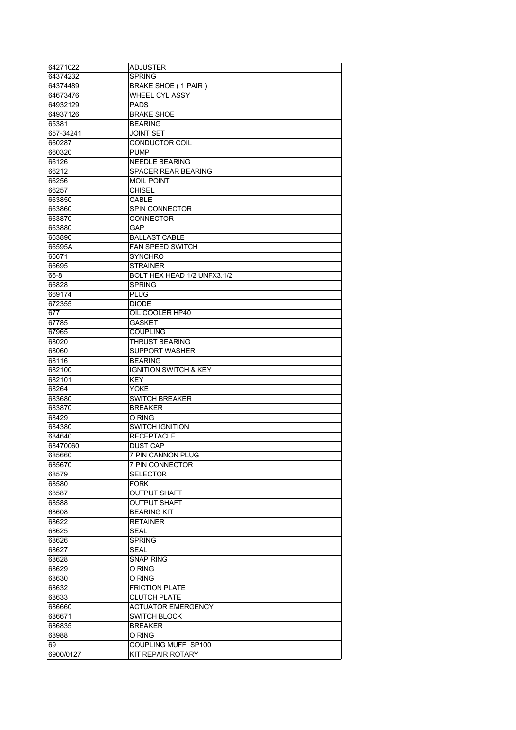| 64271022         | ADJUSTER                                    |
|------------------|---------------------------------------------|
| 64374232         | <b>SPRING</b>                               |
| 64374489         | BRAKE SHOE (1 PAIR)                         |
| 64673476         | <b>WHEEL CYL ASSY</b>                       |
| 64932129         | <b>PADS</b>                                 |
| 64937126         | <b>BRAKE SHOE</b>                           |
| 65381            | <b>BEARING</b>                              |
| 657-34241        | <b>JOINT SET</b>                            |
| 660287           | <b>CONDUCTOR COIL</b>                       |
| 660320           | <b>PUMP</b>                                 |
| 66126            | <b>NEEDLE BEARING</b>                       |
| 66212            | SPACER REAR BEARING                         |
| 66256            | MOIL POINT                                  |
| 66257            | <b>CHISEL</b>                               |
| 663850           | <b>CABLE</b>                                |
| 663860           | <b>SPIN CONNECTOR</b>                       |
| 663870           | <b>CONNECTOR</b>                            |
| 663880           | <b>GAP</b>                                  |
| 663890           | <b>BALLAST CABLE</b>                        |
| 66595A           | <b>FAN SPEED SWITCH</b>                     |
| 66671            | <b>SYNCHRO</b>                              |
| 66695            | <b>STRAINER</b>                             |
| 66-8             | BOLT HEX HEAD 1/2 UNFX3.1/2                 |
| 66828            | <b>SPRING</b>                               |
| 669174           | <b>PLUG</b>                                 |
| 672355           | <b>DIODE</b>                                |
| 677              | OIL COOLER HP40                             |
| 67785            | GASKET                                      |
|                  | <b>COUPLING</b>                             |
| 67965            |                                             |
| 68020            | THRUST BEARING<br><b>SUPPORT WASHER</b>     |
| 68060            |                                             |
| 68116            | <b>BEARING</b>                              |
| 682100           | <b>IGNITION SWITCH &amp; KEY</b><br>KEY.    |
| 682101           |                                             |
| 68264            | YOKE<br><b>SWITCH BREAKER</b>               |
| 683680<br>683870 | <b>BREAKER</b>                              |
|                  |                                             |
| 68429<br>684380  | O RING                                      |
|                  | <b>SWITCH IGNITION</b><br><b>RECEPTACLE</b> |
| 684640           | <b>DUST CAP</b>                             |
| 68470060         |                                             |
| 685660           | 7 PIN CANNON PLUG<br>7 PIN CONNECTOR        |
| 685670           | <b>SELECTOR</b>                             |
| 68579            |                                             |
| 68580            | <b>FORK</b>                                 |
| 68587            | <b>OUTPUT SHAFT</b>                         |
| 68588            | <b>OUTPUT SHAFT</b>                         |
| 68608            | <b>BEARING KIT</b>                          |
| 68622            | <b>RETAINER</b>                             |
| 68625            | SEAL                                        |
| 68626            | <b>SPRING</b>                               |
| 68627            | <b>SEAL</b>                                 |
| 68628            | <b>SNAP RING</b>                            |
| 68629            | O RING                                      |
| 68630            | O RING                                      |
| 68632            | <b>FRICTION PLATE</b>                       |
| 68633            | <b>CLUTCH PLATE</b>                         |
| 686660           | <b>ACTUATOR EMERGENCY</b>                   |
| 686671           | <b>SWITCH BLOCK</b>                         |
| 686835           | <b>BREAKER</b>                              |
| 68988            | O RING                                      |
| 69               | COUPLING MUFF SP100                         |
| 6900/0127        | KIT REPAIR ROTARY                           |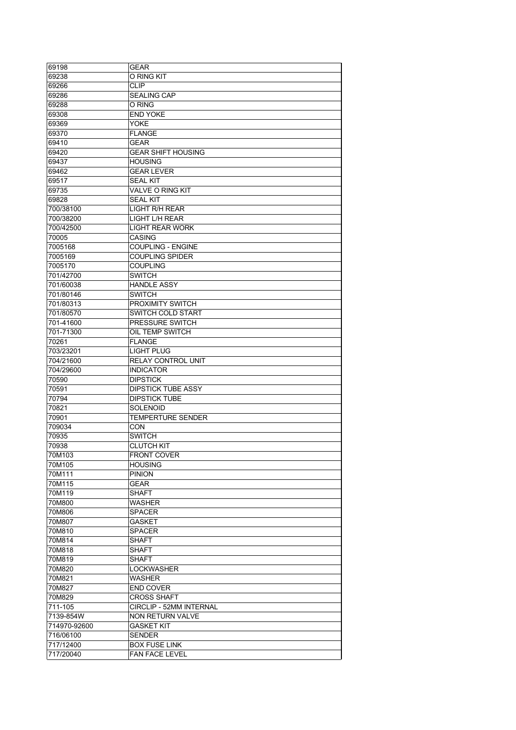| 69198        | <b>GEAR</b>               |
|--------------|---------------------------|
| 69238        | O RING KIT                |
| 69266        | <b>CLIP</b>               |
| 69286        | <b>SEALING CAP</b>        |
| 69288        | O RING                    |
| 69308        | <b>END YOKE</b>           |
|              |                           |
| 69369        | YOKE                      |
| 69370        | <b>FLANGE</b>             |
| 69410        | <b>GEAR</b>               |
| 69420        | <b>GEAR SHIFT HOUSING</b> |
| 69437        | <b>HOUSING</b>            |
| 69462        | <b>GEAR LEVER</b>         |
| 69517        | <b>SEAL KIT</b>           |
| 69735        | <b>VALVE O RING KIT</b>   |
| 69828        | <b>SEAL KIT</b>           |
| 700/38100    | LIGHT R/H REAR            |
| 700/38200    | LIGHT L/H REAR            |
|              | <b>LIGHT REAR WORK</b>    |
| 700/42500    |                           |
| 70005        | <b>CASING</b>             |
| 7005168      | <b>COUPLING - ENGINE</b>  |
| 7005169      | <b>COUPLING SPIDER</b>    |
| 7005170      | <b>COUPLING</b>           |
| 701/42700    | <b>SWITCH</b>             |
| 701/60038    | <b>HANDLE ASSY</b>        |
| 701/80146    | <b>SWITCH</b>             |
| 701/80313    | <b>PROXIMITY SWITCH</b>   |
|              |                           |
| 701/80570    | <b>SWITCH COLD START</b>  |
| 701-41600    | PRESSURE SWITCH           |
| 701-71300    | OIL TEMP SWITCH           |
| 70261        | <b>FLANGE</b>             |
| 703/23201    | LIGHT PLUG                |
| 704/21600    | RELAY CONTROL UNIT        |
| 704/29600    | <b>INDICATOR</b>          |
| 70590        | <b>DIPSTICK</b>           |
| 70591        | <b>DIPSTICK TUBE ASSY</b> |
| 70794        | <b>DIPSTICK TUBE</b>      |
|              |                           |
| 70821        | <b>SOLENOID</b>           |
| 70901        | <b>TEMPERTURE SENDER</b>  |
| 709034       | <b>CON</b>                |
| 70935        | SWITCH                    |
| 70938        | <b>CLUTCH KIT</b>         |
| 70M103       | <b>FRONT COVER</b>        |
| 70M105       | <b>HOUSING</b>            |
| 70M111       | <b>PINION</b>             |
| 70M115       | GEAR                      |
| 70M119       | SHAFT                     |
|              |                           |
| 70M800       | <b>WASHER</b>             |
| 70M806       | <b>SPACER</b>             |
| 70M807       | <b>GASKET</b>             |
| 70M810       | <b>SPACER</b>             |
| 70M814       | SHAFT                     |
| 70M818       | <b>SHAFT</b>              |
| 70M819       | <b>SHAFT</b>              |
| 70M820       | <b>LOCKWASHER</b>         |
| 70M821       | <b>WASHER</b>             |
|              |                           |
| 70M827       | <b>END COVER</b>          |
| 70M829       | <b>CROSS SHAFT</b>        |
| 711-105      | CIRCLIP - 52MM INTERNAL   |
| 7139-854W    | <b>NON RETURN VALVE</b>   |
| 714970-92600 | <b>GASKET KIT</b>         |
| 716/06100    | <b>SENDER</b>             |
| 717/12400    | <b>BOX FUSE LINK</b>      |
| 717/20040    | <b>FAN FACE LEVEL</b>     |
|              |                           |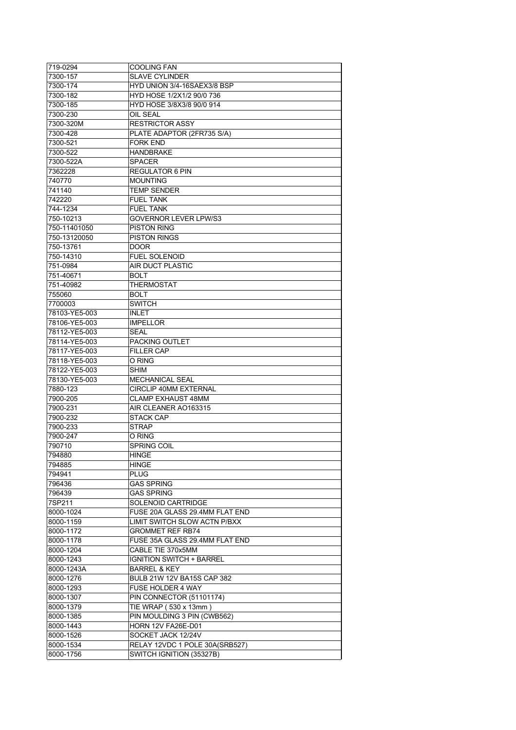| 719-0294              | <b>COOLING FAN</b>              |
|-----------------------|---------------------------------|
| 7300-157              | <b>SLAVE CYLINDER</b>           |
| 7300-174              | HYD UNION 3/4-16SAEX3/8 BSP     |
| 7300-182              | HYD HOSE 1/2X1/2 90/0 736       |
| 7300-185              | HYD HOSE 3/8X3/8 90/0 914       |
| 7300-230              | OIL SEAL                        |
| 7300-320M             | <b>RESTRICTOR ASSY</b>          |
| 7300-428              | PLATE ADAPTOR (2FR735 S/A)      |
| 7300-521              | <b>FORK END</b>                 |
| 7300-522              | <b>HANDBRAKE</b>                |
| 7300-522A             | <b>SPACER</b>                   |
| 7362228               | <b>REGULATOR 6 PIN</b>          |
| 740770                | <b>MOUNTING</b>                 |
| 741140                | <b>TEMP SENDER</b>              |
| 742220                | <b>FUEL TANK</b>                |
| 744-1234              | <b>FUEL TANK</b>                |
| 750-10213             | <b>GOVERNOR LEVER LPW/S3</b>    |
| 750-11401050          | <b>PISTON RING</b>              |
| 750-13120050          | <b>PISTON RINGS</b>             |
| 750-13761             | <b>DOOR</b>                     |
| 750-14310             | <b>FUEL SOLENOID</b>            |
|                       |                                 |
| 751-0984<br>751-40671 | AIR DUCT PLASTIC<br><b>BOLT</b> |
|                       | <b>THERMOSTAT</b>               |
| 751-40982             |                                 |
| 755060                | <b>BOLT</b>                     |
| 7700003               | <b>SWITCH</b>                   |
| 78103-YE5-003         | INLET                           |
| 78106-YE5-003         | <b>IMPELLOR</b>                 |
| 78112-YE5-003         | SEAL                            |
| 78114-YE5-003         | PACKING OUTLET                  |
| 78117-YE5-003         | <b>FILLER CAP</b>               |
| 78118-YE5-003         | O RING                          |
| 78122-YE5-003         | SHIM                            |
| 78130-YE5-003         | <b>MECHANICAL SEAL</b>          |
| 7880-123              | <b>CIRCLIP 40MM EXTERNAL</b>    |
| 7900-205              | <b>CLAMP EXHAUST 48MM</b>       |
| 7900-231              | AIR CLEANER AO163315            |
| 7900-232              | <b>STACK CAP</b>                |
| 7900-233              | <b>STRAP</b>                    |
| 7900-247              | O RING                          |
| 790710                | <b>SPRING COIL</b>              |
| 794880                | HINGE                           |
| 794885                | <b>HINGE</b>                    |
| 794941                | <b>PLUG</b>                     |
| 796436                | <b>GAS SPRING</b>               |
| 796439                | <b>GAS SPRING</b>               |
| 7SP211                | SOLENOID CARTRIDGE              |
| 8000-1024             | FUSE 20A GLASS 29.4MM FLAT END  |
| 8000-1159             | LIMIT SWITCH SLOW ACTN P/BXX    |
| 8000-1172             | <b>GROMMET REF RB74</b>         |
| 8000-1178             | FUSE 35A GLASS 29.4MM FLAT END  |
| 8000-1204             | CABLE TIE 370x5MM               |
| 8000-1243             | <b>IGNITION SWITCH + BARREL</b> |
| 8000-1243A            | <b>BARREL &amp; KEY</b>         |
| 8000-1276             | BULB 21W 12V BA15S CAP 382      |
| 8000-1293             | FUSE HOLDER 4 WAY               |
| 8000-1307             | PIN CONNECTOR (51101174)        |
| 8000-1379             | TIE WRAP (530 x 13mm)           |
| 8000-1385             | PIN MOULDING 3 PIN (CWB562)     |
| 8000-1443             | <b>HORN 12V FA26E-D01</b>       |
| 8000-1526             | SOCKET JACK 12/24V              |
| 8000-1534             | RELAY 12VDC 1 POLE 30A(SRB527)  |
|                       | SWITCH IGNITION (35327B)        |
| 8000-1756             |                                 |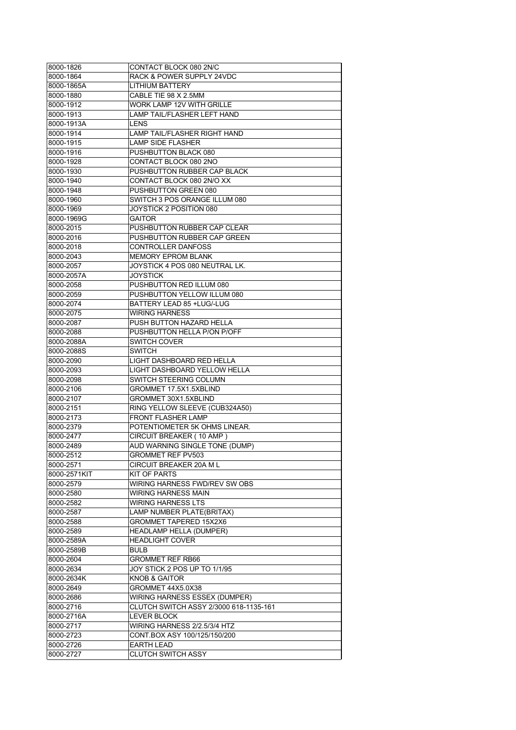| 8000-1826    | CONTACT BLOCK 080 2N/C                 |
|--------------|----------------------------------------|
| 8000-1864    | RACK & POWER SUPPLY 24VDC              |
| 8000-1865A   | <b>LITHIUM BATTERY</b>                 |
| 8000-1880    | CABLE TIE 98 X 2.5MM                   |
| 8000-1912    | WORK LAMP 12V WITH GRILLE              |
| 8000-1913    | <b>LAMP TAIL/FLASHER LEFT HAND</b>     |
| 8000-1913A   | LENS                                   |
| 8000-1914    | LAMP TAIL/FLASHER RIGHT HAND           |
| 8000-1915    | <b>LAMP SIDE FLASHER</b>               |
| 8000-1916    | PUSHBUTTON BLACK 080                   |
| 8000-1928    | CONTACT BLOCK 080 2NO                  |
| 8000-1930    | PUSHBUTTON RUBBER CAP BLACK            |
| 8000-1940    | CONTACT BLOCK 080 2N/O XX              |
| 8000-1948    | PUSHBUTTON GREEN 080                   |
| 8000-1960    | SWITCH 3 POS ORANGE ILLUM 080          |
| 8000-1969    | JOYSTICK 2 POSITION 080                |
|              |                                        |
| 8000-1969G   | GAITOR                                 |
| 8000-2015    | PUSHBUTTON RUBBER CAP CLEAR            |
| 8000-2016    | PUSHBUTTON RUBBER CAP GREEN            |
| 8000-2018    | <b>CONTROLLER DANFOSS</b>              |
| 8000-2043    | <b>MEMORY EPROM BLANK</b>              |
| 8000-2057    | JOYSTICK 4 POS 080 NEUTRAL LK.         |
| 8000-2057A   | JOYSTICK                               |
| 8000-2058    | PUSHBUTTON RED ILLUM 080               |
| 8000-2059    | PUSHBUTTON YELLOW ILLUM 080            |
| 8000-2074    | BATTERY LEAD 85 +LUG/-LUG              |
| 8000-2075    | <b>WIRING HARNESS</b>                  |
| 8000-2087    | PUSH BUTTON HAZARD HELLA               |
| 8000-2088    | PUSHBUTTON HELLA P/ON P/OFF            |
| 8000-2088A   | <b>SWITCH COVER</b>                    |
| 8000-2088S   | SWITCH                                 |
| 8000-2090    | LIGHT DASHBOARD RED HELLA              |
| 8000-2093    | LIGHT DASHBOARD YELLOW HELLA           |
| 8000-2098    | SWITCH STEERING COLUMN                 |
| 8000-2106    | GROMMET 17.5X1.5XBLIND                 |
| 8000-2107    | GROMMET 30X1.5XBLIND                   |
| 8000-2151    | RING YELLOW SLEEVE (CUB324A50)         |
| 8000-2173    | <b>FRONT FLASHER LAMP</b>              |
| 8000-2379    | POTENTIOMETER 5K OHMS LINEAR.          |
| 8000-2477    | CIRCUIT BREAKER (10 AMP)               |
| 8000-2489    | AUD WARNING SINGLE TONE (DUMP)         |
| 8000-2512    | <b>GROMMET REF PV503</b>               |
|              |                                        |
| 8000-2571    | CIRCUIT BREAKER 20A M L                |
| 8000-2571KIT | KIT OF PARTS                           |
| 8000-2579    | WIRING HARNESS FWD/REV SW OBS          |
| 8000-2580    | WIRING HARNESS MAIN                    |
| 8000-2582    | <b>WIRING HARNESS LTS</b>              |
| 8000-2587    | LAMP NUMBER PLATE(BRITAX)              |
| 8000-2588    | GROMMET TAPERED 15X2X6                 |
| 8000-2589    | HEADLAMP HELLA (DUMPER)                |
| 8000-2589A   | <b>HEADLIGHT COVER</b>                 |
| 8000-2589B   | <b>BULB</b>                            |
| 8000-2604    | <b>GROMMET REF RB66</b>                |
| 8000-2634    | JOY STICK 2 POS UP TO 1/1/95           |
| 8000-2634K   | <b>KNOB &amp; GAITOR</b>               |
| 8000-2649    | GROMMET 44X5.0X38                      |
| 8000-2686    | WIRING HARNESS ESSEX (DUMPER)          |
| 8000-2716    | CLUTCH SWITCH ASSY 2/3000 618-1135-161 |
| 8000-2716A   | <b>LEVER BLOCK</b>                     |
| 8000-2717    | WIRING HARNESS 2/2.5/3/4 HTZ           |
| 8000-2723    | CONT BOX ASY 100/125/150/200           |
| 8000-2726    |                                        |
|              | <b>EARTH LEAD</b>                      |
| 8000-2727    | <b>CLUTCH SWITCH ASSY</b>              |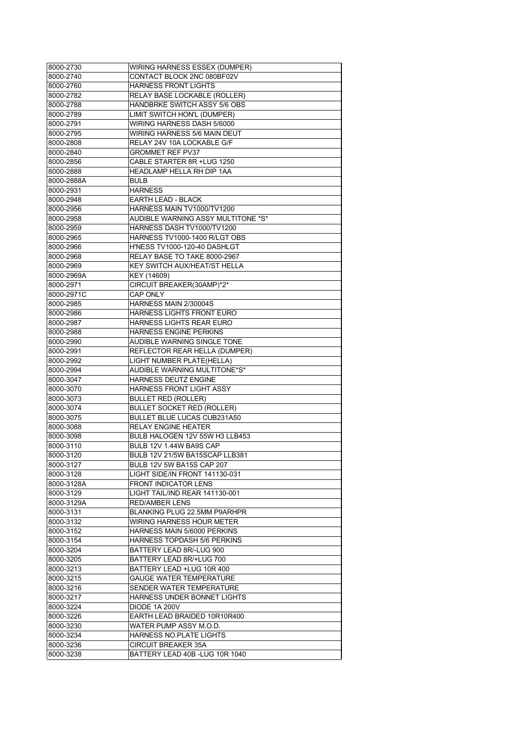| 8000-2730  | WIRING HARNESS ESSEX (DUMPER)      |
|------------|------------------------------------|
| 8000-2740  | CONTACT BLOCK 2NC 080BF02V         |
| 8000-2760  | <b>HARNESS FRONT LIGHTS</b>        |
| 8000-2782  | RELAY BASE LOCKABLE (ROLLER)       |
| 8000-2788  | HANDBRKE SWITCH ASSY 5/6 OBS       |
| 8000-2789  | LIMIT SWITCH HON'L (DUMPER)        |
| 8000-2791  | WIRING HARNESS DASH 5/6000         |
| 8000-2795  | WIRING HARNESS 5/6 MAIN DEUT       |
| 8000-2808  | RELAY 24V 10A LOCKABLE G/F         |
| 8000-2840  | GROMMET REF PV37                   |
| 8000-2856  | CABLE STARTER 8R + LUG 1250        |
| 8000-2888  | HEADLAMP HELLA RH DIP 1AA          |
| 8000-2888A | <b>BULB</b>                        |
| 8000-2931  | <b>HARNESS</b>                     |
| 8000-2948  | EARTH LEAD - BLACK                 |
| 8000-2956  | HARNESS MAIN TV1000/TV1200         |
| 8000-2958  | AUDIBLE WARNING ASSY MULTITONE *S* |
| 8000-2959  | HARNESS DASH TV1000/TV1200         |
| 8000-2965  | HARNESS TV1000-1400 R/LGT OBS      |
| 8000-2966  | H'NESS TV1000-120-40 DASHLGT       |
| 8000-2968  | RELAY BASE TO TAKE 8000-2967       |
| 8000-2969  | KEY SWITCH AUX/HEAT/ST HELLA       |
| 8000-2969A | KEY (14609)                        |
| 8000-2971  | CIRCUIT BREAKER(30AMP)*2*          |
| 8000-2971C | <b>CAP ONLY</b>                    |
| 8000-2985  | HARNESS MAIN 2/30004S              |
| 8000-2986  | <b>HARNESS LIGHTS FRONT EURO</b>   |
| 8000-2987  | HARNESS LIGHTS REAR EURO           |
| 8000-2988  | HARNESS ENGINE PERKINS             |
| 8000-2990  | AUDIBLE WARNING SINGLE TONE        |
| 8000-2991  | REFLECTOR REAR HELLA (DUMPER)      |
| 8000-2992  | LIGHT NUMBER PLATE(HELLA)          |
| 8000-2994  | AUDIBLE WARNING MULTITONE*S*       |
| 8000-3047  | HARNESS DEUTZ ENGINE               |
| 8000-3070  | HARNESS FRONT LIGHT ASSY           |
| 8000-3073  | <b>BULLET RED (ROLLER)</b>         |
| 8000-3074  | <b>BULLET SOCKET RED (ROLLER)</b>  |
| 8000-3075  | BULLET BLUE LUCAS CUB231A50        |
| 8000-3088  | <b>RELAY ENGINE HEATER</b>         |
| 8000-3098  | BULB HALOGEN 12V 55W H3 LLB453     |
| 8000-3110  | BULB 12V 1.44W BA9S CAP            |
| 8000-3120  | BULB 12V 21/5W BA15SCAP LLB381     |
| 8000-3127  | BULB 12V 5W BA15S CAP 207          |
| 8000-3128  | LIGHT SIDE/IN FRONT 141130-031     |
| 8000-3128A | <b>FRONT INDICATOR LENS</b>        |
| 8000-3129  | LIGHT TAIL/IND REAR 141130-001     |
| 8000-3129A | <b>RED/AMBER LENS</b>              |
| 8000-3131  | BLANKING PLUG 22.5MM P9ARHPR       |
| 8000-3132  | WIRING HARNESS HOUR METER          |
| 8000-3152  | HARNESS MAIN 5/6000 PERKINS        |
| 8000-3154  | <b>HARNESS TOPDASH 5/6 PERKINS</b> |
| 8000-3204  | BATTERY LEAD 8R/-LUG 900           |
| 8000-3205  | BATTERY LEAD 8R/+LUG 700           |
| 8000-3213  | BATTERY LEAD +LUG 10R 400          |
| 8000-3215  | <b>GAUGE WATER TEMPERATURE</b>     |
| 8000-3216  | SENDER WATER TEMPERATURE           |
| 8000-3217  | HARNESS UNDER BONNET LIGHTS        |
| 8000-3224  | <b>DIODE 1A 200V</b>               |
| 8000-3226  | EARTH LEAD BRAIDED 10R10R400       |
| 8000-3230  | WATER PUMP ASSY M.O.D.             |
| 8000-3234  | HARNESS NO.PLATE LIGHTS            |
| 8000-3236  | <b>CIRCUIT BREAKER 35A</b>         |
| 8000-3238  | BATTERY LEAD 40B -LUG 10R 1040     |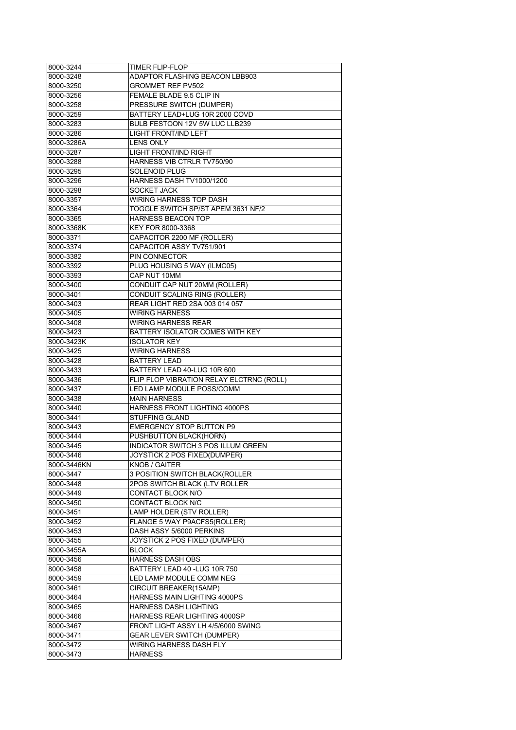| 8000-3244   | TIMER FLIP-FLOP                          |
|-------------|------------------------------------------|
| 8000-3248   | ADAPTOR FLASHING BEACON LBB903           |
| 8000-3250   | <b>GROMMET REF PV502</b>                 |
| 8000-3256   | FEMALE BLADE 9.5 CLIP IN                 |
| 8000-3258   | PRESSURE SWITCH (DUMPER)                 |
| 8000-3259   | BATTERY LEAD+LUG 10R 2000 COVD           |
| 8000-3283   | BULB FESTOON 12V 5W LUC LLB239           |
| 8000-3286   | <b>LIGHT FRONT/IND LEFT</b>              |
| 8000-3286A  | LENS ONLY                                |
| 8000-3287   | <b>LIGHT FRONT/IND RIGHT</b>             |
| 8000-3288   | HARNESS VIB CTRLR TV750/90               |
| 8000-3295   | <b>SOLENOID PLUG</b>                     |
| 8000-3296   | HARNESS DASH TV1000/1200                 |
| 8000-3298   | <b>SOCKET JACK</b>                       |
| 8000-3357   | <b>WIRING HARNESS TOP DASH</b>           |
| 8000-3364   | TOGGLE SWITCH SP/ST APEM 3631 NF/2       |
| 8000-3365   | HARNESS BEACON TOP                       |
| 8000-3368K  | KEY FOR 8000-3368                        |
| 8000-3371   | CAPACITOR 2200 MF (ROLLER)               |
|             | CAPACITOR ASSY TV751/901                 |
| 8000-3374   | PIN CONNECTOR                            |
| 8000-3382   |                                          |
| 8000-3392   | PLUG HOUSING 5 WAY (ILMC05)              |
| 8000-3393   | CAP NUT 10MM                             |
| 8000-3400   | CONDUIT CAP NUT 20MM (ROLLER)            |
| 8000-3401   | CONDUIT SCALING RING (ROLLER)            |
| 8000-3403   | REAR LIGHT RED 2SA 003 014 057           |
| 8000-3405   | <b>WIRING HARNESS</b>                    |
| 8000-3408   | <b>WIRING HARNESS REAR</b>               |
| 8000-3423   | BATTERY ISOLATOR COMES WITH KEY          |
| 8000-3423K  | <b>ISOLATOR KEY</b>                      |
| 8000-3425   | <b>WIRING HARNESS</b>                    |
| 8000-3428   | <b>BATTERY LEAD</b>                      |
| 8000-3433   | BATTERY LEAD 40-LUG 10R 600              |
| 8000-3436   | FLIP FLOP VIBRATION RELAY ELCTRNC (ROLL) |
|             |                                          |
| 8000-3437   | LED LAMP MODULE POSS/COMM                |
| 8000-3438   | <b>MAIN HARNESS</b>                      |
| 8000-3440   | HARNESS FRONT LIGHTING 4000PS            |
| 8000-3441   | <b>STUFFING GLAND</b>                    |
| 8000-3443   | <b>EMERGENCY STOP BUTTON P9</b>          |
| 8000-3444   | PUSHBUTTON BLACK(HORN)                   |
| 8000-3445   | INDICATOR SWITCH 3 POS ILLUM GREEN       |
| 8000-3446   | JOYSTICK 2 POS FIXED(DUMPER)             |
| 8000-3446KN | KNOB / GAITER                            |
| 8000-3447   | 3 POSITION SWITCH BLACK(ROLLER           |
| 8000-3448   | 2POS SWITCH BLACK (LTV ROLLER            |
| 8000-3449   | CONTACT BLOCK N/O                        |
| 8000-3450   | CONTACT BLOCK N/C                        |
| 8000-3451   | LAMP HOLDER (STV ROLLER)                 |
| 8000-3452   | FLANGE 5 WAY P9ACFS5(ROLLER)             |
| 8000-3453   | DASH ASSY 5/6000 PERKINS                 |
| 8000-3455   | JOYSTICK 2 POS FIXED (DUMPER)            |
| 8000-3455A  | <b>BLOCK</b>                             |
| 8000-3456   | <b>HARNESS DASH OBS</b>                  |
| 8000-3458   | BATTERY LEAD 40 - LUG 10R 750            |
| 8000-3459   | LED LAMP MODULE COMM NEG                 |
| 8000-3461   | CIRCUIT BREAKER(15AMP)                   |
| 8000-3464   | HARNESS MAIN LIGHTING 4000PS             |
| 8000-3465   | HARNESS DASH LIGHTING                    |
| 8000-3466   | HARNESS REAR LIGHTING 4000SP             |
| 8000-3467   | FRONT LIGHT ASSY LH 4/5/6000 SWING       |
| 8000-3471   | <b>GEAR LEVER SWITCH (DUMPER)</b>        |
| 8000-3472   | WIRING HARNESS DASH FLY                  |
| 8000-3473   | <b>HARNESS</b>                           |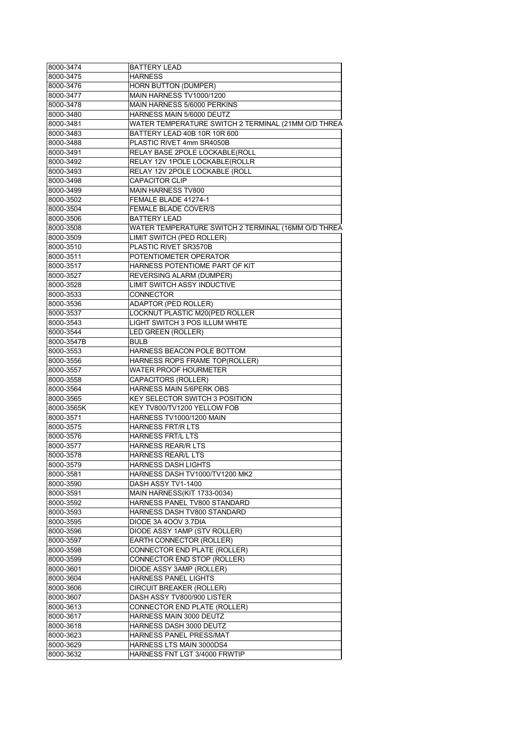| 8000-3474  | <b>BATTERY LEAD</b>                                 |
|------------|-----------------------------------------------------|
| 8000-3475  | <b>HARNESS</b>                                      |
| 8000-3476  | <b>HORN BUTTON (DUMPER)</b>                         |
| 8000-3477  | <b>MAIN HARNESS TV1000/1200</b>                     |
| 8000-3478  | MAIN HARNESS 5/6000 PERKINS                         |
| 8000-3480  | HARNESS MAIN 5/6000 DEUTZ                           |
| 8000-3481  | WATER TEMPERATURE SWITCH 2 TERMINAL (21MM O/D THREA |
| 8000-3483  | BATTERY LEAD 40B 10R 10R 600                        |
| 8000-3488  | PLASTIC RIVET 4mm SR4050B                           |
| 8000-3491  | RELAY BASE 2POLE LOCKABLE(ROLL                      |
| 8000-3492  | RELAY 12V 1POLE LOCKABLE(ROLLR                      |
| 8000-3493  | RELAY 12V 2POLE LOCKABLE (ROLL                      |
| 8000-3498  | <b>CAPACITOR CLIP</b>                               |
| 8000-3499  | <b>MAIN HARNESS TV800</b>                           |
| 8000-3502  | FEMALE BLADE 41274-1                                |
| 8000-3504  | FEMALE BLADE COVER/S                                |
| 8000-3506  | <b>BATTERY LEAD</b>                                 |
| 8000-3508  | WATER TEMPERATURE SWITCH 2 TERMINAL (16MM O/D THREA |
| 8000-3509  | LIMIT SWITCH (PED ROLLER)                           |
| 8000-3510  | PLASTIC RIVET SR3570B                               |
| 8000-3511  | POTENTIOMETER OPERATOR                              |
| 8000-3517  | HARNESS POTENTIOME PART OF KIT                      |
| 8000-3527  | <b>REVERSING ALARM (DUMPER)</b>                     |
| 8000-3528  | LIMIT SWITCH ASSY INDUCTIVE                         |
| 8000-3533  | <b>CONNECTOR</b>                                    |
| 8000-3536  | <b>ADAPTOR (PED ROLLER)</b>                         |
| 8000-3537  | LOCKNUT PLASTIC M20(PED ROLLER                      |
| 8000-3543  | LIGHT SWITCH 3 POS ILLUM WHITE                      |
| 8000-3544  | LED GREEN (ROLLER)                                  |
| 8000-3547B | <b>BULB</b>                                         |
| 8000-3553  | HARNESS BEACON POLE BOTTOM                          |
| 8000-3556  | HARNESS ROPS FRAME TOP(ROLLER)                      |
| 8000-3557  | <b>WATER PROOF HOURMETER</b>                        |
| 8000-3558  | CAPACITORS (ROLLER)                                 |
| 8000-3564  | HARNESS MAIN 5/6PERK OBS                            |
| 8000-3565  | <b>KEY SELECTOR SWITCH 3 POSITION</b>               |
| 8000-3565K | KEY TV800/TV1200 YELLOW FOB                         |
| 8000-3571  | HARNESS TV1000/1200 MAIN                            |
| 8000-3575  | <b>HARNESS FRT/R LTS</b>                            |
| 8000-3576  | <b>HARNESS FRT/L LTS</b>                            |
| 8000-3577  | <b>HARNESS REAR/R LTS</b>                           |
|            |                                                     |
| 8000-3578  | HARNESS REAR/L LTS                                  |
| 8000-3579  | <b>HARNESS DASH LIGHTS</b>                          |
| 8000-3581  | HARNESS DASH TV1000/TV1200 MK2                      |
| 8000-3590  | DASH ASSY TV1-1400                                  |
| 8000-3591  | <b>MAIN HARNESS(KIT 1733-0034)</b>                  |
| 8000-3592  | HARNESS PANEL TV800 STANDARD                        |
| 8000-3593  | HARNESS DASH TV800 STANDARD                         |
| 8000-3595  | DIODE 3A 4OOV 3.7DIA                                |
| 8000-3596  | DIODE ASSY 1AMP (STV ROLLER)                        |
| 8000-3597  | EARTH CONNECTOR (ROLLER)                            |
| 8000-3598  | CONNECTOR END PLATE (ROLLER)                        |
| 8000-3599  | CONNECTOR END STOP (ROLLER)                         |
| 8000-3601  | DIODE ASSY 3AMP (ROLLER)                            |
| 8000-3604  | HARNESS PANEL LIGHTS                                |
| 8000-3606  | CIRCUIT BREAKER (ROLLER)                            |
| 8000-3607  | DASH ASSY TV800/900 LISTER                          |
| 8000-3613  | CONNECTOR END PLATE (ROLLER)                        |
| 8000-3617  | HARNESS MAIN 3000 DEUTZ                             |
| 8000-3618  | HARNESS DASH 3000 DEUTZ                             |
| 8000-3623  | HARNESS PANEL PRESS/MAT                             |
| 8000-3629  | HARNESS LTS MAIN 3000DS4                            |
| 8000-3632  | HARNESS FNT LGT 3/4000 FRWTIP                       |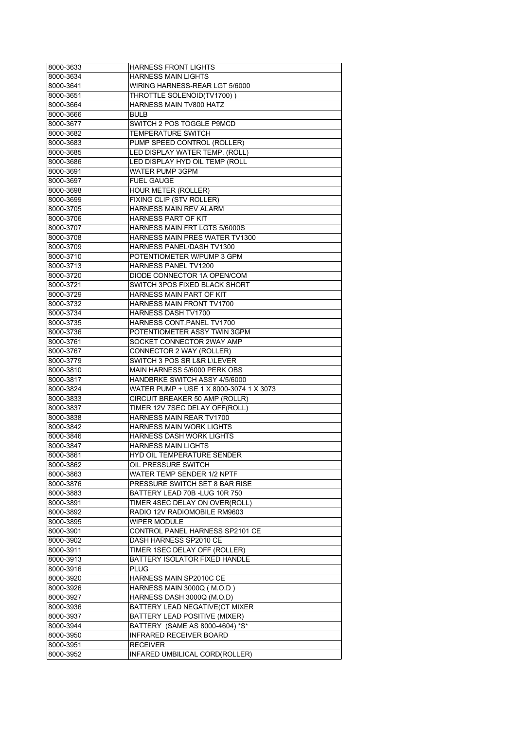| 8000-3633 | <b>HARNESS FRONT LIGHTS</b>                                  |
|-----------|--------------------------------------------------------------|
| 8000-3634 | <b>HARNESS MAIN LIGHTS</b>                                   |
| 8000-3641 | WIRING HARNESS-REAR LGT 5/6000                               |
| 8000-3651 | THROTTLE SOLENOID(TV1700))                                   |
| 8000-3664 | HARNESS MAIN TV800 HATZ                                      |
| 8000-3666 | <b>BULB</b>                                                  |
| 8000-3677 | SWITCH 2 POS TOGGLE P9MCD                                    |
| 8000-3682 | <b>TEMPERATURE SWITCH</b>                                    |
| 8000-3683 | PUMP SPEED CONTROL (ROLLER)                                  |
| 8000-3685 | LED DISPLAY WATER TEMP. (ROLL)                               |
| 8000-3686 | LED DISPLAY HYD OIL TEMP (ROLL                               |
| 8000-3691 | <b>WATER PUMP 3GPM</b>                                       |
| 8000-3697 | <b>FUEL GAUGE</b>                                            |
| 8000-3698 | <b>HOUR METER (ROLLER)</b>                                   |
| 8000-3699 | FIXING CLIP (STV ROLLER)                                     |
| 8000-3705 | HARNESS MAIN REV ALARM                                       |
| 8000-3706 | HARNESS PART OF KIT                                          |
| 8000-3707 | HARNESS MAIN FRT LGTS 5/6000S                                |
| 8000-3708 | HARNESS MAIN PRES WATER TV1300                               |
| 8000-3709 | HARNESS PANEL/DASH TV1300                                    |
| 8000-3710 | POTENTIOMETER W/PUMP 3 GPM                                   |
| 8000-3713 | HARNESS PANEL TV1200                                         |
| 8000-3720 | DIODE CONNECTOR 1A OPEN/COM                                  |
| 8000-3721 | SWITCH 3POS FIXED BLACK SHORT                                |
| 8000-3729 | <b>HARNESS MAIN PART OF KIT</b>                              |
| 8000-3732 | HARNESS MAIN FRONT TV1700                                    |
| 8000-3734 | HARNESS DASH TV1700                                          |
| 8000-3735 | HARNESS CONT.PANEL TV1700                                    |
| 8000-3736 | POTENTIOMETER ASSY TWIN 3GPM                                 |
| 8000-3761 | SOCKET CONNECTOR 2WAY AMP                                    |
| 8000-3767 | CONNECTOR 2 WAY (ROLLER)                                     |
| 8000-3779 | SWITCH 3 POS SR L&R L\LEVER                                  |
| 8000-3810 | MAIN HARNESS 5/6000 PERK OBS                                 |
| 8000-3817 | HANDBRKE SWITCH ASSY 4/5/6000                                |
| 8000-3824 | WATER PUMP + USE 1 X 8000-3074 1 X 3073                      |
| 8000-3833 | CIRCUIT BREAKER 50 AMP (ROLLR)                               |
| 8000-3837 | TIMER 12V 7SEC DELAY OFF(ROLL)                               |
| 8000-3838 | <b>HARNESS MAIN REAR TV1700</b>                              |
| 8000-3842 | <b>HARNESS MAIN WORK LIGHTS</b>                              |
| 8000-3846 | <b>HARNESS DASH WORK LIGHTS</b>                              |
| 8000-3847 | <b>HARNESS MAIN LIGHTS</b>                                   |
|           |                                                              |
| 8000-3861 | HYD OIL TEMPERATURE SENDER                                   |
| 8000-3862 | OIL PRESSURE SWITCH                                          |
| 8000-3863 | WATER TEMP SENDER 1/2 NPTF<br>PRESSURE SWITCH SET 8 BAR RISE |
| 8000-3876 |                                                              |
| 8000-3883 | BATTERY LEAD 70B - LUG 10R 750                               |
| 8000-3891 | TIMER 4SEC DELAY ON OVER(ROLL)                               |
| 8000-3892 | RADIO 12V RADIOMOBILE RM9603                                 |
| 8000-3895 | WIPER MODULE                                                 |
| 8000-3901 | CONTROL PANEL HARNESS SP2101 CE                              |
| 8000-3902 | DASH HARNESS SP2010 CE                                       |
| 8000-3911 | TIMER 1SEC DELAY OFF (ROLLER)                                |
| 8000-3913 | BATTERY ISOLATOR FIXED HANDLE                                |
| 8000-3916 | PLUG                                                         |
| 8000-3920 | HARNESS MAIN SP2010C CE                                      |
| 8000-3926 | HARNESS MAIN 3000Q (M.O.D)                                   |
| 8000-3927 | HARNESS DASH 3000Q (M.O.D)                                   |
| 8000-3936 | BATTERY LEAD NEGATIVE(CT MIXER                               |
| 8000-3937 | BATTERY LEAD POSITIVE (MIXER)                                |
| 8000-3944 | BATTERY (SAME AS 8000-4604) *S*                              |
| 8000-3950 | <b>INFRARED RECEIVER BOARD</b>                               |
| 8000-3951 | <b>RECEIVER</b>                                              |
| 8000-3952 | INFARED UMBILICAL CORD(ROLLER)                               |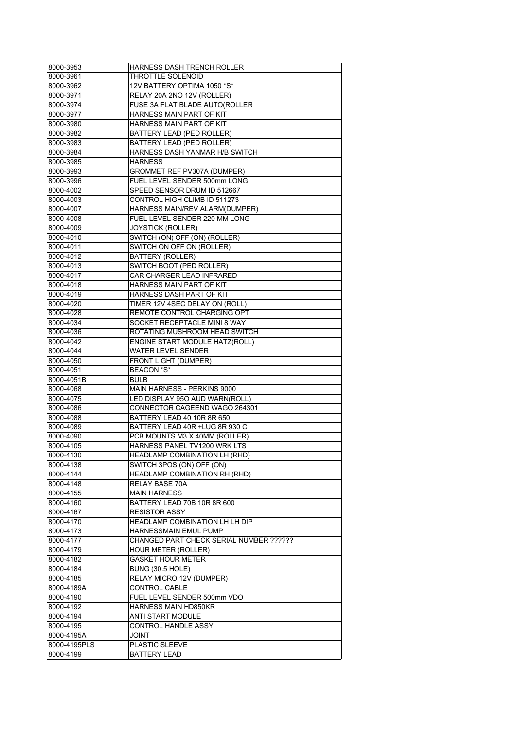| 8000-3953    | HARNESS DASH TRENCH ROLLER              |
|--------------|-----------------------------------------|
| 8000-3961    | THROTTLE SOLENOID                       |
| 8000-3962    | 12V BATTERY OPTIMA 1050 *S*             |
| 8000-3971    | RELAY 20A 2NO 12V (ROLLER)              |
| 8000-3974    | FUSE 3A FLAT BLADE AUTO(ROLLER          |
| 8000-3977    | HARNESS MAIN PART OF KIT                |
| 8000-3980    | HARNESS MAIN PART OF KIT                |
| 8000-3982    | BATTERY LEAD (PED ROLLER)               |
| 8000-3983    | BATTERY LEAD (PED ROLLER)               |
| 8000-3984    | HARNESS DASH YANMAR H/B SWITCH          |
| 8000-3985    | <b>HARNESS</b>                          |
| 8000-3993    | GROMMET REF PV307A (DUMPER)             |
| 8000-3996    | FUEL LEVEL SENDER 500mm LONG            |
| 8000-4002    | SPEED SENSOR DRUM ID 512667             |
| 8000-4003    | CONTROL HIGH CLIMB ID 511273            |
| 8000-4007    | HARNESS MAIN/REV ALARM(DUMPER)          |
| 8000-4008    | FUEL LEVEL SENDER 220 MM LONG           |
| 8000-4009    | <b>JOYSTICK (ROLLER)</b>                |
| 8000-4010    | SWITCH (ON) OFF (ON) (ROLLER)           |
| 8000-4011    | SWITCH ON OFF ON (ROLLER)               |
| 8000-4012    | <b>BATTERY (ROLLER)</b>                 |
| 8000-4013    | SWITCH BOOT (PED ROLLER)                |
| 8000-4017    | CAR CHARGER LEAD INFRARED               |
| 8000-4018    | HARNESS MAIN PART OF KIT                |
| 8000-4019    | HARNESS DASH PART OF KIT                |
| 8000-4020    | TIMER 12V 4SEC DELAY ON (ROLL)          |
| 8000-4028    | REMOTE CONTROL CHARGING OPT             |
| 8000-4034    | SOCKET RECEPTACLE MINI 8 WAY            |
| 8000-4036    | ROTATING MUSHROOM HEAD SWITCH           |
| 8000-4042    | ENGINE START MODULE HATZ(ROLL)          |
| 8000-4044    | <b>WATER LEVEL SENDER</b>               |
| 8000-4050    | <b>FRONT LIGHT (DUMPER)</b>             |
| 8000-4051    | BEACON *S*                              |
| 8000-4051B   | <b>BULB</b>                             |
| 8000-4068    | MAIN HARNESS - PERKINS 9000             |
| 8000-4075    | LED DISPLAY 950 AUD WARN(ROLL)          |
| 8000-4086    | CONNECTOR CAGEEND WAGO 264301           |
| 8000-4088    | BATTERY LEAD 40 10R 8R 650              |
| 8000-4089    | BATTERY LEAD 40R +LUG 8R 930 C          |
| 8000-4090    | PCB MOUNTS M3 X 40MM (ROLLER)           |
| 8000-4105    | HARNESS PANEL TV1200 WRK LTS            |
| 8000-4130    | HEADLAMP COMBINATION LH (RHD)           |
| 8000-4138    | SWITCH 3POS (ON) OFF (ON)               |
| 8000-4144    | HEADLAMP COMBINATION RH (RHD)           |
| 8000-4148    | RELAY BASE 70A                          |
| 8000-4155    | <b>MAIN HARNESS</b>                     |
| 8000-4160    | BATTERY LEAD 70B 10R 8R 600             |
| 8000-4167    | <b>RESISTOR ASSY</b>                    |
| 8000-4170    | HEADLAMP COMBINATION LH LH DIP          |
| 8000-4173    | <b>HARNESSMAIN EMUL PUMP</b>            |
| 8000-4177    | CHANGED PART CHECK SERIAL NUMBER ?????? |
| 8000-4179    | HOUR METER (ROLLER)                     |
| 8000-4182    | <b>GASKET HOUR METER</b>                |
| 8000-4184    | <b>BUNG (30.5 HOLE)</b>                 |
| 8000-4185    | RELAY MICRO 12V (DUMPER)                |
| 8000-4189A   | CONTROL CABLE                           |
| 8000-4190    | FUEL LEVEL SENDER 500mm VDO             |
| 8000-4192    | HARNESS MAIN HD850KR                    |
| 8000-4194    | ANTI START MODULE                       |
| 8000-4195    | <b>CONTROL HANDLE ASSY</b>              |
| 8000-4195A   | JOINT                                   |
| 8000-4195PLS | PLASTIC SLEEVE                          |
| 8000-4199    | <b>BATTERY LEAD</b>                     |
|              |                                         |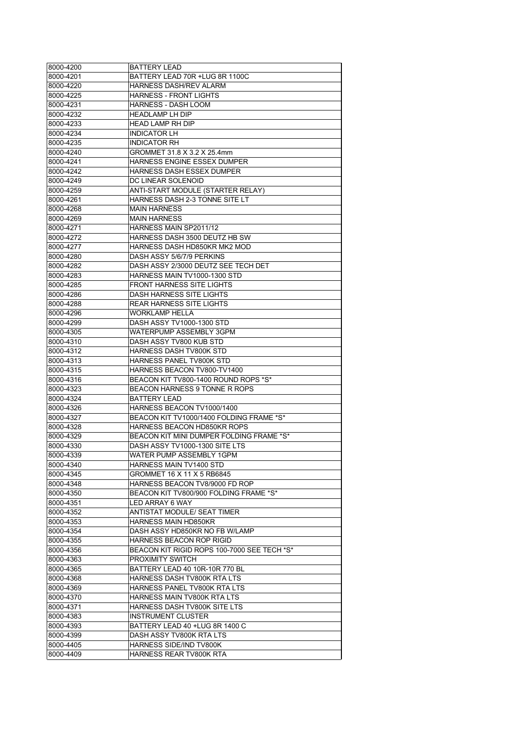| 8000-4200 | <b>BATTERY LEAD</b>                         |
|-----------|---------------------------------------------|
| 8000-4201 | BATTERY LEAD 70R +LUG 8R 1100C              |
| 8000-4220 | <b>HARNESS DASH/REV ALARM</b>               |
| 8000-4225 | <b>HARNESS - FRONT LIGHTS</b>               |
| 8000-4231 | HARNESS - DASH LOOM                         |
| 8000-4232 | <b>HEADLAMP LH DIP</b>                      |
| 8000-4233 | <b>HEAD LAMP RH DIP</b>                     |
| 8000-4234 | <b>INDICATOR LH</b>                         |
| 8000-4235 | <b>INDICATOR RH</b>                         |
| 8000-4240 | GROMMET 31.8 X 3.2 X 25.4mm                 |
| 8000-4241 | HARNESS ENGINE ESSEX DUMPER                 |
| 8000-4242 | <b>HARNESS DASH ESSEX DUMPER</b>            |
| 8000-4249 | DC LINEAR SOLENOID                          |
| 8000-4259 | ANTI-START MODULE (STARTER RELAY)           |
| 8000-4261 | HARNESS DASH 2-3 TONNE SITE LT              |
| 8000-4268 | <b>MAIN HARNESS</b>                         |
| 8000-4269 | <b>MAIN HARNESS</b>                         |
| 8000-4271 | HARNESS MAIN SP2011/12                      |
| 8000-4272 | HARNESS DASH 3500 DEUTZ HB SW               |
| 8000-4277 | HARNESS DASH HD850KR MK2 MOD                |
| 8000-4280 | DASH ASSY 5/6/7/9 PERKINS                   |
| 8000-4282 | DASH ASSY 2/3000 DEUTZ SEE TECH DET         |
| 8000-4283 | HARNESS MAIN TV1000-1300 STD                |
| 8000-4285 | <b>FRONT HARNESS SITE LIGHTS</b>            |
| 8000-4286 | <b>DASH HARNESS SITE LIGHTS</b>             |
| 8000-4288 | <b>REAR HARNESS SITE LIGHTS</b>             |
| 8000-4296 | <b>WORKLAMP HELLA</b>                       |
|           | DASH ASSY TV1000-1300 STD                   |
| 8000-4299 |                                             |
| 8000-4305 | WATERPUMP ASSEMBLY 3GPM                     |
| 8000-4310 | DASH ASSY TV800 KUB STD                     |
| 8000-4312 | <b>HARNESS DASH TV800K STD</b>              |
| 8000-4313 | HARNESS PANEL TV800K STD                    |
| 8000-4315 | HARNESS BEACON TV800-TV1400                 |
| 8000-4316 | BEACON KIT TV800-1400 ROUND ROPS *S*        |
| 8000-4323 | <b>BEACON HARNESS 9 TONNE R ROPS</b>        |
| 8000-4324 | <b>BATTERY LEAD</b>                         |
| 8000-4326 | HARNESS BEACON TV1000/1400                  |
| 8000-4327 | BEACON KIT TV1000/1400 FOLDING FRAME *S*    |
| 8000-4328 | HARNESS BEACON HD850KR ROPS                 |
| 8000-4329 | BEACON KIT MINI DUMPER FOLDING FRAME *S*    |
| 8000-4330 | DASH ASSY TV1000-1300 SITE LTS              |
| 8000-4339 | WATER PUMP ASSEMBLY 1GPM                    |
| 8000-4340 | HARNESS MAIN TV1400 STD                     |
| 8000-4345 | GROMMET 16 X 11 X 5 RB6845                  |
| 8000-4348 | HARNESS BEACON TV8/9000 FD ROP              |
| 8000-4350 | BEACON KIT TV800/900 FOLDING FRAME *S*      |
| 8000-4351 | <b>LED ARRAY 6 WAY</b>                      |
| 8000-4352 | ANTISTAT MODULE/ SEAT TIMER                 |
| 8000-4353 | HARNESS MAIN HD850KR                        |
| 8000-4354 | DASH ASSY HD850KR NO FB W/LAMP              |
| 8000-4355 | HARNESS BEACON ROP RIGID                    |
| 8000-4356 | BEACON KIT RIGID ROPS 100-7000 SEE TECH *S* |
| 8000-4363 | PROXIMITY SWITCH                            |
| 8000-4365 | BATTERY LEAD 40 10R-10R 770 BL              |
| 8000-4368 | HARNESS DASH TV800K RTA LTS                 |
| 8000-4369 | HARNESS PANEL TV800K RTA LTS                |
| 8000-4370 | <b>HARNESS MAIN TV800K RTA LTS</b>          |
| 8000-4371 | HARNESS DASH TV800K SITE LTS                |
| 8000-4383 | <b>INSTRUMENT CLUSTER</b>                   |
| 8000-4393 | BATTERY LEAD 40 +LUG 8R 1400 C              |
| 8000-4399 | DASH ASSY TV800K RTA LTS                    |
| 8000-4405 | HARNESS SIDE/IND TV800K                     |
| 8000-4409 | HARNESS REAR TV800K RTA                     |
|           |                                             |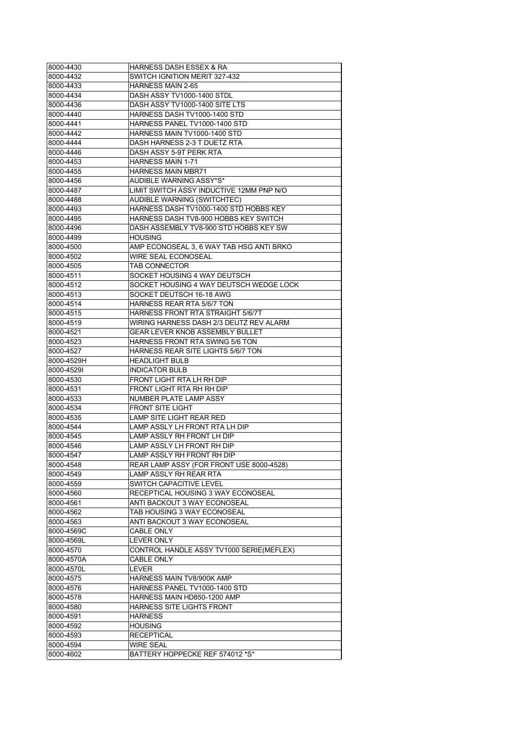| 8000-4430              | HARNESS DASH ESSEX & RA                             |
|------------------------|-----------------------------------------------------|
| 8000-4432              | SWITCH IGNITION MERIT 327-432                       |
| 8000-4433              | <b>HARNESS MAIN 2-65</b>                            |
| 8000-4434              | DASH ASSY TV1000-1400 STDL                          |
| 8000-4436              | DASH ASSY TV1000-1400 SITE LTS                      |
| 8000-4440              | HARNESS DASH TV1000-1400 STD                        |
| 8000-4441              | HARNESS PANEL TV1000-1400 STD                       |
| 8000-4442              | HARNESS MAIN TV1000-1400 STD                        |
| 8000-4444              | DASH HARNESS 2-3 T DUETZ RTA                        |
| 8000-4446              | DASH ASSY 5-9T PERK RTA                             |
| 8000-4453              | <b>HARNESS MAIN 1-71</b>                            |
| 8000-4455              | <b>HARNESS MAIN MBR71</b>                           |
| 8000-4456              | AUDIBLE WARNING ASSY*S*                             |
| 8000-4487              | LIMIT SWITCH ASSY INDUCTIVE 12MM PNP N/O            |
| 8000-4488              | AUDIBLE WARNING (SWITCHTEC)                         |
| 8000-4493              | HARNESS DASH TV1000-1400 STD HOBBS KEY              |
| 8000-4495              | HARNESS DASH TV8-900 HOBBS KEY SWITCH               |
| 8000-4496              | DASH ASSEMBLY TV8-900 STD HOBBS KEY SW              |
| 8000-4499              | <b>HOUSING</b>                                      |
| 8000-4500              | AMP ECONOSEAL 3, 6 WAY TAB HSG ANTI BRKO            |
| 8000-4502              | WIRE SEAL ECONOSEAL                                 |
| 8000-4505              | TAB CONNECTOR                                       |
| 8000-4511              | SOCKET HOUSING 4 WAY DEUTSCH                        |
| 8000-4512              | SOCKET HOUSING 4 WAY DEUTSCH WEDGE LOCK             |
| 8000-4513              | SOCKET DEUTSCH 16-18 AWG                            |
| 8000-4514              | HARNESS REAR RTA 5/6/7 TON                          |
| 8000-4515              | HARNESS FRONT RTA STRAIGHT 5/6/7T                   |
| 8000-4519              | WIRING HARNESS DASH 2/3 DEUTZ REV ALARM             |
| 8000-4521              | <b>GEAR LEVER KNOB ASSEMBLY BULLET</b>              |
| 8000-4523              | HARNESS FRONT RTA SWING 5/6 TON                     |
| 8000-4527              | HARNESS REAR SITE LIGHTS 5/6/7 TON                  |
| 8000-4529H             | <b>HEADLIGHT BULB</b>                               |
|                        |                                                     |
|                        |                                                     |
| 8000-45291             | <b>INDICATOR BULB</b>                               |
| 8000-4530              | FRONT LIGHT RTA LH RH DIP                           |
| 8000-4531              | FRONT LIGHT RTA RH RH DIP                           |
| 8000-4533              | <b>NUMBER PLATE LAMP ASSY</b>                       |
| 8000-4534              | <b>FRONT SITE LIGHT</b>                             |
| 8000-4535              | LAMP SITE LIGHT REAR RED                            |
| 8000-4544              | LAMP ASSLY LH FRONT RTA LH DIP                      |
| 8000-4545              | LAMP ASSLY RH FRONT LH DIP                          |
| 8000-4546              | LAMP ASSLY LH FRONT RH DIP                          |
| 8000-4547              | LAMP ASSLY RH FRONT RH DIP                          |
| 8000-4548              | REAR LAMP ASSY (FOR FRONT USE 8000-4528)            |
| 8000-4549              | LAMP ASSLY RH REAR RTA                              |
| 8000-4559              | <b>SWITCH CAPACITIVE LEVEL</b>                      |
| 8000-4560              | RECEPTICAL HOUSING 3 WAY ECONOSEAL                  |
| 8000-4561              | ANTI BACKOUT 3 WAY ECONOSEAL                        |
| 8000-4562              | TAB HOUSING 3 WAY ECONOSEAL                         |
| 8000-4563              | ANTI BACKOUT 3 WAY ECONOSEAL                        |
| 8000-4569C             | CABLE ONLY                                          |
| 8000-4569L             | <b>LEVER ONLY</b>                                   |
| 8000-4570              | CONTROL HANDLE ASSY TV1000 SERIE(MEFLEX)            |
| 8000-4570A             | <b>CABLE ONLY</b>                                   |
| 8000-4570L             | LEVER                                               |
| 8000-4575              | <b>HARNESS MAIN TV8/900K AMP</b>                    |
| 8000-4576              | HARNESS PANEL TV1000-1400 STD                       |
| 8000-4578              | HARNESS MAIN HD850-1200 AMP                         |
| 8000-4580              | <b>HARNESS SITE LIGHTS FRONT</b>                    |
| 8000-4591              | <b>HARNESS</b>                                      |
| 8000-4592              | <b>HOUSING</b>                                      |
| 8000-4593              | <b>RECEPTICAL</b>                                   |
| 8000-4594<br>8000-4602 | <b>WIRE SEAL</b><br>BATTERY HOPPECKE REF 574012 *S* |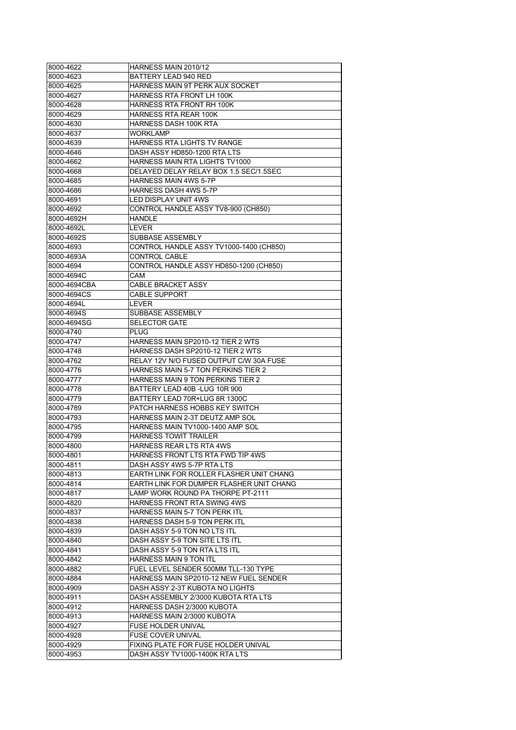| 8000-4622    | HARNESS MAIN 2010/12                       |
|--------------|--------------------------------------------|
| 8000-4623    | BATTERY LEAD 940 RED                       |
| 8000-4625    | HARNESS MAIN 9T PERK AUX SOCKET            |
| 8000-4627    | HARNESS RTA FRONT LH 100K                  |
| 8000-4628    | HARNESS RTA FRONT RH 100K                  |
| 8000-4629    | <b>HARNESS RTA REAR 100K</b>               |
| 8000-4630    | <b>HARNESS DASH 100K RTA</b>               |
| 8000-4637    | WORKLAMP                                   |
| 8000-4639    | HARNESS RTA LIGHTS TV RANGE                |
| 8000-4646    | DASH ASSY HD850-1200 RTA LTS               |
| 8000-4662    | HARNESS MAIN RTA LIGHTS TV1000             |
| 8000-4668    | DELAYED DELAY RELAY BOX 1.5 SEC/1.5SEC     |
| 8000-4685    | <b>HARNESS MAIN 4WS 5-7P</b>               |
| 8000-4686    | HARNESS DASH 4WS 5-7P                      |
| 8000-4691    | LED DISPLAY UNIT 4WS                       |
| 8000-4692    | CONTROL HANDLE ASSY TV8-900 (CH850)        |
| 8000-4692H   | <b>HANDLE</b>                              |
| 8000-4692L   | <b>LEVER</b>                               |
| 8000-4692S   | SUBBASE ASSEMBLY                           |
| 8000-4693    | CONTROL HANDLE ASSY TV1000-1400 (CH850)    |
| 8000-4693A   | CONTROL CABLE                              |
| 8000-4694    | CONTROL HANDLE ASSY HD850-1200 (CH850)     |
| 8000-4694C   | CAM                                        |
| 8000-4694CBA | <b>CABLE BRACKET ASSY</b>                  |
| 8000-4694CS  | <b>CABLE SUPPORT</b>                       |
| 8000-4694L   | LEVER                                      |
| 8000-4694S   | SUBBASE ASSEMBLY                           |
| 8000-4694SG  | <b>SELECTOR GATE</b>                       |
| 8000-4740    | PLUG                                       |
| 8000-4747    | HARNESS MAIN SP2010-12 TIER 2 WTS          |
| 8000-4748    | HARNESS DASH SP2010-12 TIER 2 WTS          |
| 8000-4762    | RELAY 12V N/O FUSED OUTPUT C/W 30A FUSE    |
| 8000-4776    | <b>HARNESS MAIN 5-7 TON PERKINS TIER 2</b> |
| 8000-4777    | <b>HARNESS MAIN 9 TON PERKINS TIER 2</b>   |
| 8000-4778    | BATTERY LEAD 40B -LUG 10R 900              |
| 8000-4779    | BATTERY LEAD 70R+LUG 8R 1300C              |
| 8000-4789    | PATCH HARNESS HOBBS KEY SWITCH             |
| 8000-4793    | HARNESS MAIN 2-3T DEUTZ AMP SOL            |
| 8000-4795    | HARNESS MAIN TV1000-1400 AMP SOL           |
| 8000-4799    | <b>HARNESS TOWIT TRAILER</b>               |
| 8000-4800    | <b>HARNESS REAR LTS RTA 4WS</b>            |
| 8000-4801    | HARNESS FRONT LTS RTA FWD TIP 4WS          |
| 8000-4811    | DASH ASSY 4WS 5-7P RTA LTS                 |
| 8000-4813    | EARTH LINK FOR ROLLER FLASHER UNIT CHANG   |
| 8000-4814    | EARTH LINK FOR DUMPER FLASHER UNIT CHANG   |
| 8000-4817    | LAMP WORK ROUND PA THORPE PT-2111          |
| 8000-4820    | <b>HARNESS FRONT RTA SWING 4WS</b>         |
| 8000-4837    | HARNESS MAIN 5-7 TON PERK ITL              |
| 8000-4838    | <b>HARNESS DASH 5-9 TON PERK ITL</b>       |
| 8000-4839    | DASH ASSY 5-9 TON NO LTS ITL               |
| 8000-4840    | DASH ASSY 5-9 TON SITE LTS ITL             |
| 8000-4841    | DASH ASSY 5-9 TON RTA LTS ITL              |
| 8000-4842    | <b>HARNESS MAIN 9 TON ITL</b>              |
| 8000-4882    | FUEL LEVEL SENDER 500MM TLL-130 TYPE       |
| 8000-4884    | HARNESS MAIN SP2010-12 NEW FUEL SENDER     |
| 8000-4909    | DASH ASSY 2-3T KUBOTA NO LIGHTS            |
| 8000-4911    | DASH ASSEMBLY 2/3000 KUBOTA RTA LTS        |
| 8000-4912    | HARNESS DASH 2/3000 KUBOTA                 |
| 8000-4913    | HARNESS MAIN 2/3000 KUBOTA                 |
| 8000-4927    | FUSE HOLDER UNIVAL                         |
| 8000-4928    | <b>FUSE COVER UNIVAL</b>                   |
| 8000-4929    | FIXING PLATE FOR FUSE HOLDER UNIVAL        |
| 8000-4953    | DASH ASSY TV1000-1400K RTA LTS             |
|              |                                            |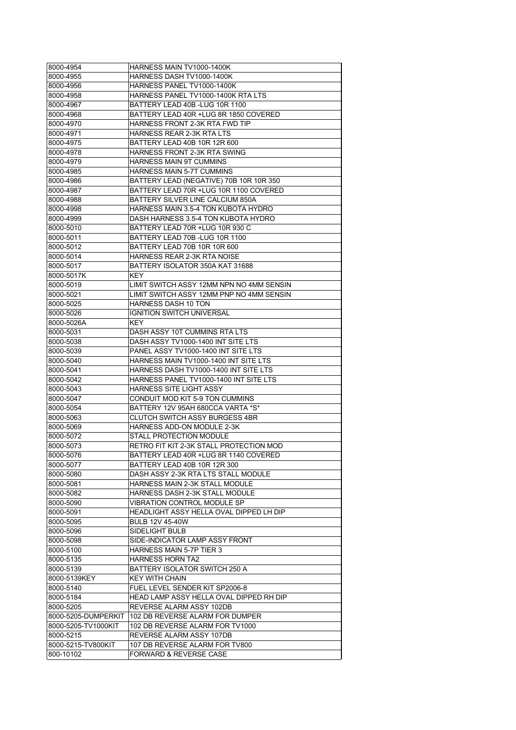| 8000-4954                 | HARNESS MAIN TV1000-1400K                        |
|---------------------------|--------------------------------------------------|
| 8000-4955                 | HARNESS DASH TV1000-1400K                        |
| 8000-4956                 | HARNESS PANEL TV1000-1400K                       |
| 8000-4958                 | HARNESS PANEL TV1000-1400K RTA LTS               |
| 8000-4967                 | BATTERY LEAD 40B -LUG 10R 1100                   |
| 8000-4968                 | BATTERY LEAD 40R +LUG 8R 1850 COVERED            |
| 8000-4970                 | <b>HARNESS FRONT 2-3K RTA FWD TIP</b>            |
| 8000-4971                 | <b>HARNESS REAR 2-3K RTA LTS</b>                 |
| 8000-4975                 | BATTERY LEAD 40B 10R 12R 600                     |
| 8000-4978                 | <b>HARNESS FRONT 2-3K RTA SWING</b>              |
| 8000-4979                 | <b>HARNESS MAIN 9T CUMMINS</b>                   |
| 8000-4985                 | HARNESS MAIN 5-7T CUMMINS                        |
| 8000-4986                 | BATTERY LEAD (NEGATIVE) 70B 10R 10R 350          |
| 8000-4987                 | BATTERY LEAD 70R +LUG 10R 1100 COVERED           |
| 8000-4988                 | BATTERY SILVER LINE CALCIUM 850A                 |
| 8000-4998                 | HARNESS MAIN 3.5-4 TON KUBOTA HYDRO              |
| 8000-4999                 | DASH HARNESS 3.5-4 TON KUBOTA HYDRO              |
| 8000-5010                 | BATTERY LEAD 70R +LUG 10R 930 C                  |
| 8000-5011                 | BATTERY LEAD 70B -LUG 10R 1100                   |
| 8000-5012                 | BATTERY LEAD 70B 10R 10R 600                     |
| 8000-5014                 | <b>HARNESS REAR 2-3K RTA NOISE</b>               |
| 8000-5017                 | BATTERY ISOLATOR 350A KAT 31688                  |
| 8000-5017K                | KEY.                                             |
| 8000-5019                 | LIMIT SWITCH ASSY 12MM NPN NO 4MM SENSIN         |
| 8000-5021                 | LIMIT SWITCH ASSY 12MM PNP NO 4MM SENSIN         |
| 8000-5025                 | HARNESS DASH 10 TON                              |
| 8000-5026                 | <b>IGNITION SWITCH UNIVERSAL</b>                 |
| 8000-5026A                | KEY.                                             |
| 8000-5031                 | DASH ASSY 10T CUMMINS RTA LTS                    |
| 8000-5038                 | DASH ASSY TV1000-1400 INT SITE LTS               |
| 8000-5039                 | PANEL ASSY TV1000-1400 INT SITE LTS              |
| 8000-5040                 | HARNESS MAIN TV1000-1400 INT SITE LTS            |
| 8000-5041                 | HARNESS DASH TV1000-1400 INT SITE LTS            |
| 8000-5042                 | HARNESS PANEL TV1000-1400 INT SITE LTS           |
| 8000-5043                 | <b>HARNESS SITE LIGHT ASSY</b>                   |
| 8000-5047                 | CONDUIT MOD KIT 5-9 TON CUMMINS                  |
| 8000-5054                 | BATTERY 12V 95AH 680CCA VARTA *S*                |
| 8000-5063                 | CLUTCH SWITCH ASSY BURGESS 4BR                   |
| 8000-5069                 | <b>HARNESS ADD-ON MODULE 2-3K</b>                |
| 8000-5072                 | STALL PROTECTION MODULE                          |
| 8000-5073                 | RETRO FIT KIT 2-3K STALL PROTECTION MOD          |
| 8000-5076                 | BATTERY LEAD 40R +LUG 8R 1140 COVERED            |
| 8000-5077                 | BATTERY LEAD 40B 10R 12R 300                     |
| 8000-5080                 | DASH ASSY 2-3K RTA LTS STALL MODULE              |
| 8000-5081                 | HARNESS MAIN 2-3K STALL MODULE                   |
| 8000-5082                 | HARNESS DASH 2-3K STALL MODULE                   |
| 8000-5090                 | <b>VIBRATION CONTROL MODULE SP</b>               |
| 8000-5091                 | HEADLIGHT ASSY HELLA OVAL DIPPED LH DIP          |
| 8000-5095                 | <b>BULB 12V 45-40W</b>                           |
| 8000-5096                 | SIDELIGHT BULB                                   |
| 8000-5098                 | SIDE-INDICATOR LAMP ASSY FRONT                   |
| 8000-5100                 | <b>HARNESS MAIN 5-7P TIER 3</b>                  |
| 8000-5135                 | <b>HARNESS HORN TA2</b>                          |
|                           |                                                  |
| 8000-5139<br>8000-5139KEY | BATTERY ISOLATOR SWITCH 250 A                    |
| 8000-5140                 | KEY WITH CHAIN<br>FUEL LEVEL SENDER KIT SP2006-8 |
|                           |                                                  |
| 8000-5184                 | HEAD LAMP ASSY HELLA OVAL DIPPED RH DIP          |
| 8000-5205                 | REVERSE ALARM ASSY 102DB                         |
| 8000-5205-DUMPERKIT       | 102 DB REVERSE ALARM FOR DUMPER                  |
| 8000-5205-TV1000KIT       | 102 DB REVERSE ALARM FOR TV1000                  |
| 8000-5215                 | REVERSE ALARM ASSY 107DB                         |
| 8000-5215-TV800KIT        | 107 DB REVERSE ALARM FOR TV800                   |
| 800-10102                 | FORWARD & REVERSE CASE                           |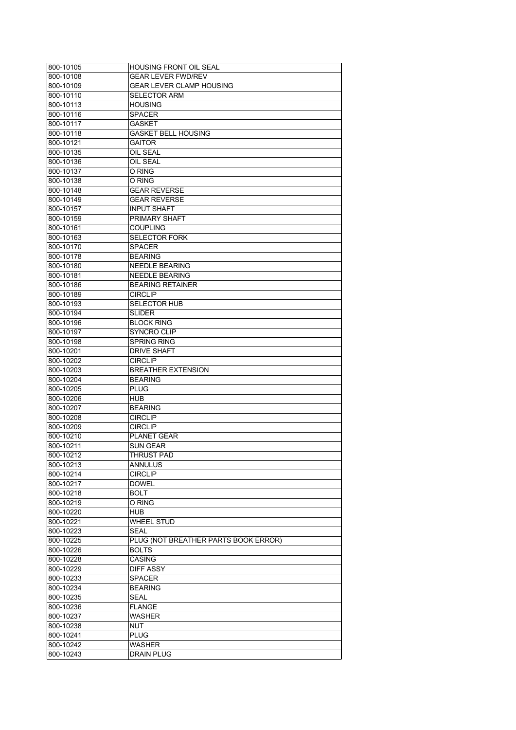| 800-10105              | <b>HOUSING FRONT OIL SEAL</b>        |
|------------------------|--------------------------------------|
| 800-10108              | <b>GEAR LEVER FWD/REV</b>            |
| 800-10109              | <b>GEAR LEVER CLAMP HOUSING</b>      |
| 800-10110              | <b>SELECTOR ARM</b>                  |
| 800-10113              | <b>HOUSING</b>                       |
| 800-10116              | <b>SPACER</b>                        |
| 800-10117              | GASKET                               |
| 800-10118              | <b>GASKET BELL HOUSING</b>           |
| 800-10121              | <b>GAITOR</b>                        |
| 800-10135              | OIL SEAL                             |
| 800-10136              | OIL SEAL                             |
| 800-10137              | O RING                               |
| 800-10138              | O RING                               |
| 800-10148              | <b>GEAR REVERSE</b>                  |
| 800-10149              | <b>GEAR REVERSE</b>                  |
| 800-10157              | <b>INPUT SHAFT</b>                   |
| 800-10159              | <b>PRIMARY SHAFT</b>                 |
| 800-10161              | <b>COUPLING</b>                      |
| 800-10163              | <b>SELECTOR FORK</b>                 |
| 800-10170              | <b>SPACER</b>                        |
|                        | <b>BEARING</b>                       |
| 800-10178              |                                      |
| 800-10180              | <b>NEEDLE BEARING</b>                |
| 800-10181              | <b>NEEDLE BEARING</b>                |
| 800-10186              | <b>BEARING RETAINER</b>              |
| 800-10189              | <b>CIRCLIP</b>                       |
| 800-10193              | <b>SELECTOR HUB</b>                  |
| 800-10194              | <b>SLIDER</b>                        |
| 800-10196              | <b>BLOCK RING</b>                    |
| 800-10197              | SYNCRO CLIP                          |
| 800-10198              | SPRING RING                          |
| 800-10201              | <b>DRIVE SHAFT</b>                   |
|                        |                                      |
| 800-10202              | <b>CIRCLIP</b>                       |
| 800-10203              | <b>BREATHER EXTENSION</b>            |
| 800-10204              | <b>BEARING</b>                       |
| 800-10205              | <b>PLUG</b>                          |
| 800-10206              | <b>HUB</b>                           |
| 800-10207              | <b>BEARING</b>                       |
| 800-10208              | <b>CIRCLIP</b>                       |
| 800-10209              | <b>CIRCLIP</b>                       |
| 800-10210              | <b>PLANET GEAR</b>                   |
| 800-10211              | SUN GEAR                             |
| 800-10212              | THRUST PAD                           |
| 800-10213              | ANNULUS                              |
| 800-10214              | <b>CIRCLIP</b>                       |
| 800-10217              | <b>DOWEL</b>                         |
| 800-10218              | <b>BOLT</b>                          |
| 800-10219              | O RING                               |
|                        |                                      |
| 800-10220              | HUB                                  |
| 800-10221              | <b>WHEEL STUD</b>                    |
| 800-10223              | SEAL                                 |
| 800-10225              | PLUG (NOT BREATHER PARTS BOOK ERROR) |
| 800-10226              | <b>BOLTS</b><br><b>CASING</b>        |
| 800-10228              |                                      |
| 800-10229              | <b>DIFF ASSY</b>                     |
| 800-10233              | SPACER                               |
| 800-10234              | <b>BEARING</b>                       |
| 800-10235              | SEAL                                 |
| 800-10236              | <b>FLANGE</b>                        |
| 800-10237              | WASHER                               |
| 800-10238              | NUT                                  |
| 800-10241              | <b>PLUG</b>                          |
| 800-10242<br>800-10243 | WASHER<br>DRAIN PLUG                 |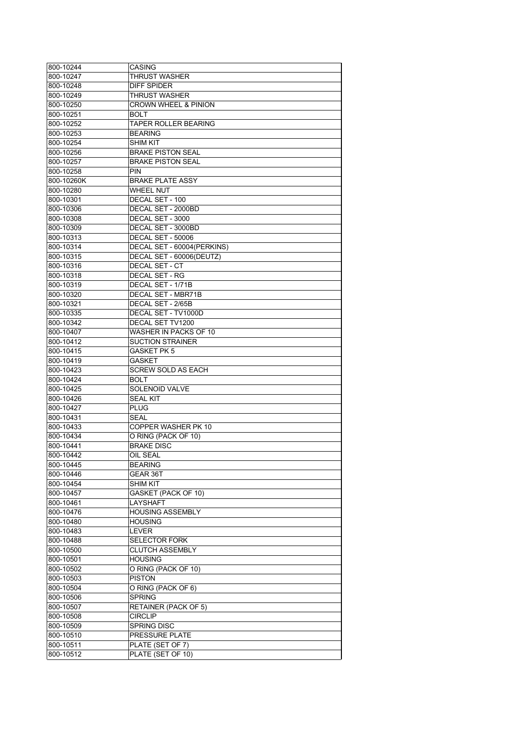| 800-10247<br>THRUST WASHER<br><b>DIFF SPIDER</b><br>800-10248<br>THRUST WASHER<br>800-10249<br>800-10250<br><b>CROWN WHEEL &amp; PINION</b><br>800-10251<br><b>BOLT</b><br>800-10252<br>TAPER ROLLER BEARING<br>800-10253<br><b>BEARING</b><br><b>SHIM KIT</b><br>800-10254<br>800-10256<br><b>BRAKE PISTON SEAL</b><br><b>BRAKE PISTON SEAL</b><br>800-10257<br><b>PIN</b><br>800-10258<br><b>BRAKE PLATE ASSY</b><br>800-10260K<br><b>WHEEL NUT</b><br>800-10280<br>DECAL SET - 100<br>800-10301<br>DECAL SET - 2000BD<br>800-10306<br>DECAL SET - 3000<br>800-10308<br>DECAL SET - 3000BD<br>800-10309<br>DECAL SET - 50006<br>800-10313<br>DECAL SET - 60004(PERKINS)<br>800-10314<br>DECAL SET - 60006(DEUTZ)<br>800-10315<br>DECAL SET - CT<br>800-10316<br><b>DECAL SET - RG</b><br>800-10318<br>DECAL SET - 1/71B<br>800-10319<br>DECAL SET - MBR71B<br>800-10320<br>DECAL SET - 2/65B<br>800-10321<br>800-10335<br>DECAL SET - TV1000D<br>800-10342<br>DECAL SET TV1200<br>WASHER IN PACKS OF 10<br>800-10407<br><b>SUCTION STRAINER</b><br>800-10412<br>800-10415<br><b>GASKET PK 5</b><br>800-10419<br><b>GASKET</b><br>800-10423<br><b>SCREW SOLD AS EACH</b><br>800-10424<br><b>BOLT</b><br>800-10425<br><b>SOLENOID VALVE</b><br><b>SEAL KIT</b><br>800-10426<br>800-10427<br><b>PLUG</b><br>800-10431<br><b>SEAL</b><br>800-10433<br>COPPER WASHER PK 10<br>O RING (PACK OF 10)<br>800-10434<br><b>BRAKE DISC</b><br>800-10441<br>800-10442<br>OIL SEAL<br>800-10445<br><b>BEARING</b><br>800-10446<br>GEAR 36T<br>800-10454<br><b>SHIM KIT</b><br>800-10457<br>GASKET (PACK OF 10)<br>800-10461<br>LAYSHAFT<br>800-10476<br><b>HOUSING ASSEMBLY</b><br>800-10480<br><b>HOUSING</b><br><b>LEVER</b><br>800-10483<br><b>SELECTOR FORK</b><br>800-10488<br>800-10500<br><b>CLUTCH ASSEMBLY</b><br>800-10501<br><b>HOUSING</b><br>800-10502<br>O RING (PACK OF 10)<br>800-10503<br><b>PISTON</b><br>O RING (PACK OF 6)<br>800-10504<br><b>SPRING</b><br>800-10506<br>800-10507<br><b>RETAINER (PACK OF 5)</b><br><b>CIRCLIP</b><br>800-10508<br>800-10509<br><b>SPRING DISC</b><br>PRESSURE PLATE<br>800-10510<br>PLATE (SET OF 7)<br>800-10511 | 800-10244 | CASING            |
|-------------------------------------------------------------------------------------------------------------------------------------------------------------------------------------------------------------------------------------------------------------------------------------------------------------------------------------------------------------------------------------------------------------------------------------------------------------------------------------------------------------------------------------------------------------------------------------------------------------------------------------------------------------------------------------------------------------------------------------------------------------------------------------------------------------------------------------------------------------------------------------------------------------------------------------------------------------------------------------------------------------------------------------------------------------------------------------------------------------------------------------------------------------------------------------------------------------------------------------------------------------------------------------------------------------------------------------------------------------------------------------------------------------------------------------------------------------------------------------------------------------------------------------------------------------------------------------------------------------------------------------------------------------------------------------------------------------------------------------------------------------------------------------------------------------------------------------------------------------------------------------------------------------------------------------------------------------------------------------------------------------------------------------------------------------------------------------------------------------------------------------------------------------|-----------|-------------------|
|                                                                                                                                                                                                                                                                                                                                                                                                                                                                                                                                                                                                                                                                                                                                                                                                                                                                                                                                                                                                                                                                                                                                                                                                                                                                                                                                                                                                                                                                                                                                                                                                                                                                                                                                                                                                                                                                                                                                                                                                                                                                                                                                                             |           |                   |
|                                                                                                                                                                                                                                                                                                                                                                                                                                                                                                                                                                                                                                                                                                                                                                                                                                                                                                                                                                                                                                                                                                                                                                                                                                                                                                                                                                                                                                                                                                                                                                                                                                                                                                                                                                                                                                                                                                                                                                                                                                                                                                                                                             |           |                   |
|                                                                                                                                                                                                                                                                                                                                                                                                                                                                                                                                                                                                                                                                                                                                                                                                                                                                                                                                                                                                                                                                                                                                                                                                                                                                                                                                                                                                                                                                                                                                                                                                                                                                                                                                                                                                                                                                                                                                                                                                                                                                                                                                                             |           |                   |
|                                                                                                                                                                                                                                                                                                                                                                                                                                                                                                                                                                                                                                                                                                                                                                                                                                                                                                                                                                                                                                                                                                                                                                                                                                                                                                                                                                                                                                                                                                                                                                                                                                                                                                                                                                                                                                                                                                                                                                                                                                                                                                                                                             |           |                   |
|                                                                                                                                                                                                                                                                                                                                                                                                                                                                                                                                                                                                                                                                                                                                                                                                                                                                                                                                                                                                                                                                                                                                                                                                                                                                                                                                                                                                                                                                                                                                                                                                                                                                                                                                                                                                                                                                                                                                                                                                                                                                                                                                                             |           |                   |
|                                                                                                                                                                                                                                                                                                                                                                                                                                                                                                                                                                                                                                                                                                                                                                                                                                                                                                                                                                                                                                                                                                                                                                                                                                                                                                                                                                                                                                                                                                                                                                                                                                                                                                                                                                                                                                                                                                                                                                                                                                                                                                                                                             |           |                   |
|                                                                                                                                                                                                                                                                                                                                                                                                                                                                                                                                                                                                                                                                                                                                                                                                                                                                                                                                                                                                                                                                                                                                                                                                                                                                                                                                                                                                                                                                                                                                                                                                                                                                                                                                                                                                                                                                                                                                                                                                                                                                                                                                                             |           |                   |
|                                                                                                                                                                                                                                                                                                                                                                                                                                                                                                                                                                                                                                                                                                                                                                                                                                                                                                                                                                                                                                                                                                                                                                                                                                                                                                                                                                                                                                                                                                                                                                                                                                                                                                                                                                                                                                                                                                                                                                                                                                                                                                                                                             |           |                   |
|                                                                                                                                                                                                                                                                                                                                                                                                                                                                                                                                                                                                                                                                                                                                                                                                                                                                                                                                                                                                                                                                                                                                                                                                                                                                                                                                                                                                                                                                                                                                                                                                                                                                                                                                                                                                                                                                                                                                                                                                                                                                                                                                                             |           |                   |
|                                                                                                                                                                                                                                                                                                                                                                                                                                                                                                                                                                                                                                                                                                                                                                                                                                                                                                                                                                                                                                                                                                                                                                                                                                                                                                                                                                                                                                                                                                                                                                                                                                                                                                                                                                                                                                                                                                                                                                                                                                                                                                                                                             |           |                   |
|                                                                                                                                                                                                                                                                                                                                                                                                                                                                                                                                                                                                                                                                                                                                                                                                                                                                                                                                                                                                                                                                                                                                                                                                                                                                                                                                                                                                                                                                                                                                                                                                                                                                                                                                                                                                                                                                                                                                                                                                                                                                                                                                                             |           |                   |
|                                                                                                                                                                                                                                                                                                                                                                                                                                                                                                                                                                                                                                                                                                                                                                                                                                                                                                                                                                                                                                                                                                                                                                                                                                                                                                                                                                                                                                                                                                                                                                                                                                                                                                                                                                                                                                                                                                                                                                                                                                                                                                                                                             |           |                   |
|                                                                                                                                                                                                                                                                                                                                                                                                                                                                                                                                                                                                                                                                                                                                                                                                                                                                                                                                                                                                                                                                                                                                                                                                                                                                                                                                                                                                                                                                                                                                                                                                                                                                                                                                                                                                                                                                                                                                                                                                                                                                                                                                                             |           |                   |
|                                                                                                                                                                                                                                                                                                                                                                                                                                                                                                                                                                                                                                                                                                                                                                                                                                                                                                                                                                                                                                                                                                                                                                                                                                                                                                                                                                                                                                                                                                                                                                                                                                                                                                                                                                                                                                                                                                                                                                                                                                                                                                                                                             |           |                   |
|                                                                                                                                                                                                                                                                                                                                                                                                                                                                                                                                                                                                                                                                                                                                                                                                                                                                                                                                                                                                                                                                                                                                                                                                                                                                                                                                                                                                                                                                                                                                                                                                                                                                                                                                                                                                                                                                                                                                                                                                                                                                                                                                                             |           |                   |
|                                                                                                                                                                                                                                                                                                                                                                                                                                                                                                                                                                                                                                                                                                                                                                                                                                                                                                                                                                                                                                                                                                                                                                                                                                                                                                                                                                                                                                                                                                                                                                                                                                                                                                                                                                                                                                                                                                                                                                                                                                                                                                                                                             |           |                   |
|                                                                                                                                                                                                                                                                                                                                                                                                                                                                                                                                                                                                                                                                                                                                                                                                                                                                                                                                                                                                                                                                                                                                                                                                                                                                                                                                                                                                                                                                                                                                                                                                                                                                                                                                                                                                                                                                                                                                                                                                                                                                                                                                                             |           |                   |
|                                                                                                                                                                                                                                                                                                                                                                                                                                                                                                                                                                                                                                                                                                                                                                                                                                                                                                                                                                                                                                                                                                                                                                                                                                                                                                                                                                                                                                                                                                                                                                                                                                                                                                                                                                                                                                                                                                                                                                                                                                                                                                                                                             |           |                   |
|                                                                                                                                                                                                                                                                                                                                                                                                                                                                                                                                                                                                                                                                                                                                                                                                                                                                                                                                                                                                                                                                                                                                                                                                                                                                                                                                                                                                                                                                                                                                                                                                                                                                                                                                                                                                                                                                                                                                                                                                                                                                                                                                                             |           |                   |
|                                                                                                                                                                                                                                                                                                                                                                                                                                                                                                                                                                                                                                                                                                                                                                                                                                                                                                                                                                                                                                                                                                                                                                                                                                                                                                                                                                                                                                                                                                                                                                                                                                                                                                                                                                                                                                                                                                                                                                                                                                                                                                                                                             |           |                   |
|                                                                                                                                                                                                                                                                                                                                                                                                                                                                                                                                                                                                                                                                                                                                                                                                                                                                                                                                                                                                                                                                                                                                                                                                                                                                                                                                                                                                                                                                                                                                                                                                                                                                                                                                                                                                                                                                                                                                                                                                                                                                                                                                                             |           |                   |
|                                                                                                                                                                                                                                                                                                                                                                                                                                                                                                                                                                                                                                                                                                                                                                                                                                                                                                                                                                                                                                                                                                                                                                                                                                                                                                                                                                                                                                                                                                                                                                                                                                                                                                                                                                                                                                                                                                                                                                                                                                                                                                                                                             |           |                   |
|                                                                                                                                                                                                                                                                                                                                                                                                                                                                                                                                                                                                                                                                                                                                                                                                                                                                                                                                                                                                                                                                                                                                                                                                                                                                                                                                                                                                                                                                                                                                                                                                                                                                                                                                                                                                                                                                                                                                                                                                                                                                                                                                                             |           |                   |
|                                                                                                                                                                                                                                                                                                                                                                                                                                                                                                                                                                                                                                                                                                                                                                                                                                                                                                                                                                                                                                                                                                                                                                                                                                                                                                                                                                                                                                                                                                                                                                                                                                                                                                                                                                                                                                                                                                                                                                                                                                                                                                                                                             |           |                   |
|                                                                                                                                                                                                                                                                                                                                                                                                                                                                                                                                                                                                                                                                                                                                                                                                                                                                                                                                                                                                                                                                                                                                                                                                                                                                                                                                                                                                                                                                                                                                                                                                                                                                                                                                                                                                                                                                                                                                                                                                                                                                                                                                                             |           |                   |
|                                                                                                                                                                                                                                                                                                                                                                                                                                                                                                                                                                                                                                                                                                                                                                                                                                                                                                                                                                                                                                                                                                                                                                                                                                                                                                                                                                                                                                                                                                                                                                                                                                                                                                                                                                                                                                                                                                                                                                                                                                                                                                                                                             |           |                   |
|                                                                                                                                                                                                                                                                                                                                                                                                                                                                                                                                                                                                                                                                                                                                                                                                                                                                                                                                                                                                                                                                                                                                                                                                                                                                                                                                                                                                                                                                                                                                                                                                                                                                                                                                                                                                                                                                                                                                                                                                                                                                                                                                                             |           |                   |
|                                                                                                                                                                                                                                                                                                                                                                                                                                                                                                                                                                                                                                                                                                                                                                                                                                                                                                                                                                                                                                                                                                                                                                                                                                                                                                                                                                                                                                                                                                                                                                                                                                                                                                                                                                                                                                                                                                                                                                                                                                                                                                                                                             |           |                   |
|                                                                                                                                                                                                                                                                                                                                                                                                                                                                                                                                                                                                                                                                                                                                                                                                                                                                                                                                                                                                                                                                                                                                                                                                                                                                                                                                                                                                                                                                                                                                                                                                                                                                                                                                                                                                                                                                                                                                                                                                                                                                                                                                                             |           |                   |
|                                                                                                                                                                                                                                                                                                                                                                                                                                                                                                                                                                                                                                                                                                                                                                                                                                                                                                                                                                                                                                                                                                                                                                                                                                                                                                                                                                                                                                                                                                                                                                                                                                                                                                                                                                                                                                                                                                                                                                                                                                                                                                                                                             |           |                   |
|                                                                                                                                                                                                                                                                                                                                                                                                                                                                                                                                                                                                                                                                                                                                                                                                                                                                                                                                                                                                                                                                                                                                                                                                                                                                                                                                                                                                                                                                                                                                                                                                                                                                                                                                                                                                                                                                                                                                                                                                                                                                                                                                                             |           |                   |
|                                                                                                                                                                                                                                                                                                                                                                                                                                                                                                                                                                                                                                                                                                                                                                                                                                                                                                                                                                                                                                                                                                                                                                                                                                                                                                                                                                                                                                                                                                                                                                                                                                                                                                                                                                                                                                                                                                                                                                                                                                                                                                                                                             |           |                   |
|                                                                                                                                                                                                                                                                                                                                                                                                                                                                                                                                                                                                                                                                                                                                                                                                                                                                                                                                                                                                                                                                                                                                                                                                                                                                                                                                                                                                                                                                                                                                                                                                                                                                                                                                                                                                                                                                                                                                                                                                                                                                                                                                                             |           |                   |
|                                                                                                                                                                                                                                                                                                                                                                                                                                                                                                                                                                                                                                                                                                                                                                                                                                                                                                                                                                                                                                                                                                                                                                                                                                                                                                                                                                                                                                                                                                                                                                                                                                                                                                                                                                                                                                                                                                                                                                                                                                                                                                                                                             |           |                   |
|                                                                                                                                                                                                                                                                                                                                                                                                                                                                                                                                                                                                                                                                                                                                                                                                                                                                                                                                                                                                                                                                                                                                                                                                                                                                                                                                                                                                                                                                                                                                                                                                                                                                                                                                                                                                                                                                                                                                                                                                                                                                                                                                                             |           |                   |
|                                                                                                                                                                                                                                                                                                                                                                                                                                                                                                                                                                                                                                                                                                                                                                                                                                                                                                                                                                                                                                                                                                                                                                                                                                                                                                                                                                                                                                                                                                                                                                                                                                                                                                                                                                                                                                                                                                                                                                                                                                                                                                                                                             |           |                   |
|                                                                                                                                                                                                                                                                                                                                                                                                                                                                                                                                                                                                                                                                                                                                                                                                                                                                                                                                                                                                                                                                                                                                                                                                                                                                                                                                                                                                                                                                                                                                                                                                                                                                                                                                                                                                                                                                                                                                                                                                                                                                                                                                                             |           |                   |
|                                                                                                                                                                                                                                                                                                                                                                                                                                                                                                                                                                                                                                                                                                                                                                                                                                                                                                                                                                                                                                                                                                                                                                                                                                                                                                                                                                                                                                                                                                                                                                                                                                                                                                                                                                                                                                                                                                                                                                                                                                                                                                                                                             |           |                   |
|                                                                                                                                                                                                                                                                                                                                                                                                                                                                                                                                                                                                                                                                                                                                                                                                                                                                                                                                                                                                                                                                                                                                                                                                                                                                                                                                                                                                                                                                                                                                                                                                                                                                                                                                                                                                                                                                                                                                                                                                                                                                                                                                                             |           |                   |
|                                                                                                                                                                                                                                                                                                                                                                                                                                                                                                                                                                                                                                                                                                                                                                                                                                                                                                                                                                                                                                                                                                                                                                                                                                                                                                                                                                                                                                                                                                                                                                                                                                                                                                                                                                                                                                                                                                                                                                                                                                                                                                                                                             |           |                   |
|                                                                                                                                                                                                                                                                                                                                                                                                                                                                                                                                                                                                                                                                                                                                                                                                                                                                                                                                                                                                                                                                                                                                                                                                                                                                                                                                                                                                                                                                                                                                                                                                                                                                                                                                                                                                                                                                                                                                                                                                                                                                                                                                                             |           |                   |
|                                                                                                                                                                                                                                                                                                                                                                                                                                                                                                                                                                                                                                                                                                                                                                                                                                                                                                                                                                                                                                                                                                                                                                                                                                                                                                                                                                                                                                                                                                                                                                                                                                                                                                                                                                                                                                                                                                                                                                                                                                                                                                                                                             |           |                   |
|                                                                                                                                                                                                                                                                                                                                                                                                                                                                                                                                                                                                                                                                                                                                                                                                                                                                                                                                                                                                                                                                                                                                                                                                                                                                                                                                                                                                                                                                                                                                                                                                                                                                                                                                                                                                                                                                                                                                                                                                                                                                                                                                                             |           |                   |
|                                                                                                                                                                                                                                                                                                                                                                                                                                                                                                                                                                                                                                                                                                                                                                                                                                                                                                                                                                                                                                                                                                                                                                                                                                                                                                                                                                                                                                                                                                                                                                                                                                                                                                                                                                                                                                                                                                                                                                                                                                                                                                                                                             |           |                   |
|                                                                                                                                                                                                                                                                                                                                                                                                                                                                                                                                                                                                                                                                                                                                                                                                                                                                                                                                                                                                                                                                                                                                                                                                                                                                                                                                                                                                                                                                                                                                                                                                                                                                                                                                                                                                                                                                                                                                                                                                                                                                                                                                                             |           |                   |
|                                                                                                                                                                                                                                                                                                                                                                                                                                                                                                                                                                                                                                                                                                                                                                                                                                                                                                                                                                                                                                                                                                                                                                                                                                                                                                                                                                                                                                                                                                                                                                                                                                                                                                                                                                                                                                                                                                                                                                                                                                                                                                                                                             |           |                   |
|                                                                                                                                                                                                                                                                                                                                                                                                                                                                                                                                                                                                                                                                                                                                                                                                                                                                                                                                                                                                                                                                                                                                                                                                                                                                                                                                                                                                                                                                                                                                                                                                                                                                                                                                                                                                                                                                                                                                                                                                                                                                                                                                                             |           |                   |
|                                                                                                                                                                                                                                                                                                                                                                                                                                                                                                                                                                                                                                                                                                                                                                                                                                                                                                                                                                                                                                                                                                                                                                                                                                                                                                                                                                                                                                                                                                                                                                                                                                                                                                                                                                                                                                                                                                                                                                                                                                                                                                                                                             |           |                   |
|                                                                                                                                                                                                                                                                                                                                                                                                                                                                                                                                                                                                                                                                                                                                                                                                                                                                                                                                                                                                                                                                                                                                                                                                                                                                                                                                                                                                                                                                                                                                                                                                                                                                                                                                                                                                                                                                                                                                                                                                                                                                                                                                                             |           |                   |
|                                                                                                                                                                                                                                                                                                                                                                                                                                                                                                                                                                                                                                                                                                                                                                                                                                                                                                                                                                                                                                                                                                                                                                                                                                                                                                                                                                                                                                                                                                                                                                                                                                                                                                                                                                                                                                                                                                                                                                                                                                                                                                                                                             |           |                   |
|                                                                                                                                                                                                                                                                                                                                                                                                                                                                                                                                                                                                                                                                                                                                                                                                                                                                                                                                                                                                                                                                                                                                                                                                                                                                                                                                                                                                                                                                                                                                                                                                                                                                                                                                                                                                                                                                                                                                                                                                                                                                                                                                                             |           |                   |
|                                                                                                                                                                                                                                                                                                                                                                                                                                                                                                                                                                                                                                                                                                                                                                                                                                                                                                                                                                                                                                                                                                                                                                                                                                                                                                                                                                                                                                                                                                                                                                                                                                                                                                                                                                                                                                                                                                                                                                                                                                                                                                                                                             |           |                   |
|                                                                                                                                                                                                                                                                                                                                                                                                                                                                                                                                                                                                                                                                                                                                                                                                                                                                                                                                                                                                                                                                                                                                                                                                                                                                                                                                                                                                                                                                                                                                                                                                                                                                                                                                                                                                                                                                                                                                                                                                                                                                                                                                                             |           |                   |
|                                                                                                                                                                                                                                                                                                                                                                                                                                                                                                                                                                                                                                                                                                                                                                                                                                                                                                                                                                                                                                                                                                                                                                                                                                                                                                                                                                                                                                                                                                                                                                                                                                                                                                                                                                                                                                                                                                                                                                                                                                                                                                                                                             |           |                   |
|                                                                                                                                                                                                                                                                                                                                                                                                                                                                                                                                                                                                                                                                                                                                                                                                                                                                                                                                                                                                                                                                                                                                                                                                                                                                                                                                                                                                                                                                                                                                                                                                                                                                                                                                                                                                                                                                                                                                                                                                                                                                                                                                                             |           |                   |
|                                                                                                                                                                                                                                                                                                                                                                                                                                                                                                                                                                                                                                                                                                                                                                                                                                                                                                                                                                                                                                                                                                                                                                                                                                                                                                                                                                                                                                                                                                                                                                                                                                                                                                                                                                                                                                                                                                                                                                                                                                                                                                                                                             |           |                   |
|                                                                                                                                                                                                                                                                                                                                                                                                                                                                                                                                                                                                                                                                                                                                                                                                                                                                                                                                                                                                                                                                                                                                                                                                                                                                                                                                                                                                                                                                                                                                                                                                                                                                                                                                                                                                                                                                                                                                                                                                                                                                                                                                                             |           |                   |
|                                                                                                                                                                                                                                                                                                                                                                                                                                                                                                                                                                                                                                                                                                                                                                                                                                                                                                                                                                                                                                                                                                                                                                                                                                                                                                                                                                                                                                                                                                                                                                                                                                                                                                                                                                                                                                                                                                                                                                                                                                                                                                                                                             |           |                   |
|                                                                                                                                                                                                                                                                                                                                                                                                                                                                                                                                                                                                                                                                                                                                                                                                                                                                                                                                                                                                                                                                                                                                                                                                                                                                                                                                                                                                                                                                                                                                                                                                                                                                                                                                                                                                                                                                                                                                                                                                                                                                                                                                                             |           |                   |
|                                                                                                                                                                                                                                                                                                                                                                                                                                                                                                                                                                                                                                                                                                                                                                                                                                                                                                                                                                                                                                                                                                                                                                                                                                                                                                                                                                                                                                                                                                                                                                                                                                                                                                                                                                                                                                                                                                                                                                                                                                                                                                                                                             |           |                   |
|                                                                                                                                                                                                                                                                                                                                                                                                                                                                                                                                                                                                                                                                                                                                                                                                                                                                                                                                                                                                                                                                                                                                                                                                                                                                                                                                                                                                                                                                                                                                                                                                                                                                                                                                                                                                                                                                                                                                                                                                                                                                                                                                                             |           |                   |
|                                                                                                                                                                                                                                                                                                                                                                                                                                                                                                                                                                                                                                                                                                                                                                                                                                                                                                                                                                                                                                                                                                                                                                                                                                                                                                                                                                                                                                                                                                                                                                                                                                                                                                                                                                                                                                                                                                                                                                                                                                                                                                                                                             |           |                   |
|                                                                                                                                                                                                                                                                                                                                                                                                                                                                                                                                                                                                                                                                                                                                                                                                                                                                                                                                                                                                                                                                                                                                                                                                                                                                                                                                                                                                                                                                                                                                                                                                                                                                                                                                                                                                                                                                                                                                                                                                                                                                                                                                                             | 800-10512 | PLATE (SET OF 10) |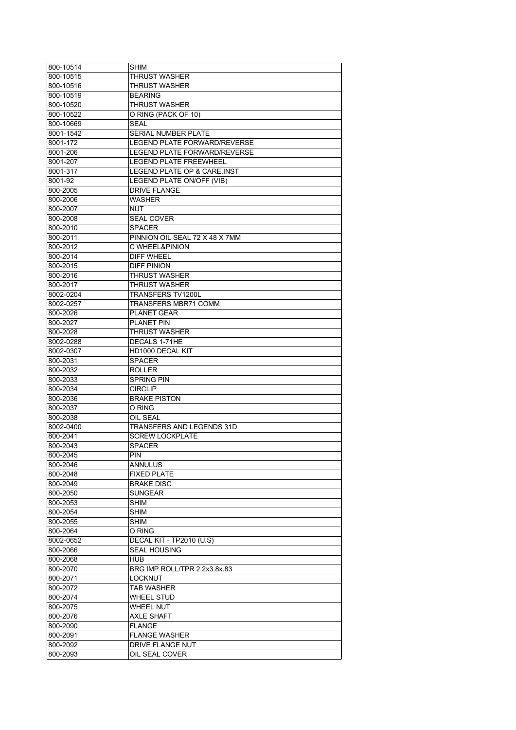| THRUST WASHER                       |
|-------------------------------------|
| THRUST WASHER                       |
| <b>BEARING</b>                      |
| THRUST WASHER                       |
| O RING (PACK OF 10)                 |
| SEAL                                |
| SERIAL NUMBER PLATE                 |
| <b>LEGEND PLATE FORWARD/REVERSE</b> |
| <b>LEGEND PLATE FORWARD/REVERSE</b> |
| <b>LEGEND PLATE FREEWHEEL</b>       |
| LEGEND PLATE OP & CARE.INST         |
| <b>LEGEND PLATE ON/OFF (VIB)</b>    |
| <b>DRIVE FLANGE</b>                 |
| <b>WASHER</b>                       |
| NUT                                 |
| <b>SEAL COVER</b>                   |
| <b>SPACER</b>                       |
| PINNION OIL SEAL 72 X 48 X 7MM      |
| C WHEEL&PINION                      |
| <b>DIFF WHEEL</b>                   |
| DIFF PINION                         |
| THRUST WASHER                       |
| <b>THRUST WASHER</b>                |
| TRANSFERS TV1200L                   |
| <b>TRANSFERS MBR71 COMM</b>         |
| <b>PLANET GEAR</b>                  |
| <b>PLANET PIN</b>                   |
|                                     |
| THRUST WASHER                       |
|                                     |
| DECALS 1-71HE                       |
| HD1000 DECAL KIT                    |
| SPACER                              |
| <b>ROLLER</b>                       |
| <b>SPRING PIN</b>                   |
| <b>CIRCLIP</b>                      |
| <b>BRAKE PISTON</b>                 |
| O RING                              |
| OIL SEAL                            |
| TRANSFERS AND LEGENDS 31D           |
| <b>SCREW LOCKPLATE</b>              |
| <b>SPACER</b>                       |
| PIN                                 |
| ANNULUS                             |
| <b>FIXED PLATE</b>                  |
| <b>BRAKE DISC</b>                   |
| <b>SUNGEAR</b>                      |
| SHIM                                |
| SHIM                                |
| SHIM                                |
| O RING                              |
| DECAL KIT - TP2010 (U.S)            |
| <b>SEAL HOUSING</b>                 |
| HUB                                 |
| BRG IMP ROLL/TPR 2.2x3.8x.83        |
| LOCKNUT                             |
| TAB WASHER                          |
| WHEEL STUD                          |
| WHEEL NUT                           |
| <b>AXLE SHAFT</b>                   |
| <b>FLANGE</b>                       |
| <b>FLANGE WASHER</b>                |
| DRIVE FLANGE NUT                    |
|                                     |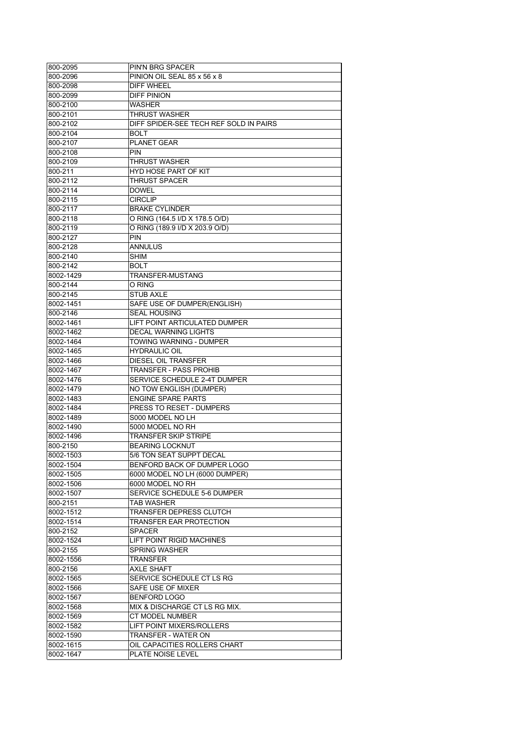| 800-2095               | PIN'N BRG SPACER                       |
|------------------------|----------------------------------------|
| 800-2096               | PINION OIL SEAL 85 x 56 x 8            |
| 800-2098               | <b>DIFF WHEEL</b>                      |
| 800-2099               | <b>DIFF PINION</b>                     |
| 800-2100               | WASHER                                 |
| 800-2101               | THRUST WASHER                          |
| 800-2102               | DIFF SPIDER-SEE TECH REF SOLD IN PAIRS |
| 800-2104               | BOLT                                   |
| 800-2107               | <b>PLANET GEAR</b>                     |
| 800-2108               | PIN                                    |
| 800-2109               | THRUST WASHER                          |
| 800-211                | HYD HOSE PART OF KIT                   |
| 800-2112               | <b>THRUST SPACER</b>                   |
| 800-2114               | <b>DOWEL</b>                           |
| 800-2115               | <b>CIRCLIP</b>                         |
| 800-2117               | <b>BRAKE CYLINDER</b>                  |
| 800-2118               | O RING (164.5 I/D X 178.5 O/D)         |
| 800-2119               | O RING (189.9 I/D X 203.9 O/D)         |
| 800-2127               | PIN                                    |
| 800-2128               | ANNULUS                                |
| 800-2140               | SHIM                                   |
| 800-2142               | BOLT                                   |
| 8002-1429              | TRANSFER-MUSTANG                       |
| 800-2144               | O RING                                 |
| 800-2145               | <b>STUB AXLE</b>                       |
| 8002-1451              | SAFE USE OF DUMPER(ENGLISH)            |
| 800-2146               | <b>SEAL HOUSING</b>                    |
| 8002-1461              | LIFT POINT ARTICULATED DUMPER          |
| 8002-1462              | DECAL WARNING LIGHTS                   |
| 8002-1464              | TOWING WARNING - DUMPER                |
| 8002-1465              | <b>HYDRAULIC OIL</b>                   |
| 8002-1466              | <b>DIESEL OIL TRANSFER</b>             |
| 8002-1467              | TRANSFER - PASS PROHIB                 |
| 8002-1476              | SERVICE SCHEDULE 2-4T DUMPER           |
| 8002-1479              | NO TOW ENGLISH (DUMPER)                |
| 8002-1483              | <b>ENGINE SPARE PARTS</b>              |
| 8002-1484              | PRESS TO RESET - DUMPERS               |
| 8002-1489              | S000 MODEL NO LH                       |
| 8002-1490              | 5000 MODEL NO RH                       |
| 8002-1496              | <b>TRANSFER SKIP STRIPE</b>            |
| 800-2150               | <b>BEARING LOCKNUT</b>                 |
|                        | 5/6 TON SEAT SUPPT DECAL               |
| 8002-1503<br>8002-1504 | BENFORD BACK OF DUMPER LOGO            |
|                        | 6000 MODEL NO LH (6000 DUMPER)         |
| 8002-1505<br>8002-1506 | 6000 MODEL NO RH                       |
| 8002-1507              |                                        |
|                        | SERVICE SCHEDULE 5-6 DUMPER            |
| 800-2151               | TAB WASHER                             |
| 8002-1512              | TRANSFER DEPRESS CLUTCH                |
| 8002-1514              | <b>TRANSFER EAR PROTECTION</b>         |
| 800-2152               | SPACER                                 |
| 8002-1524              | LIFT POINT RIGID MACHINES              |
| 800-2155               | <b>SPRING WASHER</b>                   |
| 8002-1556              | <b>TRANSFER</b>                        |
| 800-2156               | <b>AXLE SHAFT</b>                      |
| 8002-1565              | SERVICE SCHEDULE CT LS RG              |
| 8002-1566              | SAFE USE OF MIXER                      |
| 8002-1567              | <b>BENFORD LOGO</b>                    |
| 8002-1568              | MIX & DISCHARGE CT LS RG MIX.          |
| 8002-1569              | <b>CT MODEL NUMBER</b>                 |
| 8002-1582              | LIFT POINT MIXERS/ROLLERS              |
| 8002-1590              | TRANSFER - WATER ON                    |
| 8002-1615              | OIL CAPACITIES ROLLERS CHART           |
| 8002-1647              | PLATE NOISE LEVEL                      |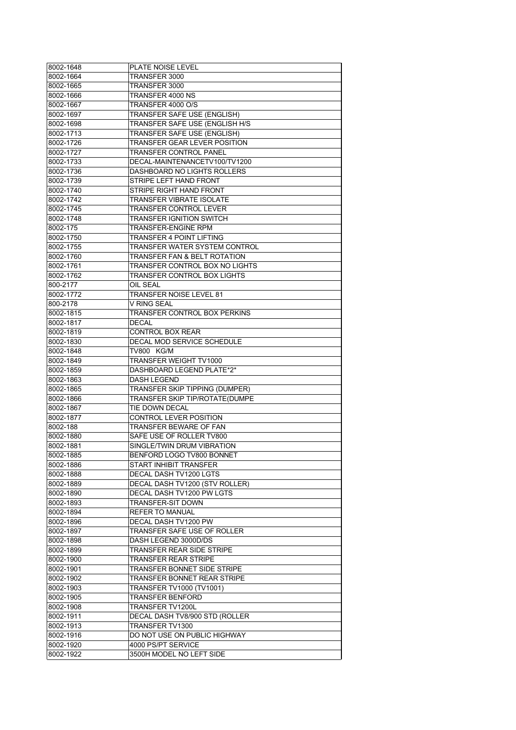| 8002-1648 | <b>PLATE NOISE LEVEL</b>              |
|-----------|---------------------------------------|
| 8002-1664 | TRANSFER 3000                         |
| 8002-1665 | TRANSFER 3000                         |
| 8002-1666 | TRANSFER 4000 NS                      |
| 8002-1667 | TRANSFER 4000 O/S                     |
| 8002-1697 | <b>TRANSFER SAFE USE (ENGLISH)</b>    |
| 8002-1698 | TRANSFER SAFE USE (ENGLISH H/S        |
| 8002-1713 | <b>TRANSFER SAFE USE (ENGLISH)</b>    |
| 8002-1726 | TRANSFER GEAR LEVER POSITION          |
| 8002-1727 | TRANSFER CONTROL PANEL                |
| 8002-1733 | DECAL-MAINTENANCETV100/TV1200         |
| 8002-1736 | DASHBOARD NO LIGHTS ROLLERS           |
| 8002-1739 | STRIPE LEFT HAND FRONT                |
| 8002-1740 | <b>STRIPE RIGHT HAND FRONT</b>        |
| 8002-1742 | TRANSFER VIBRATE ISOLATE              |
| 8002-1745 | TRANSFER CONTROL LEVER                |
| 8002-1748 | TRANSFER IGNITION SWITCH              |
| 8002-175  | TRANSFER-ENGINE RPM                   |
| 8002-1750 | <b>TRANSFER 4 POINT LIFTING</b>       |
| 8002-1755 | <b>TRANSFER WATER SYSTEM CONTROL</b>  |
| 8002-1760 | TRANSFER FAN & BELT ROTATION          |
| 8002-1761 | TRANSFER CONTROL BOX NO LIGHTS        |
| 8002-1762 | TRANSFER CONTROL BOX LIGHTS           |
| 800-2177  | <b>OIL SEAL</b>                       |
| 8002-1772 | <b>TRANSFER NOISE LEVEL 81</b>        |
| 800-2178  | V RING SEAL                           |
| 8002-1815 | TRANSFER CONTROL BOX PERKINS          |
| 8002-1817 | DECAL                                 |
| 8002-1819 | CONTROL BOX REAR                      |
| 8002-1830 | DECAL MOD SERVICE SCHEDULE            |
| 8002-1848 | TV800 KG/M                            |
| 8002-1849 | TRANSFER WEIGHT TV1000                |
| 8002-1859 | DASHBOARD LEGEND PLATE*2*             |
| 8002-1863 | DASH LEGEND                           |
| 8002-1865 | TRANSFER SKIP TIPPING (DUMPER)        |
| 8002-1866 | <b>TRANSFER SKIP TIP/ROTATE(DUMPE</b> |
| 8002-1867 | TIE DOWN DECAL                        |
| 8002-1877 | <b>CONTROL LEVER POSITION</b>         |
| 8002-188  | TRANSFER BEWARE OF FAN                |
| 8002-1880 | SAFE USE OF ROLLER TV800              |
| 8002-1881 | SINGLE/TWIN DRUM VIBRATION            |
| 8002-1885 | BENFORD LOGO TV800 BONNET             |
| 8002-1886 | START INHIBIT TRANSFER                |
| 8002-1888 | DECAL DASH TV1200 LGTS                |
| 8002-1889 | DECAL DASH TV1200 (STV ROLLER)        |
| 8002-1890 | DECAL DASH TV1200 PW LGTS             |
| 8002-1893 | <b>TRANSFER-SIT DOWN</b>              |
| 8002-1894 | REFER TO MANUAL                       |
| 8002-1896 | DECAL DASH TV1200 PW                  |
| 8002-1897 | TRANSFER SAFE USE OF ROLLER           |
| 8002-1898 | DASH LEGEND 3000D/DS                  |
| 8002-1899 | <b>TRANSFER REAR SIDE STRIPE</b>      |
| 8002-1900 | <b>TRANSFER REAR STRIPE</b>           |
| 8002-1901 | TRANSFER BONNET SIDE STRIPE           |
| 8002-1902 | TRANSFER BONNET REAR STRIPE           |
| 8002-1903 | TRANSFER TV1000 (TV1001)              |
| 8002-1905 | TRANSFER BENFORD                      |
| 8002-1908 | TRANSFER TV1200L                      |
| 8002-1911 | DECAL DASH TV8/900 STD (ROLLER        |
| 8002-1913 | TRANSFER TV1300                       |
| 8002-1916 | DO NOT USE ON PUBLIC HIGHWAY          |
| 8002-1920 | 4000 PS/PT SERVICE                    |
| 8002-1922 | 3500H MODEL NO LEFT SIDE              |
|           |                                       |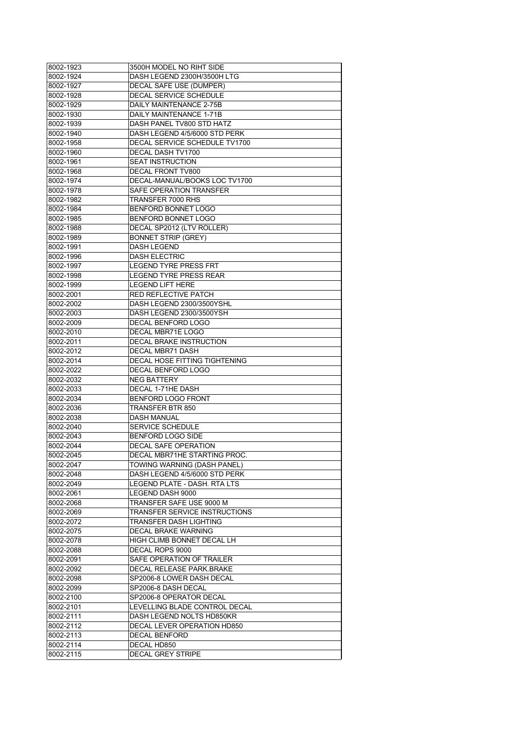| 8002-1923 | 3500H MODEL NO RIHT SIDE      |
|-----------|-------------------------------|
| 8002-1924 | DASH LEGEND 2300H/3500H LTG   |
| 8002-1927 | DECAL SAFE USE (DUMPER)       |
| 8002-1928 | DECAL SERVICE SCHEDULE        |
| 8002-1929 | DAILY MAINTENANCE 2-75B       |
| 8002-1930 | DAILY MAINTENANCE 1-71B       |
| 8002-1939 | DASH PANEL TV800 STD HATZ     |
| 8002-1940 | DASH LEGEND 4/5/6000 STD PERK |
| 8002-1958 | DECAL SERVICE SCHEDULE TV1700 |
| 8002-1960 | DECAL DASH TV1700             |
| 8002-1961 | <b>SEAT INSTRUCTION</b>       |
| 8002-1968 | DECAL FRONT TV800             |
| 8002-1974 | DECAL-MANUAL/BOOKS LOC TV1700 |
| 8002-1978 | SAFE OPERATION TRANSFER       |
| 8002-1982 | TRANSFER 7000 RHS             |
| 8002-1984 | BENFORD BONNET LOGO           |
| 8002-1985 | BENFORD BONNET LOGO           |
| 8002-1988 | DECAL SP2012 (LTV ROLLER)     |
| 8002-1989 | <b>BONNET STRIP (GREY)</b>    |
| 8002-1991 | DASH LEGEND                   |
| 8002-1996 | <b>DASH ELECTRIC</b>          |
| 8002-1997 | <b>LEGEND TYRE PRESS FRT</b>  |
| 8002-1998 | <b>LEGEND TYRE PRESS REAR</b> |
| 8002-1999 | <b>LEGEND LIFT HERE</b>       |
| 8002-2001 | <b>RED REFLECTIVE PATCH</b>   |
| 8002-2002 | DASH LEGEND 2300/3500YSHL     |
| 8002-2003 | DASH LEGEND 2300/3500YSH      |
| 8002-2009 | DECAL BENFORD LOGO            |
| 8002-2010 | DECAL MBR71E LOGO             |
| 8002-2011 | DECAL BRAKE INSTRUCTION       |
| 8002-2012 | DECAL MBR71 DASH              |
| 8002-2014 | DECAL HOSE FITTING TIGHTENING |
| 8002-2022 | DECAL BENFORD LOGO            |
| 8002-2032 | <b>NEG BATTERY</b>            |
| 8002-2033 | DECAL 1-71HE DASH             |
| 8002-2034 | BENFORD LOGO FRONT            |
| 8002-2036 | TRANSFER BTR 850              |
| 8002-2038 | DASH MANUAL                   |
| 8002-2040 | <b>SERVICE SCHEDULE</b>       |
| 8002-2043 | <b>BENFORD LOGO SIDE</b>      |
| 8002-2044 | DECAL SAFE OPERATION          |
| 8002-2045 | DECAL MBR71HE STARTING PROC.  |
| 8002-2047 | TOWING WARNING (DASH PANEL)   |
| 8002-2048 | DASH LEGEND 4/5/6000 STD PERK |
| 8002-2049 | LEGEND PLATE - DASH. RTA LTS  |
| 8002-2061 | LEGEND DASH 9000              |
| 8002-2068 | TRANSFER SAFE USE 9000 M      |
| 8002-2069 | TRANSFER SERVICE INSTRUCTIONS |
| 8002-2072 | TRANSFER DASH LIGHTING        |
| 8002-2075 | DECAL BRAKE WARNING           |
| 8002-2078 | HIGH CLIMB BONNET DECAL LH    |
| 8002-2088 | DECAL ROPS 9000               |
| 8002-2091 | SAFE OPERATION OF TRAILER     |
| 8002-2092 | DECAL RELEASE PARK.BRAKE      |
| 8002-2098 | SP2006-8 LOWER DASH DECAL     |
| 8002-2099 | SP2006-8 DASH DECAL           |
| 8002-2100 | SP2006-8 OPERATOR DECAL       |
| 8002-2101 | LEVELLING BLADE CONTROL DECAL |
| 8002-2111 | DASH LEGEND NOLTS HD850KR     |
| 8002-2112 | DECAL LEVER OPERATION HD850   |
| 8002-2113 | DECAL BENFORD                 |
| 8002-2114 | DECAL HD850                   |
|           |                               |
| 8002-2115 | <b>DECAL GREY STRIPE</b>      |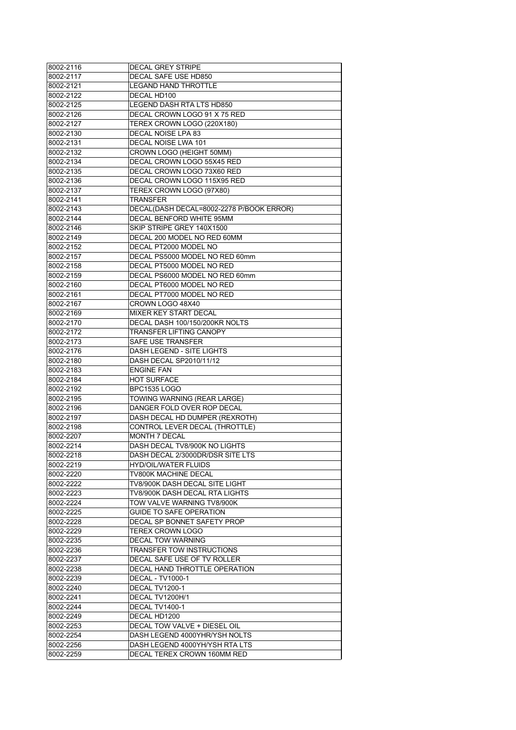| 8002-2116              | <b>DECAL GREY STRIPE</b>                            |
|------------------------|-----------------------------------------------------|
| 8002-2117              | DECAL SAFE USE HD850                                |
| 8002-2121              | <b>LEGAND HAND THROTTLE</b>                         |
| 8002-2122              | DECAL HD100                                         |
| 8002-2125              | LEGEND DASH RTA LTS HD850                           |
| 8002-2126              | DECAL CROWN LOGO 91 X 75 RED                        |
| 8002-2127              | TEREX CROWN LOGO (220X180)                          |
| 8002-2130              | DECAL NOISE LPA 83                                  |
| 8002-2131              | DECAL NOISE LWA 101                                 |
| 8002-2132              | CROWN LOGO (HEIGHT 50MM)                            |
| 8002-2134              | DECAL CROWN LOGO 55X45 RED                          |
| 8002-2135              | DECAL CROWN LOGO 73X60 RED                          |
| 8002-2136              | DECAL CROWN LOGO 115X95 RED                         |
| 8002-2137              | TEREX CROWN LOGO (97X80)                            |
| 8002-2141              | TRANSFER                                            |
| 8002-2143              | DECAL(DASH DECAL=8002-2278 P/BOOK ERROR)            |
| 8002-2144              | DECAL BENFORD WHITE 95MM                            |
| 8002-2146              | SKIP STRIPE GREY 140X1500                           |
| 8002-2149              | DECAL 200 MODEL NO RED 60MM                         |
| 8002-2152              | DECAL PT2000 MODEL NO                               |
| 8002-2157              | DECAL PS5000 MODEL NO RED 60mm                      |
| 8002-2158              | DECAL PT5000 MODEL NO RED                           |
| 8002-2159              | DECAL PS6000 MODEL NO RED 60mm                      |
| 8002-2160              | DECAL PT6000 MODEL NO RED                           |
| 8002-2161              | DECAL PT7000 MODEL NO RED                           |
| 8002-2167              | CROWN LOGO 48X40                                    |
| 8002-2169              | MIXER KEY START DECAL                               |
| 8002-2170              | DECAL DASH 100/150/200KR NOLTS                      |
| 8002-2172              | <b>TRANSFER LIFTING CANOPY</b>                      |
| 8002-2173              | SAFE USE TRANSFER                                   |
| 8002-2176              | DASH LEGEND - SITE LIGHTS                           |
| 8002-2180              | DASH DECAL SP2010/11/12                             |
| 8002-2183              | <b>ENGINE FAN</b>                                   |
| 8002-2184              | <b>HOT SURFACE</b>                                  |
| 8002-2192              | <b>BPC1535 LOGO</b>                                 |
| 8002-2195              | TOWING WARNING (REAR LARGE)                         |
| 8002-2196              | DANGER FOLD OVER ROP DECAL                          |
| 8002-2197              | DASH DECAL HD DUMPER (REXROTH)                      |
| 8002-2198              | CONTROL LEVER DECAL (THROTTLE)                      |
| 8002-2207              | <b>MONTH 7 DECAL</b>                                |
| 8002-2214              | DASH DECAL TV8/900K NO LIGHTS                       |
|                        | DASH DECAL 2/3000DR/DSR SITE LTS                    |
| 8002-2218              |                                                     |
| 8002-2219              | <b>HYD/OIL/WATER FLUIDS</b><br>TV800K MACHINE DECAL |
| 8002-2220<br>8002-2222 | TV8/900K DASH DECAL SITE LIGHT                      |
|                        |                                                     |
| 8002-2223              | TV8/900K DASH DECAL RTA LIGHTS                      |
| 8002-2224              | TOW VALVE WARNING TV8/900K                          |
| 8002-2225              | <b>GUIDE TO SAFE OPERATION</b>                      |
| 8002-2228              | DECAL SP BONNET SAFETY PROP                         |
| 8002-2229              | TEREX CROWN LOGO                                    |
| 8002-2235              | DECAL TOW WARNING                                   |
| 8002-2236              | TRANSFER TOW INSTRUCTIONS                           |
| 8002-2237              | DECAL SAFE USE OF TV ROLLER                         |
| 8002-2238              | DECAL HAND THROTTLE OPERATION                       |
| 8002-2239              | DECAL - TV1000-1                                    |
| 8002-2240              | DECAL TV1200-1                                      |
| 8002-2241              | DECAL TV1200H/1                                     |
| 8002-2244              | DECAL TV1400-1                                      |
| 8002-2249              | DECAL HD1200                                        |
| 8002-2253              | DECAL TOW VALVE + DIESEL OIL                        |
| 8002-2254              | DASH LEGEND 4000YHR/YSH NOLTS                       |
| 8002-2256              | DASH LEGEND 4000YH/YSH RTA LTS                      |
| 8002-2259              | DECAL TEREX CROWN 160MM RED                         |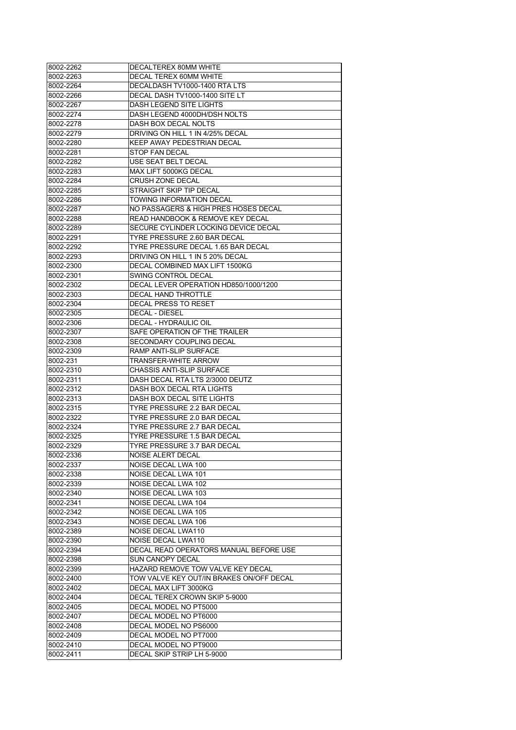| 8002-2262 | DECALTEREX 80MM WHITE                    |
|-----------|------------------------------------------|
| 8002-2263 | DECAL TEREX 60MM WHITE                   |
| 8002-2264 | DECALDASH TV1000-1400 RTA LTS            |
| 8002-2266 | DECAL DASH TV1000-1400 SITE LT           |
| 8002-2267 | DASH LEGEND SITE LIGHTS                  |
| 8002-2274 | DASH LEGEND 4000DH/DSH NOLTS             |
| 8002-2278 | DASH BOX DECAL NOLTS                     |
| 8002-2279 | DRIVING ON HILL 1 IN 4/25% DECAL         |
| 8002-2280 | KEEP AWAY PEDESTRIAN DECAL               |
| 8002-2281 | STOP FAN DECAL                           |
| 8002-2282 | USE SEAT BELT DECAL                      |
| 8002-2283 | MAX LIFT 5000KG DECAL                    |
| 8002-2284 | <b>CRUSH ZONE DECAL</b>                  |
| 8002-2285 | STRAIGHT SKIP TIP DECAL                  |
| 8002-2286 | TOWING INFORMATION DECAL                 |
| 8002-2287 | NO PASSAGERS & HIGH PRES HOSES DECAL     |
| 8002-2288 | READ HANDBOOK & REMOVE KEY DECAL         |
| 8002-2289 | SECURE CYLINDER LOCKING DEVICE DECAL     |
| 8002-2291 | TYRE PRESSURE 2.60 BAR DECAL             |
| 8002-2292 | TYRE PRESSURE DECAL 1.65 BAR DECAL       |
| 8002-2293 | DRIVING ON HILL 1 IN 5 20% DECAL         |
| 8002-2300 | DECAL COMBINED MAX LIFT 1500KG           |
| 8002-2301 | SWING CONTROL DECAL                      |
| 8002-2302 | DECAL LEVER OPERATION HD850/1000/1200    |
| 8002-2303 | DECAL HAND THROTTLE                      |
| 8002-2304 | <b>DECAL PRESS TO RESET</b>              |
| 8002-2305 | <b>DECAL - DIESEL</b>                    |
| 8002-2306 | DECAL - HYDRAULIC OIL                    |
|           |                                          |
| 8002-2307 | SAFE OPERATION OF THE TRAILER            |
| 8002-2308 | SECONDARY COUPLING DECAL                 |
| 8002-2309 | RAMP ANTI-SLIP SURFACE                   |
| 8002-231  | TRANSFER-WHITE ARROW                     |
| 8002-2310 | <b>CHASSIS ANTI-SLIP SURFACE</b>         |
| 8002-2311 | DASH DECAL RTA LTS 2/3000 DEUTZ          |
| 8002-2312 | DASH BOX DECAL RTA LIGHTS                |
| 8002-2313 | DASH BOX DECAL SITE LIGHTS               |
| 8002-2315 | TYRE PRESSURE 2.2 BAR DECAL              |
| 8002-2322 | TYRE PRESSURE 2.0 BAR DECAL              |
| 8002-2324 | TYRE PRESSURE 2.7 BAR DECAL              |
| 8002-2325 | TYRE PRESSURE 1.5 BAR DECAL              |
| 8002-2329 | TYRE PRESSURE 3.7 BAR DECAL              |
| 8002-2336 | NOISE ALERT DECAL                        |
| 8002-2337 | NOISE DECAL LWA 100                      |
| 8002-2338 | NOISE DECAL LWA 101                      |
| 8002-2339 | NOISE DECAL LWA 102                      |
| 8002-2340 | <b>NOISE DECAL LWA 103</b>               |
| 8002-2341 | <b>NOISE DECAL LWA 104</b>               |
| 8002-2342 | NOISE DECAL LWA 105                      |
| 8002-2343 | NOISE DECAL LWA 106                      |
| 8002-2389 | NOISE DECAL LWA110                       |
| 8002-2390 | NOISE DECAL LWA110                       |
| 8002-2394 | DECAL READ OPERATORS MANUAL BEFORE USE   |
| 8002-2398 | SUN CANOPY DECAL                         |
| 8002-2399 | HAZARD REMOVE TOW VALVE KEY DECAL        |
| 8002-2400 | TOW VALVE KEY OUT/IN BRAKES ON/OFF DECAL |
| 8002-2402 | DECAL MAX LIFT 3000KG                    |
| 8002-2404 | DECAL TEREX CROWN SKIP 5-9000            |
| 8002-2405 | DECAL MODEL NO PT5000                    |
| 8002-2407 | DECAL MODEL NO PT6000                    |
| 8002-2408 | DECAL MODEL NO PS6000                    |
| 8002-2409 | DECAL MODEL NO PT7000                    |
| 8002-2410 | DECAL MODEL NO PT9000                    |
| 8002-2411 | DECAL SKIP STRIP LH 5-9000               |
|           |                                          |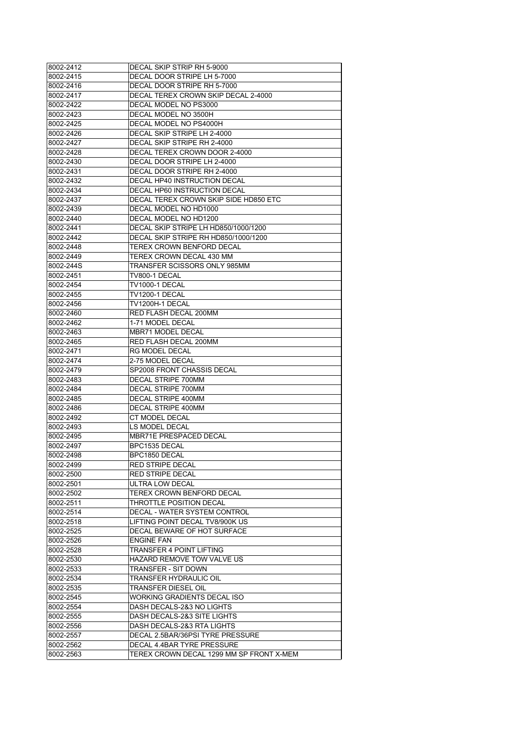| 8002-2412              | DECAL SKIP STRIP RH 5-9000                                             |
|------------------------|------------------------------------------------------------------------|
| 8002-2415              | DECAL DOOR STRIPE LH 5-7000                                            |
| 8002-2416              | DECAL DOOR STRIPE RH 5-7000                                            |
| 8002-2417              | DECAL TEREX CROWN SKIP DECAL 2-4000                                    |
| 8002-2422              | DECAL MODEL NO PS3000                                                  |
| 8002-2423              | DECAL MODEL NO 3500H                                                   |
| 8002-2425              | DECAL MODEL NO PS4000H                                                 |
| 8002-2426              | DECAL SKIP STRIPE LH 2-4000                                            |
| 8002-2427              | DECAL SKIP STRIPE RH 2-4000                                            |
| 8002-2428              | DECAL TEREX CROWN DOOR 2-4000                                          |
| 8002-2430              | DECAL DOOR STRIPE LH 2-4000                                            |
| 8002-2431              | DECAL DOOR STRIPE RH 2-4000                                            |
| 8002-2432              | DECAL HP40 INSTRUCTION DECAL                                           |
| 8002-2434              | DECAL HP60 INSTRUCTION DECAL                                           |
| 8002-2437              | DECAL TEREX CROWN SKIP SIDE HD850 ETC                                  |
| 8002-2439              | DECAL MODEL NO HD1000                                                  |
| 8002-2440              | DECAL MODEL NO HD1200                                                  |
| 8002-2441              | DECAL SKIP STRIPE LH HD850/1000/1200                                   |
| 8002-2442              | DECAL SKIP STRIPE RH HD850/1000/1200                                   |
| 8002-2448              | TEREX CROWN BENFORD DECAL                                              |
| 8002-2449              | TEREX CROWN DECAL 430 MM                                               |
| 8002-244S              | TRANSFER SCISSORS ONLY 985MM                                           |
| 8002-2451              | TV800-1 DECAL                                                          |
| 8002-2454              | <b>TV1000-1 DECAL</b>                                                  |
| 8002-2455              | TV1200-1 DECAL                                                         |
| 8002-2456              | TV1200H-1 DECAL                                                        |
| 8002-2460              | RED FLASH DECAL 200MM                                                  |
| 8002-2462              | 1-71 MODEL DECAL                                                       |
| 8002-2463              | <b>MBR71 MODEL DECAL</b>                                               |
| 8002-2465              | RED FLASH DECAL 200MM                                                  |
| 8002-2471              | RG MODEL DECAL                                                         |
| 8002-2474              | 2-75 MODEL DECAL                                                       |
|                        |                                                                        |
|                        |                                                                        |
| 8002-2479              | SP2008 FRONT CHASSIS DECAL                                             |
| 8002-2483              | DECAL STRIPE 700MM                                                     |
| 8002-2484              | DECAL STRIPE 700MM                                                     |
| 8002-2485              | DECAL STRIPE 400MM                                                     |
| 8002-2486              | <b>DECAL STRIPE 400MM</b>                                              |
| 8002-2492              | <b>CT MODEL DECAL</b>                                                  |
| 8002-2493              | <b>LS MODEL DECAL</b>                                                  |
| 8002-2495              | MBR71E PRESPACED DECAL                                                 |
| 8002-2497              | BPC1535 DECAL                                                          |
| 8002-2498              | BPC1850 DECAL                                                          |
| 8002-2499              | <b>RED STRIPE DECAL</b>                                                |
| 8002-2500              | <b>RED STRIPE DECAL</b>                                                |
| 8002-2501              | ULTRA LOW DECAL                                                        |
| 8002-2502              | TEREX CROWN BENFORD DECAL                                              |
| 8002-2511              | THROTTLE POSITION DECAL                                                |
| 8002-2514              | DECAL - WATER SYSTEM CONTROL                                           |
| 8002-2518              | LIFTING POINT DECAL TV8/900K US                                        |
| 8002-2525              | DECAL BEWARE OF HOT SURFACE                                            |
| 8002-2526              | <b>ENGINE FAN</b>                                                      |
| 8002-2528              | TRANSFER 4 POINT LIFTING                                               |
| 8002-2530              | HAZARD REMOVE TOW VALVE US                                             |
| 8002-2533              | TRANSFER - SIT DOWN                                                    |
| 8002-2534              | TRANSFER HYDRAULIC OIL                                                 |
| 8002-2535              | TRANSFER DIESEL OIL                                                    |
| 8002-2545              | WORKING GRADIENTS DECAL ISO                                            |
| 8002-2554              | DASH DECALS-2&3 NO LIGHTS                                              |
| 8002-2555              | DASH DECALS-2&3 SITE LIGHTS                                            |
| 8002-2556              | DASH DECALS-2&3 RTA LIGHTS                                             |
| 8002-2557              | DECAL 2.5BAR/36PSI TYRE PRESSURE                                       |
| 8002-2562<br>8002-2563 | DECAL 4.4BAR TYRE PRESSURE<br>TEREX CROWN DECAL 1299 MM SP FRONT X-MEM |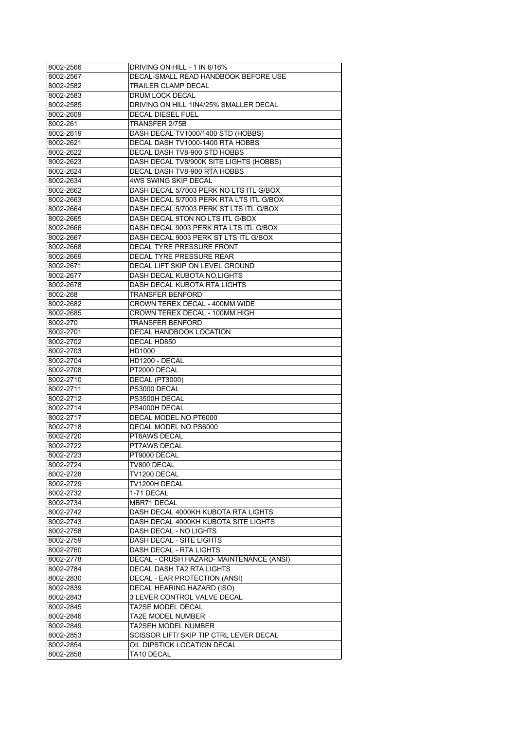| 8002-2566              | DRIVING ON HILL - 1 IN 6/16%             |
|------------------------|------------------------------------------|
| 8002-2567              | DECAL-SMALL READ HANDBOOK BEFORE USE     |
| 8002-2582              | TRAILER CLAMP DECAL                      |
| 8002-2583              | DRUM LOCK DECAL                          |
| 8002-2585              | DRIVING ON HILL 1IN4/25% SMALLER DECAL   |
| 8002-2609              | <b>DECAL DIESEL FUEL</b>                 |
| 8002-261               | TRANSFER 2/75B                           |
| 8002-2619              | DASH DECAL TV1000/1400 STD (HOBBS)       |
| 8002-2621              | DECAL DASH TV1000-1400 RTA HOBBS         |
| 8002-2622              | DECAL DASH TV8-900 STD HOBBS             |
| 8002-2623              | DASH DECAL TV8/900K SITE LIGHTS (HOBBS)  |
| 8002-2624              | DECAL DASH TV8-900 RTA HOBBS             |
| 8002-2634              | 4WS SWING SKIP DECAL                     |
| 8002-2662              | DASH DECAL 5/7003 PERK NO LTS ITL G/BOX  |
| 8002-2663              | DASH DECAL 5/7003 PERK RTA LTS ITL G/BOX |
| 8002-2664              | DASH DECAL 5/7003 PERK ST LTS ITL G/BOX  |
| 8002-2665              | DASH DECAL 9TON NO LTS ITL G/BOX         |
| 8002-2666              | DASH DECAL 9003 PERK RTA LTS ITL G/BOX   |
| 8002-2667              | DASH DECAL 9003 PERK ST LTS ITL G/BOX    |
| 8002-2668              | DECAL TYRE PRESSURE FRONT                |
| 8002-2669              | <b>DECAL TYRE PRESSURE REAR</b>          |
| 8002-2671              | DECAL LIFT SKIP ON LEVEL GROUND          |
| 8002-2677              | DASH DECAL KUBOTA NO,LIGHTS              |
| 8002-2678              | <b>DASH DECAL KUBOTA RTA LIGHTS</b>      |
| 8002-268               | <b>TRANSFER BENFORD</b>                  |
|                        | CROWN TEREX DECAL - 400MM WIDE           |
| 8002-2682              |                                          |
| 8002-2685              | CROWN TEREX DECAL - 100MM HIGH           |
| 8002-270               | <b>TRANSFER BENFORD</b>                  |
| 8002-2701              | DECAL HANDBOOK LOCATION                  |
| 8002-2702              | DECAL HD850                              |
| 8002-2703              | HD1000                                   |
| 8002-2704              | HD1200 - DECAL                           |
| 8002-2708              | PT2000 DECAL                             |
| 8002-2710              | DECAL (PT3000)                           |
| 8002-2711              | PS3000 DECAL                             |
| 8002-2712              | PS3500H DECAL                            |
| 8002-2714              | PS4000H DECAL                            |
| 8002-2717              | DECAL MODEL NO PT6000                    |
| 8002-2718              | DECAL MODEL NO PS6000                    |
| 8002-2720              | PT6AWS DECAL                             |
| 8002-2722              | PT7AWS DECAL                             |
| 8002-2723              | PT9000 DECAL                             |
| 8002-2724              | TV800 DECAL                              |
| 8002-2728              | TV1200 DECAL                             |
| 8002-2729              | TV1200H DECAL                            |
| 8002-2732              | 1-71 DECAL                               |
| 8002-2734              | MBR71 DECAL                              |
| 8002-2742              | DASH DECAL 4000KH KUBOTA RTA LIGHTS      |
| 8002-2743              | DASH DECAL 4000KH KUBOTA SITE LIGHTS     |
| 8002-2758              | DASH DECAL - NO LIGHTS                   |
| 8002-2759              | DASH DECAL - SITE LIGHTS                 |
| 8002-2760              | DASH DECAL - RTA LIGHTS                  |
| 8002-2778              | DECAL - CRUSH HAZARD- MAINTENANCE (ANSI) |
| 8002-2784              | DECAL DASH TA2 RTA LIGHTS                |
| 8002-2830              | DECAL - EAR PROTECTION (ANSI)            |
| 8002-2839              | DECAL HEARING HAZARD (ISO)               |
| 8002-2843              | 3 LEVER CONTROL VALVE DECAL              |
| 8002-2845              | TA2SE MODEL DECAL                        |
|                        |                                          |
| 8002-2846<br>8002-2849 | TA2E MODEL NUMBER<br>TA2SEH MODEL NUMBER |
|                        |                                          |
| 8002-2853              | SCISSOR LIFT/ SKIP TIP CTRL LEVER DECAL  |
| 8002-2854              | OIL DIPSTICK LOCATION DECAL              |
| 8002-2858              | TA10 DECAL                               |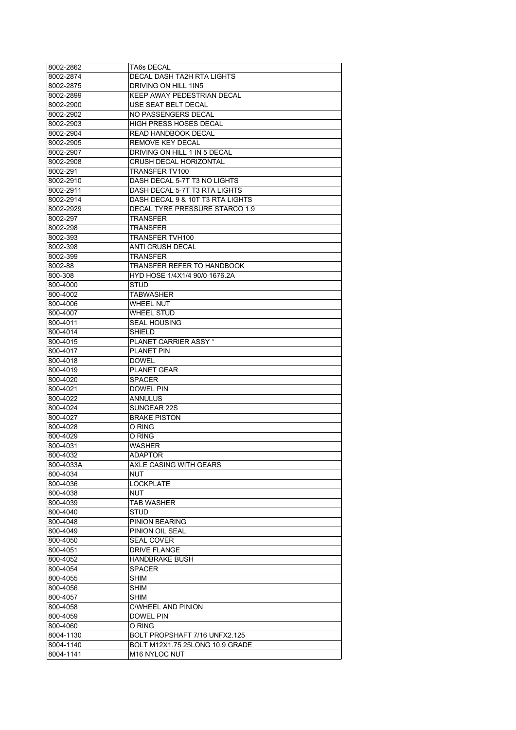| 8002-2862 | TA6s DECAL                                       |
|-----------|--------------------------------------------------|
| 8002-2874 | DECAL DASH TA2H RTA LIGHTS                       |
| 8002-2875 | <b>DRIVING ON HILL 1IN5</b>                      |
| 8002-2899 | KEEP AWAY PEDESTRIAN DECAL                       |
| 8002-2900 | USE SEAT BELT DECAL                              |
| 8002-2902 | NO PASSENGERS DECAL                              |
| 8002-2903 | <b>HIGH PRESS HOSES DECAL</b>                    |
| 8002-2904 | READ HANDBOOK DECAL                              |
| 8002-2905 | REMOVE KEY DECAL                                 |
| 8002-2907 | DRIVING ON HILL 1 IN 5 DECAL                     |
| 8002-2908 | <b>CRUSH DECAL HORIZONTAL</b>                    |
|           |                                                  |
| 8002-291  | TRANSFER TV100                                   |
| 8002-2910 | DASH DECAL 5-7T T3 NO LIGHTS                     |
| 8002-2911 | DASH DECAL 5-7T T3 RTA LIGHTS                    |
| 8002-2914 | DASH DECAL 9 & 10T T3 RTA LIGHTS                 |
| 8002-2929 | DECAL TYRE PRESSURE STARCO 1.9                   |
| 8002-297  | TRANSFER                                         |
| 8002-298  | TRANSFER                                         |
| 8002-393  | TRANSFER TVH100                                  |
| 8002-398  | ANTI CRUSH DECAL                                 |
| 8002-399  | TRANSFER                                         |
| 8002-88   | TRANSFER REFER TO HANDBOOK                       |
| 800-308   | HYD HOSE 1/4X1/4 90/0 1676.2A                    |
| 800-4000  | STUD                                             |
| 800-4002  | TABWASHER                                        |
| 800-4006  | WHEEL NUT                                        |
| 800-4007  | WHEEL STUD                                       |
| 800-4011  | <b>SEAL HOUSING</b>                              |
| 800-4014  | SHIELD                                           |
|           |                                                  |
| 800-4015  | <b>PLANET CARRIER ASSY *</b>                     |
| 800-4017  | <b>PLANET PIN</b>                                |
|           |                                                  |
| 800-4018  | <b>DOWEL</b>                                     |
| 800-4019  | <b>PLANET GEAR</b>                               |
| 800-4020  | SPACER                                           |
| 800-4021  | DOWEL PIN                                        |
| 800-4022  | <b>ANNULUS</b>                                   |
| 800-4024  | SUNGEAR 22S                                      |
| 800-4027  | <b>BRAKE PISTON</b>                              |
| 800-4028  | O RING                                           |
| 800-4029  | O RING                                           |
| 800-4031  | WASHER                                           |
| 800-4032  | ADAPTOR                                          |
| 800-4033A | AXLE CASING WITH GEARS                           |
| 800-4034  | <b>NUT</b>                                       |
| 800-4036  | LOCKPLATE                                        |
| 800-4038  | <b>NUT</b>                                       |
| 800-4039  | TAB WASHER                                       |
|           |                                                  |
| 800-4040  | STUD                                             |
| 800-4048  | PINION BEARING                                   |
| 800-4049  | PINION OIL SEAL                                  |
| 800-4050  | <b>SEAL COVER</b>                                |
| 800-4051  | <b>DRIVE FLANGE</b>                              |
| 800-4052  | <b>HANDBRAKE BUSH</b>                            |
| 800-4054  | SPACER                                           |
| 800-4055  | SHIM                                             |
| 800-4056  | SHIM                                             |
| 800-4057  | SHIM                                             |
| 800-4058  | C/WHEEL AND PINION                               |
| 800-4059  | <b>DOWEL PIN</b>                                 |
| 800-4060  | O RING                                           |
| 8004-1130 | BOLT PROPSHAFT 7/16 UNFX2.125                    |
| 8004-1140 | BOLT M12X1.75 25LONG 10.9 GRADE<br>M16 NYLOC NUT |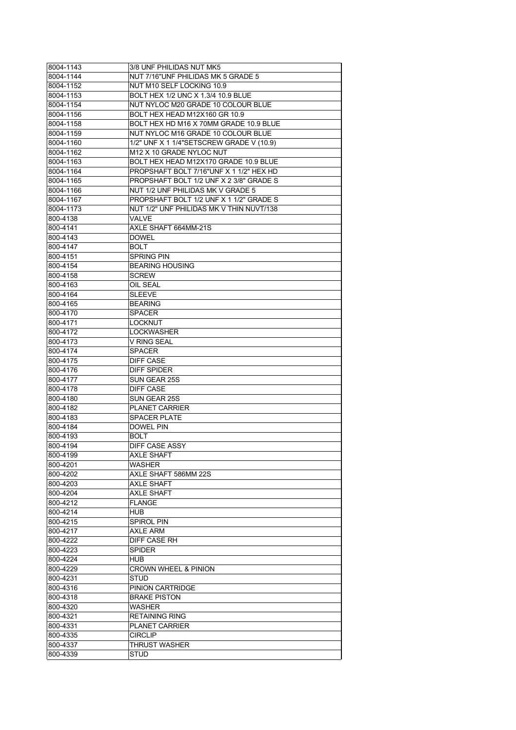| 8004-1143 | 3/8 UNF PHILIDAS NUT MK5                 |
|-----------|------------------------------------------|
| 8004-1144 | NUT 7/16"UNF PHILIDAS MK 5 GRADE 5       |
| 8004-1152 | NUT M10 SELF LOCKING 10.9                |
| 8004-1153 | BOLT HEX 1/2 UNC X 1.3/4 10.9 BLUE       |
| 8004-1154 | NUT NYLOC M20 GRADE 10 COLOUR BLUE       |
| 8004-1156 | BOLT HEX HEAD M12X160 GR 10.9            |
| 8004-1158 | BOLT HEX HD M16 X 70MM GRADE 10.9 BLUE   |
| 8004-1159 | NUT NYLOC M16 GRADE 10 COLOUR BLUE       |
| 8004-1160 | 1/2" UNF X 1 1/4"SETSCREW GRADE V (10.9) |
| 8004-1162 | M12 X 10 GRADE NYLOC NUT                 |
| 8004-1163 | BOLT HEX HEAD M12X170 GRADE 10.9 BLUE    |
| 8004-1164 | PROPSHAFT BOLT 7/16"UNF X 1 1/2" HEX HD  |
| 8004-1165 | PROPSHAFT BOLT 1/2 UNF X 2 3/8" GRADE S  |
| 8004-1166 | NUT 1/2 UNF PHILIDAS MK V GRADE 5        |
| 8004-1167 | PROPSHAFT BOLT 1/2 UNF X 1 1/2" GRADE S  |
| 8004-1173 | NUT 1/2" UNF PHILIDAS MK V THIN NUVT/138 |
| 800-4138  | VALVE                                    |
| 800-4141  | AXLE SHAFT 664MM-21S                     |
| 800-4143  | <b>DOWEL</b>                             |
| 800-4147  | BOLT                                     |
| 800-4151  | <b>SPRING PIN</b>                        |
| 800-4154  | <b>BEARING HOUSING</b>                   |
| 800-4158  | <b>SCREW</b>                             |
| 800-4163  | OIL SEAL                                 |
| 800-4164  | <b>SLEEVE</b>                            |
| 800-4165  | <b>BEARING</b>                           |
| 800-4170  | SPACER                                   |
| 800-4171  | <b>LOCKNUT</b>                           |
| 800-4172  | <b>LOCKWASHER</b>                        |
| 800-4173  | V RING SEAL                              |
| 800-4174  | SPACER                                   |
| 800-4175  | DIFF CASE                                |
| 800-4176  | DIFF SPIDER                              |
| 800-4177  | SUN GEAR 25S                             |
| 800-4178  | DIFF CASE                                |
| 800-4180  | SUN GEAR 25S                             |
| 800-4182  | <b>PLANET CARRIER</b>                    |
| 800-4183  | <b>SPACER PLATE</b>                      |
| 800-4184  | DOWEL PIN                                |
| 800-4193  | BOLT                                     |
| 800-4194  | DIFF CASE ASSY                           |
| 800-4199  | <b>AXLE SHAFT</b>                        |
| 800-4201  | WASHER                                   |
| 800-4202  | AXLE SHAFT 586MM 22S                     |
| 800-4203  | AXLE SHAFT                               |
| 800-4204  | AXLE SHAFT                               |
| 800-4212  | <b>FLANGE</b>                            |
| 800-4214  | HUB                                      |
| 800-4215  | Spirol Pin                               |
| 800-4217  | <b>AXLE ARM</b>                          |
| 800-4222  | DIFF CASE RH                             |
| 800-4223  | <b>SPIDER</b>                            |
| 800-4224  | HUB                                      |
| 800-4229  | <b>CROWN WHEEL &amp; PINION</b>          |
| 800-4231  | STUD                                     |
| 800-4316  | PINION CARTRIDGE                         |
| 800-4318  | <b>BRAKE PISTON</b>                      |
| 800-4320  | WASHER                                   |
| 800-4321  | <b>RETAINING RING</b>                    |
| 800-4331  | <b>PLANET CARRIER</b>                    |
| 800-4335  | <b>CIRCLIP</b>                           |
| 800-4337  | THRUST WASHER                            |
| 800-4339  | STUD                                     |
|           |                                          |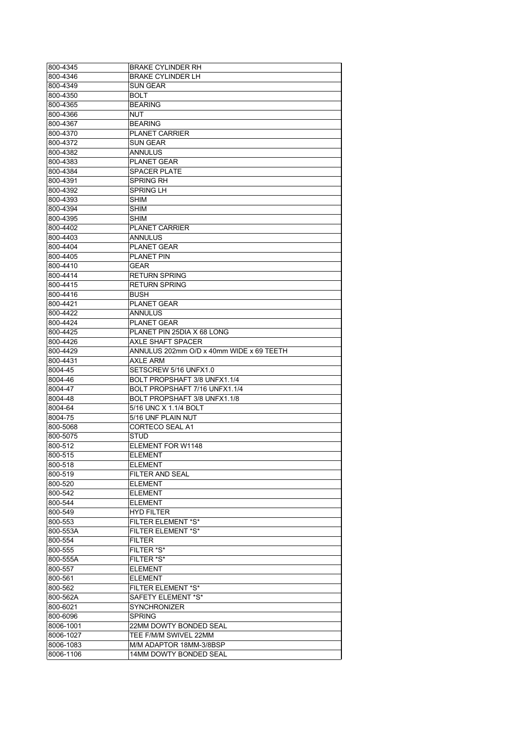| 800-4345               | <b>BRAKE CYLINDER RH</b>                                 |
|------------------------|----------------------------------------------------------|
| 800-4346               | <b>BRAKE CYLINDER LH</b>                                 |
| 800-4349               | <b>SUN GEAR</b>                                          |
| 800-4350               | BOLT                                                     |
| 800-4365               | <b>BEARING</b>                                           |
| 800-4366               | NUT                                                      |
| 800-4367               | <b>BEARING</b>                                           |
| 800-4370               | <b>PLANET CARRIER</b>                                    |
| 800-4372               | SUN GEAR                                                 |
| 800-4382               | ANNULUS                                                  |
| 800-4383               | PLANET GEAR                                              |
| 800-4384               | <b>SPACER PLATE</b>                                      |
| 800-4391               | <b>SPRING RH</b>                                         |
| 800-4392               | <b>SPRING LH</b>                                         |
| 800-4393               | SHIM                                                     |
| 800-4394               | SHIM                                                     |
| 800-4395               | <b>SHIM</b>                                              |
| 800-4402               | <b>PLANET CARRIER</b>                                    |
| 800-4403               | ANNULUS                                                  |
| 800-4404               | <b>PLANET GEAR</b>                                       |
|                        |                                                          |
| 800-4405               | <b>PLANET PIN</b>                                        |
| 800-4410               | GEAR                                                     |
| 800-4414               | <b>RETURN SPRING</b>                                     |
| 800-4415               | <b>RETURN SPRING</b>                                     |
| 800-4416               | BUSH                                                     |
| 800-4421               | <b>PLANET GEAR</b>                                       |
| 800-4422               | <b>ANNULUS</b>                                           |
| 800-4424               | PLANET GEAR                                              |
| 800-4425               | PLANET PIN 25DIA X 68 LONG                               |
| 800-4426               | AXLE SHAFT SPACER                                        |
| 800-4429               | ANNULUS 202mm O/D x 40mm WIDE x 69 TEETH                 |
|                        |                                                          |
| 800-4431               | AXLE ARM                                                 |
| 8004-45                | SETSCREW 5/16 UNFX1.0                                    |
| 8004-46                | BOLT PROPSHAFT 3/8 UNFX1.1/4                             |
| 8004-47                | BOLT PROPSHAFT 7/16 UNFX1.1/4                            |
| 8004-48                | BOLT PROPSHAFT 3/8 UNFX1.1/8                             |
| 8004-64                | 5/16 UNC X 1.1/4 BOLT                                    |
| 8004-75                | 5/16 UNF PLAIN NUT                                       |
| 800-5068               | CORTECO SEAL A1                                          |
| 800-5075               | STUD                                                     |
| 800-512                | ELEMENT FOR W1148                                        |
| 800-515                | ELEMENT                                                  |
| 800-518                | <b>ELEMENT</b>                                           |
| 800-519                | <b>FILTER AND SEAL</b>                                   |
| 800-520                | <b>ELEMENT</b>                                           |
|                        |                                                          |
| 800-542                | <b>ELEMENT</b>                                           |
| 800-544                | <b>ELEMENT</b>                                           |
| 800-549                | HYD FILTER                                               |
| 800-553                | FILTER ELEMENT *S*                                       |
| 800-553A               | <b>FILTER ELEMENT *S*</b>                                |
| 800-554                | <b>FILTER</b>                                            |
| 800-555                | FILTER *S*                                               |
| 800-555A               | FILTER *S*                                               |
| 800-557                | <b>ELEMENT</b>                                           |
| 800-561                | <b>ELEMENT</b>                                           |
| 800-562                | <b>FILTER ELEMENT *S*</b>                                |
| 800-562A               | SAFETY ELEMENT *S*                                       |
| 800-6021               | <b>SYNCHRONIZER</b>                                      |
| 800-6096               | <b>SPRING</b>                                            |
| 8006-1001              | 22MM DOWTY BONDED SEAL                                   |
| 8006-1027              | TEE F/M/M SWIVEL 22MM                                    |
| 8006-1083<br>8006-1106 | M/M ADAPTOR 18MM-3/8BSP<br><b>14MM DOWTY BONDED SEAL</b> |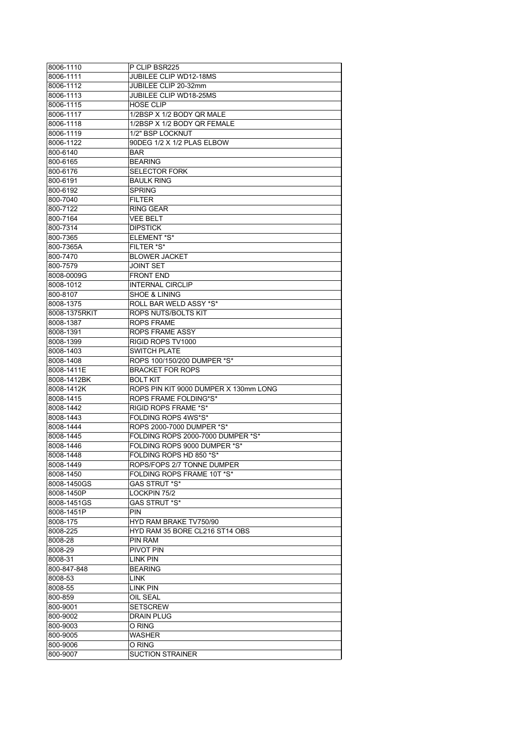| 8006-1110            | P CLIP BSR225                         |
|----------------------|---------------------------------------|
| 8006-1111            | JUBILEE CLIP WD12-18MS                |
| 8006-1112            | JUBILEE CLIP 20-32mm                  |
| 8006-1113            | JUBILEE CLIP WD18-25MS                |
| 8006-1115            | <b>HOSE CLIP</b>                      |
| 8006-1117            | 1/2BSP X 1/2 BODY QR MALE             |
| 8006-1118            | 1/2BSP X 1/2 BODY QR FEMALE           |
| 8006-1119            | 1/2" BSP LOCKNUT                      |
| 8006-1122            | 90DEG 1/2 X 1/2 PLAS ELBOW            |
|                      |                                       |
| 800-6140             | BAR                                   |
| 800-6165             | <b>BEARING</b>                        |
| 800-6176             | <b>SELECTOR FORK</b>                  |
| 800-6191             | <b>BAULK RING</b>                     |
| 800-6192             | <b>SPRING</b>                         |
| 800-7040             | <b>FILTER</b>                         |
| 800-7122             | <b>RING GEAR</b>                      |
| 800-7164             | <b>VEE BELT</b>                       |
| 800-7314             | <b>DIPSTICK</b>                       |
| 800-7365             | ELEMENT *S*                           |
| 800-7365A            | FILTER *S*                            |
| 800-7470             | <b>BLOWER JACKET</b>                  |
| 800-7579             | <b>JOINT SET</b>                      |
| 8008-0009G           | <b>FRONT END</b>                      |
| 8008-1012            | <b>INTERNAL CIRCLIP</b>               |
|                      |                                       |
| 800-8107             | <b>SHOE &amp; LINING</b>              |
| 8008-1375            | ROLL BAR WELD ASSY *S*                |
| 8008-1375RKIT        | <b>ROPS NUTS/BOLTS KIT</b>            |
| 8008-1387            | <b>ROPS FRAME</b>                     |
| 8008-1391            | <b>ROPS FRAME ASSY</b>                |
| 8008-1399            | RIGID ROPS TV1000                     |
| 8008-1403            | <b>SWITCH PLATE</b>                   |
| 8008-1408            | ROPS 100/150/200 DUMPER *S*           |
|                      |                                       |
| 8008-1411E           | <b>BRACKET FOR ROPS</b>               |
| 8008-1412BK          | <b>BOLT KIT</b>                       |
| 8008-1412K           | ROPS PIN KIT 9000 DUMPER X 130mm LONG |
| 8008-1415            | ROPS FRAME FOLDING*S*                 |
|                      |                                       |
| 8008-1442            | RIGID ROPS FRAME *S*                  |
| 8008-1443            | FOLDING ROPS 4WS*S*                   |
| 8008-1444            | ROPS 2000-7000 DUMPER *S*             |
| 8008-1445            | FOLDING ROPS 2000-7000 DUMPER *S*     |
| 8008-1446            | FOLDING ROPS 9000 DUMPER *S*          |
| 8008-1448            | FOLDING ROPS HD 850 *S*               |
| 8008-1449            | ROPS/FOPS 2/7 TONNE DUMPER            |
| 8008-1450            | FOLDING ROPS FRAME 10T *S*            |
| 8008-1450GS          | GAS STRUT *S*                         |
| 8008-1450P           | LOCKPIN 75/2                          |
| 8008-1451GS          | GAS STRUT *S*                         |
| 8008-1451P           | PIN                                   |
| 8008-175             | HYD RAM BRAKE TV750/90                |
| 8008-225             | HYD RAM 35 BORE CL216 ST14 OBS        |
| 8008-28              | PIN RAM                               |
| 8008-29              | PIVOT PIN                             |
| 8008-31              | LINK PIN                              |
|                      |                                       |
| 800-847-848          | <b>BEARING</b>                        |
| 8008-53              | LINK                                  |
| 8008-55              | LINK PIN                              |
| 800-859              | OIL SEAL                              |
| 800-9001             | <b>SETSCREW</b>                       |
| 800-9002             | DRAIN PLUG                            |
| 800-9003             | O RING                                |
| 800-9005             | WASHER                                |
| 800-9006<br>800-9007 | O RING<br><b>SUCTION STRAINER</b>     |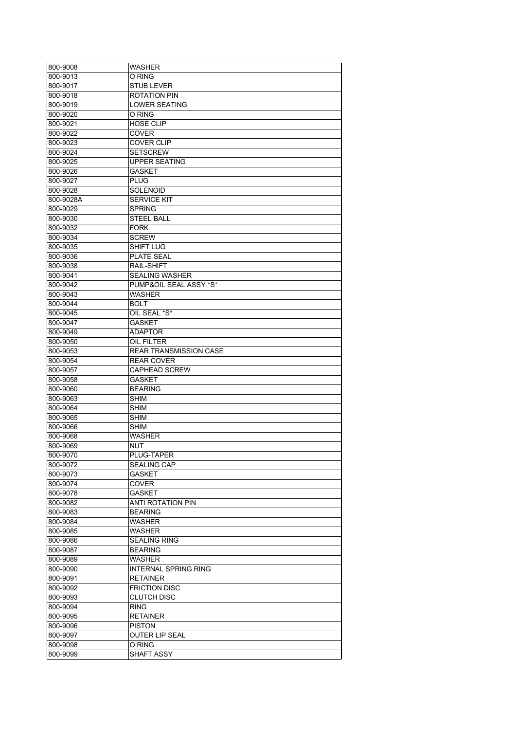| 800-9008  | WASHER                        |
|-----------|-------------------------------|
| 800-9013  | O RING                        |
| 800-9017  | <b>STUB LEVER</b>             |
| 800-9018  | <b>ROTATION PIN</b>           |
| 800-9019  | <b>LOWER SEATING</b>          |
| 800-9020  | O RING                        |
| 800-9021  | HOSE CLIP                     |
| 800-9022  | COVER                         |
| 800-9023  | <b>COVER CLIP</b>             |
| 800-9024  | <b>SETSCREW</b>               |
| 800-9025  | <b>UPPER SEATING</b>          |
| 800-9026  | <b>GASKET</b>                 |
| 800-9027  | <b>PLUG</b>                   |
| 800-9028  | SOLENOID                      |
| 800-9028A | <b>SERVICE KIT</b>            |
|           |                               |
| 800-9029  | <b>SPRING</b>                 |
| 800-9030  | <b>STEEL BALL</b>             |
| 800-9032  | <b>FORK</b>                   |
| 800-9034  | <b>SCREW</b>                  |
| 800-9035  | <b>SHIFT LUG</b>              |
| 800-9036  | PLATE SEAL                    |
| 800-9038  | RAIL-SHIFT                    |
| 800-9041  | <b>SEALING WASHER</b>         |
| 800-9042  | PUMP&OIL SEAL ASSY *S*        |
| 800-9043  | <b>WASHER</b>                 |
| 800-9044  | <b>BOLT</b>                   |
| 800-9045  | OIL SEAL *S*                  |
| 800-9047  | <b>GASKET</b>                 |
| 800-9049  | <b>ADAPTOR</b>                |
| 800-9050  | <b>OIL FILTER</b>             |
| 800-9053  | <b>REAR TRANSMISSION CASE</b> |
| 800-9054  | <b>REAR COVER</b>             |
| 800-9057  | <b>CAPHEAD SCREW</b>          |
| 800-9058  | GASKET                        |
| 800-9060  | <b>BEARING</b>                |
| 800-9063  | SHIM                          |
| 800-9064  | <b>SHIM</b>                   |
| 800-9065  | <b>SHIM</b>                   |
|           |                               |
| 800-9066  | SHIM                          |
| 800-9068  | WASHER                        |
| 800-9069  | <b>NUT</b>                    |
| 800-9070  | PLUG-TAPER                    |
| 800-9072  | <b>SEALING CAP</b>            |
| 800-9073  | GASKET                        |
| 800-9074  | <b>COVER</b>                  |
| 800-9078  | <b>GASKET</b>                 |
| 800-9082  | <b>ANTI ROTATION PIN</b>      |
| 800-9083  | <b>BEARING</b>                |
| 800-9084  | <b>WASHER</b>                 |
| 800-9085  | WASHER                        |
| 800-9086  | <b>SEALING RING</b>           |
| 800-9087  | <b>BEARING</b>                |
| 800-9089  | WASHER                        |
| 800-9090  | <b>INTERNAL SPRING RING</b>   |
| 800-9091  | <b>RETAINER</b>               |
| 800-9092  | <b>FRICTION DISC</b>          |
| 800-9093  | <b>CLUTCH DISC</b>            |
| 800-9094  | <b>RING</b>                   |
| 800-9095  | <b>RETAINER</b>               |
| 800-9096  | <b>PISTON</b>                 |
| 800-9097  | <b>OUTER LIP SEAL</b>         |
|           |                               |
| 800-9098  | O RING                        |
| 800-9099  | <b>SHAFT ASSY</b>             |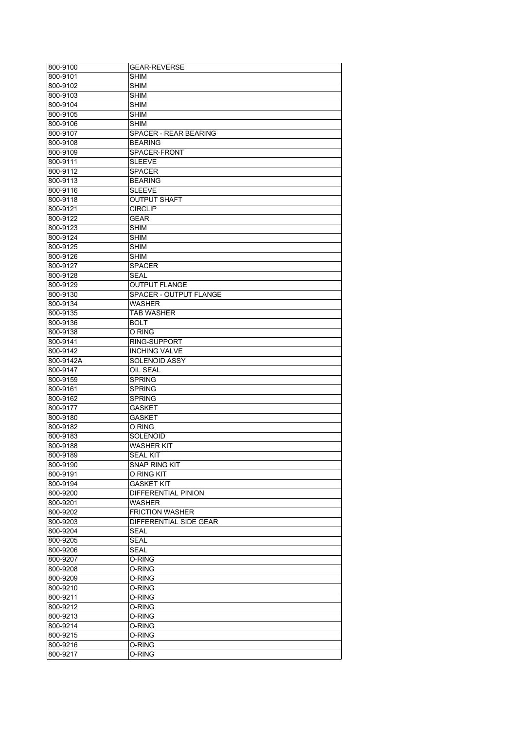| 800-9100  | <b>GEAR-REVERSE</b>           |
|-----------|-------------------------------|
| 800-9101  | <b>SHIM</b>                   |
| 800-9102  | SHIM                          |
| 800-9103  | SHIM                          |
| 800-9104  | SHIM                          |
| 800-9105  | SHIM                          |
| 800-9106  | SHIM                          |
| 800-9107  | SPACER - REAR BEARING         |
| 800-9108  | <b>BEARING</b>                |
| 800-9109  | SPACER-FRONT                  |
| 800-9111  | <b>SLEEVE</b>                 |
| 800-9112  | SPACER                        |
| 800-9113  | <b>BEARING</b>                |
| 800-9116  | <b>SLEEVE</b>                 |
|           | <b>OUTPUT SHAFT</b>           |
| 800-9118  |                               |
| 800-9121  | <b>CIRCLIP</b>                |
| 800-9122  | GEAR                          |
| 800-9123  | SHIM                          |
| 800-9124  | SHIM                          |
| 800-9125  | SHIM                          |
| 800-9126  | <b>SHIM</b>                   |
| 800-9127  | SPACER                        |
| 800-9128  | SEAL                          |
| 800-9129  | <b>OUTPUT FLANGE</b>          |
| 800-9130  | <b>SPACER - OUTPUT FLANGE</b> |
| 800-9134  | <b>WASHER</b>                 |
| 800-9135  | <b>TAB WASHER</b>             |
| 800-9136  | <b>BOLT</b>                   |
| 800-9138  | O RING                        |
| 800-9141  | RING-SUPPORT                  |
| 800-9142  | <b>INCHING VALVE</b>          |
| 800-9142A | <b>SOLENOID ASSY</b>          |
| 800-9147  | OIL SEAL                      |
| 800-9159  | <b>SPRING</b>                 |
| 800-9161  | <b>SPRING</b>                 |
| 800-9162  | <b>SPRING</b>                 |
| 800-9177  | <b>GASKET</b>                 |
| 800-9180  | <b>GASKET</b>                 |
| 800-9182  | O RING                        |
| 800-9183  | SOLENOID                      |
| 800-9188  | WASHER KIT                    |
| 800-9189  | <b>SEAL KIT</b>               |
| 800-9190  | <b>SNAP RING KIT</b>          |
| 800-9191  | O RING KIT                    |
| 800-9194  | <b>GASKET KIT</b>             |
| 800-9200  | <b>DIFFERENTIAL PINION</b>    |
| 800-9201  | WASHER                        |
| 800-9202  | <b>FRICTION WASHER</b>        |
| 800-9203  | DIFFERENTIAL SIDE GEAR        |
| 800-9204  | SEAL                          |
| 800-9205  | <b>SEAL</b>                   |
| 800-9206  | SEAL                          |
| 800-9207  | O-RING                        |
| 800-9208  | 0-RING                        |
|           |                               |
| 800-9209  | O-RING                        |
| 800-9210  | 0-RING                        |
| 800-9211  | O-RING                        |
| 800-9212  | 0-RING                        |
| 800-9213  | 0-RING                        |
| 800-9214  | 0-RING                        |
| 800-9215  | 0-RING                        |
| 800-9216  | O-RING                        |
| 800-9217  | O-RING                        |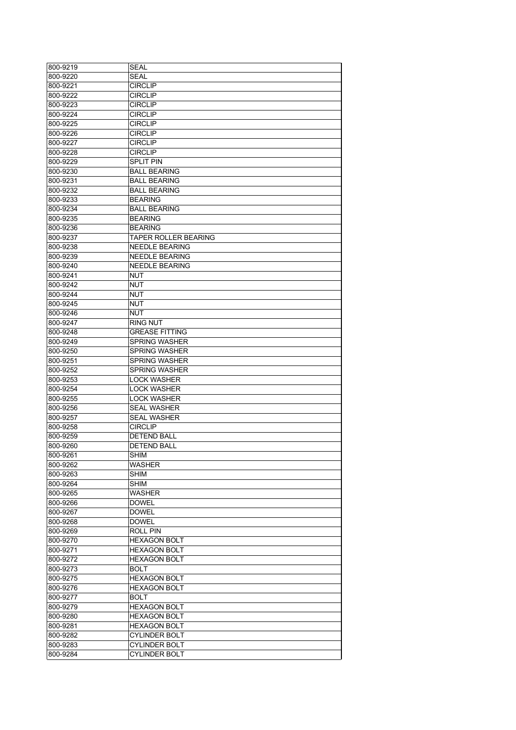| 800-9219 | SEAL                             |
|----------|----------------------------------|
| 800-9220 | <b>SEAL</b>                      |
| 800-9221 | <b>CIRCLIP</b>                   |
| 800-9222 | <b>CIRCLIP</b>                   |
| 800-9223 | <b>CIRCLIP</b>                   |
| 800-9224 | <b>CIRCLIP</b>                   |
| 800-9225 | <b>CIRCLIP</b>                   |
| 800-9226 | <b>CIRCLIP</b>                   |
| 800-9227 | <b>CIRCLIP</b>                   |
| 800-9228 | <b>CIRCLIP</b>                   |
| 800-9229 | <b>SPLIT PIN</b>                 |
| 800-9230 | <b>BALL BEARING</b>              |
| 800-9231 | <b>BALL BEARING</b>              |
| 800-9232 | <b>BALL BEARING</b>              |
| 800-9233 | <b>BEARING</b>                   |
| 800-9234 | <b>BALL BEARING</b>              |
|          |                                  |
| 800-9235 | <b>BEARING</b><br><b>BEARING</b> |
| 800-9236 | <b>TAPER ROLLER BEARING</b>      |
| 800-9237 |                                  |
| 800-9238 | <b>NEEDLE BEARING</b>            |
| 800-9239 | <b>NEEDLE BEARING</b>            |
| 800-9240 | <b>NEEDLE BEARING</b>            |
| 800-9241 | <b>NUT</b>                       |
| 800-9242 | <b>NUT</b>                       |
| 800-9244 | <b>NUT</b>                       |
| 800-9245 | <b>NUT</b>                       |
| 800-9246 | <b>NUT</b>                       |
| 800-9247 | RING NUT                         |
| 800-9248 | <b>GREASE FITTING</b>            |
| 800-9249 | <b>SPRING WASHER</b>             |
| 800-9250 | <b>SPRING WASHER</b>             |
| 800-9251 | <b>SPRING WASHER</b>             |
| 800-9252 | <b>SPRING WASHER</b>             |
| 800-9253 | <b>LOCK WASHER</b>               |
| 800-9254 | <b>LOCK WASHER</b>               |
| 800-9255 | <b>LOCK WASHER</b>               |
| 800-9256 | <b>SEAL WASHER</b>               |
| 800-9257 | <b>SEAL WASHER</b>               |
| 800-9258 | <b>CIRCLIP</b>                   |
| 800-9259 | <b>DETEND BALL</b>               |
| 800-9260 | <b>DETEND BALL</b>               |
| 800-9261 | SHIM                             |
| 800-9262 | WASHER                           |
| 800-9263 | <b>SHIM</b>                      |
| 800-9264 | SHIM                             |
| 800-9265 | <b>WASHER</b>                    |
| 800-9266 | <b>DOWEL</b>                     |
| 800-9267 | <b>DOWEL</b>                     |
| 800-9268 | <b>DOWEL</b>                     |
| 800-9269 | ROLL PIN                         |
| 800-9270 | <b>HEXAGON BOLT</b>              |
| 800-9271 | <b>HEXAGON BOLT</b>              |
| 800-9272 | <b>HEXAGON BOLT</b>              |
| 800-9273 | <b>BOLT</b>                      |
| 800-9275 | <b>HEXAGON BOLT</b>              |
| 800-9276 | <b>HEXAGON BOLT</b>              |
| 800-9277 | <b>BOLT</b>                      |
| 800-9279 | <b>HEXAGON BOLT</b>              |
| 800-9280 | <b>HEXAGON BOLT</b>              |
| 800-9281 | <b>HEXAGON BOLT</b>              |
| 800-9282 | <b>CYLINDER BOLT</b>             |
| 800-9283 | <b>CYLINDER BOLT</b>             |
| 800-9284 | <b>CYLINDER BOLT</b>             |
|          |                                  |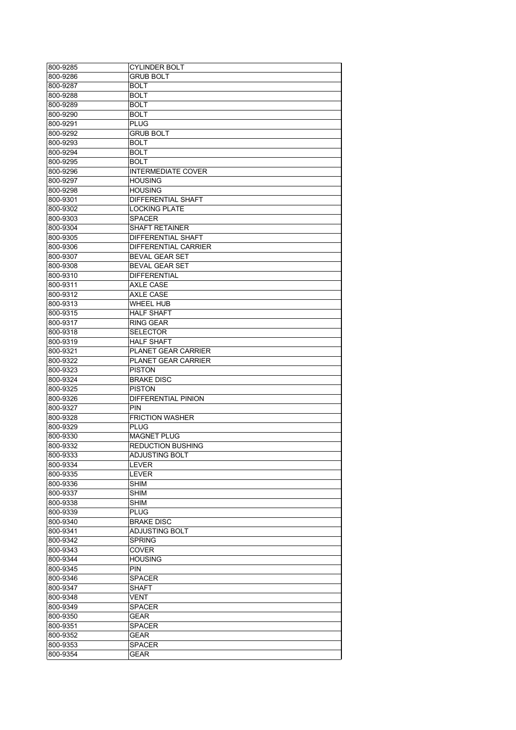| 800-9285 | <b>CYLINDER BOLT</b>       |
|----------|----------------------------|
| 800-9286 | <b>GRUB BOLT</b>           |
| 800-9287 | BOLT                       |
| 800-9288 | BOLT                       |
| 800-9289 | BOLT                       |
| 800-9290 | <b>BOLT</b>                |
| 800-9291 | PLUG                       |
| 800-9292 | <b>GRUB BOLT</b>           |
| 800-9293 | BOLT                       |
| 800-9294 | BOLT                       |
| 800-9295 | BOLT                       |
| 800-9296 | <b>INTERMEDIATE COVER</b>  |
| 800-9297 | <b>HOUSING</b>             |
| 800-9298 | <b>HOUSING</b>             |
|          |                            |
| 800-9301 | DIFFERENTIAL SHAFT         |
| 800-9302 | <b>LOCKING PLATE</b>       |
| 800-9303 | SPACER                     |
| 800-9304 | <b>SHAFT RETAINER</b>      |
| 800-9305 | DIFFERENTIAL SHAFT         |
| 800-9306 | DIFFERENTIAL CARRIER       |
| 800-9307 | <b>BEVAL GEAR SET</b>      |
| 800-9308 | <b>BEVAL GEAR SET</b>      |
| 800-9310 | <b>DIFFERENTIAL</b>        |
| 800-9311 | AXLE CASE                  |
| 800-9312 | <b>AXLE CASE</b>           |
| 800-9313 | <b>WHEEL HUB</b>           |
| 800-9315 | <b>HALF SHAFT</b>          |
| 800-9317 | <b>RING GEAR</b>           |
| 800-9318 | <b>SELECTOR</b>            |
| 800-9319 | <b>HALF SHAFT</b>          |
| 800-9321 | PLANET GEAR CARRIER        |
| 800-9322 | PLANET GEAR CARRIER        |
| 800-9323 | <b>PISTON</b>              |
| 800-9324 | <b>BRAKE DISC</b>          |
| 800-9325 | <b>PISTON</b>              |
| 800-9326 | <b>DIFFERENTIAL PINION</b> |
| 800-9327 | <b>PIN</b>                 |
| 800-9328 | <b>FRICTION WASHER</b>     |
| 800-9329 | PLUG                       |
| 800-9330 | <b>MAGNET PLUG</b>         |
| 800-9332 | <b>REDUCTION BUSHING</b>   |
| 800-9333 | ADJUSTING BOLT             |
| 800-9334 | <b>LEVER</b>               |
| 800-9335 | LEVER                      |
| 800-9336 | SHIM                       |
| 800-9337 | <b>SHIM</b>                |
| 800-9338 | SHIM                       |
| 800-9339 | <b>PLUG</b>                |
| 800-9340 | <b>BRAKE DISC</b>          |
| 800-9341 | ADJUSTING BOLT             |
| 800-9342 | <b>SPRING</b>              |
| 800-9343 | <b>COVER</b>               |
| 800-9344 | <b>HOUSING</b>             |
| 800-9345 | <b>PIN</b>                 |
| 800-9346 | SPACER                     |
| 800-9347 | <b>SHAFT</b>               |
| 800-9348 | VENT                       |
| 800-9349 | SPACER                     |
| 800-9350 | GEAR                       |
|          |                            |
| 800-9351 | SPACER                     |
| 800-9352 | GEAR                       |
| 800-9353 | SPACER                     |
| 800-9354 | GEAR                       |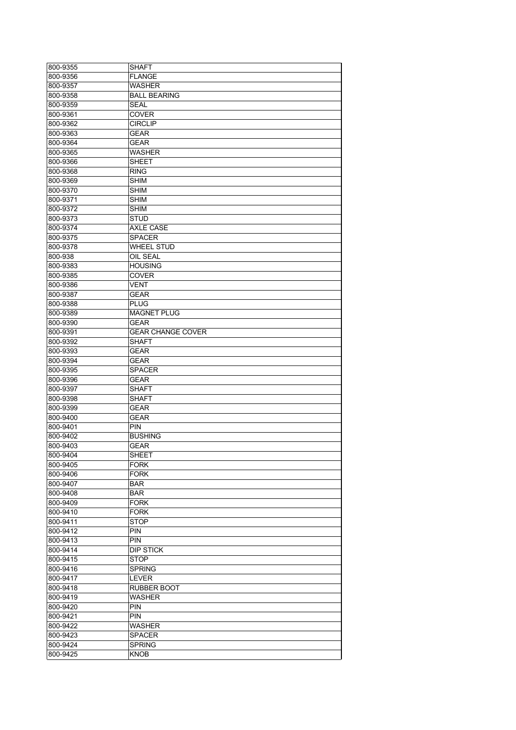| 800-9355 | <b>SHAFT</b>             |
|----------|--------------------------|
| 800-9356 | <b>FLANGE</b>            |
| 800-9357 | <b>WASHER</b>            |
| 800-9358 | <b>BALL BEARING</b>      |
| 800-9359 | <b>SEAL</b>              |
| 800-9361 | <b>COVER</b>             |
| 800-9362 | <b>CIRCLIP</b>           |
| 800-9363 | GEAR                     |
| 800-9364 | <b>GEAR</b>              |
| 800-9365 | <b>WASHER</b>            |
| 800-9366 | <b>SHEET</b>             |
| 800-9368 | <b>RING</b>              |
|          |                          |
| 800-9369 | SHIM                     |
| 800-9370 | SHIM                     |
| 800-9371 | SHIM                     |
| 800-9372 | <b>SHIM</b>              |
| 800-9373 | STUD                     |
| 800-9374 | AXLE CASE                |
| 800-9375 | SPACER                   |
| 800-9378 | <b>WHEEL STUD</b>        |
| 800-938  | <b>OIL SEAL</b>          |
| 800-9383 | <b>HOUSING</b>           |
| 800-9385 | COVER                    |
| 800-9386 | VENT                     |
| 800-9387 | <b>GEAR</b>              |
| 800-9388 | <b>PLUG</b>              |
| 800-9389 | <b>MAGNET PLUG</b>       |
| 800-9390 | <b>GEAR</b>              |
| 800-9391 | <b>GEAR CHANGE COVER</b> |
| 800-9392 | <b>SHAFT</b>             |
| 800-9393 | <b>GEAR</b>              |
| 800-9394 | <b>GEAR</b>              |
| 800-9395 | SPACER                   |
| 800-9396 | GEAR                     |
|          |                          |
| 800-9397 | SHAFT                    |
| 800-9398 | SHAFT                    |
| 800-9399 | <b>GEAR</b>              |
| 800-9400 | <b>GEAR</b>              |
| 800-9401 | <b>PIN</b>               |
| 800-9402 | <b>BUSHING</b>           |
| 800-9403 | GEAR                     |
| 800-9404 | SHEET                    |
| 800-9405 | FORK                     |
| 800-9406 | <b>FORK</b>              |
| 800-9407 | <b>BAR</b>               |
| 800-9408 | BAR                      |
| 800-9409 | <b>FORK</b>              |
| 800-9410 | <b>FORK</b>              |
| 800-9411 | STOP                     |
| 800-9412 | PIN                      |
| 800-9413 | <b>PIN</b>               |
| 800-9414 | <b>DIP STICK</b>         |
| 800-9415 | STOP                     |
| 800-9416 | <b>SPRING</b>            |
| 800-9417 | <b>LEVER</b>             |
| 800-9418 | RUBBER BOOT              |
| 800-9419 | WASHER                   |
| 800-9420 | PIN                      |
| 800-9421 | PIN                      |
| 800-9422 | WASHER                   |
| 800-9423 | SPACER                   |
|          |                          |
| 800-9424 | <b>SPRING</b>            |
| 800-9425 | KNOB                     |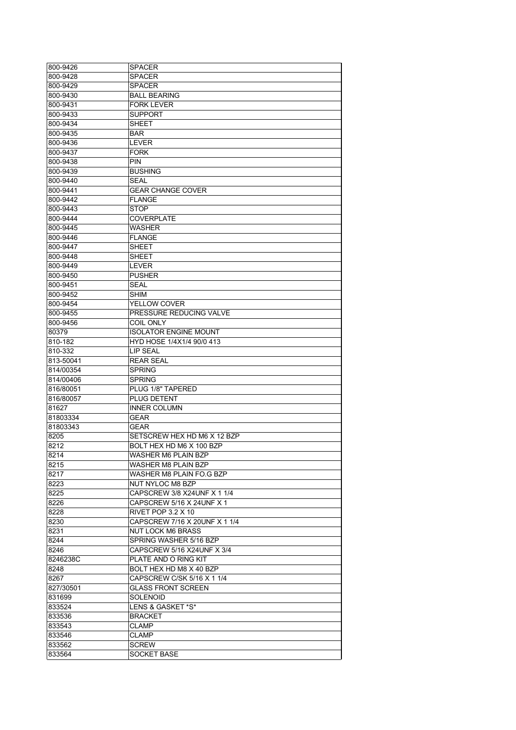| 800-9426  | <b>SPACER</b>                 |
|-----------|-------------------------------|
| 800-9428  | <b>SPACER</b>                 |
| 800-9429  | <b>SPACER</b>                 |
| 800-9430  | <b>BALL BEARING</b>           |
| 800-9431  | <b>FORK LEVER</b>             |
| 800-9433  | <b>SUPPORT</b>                |
| 800-9434  | <b>SHEET</b>                  |
| 800-9435  | <b>BAR</b>                    |
| 800-9436  | LEVER                         |
| 800-9437  | <b>FORK</b>                   |
| 800-9438  | <b>PIN</b>                    |
| 800-9439  | <b>BUSHING</b>                |
| 800-9440  | <b>SEAL</b>                   |
| 800-9441  | <b>GEAR CHANGE COVER</b>      |
| 800-9442  | <b>FLANGE</b>                 |
| 800-9443  | STOP                          |
| 800-9444  | COVERPLATE                    |
| 800-9445  | <b>WASHER</b>                 |
| 800-9446  | <b>FLANGE</b>                 |
| 800-9447  | <b>SHEET</b>                  |
|           |                               |
| 800-9448  | <b>SHEET</b>                  |
| 800-9449  | LEVER                         |
| 800-9450  | <b>PUSHER</b>                 |
| 800-9451  | SEAL                          |
| 800-9452  | <b>SHIM</b>                   |
| 800-9454  | YELLOW COVER                  |
| 800-9455  | PRESSURE REDUCING VALVE       |
| 800-9456  | <b>COIL ONLY</b>              |
| 80379     | <b>ISOLATOR ENGINE MOUNT</b>  |
| 810-182   | HYD HOSE 1/4X1/4 90/0 413     |
| 810-332   | <b>LIP SEAL</b>               |
| 813-50041 | <b>REAR SEAL</b>              |
| 814/00354 | <b>SPRING</b>                 |
| 814/00406 | <b>SPRING</b>                 |
| 816/80051 | PLUG 1/8" TAPERED             |
| 816/80057 | <b>PLUG DETENT</b>            |
| 81627     | <b>INNER COLUMN</b>           |
| 81803334  | <b>GEAR</b>                   |
| 81803343  | <b>GEAR</b>                   |
| 8205      | SETSCREW HEX HD M6 X 12 BZP   |
| 8212      | BOLT HEX HD M6 X 100 BZP      |
| 8214      | WASHER M6 PLAIN BZP           |
| 8215      | WASHER M8 PLAIN BZP           |
| 8217      | WASHER M8 PLAIN FO.G BZP      |
| 8223      | NUT NYLOC M8 BZP              |
| 8225      | CAPSCREW 3/8 X24UNF X 1 1/4   |
| 8226      | CAPSCREW 5/16 X 24UNF X 1     |
| 8228      | RIVET POP 3.2 X 10            |
| 8230      | CAPSCREW 7/16 X 20UNF X 1 1/4 |
| 8231      | <b>NUT LOCK M6 BRASS</b>      |
| 8244      | SPRING WASHER 5/16 BZP        |
| 8246      | CAPSCREW 5/16 X24UNF X 3/4    |
| 8246238C  | <b>PLATE AND O RING KIT</b>   |
| 8248      | BOLT HEX HD M8 X 40 BZP       |
| 8267      | CAPSCREW C/SK 5/16 X 1 1/4    |
| 827/30501 | <b>GLASS FRONT SCREEN</b>     |
| 831699    | <b>SOLENOID</b>               |
| 833524    | LENS & GASKET *S*             |
| 833536    | <b>BRACKET</b>                |
| 833543    | <b>CLAMP</b>                  |
| 833546    | <b>CLAMP</b>                  |
| 833562    | <b>SCREW</b>                  |
| 833564    | <b>SOCKET BASE</b>            |
|           |                               |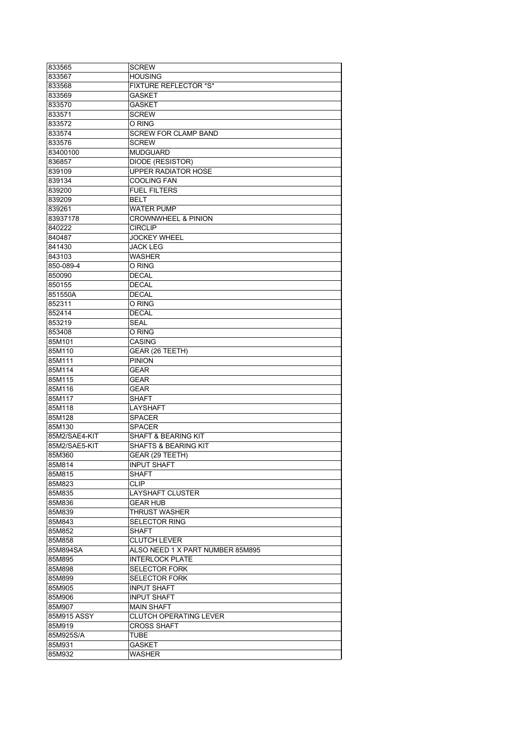| 833565        | <b>SCREW</b>                     |
|---------------|----------------------------------|
| 833567        | <b>HOUSING</b>                   |
| 833568        | FIXTURE REFLECTOR *S*            |
| 833569        | <b>GASKET</b>                    |
| 833570        | <b>GASKET</b>                    |
| 833571        | <b>SCREW</b>                     |
|               |                                  |
| 833572        | O RING                           |
| 833574        | <b>SCREW FOR CLAMP BAND</b>      |
| 833576        | <b>SCREW</b>                     |
| 83400100      | <b>MUDGUARD</b>                  |
| 836857        | DIODE (RESISTOR)                 |
| 839109        | <b>UPPER RADIATOR HOSE</b>       |
| 839134        | <b>COOLING FAN</b>               |
| 839200        | <b>FUEL FILTERS</b>              |
| 839209        | <b>BELT</b>                      |
| 839261        | <b>WATER PUMP</b>                |
| 83937178      | <b>CROWNWHEEL &amp; PINION</b>   |
| 840222        | <b>CIRCLIP</b>                   |
| 840487        | <b>JOCKEY WHEEL</b>              |
|               |                                  |
| 841430        | <b>JACK LEG</b>                  |
| 843103        | <b>WASHER</b>                    |
| 850-089-4     | O RING                           |
| 850090        | <b>DECAL</b>                     |
| 850155        | <b>DECAL</b>                     |
| 851550A       | <b>DECAL</b>                     |
| 852311        | O RING                           |
| 852414        | <b>DECAL</b>                     |
| 853219        | SEAL                             |
| 853408        | O RING                           |
| 85M101        | CASING                           |
| 85M110        | GEAR (26 TEETH)                  |
| 85M111        | <b>PINION</b>                    |
|               |                                  |
| 85M114        | GEAR                             |
| 85M115        | <b>GEAR</b>                      |
| 85M116        | <b>GEAR</b>                      |
| 85M117        | <b>SHAFT</b>                     |
| 85M118        | <b>LAYSHAFT</b>                  |
| 85M128        | SPACER                           |
| 85M130        | <b>SPACER</b>                    |
| 85M2/SAE4-KIT | <b>SHAFT &amp; BEARING KIT</b>   |
| 85M2/SAE5-KIT | SHAFTS & BEARING KIT             |
| 85M360        | GEAR (29 TEETH)                  |
| 85M814        | <b>INPUT SHAFT</b>               |
| 85M815        | SHAFT                            |
| 85M823        | <b>CLIP</b>                      |
| 85M835        | <b>LAYSHAFT CLUSTER</b>          |
|               |                                  |
| 85M836        | <b>GEAR HUB</b>                  |
| 85M839        | THRUST WASHER                    |
| 85M843        | <b>SELECTOR RING</b>             |
| 85M852        | SHAFT                            |
| 85M858        | <b>CLUTCH LEVER</b>              |
| 85M894SA      | ALSO NEED 1 X PART NUMBER 85M895 |
| 85M895        | <b>INTERLOCK PLATE</b>           |
| 85M898        | <b>SELECTOR FORK</b>             |
| 85M899        | <b>SELECTOR FORK</b>             |
| 85M905        | <b>INPUT SHAFT</b>               |
| 85M906        | <b>INPUT SHAFT</b>               |
|               |                                  |
| 85M907        | <b>MAIN SHAFT</b>                |
| 85M915 ASSY   | <b>CLUTCH OPERATING LEVER</b>    |
| 85M919        | <b>CROSS SHAFT</b>               |
| 85M925S/A     | <b>TUBE</b>                      |
| 85M931        | GASKET                           |
| 85M932        | <b>WASHER</b>                    |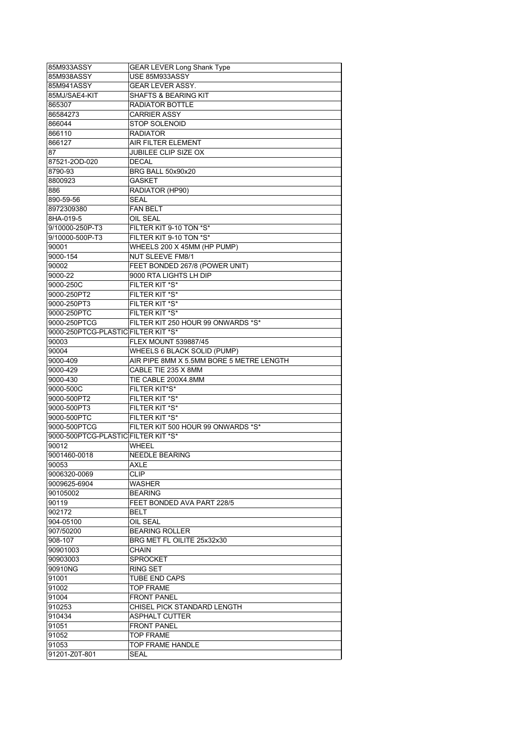| 85M933ASSY                          | <b>GEAR LEVER Long Shank Type</b>        |
|-------------------------------------|------------------------------------------|
| 85M938ASSY                          | USE 85M933ASSY                           |
| 85M941ASSY                          | <b>GEAR LEVER ASSY.</b>                  |
| 85MJ/SAE4-KIT                       | <b>SHAFTS &amp; BEARING KIT</b>          |
| 865307                              | <b>RADIATOR BOTTLE</b>                   |
| 86584273                            | <b>CARRIER ASSY</b>                      |
| 866044                              | <b>STOP SOLENOID</b>                     |
| 866110                              | <b>RADIATOR</b>                          |
| 866127                              | AIR FILTER ELEMENT                       |
| 87                                  | JUBILEE CLIP SIZE OX                     |
| 87521-2OD-020                       | <b>DECAL</b>                             |
| 8790-93                             | <b>BRG BALL 50x90x20</b>                 |
| 8800923                             | <b>GASKET</b>                            |
| 886                                 | RADIATOR (HP90)                          |
| 890-59-56                           | <b>SEAL</b>                              |
| 8972309380                          | <b>FAN BELT</b>                          |
| 8HA-019-5                           | OIL SEAL                                 |
| 9/10000-250P-T3                     | FILTER KIT 9-10 TON *S*                  |
| 9/10000-500P-T3                     | FILTER KIT 9-10 TON *S*                  |
| 90001                               | WHEELS 200 X 45MM (HP PUMP)              |
| 9000-154                            | NUT SLEEVE FM8/1                         |
| 90002                               | FEET BONDED 267/8 (POWER UNIT)           |
|                                     | 9000 RTA LIGHTS LH DIP                   |
| 9000-22                             |                                          |
| 9000-250C                           | FILTER KIT *S*                           |
| 9000-250PT2                         | FILTER KIT *S*                           |
| 9000-250PT3                         | FILTER KIT *S*                           |
| 9000-250PTC                         | FILTER KIT *S*                           |
| 9000-250PTCG                        | FILTER KIT 250 HOUR 99 ONWARDS *S*       |
| 9000-250PTCG-PLASTIC FILTER KIT *S* |                                          |
| 90003                               | <b>FLEX MOUNT 539887/45</b>              |
| 90004                               | <b>WHEELS 6 BLACK SOLID (PUMP)</b>       |
|                                     |                                          |
| 9000-409                            | AIR PIPE 8MM X 5.5MM BORE 5 METRE LENGTH |
| 9000-429                            | CABLE TIE 235 X 8MM                      |
| 9000-430                            | TIE CABLE 200X4.8MM                      |
| 9000-500C                           | FILTER KIT*S*                            |
| 9000-500PT2                         | <b>FILTER KIT *S*</b>                    |
| 9000-500PT3                         | FILTER KIT *S*                           |
| 9000-500PTC                         | FILTER KIT *S*                           |
| 9000-500PTCG                        | FILTER KIT 500 HOUR 99 ONWARDS *S*       |
| 9000-500PTCG-PLASTIC FILTER KIT *S* |                                          |
| 90012                               | WHEEL                                    |
| 9001460-0018                        | NEEDLE BEARING                           |
| 90053                               | AXLE                                     |
| 9006320-0069                        | CLIP.                                    |
| 9009625-6904                        | WASHER                                   |
| 90105002                            | <b>BEARING</b>                           |
| 90119                               | FEET BONDED AVA PART 228/5               |
| 902172                              | BELT                                     |
| 904-05100                           | OIL SEAL                                 |
| 907/50200                           | <b>BEARING ROLLER</b>                    |
| 908-107                             | BRG MET FL OILITE 25x32x30               |
|                                     |                                          |
| 90901003                            | CHAIN                                    |
| 90903003                            | <b>SPROCKET</b>                          |
| 90910NG                             | RING SET                                 |
| 91001                               | TUBE END CAPS                            |
| 91002                               | TOP FRAME                                |
| 91004                               | <b>FRONT PANEL</b>                       |
| 910253                              | CHISEL PICK STANDARD LENGTH              |
| 910434                              | ASPHALT CUTTER                           |
| 91051                               | <b>FRONT PANEL</b>                       |
| 91052                               | TOP FRAME                                |
| 91053<br>91201-Z0T-801              | TOP FRAME HANDLE<br><b>SEAL</b>          |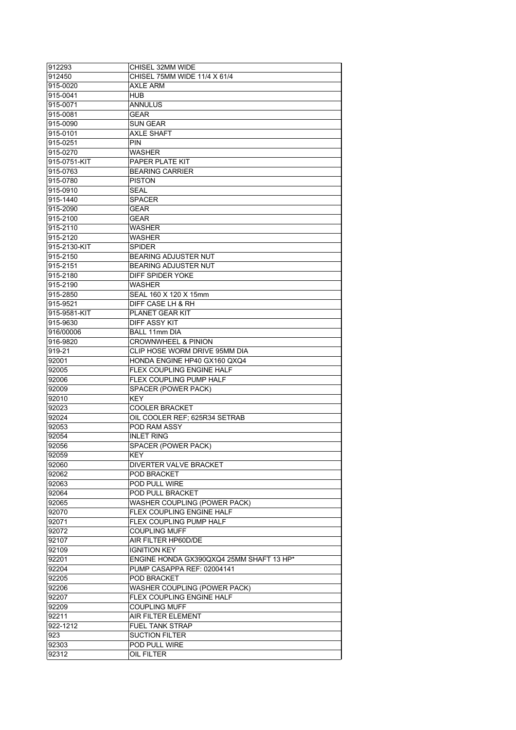| 912293          | CHISEL 32MM WIDE                         |
|-----------------|------------------------------------------|
| 912450          | CHISEL 75MM WIDE 11/4 X 61/4             |
| 915-0020        | <b>AXLE ARM</b>                          |
| 915-0041        | <b>HUB</b>                               |
| 915-0071        | ANNULUS                                  |
| 915-0081        | GEAR                                     |
| 915-0090        | SUN GEAR                                 |
| 915-0101        | <b>AXLE SHAFT</b>                        |
| 915-0251        | <b>PIN</b>                               |
| 915-0270        | WASHER                                   |
| 915-0751-KIT    | PAPER PLATE KIT                          |
| 915-0763        | <b>BEARING CARRIER</b>                   |
| 915-0780        | <b>PISTON</b>                            |
| 915-0910        | SEAL                                     |
| 915-1440        | <b>SPACER</b>                            |
| 915-2090        | GEAR                                     |
| 915-2100        | GEAR                                     |
| 915-2110        | WASHER                                   |
| 915-2120        | <b>WASHER</b>                            |
| 915-2130-KIT    | <b>SPIDER</b>                            |
| 915-2150        | BEARING ADJUSTER NUT                     |
| 915-2151        | <b>BEARING ADJUSTER NUT</b>              |
| 915-2180        | DIFF SPIDER YOKE                         |
| 915-2190        | <b>WASHER</b>                            |
| 915-2850        | SEAL 160 X 120 X 15mm                    |
| 915-9521        | DIFF CASE LH & RH                        |
| 915-9581-KIT    | PLANET GEAR KIT                          |
| 915-9630        | <b>DIFF ASSY KIT</b>                     |
| 916/00006       | <b>BALL 11mm DIA</b>                     |
| 916-9820        | <b>CROWNWHEEL &amp; PINION</b>           |
|                 | CLIP HOSE WORM DRIVE 95MM DIA            |
| 919-21<br>92001 | HONDA ENGINE HP40 GX160 QXQ4             |
|                 | FLEX COUPLING ENGINE HALF                |
| 92005           | FLEX COUPLING PUMP HALF                  |
| 92006           |                                          |
| 92009           | SPACER (POWER PACK)                      |
| 92010           | <b>KEY</b>                               |
| 92023           | <b>COOLER BRACKET</b>                    |
| 92024           | OIL COOLER REF; 625R34 SETRAB            |
| 92053           | POD RAM ASSY                             |
| 92054           | <b>INLET RING</b>                        |
| 92056           | SPACER (POWER PACK)                      |
| 92059           | KEY                                      |
| 92060           | DIVERTER VALVE BRACKET                   |
| 92062           | <b>POD BRACKET</b>                       |
| 92063           | POD PULL WIRE                            |
| 92064           | POD PULL BRACKET                         |
| 92065           | WASHER COUPLING (POWER PACK)             |
| 92070           | FLEX COUPLING ENGINE HALF                |
| 92071           | FLEX COUPLING PUMP HALF                  |
| 92072           | <b>COUPLING MUFF</b>                     |
| 92107           | AIR FILTER HP60D/DE                      |
| 92109           | <b>IGNITION KEY</b>                      |
| 92201           | ENGINE HONDA GX390QXQ4 25MM SHAFT 13 HP* |
| 92204           | PUMP CASAPPA REF: 02004141               |
| 92205           | POD BRACKET                              |
| 92206           | WASHER COUPLING (POWER PACK)             |
| 92207           | FLEX COUPLING ENGINE HALF                |
| 92209           | <b>COUPLING MUFF</b>                     |
| 92211           | AIR FILTER ELEMENT                       |
| 922-1212        | <b>FUEL TANK STRAP</b>                   |
| 923             | <b>SUCTION FILTER</b>                    |
| 92303           | POD PULL WIRE                            |
| 92312           | OIL FILTER                               |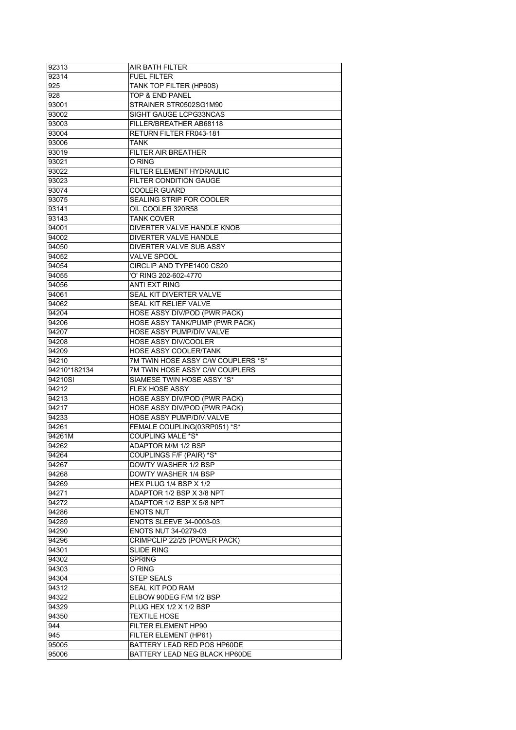| 92313          | AIR BATH FILTER                                              |
|----------------|--------------------------------------------------------------|
| 92314          | <b>FUEL FILTER</b>                                           |
| 925            | TANK TOP FILTER (HP60S)                                      |
| 928            | TOP & END PANEL                                              |
| 93001          | STRAINER STR0502SG1M90                                       |
| 93002          | SIGHT GAUGE LCPG33NCAS                                       |
| 93003          | FILLER/BREATHER AB68118                                      |
| 93004          | RETURN FILTER FR043-181                                      |
| 93006          | TANK                                                         |
| 93019          | <b>FILTER AIR BREATHER</b>                                   |
| 93021          | O RING                                                       |
| 93022          | FILTER ELEMENT HYDRAULIC                                     |
|                |                                                              |
| 93023          | <b>FILTER CONDITION GAUGE</b>                                |
| 93074          | <b>COOLER GUARD</b>                                          |
| 93075          | SEALING STRIP FOR COOLER                                     |
| 93141          | OIL COOLER 320R58                                            |
| 93143          | <b>TANK COVER</b>                                            |
| 94001          | <b>DIVERTER VALVE HANDLE KNOB</b>                            |
| 94002          | DIVERTER VALVE HANDLE                                        |
| 94050          | DIVERTER VALVE SUB ASSY                                      |
| 94052          | VALVE SPOOL                                                  |
| 94054          | CIRCLIP AND TYPE1400 CS20                                    |
| 94055          | 'O' RING 202-602-4770                                        |
| 94056          | <b>ANTI EXT RING</b>                                         |
| 94061          | SEAL KIT DIVERTER VALVE                                      |
| 94062          | SEAL KIT RELIEF VALVE                                        |
|                |                                                              |
| 94204          | HOSE ASSY DIV/POD (PWR PACK)                                 |
| 94206          | HOSE ASSY TANK/PUMP (PWR PACK)                               |
| 94207          | <b>HOSE ASSY PUMP/DIV.VALVE</b>                              |
| 94208          | HOSE ASSY DIV/COOLER                                         |
| 94209          | HOSE ASSY COOLER/TANK                                        |
|                |                                                              |
| 94210          | 7M TWIN HOSE ASSY C/W COUPLERS *S*                           |
| 94210*182134   | 7M TWIN HOSE ASSY C/W COUPLERS                               |
| 94210SI        | SIAMESE TWIN HOSE ASSY *S*                                   |
| 94212          | FLEX HOSE ASSY                                               |
| 94213          | HOSE ASSY DIV/POD (PWR PACK)                                 |
| 94217          | HOSE ASSY DIV/POD (PWR PACK)                                 |
| 94233          | HOSE ASSY PUMP/DIV.VALVE                                     |
| 94261          |                                                              |
| 94261M         | FEMALE COUPLING(03RP051) *S*<br><b>COUPLING MALE *S*</b>     |
|                |                                                              |
| 94262          | ADAPTOR M/M 1/2 BSP                                          |
| 94264          | COUPLINGS F/F (PAIR) *S*                                     |
| 94267          | DOWTY WASHER 1/2 BSP                                         |
| 94268          | DOWTY WASHER 1/4 BSP                                         |
| 94269          | HEX PLUG 1/4 BSP X 1/2                                       |
| 94271          | ADAPTOR 1/2 BSP X 3/8 NPT                                    |
| 94272          | ADAPTOR 1/2 BSP X 5/8 NPT                                    |
| 94286          | <b>ENOTS NUT</b>                                             |
| 94289          | <b>ENOTS SLEEVE 34-0003-03</b>                               |
| 94290          | <b>ENOTS NUT 34-0279-03</b>                                  |
| 94296          | CRIMPCLIP 22/25 (POWER PACK)                                 |
| 94301          | <b>SLIDE RING</b>                                            |
| 94302          | <b>SPRING</b>                                                |
| 94303          | O RING                                                       |
| 94304          | <b>STEP SEALS</b>                                            |
| 94312          | SEAL KIT POD RAM                                             |
| 94322          | ELBOW 90DEG F/M 1/2 BSP                                      |
| 94329          | PLUG HEX 1/2 X 1/2 BSP                                       |
| 94350          | <b>TEXTILE HOSE</b>                                          |
|                |                                                              |
| 944            | FILTER ELEMENT HP90                                          |
| 945            | FILTER ELEMENT (HP61)                                        |
| 95005<br>95006 | BATTERY LEAD RED POS HP60DE<br>BATTERY LEAD NEG BLACK HP60DE |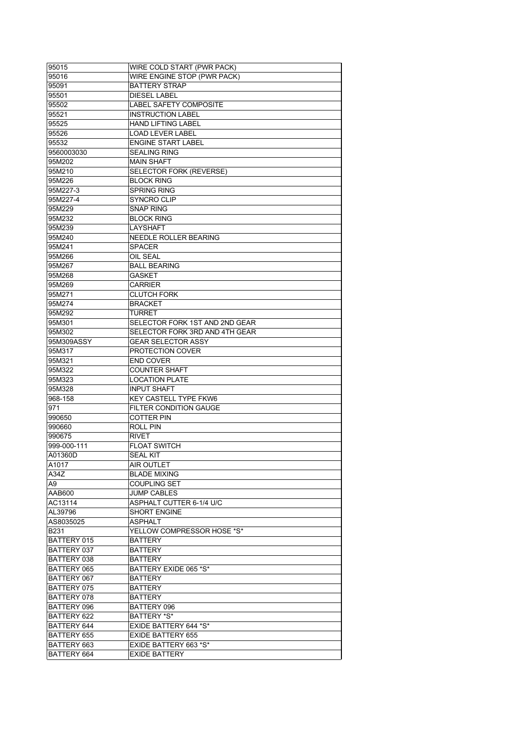| 95015       | WIRE COLD START (PWR PACK)     |
|-------------|--------------------------------|
| 95016       | WIRE ENGINE STOP (PWR PACK)    |
| 95091       | <b>BATTERY STRAP</b>           |
| 95501       | <b>DIESEL LABEL</b>            |
| 95502       | <b>LABEL SAFETY COMPOSITE</b>  |
| 95521       | <b>INSTRUCTION LABEL</b>       |
| 95525       | <b>HAND LIFTING LABEL</b>      |
| 95526       | <b>LOAD LEVER LABEL</b>        |
| 95532       | <b>ENGINE START LABEL</b>      |
| 9560003030  | <b>SEALING RING</b>            |
| 95M202      | <b>MAIN SHAFT</b>              |
| 95M210      | SELECTOR FORK (REVERSE)        |
| 95M226      | <b>BLOCK RING</b>              |
| 95M227-3    | <b>SPRING RING</b>             |
| 95M227-4    | SYNCRO CLIP                    |
| 95M229      | <b>SNAP RING</b>               |
| 95M232      | <b>BLOCK RING</b>              |
| 95M239      | LAYSHAFT                       |
| 95M240      | NEEDLE ROLLER BEARING          |
| 95M241      | <b>SPACER</b>                  |
| 95M266      | OIL SEAL                       |
| 95M267      | <b>BALL BEARING</b>            |
| 95M268      | GASKET                         |
| 95M269      | <b>CARRIER</b>                 |
| 95M271      | <b>CLUTCH FORK</b>             |
| 95M274      | <b>BRACKET</b>                 |
| 95M292      | TURRET                         |
| 95M301      | SELECTOR FORK 1ST AND 2ND GEAR |
| 95M302      | SELECTOR FORK 3RD AND 4TH GEAR |
| 95M309ASSY  | <b>GEAR SELECTOR ASSY</b>      |
| 95M317      | PROTECTION COVER               |
| 95M321      | <b>END COVER</b>               |
| 95M322      | <b>COUNTER SHAFT</b>           |
| 95M323      | <b>LOCATION PLATE</b>          |
| 95M328      | <b>INPUT SHAFT</b>             |
| 968-158     | <b>KEY CASTELL TYPE FKW6</b>   |
|             |                                |
|             |                                |
| 971         | <b>FILTER CONDITION GAUGE</b>  |
| 990650      | <b>COTTER PIN</b>              |
| 990660      | <b>ROLL PIN</b>                |
| 990675      | RIVET                          |
| 999-000-111 | <b>FLOAT SWITCH</b>            |
| A01360D     | <b>SEAL KIT</b>                |
| A1017       | AIR OUTLET                     |
| A34Z        | <b>BLADE MIXING</b>            |
| A9          | <b>COUPLING SET</b>            |
| AAB600      | <b>JUMP CABLES</b>             |
| AC13114     | ASPHALT CUTTER 6-1/4 U/C       |
| AL39796     | <b>SHORT ENGINE</b>            |
| AS8035025   | ASPHALT                        |
| B231        | YELLOW COMPRESSOR HOSE *S*     |
| BATTERY 015 | <b>BATTERY</b>                 |
| BATTERY 037 | <b>BATTERY</b>                 |
| BATTERY 038 | <b>BATTERY</b>                 |
| BATTERY 065 | BATTERY EXIDE 065 *S*          |
| BATTERY 067 | <b>BATTERY</b>                 |
| BATTERY 075 | <b>BATTERY</b>                 |
| BATTERY 078 | <b>BATTERY</b>                 |
| BATTERY 096 | BATTERY 096                    |
| BATTERY 622 | BATTERY *S*                    |
| BATTERY 644 | EXIDE BATTERY 644 *S*          |
| BATTERY 655 | <b>EXIDE BATTERY 655</b>       |
| BATTERY 663 | EXIDE BATTERY 663 *S*          |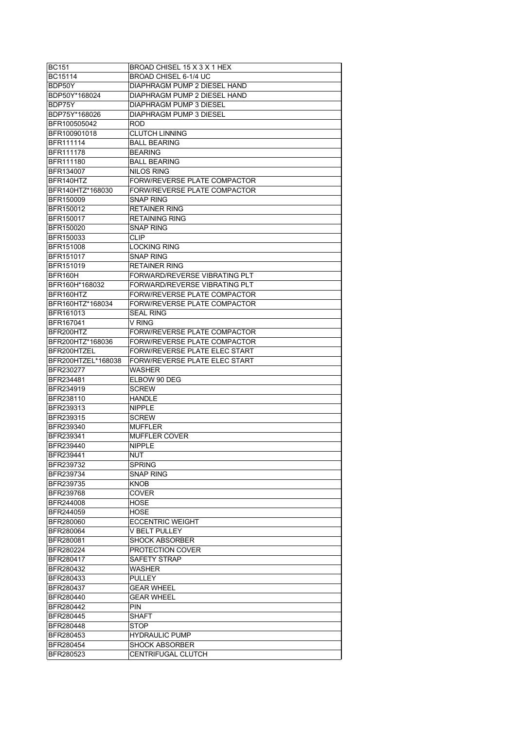| <b>BC151</b>           | BROAD CHISEL 15 X 3 X 1 HEX                        |
|------------------------|----------------------------------------------------|
| BC15114                | BROAD CHISEL 6-1/4 UC                              |
| BDP50Y                 | DIAPHRAGM PUMP 2 DIESEL HAND                       |
| BDP50Y*168024          | DIAPHRAGM PUMP 2 DIESEL HAND                       |
| BDP75Y                 | DIAPHRAGM PUMP 3 DIESEL                            |
| BDP75Y*168026          | DIAPHRAGM PUMP 3 DIESEL                            |
| BFR100505042           | ROD.                                               |
| BFR100901018           | <b>CLUTCH LINNING</b>                              |
| BFR111114              | <b>BALL BEARING</b>                                |
| BFR111178              | <b>BEARING</b>                                     |
|                        | <b>BALL BEARING</b>                                |
| BFR111180<br>BFR134007 |                                                    |
|                        | <b>NILOS RING</b>                                  |
| BFR140HTZ              | FORW/REVERSE PLATE COMPACTOR                       |
| BFR140HTZ*168030       | FORW/REVERSE PLATE COMPACTOR                       |
| BFR150009              | <b>SNAP RING</b>                                   |
| BFR150012              | <b>RETAINER RING</b>                               |
| BFR150017              | <b>RETAINING RING</b>                              |
| BFR150020              | SNAP RING                                          |
| BFR150033              | <b>CLIP</b>                                        |
| BFR151008              | <b>LOCKING RING</b>                                |
| BFR151017              | <b>SNAP RING</b>                                   |
| BFR151019              | <b>RETAINER RING</b>                               |
| BFR160H                | FORWARD/REVERSE VIBRATING PLT                      |
| BFR160H*168032         | FORWARD/REVERSE VIBRATING PLT                      |
| BFR160HTZ              | FORW/REVERSE PLATE COMPACTOR                       |
| BFR160HTZ*168034       | FORW/REVERSE PLATE COMPACTOR                       |
| BFR161013              | <b>SEAL RING</b>                                   |
| BFR167041              | V RING                                             |
| BFR200HTZ              | FORW/REVERSE PLATE COMPACTOR                       |
| BFR200HTZ*168036       | FORW/REVERSE PLATE COMPACTOR                       |
| BFR200HTZEL            | FORW/REVERSE PLATE ELEC START                      |
| BFR200HTZEL*168038     | FORW/REVERSE PLATE ELEC START                      |
| BFR230277              | <b>WASHER</b>                                      |
|                        |                                                    |
| BFR234481              | ELBOW 90 DEG                                       |
|                        |                                                    |
| BFR234919              | <b>SCREW</b>                                       |
| BFR238110              | <b>HANDLE</b>                                      |
| BFR239313              | <b>NIPPLE</b>                                      |
| BFR239315              | <b>SCREW</b>                                       |
| BFR239340              | <b>MUFFLER</b>                                     |
| BFR239341              | <b>MUFFLER COVER</b>                               |
| BFR239440              | <b>NIPPLE</b>                                      |
| BFR239441              | NUT                                                |
| BFR239732              | <b>SPRING</b>                                      |
| BFR239734              | <b>SNAP RING</b>                                   |
| BFR239735              | <b>KNOB</b>                                        |
| BFR239768              | <b>COVER</b>                                       |
| BFR244008              | HOSE                                               |
| BFR244059              | HOSE                                               |
| BFR280060              | <b>ECCENTRIC WEIGHT</b>                            |
| BFR280064              | V BELT PULLEY                                      |
|                        | <b>SHOCK ABSORBER</b>                              |
| BFR280081              |                                                    |
| BFR280224              | <b>PROTECTION COVER</b>                            |
| BFR280417              | SAFETY STRAP                                       |
| BFR280432              | WASHER                                             |
| BFR280433              | <b>PULLEY</b>                                      |
| BFR280437              | <b>GEAR WHEEL</b>                                  |
| BFR280440              | <b>GEAR WHEEL</b>                                  |
| BFR280442              | <b>PIN</b>                                         |
| BFR280445              | SHAFT                                              |
| BFR280448              | STOP                                               |
| BFR280453              | <b>HYDRAULIC PUMP</b>                              |
| BFR280454<br>BFR280523 | <b>SHOCK ABSORBER</b><br><b>CENTRIFUGAL CLUTCH</b> |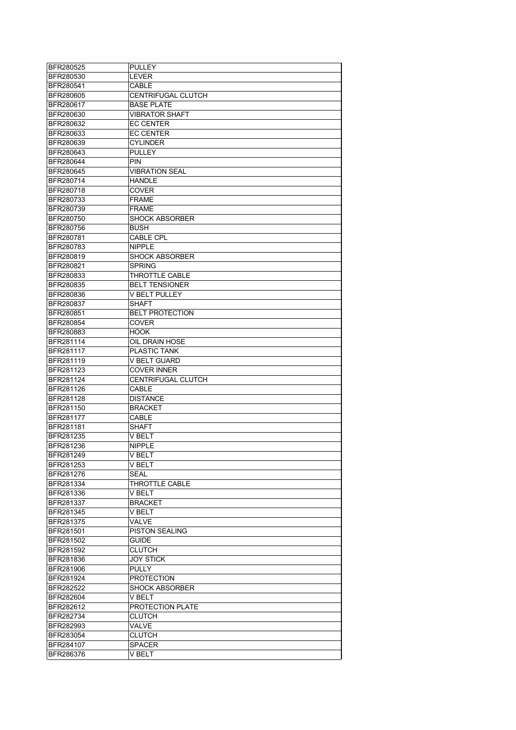| BFR280525        | <b>PULLEY</b>             |
|------------------|---------------------------|
| BFR280530        | <b>LEVER</b>              |
| <b>BFR280541</b> | CABLE                     |
| <b>BFR280605</b> | <b>CENTRIFUGAL CLUTCH</b> |
| <b>BFR280617</b> | <b>BASE PLATE</b>         |
| BFR280630        | VIBRATOR SHAFT            |
| BFR280632        | <b>EC CENTER</b>          |
| BFR280633        | <b>EC CENTER</b>          |
| BFR280639        |                           |
|                  | <b>CYLINDER</b>           |
| BFR280643        | PULLEY                    |
| BFR280644        | PIN                       |
| BFR280645        | <b>VIBRATION SEAL</b>     |
| BFR280714        | <b>HANDLE</b>             |
| BFR280718        | COVER                     |
| BFR280733        | <b>FRAME</b>              |
| BFR280739        | <b>FRAME</b>              |
| BFR280750        | <b>SHOCK ABSORBER</b>     |
| BFR280756        | <b>BUSH</b>               |
| <b>BFR280781</b> | <b>CABLE CPL</b>          |
| <b>BFR280783</b> | <b>NIPPLE</b>             |
| BFR280819        | <b>SHOCK ABSORBER</b>     |
| <b>BFR280821</b> | <b>SPRING</b>             |
| BFR280833        | THROTTLE CABLE            |
| BFR280835        | <b>BELT TENSIONER</b>     |
| BFR280836        | V BELT PULLEY             |
| <b>BFR280837</b> | SHAFT                     |
|                  | <b>BELT PROTECTION</b>    |
| <b>BFR280851</b> |                           |
| BFR280854        | COVER                     |
| BFR280883        | <b>HOOK</b>               |
| BFR281114        | OIL DRAIN HOSE            |
| <b>BFR281117</b> | PLASTIC TANK              |
| <b>BFR281119</b> | V BELT GUARD              |
| BFR281123        | COVER INNER               |
| BFR281124        | <b>CENTRIFUGAL CLUTCH</b> |
| BFR281126        | CABLE                     |
| <b>BFR281128</b> | <b>DISTANCE</b>           |
| <b>BFR281150</b> | <b>BRACKET</b>            |
| <b>BFR281177</b> | CABLE                     |
| BFR281181        | SHAFT                     |
| BFR281235        | V BELT                    |
| BFR281236        | <b>NIPPLE</b>             |
| BFR281249        | V BELT                    |
| BFR281253        | V BELT                    |
| BFR281276        | SEAL                      |
| BFR281334        | <b>THROTTLE CABLE</b>     |
| BFR281336        | V BELT                    |
| BFR281337        | <b>BRACKET</b>            |
| <b>BFR281345</b> | V BELT                    |
| <b>BFR281375</b> | VALVE                     |
|                  |                           |
| <b>BFR281501</b> | PISTON SEALING            |
| <b>BFR281502</b> | <b>GUIDE</b>              |
| <b>BFR281592</b> | <b>CLUTCH</b>             |
| <b>BFR281836</b> | <b>JOY STICK</b>          |
| BFR281906        | <b>PULLY</b>              |
| BFR281924        | <b>PROTECTION</b>         |
| <b>BFR282522</b> | <b>SHOCK ABSORBER</b>     |
| BFR282604        | V BELT                    |
| BFR282612        | PROTECTION PLATE          |
| BFR282734        | <b>CLUTCH</b>             |
| BFR282993        | VALVE                     |
| <b>BFR283054</b> | <b>CLUTCH</b>             |
| <b>BFR284107</b> | <b>SPACER</b>             |
| <b>BFR286376</b> | V BELT                    |
|                  |                           |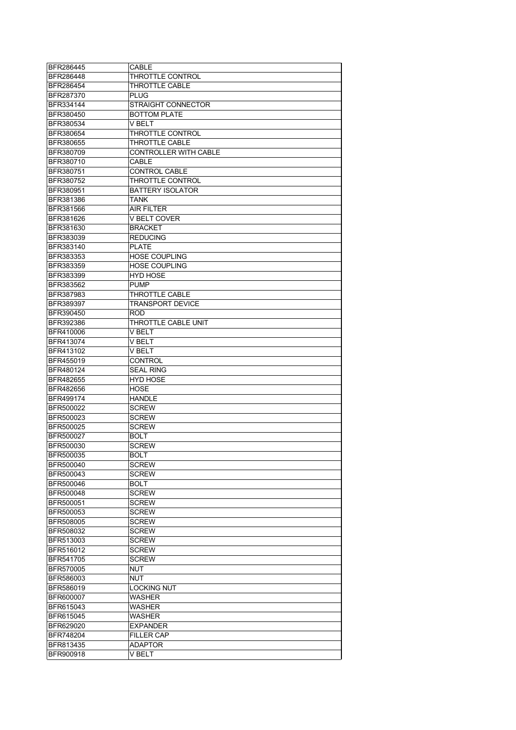| BFR286445                            | CABLE                        |
|--------------------------------------|------------------------------|
| <b>BFR286448</b>                     | THROTTLE CONTROL             |
| <b>BFR286454</b>                     | <b>THROTTLE CABLE</b>        |
| <b>BFR287370</b>                     | <b>PLUG</b>                  |
| <b>BFR334144</b>                     | STRAIGHT CONNECTOR           |
| BFR380450                            | <b>BOTTOM PLATE</b>          |
| BFR380534                            | V BELT                       |
| BFR380654                            | THROTTLE CONTROL             |
| <b>BFR380655</b>                     | THROTTLE CABLE               |
| <b>BFR380709</b>                     | <b>CONTROLLER WITH CABLE</b> |
| BFR380710                            | CABLE                        |
| BFR380751                            | CONTROL CABLE                |
| BFR380752                            | <b>THROTTLE CONTROL</b>      |
| BFR380951                            | <b>BATTERY ISOLATOR</b>      |
| <b>BFR381386</b>                     | TANK                         |
| <b>BFR381566</b>                     | <b>AIR FILTER</b>            |
| BFR381626                            | V BELT COVER                 |
| BFR381630                            | <b>BRACKET</b>               |
| BFR383039                            | <b>REDUCING</b>              |
| <b>BFR383140</b>                     | <b>PLATE</b>                 |
| <b>BFR383353</b>                     | <b>HOSE COUPLING</b>         |
| <b>BFR383359</b>                     | <b>HOSE COUPLING</b>         |
| BFR383399                            | <b>HYD HOSE</b>              |
| BFR383562                            | <b>PUMP</b>                  |
| BFR387983                            | <b>THROTTLE CABLE</b>        |
| <b>BFR389397</b>                     | <b>TRANSPORT DEVICE</b>      |
| <b>BFR390450</b>                     | ROD                          |
| BFR392386                            | THROTTLE CABLE UNIT          |
| BFR410006                            | V BELT                       |
| <b>BFR413074</b>                     | V BELT                       |
| BFR413102                            | V BELT                       |
| <b>BFR455019</b>                     | CONTROL                      |
| BFR480124                            | <b>SEAL RING</b>             |
| BFR482655                            | <b>HYD HOSE</b>              |
| <b>BFR482656</b>                     | HOSE                         |
| <b>BFR499174</b>                     | <b>HANDLE</b>                |
| <b>BFR500022</b>                     | <b>SCREW</b>                 |
| <b>BFR500023</b>                     | <b>SCREW</b>                 |
| <b>BFR500025</b>                     | <b>SCREW</b>                 |
| BFR500027                            | BOLT                         |
| BFR500030                            | <b>SCREW</b>                 |
| <b>BFR500035</b>                     | <b>BOLT</b>                  |
| <b>BFR500040</b>                     | <b>SCREW</b>                 |
| BFR500043                            | <b>SCREW</b>                 |
| <b>BFR500046</b>                     | BOLT                         |
| <b>BFR500048</b>                     | <b>SCREW</b>                 |
| BFR500051                            | <b>SCREW</b>                 |
| BFR500053                            | <b>SCREW</b>                 |
|                                      |                              |
| <b>BFR508005</b>                     | <b>SCREW</b>                 |
| <b>BFR508032</b>                     | <b>SCREW</b>                 |
| BFR513003                            | <b>SCREW</b>                 |
| <b>BFR516012</b><br><b>BFR541705</b> | <b>SCREW</b>                 |
|                                      | <b>SCREW</b>                 |
| BFR570005                            | <b>NUT</b>                   |
| <b>BFR586003</b>                     | NUT                          |
| BFR586019                            | LOCKING NUT                  |
| <b>BFR600007</b>                     | WASHER                       |
| BFR615043                            | WASHER                       |
| BFR615045                            | WASHER                       |
| BFR629020                            | <b>EXPANDER</b>              |
| <b>BFR748204</b>                     | <b>FILLER CAP</b>            |
| BFR813435                            | ADAPTOR                      |
| <b>BFR900918</b>                     | V BELT                       |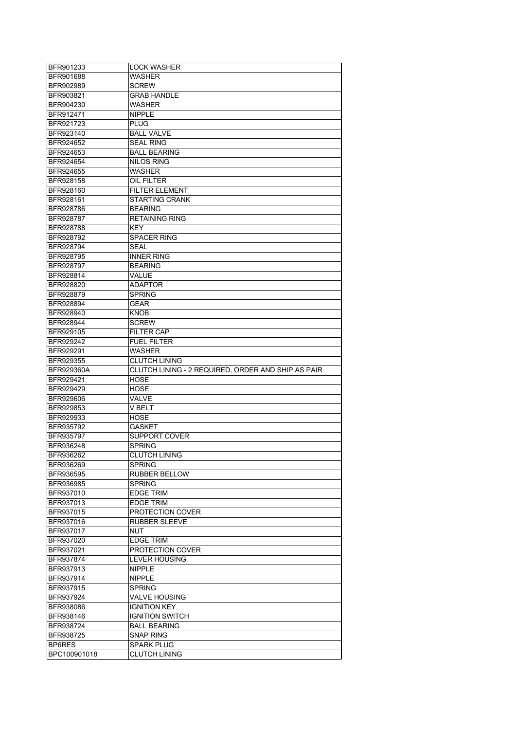| BFR901233                                                                                       | <b>LOCK WASHER</b>                                 |
|-------------------------------------------------------------------------------------------------|----------------------------------------------------|
| BFR901688                                                                                       | <b>WASHER</b>                                      |
| <b>BFR902989</b>                                                                                | <b>SCREW</b>                                       |
| BFR903821                                                                                       | <b>GRAB HANDLE</b>                                 |
| <b>BFR904230</b>                                                                                | <b>WASHER</b>                                      |
| <b>BFR912471</b>                                                                                | <b>NIPPLE</b>                                      |
| <b>BFR921723</b>                                                                                | <b>PLUG</b>                                        |
| <b>BFR923140</b>                                                                                | <b>BALL VALVE</b>                                  |
| BFR924652                                                                                       | <b>SEAL RING</b>                                   |
| BFR924653                                                                                       | <b>BALL BEARING</b>                                |
|                                                                                                 |                                                    |
| <b>BFR924654</b>                                                                                | <b>NILOS RING</b>                                  |
| <b>BFR924655</b>                                                                                | <b>WASHER</b>                                      |
| <b>BFR928158</b>                                                                                | OIL FILTER                                         |
| <b>BFR928160</b>                                                                                | <b>FILTER ELEMENT</b>                              |
| BFR928161                                                                                       | <b>STARTING CRANK</b>                              |
| <b>BFR928786</b>                                                                                | <b>BEARING</b>                                     |
| <b>BFR928787</b>                                                                                | <b>RETAINING RING</b>                              |
| <b>BFR928788</b>                                                                                | KEY.                                               |
| <b>BFR928792</b>                                                                                | <b>SPACER RING</b>                                 |
| <b>BFR928794</b>                                                                                | <b>SEAL</b>                                        |
| <b>BFR928795</b>                                                                                | <b>INNER RING</b>                                  |
| <b>BFR928797</b>                                                                                | <b>BEARING</b>                                     |
| <b>BFR928814</b>                                                                                | VALUE                                              |
| <b>BFR928820</b>                                                                                | <b>ADAPTOR</b>                                     |
| <b>BFR928879</b>                                                                                | <b>SPRING</b>                                      |
| <b>BFR928894</b>                                                                                | <b>GEAR</b>                                        |
| <b>BFR928940</b>                                                                                | <b>KNOB</b>                                        |
| <b>BFR928944</b>                                                                                | <b>SCREW</b>                                       |
| <b>BFR929105</b>                                                                                | <b>FILTER CAP</b>                                  |
|                                                                                                 | <b>FUEL FILTER</b>                                 |
| <b>BFR929242</b>                                                                                |                                                    |
| BFR929291                                                                                       | <b>WASHER</b>                                      |
|                                                                                                 |                                                    |
| <b>BFR929355</b>                                                                                | <b>CLUTCH LINING</b>                               |
| <b>BFR929360A</b>                                                                               | CLUTCH LINING - 2 REQUIRED, ORDER AND SHIP AS PAIR |
| <b>BFR929421</b>                                                                                | HOSE                                               |
| BFR929429                                                                                       | HOSE                                               |
| <b>BFR929606</b>                                                                                | VALVE                                              |
| BFR929853                                                                                       | V BELT                                             |
| <b>BFR929933</b>                                                                                | <b>HOSE</b>                                        |
| <b>BFR935792</b>                                                                                | <b>GASKET</b>                                      |
| BFR935797                                                                                       | <b>SUPPORT COVER</b>                               |
| <b>BFR936248</b>                                                                                | <b>SPRING</b>                                      |
| BFR936262                                                                                       | <b>CLUTCH LINING</b>                               |
| BFR936269                                                                                       | <b>SPRING</b>                                      |
|                                                                                                 | <b>RUBBER BELLOW</b>                               |
|                                                                                                 | <b>SPRING</b>                                      |
| <b>BFR937010</b>                                                                                | <b>EDGE TRIM</b>                                   |
|                                                                                                 |                                                    |
|                                                                                                 | <b>EDGE TRIM</b>                                   |
|                                                                                                 | <b>PROTECTION COVER</b>                            |
|                                                                                                 | <b>RUBBER SLEEVE</b>                               |
| <b>BFR936595</b><br><b>BFR936985</b><br>BFR937013<br>BFR937015<br>BFR937016<br><b>BFR937017</b> | <b>NUT</b>                                         |
| <b>BFR937020</b>                                                                                | <b>EDGE TRIM</b>                                   |
| <b>BFR937021</b>                                                                                | PROTECTION COVER                                   |
| <b>BFR937874</b>                                                                                | <b>LEVER HOUSING</b>                               |
| BFR937913                                                                                       | <b>NIPPLE</b>                                      |
| <b>BFR937914</b>                                                                                | <b>NIPPLE</b>                                      |
| BFR937915                                                                                       | <b>SPRING</b>                                      |
| <b>BFR937924</b>                                                                                | <b>VALVE HOUSING</b>                               |
| <b>BFR938086</b>                                                                                | <b>IGNITION KEY</b>                                |
| BFR938146                                                                                       | <b>IGNITION SWITCH</b>                             |
| <b>BFR938724</b>                                                                                | <b>BALL BEARING</b>                                |
| <b>BFR938725</b>                                                                                | <b>SNAP RING</b>                                   |
| <b>BP6RES</b>                                                                                   | <b>SPARK PLUG</b>                                  |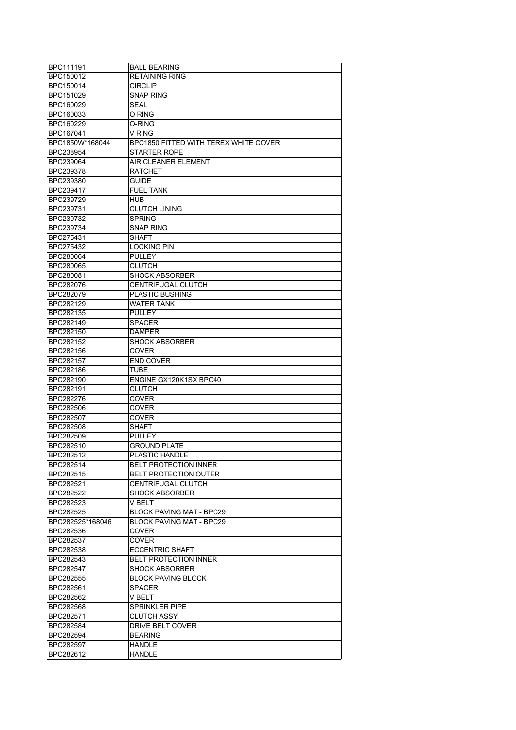| BPC111191        | <b>BALL BEARING</b>                   |
|------------------|---------------------------------------|
| BPC150012        | <b>RETAINING RING</b>                 |
| BPC150014        | <b>CIRCLIP</b>                        |
| <b>BPC151029</b> | <b>SNAP RING</b>                      |
| BPC160029        | SEAL                                  |
| BPC160033        | O RING                                |
| BPC160229        | O-RING                                |
| BPC167041        | V RING                                |
| BPC1850W*168044  | BPC1850 FITTED WITH TEREX WHITE COVER |
| <b>BPC238954</b> | <b>STARTER ROPE</b>                   |
| BPC239064        | AIR CLEANER ELEMENT                   |
| BPC239378        | <b>RATCHET</b>                        |
| <b>BPC239380</b> | <b>GUIDE</b>                          |
| BPC239417        | <b>FUEL TANK</b>                      |
|                  | <b>HUB</b>                            |
| <b>BPC239729</b> |                                       |
| BPC239731        | <b>CLUTCH LINING</b>                  |
| BPC239732        | <b>SPRING</b>                         |
| BPC239734        | <b>SNAP RING</b>                      |
| <b>BPC275431</b> | <b>SHAFT</b>                          |
| <b>BPC275432</b> | <b>LOCKING PIN</b>                    |
| <b>BPC280064</b> | <b>PULLEY</b>                         |
| BPC280065        | CLUTCH                                |
| <b>BPC280081</b> | <b>SHOCK ABSORBER</b>                 |
| BPC282076        | <b>CENTRIFUGAL CLUTCH</b>             |
| BPC282079        | <b>PLASTIC BUSHING</b>                |
| <b>BPC282129</b> | <b>WATER TANK</b>                     |
| <b>BPC282135</b> | PULLEY                                |
| BPC282149        | <b>SPACER</b>                         |
| <b>BPC282150</b> | <b>DAMPER</b>                         |
| BPC282152        | <b>SHOCK ABSORBER</b>                 |
| BPC282156        | <b>COVER</b>                          |
| <b>BPC282157</b> | <b>END COVER</b>                      |
| BPC282186        | TUBE                                  |
| <b>BPC282190</b> | ENGINE GX120K1SX BPC40                |
| BPC282191        | <b>CLUTCH</b>                         |
| BPC282276        | <b>COVER</b>                          |
| <b>BPC282506</b> | COVER                                 |
|                  |                                       |
| <b>BPC282507</b> | COVER                                 |
| BPC282508        | <b>SHAFT</b>                          |
| BPC282509        | <b>PULLEY</b>                         |
| BPC282510        | <b>GROUND PLATE</b>                   |
| <b>BPC282512</b> | <b>PLASTIC HANDLE</b>                 |
| <b>BPC282514</b> | <b>BELT PROTECTION INNER</b>          |
| <b>BPC282515</b> | <b>BELT PROTECTION OUTER</b>          |
| <b>BPC282521</b> | <b>CENTRIFUGAL CLUTCH</b>             |
| <b>BPC282522</b> | <b>SHOCK ABSORBER</b>                 |
| BPC282523        | V BELT                                |
| BPC282525        | BLOCK PAVING MAT - BPC29              |
| BPC282525*168046 | BLOCK PAVING MAT - BPC29              |
| BPC282536        | COVER                                 |
| <b>BPC282537</b> | COVER                                 |
| <b>BPC282538</b> | <b>ECCENTRIC SHAFT</b>                |
| <b>BPC282543</b> | <b>BELT PROTECTION INNER</b>          |
| <b>BPC282547</b> | <b>SHOCK ABSORBER</b>                 |
| <b>BPC282555</b> | <b>BLOCK PAVING BLOCK</b>             |
| <b>BPC282561</b> | SPACER                                |
| <b>BPC282562</b> | V BELT                                |
| BPC282568        | SPRINKLER PIPE                        |
| BPC282571        | <b>CLUTCH ASSY</b>                    |
| <b>BPC282584</b> | DRIVE BELT COVER                      |
| <b>BPC282594</b> | <b>BEARING</b>                        |
| BPC282597        | <b>HANDLE</b>                         |
|                  |                                       |
| BPC282612        | <b>HANDLE</b>                         |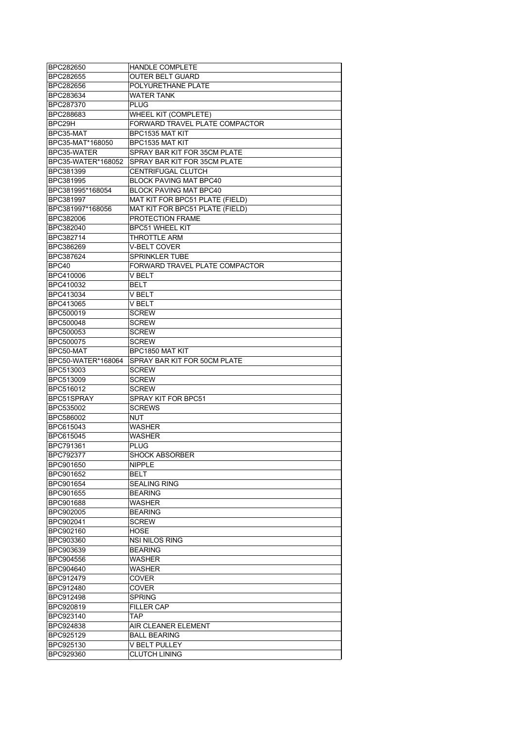| BPC282650              | <b>HANDLE COMPLETE</b>                       |
|------------------------|----------------------------------------------|
| BPC282655              | <b>OUTER BELT GUARD</b>                      |
| BPC282656              | POLYURETHANE PLATE                           |
| BPC283634              | <b>WATER TANK</b>                            |
| BPC287370              | PLUG                                         |
| BPC288683              | <b>WHEEL KIT (COMPLETE)</b>                  |
| BPC29H                 | FORWARD TRAVEL PLATE COMPACTOR               |
| BPC35-MAT              | BPC1535 MAT KIT                              |
| BPC35-MAT*168050       | BPC1535 MAT KIT                              |
| BPC35-WATER            | SPRAY BAR KIT FOR 35CM PLATE                 |
| BPC35-WATER*168052     | SPRAY BAR KIT FOR 35CM PLATE                 |
| BPC381399              | CENTRIFUGAL CLUTCH                           |
| BPC381995              | <b>BLOCK PAVING MAT BPC40</b>                |
| BPC381995*168054       | BLOCK PAVING MAT BPC40                       |
| BPC381997              | MAT KIT FOR BPC51 PLATE (FIELD)              |
| BPC381997*168056       | MAT KIT FOR BPC51 PLATE (FIELD)              |
| BPC382006              | <b>PROTECTION FRAME</b>                      |
| BPC382040              | <b>BPC51 WHEEL KIT</b>                       |
| BPC382714              | <b>THROTTLE ARM</b>                          |
| BPC386269              | <b>V-BELT COVER</b>                          |
| BPC387624              | <b>SPRINKLER TUBE</b>                        |
| BPC40                  | FORWARD TRAVEL PLATE COMPACTOR               |
| BPC410006              | V BELT                                       |
| BPC410032              | BELT                                         |
| BPC413034              | V BELT                                       |
| BPC413065              | V BELT                                       |
| BPC500019              | <b>SCREW</b>                                 |
| BPC500048              | <b>SCREW</b>                                 |
| BPC500053              | <b>SCREW</b>                                 |
| BPC500075              | <b>SCREW</b>                                 |
| BPC50-MAT              | BPC1850 MAT KIT                              |
|                        |                                              |
|                        |                                              |
| BPC50-WATER*168064     | SPRAY BAR KIT FOR 50CM PLATE                 |
| BPC513003              | <b>SCREW</b>                                 |
| BPC513009              | <b>SCREW</b>                                 |
| BPC516012              | <b>SCREW</b>                                 |
| BPC51SPRAY             | SPRAY KIT FOR BPC51                          |
| BPC535002              | <b>SCREWS</b>                                |
| BPC586002              | <b>NUT</b>                                   |
| BPC615043              | WASHER                                       |
| BPC615045              | WASHER                                       |
| BPC791361              | <b>PLUG</b>                                  |
| BPC792377              | <b>SHOCK ABSORBER</b>                        |
| BPC901650              | <b>NIPPLE</b>                                |
| BPC901652              | BELT                                         |
| BPC901654              | <b>SEALING RING</b>                          |
| BPC901655              | <b>BEARING</b>                               |
| BPC901688              | <b>WASHER</b>                                |
| BPC902005              | <b>BEARING</b>                               |
| BPC902041              | <b>SCREW</b>                                 |
| BPC902160              | HOSE                                         |
| BPC903360              | NSI NILOS RING                               |
| BPC903639              | <b>BEARING</b>                               |
| BPC904556              | WASHER                                       |
| BPC904640              | WASHER                                       |
| BPC912479              | COVER                                        |
| BPC912480              | COVER                                        |
| BPC912498              | <b>SPRING</b>                                |
| BPC920819              | <b>FILLER CAP</b>                            |
| BPC923140              | TAP.                                         |
| BPC924838              | AIR CLEANER ELEMENT                          |
| BPC925129              | <b>BALL BEARING</b>                          |
| BPC925130<br>BPC929360 | <b>V BELT PULLEY</b><br><b>CLUTCH LINING</b> |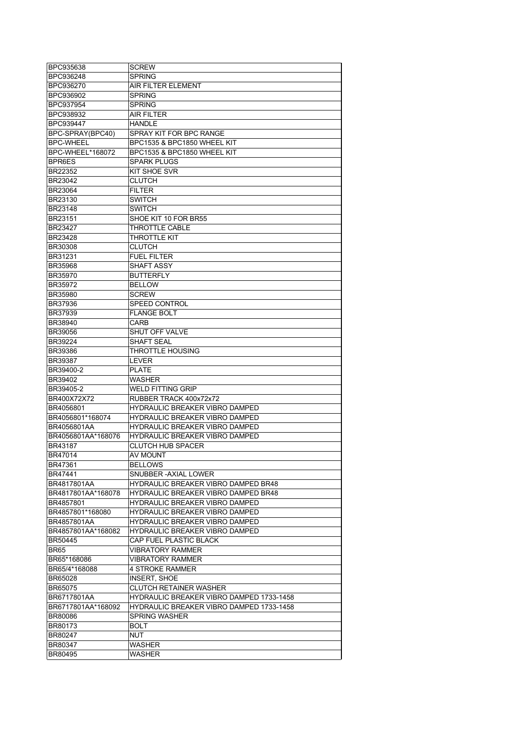| <b>BPC935638</b>   | <b>SCREW</b>                               |
|--------------------|--------------------------------------------|
| BPC936248          | <b>SPRING</b>                              |
| <b>BPC936270</b>   | <b>AIR FILTER ELEMENT</b>                  |
| <b>BPC936902</b>   | <b>SPRING</b>                              |
| BPC937954          | <b>SPRING</b>                              |
| BPC938932          | <b>AIR FILTER</b>                          |
| <b>BPC939447</b>   | <b>HANDLE</b>                              |
| BPC-SPRAY(BPC40)   | SPRAY KIT FOR BPC RANGE                    |
| <b>BPC-WHEEL</b>   | BPC1535 & BPC1850 WHEEL KIT                |
| BPC-WHEEL*168072   | BPC1535 & BPC1850 WHEEL KIT                |
| <b>BPR6ES</b>      | <b>SPARK PLUGS</b>                         |
| <b>BR22352</b>     | KIT SHOE SVR                               |
| BR23042            | <b>CLUTCH</b>                              |
| <b>BR23064</b>     | <b>FILTER</b>                              |
| <b>BR23130</b>     | <b>SWITCH</b>                              |
| <b>BR23148</b>     | <b>SWITCH</b>                              |
| <b>BR23151</b>     | SHOE KIT 10 FOR BR55                       |
| BR23427            | THROTTLE CABLE                             |
| <b>BR23428</b>     | THROTTLE KIT                               |
| <b>BR30308</b>     | <b>CLUTCH</b>                              |
| <b>BR31231</b>     | <b>FUEL FILTER</b>                         |
| BR35968            | SHAFT ASSY                                 |
| <b>BR35970</b>     | <b>BUTTERFLY</b>                           |
| <b>BR35972</b>     | <b>BELLOW</b>                              |
| <b>BR35980</b>     | <b>SCREW</b>                               |
|                    | <b>SPEED CONTROL</b>                       |
| <b>BR37936</b>     |                                            |
| <b>BR37939</b>     | <b>FLANGE BOLT</b>                         |
| BR38940            | CARB                                       |
| <b>BR39056</b>     | <b>SHUT OFF VALVE</b>                      |
| <b>BR39224</b>     | SHAFT SEAL                                 |
| <b>BR39386</b>     | THROTTLE HOUSING                           |
| <b>BR39387</b>     | LEVER                                      |
| BR39400-2          | <b>PLATE</b>                               |
| <b>BR39402</b>     | <b>WASHER</b>                              |
| BR39405-2          | <b>WELD FITTING GRIP</b>                   |
| BR400X72X72        | RUBBER TRACK 400x72x72                     |
| BR4056801          | HYDRAULIC BREAKER VIBRO DAMPED             |
| BR4056801*168074   | HYDRAULIC BREAKER VIBRO DAMPED             |
| BR4056801AA        | HYDRAULIC BREAKER VIBRO DAMPED             |
| BR4056801AA*168076 | <b>HYDRAULIC BREAKER VIBRO DAMPED</b>      |
| <b>BR43187</b>     | <b>CLUTCH HUB SPACER</b>                   |
| <b>BR47014</b>     | AV MOUNT                                   |
| <b>BR47361</b>     | <b>BELLOWS</b>                             |
| <b>BR47441</b>     | SNUBBER - AXIAL LOWER                      |
| BR4817801AA        | <b>HYDRAULIC BREAKER VIBRO DAMPED BR48</b> |
| BR4817801AA*168078 | HYDRAULIC BREAKER VIBRO DAMPED BR48        |
| BR4857801          | <b>HYDRAULIC BREAKER VIBRO DAMPED</b>      |
| BR4857801*168080   | HYDRAULIC BREAKER VIBRO DAMPED             |
| BR4857801AA        | HYDRAULIC BREAKER VIBRO DAMPED             |
| BR4857801AA*168082 | HYDRAULIC BREAKER VIBRO DAMPED             |
| <b>BR50445</b>     | CAP FUEL PLASTIC BLACK                     |
| <b>BR65</b>        | <b>VIBRATORY RAMMER</b>                    |
| BR65*168086        | <b>VIBRATORY RAMMER</b>                    |
| BR65/4*168088      | <b>4 STROKE RAMMER</b>                     |
| <b>BR65028</b>     | <b>INSERT, SHOE</b>                        |
| <b>BR65075</b>     | <b>CLUTCH RETAINER WASHER</b>              |
| BR6717801AA        | HYDRAULIC BREAKER VIBRO DAMPED 1733-1458   |
| BR6717801AA*168092 | HYDRAULIC BREAKER VIBRO DAMPED 1733-1458   |
| <b>BR80086</b>     | <b>SPRING WASHER</b>                       |
| <b>BR80173</b>     | <b>BOLT</b>                                |
| <b>BR80247</b>     | <b>NUT</b>                                 |
| BR80347            | WASHER                                     |
| <b>BR80495</b>     | WASHER                                     |
|                    |                                            |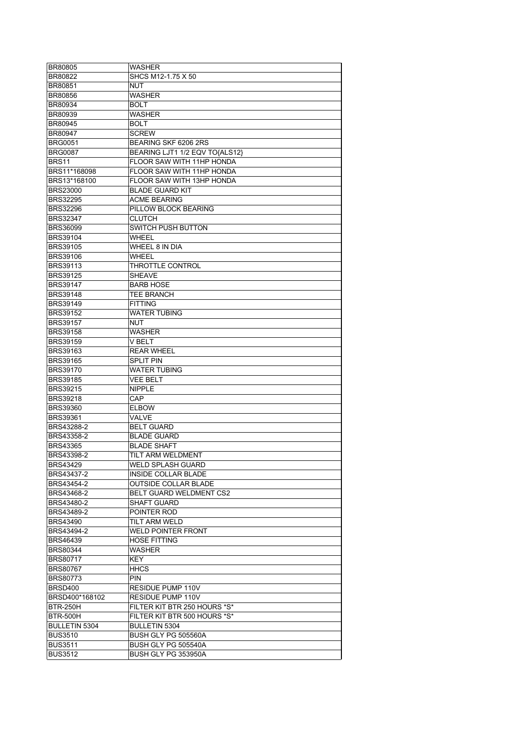| <b>BR80805</b>       | <b>WASHER</b>                  |
|----------------------|--------------------------------|
| BR80822              | SHCS M12-1.75 X 50             |
| BR80851              | <b>NUT</b>                     |
| BR80856              | WASHER                         |
| BR80934              | <b>BOLT</b>                    |
| BR80939              | WASHER                         |
| BR80945              | BOLT                           |
| BR80947              | <b>SCREW</b>                   |
| <b>BRG0051</b>       | BEARING SKF 6206 2RS           |
| BRG0087              | BEARING LJT1 1/2 EQV TO{ALS12} |
| BRS <sub>11</sub>    | FLOOR SAW WITH 11HP HONDA      |
| BRS11*168098         | FLOOR SAW WITH 11HP HONDA      |
| BRS13*168100         | FLOOR SAW WITH 13HP HONDA      |
| <b>BRS23000</b>      | <b>BLADE GUARD KIT</b>         |
| <b>BRS32295</b>      | ACME BEARING                   |
| BRS32296             | PILLOW BLOCK BEARING           |
| BRS32347             | <b>CLUTCH</b>                  |
| <b>BRS36099</b>      | SWITCH PUSH BUTTON             |
| <b>BRS39104</b>      | <b>WHEEL</b>                   |
| <b>BRS39105</b>      | WHEEL 8 IN DIA                 |
| <b>BRS39106</b>      | WHEEL                          |
| <b>BRS39113</b>      | THROTTLE CONTROL               |
| <b>BRS39125</b>      | <b>SHEAVE</b>                  |
| <b>BRS39147</b>      | <b>BARB HOSE</b>               |
| <b>BRS39148</b>      | <b>TEE BRANCH</b>              |
|                      |                                |
| BRS39149             | <b>FITTING</b>                 |
| BRS39152             | WATER TUBING                   |
| <b>BRS39157</b>      | <b>NUT</b>                     |
| <b>BRS39158</b>      | WASHER                         |
| <b>BRS39159</b>      | V BELT                         |
| <b>BRS39163</b>      | <b>REAR WHEEL</b>              |
| BRS39165             | <b>SPLIT PIN</b>               |
| <b>BRS39170</b>      | WATER TUBING                   |
| <b>BRS39185</b>      | <b>VEE BELT</b>                |
| <b>BRS39215</b>      | <b>NIPPLE</b>                  |
| <b>BRS39218</b>      | CAP                            |
| BRS39360             | <b>ELBOW</b>                   |
| <b>BRS39361</b>      | VALVE                          |
| BRS43288-2           | <b>BELT GUARD</b>              |
| BRS43358-2           | <b>BLADE GUARD</b>             |
| <b>BRS43365</b>      | <b>BLADE SHAFT</b>             |
| BRS43398-2           | TILT ARM WELDMENT              |
| <b>BRS43429</b>      | WELD SPLASH GUARD              |
| BRS43437-2           | <b>INSIDE COLLAR BLADE</b>     |
| BRS43454-2           | <b>OUTSIDE COLLAR BLADE</b>    |
| BRS43468-2           | BELT GUARD WELDMENT CS2        |
| BRS43480-2           | <b>SHAFT GUARD</b>             |
| BRS43489-2           | POINTER ROD                    |
| <b>BRS43490</b>      | TILT ARM WELD                  |
| BRS43494-2           | <b>WELD POINTER FRONT</b>      |
| <b>BRS46439</b>      | HOSE FITTING                   |
| BRS80344             | <b>WASHER</b>                  |
| <b>BRS80717</b>      | <b>KEY</b>                     |
| BRS80767             | <b>HHCS</b>                    |
| <b>BRS80773</b>      | PIN                            |
| BRSD400              | RESIDUE PUMP 110V              |
| BRSD400*168102       | RESIDUE PUMP 110V              |
| <b>BTR-250H</b>      | FILTER KIT BTR 250 HOURS *S*   |
| <b>BTR-500H</b>      | FILTER KIT BTR 500 HOURS *S*   |
| <b>BULLETIN 5304</b> | BULLETIN 5304                  |
| <b>BUS3510</b>       | BUSH GLY PG 505560A            |
| <b>BUS3511</b>       | BUSH GLY PG 505540A            |
| <b>BUS3512</b>       | BUSH GLY PG 353950A            |
|                      |                                |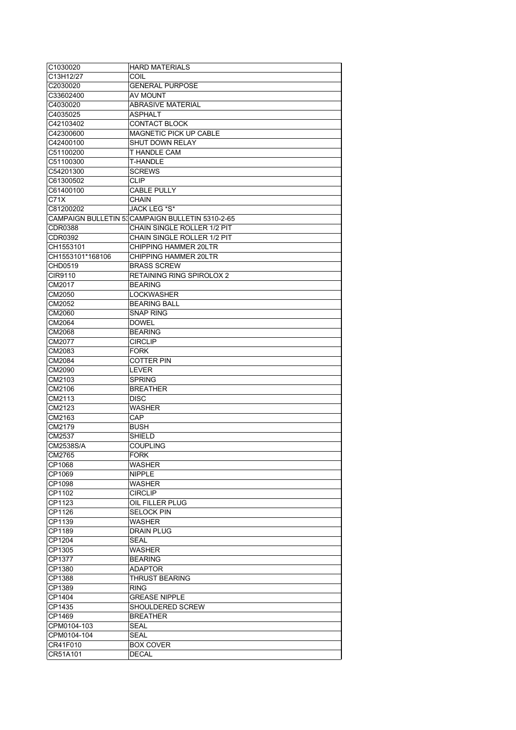| C1030020         | <b>HARD MATERIALS</b>                            |
|------------------|--------------------------------------------------|
| C13H12/27        | COIL                                             |
| C2030020         | <b>GENERAL PURPOSE</b>                           |
| C33602400        | AV MOUNT                                         |
| C4030020         | ABRASIVE MATERIAL                                |
| C4035025         | ASPHALT                                          |
| C42103402        | <b>CONTACT BLOCK</b>                             |
| C42300600        | MAGNETIC PICK UP CABLE                           |
| C42400100        | <b>SHUT DOWN RELAY</b>                           |
|                  | T HANDLE CAM                                     |
| C51100200        |                                                  |
| C51100300        | T-HANDLE                                         |
| C54201300        | <b>SCREWS</b>                                    |
| C61300502        | <b>CLIP</b>                                      |
| C61400100        | <b>CABLE PULLY</b>                               |
| C71X             | <b>CHAIN</b>                                     |
| C81200202        | JACK LEG *S*                                     |
|                  | CAMPAIGN BULLETIN 53 CAMPAIGN BULLETIN 5310-2-65 |
| CDR0388          | CHAIN SINGLE ROLLER 1/2 PIT                      |
| CDR0392          | CHAIN SINGLE ROLLER 1/2 PIT                      |
| CH1553101        | CHIPPING HAMMER 20LTR                            |
| CH1553101*168106 | <b>CHIPPING HAMMER 20LTR</b>                     |
| CHD0519          | <b>BRASS SCREW</b>                               |
| CIR9110          | <b>RETAINING RING SPIROLOX 2</b>                 |
| CM2017           | <b>BEARING</b>                                   |
| CM2050           | <b>LOCKWASHER</b>                                |
| CM2052           | <b>BEARING BALL</b>                              |
| CM2060           | SNAP RING                                        |
|                  |                                                  |
| CM2064           | <b>DOWEL</b>                                     |
| CM2068           | <b>BEARING</b>                                   |
| CM2077           | <b>CIRCLIP</b>                                   |
| CM2083           | <b>FORK</b>                                      |
| CM2084           | <b>COTTER PIN</b>                                |
| CM2090           | LEVER                                            |
| CM2103           | <b>SPRING</b>                                    |
| CM2106           | <b>BREATHER</b>                                  |
| CM2113           | <b>DISC</b>                                      |
| CM2123           | <b>WASHER</b>                                    |
| CM2163           | CAP                                              |
| CM2179           | <b>BUSH</b>                                      |
| CM2537           | SHIELD                                           |
| CM2538S/A        | <b>COUPLING</b>                                  |
| CM2765           | <b>FORK</b>                                      |
| CP1068           | WASHER                                           |
| CP1069           | <b>NIPPLE</b>                                    |
| CP1098           | <b>WASHER</b>                                    |
| CP1102           | <b>CIRCLIP</b>                                   |
|                  |                                                  |
| CP1123           | OIL FILLER PLUG                                  |
| CP1126           | <b>SELOCK PIN</b>                                |
| CP1139           | WASHER                                           |
| CP1189           | DRAIN PLUG                                       |
| CP1204           | SEAL                                             |
| CP1305           | WASHER                                           |
| CP1377           | <b>BEARING</b>                                   |
| CP1380           | <b>ADAPTOR</b>                                   |
| CP1388           | THRUST BEARING                                   |
| CP1389           | <b>RING</b>                                      |
| CP1404           | <b>GREASE NIPPLE</b>                             |
| CP1435           | SHOULDERED SCREW                                 |
| CP1469           | <b>BREATHER</b>                                  |
| CPM0104-103      | <b>SEAL</b>                                      |
| CPM0104-104      | SEAL                                             |
| CR41F010         | <b>BOX COVER</b>                                 |
| CR51A101         |                                                  |
|                  | DECAL                                            |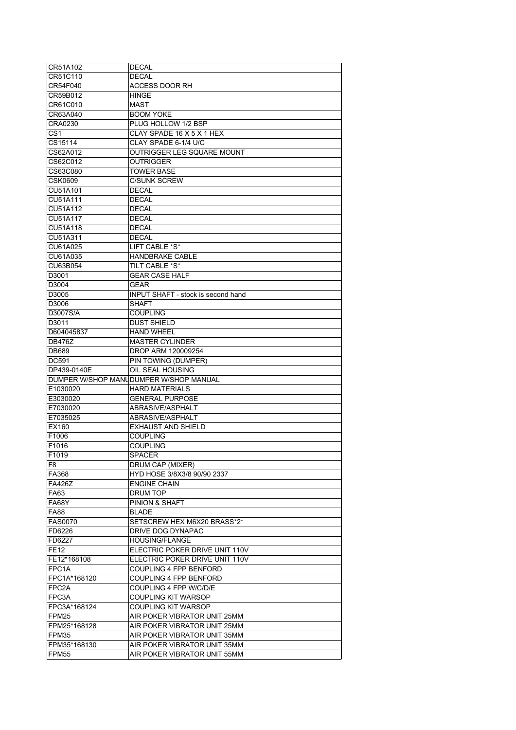| CR51A102         | <b>DECAL</b>                                                 |
|------------------|--------------------------------------------------------------|
| CR51C110         | <b>DECAL</b>                                                 |
| CR54F040         | ACCESS DOOR RH                                               |
| CR59B012         | HINGE                                                        |
| CR61C010         | <b>MAST</b>                                                  |
| CR63A040         | <b>BOOM YOKE</b>                                             |
| CRA0230          | PLUG HOLLOW 1/2 BSP                                          |
| CS1              | CLAY SPADE 16 X 5 X 1 HEX                                    |
| CS15114          | CLAY SPADE 6-1/4 U/C                                         |
| CS62A012         | OUTRIGGER LEG SQUARE MOUNT                                   |
| CS62C012         | <b>OUTRIGGER</b>                                             |
| CS63C080         | <b>TOWER BASE</b>                                            |
| CSK0609          | <b>C/SUNK SCREW</b>                                          |
| CU51A101         | <b>DECAL</b>                                                 |
| CU51A111         | <b>DECAL</b>                                                 |
| CU51A112         | <b>DECAL</b>                                                 |
| CU51A117         | <b>DECAL</b>                                                 |
| CU51A118         | <b>DECAL</b>                                                 |
| CU51A311         | <b>DECAL</b>                                                 |
| CU61A025         | LIFT CABLE *S*                                               |
| CU61A035         | <b>HANDBRAKE CABLE</b>                                       |
| CU63B054         | TILT CABLE *S*                                               |
| D3001            | <b>GEAR CASE HALF</b>                                        |
| D3004            | <b>GEAR</b>                                                  |
| D3005            | INPUT SHAFT - stock is second hand                           |
| D3006            | <b>SHAFT</b>                                                 |
| D3007S/A         | <b>COUPLING</b>                                              |
| D3011            | <b>DUST SHIELD</b>                                           |
|                  |                                                              |
| D604045837       | <b>HAND WHEEL</b>                                            |
| <b>DB476Z</b>    | <b>MASTER CYLINDER</b>                                       |
| DB689            | DROP ARM 120009254<br>PIN TOWING (DUMPER)                    |
| DC591            |                                                              |
|                  |                                                              |
| DP439-0140E      | OIL SEAL HOUSING                                             |
|                  | DUMPER W/SHOP MANUDUMPER W/SHOP MANUAL                       |
| E1030020         | <b>HARD MATERIALS</b>                                        |
| E3030020         | <b>GENERAL PURPOSE</b>                                       |
| E7030020         | ABRASIVE/ASPHALT                                             |
| E7035025         | ABRASIVE/ASPHALT                                             |
| EX160            | <b>EXHAUST AND SHIELD</b>                                    |
| F1006            | <b>COUPLING</b>                                              |
| F1016            | <b>COUPLING</b>                                              |
| F1019            | <b>SPACER</b>                                                |
| F8               | DRUM CAP (MIXER)                                             |
| FA368            | HYD HOSE 3/8X3/8 90/90 2337                                  |
| <b>FA426Z</b>    | <b>ENGINE CHAIN</b>                                          |
| FA63             | DRUM TOP                                                     |
| <b>FA68Y</b>     | PINION & SHAFT                                               |
| <b>FA88</b>      | <b>BLADE</b>                                                 |
| FAS0070          | SETSCREW HEX M6X20 BRASS*2*                                  |
| FD6226           | DRIVE DOG DYNAPAC                                            |
| FD6227           | <b>HOUSING/FLANGE</b>                                        |
| F <sub>E12</sub> | ELECTRIC POKER DRIVE UNIT 110V                               |
| FE12*168108      | ELECTRIC POKER DRIVE UNIT 110V                               |
| FPC1A            | COUPLING 4 FPP BENFORD                                       |
| FPC1A*168120     | COUPLING 4 FPP BENFORD                                       |
| FPC2A            | COUPLING 4 FPP W/C/D/E                                       |
| FPC3A            | <b>COUPLING KIT WARSOP</b>                                   |
| FPC3A*168124     | <b>COUPLING KIT WARSOP</b>                                   |
| FPM25            | AIR POKER VIBRATOR UNIT 25MM                                 |
| FPM25*168128     | AIR POKER VIBRATOR UNIT 25MM                                 |
| FPM35            | AIR POKER VIBRATOR UNIT 35MM                                 |
| FPM35*168130     | AIR POKER VIBRATOR UNIT 35MM<br>AIR POKER VIBRATOR UNIT 55MM |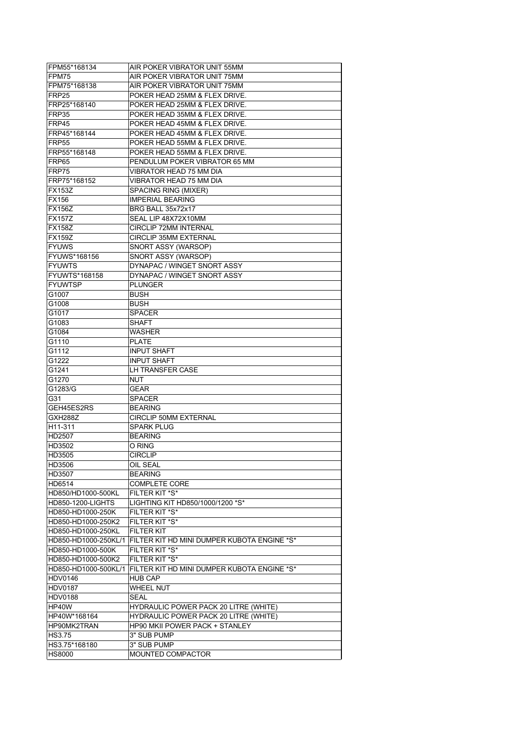| FPM55*168134                   | AIR POKER VIBRATOR UNIT 55MM                |
|--------------------------------|---------------------------------------------|
| FPM75                          | AIR POKER VIBRATOR UNIT 75MM                |
| FPM75*168138                   | AIR POKER VIBRATOR UNIT 75MM                |
| FRP <sub>25</sub>              | POKER HEAD 25MM & FLEX DRIVE.               |
| FRP25*168140                   | POKER HEAD 25MM & FLEX DRIVE.               |
| <b>FRP35</b>                   | POKER HEAD 35MM & FLEX DRIVE.               |
| FRP45                          | POKER HEAD 45MM & FLEX DRIVE.               |
|                                |                                             |
| FRP45*168144                   | POKER HEAD 45MM & FLEX DRIVE.               |
| <b>FRP55</b>                   | POKER HEAD 55MM & FLEX DRIVE.               |
| FRP55*168148                   | POKER HEAD 55MM & FLEX DRIVE.               |
| FRP65                          | PENDULUM POKER VIBRATOR 65 MM               |
| FRP75                          | VIBRATOR HEAD 75 MM DIA                     |
| FRP75*168152                   | VIBRATOR HEAD 75 MM DIA                     |
| <b>FX153Z</b>                  | <b>SPACING RING (MIXER)</b>                 |
| <b>FX156</b>                   | <b>IMPERIAL BEARING</b>                     |
| <b>FX156Z</b>                  | BRG BALL 35x72x17                           |
| <b>FX157Z</b>                  | SEAL LIP 48X72X10MM                         |
| <b>FX158Z</b>                  | <b>CIRCLIP 72MM INTERNAL</b>                |
| <b>FX159Z</b>                  | <b>CIRCLIP 35MM EXTERNAL</b>                |
| <b>FYUWS</b>                   | SNORT ASSY (WARSOP)                         |
|                                |                                             |
| FYUWS*168156                   | SNORT ASSY (WARSOP)                         |
| <b>FYUWTS</b>                  | DYNAPAC / WINGET SNORT ASSY                 |
| FYUWTS*168158                  | DYNAPAC / WINGET SNORT ASSY                 |
| <b>FYUWTSP</b>                 | <b>PLUNGER</b>                              |
| G1007                          | <b>BUSH</b>                                 |
| G1008                          | BUSH                                        |
| G1017                          | SPACER                                      |
| G1083                          | <b>SHAFT</b>                                |
| G1084                          | WASHER                                      |
| G1110                          | <b>PLATE</b>                                |
| G1112                          | <b>INPUT SHAFT</b>                          |
| G1222                          | <b>INPUT SHAFT</b>                          |
| G1241                          |                                             |
|                                |                                             |
|                                | LH TRANSFER CASE                            |
| G1270                          | <b>NUT</b>                                  |
| G1283/G                        | GEAR                                        |
| G31                            | SPACER                                      |
| GEH45ES2RS                     | <b>BEARING</b>                              |
| GXH288Z                        | <b>CIRCLIP 50MM EXTERNAL</b>                |
| H11-311                        | SPARK PLUG                                  |
| HD2507                         | <b>BEARING</b>                              |
| HD3502                         | O RING                                      |
| HD3505                         | <b>CIRCLIP</b>                              |
| HD3506                         | OIL SEAL                                    |
| HD3507                         | <b>BEARING</b>                              |
| HD6514                         |                                             |
|                                | <b>COMPLETE CORE</b>                        |
| HD850/HD1000-500KL             | FILTER KIT *S*                              |
| <b>HD850-1200-LIGHTS</b>       | LIGHTING KIT HD850/1000/1200 *S*            |
| HD850-HD1000-250K              | FILTER KIT *S*                              |
| HD850-HD1000-250K2             | FILTER KIT *S*                              |
| HD850-HD1000-250KL             | <b>FILTER KIT</b>                           |
| HD850-HD1000-250KL/1           | FILTER KIT HD MINI DUMPER KUBOTA ENGINE *S* |
| HD850-HD1000-500K              | FILTER KIT *S*                              |
| HD850-HD1000-500K2             | FILTER KIT *S*                              |
| HD850-HD1000-500KL/1           | FILTER KIT HD MINI DUMPER KUBOTA ENGINE *S* |
| HDV0146                        | <b>HUB CAP</b>                              |
| <b>HDV0187</b>                 | <b>WHEEL NUT</b>                            |
| <b>HDV0188</b>                 | <b>SEAL</b>                                 |
| HP40W                          |                                             |
|                                | HYDRAULIC POWER PACK 20 LITRE (WHITE)       |
| HP40W*168164                   | HYDRAULIC POWER PACK 20 LITRE (WHITE)       |
| HP90MK2TRAN                    | HP90 MKII POWER PACK + STANLEY              |
| <b>HS3.75</b>                  | 3" SUB PUMP                                 |
| HS3.75*168180<br><b>HS8000</b> | 3" SUB PUMP<br>MOUNTED COMPACTOR            |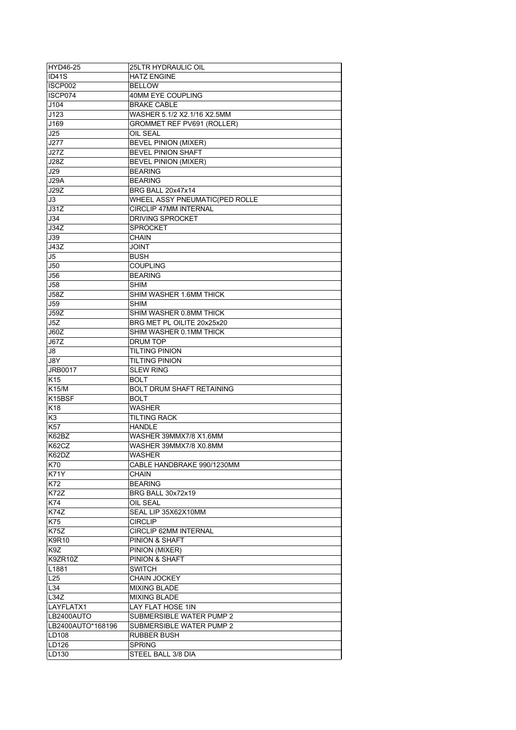| HYD46-25          | <b>25LTR HYDRAULIC OIL</b>        |
|-------------------|-----------------------------------|
| <b>ID41S</b>      | <b>HATZ ENGINE</b>                |
| ISCP002           | <b>BELLOW</b>                     |
| ISCP074           | 40MM EYE COUPLING                 |
| J104              | <b>BRAKE CABLE</b>                |
| J123              | WASHER 5.1/2 X2.1/16 X2.5MM       |
| J169              | <b>GROMMET REF PV691 (ROLLER)</b> |
| J25               | OIL SEAL                          |
| J277              | <b>BEVEL PINION (MIXER)</b>       |
| J27Z              | <b>BEVEL PINION SHAFT</b>         |
| J28Z              | <b>BEVEL PINION (MIXER)</b>       |
| J29               | <b>BEARING</b>                    |
| <b>J29A</b>       | <b>BEARING</b>                    |
| J29Z              | BRG BALL 20x47x14                 |
| J3                | WHEEL ASSY PNEUMATIC(PED ROLLE    |
| J31Z              | <b>CIRCLIP 47MM INTERNAL</b>      |
| <b>J34</b>        | DRIVING SPROCKET                  |
| J34Z              | <b>SPROCKET</b>                   |
| J39               | <b>CHAIN</b>                      |
| J43Z              | JOINT                             |
| J5                | <b>BUSH</b>                       |
| J50               | <b>COUPLING</b>                   |
| J56               | <b>BEARING</b>                    |
| <b>J58</b>        | <b>SHIM</b>                       |
| <b>J58Z</b>       | SHIM WASHER 1.6MM THICK           |
| <b>J59</b>        | <b>SHIM</b>                       |
| <b>J59Z</b>       | SHIM WASHER 0.8MM THICK           |
|                   |                                   |
| J5Z               | BRG MET PL OILITE 20x25x20        |
| J60Z              | SHIM WASHER 0.1MM THICK           |
| <b>J67Z</b>       | <b>DRUM TOP</b>                   |
| J8                | <b>TILTING PINION</b>             |
| J8Y               | <b>TILTING PINION</b>             |
| <b>JRB0017</b>    | <b>SLEW RING</b>                  |
| K <sub>15</sub>   | <b>BOLT</b>                       |
| <b>K15/M</b>      | <b>BOLT DRUM SHAFT RETAINING</b>  |
| K15BSF            | <b>BOLT</b>                       |
| K18               | <b>WASHER</b>                     |
| K3                | TILTING RACK                      |
| K <sub>57</sub>   | <b>HANDLE</b>                     |
| K62BZ             | WASHER 39MMX7/8 X1.6MM            |
| K62CZ             | WASHER 39MMX7/8 X0.8MM            |
| K62DZ             | <b>WASHER</b>                     |
| K70               | CABLE HANDBRAKE 990/1230MM        |
| <b>K71Y</b>       | <b>CHAIN</b>                      |
| K72               | <b>BEARING</b>                    |
| <b>K72Z</b>       | <b>BRG BALL 30x72x19</b>          |
| K74               | OIL SEAL                          |
| $K74\overline{Z}$ | SEAL LIP 35X62X10MM               |
| K75               | <b>CIRCLIP</b>                    |
| <b>K75Z</b>       | <b>CIRCLIP 62MM INTERNAL</b>      |
| K9R10             | PINION & SHAFT                    |
| K9Z               | PINION (MIXER)                    |
| K9ZR10Z           | PINION & SHAFT                    |
| L1881             | <b>SWITCH</b>                     |
| L25               | <b>CHAIN JOCKEY</b>               |
| L34               | <b>MIXING BLADE</b>               |
| L34Z              | <b>MIXING BLADE</b>               |
| LAYFLATX1         | LAY FLAT HOSE 1IN                 |
| LB2400AUTO        | SUBMERSIBLE WATER PUMP 2          |
| LB2400AUTO*168196 | SUBMERSIBLE WATER PUMP 2          |
| LD108             | <b>RUBBER BUSH</b>                |
| LD126             | <b>SPRING</b>                     |
| LD130             | STEEL BALL 3/8 DIA                |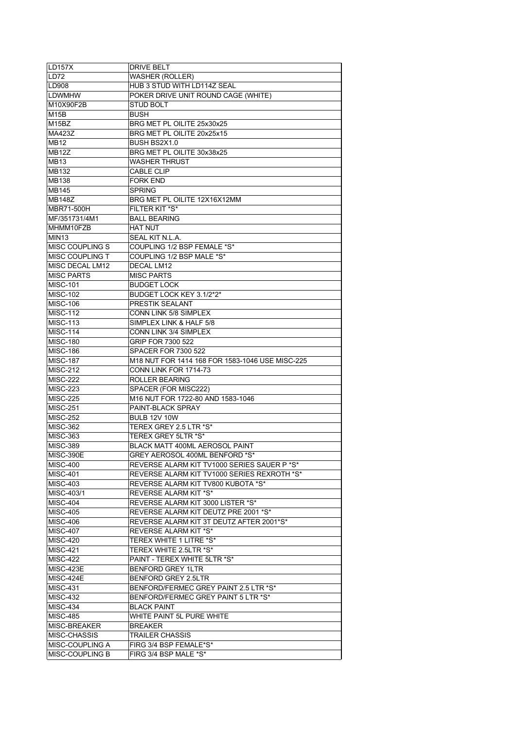| LD157X                 | <b>DRIVE BELT</b>                               |
|------------------------|-------------------------------------------------|
| <b>LD72</b>            | <b>WASHER (ROLLER)</b>                          |
| LD908                  | HUB 3 STUD WITH LD114Z SEAL                     |
| <b>LDWMHW</b>          | POKER DRIVE UNIT ROUND CAGE (WHITE)             |
| M10X90F2B              | STUD BOLT                                       |
| <b>M15B</b>            | <b>BUSH</b>                                     |
| M <sub>15</sub> BZ     | BRG MET PL OILITE 25x30x25                      |
| <b>MA423Z</b>          | BRG MET PL OILITE 20x25x15                      |
| <b>MB12</b>            | BUSH BS2X1.0                                    |
| MB <sub>12</sub> Z     | BRG MET PL OILITE 30x38x25                      |
| <b>MB13</b>            | <b>WASHER THRUST</b>                            |
|                        | CABLE CLIP                                      |
| <b>MB132</b>           |                                                 |
| <b>MB138</b>           | <b>FORK END</b>                                 |
| <b>MB145</b>           | <b>SPRING</b>                                   |
| <b>MB148Z</b>          | BRG MET PL OILITE 12X16X12MM                    |
| <b>MBR71-500H</b>      | FILTER KIT *S*                                  |
| MF/351731/4M1          | <b>BALL BEARING</b>                             |
| MHMM10FZB              | <b>HAT NUT</b>                                  |
| MIN <sub>13</sub>      | SEAL KIT N.L.A.                                 |
| MISC COUPLING S        | COUPLING 1/2 BSP FEMALE *S*                     |
| <b>MISC COUPLING T</b> | COUPLING 1/2 BSP MALE *S*                       |
| MISC DECAL LM12        | DECAL LM12                                      |
| <b>MISC PARTS</b>      | <b>MISC PARTS</b>                               |
| <b>MISC-101</b>        | <b>BUDGET LOCK</b>                              |
| <b>MISC-102</b>        | BUDGET LOCK KEY 3.1/2*2*                        |
| <b>MISC-106</b>        | PRESTIK SEALANT                                 |
| <b>MISC-112</b>        | CONN LINK 5/8 SIMPLEX                           |
| <b>MISC-113</b>        | SIMPLEX LINK & HALF 5/8                         |
| <b>MISC-114</b>        | <b>CONN LINK 3/4 SIMPLEX</b>                    |
| <b>MISC-180</b>        | GRIP FOR 7300 522                               |
| <b>MISC-186</b>        | <b>SPACER FOR 7300 522</b>                      |
| <b>MISC-187</b>        | M18 NUT FOR 1414 168 FOR 1583-1046 USE MISC-225 |
| <b>MISC-212</b>        | CONN LINK FOR 1714-73                           |
|                        | <b>ROLLER BEARING</b>                           |
| <b>MISC-222</b>        |                                                 |
| <b>MISC-223</b>        | SPACER (FOR MISC222)                            |
| <b>MISC-225</b>        | M16 NUT FOR 1722-80 AND 1583-1046               |
| <b>MISC-251</b>        | PAINT-BLACK SPRAY                               |
| <b>MISC-252</b>        | <b>BULB 12V 10W</b>                             |
| <b>MISC-362</b>        | TEREX GREY 2.5 LTR *S*                          |
| <b>MISC-363</b>        | TEREX GREY 5LTR *S*                             |
| <b>MISC-389</b>        | BLACK MATT 400ML AEROSOL PAINT                  |
| MISC-390E              | GREY AEROSOL 400ML BENFORD *S*                  |
| MISC-400               | REVERSE ALARM KIT TV1000 SERIES SAUER P *S*     |
| <b>MISC-401</b>        | REVERSE ALARM KIT TV1000 SERIES REXROTH *S*     |
| <b>MISC-403</b>        | REVERSE ALARM KIT TV800 KUBOTA *S*              |
| MISC-403/1             | REVERSE ALARM KIT *S*                           |
| <b>MISC-404</b>        | REVERSE ALARM KIT 3000 LISTER *S*               |
| <b>MISC-405</b>        | REVERSE ALARM KIT DEUTZ PRE 2001 *S*            |
| <b>MISC-406</b>        | REVERSE ALARM KIT 3T DEUTZ AFTER 2001*S*        |
| <b>MISC-407</b>        | REVERSE ALARM KIT *S*                           |
| <b>MISC-420</b>        | TEREX WHITE 1 LITRE *S*                         |
| <b>MISC-421</b>        | TEREX WHITE 2.5LTR *S*                          |
| <b>MISC-422</b>        | PAINT - TEREX WHITE 5LTR *S*                    |
| MISC-423E              | <b>BENFORD GREY 1LTR</b>                        |
| MISC-424E              | BENFORD GREY 2.5LTR                             |
| <b>MISC-431</b>        | BENFORD/FERMEC GREY PAINT 2.5 LTR *S*           |
|                        | BENFORD/FERMEC GREY PAINT 5 LTR *S*             |
| <b>MISC-432</b>        |                                                 |
| MISC-434               | <b>BLACK PAINT</b>                              |
| <b>MISC-485</b>        | WHITE PAINT 5L PURE WHITE                       |
| MISC-BREAKER           | BREAKER                                         |
| <b>MISC-CHASSIS</b>    | TRAILER CHASSIS                                 |
| MISC-COUPLING A        | FIRG 3/4 BSP FEMALE*S*                          |
| MISC-COUPLING B        | FIRG 3/4 BSP MALE *S*                           |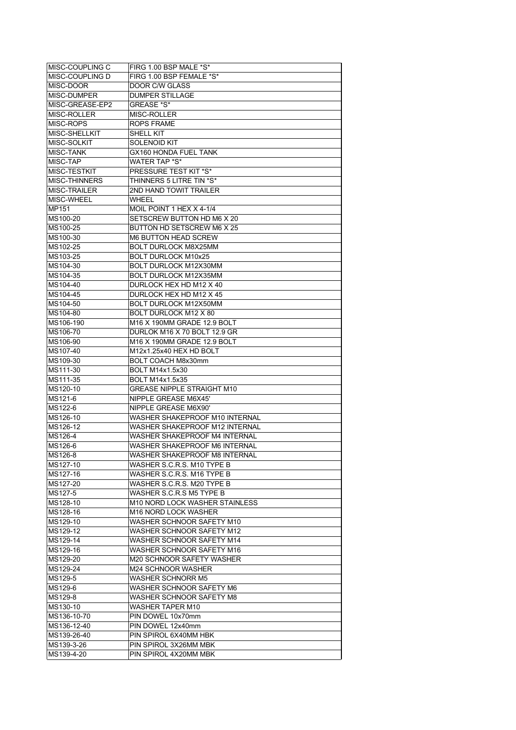| MISC-COUPLING C         | FIRG 1.00 BSP MALE *S*                |
|-------------------------|---------------------------------------|
| MISC-COUPLING D         | FIRG 1.00 BSP FEMALE *S*              |
| MISC-DOOR               | DOOR C/W GLASS                        |
| MISC-DUMPER             | <b>DUMPER STILLAGE</b>                |
| MISC-GREASE-EP2         | GREASE *S*                            |
| MISC-ROLLER             | MISC-ROLLER                           |
| MISC-ROPS               | <b>ROPS FRAME</b>                     |
| MISC-SHELLKIT           | SHELL KIT                             |
| MISC-SOLKIT             | <b>SOLENOID KIT</b>                   |
| MISC-TANK               | <b>GX160 HONDA FUEL TANK</b>          |
| MISC-TAP                | WATER TAP *S*                         |
| MISC-TESTKIT            | PRESSURE TEST KIT *S*                 |
| MISC-THINNERS           | THINNERS 5 LITRE TIN *S*              |
| <b>MISC-TRAILER</b>     | 2ND HAND TOWIT TRAILER                |
| MISC-WHEEL              | <b>WHEEL</b>                          |
| MP151                   | MOIL POINT 1 HEX X 4-1/4              |
| MS100-20                | SETSCREW BUTTON HD M6 X 20            |
| MS100-25                | BUTTON HD SETSCREW M6 X 25            |
| MS100-30                | M6 BUTTON HEAD SCREW                  |
| MS102-25                | BOLT DURLOCK M8X25MM                  |
| MS103-25                | <b>BOLT DURLOCK M10x25</b>            |
| MS104-30                | <b>BOLT DURLOCK M12X30MM</b>          |
| MS104-35                | <b>BOLT DURLOCK M12X35MM</b>          |
| MS104-40                | DURLOCK HEX HD M12 X 40               |
| MS104-45                | DURLOCK HEX HD M12 X 45               |
| MS104-50                | <b>BOLT DURLOCK M12X50MM</b>          |
| MS104-80                | BOLT DURLOCK M12 X 80                 |
| MS106-190               | M16 X 190MM GRADE 12.9 BOLT           |
| MS106-70                | DURLOK M16 X 70 BOLT 12.9 GR          |
| MS106-90                | M16 X 190MM GRADE 12.9 BOLT           |
| MS107-40                | M12x1.25x40 HEX HD BOLT               |
| MS109-30                | BOLT COACH M8x30mm                    |
| MS111-30                | <b>BOLT M14x1.5x30</b>                |
| MS111-35                | <b>BOLT M14x1.5x35</b>                |
| MS120-10                | <b>GREASE NIPPLE STRAIGHT M10</b>     |
| MS121-6                 | NIPPLE GREASE M6X45'                  |
| MS122-6                 | NIPPLE GREASE M6X90'                  |
| MS126-10                | WASHER SHAKEPROOF M10 INTERNAL        |
| MS126-12                | WASHER SHAKEPROOF M12 INTERNAL        |
| MS126-4                 | <b>WASHER SHAKEPROOF M4 INTERNAL</b>  |
| MS126-6                 | WASHER SHAKEPROOF M6 INTERNAL         |
| MS126-8                 | WASHER SHAKEPROOF M8 INTERNAL         |
| MS127-10                | WASHER S.C.R.S. M10 TYPE B            |
| MS127-16                | WASHER S.C.R.S. M16 TYPE B            |
| MS127-20                | WASHER S.C.R.S. M20 TYPE B            |
| MS127-5                 | WASHER S.C.R.S M5 TYPE B              |
| MS128-10                | M10 NORD LOCK WASHER STAINLESS        |
| MS128-16                | M16 NORD LOCK WASHER                  |
| MS129-10                | WASHER SCHNOOR SAFETY M10             |
| MS129-12                | WASHER SCHNOOR SAFETY M12             |
| MS129-14                | WASHER SCHNOOR SAFETY M14             |
| MS129-16                | WASHER SCHNOOR SAFETY M16             |
| MS129-20                | M20 SCHNOOR SAFETY WASHER             |
| MS129-24                | M24 SCHNOOR WASHER                    |
| MS129-5                 | <b>WASHER SCHNORR M5</b>              |
| MS129-6                 | WASHER SCHNOOR SAFETY M6              |
| MS129-8                 | WASHER SCHNOOR SAFETY M8              |
|                         |                                       |
| MS130-10<br>MS136-10-70 | WASHER TAPER M10<br>PIN DOWEL 10x70mm |
|                         |                                       |
| MS136-12-40             | PIN DOWEL 12x40mm                     |
| MS139-26-40             | PIN SPIROL 6X40MM HBK                 |
| MS139-3-26              | PIN SPIROL 3X26MM MBK                 |
| MS139-4-20              | PIN SPIROL 4X20MM MBK                 |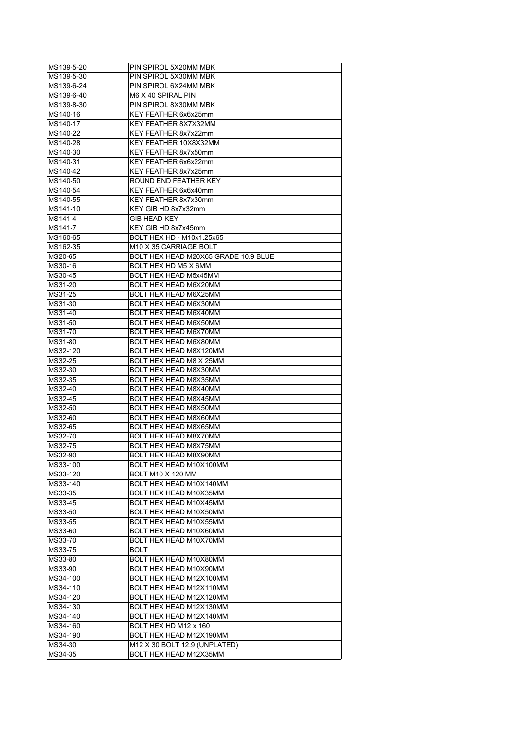| MS139-5-20 | PIN SPIROL 5X20MM MBK                |
|------------|--------------------------------------|
| MS139-5-30 | PIN SPIROL 5X30MM MBK                |
| MS139-6-24 | PIN SPIROL 6X24MM MBK                |
| MS139-6-40 | M6 X 40 SPIRAL PIN                   |
| MS139-8-30 | PIN SPIROL 8X30MM MBK                |
| MS140-16   | KEY FEATHER 6x6x25mm                 |
| MS140-17   | KEY FEATHER 8X7X32MM                 |
| MS140-22   | KEY FEATHER 8x7x22mm                 |
| MS140-28   | KEY FEATHER 10X8X32MM                |
| MS140-30   | KEY FEATHER 8x7x50mm                 |
| MS140-31   | KEY FEATHER 6x6x22mm                 |
| MS140-42   | KEY FEATHER 8x7x25mm                 |
| MS140-50   | ROUND END FEATHER KEY                |
| MS140-54   | KEY FEATHER 6x6x40mm                 |
| MS140-55   | KEY FEATHER 8x7x30mm                 |
| MS141-10   | KEY GIB HD 8x7x32mm                  |
| MS141-4    | <b>GIB HEAD KEY</b>                  |
| MS141-7    | KEY GIB HD 8x7x45mm                  |
| MS160-65   | BOLT HEX HD - M10x1.25x65            |
| MS162-35   | M10 X 35 CARRIAGE BOLT               |
| MS20-65    | BOLT HEX HEAD M20X65 GRADE 10.9 BLUE |
| MS30-16    | BOLT HEX HD M5 X 6MM                 |
| MS30-45    | BOLT HEX HEAD M5x45MM                |
| MS31-20    | BOLT HEX HEAD M6X20MM                |
| MS31-25    | <b>BOLT HEX HEAD M6X25MM</b>         |
|            |                                      |
| MS31-30    | BOLT HEX HEAD M6X30MM                |
| MS31-40    | BOLT HEX HEAD M6X40MM                |
| MS31-50    | BOLT HEX HEAD M6X50MM                |
| MS31-70    | BOLT HEX HEAD M6X70MM                |
| MS31-80    | BOLT HEX HEAD M6X80MM                |
| MS32-120   | BOLT HEX HEAD M8X120MM               |
| MS32-25    | BOLT HEX HEAD M8 X 25MM              |
| MS32-30    | BOLT HEX HEAD M8X30MM                |
| MS32-35    | BOLT HEX HEAD M8X35MM                |
| MS32-40    | BOLT HEX HEAD M8X40MM                |
| MS32-45    | BOLT HEX HEAD M8X45MM                |
| MS32-50    | BOLT HEX HEAD M8X50MM                |
| MS32-60    | BOLT HEX HEAD M8X60MM                |
| MS32-65    | BOLT HEX HEAD M8X65MM                |
| MS32-70    | BOLT HEX HEAD M8X70MM                |
| MS32-75    | BOLT HEX HEAD M8X75MM                |
| MS32-90    | BOLT HEX HEAD M8X90MM                |
| MS33-100   | BOLT HEX HEAD M10X100MM              |
| MS33-120   | BOLT M10 X 120 MM                    |
| MS33-140   | BOLT HEX HEAD M10X140MM              |
| MS33-35    | BOLT HEX HEAD M10X35MM               |
| MS33-45    | BOLT HEX HEAD M10X45MM               |
| MS33-50    | BOLT HEX HEAD M10X50MM               |
| MS33-55    | BOLT HEX HEAD M10X55MM               |
| MS33-60    | BOLT HEX HEAD M10X60MM               |
| MS33-70    | BOLT HEX HEAD M10X70MM               |
| MS33-75    | <b>BOLT</b>                          |
| MS33-80    | BOLT HEX HEAD M10X80MM               |
| MS33-90    | BOLT HEX HEAD M10X90MM               |
| MS34-100   | BOLT HEX HEAD M12X100MM              |
| MS34-110   | BOLT HEX HEAD M12X110MM              |
| MS34-120   | BOLT HEX HEAD M12X120MM              |
| MS34-130   | BOLT HEX HEAD M12X130MM              |
| MS34-140   | BOLT HEX HEAD M12X140MM              |
| MS34-160   | BOLT HEX HD M12 x 160                |
| MS34-190   | BOLT HEX HEAD M12X190MM              |
| MS34-30    | M12 X 30 BOLT 12.9 (UNPLATED)        |
| MS34-35    | BOLT HEX HEAD M12X35MM               |
|            |                                      |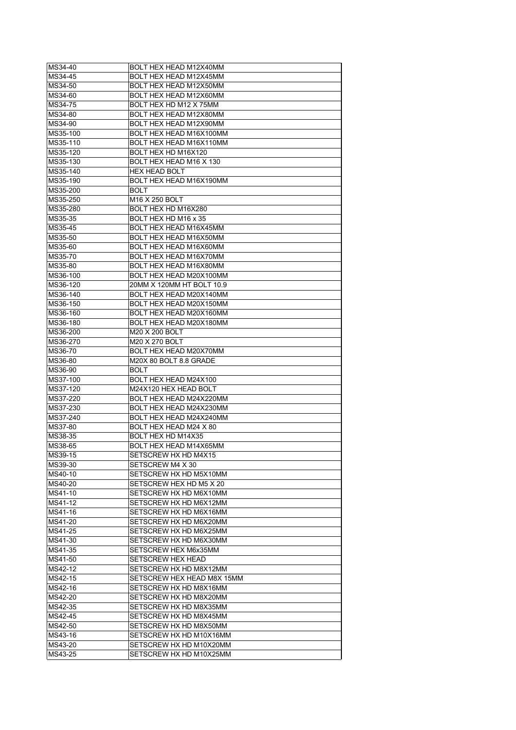|          | BOLT HEX HEAD M12X40MM     |
|----------|----------------------------|
| MS34-45  | BOLT HEX HEAD M12X45MM     |
| MS34-50  | BOLT HEX HEAD M12X50MM     |
| MS34-60  | BOLT HEX HEAD M12X60MM     |
| MS34-75  | BOLT HEX HD M12 X 75MM     |
| MS34-80  | BOLT HEX HEAD M12X80MM     |
| MS34-90  | BOLT HEX HEAD M12X90MM     |
| MS35-100 | BOLT HEX HEAD M16X100MM    |
| MS35-110 | BOLT HEX HEAD M16X110MM    |
| MS35-120 | BOLT HEX HD M16X120        |
| MS35-130 | BOLT HEX HEAD M16 X 130    |
| MS35-140 | <b>HEX HEAD BOLT</b>       |
| MS35-190 | BOLT HEX HEAD M16X190MM    |
| MS35-200 | <b>BOLT</b>                |
| MS35-250 | M16 X 250 BOLT             |
| MS35-280 | BOLT HEX HD M16X280        |
| MS35-35  | BOLT HEX HD M16 x 35       |
| MS35-45  | BOLT HEX HEAD M16X45MM     |
| MS35-50  | BOLT HEX HEAD M16X50MM     |
| MS35-60  | BOLT HEX HEAD M16X60MM     |
| MS35-70  | BOLT HEX HEAD M16X70MM     |
| MS35-80  | BOLT HEX HEAD M16X80MM     |
| MS36-100 | BOLT HEX HEAD M20X100MM    |
| MS36-120 | 20MM X 120MM HT BOLT 10.9  |
| MS36-140 | BOLT HEX HEAD M20X140MM    |
| MS36-150 | BOLT HEX HEAD M20X150MM    |
|          |                            |
| MS36-160 | BOLT HEX HEAD M20X160MM    |
| MS36-180 | BOLT HEX HEAD M20X180MM    |
| MS36-200 | M20 X 200 BOLT             |
| MS36-270 | M20 X 270 BOLT             |
| MS36-70  | BOLT HEX HEAD M20X70MM     |
| MS36-80  | M20X 80 BOLT 8.8 GRADE     |
| MS36-90  | <b>BOLT</b>                |
| MS37-100 | BOLT HEX HEAD M24X100      |
| MS37-120 | M24X120 HEX HEAD BOLT      |
| MS37-220 | BOLT HEX HEAD M24X220MM    |
| MS37-230 | BOLT HEX HEAD M24X230MM    |
| MS37-240 | BOLT HEX HEAD M24X240MM    |
| MS37-80  | BOLT HEX HEAD M24 X 80     |
| MS38-35  |                            |
|          | BOLT HEX HD M14X35         |
| MS38-65  | BOLT HEX HEAD M14X65MM     |
| MS39-15  | SETSCREW HX HD M4X15       |
| MS39-30  | SETSCREW M4 X 30           |
| MS40-10  | SETSCREW HX HD M5X10MM     |
| MS40-20  | SETSCREW HEX HD M5 X 20    |
| MS41-10  | SETSCREW HX HD M6X10MM     |
| MS41-12  | SETSCREW HX HD M6X12MM     |
| MS41-16  | SETSCREW HX HD M6X16MM     |
| MS41-20  | SETSCREW HX HD M6X20MM     |
| MS41-25  | SETSCREW HX HD M6X25MM     |
| MS41-30  | SETSCREW HX HD M6X30MM     |
| MS41-35  | SETSCREW HEX M6x35MM       |
| MS41-50  | SETSCREW HEX HEAD          |
| MS42-12  | SETSCREW HX HD M8X12MM     |
| MS42-15  | SETSCREW HEX HEAD M8X 15MM |
| MS42-16  | SETSCREW HX HD M8X16MM     |
| MS42-20  | SETSCREW HX HD M8X20MM     |
| MS42-35  | SETSCREW HX HD M8X35MM     |
| MS42-45  | SETSCREW HX HD M8X45MM     |
| MS42-50  | SETSCREW HX HD M8X50MM     |
| MS43-16  | SETSCREW HX HD M10X16MM    |
| MS43-20  | SETSCREW HX HD M10X20MM    |
| MS43-25  | SETSCREW HX HD M10X25MM    |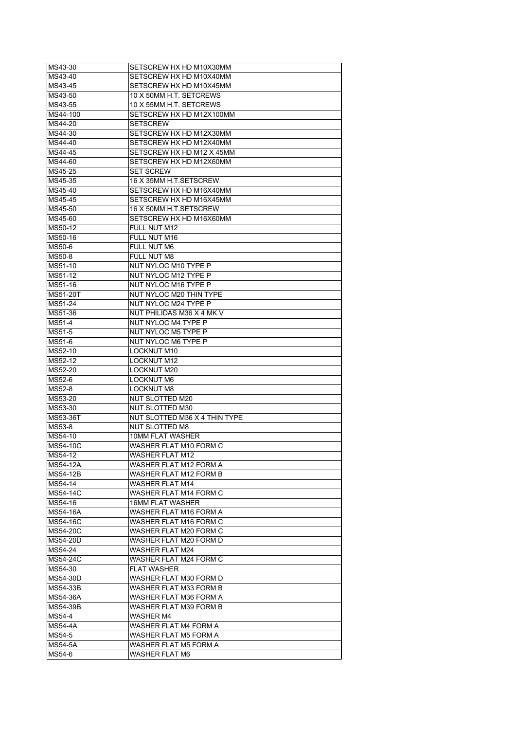| MS43-30           | SETSCREW HX HD M10X30MM                          |
|-------------------|--------------------------------------------------|
| MS43-40           | SETSCREW HX HD M10X40MM                          |
| MS43-45           | SETSCREW HX HD M10X45MM                          |
| MS43-50           | 10 X 50MM H.T. SETCREWS                          |
| MS43-55           | 10 X 55MM H.T. SETCREWS                          |
| MS44-100          | SETSCREW HX HD M12X100MM                         |
| MS44-20           | <b>SETSCREW</b>                                  |
| MS44-30           | SETSCREW HX HD M12X30MM                          |
| MS44-40           | SETSCREW HX HD M12X40MM                          |
| MS44-45           | SETSCREW HX HD M12 X 45MM                        |
| MS44-60           | SETSCREW HX HD M12X60MM                          |
| MS45-25           | <b>SET SCREW</b>                                 |
| MS45-35           | 16 X 35MM H.T.SETSCREW                           |
| MS45-40           | SETSCREW HX HD M16X40MM                          |
| MS45-45           | SETSCREW HX HD M16X45MM                          |
| MS45-50           | 16 X 50MM H.T.SETSCREW                           |
| MS45-60           | SETSCREW HX HD M16X60MM                          |
| MS50-12           | FULL NUT M12                                     |
| MS50-16           | FULL NUT M16                                     |
| MS50-6            | FULL NUT M6                                      |
| MS50-8            | FULL NUT M8                                      |
| MS51-10           | NUT NYLOC M10 TYPE P                             |
| MS51-12           | NUT NYLOC M12 TYPE P<br>NUT NYLOC M16 TYPE P     |
| MS51-16           |                                                  |
| <b>MS51-20T</b>   | NUT NYLOC M20 THIN TYPE                          |
| MS51-24           | NUT NYLOC M24 TYPE P                             |
| MS51-36<br>MS51-4 | NUT PHILIDAS M36 X 4 MK V<br>NUT NYLOC M4 TYPE P |
| MS51-5            | NUT NYLOC M5 TYPE P                              |
| MS51-6            | NUT NYLOC M6 TYPE P                              |
| MS52-10           | <b>LOCKNUT M10</b>                               |
| MS52-12           | <b>LOCKNUT M12</b>                               |
| MS52-20           | <b>LOCKNUT M20</b>                               |
| MS52-6            | <b>LOCKNUT M6</b>                                |
| MS52-8            | <b>LOCKNUT M8</b>                                |
| MS53-20           | <b>NUT SLOTTED M20</b>                           |
| MS53-30           | NUT SLOTTED M30                                  |
| MS53-36T          | NUT SLOTTED M36 X 4 THIN TYPE                    |
| MS53-8            | NUT SLOTTED M8                                   |
| MS54-10           | <b>10MM FLAT WASHER</b>                          |
| <b>MS54-10C</b>   | WASHER FLAT M10 FORM C                           |
| MS54-12           | <b>WASHER FLAT M12</b>                           |
| MS54-12A          | WASHER FLAT M12 FORM A                           |
| MS54-12B          | WASHER FLAT M12 FORM B                           |
| MS54-14           | WASHER FLAT M14                                  |
| MS54-14C          | WASHER FLAT M14 FORM C                           |
| MS54-16           | <b>16MM FLAT WASHER</b>                          |
| MS54-16A          | WASHER FLAT M16 FORM A                           |
| MS54-16C          | WASHER FLAT M16 FORM C                           |
| MS54-20C          | WASHER FLAT M20 FORM C                           |
| MS54-20D          | WASHER FLAT M20 FORM D                           |
| MS54-24           | WASHER FLAT M24                                  |
| MS54-24C          | WASHER FLAT M24 FORM C                           |
| MS54-30           | <b>FLAT WASHER</b>                               |
| MS54-30D          | WASHER FLAT M30 FORM D                           |
| MS54-33B          | WASHER FLAT M33 FORM B                           |
| MS54-36A          | WASHER FLAT M36 FORM A                           |
| MS54-39B          | WASHER FLAT M39 FORM B                           |
| MS54-4            | WASHER M4                                        |
| MS54-4A           | WASHER FLAT M4 FORM A                            |
| MS54-5            | WASHER FLAT M5 FORM A                            |
| <b>MS54-5A</b>    | WASHER FLAT M5 FORM A                            |
| MS54-6            | WASHER FLAT M6                                   |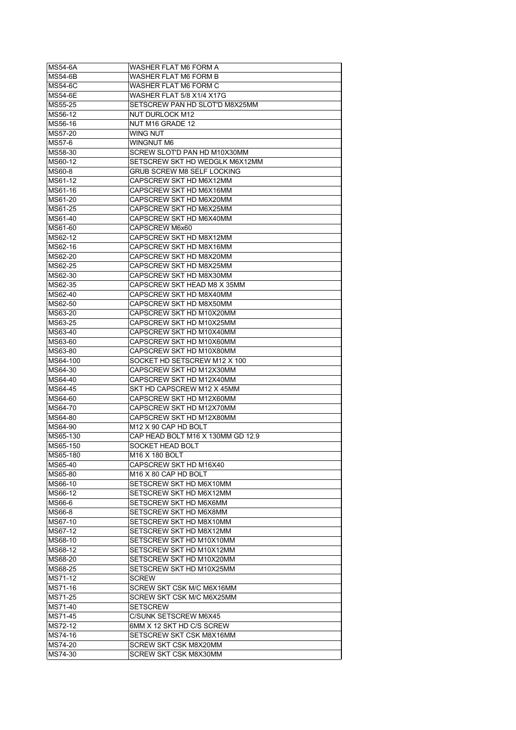| <b>MS54-6A</b>     | WASHER FLAT M6 FORM A                          |
|--------------------|------------------------------------------------|
| <b>MS54-6B</b>     | WASHER FLAT M6 FORM B                          |
| <b>MS54-6C</b>     | WASHER FLAT M6 FORM C                          |
| <b>MS54-6E</b>     | <b>WASHER FLAT 5/8 X1/4 X17G</b>               |
| MS55-25            | SETSCREW PAN HD SLOT'D M8X25MM                 |
| MS56-12            | NUT DURLOCK M12                                |
| MS56-16            | NUT M16 GRADE 12                               |
| MS57-20            | WING NUT                                       |
| MS57-6             | WINGNUT M6                                     |
| MS58-30            | SCREW SLOT'D PAN HD M10X30MM                   |
| MS60-12            | SETSCREW SKT HD WEDGLK M6X12MM                 |
| MS60-8             | <b>GRUB SCREW M8 SELF LOCKING</b>              |
| MS61-12            | CAPSCREW SKT HD M6X12MM                        |
| MS61-16            | CAPSCREW SKT HD M6X16MM                        |
| MS61-20            | CAPSCREW SKT HD M6X20MM                        |
| MS61-25            | CAPSCREW SKT HD M6X25MM                        |
| MS61-40            | CAPSCREW SKT HD M6X40MM                        |
| MS61-60            | CAPSCREW M6x60                                 |
| MS62-12            | CAPSCREW SKT HD M8X12MM                        |
| MS62-16            | CAPSCREW SKT HD M8X16MM                        |
| MS62-20            | CAPSCREW SKT HD M8X20MM                        |
| MS62-25            | CAPSCREW SKT HD M8X25MM                        |
| MS62-30            | CAPSCREW SKT HD M8X30MM                        |
| MS62-35            | CAPSCREW SKT HEAD M8 X 35MM                    |
| MS62-40            | CAPSCREW SKT HD M8X40MM                        |
| MS62-50            | CAPSCREW SKT HD M8X50MM                        |
| MS63-20            | CAPSCREW SKT HD M10X20MM                       |
| MS63-25            | CAPSCREW SKT HD M10X25MM                       |
| MS63-40            | CAPSCREW SKT HD M10X40MM                       |
| MS63-60            | CAPSCREW SKT HD M10X60MM                       |
| MS63-80            | CAPSCREW SKT HD M10X80MM                       |
| MS64-100           | SOCKET HD SETSCREW M12 X 100                   |
|                    |                                                |
|                    |                                                |
| MS64-30            | CAPSCREW SKT HD M12X30MM                       |
| MS64-40            | CAPSCREW SKT HD M12X40MM                       |
| MS64-45            | SKT HD CAPSCREW M12 X 45MM                     |
| MS64-60            | CAPSCREW SKT HD M12X60MM                       |
| MS64-70            | CAPSCREW SKT HD M12X70MM                       |
| MS64-80            | CAPSCREW SKT HD M12X80MM                       |
| MS64-90            | M <sub>12</sub> X 90 CAP HD BOLT               |
| MS65-130           | CAP HEAD BOLT M16 X 130MM GD 12.9              |
| MS65-150           | SOCKET HEAD BOLT                               |
| MS65-180           | M16 X 180 BOLT                                 |
| MS65-40            | CAPSCREW SKT HD M16X40                         |
| MS65-80            | M <sub>16</sub> X 80 CAP HD BOLT               |
| MS66-10            | SETSCREW SKT HD M6X10MM                        |
| MS66-12            | SETSCREW SKT HD M6X12MM                        |
| MS66-6             | SETSCREW SKT HD M6X6MM                         |
| MS66-8             | SETSCREW SKT HD M6X8MM                         |
| MS67-10            | SETSCREW SKT HD M8X10MM                        |
| MS67-12            | SETSCREW SKT HD M8X12MM                        |
| MS68-10            | SETSCREW SKT HD M10X10MM                       |
| MS68-12            | SETSCREW SKT HD M10X12MM                       |
| MS68-20            | SETSCREW SKT HD M10X20MM                       |
| MS68-25            | SETSCREW SKT HD M10X25MM                       |
| MS71-12            | <b>SCREW</b>                                   |
| MS71-16            | SCREW SKT CSK M/C M6X16MM                      |
| MS71-25            | SCREW SKT CSK M/C M6X25MM                      |
| MS71-40            | <b>SETSCREW</b>                                |
| MS71-45            | C/SUNK SETSCREW M6X45                          |
| MS72-12            | 6MM X 12 SKT HD C/S SCREW                      |
| MS74-16            | SETSCREW SKT CSK M8X16MM                       |
| MS74-20<br>MS74-30 | SCREW SKT CSK M8X20MM<br>SCREW SKT CSK M8X30MM |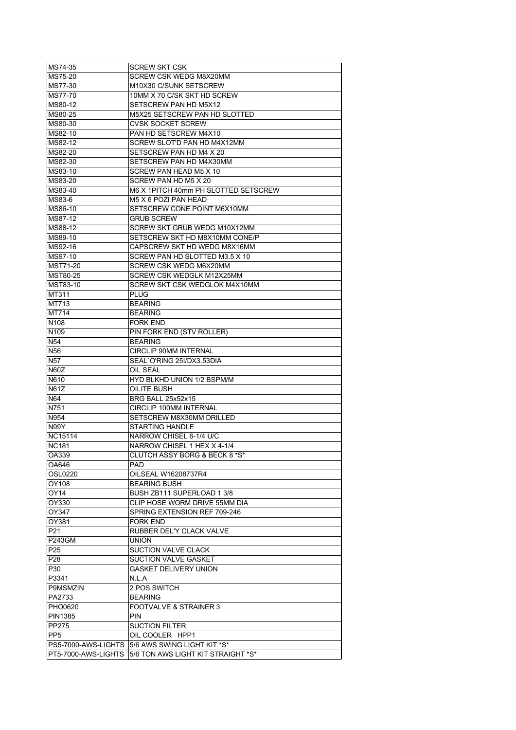| MS74-35             | <b>SCREW SKT CSK</b>                 |
|---------------------|--------------------------------------|
| MS75-20             | SCREW CSK WEDG M8X20MM               |
| MS77-30             | M10X30 C/SUNK SETSCREW               |
| MS77-70             | 10MM X 70 C/SK SKT HD SCREW          |
| MS80-12             | SETSCREW PAN HD M5X12                |
| MS80-25             | M5X25 SETSCREW PAN HD SLOTTED        |
| MS80-30             | <b>CVSK SOCKET SCREW</b>             |
| MS82-10             | PAN HD SETSCREW M4X10                |
| MS82-12             | SCREW SLOT'D PAN HD M4X12MM          |
| MS82-20             | SETSCREW PAN HD M4 X 20              |
| MS82-30             | SETSCREW PAN HD M4X30MM              |
|                     |                                      |
| MS83-10             | SCREW PAN HEAD M5 X 10               |
| MS83-20             | SCREW PAN HD M5 X 20                 |
| MS83-40             | M6 X 1PITCH 40mm PH SLOTTED SETSCREW |
| MS83-6              | M5 X 6 POZI PAN HEAD                 |
| MS86-10             | SETSCREW CONE POINT M6X10MM          |
| MS87-12             | <b>GRUB SCREW</b>                    |
| MS88-12             | SCREW SKT GRUB WEDG M10X12MM         |
| MS89-10             | SETSCREW SKT HD M8X10MM CONE/P       |
| MS92-16             | CAPSCREW SKT HD WEDG M8X16MM         |
| MS97-10             | SCREW PAN HD SLOTTED M3.5 X 10       |
| <b>MST71-20</b>     | SCREW CSK WEDG M6X20MM               |
| <b>MST80-25</b>     | SCREW CSK WEDGLK M12X25MM            |
| MST83-10            | SCREW SKT CSK WEDGLOK M4X10MM        |
| MT311               | <b>PLUG</b>                          |
| MT713               | <b>BEARING</b>                       |
| MT714               | <b>BEARING</b>                       |
|                     |                                      |
| N <sub>108</sub>    | <b>FORK END</b>                      |
| N <sub>109</sub>    | PIN FORK END (STV ROLLER)            |
| N54                 | <b>BEARING</b>                       |
| N56                 | CIRCLIP 90MM INTERNAL                |
| N57                 | SEAL`O'RING 25I/DX3.53DIA            |
| N60Z                | OIL SEAL                             |
| N610                | HYD BLKHD UNION 1/2 BSPM/M           |
| N61Z                | OILITE BUSH                          |
| N64                 | BRG BALL 25x52x15                    |
| N751                | <b>CIRCLIP 100MM INTERNAL</b>        |
| N954                | SETSCREW M8X30MM DRILLED             |
| <b>N99Y</b>         | STARTING HANDLE                      |
| NC15114             | NARROW CHISEL 6-1/4 U/C              |
| <b>NC181</b>        | NARROW CHISEL 1 HEX X 4-1/4          |
| OA339               | CLUTCH ASSY BORG & BECK 8 *S*        |
| OA646               | PAD                                  |
| <b>OSL0220</b>      | OILSEAL W16208737R4                  |
| OY108               | <b>BEARING BUSH</b>                  |
| OY14                | BUSH ZB111 SUPERLOAD 1 3/8           |
| OY330               | CLIP HOSE WORM DRIVE 55MM DIA        |
|                     |                                      |
| OY347               | SPRING EXTENSION REF 709-246         |
| OY381               | <b>FORK END</b>                      |
| P21                 | RUBBER DEL'Y CLACK VALVE             |
| <b>P243GM</b>       | <b>UNION</b>                         |
| P <sub>25</sub>     | SUCTION VALVE CLACK                  |
| P <sub>28</sub>     | SUCTION VALVE GASKET                 |
| P30                 | <b>GASKET DELIVERY UNION</b>         |
| P3341               | N.L.A                                |
| P9MSMZIN            | 2 POS SWITCH                         |
| PA2733              | <b>BEARING</b>                       |
| PHO0620             | FOOTVALVE & STRAINER 3               |
| <b>PIN1385</b>      | PIN                                  |
| PP275               | <b>SUCTION FILTER</b>                |
| PP <sub>5</sub>     | OIL COOLER HPP1                      |
| PS5-7000-AWS-LIGHTS | 5/6 AWS SWING LIGHT KIT *S*          |
| PT5-7000-AWS-LIGHTS | 5/6 TON AWS LIGHT KIT STRAIGHT *S*   |
|                     |                                      |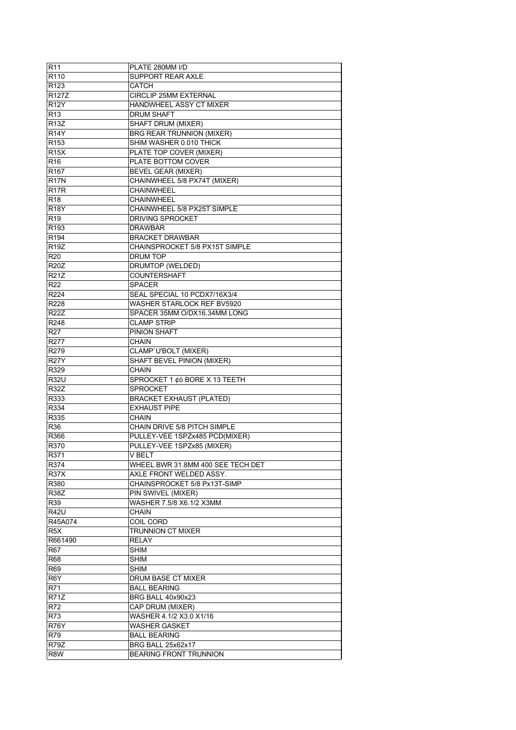| R <sub>11</sub>  | PLATE 280MM I/D                                              |
|------------------|--------------------------------------------------------------|
| R <sub>110</sub> | <b>SUPPORT REAR AXLE</b>                                     |
| R <sub>123</sub> | CATCH                                                        |
| R127Z            | <b>CIRCLIP 25MM EXTERNAL</b>                                 |
| <b>R12Y</b>      | HANDWHEEL ASSY CT MIXER                                      |
| R <sub>13</sub>  | <b>DRUM SHAFT</b>                                            |
| <b>R13Z</b>      | SHAFT DRUM (MIXER)                                           |
| <b>R14Y</b>      | BRG REAR TRUNNION (MIXER)                                    |
| R <sub>153</sub> | SHIM WASHER 0.010 THICK                                      |
| <b>R15X</b>      | PLATE TOP COVER (MIXER)                                      |
| R <sub>16</sub>  | PLATE BOTTOM COVER                                           |
| R <sub>167</sub> | <b>BEVEL GEAR (MIXER)</b>                                    |
| <b>R17N</b>      | CHAINWHEEL 5/8 PX74T (MIXER)                                 |
| <b>R17R</b>      | <b>CHAINWHEEL</b>                                            |
| R <sub>18</sub>  | <b>CHAINWHEEL</b>                                            |
| <b>R18Y</b>      | CHAINWHEEL 5/8 PX25T SIMPLE                                  |
| R <sub>19</sub>  | <b>DRIVING SPROCKET</b>                                      |
| R <sub>193</sub> | <b>DRAWBAR</b>                                               |
| R194             | <b>BRACKET DRAWBAR</b>                                       |
| <b>R19Z</b>      | CHAINSPROCKET 5/8 PX15T SIMPLE                               |
| R <sub>20</sub>  | DRUM TOP                                                     |
| <b>R20Z</b>      | DRUMTOP (WELDED)                                             |
| <b>R21Z</b>      | <b>COUNTERSHAFT</b>                                          |
| R <sub>22</sub>  | <b>SPACER</b>                                                |
| R224             | SEAL SPECIAL 10 PCDX7/16X3/4                                 |
| R228             | <b>WASHER STARLOCK REF BV5920</b>                            |
| <b>R22Z</b>      | SPACER 35MM O/DX16.34MM LONG                                 |
| R <sub>248</sub> | <b>CLAMP STRIP</b>                                           |
| R <sub>27</sub>  | PINION SHAFT                                                 |
| R <sub>277</sub> | CHAIN                                                        |
| R279             | CLAMP'U'BOLT (MIXER)                                         |
| <b>R27Y</b>      | SHAFT BEVEL PINION (MIXER)                                   |
| R329             | CHAIN                                                        |
| <b>R32U</b>      | SPROCKET 1 ¢ö BORE X 13 TEETH                                |
| <b>R32Z</b>      | <b>SPROCKET</b>                                              |
| R333             | <b>BRACKET EXHAUST (PLATED)</b>                              |
| R334             | <b>EXHAUST PIPE</b>                                          |
| R335             | <b>CHAIN</b>                                                 |
| R36              | CHAIN DRIVE 5/8 PITCH SIMPLE                                 |
| R366             | PULLEY-VEE 1SPZx485 PCD(MIXER)                               |
| R370             | PULLEY-VEE 1SPZx85 (MIXER)                                   |
|                  |                                                              |
| R371<br>R374     | V BELT                                                       |
|                  | WHEEL BWR 31.8MM 400 SEE TECH DET<br>AXLE FRONT WELDED ASSY. |
| <b>R37X</b>      | CHAINSPROCKET 5/8 Px13T-SIMP                                 |
| R380             |                                                              |
| <b>R38Z</b>      | PIN SWIVEL (MIXER)                                           |
| <b>R39</b>       | WASHER 7.5/8 X6.1/2 X3MM                                     |
| <b>R42U</b>      | <b>CHAIN</b>                                                 |
| R45A074          | COIL CORD                                                    |
| R <sub>5</sub> X | <b>TRUNNION CT MIXER</b>                                     |
| R661490          | <b>RELAY</b>                                                 |
| <b>R67</b>       | SHIM                                                         |
| <b>R68</b>       | SHIM                                                         |
| R69              | SHIM                                                         |
| $R6\overline{Y}$ | DRUM BASE CT MIXER                                           |
| R71              | <b>BALL BEARING</b>                                          |
| R71Z             | BRG BALL 40x90x23                                            |
| R72              | CAP DRUM (MIXER)                                             |
| R73              | WASHER 4.1/2 X3.0 X1/16                                      |
| R76Y             | <b>WASHER GASKET</b>                                         |
| R79              | <b>BALL BEARING</b>                                          |
| R79Z             | BRG BALL 25x62x17                                            |
| R <sub>8W</sub>  | <b>BEARING FRONT TRUNNION</b>                                |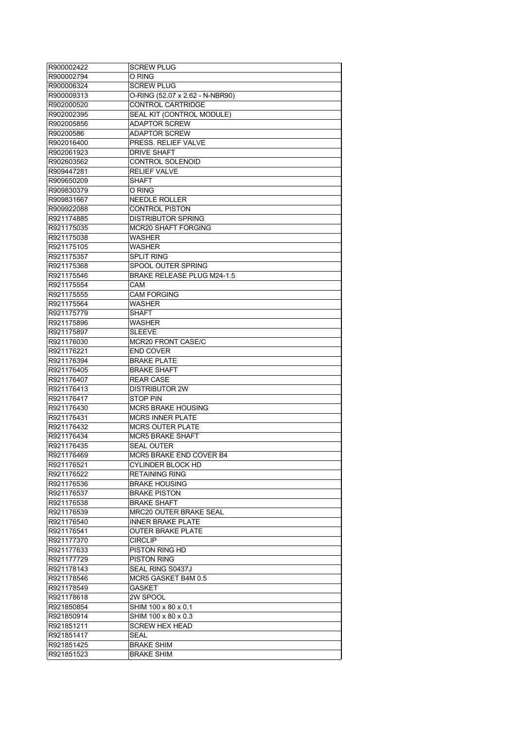| R900002422 | SCREW PLUG                        |
|------------|-----------------------------------|
| R900002794 | O RING                            |
| R900006324 | <b>SCREW PLUG</b>                 |
| R900009313 | O-RING (52.07 x 2.62 - N-NBR90)   |
| R902000520 | CONTROL CARTRIDGE                 |
| R902002395 | SEAL KIT (CONTROL MODULE)         |
| R902005856 | ADAPTOR SCREW                     |
| R90200586  | <b>ADAPTOR SCREW</b>              |
| R902016400 | PRESS. RELIEF VALVE               |
| R902061923 | <b>DRIVE SHAFT</b>                |
| R902603562 | <b>CONTROL SOLENOID</b>           |
| R909447281 | <b>RELIEF VALVE</b>               |
| R909650209 | SHAFT                             |
| R909830379 | O RING                            |
| R909831667 | <b>NEEDLE ROLLER</b>              |
| R909922088 | <b>CONTROL PISTON</b>             |
| R921174885 | <b>DISTRIBUTOR SPRING</b>         |
| R921175035 | MCR20 SHAFT FORGING               |
| R921175038 | WASHER                            |
| R921175105 | WASHER                            |
| R921175357 | <b>SPLIT RING</b>                 |
|            |                                   |
| R921175368 | SPOOL OUTER SPRING                |
| R921175546 | <b>BRAKE RELEASE PLUG M24-1.5</b> |
| R921175554 | CAM                               |
| R921175555 | <b>CAM FORGING</b>                |
| R921175564 | WASHER                            |
| R921175779 | SHAFT                             |
| R921175896 | WASHER                            |
| R921175897 | <b>SLEEVE</b>                     |
| R921176030 | MCR20 FRONT CASE/C                |
| R921176221 | <b>END COVER</b>                  |
| R921176394 | <b>BRAKE PLATE</b>                |
| R921176405 | <b>BRAKE SHAFT</b>                |
| R921176407 | <b>REAR CASE</b>                  |
| R921176413 | <b>DISTRIBUTOR 2W</b>             |
| R921176417 | STOP PIN                          |
| R921176430 | <b>MCR5 BRAKE HOUSING</b>         |
| R921176431 | <b>MCRS INNER PLATE</b>           |
| R921176432 | <b>MCRS OUTER PLATE</b>           |
| R921176434 | <b>MCR5 BRAKE SHAFT</b>           |
| R921176435 | <b>SEAL OUTER</b>                 |
| R921176469 | MCR5 BRAKE END COVER B4           |
| R921176521 | CYLINDER BLOCK HD                 |
| R921176522 | RETAINING RING                    |
| R921176536 | <b>BRAKE HOUSING</b>              |
| R921176537 | <b>BRAKE PISTON</b>               |
| R921176538 | <b>BRAKE SHAFT</b>                |
| R921176539 | MRC20 OUTER BRAKE SEAL            |
| R921176540 | <b>INNER BRAKE PLATE</b>          |
| R921176541 | <b>OUTER BRAKE PLATE</b>          |
| R921177370 | <b>CIRCLIP</b>                    |
| R921177633 | PISTON RING HD                    |
| R921177729 | PISTON RING                       |
| R921178143 | SEAL RING S0437J                  |
| R921178546 | MCR5 GASKET B4M 0.5               |
| R921178549 | GASKET                            |
| R921178618 | 2W SPOOL                          |
| R921850854 | SHIM 100 x 80 x 0.1               |
| R921850914 | SHIM 100 x 80 x 0.3               |
| R921851211 | <b>SCREW HEX HEAD</b>             |
| R921851417 | SEAL                              |
| R921851425 | BRAKE SHIM                        |
| R921851523 | BRAKE SHIM                        |
|            |                                   |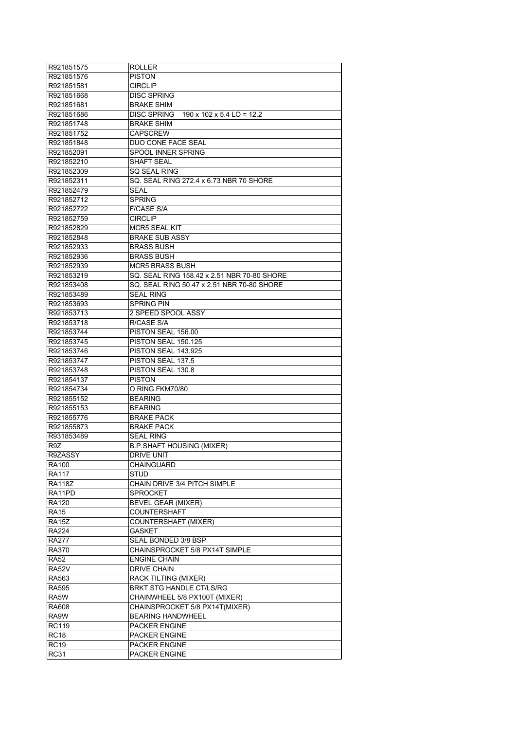| R921851575    | ROLLER                                               |
|---------------|------------------------------------------------------|
| R921851576    | <b>PISTON</b>                                        |
| R921851581    | <b>CIRCLIP</b>                                       |
| R921851668    | DISC SPRING                                          |
| R921851681    | <b>BRAKE SHIM</b>                                    |
| R921851686    | DISC SPRING<br>$190 \times 102 \times 5.4$ LO = 12.2 |
| R921851748    | BRAKE SHIM                                           |
| R921851752    | <b>CAPSCREW</b>                                      |
| R921851848    | DUO CONE FACE SEAL                                   |
| R921852091    | SPOOL INNER SPRING                                   |
|               | SHAFT SEAL                                           |
| R921852210    |                                                      |
| R921852309    | SQ SEAL RING                                         |
| R921852311    | SQ. SEAL RING 272.4 x 6.73 NBR 70 SHORE              |
| R921852479    | SEAL                                                 |
| R921852712    | <b>SPRING</b>                                        |
| R921852722    | <b>F/CASE S/A</b>                                    |
| R921852759    | <b>CIRCLIP</b>                                       |
| R921852829    | <b>MCR5 SEAL KIT</b>                                 |
| R921852848    | <b>BRAKE SUB ASSY</b>                                |
| R921852933    | <b>BRASS BUSH</b>                                    |
| R921852936    | <b>BRASS BUSH</b>                                    |
| R921852939    | <b>MCR5 BRASS BUSH</b>                               |
| R921853219    | SQ. SEAL RING 158.42 x 2.51 NBR 70-80 SHORE          |
| R921853408    | SQ. SEAL RING 50.47 x 2.51 NBR 70-80 SHORE           |
| R921853489    | <b>SEAL RING</b>                                     |
| R921853693    | <b>SPRING PIN</b>                                    |
| R921853713    | 2 SPEED SPOOL ASSY                                   |
| R921853718    | R/CASE S/A                                           |
| R921853744    | PISTON SEAL 156.00                                   |
| R921853745    | PISTON SEAL 150.125                                  |
|               | PISTON SEAL 143.925                                  |
| R921853746    |                                                      |
| R921853747    | PISTON SEAL 137.5                                    |
| R921853748    | PISTON SEAL 130.8                                    |
| R921854137    | <b>PISTON</b>                                        |
| R921854734    | O RING FKM70/80                                      |
| R921855152    | <b>BEARING</b>                                       |
| R921855153    | <b>BEARING</b>                                       |
| R921855776    | <b>BRAKE PACK</b>                                    |
| R921855873    | <b>BRAKE PACK</b>                                    |
| R931853489    | <b>SEAL RING</b>                                     |
| R9Z           | <b>B.P.SHAFT HOUSING (MIXER)</b>                     |
| R9ZASSY       | DRIVE UNIT                                           |
| <b>RA100</b>  | <b>CHAINGUARD</b>                                    |
| <b>RA117</b>  | <b>STUD</b>                                          |
| <b>RA118Z</b> | CHAIN DRIVE 3/4 PITCH SIMPLE                         |
| RA11PD        | <b>SPROCKET</b>                                      |
| <b>RA120</b>  | <b>BEVEL GEAR (MIXER)</b>                            |
| <b>RA15</b>   | <b>COUNTERSHAFT</b>                                  |
| RA15Z         | COUNTERSHAFT (MIXER)                                 |
| <b>RA224</b>  | <b>GASKET</b>                                        |
| RA277         | SEAL BONDED 3/8 BSP                                  |
| RA370         | CHAINSPROCKET 5/8 PX14T SIMPLE                       |
| <b>RA52</b>   | <b>ENGINE CHAIN</b>                                  |
| <b>RA52V</b>  | <b>DRIVE CHAIN</b>                                   |
|               |                                                      |
| RA563         | RACK TILTING (MIXER)                                 |
| <b>RA595</b>  | BRKT STG HANDLE CT/LS/RG                             |
| RA5W          | CHAINWHEEL 5/8 PX100T (MIXER)                        |
| RA608         | CHAINSPROCKET 5/8 PX14T(MIXER)                       |
| RA9W          | <b>BEARING HANDWHEEL</b>                             |
| RC119         | <b>PACKER ENGINE</b>                                 |
| <b>RC18</b>   | <b>PACKER ENGINE</b>                                 |
| <b>RC19</b>   | PACKER ENGINE                                        |
| <b>RC31</b>   | <b>PACKER ENGINE</b>                                 |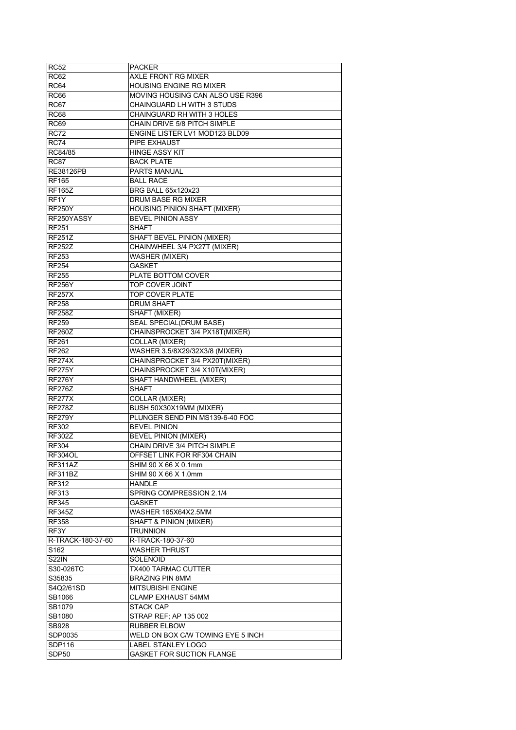| <b>RC52</b>           | <b>PACKER</b>                       |
|-----------------------|-------------------------------------|
| <b>RC62</b>           | <b>AXLE FRONT RG MIXER</b>          |
| <b>RC64</b>           | HOUSING ENGINE RG MIXER             |
| <b>RC66</b>           | MOVING HOUSING CAN ALSO USE R396    |
| <b>RC67</b>           | CHAINGUARD LH WITH 3 STUDS          |
| <b>RC68</b>           | CHAINGUARD RH WITH 3 HOLES          |
| <b>RC69</b>           | CHAIN DRIVE 5/8 PITCH SIMPLE        |
| <b>RC72</b>           | ENGINE LISTER LV1 MOD123 BLD09      |
| <b>RC74</b>           | PIPE EXHAUST                        |
| RC84/85               | HINGE ASSY KIT                      |
| <b>RC87</b>           | <b>BACK PLATE</b>                   |
| RE38126PB             | <b>PARTS MANUAL</b>                 |
| <b>RF165</b>          | <b>BALL RACE</b>                    |
| <b>RF165Z</b>         | <b>BRG BALL 65x120x23</b>           |
| RF <sub>1</sub> Y     | DRUM BASE RG MIXER                  |
| <b>RF250Y</b>         | <b>HOUSING PINION SHAFT (MIXER)</b> |
| RF250YASSY            | <b>BEVEL PINION ASSY</b>            |
| <b>RF251</b>          | <b>SHAFT</b>                        |
| <b>RF251Z</b>         | SHAFT BEVEL PINION (MIXER)          |
| <b>RF252Z</b>         | CHAINWHEEL 3/4 PX27T (MIXER)        |
| RF253                 | <b>WASHER (MIXER)</b>               |
|                       |                                     |
| RF254<br><b>RF255</b> | GASKET<br>PLATE BOTTOM COVER        |
| <b>RF256Y</b>         | TOP COVER JOINT                     |
| <b>RF257X</b>         | <b>TOP COVER PLATE</b>              |
|                       | <b>DRUM SHAFT</b>                   |
| <b>RF258</b>          | SHAFT (MIXER)                       |
| <b>RF258Z</b>         |                                     |
| <b>RF259</b>          | SEAL SPECIAL(DRUM BASE)             |
| <b>RF260Z</b>         | CHAINSPROCKET 3/4 PX18T(MIXER)      |
| RF261                 | COLLAR (MIXER)                      |
| <b>RF262</b>          | WASHER 3.5/8X29/32X3/8 (MIXER)      |
| <b>RF274X</b>         | CHAINSPROCKET 3/4 PX20T(MIXER)      |
| <b>RF275Y</b>         | CHAINSPROCKET 3/4 X10T(MIXER)       |
| <b>RF276Y</b>         | SHAFT HANDWHEEL (MIXER)             |
| <b>RF276Z</b>         | SHAFT                               |
| <b>RF277X</b>         | COLLAR (MIXER)                      |
| <b>RF278Z</b>         | BUSH 50X30X19MM (MIXER)             |
| <b>RF279Y</b>         | PLUNGER SEND PIN MS139-6-40 FOC     |
| RF302                 | <b>BEVEL PINION</b>                 |
| <b>RF302Z</b>         | <b>BEVEL PINION (MIXER)</b>         |
| <b>RF304</b>          | CHAIN DRIVE 3/4 PITCH SIMPLE        |
| <b>RF304OL</b>        | OFFSET LINK FOR RF304 CHAIN         |
| RF311AZ               |                                     |
|                       | SHIM 90 X 66 X 0.1mm                |
| RF311BZ               | SHIM 90 X 66 X 1.0mm                |
| RF312                 | <b>HANDLE</b>                       |
| RF313                 | SPRING COMPRESSION 2.1/4            |
| <b>RF345</b>          | GASKET                              |
| <b>RF345Z</b>         | WASHER 165X64X2.5MM                 |
| <b>RF358</b>          | SHAFT & PINION (MIXER)              |
| RF3Y                  | <b>TRUNNION</b>                     |
| R-TRACK-180-37-60     | R-TRACK-180-37-60                   |
| S162                  | <b>WASHER THRUST</b>                |
| <b>S22IN</b>          | <b>SOLENOID</b>                     |
| S30-026TC             | TX400 TARMAC CUTTER                 |
| S35835                | <b>BRAZING PIN 8MM</b>              |
| S4Q2/61SD             | <b>MITSUBISHI ENGINE</b>            |
| SB1066                | <b>CLAMP EXHAUST 54MM</b>           |
| SB1079                | <b>STACK CAP</b>                    |
| SB1080                | STRAP REF; AP 135 002               |
| SB928                 | <b>RUBBER ELBOW</b>                 |
| SDP0035               | WELD ON BOX C/W TOWING EYE 5 INCH   |
| SDP116                | LABEL STANLEY LOGO                  |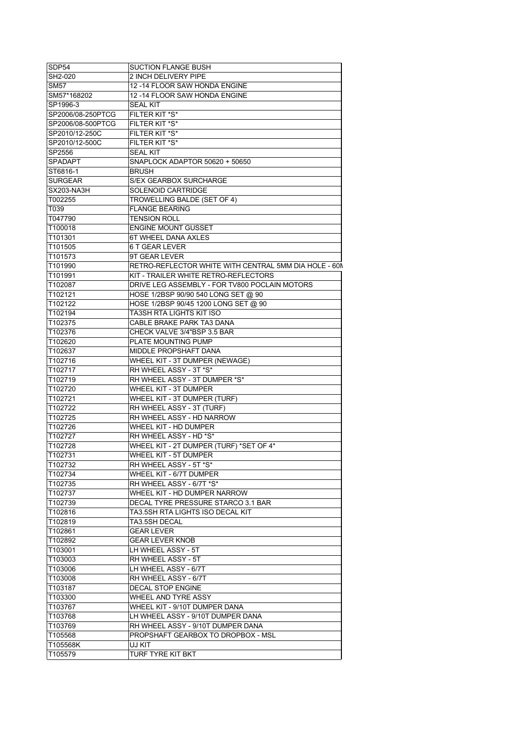| SDP <sub>54</sub>    | <b>SUCTION FLANGE BUSH</b>                                        |
|----------------------|-------------------------------------------------------------------|
| SH <sub>2</sub> -020 | <b>2 INCH DELIVERY PIPE</b>                                       |
| <b>SM57</b>          | 12-14 FLOOR SAW HONDA ENGINE                                      |
| SM57*168202          | 12 -14 FLOOR SAW HONDA ENGINE                                     |
| SP1996-3             | <b>SEAL KIT</b>                                                   |
| SP2006/08-250PTCG    | FILTER KIT *S*                                                    |
| SP2006/08-500PTCG    | FILTER KIT *S*                                                    |
| SP2010/12-250C       | FILTER KIT *S*                                                    |
| SP2010/12-500C       | FILTER KIT *S*                                                    |
| SP2556               | <b>SEAL KIT</b>                                                   |
| <b>SPADAPT</b>       | SNAPLOCK ADAPTOR 50620 + 50650                                    |
| ST6816-1             | <b>BRUSH</b>                                                      |
| <b>SURGEAR</b>       | <b>S/EX GEARBOX SURCHARGE</b>                                     |
| SX203-NA3H           | SOLENOID CARTRIDGE                                                |
| T002255              | TROWELLING BALDE (SET OF 4)                                       |
| T039                 | <b>FLANGE BEARING</b>                                             |
| T047790              | <b>TENSION ROLL</b>                                               |
| T100018              | <b>ENGINE MOUNT GUSSET</b>                                        |
| T101301              | 6T WHEEL DANA AXLES                                               |
| T101505              | 6 T GEAR LEVER                                                    |
| T101573              | 9T GEAR LEVER                                                     |
| T101990              | RETRO-REFLECTOR WHITE WITH CENTRAL 5MM DIA HOLE - 60M             |
| T101991              | KIT - TRAILER WHITE RETRO-REFLECTORS                              |
| T102087              | DRIVE LEG ASSEMBLY - FOR TV800 POCLAIN MOTORS                     |
| T102121              | HOSE 1/2BSP 90/90 540 LONG SET @ 90                               |
| T102122              | HOSE 1/2BSP 90/45 1200 LONG SET @ 90                              |
| T102194              | TA3SH RTA LIGHTS KIT ISO                                          |
| T102375              | CABLE BRAKE PARK TA3 DANA                                         |
| T102376              | CHECK VALVE 3/4"BSP 3.5 BAR                                       |
| T102620              | PLATE MOUNTING PUMP                                               |
| T102637              | MIDDLE PROPSHAFT DANA                                             |
| T102716              | WHEEL KIT - 3T DUMPER (NEWAGE)                                    |
| T102717              | RH WHEEL ASSY - 3T *S*                                            |
| T102719              | RH WHEEL ASSY - 3T DUMPER *S*                                     |
| T102720              | WHEEL KIT - 3T DUMPER                                             |
| T102721              | WHEEL KIT - 3T DUMPER (TURF)                                      |
| T102722              | RH WHEEL ASSY - 3T (TURF)                                         |
| T102725              | RH WHEEL ASSY - HD NARROW                                         |
| T102726<br>T102727   | WHEEL KIT - HD DUMPER                                             |
| T102728              | RH WHEEL ASSY - HD *S*<br>WHEEL KIT - 2T DUMPER (TURF) *SET OF 4* |
| T102731              | WHEEL KIT - 5T DUMPER                                             |
| T102732              | RH WHEEL ASSY - 5T *S*                                            |
| T102734              | WHEEL KIT - 6/7T DUMPER                                           |
| T102735              | RH WHEEL ASSY - 6/7T *S*                                          |
| T102737              | WHEEL KIT - HD DUMPER NARROW                                      |
| T102739              | DECAL TYRE PRESSURE STARCO 3.1 BAR                                |
| T102816              | TA3.5SH RTA LIGHTS ISO DECAL KIT                                  |
| T102819              | TA3.5SH DECAL                                                     |
| T102861              | GEAR LEVER                                                        |
| T102892              | <b>GEAR LEVER KNOB</b>                                            |
| T103001              | LH WHEEL ASSY - 5T                                                |
| T103003              | RH WHEEL ASSY - 5T                                                |
| T103006              | LH WHEEL ASSY - 6/7T                                              |
| T103008              | RH WHEEL ASSY - 6/7T                                              |
| T103187              | DECAL STOP ENGINE                                                 |
| T103300              | WHEEL AND TYRE ASSY                                               |
| T103767              | WHEEL KIT - 9/10T DUMPER DANA                                     |
| T103768              | LH WHEEL ASSY - 9/10T DUMPER DANA                                 |
| T103769              | RH WHEEL ASSY - 9/10T DUMPER DANA                                 |
| T105568              | PROPSHAFT GEARBOX TO DROPBOX - MSL                                |
| T105568K             | UJ KIT                                                            |
| T105579              | TURF TYRE KIT BKT                                                 |
|                      |                                                                   |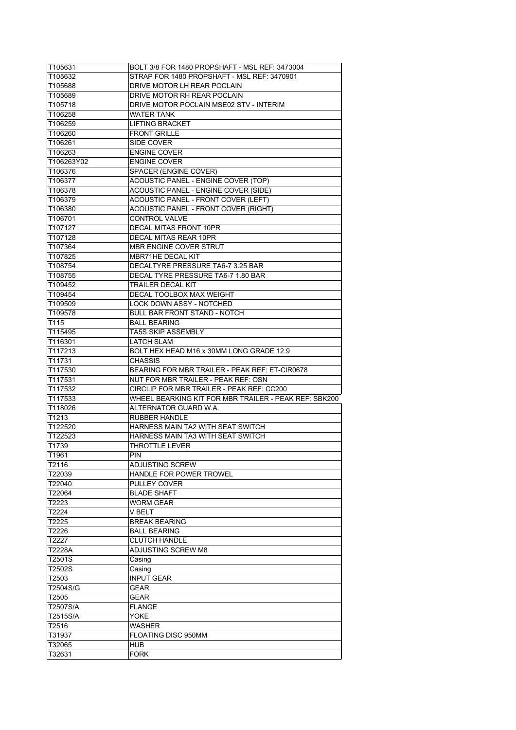| T105631                   | BOLT 3/8 FOR 1480 PROPSHAFT - MSL REF: 3473004        |
|---------------------------|-------------------------------------------------------|
| T105632                   | STRAP FOR 1480 PROPSHAFT - MSL REF: 3470901           |
| T105688                   | DRIVE MOTOR LH REAR POCLAIN                           |
| T105689                   | DRIVE MOTOR RH REAR POCLAIN                           |
| T105718                   | DRIVE MOTOR POCLAIN MSE02 STV - INTERIM               |
| T106258                   | <b>WATER TANK</b>                                     |
| T106259                   | <b>LIFTING BRACKET</b>                                |
| T106260                   | <b>FRONT GRILLE</b>                                   |
|                           |                                                       |
| T106261                   | SIDE COVER                                            |
| T106263                   | <b>ENGINE COVER</b>                                   |
| T106263Y02                | <b>ENGINE COVER</b>                                   |
| T106376                   | SPACER (ENGINE COVER)                                 |
| T106377                   | ACOUSTIC PANEL - ENGINE COVER (TOP)                   |
| T106378                   | ACOUSTIC PANEL - ENGINE COVER (SIDE)                  |
| T106379                   | ACOUSTIC PANEL - FRONT COVER (LEFT)                   |
| T106380                   | ACOUSTIC PANEL - FRONT COVER (RIGHT)                  |
| T106701                   | CONTROL VALVE                                         |
| T107127                   | DECAL MITAS FRONT 10PR                                |
| T107128                   | DECAL MITAS REAR 10PR                                 |
| T107364                   | <b>MBR ENGINE COVER STRUT</b>                         |
| T107825                   | MBR71HE DECAL KIT                                     |
| T108754                   | DECALTYRE PRESSURE TA6-7 3.25 BAR                     |
|                           |                                                       |
| T108755                   | DECAL TYRE PRESSURE TA6-7 1.80 BAR                    |
| T109452                   | <b>TRAILER DECAL KIT</b>                              |
| T109454                   | DECAL TOOLBOX MAX WEIGHT                              |
| T109509                   | <b>LOCK DOWN ASSY - NOTCHED</b>                       |
| T109578                   | <b>BULL BAR FRONT STAND - NOTCH</b>                   |
| T115                      | <b>BALL BEARING</b>                                   |
| T115495                   | <b>TA5S SKIP ASSEMBLY</b>                             |
| T116301                   | <b>LATCH SLAM</b>                                     |
| T117213                   | BOLT HEX HEAD M16 x 30MM LONG GRADE 12.9              |
| T11731                    | <b>CHASSIS</b>                                        |
| T117530                   | BEARING FOR MBR TRAILER - PEAK REF: ET-CIR0678        |
| T117531                   | NUT FOR MBR TRAILER - PEAK REF: OSN                   |
|                           | CIRCLIP FOR MBR TRAILER - PEAK REF: CC200             |
| T117532                   |                                                       |
| T117533                   | WHEEL BEARKING KIT FOR MBR TRAILER - PEAK REF: SBK200 |
| T118026                   | ALTERNATOR GUARD W.A.                                 |
| T1213                     | <b>RUBBER HANDLE</b>                                  |
|                           |                                                       |
| T122520                   | HARNESS MAIN TA2 WITH SEAT SWITCH                     |
| T122523                   | HARNESS MAIN TA3 WITH SEAT SWITCH                     |
| T1739                     | THROTTLE LEVER                                        |
|                           | PIN                                                   |
| T2116                     | ADJUSTING SCREW                                       |
| T22039                    | <b>HANDLE FOR POWER TROWEL</b>                        |
|                           | PULLEY COVER                                          |
|                           |                                                       |
| T22064                    | <b>BLADE SHAFT</b>                                    |
| T2223                     | <b>WORM GEAR</b>                                      |
| T2224                     | V BELT                                                |
| T2225                     | <b>BREAK BEARING</b>                                  |
| T2226                     | <b>BALL BEARING</b>                                   |
|                           | <b>CLUTCH HANDLE</b>                                  |
|                           | ADJUSTING SCREW M8                                    |
| T2501S                    | Casing                                                |
| T2502S                    | Casing                                                |
| T2503                     | <b>INPUT GEAR</b>                                     |
| T2504S/G                  | GEAR                                                  |
| T22040<br>T2227<br>T2228A |                                                       |
| T2505                     | GEAR                                                  |
| T2507S/A                  | <b>FLANGE</b>                                         |
| T2515S/A                  | YOKE                                                  |
| T1961<br>T2516            | <b>WASHER</b>                                         |
| T31937                    | FLOATING DISC 950MM                                   |
| T32065<br>T32631          | <b>HUB</b><br><b>FORK</b>                             |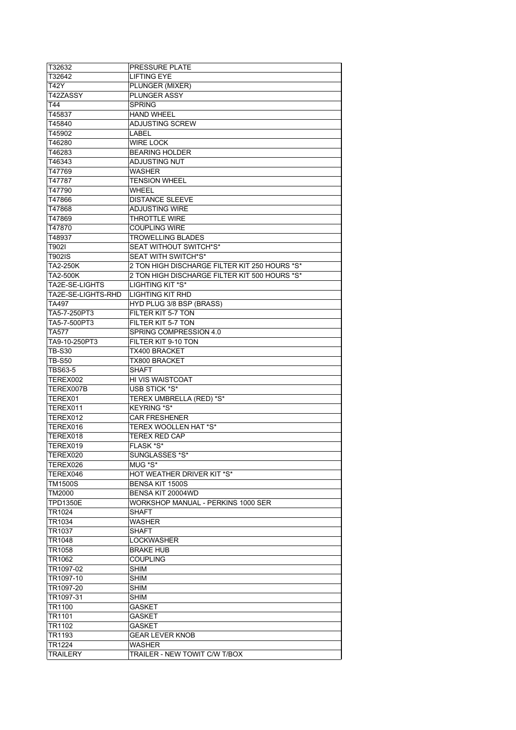| T32632             | PRESSURE PLATE                                |
|--------------------|-----------------------------------------------|
| T32642             | <b>LIFTING EYE</b>                            |
| <b>T42Y</b>        | PLUNGER (MIXER)                               |
| T42ZASSY           | <b>PLUNGER ASSY</b>                           |
| T44                | <b>SPRING</b>                                 |
| T45837             | <b>HAND WHEEL</b>                             |
| T45840             | ADJUSTING SCREW                               |
| T45902             | LABEL                                         |
| T46280             | WIRE LOCK                                     |
|                    | <b>BEARING HOLDER</b>                         |
| T46283             |                                               |
| T46343             | ADJUSTING NUT                                 |
| T47769             | <b>WASHER</b>                                 |
| T47787             | <b>TENSION WHEEL</b>                          |
| T47790             | <b>WHEEL</b>                                  |
| T47866             | <b>DISTANCE SLEEVE</b>                        |
| T47868             | ADJUSTING WIRE                                |
| T47869             | THROTTLE WIRE                                 |
| T47870             | <b>COUPLING WIRE</b>                          |
| T48937             | <b>TROWELLING BLADES</b>                      |
| T902I              | SEAT WITHOUT SWITCH*S*                        |
| T902IS             | <b>SEAT WITH SWITCH*S*</b>                    |
| <b>TA2-250K</b>    | 2 TON HIGH DISCHARGE FILTER KIT 250 HOURS *S* |
| TA2-500K           | 2 TON HIGH DISCHARGE FILTER KIT 500 HOURS *S* |
| TA2E-SE-LIGHTS     | LIGHTING KIT *S*                              |
| TA2E-SE-LIGHTS-RHD | <b>LIGHTING KIT RHD</b>                       |
| <b>TA497</b>       | HYD PLUG 3/8 BSP (BRASS)                      |
| TA5-7-250PT3       | FILTER KIT 5-7 TON                            |
| TA5-7-500PT3       | FILTER KIT 5-7 TON                            |
|                    |                                               |
| <b>TA577</b>       | SPRING COMPRESSION 4.0                        |
| TA9-10-250PT3      | FILTER KIT 9-10 TON                           |
| <b>TB-S30</b>      | TX400 BRACKET                                 |
| TB-S50             | TX800 BRACKET                                 |
| <b>TBS63-5</b>     | SHAFT                                         |
| TEREX002           | HI VIS WAISTCOAT                              |
| TEREX007B          | USB STICK *S*                                 |
| TEREX01            | TEREX UMBRELLA (RED) *S*                      |
| TEREX011           | <b>KEYRING *S*</b>                            |
| TEREX012           | <b>CAR FRESHENER</b>                          |
| TEREX016           | <b>TEREX WOOLLEN HAT *S*</b>                  |
| TEREX018           | TEREX RED CAP                                 |
| TEREX019           | FLASK *S*                                     |
| TEREX020           | SUNGLASSES *S*                                |
| TEREX026           | MUG *S*                                       |
| TEREX046           | HOT WEATHER DRIVER KIT *S*                    |
| <b>TM1500S</b>     | <b>BENSA KIT 1500S</b>                        |
| TM2000             | BENSA KIT 20004WD                             |
|                    |                                               |
| <b>TPD1350E</b>    | WORKSHOP MANUAL - PERKINS 1000 SER            |
| TR1024             | <b>SHAFT</b>                                  |
| TR1034             | WASHER                                        |
| TR1037             | <b>SHAFT</b>                                  |
| TR1048             | <b>LOCKWASHER</b>                             |
| TR1058             | <b>BRAKE HUB</b>                              |
| TR <sub>1062</sub> | <b>COUPLING</b>                               |
| TR1097-02          | SHIM                                          |
| TR1097-10          | SHIM                                          |
| TR1097-20          | SHIM                                          |
| TR1097-31          | SHIM                                          |
| TR1100             | <b>GASKET</b>                                 |
| TR1101             | <b>GASKET</b>                                 |
| TR1102             | GASKET                                        |
| TR1193             | <b>GEAR LEVER KNOB</b>                        |
| TR1224             | <b>WASHER</b>                                 |
|                    |                                               |
| <b>TRAILERY</b>    | TRAILER - NEW TOWIT C/W T/BOX                 |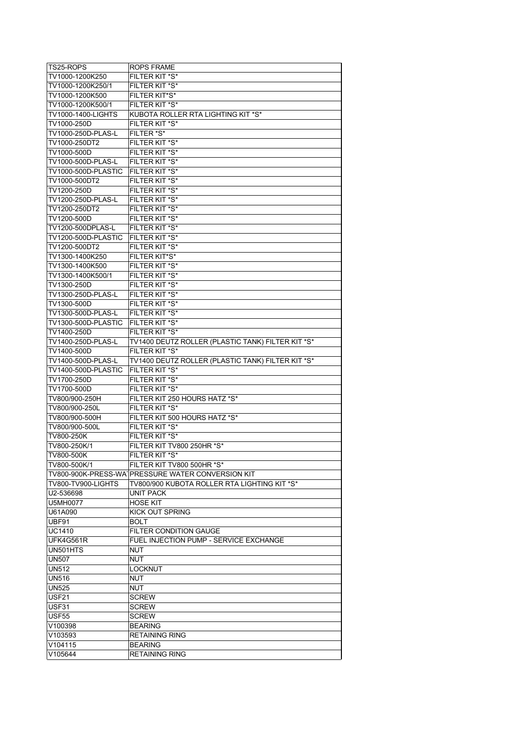| TS25-ROPS           | <b>ROPS FRAME</b>                                 |
|---------------------|---------------------------------------------------|
| TV1000-1200K250     | FILTER KIT *S*                                    |
| TV1000-1200K250/1   | FILTER KIT *S*                                    |
| TV1000-1200K500     | FILTER KIT*S*                                     |
| TV1000-1200K500/1   | FILTER KIT *S*                                    |
| TV1000-1400-LIGHTS  | KUBOTA ROLLER RTA LIGHTING KIT *S*                |
| TV1000-250D         | FILTER KIT *S*                                    |
| TV1000-250D-PLAS-L  | FILTER *S*                                        |
| TV1000-250DT2       | FILTER KIT *S*                                    |
| TV1000-500D         | <b>FILTER KIT *S*</b>                             |
| TV1000-500D-PLAS-L  | FILTER KIT *S*                                    |
| TV1000-500D-PLASTIC | FILTER KIT *S*                                    |
| TV1000-500DT2       | FILTER KIT *S*                                    |
| TV1200-250D         | FILTER KIT *S*                                    |
| TV1200-250D-PLAS-L  | FILTER KIT *S*                                    |
| TV1200-250DT2       | FILTER KIT *S*                                    |
| TV1200-500D         | FILTER KIT *S*                                    |
|                     | FILTER KIT *S*                                    |
| TV1200-500DPLAS-L   | FILTER KIT *S*                                    |
| TV1200-500D-PLASTIC |                                                   |
| TV1200-500DT2       | FILTER KIT *S*                                    |
| TV1300-1400K250     | FILTER KIT*S*                                     |
| TV1300-1400K500     | FILTER KIT *S*                                    |
| TV1300-1400K500/1   | FILTER KIT *S*                                    |
| TV1300-250D         | FILTER KIT *S*                                    |
| TV1300-250D-PLAS-L  | FILTER KIT *S*                                    |
| TV1300-500D         | FILTER KIT *S*                                    |
| TV1300-500D-PLAS-L  | FILTER KIT *S*                                    |
| TV1300-500D-PLASTIC | FILTER KIT *S*                                    |
| TV1400-250D         | FILTER KIT *S*                                    |
| TV1400-250D-PLAS-L  | TV1400 DEUTZ ROLLER (PLASTIC TANK) FILTER KIT *S* |
| TV1400-500D         | FILTER KIT *S*                                    |
| TV1400-500D-PLAS-L  | TV1400 DEUTZ ROLLER (PLASTIC TANK) FILTER KIT *S* |
| TV1400-500D-PLASTIC | FILTER KIT *S*                                    |
| TV1700-250D         | FILTER KIT *S*                                    |
| TV1700-500D         | FILTER KIT *S*                                    |
| TV800/900-250H      | FILTER KIT 250 HOURS HATZ *S*                     |
| TV800/900-250L      | FILTER KIT *S*                                    |
| TV800/900-500H      | FILTER KIT 500 HOURS HATZ *S*                     |
| TV800/900-500L      | FILTER KIT *S*                                    |
| TV800-250K          | FILTER KIT *S*                                    |
| TV800-250K/1        | FILTER KIT TV800 250HR *S*                        |
| TV800-500K          | FILTER KIT *S*                                    |
| TV800-500K/1        | FILTER KIT TV800 500HR *S*                        |
|                     | TV800-900K-PRESS-WA PRESSURE WATER CONVERSION KIT |
| TV800-TV900-LIGHTS  | TV800/900 KUBOTA ROLLER RTA LIGHTING KIT *S*      |
| U2-536698           | UNIT PACK                                         |
| <b>U5MH0077</b>     | <b>HOSE KIT</b>                                   |
| U61A090             | KICK OUT SPRING                                   |
| UBF91               | <b>BOLT</b>                                       |
| <b>UC1410</b>       | <b>FILTER CONDITION GAUGE</b>                     |
| UFK4G561R           | FUEL INJECTION PUMP - SERVICE EXCHANGE            |
| UN501HTS            | <b>NUT</b>                                        |
| <b>UN507</b>        | <b>NUT</b>                                        |
| <b>UN512</b>        | <b>LOCKNUT</b>                                    |
| <b>UN516</b>        | NUT                                               |
| <b>UN525</b>        | <b>NUT</b>                                        |
| USF <sub>21</sub>   | <b>SCREW</b>                                      |
| USF31               | <b>SCREW</b>                                      |
| USF <sub>55</sub>   | <b>SCREW</b>                                      |
|                     | <b>BEARING</b>                                    |
| V100398             |                                                   |
| V103593             | <b>RETAINING RING</b>                             |
| V104115             | <b>BEARING</b>                                    |
| V105644             | <b>RETAINING RING</b>                             |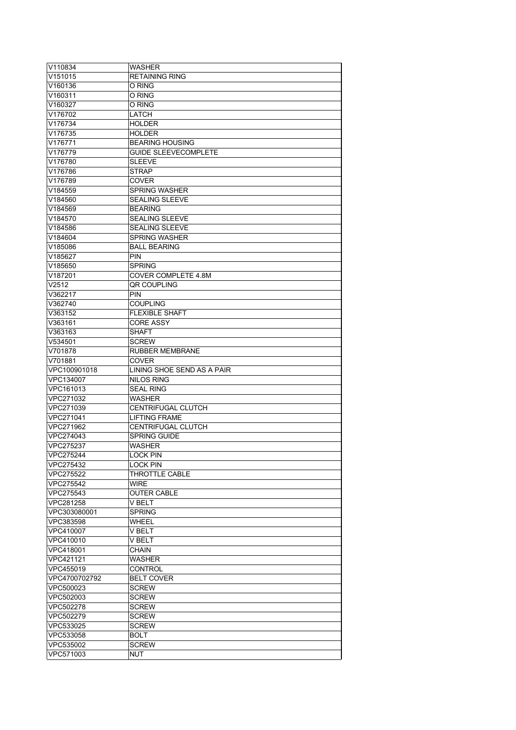| V110834                | WASHER                      |
|------------------------|-----------------------------|
| V151015                | <b>RETAINING RING</b>       |
| V160136                | O RING                      |
| V160311                | O RING                      |
| V160327                | O RING                      |
| V176702                | LATCH                       |
| V176734                | <b>HOLDER</b>               |
| V176735                | <b>HOLDER</b>               |
| V176771                | <b>BEARING HOUSING</b>      |
| V176779                | <b>GUIDE SLEEVECOMPLETE</b> |
| V176780                | <b>SLEEVE</b>               |
| V176786                | <b>STRAP</b>                |
|                        |                             |
| V176789                | COVER                       |
| V184559                | <b>SPRING WASHER</b>        |
| V184560                | <b>SEALING SLEEVE</b>       |
| V184569                | <b>BEARING</b>              |
| V184570                | <b>SEALING SLEEVE</b>       |
| V184586                | <b>SEALING SLEEVE</b>       |
| V184604                | <b>SPRING WASHER</b>        |
| V185086                | <b>BALL BEARING</b>         |
| V185627                | <b>PIN</b>                  |
| V185650                | <b>SPRING</b>               |
| V187201                | COVER COMPLETE 4.8M         |
| V2512                  | QR COUPLING                 |
| V362217                | <b>PIN</b>                  |
| V362740                | <b>COUPLING</b>             |
| V363152                | <b>FLEXIBLE SHAFT</b>       |
| V363161                | <b>CORE ASSY</b>            |
| V363163                | <b>SHAFT</b>                |
| V534501                | <b>SCREW</b>                |
| V701878                | RUBBER MEMBRANE             |
| V701881                | <b>COVER</b>                |
| VPC100901018           | LINING SHOE SEND AS A PAIR  |
| VPC134007              | NILOS RING                  |
| VPC161013              | <b>SEAL RING</b>            |
| VPC271032              | WASHER                      |
| VPC271039              | CENTRIFUGAL CLUTCH          |
|                        |                             |
| VPC271041              | <b>LIFTING FRAME</b>        |
| VPC271962              | <b>CENTRIFUGAL CLUTCH</b>   |
| VPC274043              | SPRING GUIDE                |
| VPC275237              | <b>WASHER</b>               |
| VPC275244              | <b>LOCK PIN</b>             |
| VPC275432              | <b>LOCK PIN</b>             |
| VPC275522              | THROTTLE CABLE              |
| VPC275542              |                             |
| VPC275543              | <b>WIRE</b>                 |
|                        | <b>OUTER CABLE</b>          |
| VPC281258              | V BELT                      |
| VPC303080001           | <b>SPRING</b>               |
| VPC383598              | <b>WHEEL</b>                |
| VPC410007              | V BELT                      |
| VPC410010              | V BELT                      |
| VPC418001              | <b>CHAIN</b>                |
| VPC421121              | <b>WASHER</b>               |
| VPC455019              | <b>CONTROL</b>              |
| VPC4700702792          | <b>BELT COVER</b>           |
|                        |                             |
| VPC500023              | <b>SCREW</b>                |
| VPC502003              | <b>SCREW</b>                |
| VPC502278              | <b>SCREW</b>                |
| VPC502279              | <b>SCREW</b>                |
| VPC533025              | <b>SCREW</b>                |
| VPC533058              | <b>BOLT</b>                 |
| VPC535002<br>VPC571003 | <b>SCREW</b><br><b>NUT</b>  |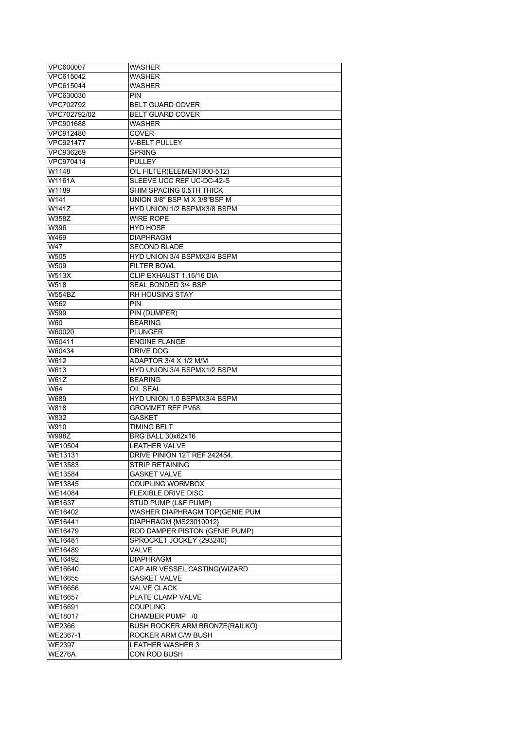| VPC600007      | WASHER                                |
|----------------|---------------------------------------|
| VPC615042      | WASHER                                |
| VPC615044      | WASHER                                |
| VPC630030      | PIN                                   |
| VPC702792      | <b>BELT GUARD COVER</b>               |
| VPC702792/02   | <b>BELT GUARD COVER</b>               |
| VPC901688      | WASHER                                |
| VPC912480      | <b>COVER</b>                          |
| VPC921477      | V-BELT PULLEY                         |
| VPC936269      | <b>SPRING</b>                         |
| VPC970414      | <b>PULLEY</b>                         |
| W1148          | OIL FILTER(ELEMENT800-512)            |
| W1161A         | SLEEVE UCC REF UC-DC-42-S             |
| W1189          | SHIM SPACING 0.5TH THICK              |
| W141           | UNION 3/8" BSP M X 3/8"BSP M          |
| W141Z          | <b>HYD UNION 1/2 BSPMX3/8 BSPM</b>    |
| W358Z          | WIRE ROPE                             |
| W396           | <b>HYD HOSE</b>                       |
| W469           | <b>DIAPHRAGM</b>                      |
| W47            | <b>SECOND BLADE</b>                   |
| W505           | HYD UNION 3/4 BSPMX3/4 BSPM           |
| W509           | <b>FILTER BOWL</b>                    |
| W513X          | CLIP EXHAUST 1.15/16 DIA              |
| W518           | SEAL BONDED 3/4 BSP                   |
| <b>W554BZ</b>  | <b>RH HOUSING STAY</b>                |
| W562           | <b>PIN</b>                            |
| W599           | PIN (DUMPER)                          |
| W60            | <b>BEARING</b>                        |
| W60020         | <b>PLUNGER</b>                        |
| W60411         | <b>ENGINE FLANGE</b>                  |
| W60434         | DRIVE DOG                             |
| W612           | ADAPTOR 3/4 X 1/2 M/M                 |
| W613           | HYD UNION 3/4 BSPMX1/2 BSPM           |
| W61Z           | <b>BEARING</b>                        |
| W64            | OIL SEAL                              |
| W689           | HYD UNION 1.0 BSPMX3/4 BSPM           |
| W818           | <b>GROMMET REF PV68</b>               |
| W832           | <b>GASKET</b>                         |
| W910           | TIMING BELT                           |
| W998Z          | BRG BALL 30x62x16                     |
| WE10504        | <b>LEATHER VALVE</b>                  |
| <b>WE13131</b> | DRIVE PINION 12T REF 242454.          |
| WE13583        | STRIP RETAINING                       |
| WE13584        | <b>GASKET VALVE</b>                   |
| WE13845        | COUPLING WORMBOX                      |
| <b>WE14084</b> | <b>FLEXIBLE DRIVE DISC</b>            |
| WE1637         | STUD PUMP (L&F PUMP)                  |
| WE16402        | <b>WASHER DIAPHRAGM TOP(GENIE PUM</b> |
| WE16441        | DIAPHRAGM {MS23010012}                |
| WE16479        | ROD DAMPER PISTON (GENIE PUMP)        |
| WE16481        | SPROCKET JOCKEY {293240}              |
| WE16489        | VALVE                                 |
| WE16492        | <b>DIAPHRAGM</b>                      |
| WE16640        | CAP AIR VESSEL CASTING(WIZARD         |
| WE16655        | <b>GASKET VALVE</b>                   |
| WE16656        | <b>VALVE CLACK</b>                    |
| WE16657        | PLATE CLAMP VALVE                     |
| WE16691        | <b>COUPLING</b>                       |
| <b>WE18017</b> | CHAMBER PUMP /0                       |
| WE2366         | BUSH ROCKER ARM BRONZE{RAILKO}        |
| WE2367-1       | ROCKER ARM C/W BUSH                   |
| <b>WE2397</b>  | <b>LEATHER WASHER 3</b>               |
| <b>WE276A</b>  | CON ROD BUSH                          |